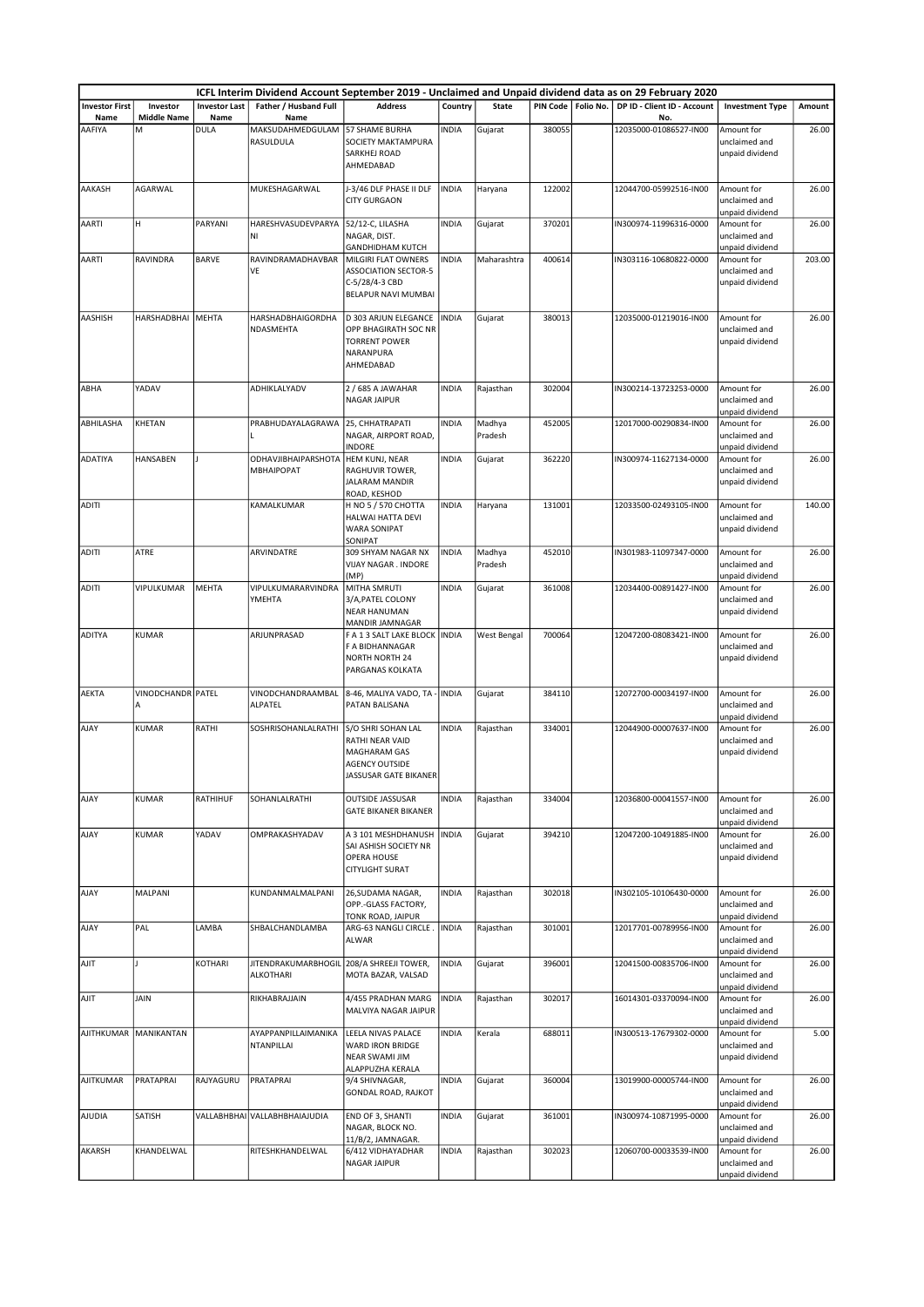|                               |                                |                              |                                         |                                                                                                         |              |                   |        |                      | ICFL Interim Dividend Account September 2019 - Unclaimed and Unpaid dividend data as on 29 February 2020 |                                                |        |
|-------------------------------|--------------------------------|------------------------------|-----------------------------------------|---------------------------------------------------------------------------------------------------------|--------------|-------------------|--------|----------------------|----------------------------------------------------------------------------------------------------------|------------------------------------------------|--------|
| <b>Investor First</b><br>Name | Investor<br><b>Middle Name</b> | <b>Investor Last</b><br>Name | Father / Husband Full<br>Name           | <b>Address</b>                                                                                          | Country      | <b>State</b>      |        | PIN Code   Folio No. | DP ID - Client ID - Account<br>No.                                                                       | <b>Investment Type</b>                         | Amount |
| AAFIYA                        | М                              | DULA                         | MAKSUDAHMEDGULAM<br>RASULDULA           | 57 SHAME BURHA<br>SOCIETY MAKTAMPURA<br><b>SARKHEJ ROAD</b><br>AHMEDABAD                                | <b>INDIA</b> | Gujarat           | 380055 |                      | 12035000-01086527-IN00                                                                                   | Amount for<br>unclaimed and<br>unpaid dividend | 26.00  |
| AAKASH                        | <b>AGARWAL</b>                 |                              | MUKESHAGARWAL                           | J-3/46 DLF PHASE II DLF<br><b>CITY GURGAON</b>                                                          | <b>INDIA</b> | Haryana           | 122002 |                      | 12044700-05992516-IN00                                                                                   | Amount for<br>unclaimed and<br>unpaid dividend | 26.00  |
| AARTI                         | H                              | PARYANI                      | HARESHVASUDEVPARYA<br>NI                | 52/12-C, LILASHA<br>NAGAR, DIST.<br><b>GANDHIDHAM KUTCH</b>                                             | <b>INDIA</b> | Gujarat           | 370201 |                      | IN300974-11996316-0000                                                                                   | Amount for<br>unclaimed and<br>unpaid dividend | 26.00  |
| AARTI                         | RAVINDRA                       | <b>BARVE</b>                 | RAVINDRAMADHAVBAR<br>VE                 | MILGIRI FLAT OWNERS<br><b>ASSOCIATION SECTOR-5</b><br>C-5/28/4-3 CBD<br>BELAPUR NAVI MUMBAI             | <b>INDIA</b> | Maharashtra       | 400614 |                      | IN303116-10680822-0000                                                                                   | Amount for<br>unclaimed and<br>unpaid dividend | 203.00 |
| AASHISH                       | HARSHADBHAI                    | MEHTA                        | HARSHADBHAIGORDHA<br>NDASMEHTA          | D 303 ARJUN ELEGANCE<br>OPP BHAGIRATH SOC NR<br><b>TORRENT POWER</b><br>NARANPURA<br>AHMEDABAD          | <b>INDIA</b> | Gujarat           | 380013 |                      | 12035000-01219016-IN00                                                                                   | Amount for<br>unclaimed and<br>unpaid dividend | 26.00  |
| ABHA                          | YADAV                          |                              | ADHIKLALYADV                            | 2 / 685 A JAWAHAR<br>NAGAR JAIPUR                                                                       | <b>INDIA</b> | Rajasthan         | 302004 |                      | IN300214-13723253-0000                                                                                   | Amount for<br>unclaimed and<br>unpaid dividend | 26.00  |
| ABHILASHA                     | KHETAN                         |                              | PRABHUDAYALAGRAWA                       | 25, CHHATRAPATI<br>NAGAR, AIRPORT ROAD,<br>INDORE                                                       | <b>INDIA</b> | Madhya<br>Pradesh | 452005 |                      | 12017000-00290834-IN00                                                                                   | Amount for<br>unclaimed and<br>unpaid dividend | 26.00  |
| <b>ADATIYA</b>                | HANSABEN                       |                              | ODHAVJIBHAIPARSHOTA<br>MBHAIPOPAT       | HEM KUNJ, NEAR<br>RAGHUVIR TOWER,<br>JALARAM MANDIR<br>ROAD, KESHOD                                     | <b>INDIA</b> | Gujarat           | 362220 |                      | IN300974-11627134-0000                                                                                   | Amount for<br>unclaimed and<br>unpaid dividend | 26.00  |
| <b>ADITI</b>                  |                                |                              | KAMALKUMAR                              | H NO 5 / 570 CHOTTA<br>HALWAI HATTA DEVI<br><b>WARA SONIPAT</b><br>SONIPAT                              | <b>INDIA</b> | Haryana           | 131001 |                      | 12033500-02493105-IN00                                                                                   | Amount for<br>unclaimed and<br>unpaid dividend | 140.00 |
| <b>ADITI</b>                  | ATRE                           |                              | ARVINDATRE                              | 309 SHYAM NAGAR NX<br><b>VIJAY NAGAR . INDORE</b><br>(MP)                                               | <b>INDIA</b> | Madhya<br>Pradesh | 452010 |                      | IN301983-11097347-0000                                                                                   | Amount for<br>unclaimed and<br>unpaid dividend | 26.00  |
| <b>ADITI</b>                  | VIPULKUMAR                     | <b>MEHTA</b>                 | VIPULKUMARARVINDRA<br>YMEHTA            | MITHA SMRUTI<br>3/A, PATEL COLONY<br><b>NEAR HANUMAN</b><br>MANDIR JAMNAGAR                             | <b>INDIA</b> | Gujarat           | 361008 |                      | 12034400-00891427-IN00                                                                                   | Amount for<br>unclaimed and<br>unpaid dividend | 26.00  |
| <b>ADITYA</b>                 | <b>KUMAR</b>                   |                              | ARJUNPRASAD                             | F A 1 3 SALT LAKE BLOCK   INDIA<br>F A BIDHANNAGAR<br><b>NORTH NORTH 24</b><br>PARGANAS KOLKATA         |              | West Bengal       | 700064 |                      | 12047200-08083421-IN00                                                                                   | Amount for<br>unclaimed and<br>unpaid dividend | 26.00  |
| <b>AEKTA</b>                  | VINODCHANDR PATEL<br>A         |                              | VINODCHANDRAAMBAL<br>ALPATEL            | 8-46, MALIYA VADO, TA - INDIA<br>PATAN BALISANA                                                         |              | Gujarat           | 384110 |                      | 12072700-00034197-IN00                                                                                   | Amount for<br>unclaimed and<br>unpaid dividend | 26.00  |
| AJAY                          | KUMAR                          | RATHI                        | SOSHRISOHANLALRATHI                     | S/O SHRI SOHAN LAL<br>RATHI NEAR VAID<br>MAGHARAM GAS<br><b>AGENCY OUTSIDE</b><br>JASSUSAR GATE BIKANER | <b>INDIA</b> | Rajasthan         | 334001 |                      | 12044900-00007637-IN00                                                                                   | Amount for<br>unclaimed and<br>unpaid dividend | 26.00  |
| AJAY                          | KUMAR                          | RATHIHUF                     | SOHANLALRATHI                           | <b>OUTSIDE JASSUSAR</b><br><b>GATE BIKANER BIKANER</b>                                                  | <b>INDIA</b> | Rajasthan         | 334004 |                      | 12036800-00041557-IN00                                                                                   | Amount for<br>unclaimed and<br>unpaid dividend | 26.00  |
| AJAY                          | <b>KUMAR</b>                   | YADAV                        | OMPRAKASHYADAV                          | A 3 101 MESHDHANUSH<br>SAI ASHISH SOCIETY NR<br><b>OPERA HOUSE</b><br><b>CITYLIGHT SURAT</b>            | <b>INDIA</b> | Gujarat           | 394210 |                      | 12047200-10491885-IN00                                                                                   | Amount for<br>unclaimed and<br>unpaid dividend | 26.00  |
| AJAY                          | MALPANI                        |                              | KUNDANMALMALPANI                        | 26, SUDAMA NAGAR,<br>OPP.-GLASS FACTORY,<br>TONK ROAD, JAIPUR                                           | <b>INDIA</b> | Rajasthan         | 302018 |                      | IN302105-10106430-0000                                                                                   | Amount for<br>unclaimed and<br>unpaid dividend | 26.00  |
| AJAY                          | PAL                            | LAMBA                        | SHBALCHANDLAMBA                         | ARG-63 NANGLI CIRCLE.   INDIA<br>ALWAR                                                                  |              | Rajasthan         | 301001 |                      | 12017701-00789956-IN00                                                                                   | Amount for<br>unclaimed and<br>unpaid dividend | 26.00  |
| AJIT                          |                                | KOTHARI                      | <b>JITENDRAKUMARBHOGIL</b><br>ALKOTHARI | 208/A SHREEJI TOWER,<br>MOTA BAZAR, VALSAD                                                              | <b>INDIA</b> | Gujarat           | 396001 |                      | 12041500-00835706-IN00                                                                                   | Amount for<br>unclaimed and<br>unpaid dividend | 26.00  |
| AJIT                          | JAIN                           |                              | RIKHABRAJJAIN                           | 4/455 PRADHAN MARG<br>MALVIYA NAGAR JAIPUR                                                              | <b>INDIA</b> | Rajasthan         | 302017 |                      | 16014301-03370094-IN00                                                                                   | Amount for<br>unclaimed and<br>unpaid dividend | 26.00  |
|                               | AJITHKUMAR   MANIKANTAN        |                              | AYAPPANPILLAIMANIKA<br>NTANPILLAI       | LEELA NIVAS PALACE<br>WARD IRON BRIDGE<br>NEAR SWAMI JIM<br>ALAPPUZHA KERALA                            | <b>INDIA</b> | Kerala            | 688011 |                      | IN300513-17679302-0000                                                                                   | Amount for<br>unclaimed and<br>unpaid dividend | 5.00   |
| AJITKUMAR                     | PRATAPRAI                      | RAJYAGURU                    | PRATAPRAI                               | 9/4 SHIVNAGAR,<br><b>GONDAL ROAD, RAJKOT</b>                                                            | <b>INDIA</b> | Gujarat           | 360004 |                      | 13019900-00005744-IN00                                                                                   | Amount for<br>unclaimed and<br>unpaid dividend | 26.00  |
| <b>AJUDIA</b>                 | SATISH                         |                              | VALLABHBHAI VALLABHBHAIAJUDIA           | END OF 3, SHANTI<br>NAGAR, BLOCK NO.<br>11/B/2, JAMNAGAR.                                               | <b>INDIA</b> | Gujarat           | 361001 |                      | IN300974-10871995-0000                                                                                   | Amount for<br>unclaimed and<br>unpaid dividend | 26.00  |
| AKARSH                        | KHANDELWAL                     |                              | RITESHKHANDELWAL                        | 6/412 VIDHAYADHAR<br>NAGAR JAIPUR                                                                       | <b>INDIA</b> | Rajasthan         | 302023 |                      | 12060700-00033539-IN00                                                                                   | Amount for<br>unclaimed and<br>unpaid dividend | 26.00  |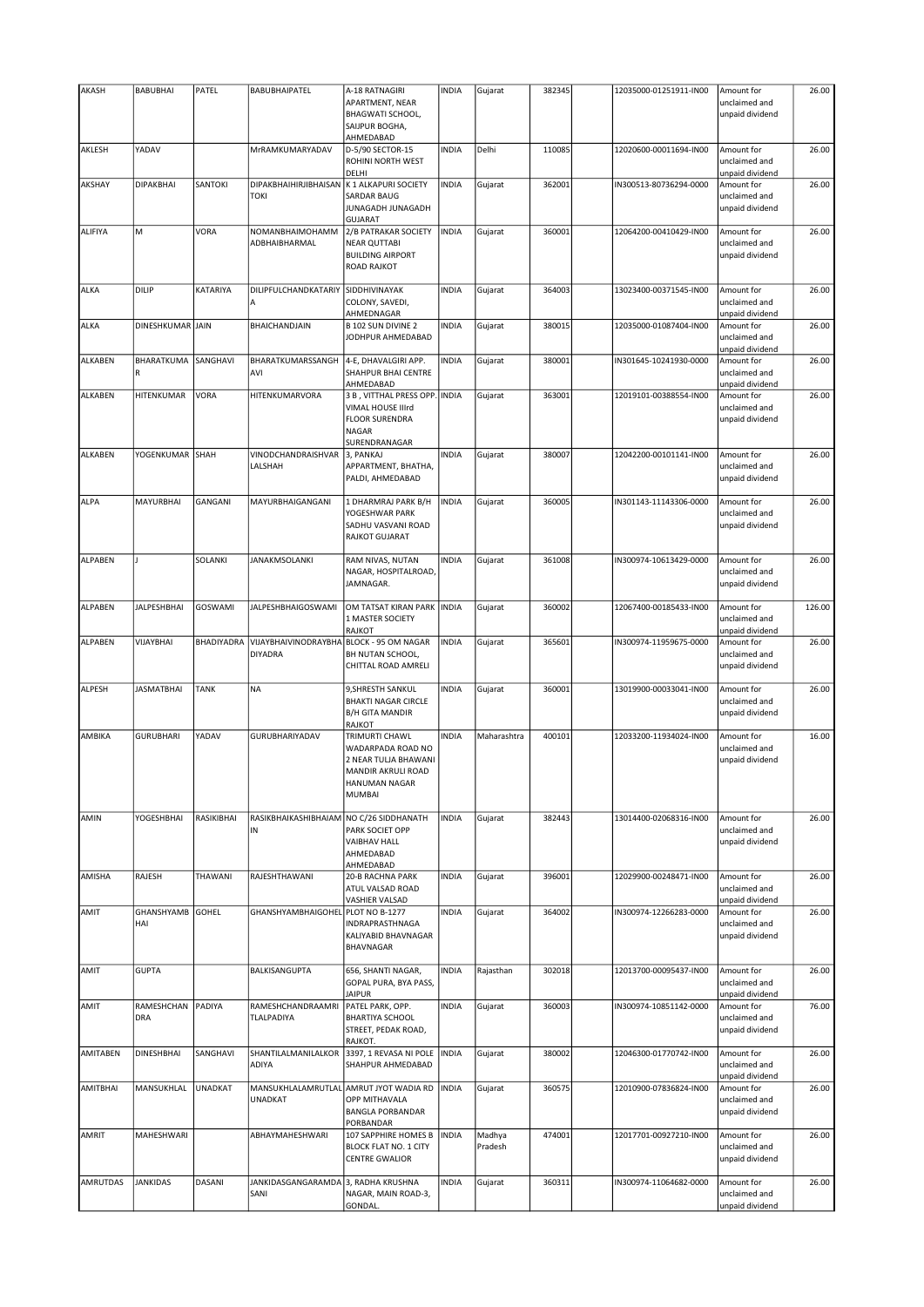| AKASH          | <b>BABUBHAI</b>          | PATEL          | BABUBHAIPATEL                                            | A-18 RATNAGIRI<br>APARTMENT, NEAR<br><b>BHAGWATI SCHOOL,</b><br>SAIJPUR BOGHA,<br>AHMEDABAD                                | <b>INDIA</b> | Gujarat           | 382345 | 12035000-01251911-IN00 | Amount for<br>unclaimed and<br>unpaid dividend | 26.00  |
|----------------|--------------------------|----------------|----------------------------------------------------------|----------------------------------------------------------------------------------------------------------------------------|--------------|-------------------|--------|------------------------|------------------------------------------------|--------|
| AKLESH         | YADAV                    |                | MrRAMKUMARYADAV                                          | D-5/90 SECTOR-15<br>ROHINI NORTH WEST<br>DELHI                                                                             | <b>INDIA</b> | Delhi             | 110085 | 12020600-00011694-IN00 | Amount for<br>unclaimed and<br>unpaid dividend | 26.00  |
| AKSHAY         | <b>DIPAKBHAI</b>         | SANTOKI        | DIPAKBHAIHIRJIBHAISAN<br><b>TOKI</b>                     | K 1 ALKAPURI SOCIETY<br><b>SARDAR BAUG</b><br>JUNAGADH JUNAGADH<br><b>GUJARAT</b>                                          | <b>INDIA</b> | Gujarat           | 362001 | IN300513-80736294-0000 | Amount for<br>unclaimed and<br>unpaid dividend | 26.00  |
| <b>ALIFIYA</b> | M                        | <b>VORA</b>    | NOMANBHAIMOHAMM<br>ADBHAIBHARMAL                         | 2/B PATRAKAR SOCIETY<br><b>NEAR QUTTABI</b><br><b>BUILDING AIRPORT</b><br><b>ROAD RAJKOT</b>                               | <b>INDIA</b> | Gujarat           | 360001 | 12064200-00410429-IN00 | Amount for<br>unclaimed and<br>unpaid dividend | 26.00  |
| ALKA           | DILIP                    | KATARIYA       | DILIPFULCHANDKATARIY<br>A                                | SIDDHIVINAYAK<br>COLONY, SAVEDI,<br>AHMEDNAGAR                                                                             | <b>INDIA</b> | Gujarat           | 364003 | 13023400-00371545-IN00 | Amount for<br>unclaimed and<br>unpaid dividend | 26.00  |
| ALKA           | DINESHKUMAR JAIN         |                | BHAICHANDJAIN                                            | B 102 SUN DIVINE 2<br>JODHPUR AHMEDABAD                                                                                    | <b>INDIA</b> | Gujarat           | 380015 | 12035000-01087404-IN00 | Amount for<br>unclaimed and<br>unpaid dividend | 26.00  |
| ALKABEN        | BHARATKUMA<br>R          | SANGHAVI       | BHARATKUMARSSANGH<br>AVI                                 | 4-E, DHAVALGIRI APP.<br>SHAHPUR BHAI CENTRE<br>AHMEDABAD                                                                   | <b>INDIA</b> | Gujarat           | 380001 | IN301645-10241930-0000 | Amount for<br>unclaimed and<br>unpaid dividend | 26.00  |
| <b>ALKABEN</b> | HITENKUMAR               | VORA           | HITENKUMARVORA                                           | 3 B, VITTHAL PRESS OPP. INDIA<br>VIMAL HOUSE IIIrd<br><b>FLOOR SURENDRA</b><br><b>NAGAR</b><br>SURENDRANAGAR               |              | Gujarat           | 363001 | 12019101-00388554-IN00 | Amount for<br>unclaimed and<br>unpaid dividend | 26.00  |
| <b>ALKABEN</b> | YOGENKUMAR               | SHAH           | VINODCHANDRAISHVAR<br>LALSHAH                            | 3, PANKAJ<br>APPARTMENT, BHATHA,<br>PALDI, AHMEDABAD                                                                       | <b>INDIA</b> | Gujarat           | 380007 | 12042200-00101141-IN00 | Amount for<br>unclaimed and<br>unpaid dividend | 26.00  |
| <b>ALPA</b>    | MAYURBHAI                | GANGANI        | MAYURBHAIGANGANI                                         | 1 DHARMRAJ PARK B/H<br>YOGESHWAR PARK<br>SADHU VASVANI ROAD<br><b>RAJKOT GUJARAT</b>                                       | <b>INDIA</b> | Gujarat           | 360005 | IN301143-11143306-0000 | Amount for<br>unclaimed and<br>unpaid dividend | 26.00  |
| ALPABEN        |                          | SOLANKI        | JANAKMSOLANKI                                            | RAM NIVAS, NUTAN<br>NAGAR, HOSPITALROAD,<br>JAMNAGAR.                                                                      | <b>INDIA</b> | Gujarat           | 361008 | IN300974-10613429-0000 | Amount for<br>unclaimed and<br>unpaid dividend | 26.00  |
| ALPABEN        | <b>JALPESHBHAI</b>       | <b>GOSWAMI</b> | <b>JALPESHBHAIGOSWAMI</b>                                | OM TATSAT KIRAN PARK INDIA<br>1 MASTER SOCIETY<br>RAJKOT                                                                   |              | Gujarat           | 360002 | 12067400-00185433-IN00 | Amount for<br>unclaimed and<br>unpaid dividend | 126.00 |
| ALPABEN        | VIJAYBHAI                | BHADIYADRA     | VIJAYBHAIVINODRAYBHA<br><b>DIYADRA</b>                   | BLOCK - 95 OM NAGAR<br>BH NUTAN SCHOOL,<br>CHITTAL ROAD AMRELI                                                             | <b>INDIA</b> | Gujarat           | 365601 | IN300974-11959675-0000 | Amount for<br>unclaimed and<br>unpaid dividend | 26.00  |
| ALPESH         | <b>JASMATBHAI</b>        | <b>TANK</b>    | <b>NA</b>                                                | 9, SHRESTH SANKUL<br><b>BHAKTI NAGAR CIRCLE</b><br><b>B/H GITA MANDIR</b><br><b>RAJKOT</b>                                 | <b>INDIA</b> | Gujarat           | 360001 | 13019900-00033041-IN00 | Amount for<br>unclaimed and<br>unpaid dividend | 26.00  |
| AMBIKA         | <b>GURUBHARI</b>         | YADAV          | GURUBHARIYADAV                                           | <b>TRIMURTI CHAWL</b><br>WADARPADA ROAD NO<br>2 NEAR TULJA BHAWANI<br>MANDIR AKRULI ROAD<br>HANUMAN NAGAR<br><b>MUMBAI</b> | <b>INDIA</b> | Maharashtra       | 400101 | 12033200-11934024-IN00 | Amount for<br>unclaimed and<br>unpaid dividend | 16.00  |
| AMIN           | YOGESHBHAI               | RASIKIBHAI     | RASIKBHAIKASHIBHAIAM NO C/26 SIDDHANATH<br>IN            | PARK SOCIET OPP<br><b>VAIBHAV HALL</b><br>AHMEDABAD<br>AHMEDABAD                                                           | <b>INDIA</b> | Gujarat           | 382443 | 13014400-02068316-IN00 | Amount for<br>unclaimed and<br>unpaid dividend | 26.00  |
| AMISHA         | RAJESH                   | THAWANI        | RAJESHTHAWANI                                            | <b>20-B RACHNA PARK</b><br>ATUL VALSAD ROAD<br>VASHIER VALSAD                                                              | <b>INDIA</b> | Gujarat           | 396001 | 12029900-00248471-IN00 | Amount for<br>unclaimed and<br>unpaid dividend | 26.00  |
| AMIT           | <b>GHANSHYAMB</b><br>HAI | <b>GOHEL</b>   | GHANSHYAMBHAIGOHEL PLOT NO B-1277                        | <b>INDRAPRASTHNAGA</b><br>KALIYABID BHAVNAGAR<br>BHAVNAGAR                                                                 | <b>INDIA</b> | Gujarat           | 364002 | IN300974-12266283-0000 | Amount for<br>unclaimed and<br>unpaid dividend | 26.00  |
| AMIT           | <b>GUPTA</b>             |                | BALKISANGUPTA                                            | 656, SHANTI NAGAR,<br>GOPAL PURA, BYA PASS,<br><b>JAIPUR</b>                                                               | <b>INDIA</b> | Rajasthan         | 302018 | 12013700-00095437-IN00 | Amount for<br>unclaimed and<br>unpaid dividend | 26.00  |
| AMIT           | RAMESHCHAN<br><b>DRA</b> | PADIYA         | RAMESHCHANDRAAMRI<br>TLALPADIYA                          | PATEL PARK, OPP.<br><b>BHARTIYA SCHOOL</b><br>STREET, PEDAK ROAD,<br>RAJKOT.                                               | <b>INDIA</b> | Gujarat           | 360003 | IN300974-10851142-0000 | Amount for<br>unclaimed and<br>unpaid dividend | 76.00  |
| AMITABEN       | <b>DINESHBHAI</b>        | SANGHAVI       | SHANTILALMANILALKOR<br>ADIYA                             | 3397, 1 REVASA NI POLE<br>SHAHPUR AHMEDABAD                                                                                | <b>INDIA</b> | Gujarat           | 380002 | 12046300-01770742-IN00 | Amount for<br>unclaimed and<br>unpaid dividend | 26.00  |
| AMITBHAI       | MANSUKHLAL               | <b>UNADKAT</b> | MANSUKHLALAMRUTLAL AMRUT JYOT WADIA RD<br><b>UNADKAT</b> | <b>OPP MITHAVALA</b><br><b>BANGLA PORBANDAR</b><br>PORBANDAR                                                               | <b>INDIA</b> | Gujarat           | 360575 | 12010900-07836824-IN00 | Amount for<br>unclaimed and<br>unpaid dividend | 26.00  |
| AMRIT          | MAHESHWARI               |                | ABHAYMAHESHWARI                                          | 107 SAPPHIRE HOMES B<br><b>BLOCK FLAT NO. 1 CITY</b><br><b>CENTRE GWALIOR</b>                                              | <b>INDIA</b> | Madhya<br>Pradesh | 474001 | 12017701-00927210-IN00 | Amount for<br>unclaimed and<br>unpaid dividend | 26.00  |
| AMRUTDAS       | <b>JANKIDAS</b>          | DASANI         | JANKIDASGANGARAMDA 3, RADHA KRUSHNA<br>SANI              | NAGAR, MAIN ROAD-3,<br>GONDAL.                                                                                             | <b>INDIA</b> | Gujarat           | 360311 | IN300974-11064682-0000 | Amount for<br>unclaimed and<br>unpaid dividend | 26.00  |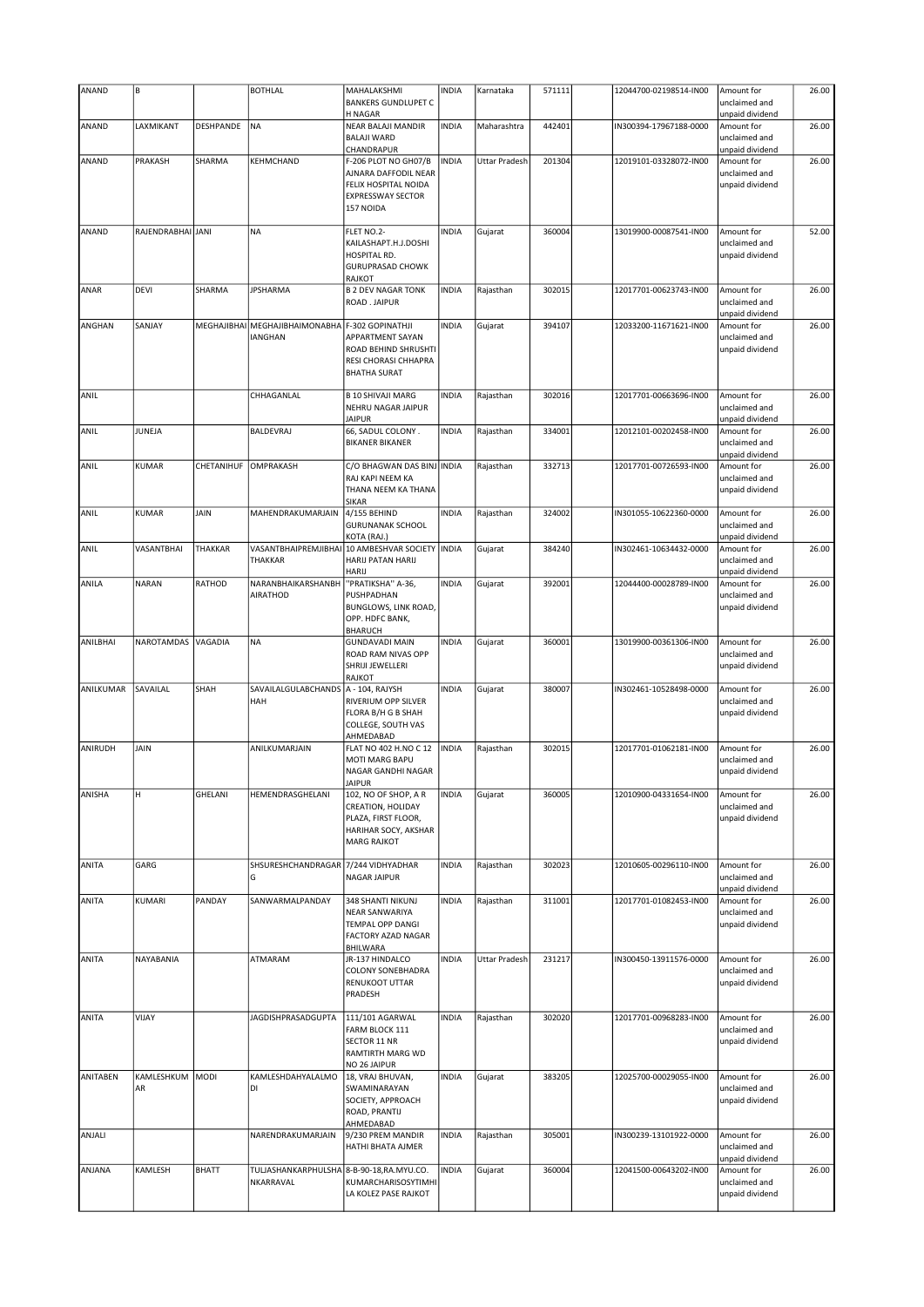| ANAND           | B                 |               | <b>BOTHLAL</b>                                                    | MAHALAKSHMI                                  | <b>INDIA</b> | Karnataka            | 571111 | 12044700-02198514-IN00 | Amount for                       | 26.00 |
|-----------------|-------------------|---------------|-------------------------------------------------------------------|----------------------------------------------|--------------|----------------------|--------|------------------------|----------------------------------|-------|
|                 |                   |               |                                                                   | <b>BANKERS GUNDLUPET C</b>                   |              |                      |        |                        | unclaimed and                    |       |
| ANAND           | LAXMIKANT         | DESHPANDE     | NA)                                                               | <b>H NAGAR</b><br>NEAR BALAJI MANDIR         | <b>INDIA</b> | Maharashtra          | 442401 | IN300394-17967188-0000 | unpaid dividend<br>Amount for    | 26.00 |
|                 |                   |               |                                                                   | <b>BALAJI WARD</b>                           |              |                      |        |                        | unclaimed and                    |       |
|                 |                   |               |                                                                   | CHANDRAPUR                                   |              |                      |        |                        | unpaid dividend                  |       |
| ANAND           | PRAKASH           | SHARMA        | KEHMCHAND                                                         | F-206 PLOT NO GH07/B<br>AJNARA DAFFODIL NEAR | <b>INDIA</b> | <b>Uttar Pradesh</b> | 201304 | 12019101-03328072-IN00 | Amount for<br>unclaimed and      | 26.00 |
|                 |                   |               |                                                                   | FELIX HOSPITAL NOIDA                         |              |                      |        |                        | unpaid dividend                  |       |
|                 |                   |               |                                                                   | <b>EXPRESSWAY SECTOR</b>                     |              |                      |        |                        |                                  |       |
|                 |                   |               |                                                                   | 157 NOIDA                                    |              |                      |        |                        |                                  |       |
| ANAND           | RAJENDRABHAI JANI |               | <b>NA</b>                                                         | FLET NO.2-                                   | <b>INDIA</b> | Gujarat              | 360004 | 13019900-00087541-IN00 | Amount for                       | 52.00 |
|                 |                   |               |                                                                   | KAILASHAPT.H.J.DOSHI                         |              |                      |        |                        | unclaimed and                    |       |
|                 |                   |               |                                                                   | HOSPITAL RD.                                 |              |                      |        |                        | unpaid dividend                  |       |
|                 |                   |               |                                                                   | <b>GURUPRASAD CHOWK</b><br>RAJKOT            |              |                      |        |                        |                                  |       |
| ANAR            | <b>DEVI</b>       | SHARMA        | <b>JPSHARMA</b>                                                   | <b>B 2 DEV NAGAR TONK</b>                    | <b>INDIA</b> | Rajasthan            | 302015 | 12017701-00623743-IN00 | Amount for                       | 26.00 |
|                 |                   |               |                                                                   | ROAD . JAIPUR                                |              |                      |        |                        | unclaimed and                    |       |
|                 |                   |               |                                                                   |                                              |              |                      |        |                        | unpaid dividend                  |       |
| ANGHAN          | SANJAY            |               | MEGHAJIBHAI MEGHAJIBHAIMONABHA F-302 GOPINATHJI<br><b>IANGHAN</b> | <b>APPARTMENT SAYAN</b>                      | <b>INDIA</b> | Gujarat              | 394107 | 12033200-11671621-IN00 | Amount for<br>unclaimed and      | 26.00 |
|                 |                   |               |                                                                   | ROAD BEHIND SHRUSHTI                         |              |                      |        |                        | unpaid dividend                  |       |
|                 |                   |               |                                                                   | RESI CHORASI CHHAPRA                         |              |                      |        |                        |                                  |       |
|                 |                   |               |                                                                   | <b>BHATHA SURAT</b>                          |              |                      |        |                        |                                  |       |
| ANIL            |                   |               | CHHAGANLAL                                                        | <b>B 10 SHIVAJI MARG</b>                     | <b>INDIA</b> | Rajasthan            | 302016 | 12017701-00663696-IN00 | Amount for                       | 26.00 |
|                 |                   |               |                                                                   | NEHRU NAGAR JAIPUR                           |              |                      |        |                        | unclaimed and                    |       |
| ANIL            | JUNEJA            |               | BALDEVRAJ                                                         | <b>JAIPUR</b><br>66, SADUL COLONY.           | <b>INDIA</b> | Rajasthan            | 334001 | 12012101-00202458-IN00 | unpaid dividend<br>Amount for    | 26.00 |
|                 |                   |               |                                                                   | <b>BIKANER BIKANER</b>                       |              |                      |        |                        | unclaimed and                    |       |
|                 |                   |               |                                                                   |                                              |              |                      |        |                        | unpaid dividend                  |       |
| ANIL            | <b>KUMAR</b>      | CHETANIHUF    | OMPRAKASH                                                         | C/O BHAGWAN DAS BINJ INDIA                   |              | Rajasthan            | 332713 | 12017701-00726593-IN00 | Amount for                       | 26.00 |
|                 |                   |               |                                                                   | RAJ KAPI NEEM KA<br>THANA NEEM KA THANA      |              |                      |        |                        | unclaimed and<br>unpaid dividend |       |
|                 |                   |               |                                                                   | <b>SIKAR</b>                                 |              |                      |        |                        |                                  |       |
| ANIL            | <b>KUMAR</b>      | JAIN          | MAHENDRAKUMARJAIN                                                 | 4/155 BEHIND                                 | <b>INDIA</b> | Rajasthan            | 324002 | IN301055-10622360-0000 | Amount for                       | 26.00 |
|                 |                   |               |                                                                   | <b>GURUNANAK SCHOOL</b><br>KOTA (RAJ.)       |              |                      |        |                        | unclaimed and<br>unpaid dividend |       |
| ANIL            | VASANTBHAI        | THAKKAR       | VASANTBHAIPREMJIBHAI                                              | 10 AMBESHVAR SOCIETY   INDIA                 |              | Gujarat              | 384240 | IN302461-10634432-0000 | Amount for                       | 26.00 |
|                 |                   |               | THAKKAR                                                           | <b>HARIJ PATAN HARIJ</b>                     |              |                      |        |                        | unclaimed and                    |       |
|                 |                   |               |                                                                   | HARIJ                                        |              |                      |        |                        | unpaid dividend                  |       |
| ANILA           | <b>NARAN</b>      | <b>RATHOD</b> | NARANBHAIKARSHANBH<br>AIRATHOD                                    | "PRATIKSHA" A-36,<br>PUSHPADHAN              | <b>INDIA</b> | Gujarat              | 392001 | 12044400-00028789-IN00 | Amount for<br>unclaimed and      | 26.00 |
|                 |                   |               |                                                                   | BUNGLOWS, LINK ROAD,                         |              |                      |        |                        | unpaid dividend                  |       |
|                 |                   |               |                                                                   | OPP. HDFC BANK,                              |              |                      |        |                        |                                  |       |
| ANILBHAI        | NAROTAMDAS        | VAGADIA       | <b>NA</b>                                                         | <b>BHARUCH</b><br><b>GUNDAVADI MAIN</b>      | <b>INDIA</b> |                      | 360001 | 13019900-00361306-IN00 | Amount for                       | 26.00 |
|                 |                   |               |                                                                   | ROAD RAM NIVAS OPP                           |              | Gujarat              |        |                        | unclaimed and                    |       |
|                 |                   |               |                                                                   | SHRIJI JEWELLERI                             |              |                      |        |                        | unpaid dividend                  |       |
|                 |                   |               |                                                                   | RAJKOT                                       |              |                      |        |                        |                                  |       |
| ANILKUMAR       | SAVAILAL          | SHAH          | SAVAILALGULABCHANDS   A - 104, RAJYSH<br>HAH                      | RIVERIUM OPP SILVER                          | <b>INDIA</b> | Gujarat              | 380007 | IN302461-10528498-0000 | Amount for<br>unclaimed and      | 26.00 |
|                 |                   |               |                                                                   | FLORA B/H G B SHAH                           |              |                      |        |                        | unpaid dividend                  |       |
|                 |                   |               |                                                                   | COLLEGE, SOUTH VAS                           |              |                      |        |                        |                                  |       |
| ANIRUDH         | JAIN              |               | ANILKUMARJAIN                                                     | AHMEDABAD<br>FLAT NO 402 H.NO C 12           | <b>INDIA</b> | Rajasthan            | 302015 | 12017701-01062181-IN00 | Amount for                       | 26.00 |
|                 |                   |               |                                                                   | MOTI MARG BAPU                               |              |                      |        |                        | unclaimed and                    |       |
|                 |                   |               |                                                                   | NAGAR GANDHI NAGAR                           |              |                      |        |                        | unpaid dividend                  |       |
| ANISHA          | H                 | GHELANI       | HEMENDRASGHELANI                                                  | <b>JAIPUR</b><br>102, NO OF SHOP, A R        | <b>INDIA</b> | Gujarat              | 360005 | 12010900-04331654-IN00 | Amount for                       | 26.00 |
|                 |                   |               |                                                                   | CREATION, HOLIDAY                            |              |                      |        |                        | unclaimed and                    |       |
|                 |                   |               |                                                                   | PLAZA, FIRST FLOOR,                          |              |                      |        |                        | unpaid dividend                  |       |
|                 |                   |               |                                                                   | HARIHAR SOCY, AKSHAR                         |              |                      |        |                        |                                  |       |
|                 |                   |               |                                                                   | <b>MARG RAJKOT</b>                           |              |                      |        |                        |                                  |       |
| ANITA           | GARG              |               | SHSURESHCHANDRAGAR 7/244 VIDHYADHAR                               |                                              | <b>INDIA</b> | Rajasthan            | 302023 | 12010605-00296110-IN00 | Amount for                       | 26.00 |
|                 |                   |               | G                                                                 | <b>NAGAR JAIPUR</b>                          |              |                      |        |                        | unclaimed and                    |       |
| ANITA           | KUMARI            | PANDAY        | SANWARMALPANDAY                                                   | 348 SHANTI NIKUNJ                            | <b>INDIA</b> | Rajasthan            | 311001 | 12017701-01082453-IN00 | unpaid dividend<br>Amount for    | 26.00 |
|                 |                   |               |                                                                   | NEAR SANWARIYA                               |              |                      |        |                        | unclaimed and                    |       |
|                 |                   |               |                                                                   | <b>TEMPAL OPP DANGI</b>                      |              |                      |        |                        | unpaid dividend                  |       |
|                 |                   |               |                                                                   | <b>FACTORY AZAD NAGAR</b><br>BHILWARA        |              |                      |        |                        |                                  |       |
| ANITA           | NAYABANIA         |               | <b>ATMARAM</b>                                                    | JR-137 HINDALCO                              | <b>INDIA</b> | <b>Uttar Pradesh</b> | 231217 | IN300450-13911576-0000 | Amount for                       | 26.00 |
|                 |                   |               |                                                                   | COLONY SONEBHADRA                            |              |                      |        |                        | unclaimed and                    |       |
|                 |                   |               |                                                                   | RENUKOOT UTTAR                               |              |                      |        |                        | unpaid dividend                  |       |
|                 |                   |               |                                                                   | PRADESH                                      |              |                      |        |                        |                                  |       |
| ANITA           | VIJAY             |               | JAGDISHPRASADGUPTA                                                | 111/101 AGARWAL                              | <b>INDIA</b> | Rajasthan            | 302020 | 12017701-00968283-IN00 | Amount for                       | 26.00 |
|                 |                   |               |                                                                   | FARM BLOCK 111                               |              |                      |        |                        | unclaimed and                    |       |
|                 |                   |               |                                                                   | SECTOR 11 NR<br>RAMTIRTH MARG WD             |              |                      |        |                        | unpaid dividend                  |       |
|                 |                   |               |                                                                   | NO 26 JAIPUR                                 |              |                      |        |                        |                                  |       |
| <b>ANITABEN</b> | KAMLESHKUM        | MODI          | KAMLESHDAHYALALMO                                                 | 18, VRAJ BHUVAN,                             | <b>INDIA</b> | Gujarat              | 383205 | 12025700-00029055-IN00 | Amount for                       | 26.00 |
|                 | AR                |               | DI                                                                | SWAMINARAYAN<br>SOCIETY, APPROACH            |              |                      |        |                        | unclaimed and<br>unpaid dividend |       |
|                 |                   |               |                                                                   | ROAD, PRANTIJ                                |              |                      |        |                        |                                  |       |
|                 |                   |               |                                                                   | AHMEDABAD                                    |              |                      |        |                        |                                  |       |
| ANJALI          |                   |               | NARENDRAKUMARJAIN                                                 | 9/230 PREM MANDIR                            | <b>INDIA</b> | Rajasthan            | 305001 | IN300239-13101922-0000 | Amount for                       | 26.00 |
|                 |                   |               |                                                                   | HATHI BHATA AJMER                            |              |                      |        |                        | unclaimed and<br>unpaid dividend |       |
| ANJANA          | KAMLESH           | <b>BHATT</b>  | TULJASHANKARPHULSHA 8-B-90-18, RA.MYU.CO.                         |                                              | <b>INDIA</b> | Gujarat              | 360004 | 12041500-00643202-IN00 | Amount for                       | 26.00 |
|                 |                   |               | NKARRAVAL                                                         | KUMARCHARISOSYTIMHI                          |              |                      |        |                        | unclaimed and                    |       |
|                 |                   |               |                                                                   | LA KOLEZ PASE RAJKOT                         |              |                      |        |                        | unpaid dividend                  |       |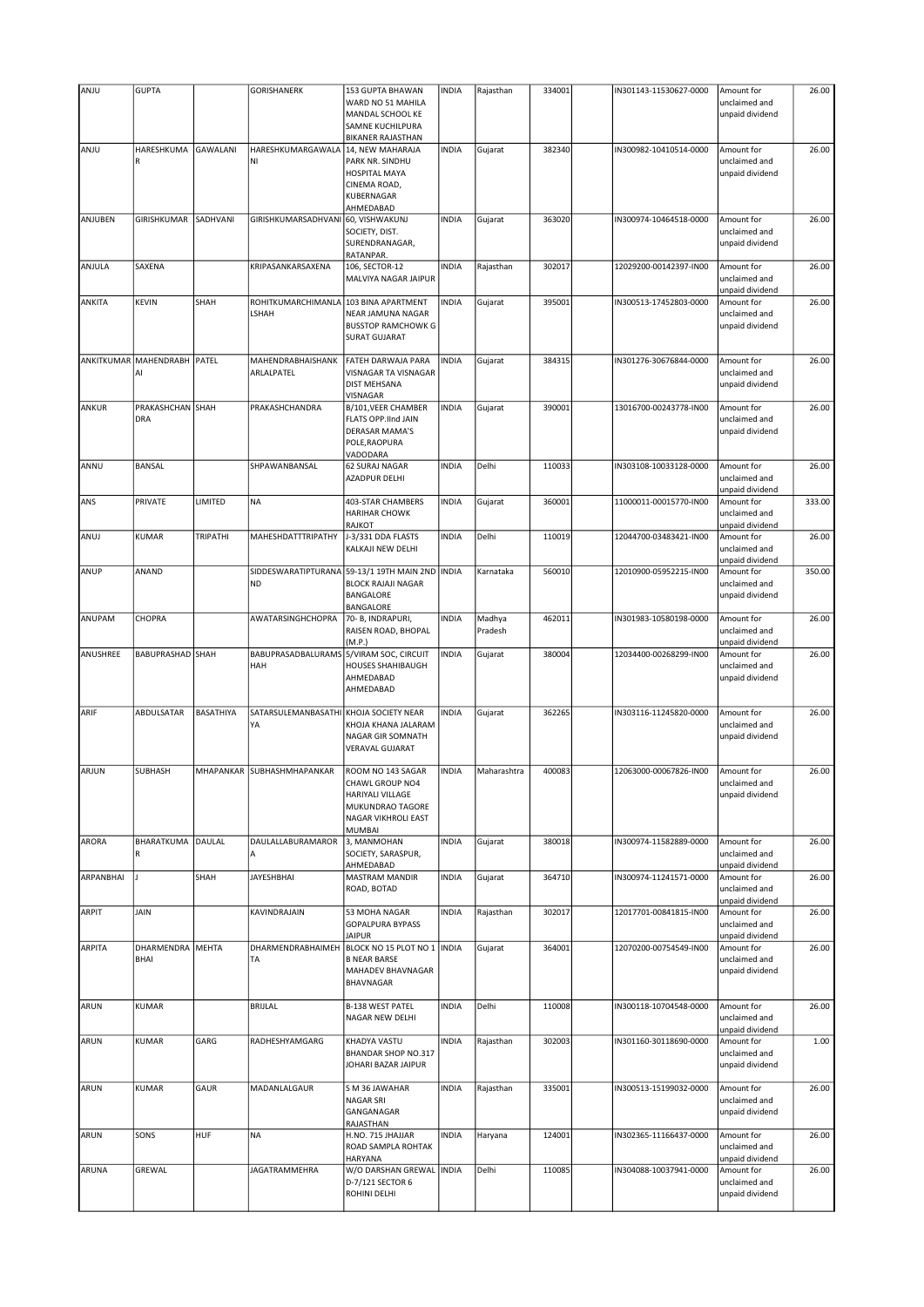| ANJU          | <b>GUPTA</b>                |                 | <b>GORISHANERK</b>         | 153 GUPTA BHAWAN              | <b>INDIA</b> | Rajasthan   | 334001 | IN301143-11530627-0000 | Amount for      | 26.00  |
|---------------|-----------------------------|-----------------|----------------------------|-------------------------------|--------------|-------------|--------|------------------------|-----------------|--------|
|               |                             |                 |                            | WARD NO 51 MAHILA             |              |             |        |                        | unclaimed and   |        |
|               |                             |                 |                            | MANDAL SCHOOL KE              |              |             |        |                        | unpaid dividend |        |
|               |                             |                 |                            | SAMNE KUCHILPURA              |              |             |        |                        |                 |        |
|               |                             |                 |                            | <b>BIKANER RAJASTHAN</b>      |              |             |        |                        |                 |        |
|               |                             |                 |                            |                               |              |             |        |                        |                 |        |
| ANJU          | HARESHKUMA                  | <b>GAWALANI</b> | HARESHKUMARGAWALA          | 14, NEW MAHARAJA              | <b>INDIA</b> | Gujarat     | 382340 | IN300982-10410514-0000 | Amount for      | 26.00  |
|               | R                           |                 | NI                         | PARK NR. SINDHU               |              |             |        |                        | unclaimed and   |        |
|               |                             |                 |                            | <b>HOSPITAL MAYA</b>          |              |             |        |                        | unpaid dividend |        |
|               |                             |                 |                            | CINEMA ROAD,                  |              |             |        |                        |                 |        |
|               |                             |                 |                            | KUBERNAGAR                    |              |             |        |                        |                 |        |
|               |                             |                 |                            | AHMEDABAD                     |              |             |        |                        |                 |        |
| ANJUBEN       | GIRISHKUMAR                 | SADHVANI        | GIRISHKUMARSADHVANI        | 60, VISHWAKUNJ                | <b>INDIA</b> | Gujarat     | 363020 | IN300974-10464518-0000 | Amount for      | 26.00  |
|               |                             |                 |                            | SOCIETY, DIST.                |              |             |        |                        | unclaimed and   |        |
|               |                             |                 |                            | SURENDRANAGAR,                |              |             |        |                        | unpaid dividend |        |
|               |                             |                 |                            | RATANPAR.                     |              |             |        |                        |                 |        |
| ANJULA        | SAXENA                      |                 | KRIPASANKARSAXENA          | 106, SECTOR-12                | <b>INDIA</b> | Rajasthan   | 302017 | 12029200-00142397-IN00 | Amount for      | 26.00  |
|               |                             |                 |                            | MALVIYA NAGAR JAIPUR          |              |             |        |                        | unclaimed and   |        |
|               |                             |                 |                            |                               |              |             |        |                        | unpaid dividend |        |
| ANKITA        | <b>KEVIN</b>                | SHAH            | ROHITKUMARCHIMANLA         | 103 BINA APARTMENT            | <b>INDIA</b> | Gujarat     | 395001 | IN300513-17452803-0000 | Amount for      | 26.00  |
|               |                             |                 | LSHAH                      | NEAR JAMUNA NAGAR             |              |             |        |                        | unclaimed and   |        |
|               |                             |                 |                            | <b>BUSSTOP RAMCHOWK G</b>     |              |             |        |                        | unpaid dividend |        |
|               |                             |                 |                            | <b>SURAT GUJARAT</b>          |              |             |        |                        |                 |        |
|               |                             |                 |                            |                               |              |             |        |                        |                 |        |
|               | ANKITKUMAR MAHENDRABH PATEL |                 | MAHENDRABHAISHANK          | FATEH DARWAJA PARA            | <b>INDIA</b> | Gujarat     | 384315 | IN301276-30676844-0000 | Amount for      | 26.00  |
|               | AI                          |                 | ARLALPATEL                 | VISNAGAR TA VISNAGAR          |              |             |        |                        | unclaimed and   |        |
|               |                             |                 |                            | <b>DIST MEHSANA</b>           |              |             |        |                        | unpaid dividend |        |
|               |                             |                 |                            | VISNAGAR                      |              |             |        |                        |                 |        |
| ANKUR         | PRAKASHCHAN SHAH            |                 | PRAKASHCHANDRA             | B/101, VEER CHAMBER           | <b>INDIA</b> | Gujarat     | 390001 | 13016700-00243778-IN00 | Amount for      | 26.00  |
|               | DRA                         |                 |                            | FLATS OPP.IInd JAIN           |              |             |        |                        | unclaimed and   |        |
|               |                             |                 |                            | <b>DERASAR MAMA'S</b>         |              |             |        |                        |                 |        |
|               |                             |                 |                            |                               |              |             |        |                        | unpaid dividend |        |
|               |                             |                 |                            | POLE, RAOPURA                 |              |             |        |                        |                 |        |
|               |                             |                 |                            | VADODARA                      |              |             |        |                        |                 |        |
| ANNU          | <b>BANSAL</b>               |                 | SHPAWANBANSAL              | <b>62 SURAJ NAGAR</b>         | <b>INDIA</b> | Delhi       | 110033 | IN303108-10033128-0000 | Amount for      | 26.00  |
|               |                             |                 |                            | AZADPUR DELHI                 |              |             |        |                        | unclaimed and   |        |
|               |                             |                 |                            |                               |              |             |        |                        | unpaid dividend |        |
| ANS           | PRIVATE                     | LIMITED         | <b>NA</b>                  | 403-STAR CHAMBERS             | <b>INDIA</b> | Gujarat     | 360001 | 11000011-00015770-IN00 | Amount for      | 333.00 |
|               |                             |                 |                            | <b>HARIHAR CHOWK</b>          |              |             |        |                        | unclaimed and   |        |
|               |                             |                 |                            | RAJKOT                        |              |             |        |                        | unpaid dividend |        |
| ANUJ          | <b>KUMAR</b>                | TRIPATHI        | MAHESHDATTTRIPATHY         | J-3/331 DDA FLASTS            | <b>INDIA</b> | Delhi       | 110019 | 12044700-03483421-IN00 | Amount for      | 26.00  |
|               |                             |                 |                            | KALKAJI NEW DELHI             |              |             |        |                        | unclaimed and   |        |
|               |                             |                 |                            |                               |              |             |        |                        | unpaid dividend |        |
| ANUP          | ANAND                       |                 | SIDDESWARATIPTURANA        | 59-13/1 19TH MAIN 2ND   INDIA |              | Karnataka   | 560010 | 12010900-05952215-IN00 | Amount for      | 350.00 |
|               |                             |                 | N <sub>D</sub>             | <b>BLOCK RAJAJI NAGAR</b>     |              |             |        |                        | unclaimed and   |        |
|               |                             |                 |                            | BANGALORE                     |              |             |        |                        | unpaid dividend |        |
|               |                             |                 |                            |                               |              |             |        |                        |                 |        |
| ANUPAM        |                             |                 |                            | BANGALORE                     |              |             |        |                        |                 |        |
|               | <b>CHOPRA</b>               |                 | AWATARSINGHCHOPRA          | 70- B, INDRAPURI,             | <b>INDIA</b> | Madhya      | 462011 | IN301983-10580198-0000 | Amount for      | 26.00  |
|               |                             |                 |                            | RAISEN ROAD, BHOPAL           |              | Pradesh     |        |                        | unclaimed and   |        |
|               |                             |                 |                            | (M.P.)                        |              |             |        |                        | unpaid dividend |        |
| ANUSHREE      | <b>BABUPRASHAD SHAH</b>     |                 | BABUPRASADBALURAMS         | 5/VIRAM SOC, CIRCUIT          | <b>INDIA</b> | Gujarat     | 380004 | 12034400-00268299-IN00 | Amount for      | 26.00  |
|               |                             |                 | HAH                        | HOUSES SHAHIBAUGH             |              |             |        |                        | unclaimed and   |        |
|               |                             |                 |                            | AHMEDABAD                     |              |             |        |                        | unpaid dividend |        |
|               |                             |                 |                            | AHMEDABAD                     |              |             |        |                        |                 |        |
|               |                             |                 |                            |                               |              |             |        |                        |                 |        |
| ARIF          | ABDULSATAR                  | BASATHIYA       | SATARSULEMANBASATHI        | KHOJA SOCIETY NEAR            | <b>INDIA</b> | Gujarat     | 362265 | IN303116-11245820-0000 | Amount for      | 26.00  |
|               |                             |                 | YA                         | KHOJA KHANA JALARAM           |              |             |        |                        | unclaimed and   |        |
|               |                             |                 |                            | NAGAR GIR SOMNATH             |              |             |        |                        | unpaid dividend |        |
|               |                             |                 |                            | VERAVAL GUJARAT               |              |             |        |                        |                 |        |
|               |                             |                 |                            |                               |              |             |        |                        |                 |        |
| ARJUN         | <b>SUBHASH</b>              |                 | MHAPANKAR SUBHASHMHAPANKAR | ROOM NO 143 SAGAR             | <b>INDIA</b> | Maharashtra | 400083 | 12063000-00067826-IN00 | Amount for      | 26.00  |
|               |                             |                 |                            | CHAWL GROUP NO4               |              |             |        |                        | unclaimed and   |        |
|               |                             |                 |                            | HARIYALI VILLAGE              |              |             |        |                        | unpaid dividend |        |
|               |                             |                 |                            | MUKUNDRAO TAGORE              |              |             |        |                        |                 |        |
|               |                             |                 |                            |                               |              |             |        |                        |                 |        |
|               |                             |                 |                            | NAGAR VIKHROLI EAST           |              |             |        |                        |                 |        |
|               |                             |                 |                            | <b>MUMBAI</b>                 |              |             |        |                        |                 |        |
| <b>ARORA</b>  | <b>BHARATKUMA</b>           | DAULAL          | DAULALLABURAMAROR          | 3, MANMOHAN                   | <b>INDIA</b> | Gujarat     | 380018 | IN300974-11582889-0000 | Amount for      | 26.00  |
|               | R                           |                 | A                          | SOCIETY, SARASPUR,            |              |             |        |                        | unclaimed and   |        |
|               |                             |                 |                            | AHMEDABAD                     |              |             |        |                        | unpaid dividend |        |
| ARPANBHAI     |                             | SHAH            | <b>JAYESHBHAI</b>          | MASTRAM MANDIR                | <b>INDIA</b> | Gujarat     | 364710 | IN300974-11241571-0000 | Amount for      | 26.00  |
|               |                             |                 |                            | ROAD, BOTAD                   |              |             |        |                        | unclaimed and   |        |
|               |                             |                 |                            |                               |              |             |        |                        | unpaid dividend |        |
| ARPIT         | JAIN                        |                 | KAVINDRAJAIN               | 53 MOHA NAGAR                 | <b>INDIA</b> | Rajasthan   | 302017 | 12017701-00841815-IN00 | Amount for      | 26.00  |
|               |                             |                 |                            | <b>GOPALPURA BYPASS</b>       |              |             |        |                        | unclaimed and   |        |
|               |                             |                 |                            | <b>JAIPUR</b>                 |              |             |        |                        | unpaid dividend |        |
| <b>ARPITA</b> | DHARMENDRA MEHTA            |                 | DHARMENDRABHAIMEH          | BLOCK NO 15 PLOT NO 1 INDIA   |              | Gujarat     | 364001 | 12070200-00754549-IN00 | Amount for      | 26.00  |
|               | BHAI                        |                 | TA                         | <b>B NEAR BARSE</b>           |              |             |        |                        | unclaimed and   |        |
|               |                             |                 |                            | MAHADEV BHAVNAGAR             |              |             |        |                        | unpaid dividend |        |
|               |                             |                 |                            | BHAVNAGAR                     |              |             |        |                        |                 |        |
|               |                             |                 |                            |                               |              |             |        |                        |                 |        |
| ARUN          | <b>KUMAR</b>                |                 | BRIJLAL                    | B-138 WEST PATEL              | <b>INDIA</b> | Delhi       | 110008 | IN300118-10704548-0000 | Amount for      | 26.00  |
|               |                             |                 |                            | NAGAR NEW DELHI               |              |             |        |                        | unclaimed and   |        |
|               |                             |                 |                            |                               |              |             |        |                        |                 |        |
|               |                             |                 |                            |                               |              |             |        |                        | unpaid dividend |        |
| ARUN          | <b>KUMAR</b>                | GARG            | RADHESHYAMGARG             | KHADYA VASTU                  | <b>INDIA</b> | Rajasthan   | 302003 | IN301160-30118690-0000 | Amount for      | 1.00   |
|               |                             |                 |                            | BHANDAR SHOP NO.317           |              |             |        |                        | unclaimed and   |        |
|               |                             |                 |                            | JOHARI BAZAR JAIPUR           |              |             |        |                        | unpaid dividend |        |
|               |                             |                 |                            |                               |              |             |        |                        |                 |        |
| ARUN          | <b>KUMAR</b>                | GAUR            | MADANLALGAUR               | S M 36 JAWAHAR                | <b>INDIA</b> | Rajasthan   | 335001 | IN300513-15199032-0000 | Amount for      | 26.00  |
|               |                             |                 |                            | NAGAR SRI                     |              |             |        |                        | unclaimed and   |        |
|               |                             |                 |                            | GANGANAGAR                    |              |             |        |                        | unpaid dividend |        |
|               |                             |                 |                            | RAJASTHAN                     |              |             |        |                        |                 |        |
| ARUN          | SONS                        | HUF             | <b>NA</b>                  | H.NO. 715 JHAJJAR             | <b>INDIA</b> | Haryana     | 124001 | IN302365-11166437-0000 | Amount for      | 26.00  |
|               |                             |                 |                            | ROAD SAMPLA ROHTAK            |              |             |        |                        | unclaimed and   |        |
|               |                             |                 |                            | HARYANA                       |              |             |        |                        | unpaid dividend |        |
| ARUNA         | GREWAL                      |                 | JAGATRAMMEHRA              | W/O DARSHAN GREWAL INDIA      |              | Delhi       | 110085 | IN304088-10037941-0000 | Amount for      | 26.00  |
|               |                             |                 |                            | D-7/121 SECTOR 6              |              |             |        |                        | unclaimed and   |        |
|               |                             |                 |                            | ROHINI DELHI                  |              |             |        |                        | unpaid dividend |        |
|               |                             |                 |                            |                               |              |             |        |                        |                 |        |
|               |                             |                 |                            |                               |              |             |        |                        |                 |        |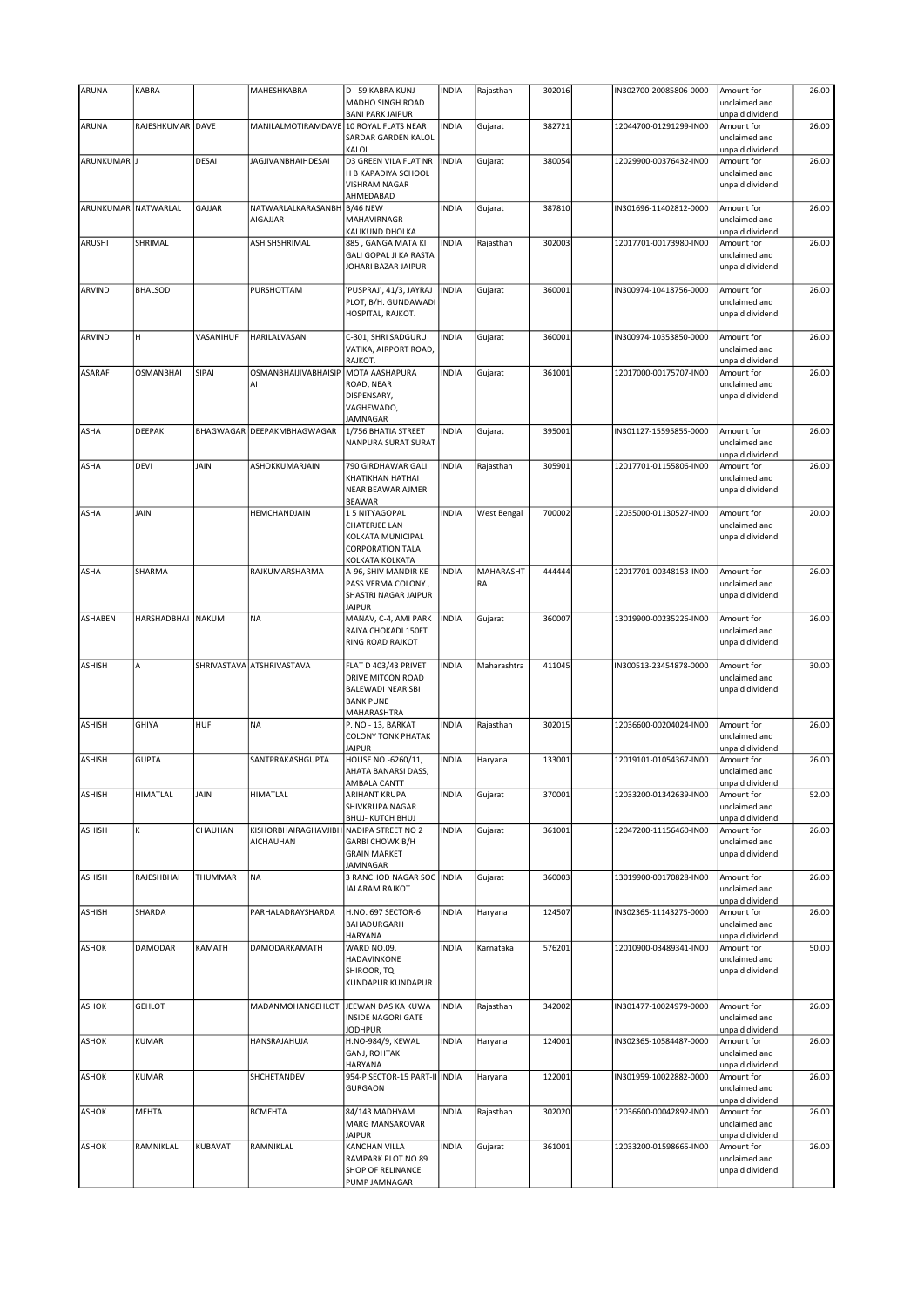| ARUNA               | <b>KABRA</b>      |           | MAHESHKABRA                            | D - 59 KABRA KUNJ                                                                                        | <b>INDIA</b> | Rajasthan       | 302016 | IN302700-20085806-0000 | Amount for                                                        | 26.00 |
|---------------------|-------------------|-----------|----------------------------------------|----------------------------------------------------------------------------------------------------------|--------------|-----------------|--------|------------------------|-------------------------------------------------------------------|-------|
|                     |                   |           |                                        | MADHO SINGH ROAD                                                                                         |              |                 |        |                        | unclaimed and                                                     |       |
|                     |                   |           |                                        | <b>BANI PARK JAIPUR</b>                                                                                  |              |                 |        |                        | unpaid dividend                                                   |       |
| ARUNA               | RAJESHKUMAR DAVE  |           | MANILALMOTIRAMDAVE 10 ROYAL FLATS NEAR | SARDAR GARDEN KALOL<br>KALOL                                                                             | <b>INDIA</b> | Gujarat         | 382721 | 12044700-01291299-IN00 | Amount for<br>unclaimed and<br>unpaid dividend                    | 26.00 |
| ARUNKUMAR J         |                   | DESAI     | <b>JAGJIVANBHAIHDESAI</b>              | D3 GREEN VILA FLAT NR                                                                                    | <b>INDIA</b> | Gujarat         | 380054 | 12029900-00376432-IN00 | Amount for                                                        | 26.00 |
|                     |                   |           |                                        | H B KAPADIYA SCHOOL<br><b>VISHRAM NAGAR</b><br>AHMEDABAD                                                 |              |                 |        |                        | unclaimed and<br>unpaid dividend                                  |       |
| ARUNKUMAR NATWARLAL |                   | GAJJAR    | NATWARLALKARASANBH                     | <b>B/46 NEW</b>                                                                                          | <b>INDIA</b> | Gujarat         | 387810 | IN301696-11402812-0000 | Amount for                                                        | 26.00 |
|                     |                   |           | <b>AIGAJJAR</b>                        | MAHAVIRNAGR<br>KALIKUND DHOLKA                                                                           |              |                 |        |                        | unclaimed and<br>unpaid dividend                                  |       |
| ARUSHI              | SHRIMAL           |           | ASHISHSHRIMAL                          | 885, GANGA MATA KI<br><b>GALI GOPAL JI KA RASTA</b><br>JOHARI BAZAR JAIPUR                               | <b>INDIA</b> | Rajasthan       | 302003 | 12017701-00173980-IN00 | Amount for<br>unclaimed and<br>unpaid dividend                    | 26.00 |
| ARVIND              | <b>BHALSOD</b>    |           | PURSHOTTAM                             | 'PUSPRAJ', 41/3, JAYRAJ<br>PLOT, B/H. GUNDAWADI<br>HOSPITAL, RAJKOT.                                     | <b>INDIA</b> | Gujarat         | 360001 | IN300974-10418756-0000 | Amount for<br>unclaimed and<br>unpaid dividend                    | 26.00 |
| ARVIND              | н                 | VASANIHUF | HARILALVASANI                          | C-301, SHRI SADGURU<br>VATIKA, AIRPORT ROAD,<br>RAJKOT.                                                  | <b>INDIA</b> | Gujarat         | 360001 | IN300974-10353850-0000 | Amount for<br>unclaimed and<br>unpaid dividend                    | 26.00 |
| <b>ASARAF</b>       | <b>OSMANBHAI</b>  | SIPAI     | OSMANBHAIJIVABHAISIP                   | MOTA AASHAPURA                                                                                           | <b>INDIA</b> | Gujarat         | 361001 | 12017000-00175707-IN00 | Amount for                                                        | 26.00 |
|                     |                   |           | AI                                     | ROAD, NEAR<br>DISPENSARY,<br>VAGHEWADO,<br>JAMNAGAR                                                      |              |                 |        |                        | unclaimed and<br>unpaid dividend                                  |       |
| <b>ASHA</b>         | <b>DEEPAK</b>     |           | BHAGWAGAR DEEPAKMBHAGWAGAR             | 1/756 BHATIA STREET<br>NANPURA SURAT SURAT                                                               | <b>INDIA</b> | Gujarat         | 395001 | IN301127-15595855-0000 | Amount for<br>unclaimed and<br>unpaid dividend                    | 26.00 |
| <b>ASHA</b>         | <b>DEVI</b>       | JAIN      | ASHOKKUMARJAIN                         | 790 GIRDHAWAR GALI                                                                                       | <b>INDIA</b> | Rajasthan       | 305901 | 12017701-01155806-IN00 | Amount for                                                        | 26.00 |
|                     |                   |           |                                        | KHATIKHAN HATHAI<br>NEAR BEAWAR AJMER<br><b>BEAWAR</b>                                                   |              |                 |        |                        | unclaimed and<br>unpaid dividend                                  |       |
| <b>ASHA</b>         | JAIN              |           | HEMCHANDJAIN                           | 15 NITYAGOPAL                                                                                            | <b>INDIA</b> | West Bengal     | 700002 | 12035000-01130527-IN00 | Amount for                                                        | 20.00 |
|                     |                   |           |                                        | CHATERJEE LAN<br>KOLKATA MUNICIPAL<br>CORPORATION TALA<br>KOLKATA KOLKATA                                |              |                 |        |                        | unclaimed and<br>unpaid dividend                                  |       |
| ASHA                | SHARMA            |           | RAJKUMARSHARMA                         | A-96, SHIV MANDIR KE<br>PASS VERMA COLONY,<br>SHASTRI NAGAR JAIPUR<br><b>JAIPUR</b>                      | <b>INDIA</b> | MAHARASHT<br>RA | 444444 | 12017701-00348153-IN00 | Amount for<br>unclaimed and<br>unpaid dividend                    | 26.00 |
| <b>ASHABEN</b>      | HARSHADBHAI NAKUM |           | <b>NA</b>                              | MANAV, C-4, AMI PARK<br>RAIYA CHOKADI 150FT<br>RING ROAD RAJKOT                                          | <b>INDIA</b> | Gujarat         | 360007 | 13019900-00235226-IN00 | Amount for<br>unclaimed and<br>unpaid dividend                    | 26.00 |
| ASHISH              | A                 |           | SHRIVASTAVA ATSHRIVASTAVA              | FLAT D 403/43 PRIVET<br>DRIVE MITCON ROAD<br><b>BALEWADI NEAR SBI</b><br><b>BANK PUNE</b><br>MAHARASHTRA | <b>INDIA</b> | Maharashtra     | 411045 | IN300513-23454878-0000 | Amount for<br>unclaimed and<br>unpaid dividend                    | 30.00 |
| <b>ASHISH</b>       | <b>GHIYA</b>      | HUF       | NA                                     | P. NO - 13, BARKAT<br><b>COLONY TONK PHATAK</b><br><b>JAIPUR</b>                                         | <b>INDIA</b> | Rajasthan       | 302015 | 12036600-00204024-IN00 | Amount for<br>unclaimed and<br>unpaid dividend                    | 26.00 |
| <b>ASHISH</b>       | <b>GUPTA</b>      |           | SANTPRAKASHGUPTA                       | HOUSE NO.-6260/11,<br>AHATA BANARSI DASS,                                                                | <b>INDIA</b> | Haryana         | 133001 | 12019101-01054367-IN00 | Amount for<br>unclaimed and                                       | 26.00 |
| <b>ASHISH</b>       | HIMATLAL          | JAIN      | HIMATLAL                               | AMBALA CANTT<br>ARIHANT KRUPA                                                                            | <b>INDIA</b> | Gujarat         | 370001 | 12033200-01342639-IN00 | unpaid dividend<br>Amount for                                     | 52.00 |
|                     |                   |           |                                        | SHIVKRUPA NAGAR<br><b>BHUJ-KUTCH BHUJ</b>                                                                |              |                 |        |                        | unclaimed and<br>unpaid dividend                                  |       |
| <b>ASHISH</b>       | K                 | CHAUHAN   | KISHORBHAIRAGHAVJIBH<br>AICHAUHAN      | NADIPA STREET NO 2<br><b>GARBI CHOWK B/H</b><br><b>GRAIN MARKET</b><br>JAMNAGAR                          | <b>INDIA</b> | Gujarat         | 361001 | 12047200-11156460-IN00 | Amount for<br>unclaimed and<br>unpaid dividend                    | 26.00 |
| <b>ASHISH</b>       | RAJESHBHAI        | THUMMAR   | <b>NA</b>                              | 3 RANCHOD NAGAR SOC   INDIA<br><b>JALARAM RAJKOT</b>                                                     |              | Gujarat         | 360003 | 13019900-00170828-IN00 | Amount for<br>unclaimed and<br>unpaid dividend                    | 26.00 |
| <b>ASHISH</b>       | SHARDA            |           | PARHALADRAYSHARDA                      | H.NO. 697 SECTOR-6<br>BAHADURGARH<br>HARYANA                                                             | <b>INDIA</b> | Haryana         | 124507 | IN302365-11143275-0000 | Amount for<br>unclaimed and<br>unpaid dividend                    | 26.00 |
| ASHOK               | DAMODAR           | KAMATH    | DAMODARKAMATH                          | WARD NO.09,<br>HADAVINKONE<br>SHIROOR, TQ<br>KUNDAPUR KUNDAPUR                                           | <b>INDIA</b> | Karnataka       | 576201 | 12010900-03489341-IN00 | Amount for<br>unclaimed and<br>unpaid dividend                    | 50.00 |
| <b>ASHOK</b>        | <b>GEHLOT</b>     |           | MADANMOHANGEHLOT                       | JEEWAN DAS KA KUWA<br>INSIDE NAGORI GATE                                                                 | <b>INDIA</b> | Rajasthan       | 342002 | IN301477-10024979-0000 | Amount for<br>unclaimed and                                       | 26.00 |
| ASHOK               | KUMAR             |           | HANSRAJAHUJA                           | <b>JODHPUR</b><br>H.NO-984/9, KEWAL<br>GANJ, ROHTAK<br>HARYANA                                           | <b>INDIA</b> | Haryana         | 124001 | IN302365-10584487-0000 | unpaid dividend<br>Amount for<br>unclaimed and<br>unpaid dividend | 26.00 |
| <b>ASHOK</b>        | KUMAR             |           | SHCHETANDEV                            | 954-P SECTOR-15 PART-II INDIA<br><b>GURGAON</b>                                                          |              | Haryana         | 122001 | IN301959-10022882-0000 | Amount for<br>unclaimed and<br>unpaid dividend                    | 26.00 |
| <b>ASHOK</b>        | MEHTA             |           | <b>BCMEHTA</b>                         | 84/143 MADHYAM<br>MARG MANSAROVAR<br><b>JAIPUR</b>                                                       | <b>INDIA</b> | Rajasthan       | 302020 | 12036600-00042892-IN00 | Amount for<br>unclaimed and<br>unpaid dividend                    | 26.00 |
| <b>ASHOK</b>        | RAMNIKLAL         | KUBAVAT   | RAMNIKLAL                              | KANCHAN VILLA<br>RAVIPARK PLOT NO 89<br>SHOP OF RELINANCE<br>PUMP JAMNAGAR                               | <b>INDIA</b> | Gujarat         | 361001 | 12033200-01598665-IN00 | Amount for<br>unclaimed and<br>unpaid dividend                    | 26.00 |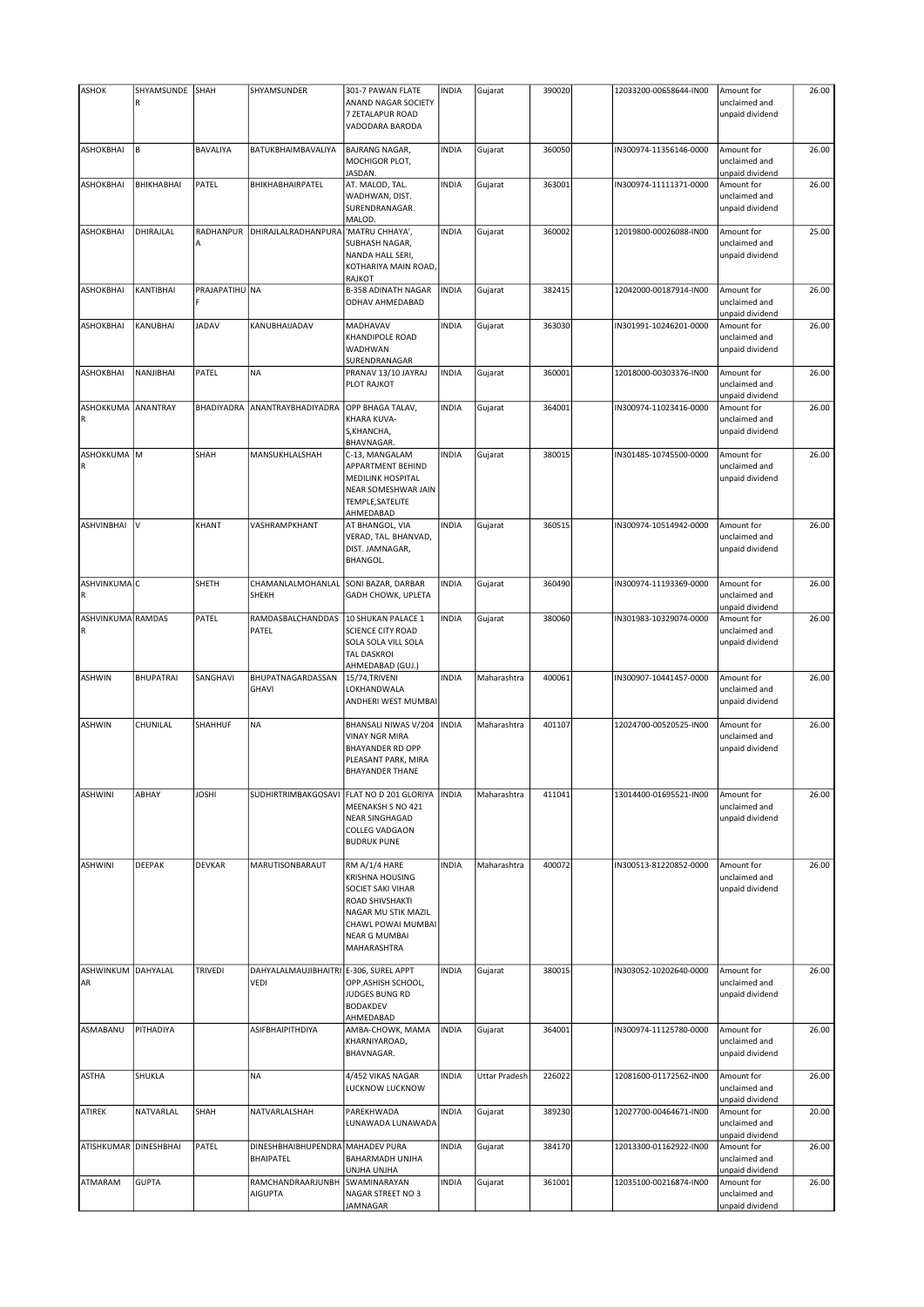| <b>ASHOK</b>             | SHYAMSUNDE<br>R  | SHAH              | SHYAMSUNDER                                           | 301-7 PAWAN FLATE<br>ANAND NAGAR SOCIETY<br>7 ZETALAPUR ROAD<br>VADODARA BARODA                                                                                            | <b>INDIA</b> | Gujarat       | 390020 | 12033200-00658644-IN00 | Amount for<br>unclaimed and<br>unpaid dividend | 26.00 |
|--------------------------|------------------|-------------------|-------------------------------------------------------|----------------------------------------------------------------------------------------------------------------------------------------------------------------------------|--------------|---------------|--------|------------------------|------------------------------------------------|-------|
| ASHOKBHAI                | B                | BAVALIYA          | BATUKBHAIMBAVALIYA                                    | <b>BAJRANG NAGAR,</b><br>MOCHIGOR PLOT,<br>JASDAN.                                                                                                                         | <b>INDIA</b> | Gujarat       | 360050 | IN300974-11356146-0000 | Amount for<br>unclaimed and<br>unpaid dividend | 26.00 |
| ASHOKBHAI                | BHIKHABHAI       | PATEL             | BHIKHABHAIRPATEL                                      | AT. MALOD, TAL.<br>WADHWAN, DIST.<br>SURENDRANAGAR.<br>MALOD.                                                                                                              | <b>INDIA</b> | Gujarat       | 363001 | IN300974-11111371-0000 | Amount for<br>unclaimed and<br>unpaid dividend | 26.00 |
| ASHOKBHAI                | DHIRAJLAL        | RADHANPUR<br>A    | DHIRAJLALRADHANPURA                                   | 'MATRU CHHAYA',<br>SUBHASH NAGAR,<br>NANDA HALL SERI,<br>KOTHARIYA MAIN ROAD,<br><b>RAJKOT</b>                                                                             | <b>INDIA</b> | Gujarat       | 360002 | 12019800-00026088-IN00 | Amount for<br>unclaimed and<br>unpaid dividend | 25.00 |
| <b>ASHOKBHAI</b>         | KANTIBHAI        | PRAJAPATIHU NA    |                                                       | <b>B-358 ADINATH NAGAR</b><br>ODHAV AHMEDABAD                                                                                                                              | <b>INDIA</b> | Gujarat       | 382415 | 12042000-00187914-IN00 | Amount for<br>unclaimed and<br>unpaid dividend | 26.00 |
| ASHOKBHAI                | KANUBHAI         | <b>JADAV</b>      | KANUBHAIJADAV                                         | MADHAVAV<br><b>KHANDIPOLE ROAD</b><br>WADHWAN<br>SURENDRANAGAR                                                                                                             | <b>INDIA</b> | Gujarat       | 363030 | IN301991-10246201-0000 | Amount for<br>unclaimed and<br>unpaid dividend | 26.00 |
| ASHOKBHAI                | NANJIBHAI        | PATEL             | <b>NA</b>                                             | PRANAV 13/10 JAYRAJ<br>PLOT RAJKOT                                                                                                                                         | <b>INDIA</b> | Gujarat       | 360001 | 12018000-00303376-IN00 | Amount for<br>unclaimed and<br>unpaid dividend | 26.00 |
| ASHOKKUMA ANANTRAY<br>R  |                  | <b>BHADIYADRA</b> | ANANTRAYBHADIYADRA                                    | OPP BHAGA TALAV,<br><b>KHARA KUVA-</b><br>S, KHANCHA,<br>BHAVNAGAR.                                                                                                        | <b>INDIA</b> | Gujarat       | 364001 | IN300974-11023416-0000 | Amount for<br>unclaimed and<br>unpaid dividend | 26.00 |
| ASHOKKUMA M<br>R         |                  | SHAH              | MANSUKHLALSHAH                                        | C-13, MANGALAM<br><b>APPARTMENT BEHIND</b><br><b>MEDILINK HOSPITAL</b><br>NEAR SOMESHWAR JAIN<br>TEMPLE, SATELITE<br>AHMEDABAD                                             | <b>INDIA</b> | Gujarat       | 380015 | IN301485-10745500-0000 | Amount for<br>unclaimed and<br>unpaid dividend | 26.00 |
| ASHVINBHAI               | I٧               | KHANT             | VASHRAMPKHANT                                         | AT BHANGOL, VIA<br>VERAD, TAL. BHANVAD,<br>DIST. JAMNAGAR,<br><b>BHANGOL.</b>                                                                                              | <b>INDIA</b> | Gujarat       | 360515 | IN300974-10514942-0000 | Amount for<br>unclaimed and<br>unpaid dividend | 26.00 |
| ASHVINKUMAC<br>R         |                  | SHETH             | CHAMANLALMOHANLAL<br>SHEKH                            | SONI BAZAR, DARBAR<br>GADH CHOWK, UPLETA                                                                                                                                   | <b>INDIA</b> | Gujarat       | 360490 | IN300974-11193369-0000 | Amount for<br>unclaimed and<br>unpaid dividend | 26.00 |
| ASHVINKUMA RAMDAS<br>R   |                  | PATEL             | RAMDASBALCHANDDAS<br>PATEL                            | 10 SHUKAN PALACE 1<br><b>SCIENCE CITY ROAD</b><br>SOLA SOLA VILL SOLA<br><b>TAL DASKROI</b><br>AHMEDABAD (GUJ.)                                                            | <b>INDIA</b> | Gujarat       | 380060 | IN301983-10329074-0000 | Amount for<br>unclaimed and<br>unpaid dividend | 26.00 |
| <b>ASHWIN</b>            | <b>BHUPATRAI</b> | SANGHAVI          | BHUPATNAGARDASSAN<br>GHAVI                            | 15/74, TRIVENI<br>LOKHANDWALA<br>ANDHERI WEST MUMBAI                                                                                                                       | <b>INDIA</b> | Maharashtra   | 400061 | IN300907-10441457-0000 | Amount for<br>unclaimed and<br>unpaid dividend | 26.00 |
| <b>ASHWIN</b>            | CHUNILAL         | SHAHHUF           | <b>NA</b>                                             | BHANSALI NIWAS V/204<br><b>VINAY NGR MIRA</b><br><b>BHAYANDER RD OPP</b><br>PLEASANT PARK, MIRA<br><b>BHAYANDER THANE</b>                                                  | <b>INDIA</b> | Maharashtra   | 401107 | 12024700-00520525-IN00 | Amount for<br>unclaimed and<br>unpaid dividend | 26.00 |
| <b>ASHWINI</b>           | ABHAY            | <b>JOSHI</b>      | SUDHIRTRIMBAKGOSAVI                                   | FLAT NO D 201 GLORIYA<br>MEENAKSH S NO 421<br><b>NEAR SINGHAGAD</b><br><b>COLLEG VADGAON</b><br><b>BUDRUK PUNE</b>                                                         | <b>INDIA</b> | Maharashtra   | 411041 | 13014400-01695521-IN00 | Amount for<br>unclaimed and<br>unpaid dividend | 26.00 |
| <b>ASHWINI</b>           | DEEPAK           | DEVKAR            | MARUTISONBARAUT                                       | RM A/1/4 HARE<br><b>KRISHNA HOUSING</b><br><b>SOCIET SAKI VIHAR</b><br>ROAD SHIVSHAKTI<br>NAGAR MU STIK MAZIL<br>CHAWL POWAI MUMBAI<br><b>NEAR G MUMBAI</b><br>MAHARASHTRA | <b>INDIA</b> | Maharashtra   | 400072 | IN300513-81220852-0000 | Amount for<br>unclaimed and<br>unpaid dividend | 26.00 |
| ASHWINKUM DAHYALAL<br>AR |                  | TRIVEDI           | DAHYALALMAUJIBHAITRI E-306, SUREL APPT<br><b>VEDI</b> | OPP.ASHISH SCHOOL,<br>JUDGES BUNG RD<br><b>BODAKDEV</b><br>AHMEDABAD                                                                                                       | <b>INDIA</b> | Gujarat       | 380015 | IN303052-10202640-0000 | Amount for<br>unclaimed and<br>unpaid dividend | 26.00 |
| ASMABANU                 | PITHADIYA        |                   | ASIFBHAIPITHDIYA                                      | AMBA-CHOWK, MAMA<br>KHARNIYAROAD,<br>BHAVNAGAR.                                                                                                                            | <b>INDIA</b> | Gujarat       | 364001 | IN300974-11125780-0000 | Amount for<br>unclaimed and<br>unpaid dividend | 26.00 |
| <b>ASTHA</b>             | SHUKLA           |                   | <b>NA</b>                                             | 4/452 VIKAS NAGAR<br>LUCKNOW LUCKNOW                                                                                                                                       | <b>INDIA</b> | Uttar Pradesh | 226022 | 12081600-01172562-IN00 | Amount for<br>unclaimed and<br>unpaid dividend | 26.00 |
| <b>ATIREK</b>            | NATVARLAL        | SHAH              | NATVARLALSHAH                                         | PAREKHWADA<br>LUNAWADA LUNAWADA                                                                                                                                            | <b>INDIA</b> | Gujarat       | 389230 | 12027700-00464671-IN00 | Amount for<br>unclaimed and<br>unpaid dividend | 20.00 |
| ATISHKUMAR DINESHBHAI    |                  | PATEL             | DINESHBHAIBHUPENDRA MAHADEV PURA<br>BHAIPATEL         | BAHARMADH UNJHA<br>UNJHA UNJHA                                                                                                                                             | <b>INDIA</b> | Gujarat       | 384170 | 12013300-01162922-IN00 | Amount for<br>unclaimed and<br>unpaid dividend | 26.00 |
| ATMARAM                  | <b>GUPTA</b>     |                   | RAMCHANDRAARJUNBH<br><b>AIGUPTA</b>                   | SWAMINARAYAN<br>NAGAR STREET NO 3<br>JAMNAGAR                                                                                                                              | <b>INDIA</b> | Gujarat       | 361001 | 12035100-00216874-IN00 | Amount for<br>unclaimed and<br>unpaid dividend | 26.00 |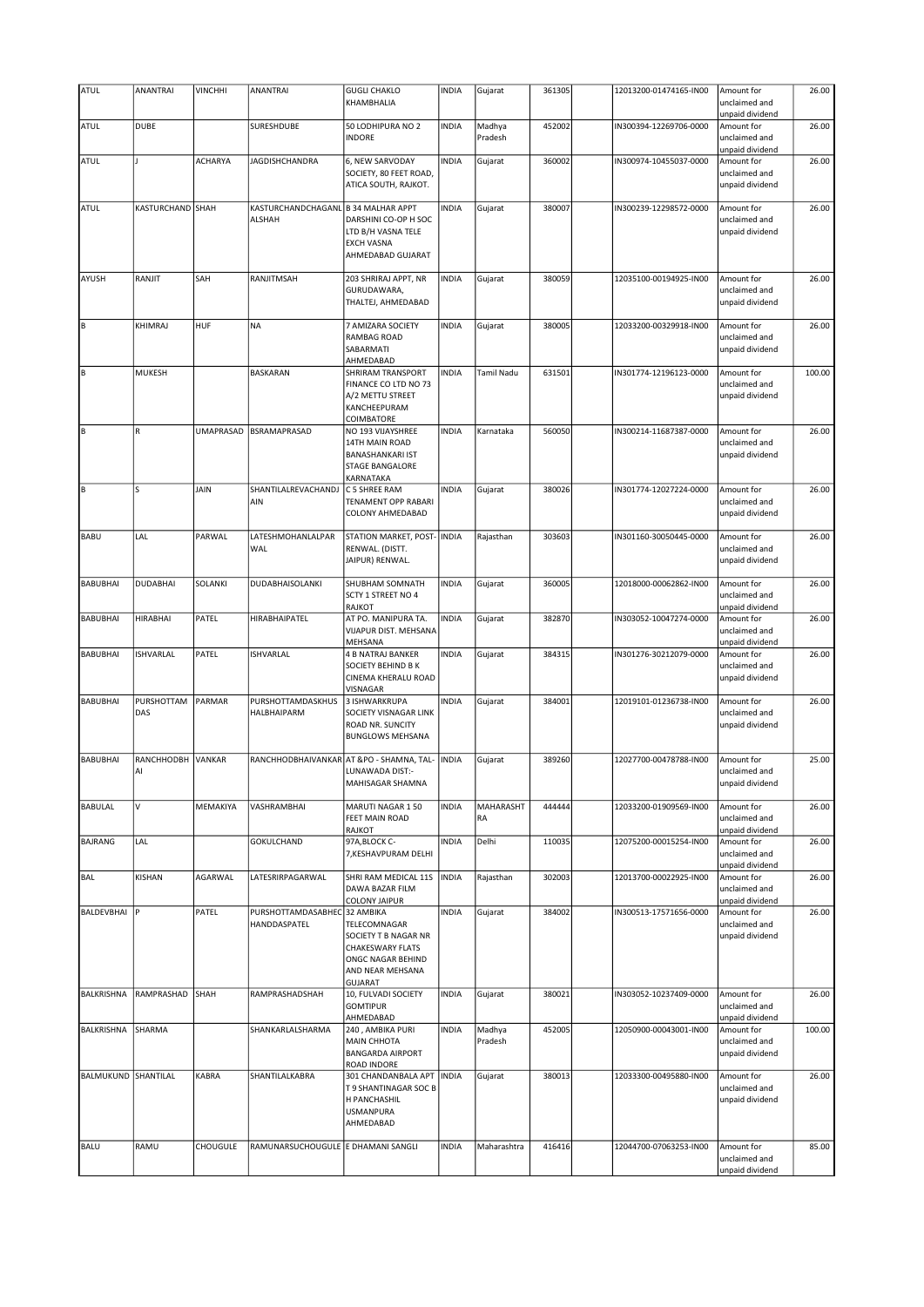| <b>ATUL</b>       | ANANTRAI          | <b>VINCHHI</b>   | ANANTRAI                                     | <b>GUGLI CHAKLO</b><br>KHAMBHALIA                                                                                          | <b>INDIA</b> | Gujarat           | 361305 | 12013200-01474165-IN00 | Amount for<br>unclaimed and                                       | 26.00  |
|-------------------|-------------------|------------------|----------------------------------------------|----------------------------------------------------------------------------------------------------------------------------|--------------|-------------------|--------|------------------------|-------------------------------------------------------------------|--------|
| ATUL              | <b>DUBE</b>       |                  | SURESHDUBE                                   | 50 LODHIPURA NO 2<br><b>INDORE</b>                                                                                         | <b>INDIA</b> | Madhya<br>Pradesh | 452002 | IN300394-12269706-0000 | unpaid dividend<br>Amount for<br>unclaimed and<br>unpaid dividend | 26.00  |
| ATUL              |                   | <b>ACHARYA</b>   | JAGDISHCHANDRA                               | 6, NEW SARVODAY<br>SOCIETY, 80 FEET ROAD,<br>ATICA SOUTH, RAJKOT.                                                          | <b>INDIA</b> | Gujarat           | 360002 | IN300974-10455037-0000 | Amount for<br>unclaimed and<br>unpaid dividend                    | 26.00  |
| <b>ATUL</b>       | KASTURCHAND SHAH  |                  | KASTURCHANDCHAGANL<br><b>ALSHAH</b>          | <b>B 34 MALHAR APPT</b><br>DARSHINI CO-OP H SOC<br>LTD B/H VASNA TELE<br><b>EXCH VASNA</b><br>AHMEDABAD GUJARAT            | <b>INDIA</b> | Gujarat           | 380007 | IN300239-12298572-0000 | Amount for<br>unclaimed and<br>unpaid dividend                    | 26.00  |
| AYUSH             | RANJIT            | SAH              | RANJITMSAH                                   | 203 SHRIRAJ APPT, NR<br>GURUDAWARA,<br>THALTEJ, AHMEDABAD                                                                  | <b>INDIA</b> | Gujarat           | 380059 | 12035100-00194925-IN00 | Amount for<br>unclaimed and<br>unpaid dividend                    | 26.00  |
| ļΒ                | KHIMRAJ           | HUF              | <b>NA</b>                                    | 7 AMIZARA SOCIETY<br><b>RAMBAG ROAD</b><br>SABARMATI<br>AHMEDABAD                                                          | <b>INDIA</b> | Gujarat           | 380005 | 12033200-00329918-IN00 | Amount for<br>unclaimed and<br>unpaid dividend                    | 26.00  |
| ļΒ                | MUKESH            |                  | <b>BASKARAN</b>                              | SHRIRAM TRANSPORT<br>FINANCE CO LTD NO 73<br>A/2 METTU STREET<br>KANCHEEPURAM<br>COIMBATORE                                | <b>INDIA</b> | Tamil Nadu        | 631501 | IN301774-12196123-0000 | Amount for<br>unclaimed and<br>unpaid dividend                    | 100.00 |
| ļΒ                | $\mathsf R$       | <b>UMAPRASAD</b> | BSRAMAPRASAD                                 | NO 193 VIJAYSHREE<br>14TH MAIN ROAD<br><b>BANASHANKARI IST</b><br>STAGE BANGALORE<br>KARNATAKA                             | <b>INDIA</b> | Karnataka         | 560050 | IN300214-11687387-0000 | Amount for<br>unclaimed and<br>unpaid dividend                    | 26.00  |
| Iв                | Ś                 | <b>JAIN</b>      | SHANTILALREVACHANDJ<br>AIN                   | C 5 SHREE RAM<br><b>TENAMENT OPP RABARI</b><br>COLONY AHMEDABAD                                                            | <b>INDIA</b> | Gujarat           | 380026 | IN301774-12027224-0000 | Amount for<br>unclaimed and<br>unpaid dividend                    | 26.00  |
| <b>BABU</b>       | LAL               | PARWAL           | LATESHMOHANLALPAR<br>WAL                     | STATION MARKET, POST-<br>RENWAL. (DISTT.<br>JAIPUR) RENWAL.                                                                | <b>INDIA</b> | Rajasthan         | 303603 | IN301160-30050445-0000 | Amount for<br>unclaimed and<br>unpaid dividend                    | 26.00  |
| <b>BABUBHAI</b>   | <b>DUDABHAI</b>   | SOLANKI          | DUDABHAISOLANKI                              | SHUBHAM SOMNATH<br>SCTY 1 STREET NO 4<br>RAJKOT                                                                            | <b>INDIA</b> | Gujarat           | 360005 | 12018000-00062862-IN00 | Amount for<br>unclaimed and<br>unpaid dividend                    | 26.00  |
| <b>BABUBHAI</b>   | <b>HIRABHAI</b>   | PATEL            | HIRABHAIPATEL                                | AT PO. MANIPURA TA.<br>VIJAPUR DIST. MEHSANA<br>MEHSANA                                                                    | <b>INDIA</b> | Gujarat           | 382870 | IN303052-10047274-0000 | Amount for<br>unclaimed and<br>unpaid dividend                    | 26.00  |
| <b>BABUBHAI</b>   | ISHVARLAL         | PATEL            | ISHVARLAL                                    | <b>4 B NATRAJ BANKER</b><br>SOCIETY BEHIND B K<br>CINEMA KHERALU ROAD<br>VISNAGAR                                          | <b>INDIA</b> | Gujarat           | 384315 | IN301276-30212079-0000 | Amount for<br>unclaimed and<br>unpaid dividend                    | 26.00  |
| <b>BABUBHAI</b>   | PURSHOTTAM<br>DAS | PARMAR           | PURSHOTTAMDASKHUS<br>HALBHAIPARM             | 3 ISHWARKRUPA<br>SOCIETY VISNAGAR LINK<br>ROAD NR. SUNCITY<br><b>BUNGLOWS MEHSANA</b>                                      | <b>INDIA</b> | Gujarat           | 384001 | 12019101-01236738-IN00 | Amount for<br>unclaimed and<br>unpaid dividend                    | 26.00  |
| <b>BABUBHAI</b>   | RANCHHODBH<br>Al  | <b>VANKAR</b>    | RANCHHODBHAIVANKAR AT &PO - SHAMNA, TAL-     | LUNAWADA DIST:-<br>MAHISAGAR SHAMNA                                                                                        | <b>INDIA</b> | Gujarat           | 389260 | 12027700-00478788-IN00 | Amount for<br>unclaimed and<br>unpaid dividend                    | 25.00  |
| <b>BABULAL</b>    | V                 | MEMAKIYA         | VASHRAMBHAI                                  | MARUTI NAGAR 150<br>FEET MAIN ROAD<br>RAJKOT                                                                               | <b>INDIA</b> | MAHARASHT<br>RA   | 444444 | 12033200-01909569-IN00 | Amount for<br>unclaimed and<br>unpaid dividend                    | 26.00  |
| <b>BAJRANG</b>    | LAL               |                  | GOKULCHAND                                   | 97A, BLOCK C-<br>7, KESHAVPURAM DELHI                                                                                      | <b>INDIA</b> | Delhi             | 110035 | 12075200-00015254-IN00 | Amount for<br>unclaimed and<br>unpaid dividend                    | 26.00  |
| <b>BAL</b>        | KISHAN            | AGARWAL          | LATESRIRPAGARWAL                             | SHRI RAM MEDICAL 11S<br>DAWA BAZAR FILM<br><b>COLONY JAIPUR</b>                                                            | <b>INDIA</b> | Rajasthan         | 302003 | 12013700-00022925-IN00 | Amount for<br>unclaimed and<br>unpaid dividend                    | 26.00  |
| BALDEVBHAI        | P                 | PATEL            | PURSHOTTAMDASABHEC 32 AMBIKA<br>HANDDASPATEL | TELECOMNAGAR<br>SOCIETY T B NAGAR NR<br><b>CHAKESWARY FLATS</b><br>ONGC NAGAR BEHIND<br>AND NEAR MEHSANA<br><b>GUJARAT</b> | <b>INDIA</b> | Gujarat           | 384002 | IN300513-17571656-0000 | Amount for<br>unclaimed and<br>unpaid dividend                    | 26.00  |
| BALKRISHNA        | RAMPRASHAD        | SHAH             | RAMPRASHADSHAH                               | 10, FULVADI SOCIETY<br><b>GOMTIPUR</b><br>AHMEDABAD                                                                        | <b>INDIA</b> | Gujarat           | 380021 | IN303052-10237409-0000 | Amount for<br>unclaimed and<br>unpaid dividend                    | 26.00  |
| <b>BALKRISHNA</b> | SHARMA            |                  | SHANKARLALSHARMA                             | 240, AMBIKA PURI<br><b>MAIN CHHOTA</b><br><b>BANGARDA AIRPORT</b><br>ROAD INDORE                                           | <b>INDIA</b> | Madhya<br>Pradesh | 452005 | 12050900-00043001-IN00 | Amount for<br>unclaimed and<br>unpaid dividend                    | 100.00 |
| BALMUKUND         | SHANTILAL         | KABRA            | SHANTILALKABRA                               | 301 CHANDANBALA APT<br>T 9 SHANTINAGAR SOC B<br>H PANCHASHIL<br><b>USMANPURA</b><br>AHMEDABAD                              | <b>INDIA</b> | Gujarat           | 380013 | 12033300-00495880-IN00 | Amount for<br>unclaimed and<br>unpaid dividend                    | 26.00  |
| <b>BALU</b>       | RAMU              | CHOUGULE         | RAMUNARSUCHOUGULE                            | E DHAMANI SANGLI                                                                                                           | <b>INDIA</b> | Maharashtra       | 416416 | 12044700-07063253-IN00 | Amount for<br>unclaimed and<br>unpaid dividend                    | 85.00  |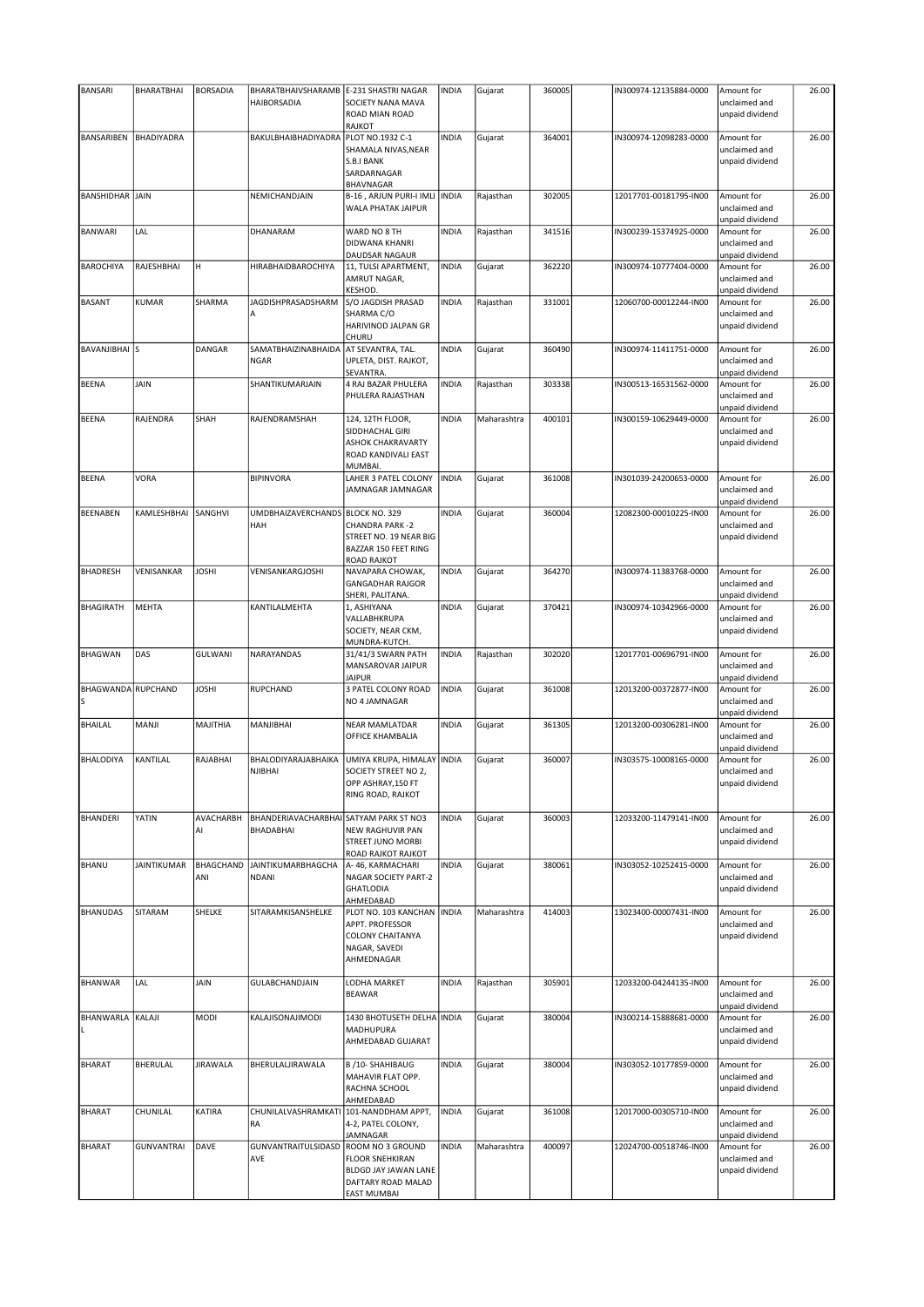| <b>BANSARI</b>            | BHARATBHAI         | <b>BORSADIA</b>  | BHARATBHAIVSHARAMB E-231 SHASTRI NAGAR              |                                                                                                                | <b>INDIA</b> | Gujarat     | 360005 | IN300974-12135884-0000 | Amount for                                     | 26.00 |
|---------------------------|--------------------|------------------|-----------------------------------------------------|----------------------------------------------------------------------------------------------------------------|--------------|-------------|--------|------------------------|------------------------------------------------|-------|
|                           |                    |                  | <b>HAIBORSADIA</b>                                  | SOCIETY NANA MAVA<br>ROAD MIAN ROAD                                                                            |              |             |        |                        | unclaimed and<br>unpaid dividend               |       |
| <b>BANSARIBEN</b>         | <b>BHADIYADRA</b>  |                  | BAKULBHAIBHADIYADRA                                 | RAJKOT<br>PLOT NO.1932 C-1                                                                                     | <b>INDIA</b> |             | 364001 | IN300974-12098283-0000 | Amount for                                     | 26.00 |
|                           |                    |                  |                                                     | SHAMALA NIVAS, NEAR<br>S.B.I BANK<br>SARDARNAGAR<br>BHAVNAGAR                                                  |              | Gujarat     |        |                        | unclaimed and<br>unpaid dividend               |       |
| <b>BANSHIDHAR JAIN</b>    |                    |                  | NEMICHANDJAIN                                       | B-16, ARJUN PURI-I IMLI<br>WALA PHATAK JAIPUR                                                                  | INDIA        | Rajasthan   | 302005 | 12017701-00181795-IN00 | Amount for<br>unclaimed and<br>unpaid dividend | 26.00 |
| <b>BANWARI</b>            | LAL                |                  | DHANARAM                                            | WARD NO 8 TH<br>DIDWANA KHANRI<br>DAUDSAR NAGAUR                                                               | <b>INDIA</b> | Rajasthan   | 341516 | IN300239-15374925-0000 | Amount for<br>unclaimed and<br>unpaid dividend | 26.00 |
| <b>BAROCHIYA</b>          | RAJESHBHAI         | H                | <b>HIRABHAIDBAROCHIYA</b>                           | 11, TULSI APARTMENT,<br>AMRUT NAGAR,<br>KESHOD.                                                                | <b>INDIA</b> | Gujarat     | 362220 | IN300974-10777404-0000 | Amount for<br>unclaimed and<br>unpaid dividend | 26.00 |
| <b>BASANT</b>             | <b>KUMAR</b>       | SHARMA           | JAGDISHPRASADSHARM<br>А                             | S/O JAGDISH PRASAD<br>SHARMA C/O<br>HARIVINOD JALPAN GR<br>CHURU                                               | <b>INDIA</b> | Rajasthan   | 331001 | 12060700-00012244-IN00 | Amount for<br>unclaimed and<br>unpaid dividend | 26.00 |
| BAVANJIBHAI S             |                    | DANGAR           | SAMATBHAIZINABHAIDA<br><b>NGAR</b>                  | AT SEVANTRA, TAL.<br>UPLETA, DIST. RAJKOT,<br>SEVANTRA.                                                        | <b>INDIA</b> | Gujarat     | 360490 | IN300974-11411751-0000 | Amount for<br>unclaimed and<br>unpaid dividend | 26.00 |
| <b>BEENA</b>              | JAIN               |                  | SHANTIKUMARJAIN                                     | 4 RAJ BAZAR PHULERA<br>PHULERA RAJASTHAN                                                                       | <b>INDIA</b> | Rajasthan   | 303338 | IN300513-16531562-0000 | Amount for<br>unclaimed and<br>unpaid dividend | 26.00 |
| <b>BEENA</b>              | RAJENDRA           | SHAH             | RAJENDRAMSHAH                                       | 124, 12TH FLOOR,<br>SIDDHACHAL GIRI<br><b>ASHOK CHAKRAVARTY</b><br>ROAD KANDIVALI EAST<br>MUMBAI.              | <b>INDIA</b> | Maharashtra | 400101 | IN300159-10629449-0000 | Amount for<br>unclaimed and<br>unpaid dividend | 26.00 |
| <b>BEENA</b>              | VORA               |                  | <b>BIPINVORA</b>                                    | LAHER 3 PATEL COLONY<br>JAMNAGAR JAMNAGAR                                                                      | <b>INDIA</b> | Gujarat     | 361008 | IN301039-24200653-0000 | Amount for<br>unclaimed and<br>unpaid dividend | 26.00 |
| <b>BEENABEN</b>           | KAMLESHBHAI        | SANGHVI          | UMDBHAIZAVERCHANDS BLOCK NO. 329<br>HAH             | <b>CHANDRA PARK-2</b><br>STREET NO. 19 NEAR BIG<br>BAZZAR 150 FEET RING<br><b>ROAD RAJKOT</b>                  | <b>INDIA</b> | Gujarat     | 360004 | 12082300-00010225-IN00 | Amount for<br>unclaimed and<br>unpaid dividend | 26.00 |
| <b>BHADRESH</b>           | VENISANKAR         | <b>JOSHI</b>     | VENISANKARGJOSHI                                    | NAVAPARA CHOWAK,<br><b>GANGADHAR RAJGOR</b><br>SHERI, PALITANA.                                                | <b>INDIA</b> | Gujarat     | 364270 | IN300974-11383768-0000 | Amount for<br>unclaimed and<br>unpaid dividend | 26.00 |
| <b>BHAGIRATH</b>          | MEHTA              |                  | KANTILALMEHTA                                       | 1, ASHIYANA<br>VALLABHKRUPA<br>SOCIETY, NEAR CKM,<br>MUNDRA-KUTCH.                                             | <b>INDIA</b> | Gujarat     | 370421 | IN300974-10342966-0000 | Amount for<br>unclaimed and<br>unpaid dividend | 26.00 |
| <b>BHAGWAN</b>            | DAS                | GULWANI          | NARAYANDAS                                          | 31/41/3 SWARN PATH<br>MANSAROVAR JAIPUR<br><b>JAIPUR</b>                                                       | <b>INDIA</b> | Rajasthan   | 302020 | 12017701-00696791-IN00 | Amount for<br>unclaimed and<br>unpaid dividend | 26.00 |
| <b>BHAGWANDA RUPCHAND</b> |                    | <b>JOSHI</b>     | RUPCHAND                                            | 3 PATEL COLONY ROAD<br>NO 4 JAMNAGAR                                                                           | <b>INDIA</b> | Gujarat     | 361008 | 12013200-00372877-IN00 | Amount for<br>unclaimed and<br>unpaid dividend | 26.00 |
| BHAILAL                   | MANJI              | MAJITHIA         | MANJIBHAI                                           | <b>NEAR MAMLATDAR</b><br><b>OFFICE KHAMBALIA</b>                                                               | <b>INDIA</b> | Gujarat     | 361305 | 12013200-00306281-IN00 | Amount for<br>unclaimed and<br>unpaid dividend | 26.00 |
| <b>BHALODIYA</b>          | KANTILAL           | RAJABHAI         | BHALODIYARAJABHAIKA<br>NJIBHAI                      | UMIYA KRUPA, HIMALAY INDIA<br>SOCIETY STREET NO 2,<br>OPP ASHRAY, 150 FT<br>RING ROAD, RAJKOT                  |              | Gujarat     | 360007 | IN303575-10008165-0000 | Amount for<br>unclaimed and<br>unpaid dividend | 26.00 |
| <b>BHANDERI</b>           | YATIN              | AVACHARBH<br>AI  | BHANDERIAVACHARBHAI SATYAM PARK ST NO3<br>BHADABHAI | NEW RAGHUVIR PAN<br>STREET JUNO MORBI<br>ROAD RAJKOT RAJKOT                                                    | <b>INDIA</b> | Gujarat     | 360003 | 12033200-11479141-IN00 | Amount for<br>unclaimed and<br>unpaid dividend | 26.00 |
| BHANU                     | <b>JAINTIKUMAR</b> | BHAGCHAND<br>ANI | JAINTIKUMARBHAGCHA<br><b>NDANI</b>                  | A-46, KARMACHARI<br><b>NAGAR SOCIETY PART-2</b><br><b>GHATLODIA</b><br>AHMEDABAD                               | <b>INDIA</b> | Gujarat     | 380061 | IN303052-10252415-0000 | Amount for<br>unclaimed and<br>unpaid dividend | 26.00 |
| <b>BHANUDAS</b>           | SITARAM            | SHELKE           | SITARAMKISANSHELKE                                  | PLOT NO. 103 KANCHAN   INDIA<br>APPT. PROFESSOR<br><b>COLONY CHAITANYA</b><br>NAGAR, SAVEDI<br>AHMEDNAGAR      |              | Maharashtra | 414003 | 13023400-00007431-IN00 | Amount for<br>unclaimed and<br>unpaid dividend | 26.00 |
| <b>BHANWAR</b>            | LAL                | JAIN             | GULABCHANDJAIN                                      | LODHA MARKET<br><b>BEAWAR</b>                                                                                  | <b>INDIA</b> | Rajasthan   | 305901 | 12033200-04244135-IN00 | Amount for<br>unclaimed and<br>unpaid dividend | 26.00 |
| BHANWARLA KALAJI          |                    | MODI             | KALAJISONAJIMODI                                    | 1430 BHOTUSETH DELHA INDIA<br>MADHUPURA<br>AHMEDABAD GUJARAT                                                   |              | Gujarat     | 380004 | IN300214-15888681-0000 | Amount for<br>unclaimed and<br>unpaid dividend | 26.00 |
| <b>BHARAT</b>             | BHERULAL           | <b>JIRAWALA</b>  | BHERULALJIRAWALA                                    | B /10- SHAHIBAUG<br>MAHAVIR FLAT OPP.<br>RACHNA SCHOOL<br>AHMEDABAD                                            | <b>INDIA</b> | Gujarat     | 380004 | IN303052-10177859-0000 | Amount for<br>unclaimed and<br>unpaid dividend | 26.00 |
| <b>BHARAT</b>             | CHUNILAL           | KATIRA           | CHUNILALVASHRAMKATI<br>RA                           | 101-NANDDHAM APPT,<br>4-2, PATEL COLONY,<br>JAMNAGAR                                                           | <b>INDIA</b> | Gujarat     | 361008 | 12017000-00305710-IN00 | Amount for<br>unclaimed and<br>unpaid dividend | 26.00 |
| <b>BHARAT</b>             | <b>GUNVANTRAI</b>  | DAVE             | <b>GUNVANTRAITULSIDASD</b><br>AVE                   | ROOM NO 3 GROUND<br><b>FLOOR SNEHKIRAN</b><br>BLDGD JAY JAWAN LANE<br>DAFTARY ROAD MALAD<br><b>EAST MUMBAI</b> | <b>INDIA</b> | Maharashtra | 400097 | 12024700-00518746-IN00 | Amount for<br>unclaimed and<br>unpaid dividend | 26.00 |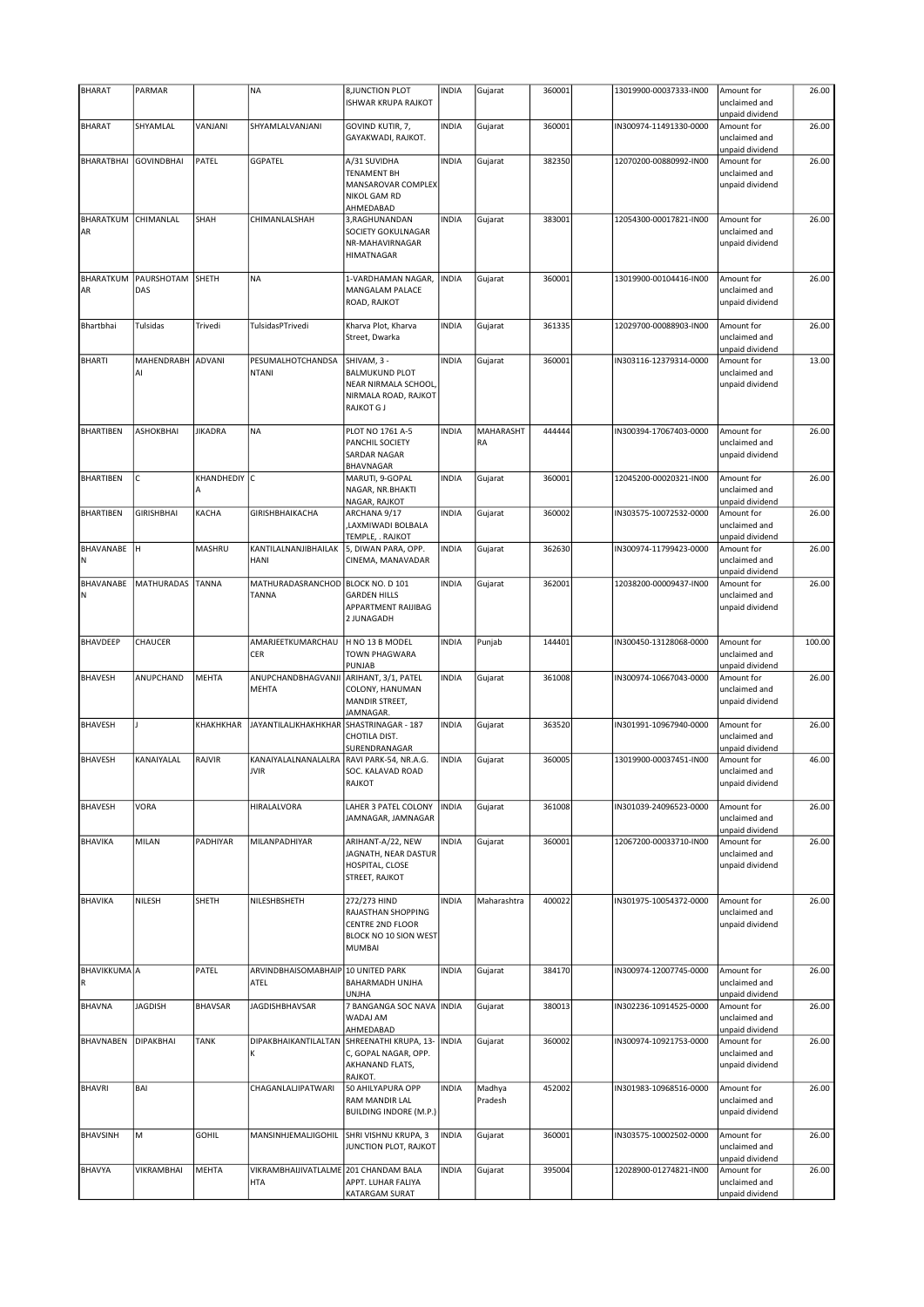| <b>BHARAT</b>            | PARMAR                  |                   | <b>NA</b>                                    | 8, JUNCTION PLOT<br><b>ISHWAR KRUPA RAJKOT</b>                                                            | <b>INDIA</b> | Gujarat                | 360001 | 13019900-00037333-IN00 | Amount for<br>unclaimed and<br>unpaid dividend                    | 26.00  |
|--------------------------|-------------------------|-------------------|----------------------------------------------|-----------------------------------------------------------------------------------------------------------|--------------|------------------------|--------|------------------------|-------------------------------------------------------------------|--------|
| <b>BHARAT</b>            | SHYAMLAL                | VANJANI           | SHYAMLALVANJANI                              | GOVIND KUTIR, 7,<br>GAYAKWADI, RAJKOT.                                                                    | <b>INDIA</b> | Gujarat                | 360001 | IN300974-11491330-0000 | Amount for<br>unclaimed and                                       | 26.00  |
| BHARATBHAI GOVINDBHAI    |                         | PATEL             | GGPATEL                                      | A/31 SUVIDHA<br><b>TENAMENT BH</b><br>MANSAROVAR COMPLEX<br>NIKOL GAM RD                                  | <b>INDIA</b> | Gujarat                | 382350 | 12070200-00880992-IN00 | unpaid dividend<br>Amount for<br>unclaimed and<br>unpaid dividend | 26.00  |
| BHARATKUM<br>AR          | CHIMANLAL               | SHAH              | CHIMANLALSHAH                                | AHMEDABAD<br>3, RAGHUNANDAN<br>SOCIETY GOKULNAGAR<br>NR-MAHAVIRNAGAR<br>HIMATNAGAR                        | <b>INDIA</b> | Gujarat                | 383001 | 12054300-00017821-IN00 | Amount for<br>unclaimed and<br>unpaid dividend                    | 26.00  |
| BHARATKUM<br>AR          | PAURSHOTAM<br>DAS       | SHETH             | <b>NA</b>                                    | 1-VARDHAMAN NAGAR,<br>MANGALAM PALACE<br>ROAD, RAJKOT                                                     | <b>INDIA</b> | Gujarat                | 360001 | 13019900-00104416-IN00 | Amount for<br>unclaimed and<br>unpaid dividend                    | 26.00  |
| Bhartbhai                | Tulsidas                | Trivedi           | TulsidasPTrivedi                             | Kharva Plot, Kharva<br>Street, Dwarka                                                                     | <b>INDIA</b> | Gujarat                | 361335 | 12029700-00088903-IN00 | Amount for<br>unclaimed and<br>unpaid dividend                    | 26.00  |
| <b>BHARTI</b>            | MAHENDRABH ADVANI<br>AI |                   | PESUMALHOTCHANDSA<br><b>NTANI</b>            | SHIVAM, 3 -<br><b>BALMUKUND PLOT</b><br>NEAR NIRMALA SCHOOL,<br>NIRMALA ROAD, RAJKOT<br><b>RAJKOT G J</b> | <b>INDIA</b> | Gujarat                | 360001 | IN303116-12379314-0000 | Amount for<br>unclaimed and<br>unpaid dividend                    | 13.00  |
| <b>BHARTIBEN</b>         | <b>ASHOKBHAI</b>        | <b>JIKADRA</b>    | NA                                           | PLOT NO 1761 A-5<br>PANCHIL SOCIETY<br>SARDAR NAGAR<br>BHAVNAGAR                                          | <b>INDIA</b> | <b>MAHARASHT</b><br>RA | 444444 | IN300394-17067403-0000 | Amount for<br>unclaimed and<br>unpaid dividend                    | 26.00  |
| <b>BHARTIBEN</b>         | C                       | KHANDHEDIY C<br>A |                                              | MARUTI, 9-GOPAL<br>NAGAR, NR.BHAKTI<br>NAGAR, RAJKOT                                                      | <b>INDIA</b> | Gujarat                | 360001 | 12045200-00020321-IN00 | Amount for<br>unclaimed and<br>unpaid dividend                    | 26.00  |
| <b>BHARTIBEN</b>         | <b>GIRISHBHAI</b>       | KACHA             | <b>GIRISHBHAIKACHA</b>                       | ARCHANA 9/17<br>LAXMIWADI BOLBALA,<br>TEMPLE, . RAJKOT                                                    | <b>INDIA</b> | Gujarat                | 360002 | IN303575-10072532-0000 | Amount for<br>unclaimed and<br>unpaid dividend                    | 26.00  |
| BHAVANABE<br>Ν           | lн                      | MASHRU            | KANTILALNANJIBHAILAK<br>HANI                 | 5, DIWAN PARA, OPP.<br>CINEMA, MANAVADAR                                                                  | <b>INDIA</b> | Gujarat                | 362630 | IN300974-11799423-0000 | Amount for<br>unclaimed and<br>unpaid dividend                    | 26.00  |
| BHAVANABE<br>Ν           | <b>MATHURADAS</b>       | <b>TANNA</b>      | MATHURADASRANCHOD<br><b>TANNA</b>            | BLOCK NO. D 101<br><b>GARDEN HILLS</b><br>APPARTMENT RAIJIBAG<br>2 JUNAGADH                               | <b>INDIA</b> | Gujarat                | 362001 | 12038200-00009437-IN00 | Amount for<br>unclaimed and<br>unpaid dividend                    | 26.00  |
| BHAVDEEP                 | CHAUCER                 |                   | AMARJEETKUMARCHAU<br>CER                     | H NO 13 B MODEL<br>TOWN PHAGWARA<br>PUNJAB                                                                | <b>INDIA</b> | Punjab                 | 144401 | IN300450-13128068-0000 | Amount for<br>unclaimed and<br>unpaid dividend                    | 100.00 |
| <b>BHAVESH</b>           | ANUPCHAND               | <b>MEHTA</b>      | ANUPCHANDBHAGVANJI<br>MEHTA                  | ARIHANT, 3/1, PATEL<br>COLONY, HANUMAN<br>MANDIR STREET,<br>JAMNAGAR.                                     | <b>INDIA</b> | Gujarat                | 361008 | IN300974-10667043-0000 | Amount for<br>unclaimed and<br>unpaid dividend                    | 26.00  |
| <b>BHAVESH</b>           |                         | KHAKHKHAR         | <b>JAYANTILALJKHAKHKHAR</b>                  | SHASTRINAGAR - 187<br>CHOTILA DIST.<br>SURENDRANAGAR                                                      | <b>INDIA</b> | Gujarat                | 363520 | IN301991-10967940-0000 | Amount for<br>unclaimed and<br>unpaid dividend                    | 26.00  |
| <b>BHAVESH</b>           | KANAIYALAL              | RAJVIR            | KANAIYALALNANALALRA<br>JVIR                  | RAVI PARK-54, NR.A.G.<br>SOC. KALAVAD ROAD<br>RAJKOT                                                      | <b>INDIA</b> | Gujarat                | 360005 | 13019900-00037451-IN00 | Amount for<br>unclaimed and<br>unpaid dividend                    | 46.00  |
| <b>BHAVESH</b>           | VORA                    |                   | HIRALALVORA                                  | LAHER 3 PATEL COLONY<br>JAMNAGAR, JAMNAGAR                                                                | <b>INDIA</b> | Gujarat                | 361008 | IN301039-24096523-0000 | Amount for<br>unclaimed and<br>unpaid dividend                    | 26.00  |
| <b>BHAVIKA</b>           | MILAN                   | PADHIYAR          | MILANPADHIYAR                                | ARIHANT-A/22, NEW<br>JAGNATH, NEAR DASTUR<br>HOSPITAL, CLOSE<br>STREET, RAJKOT                            | <b>INDIA</b> | Gujarat                | 360001 | 12067200-00033710-IN00 | Amount for<br>unclaimed and<br>unpaid dividend                    | 26.00  |
| <b>BHAVIKA</b>           | NILESH                  | SHETH             | NILESHBSHETH                                 | 272/273 HIND<br>RAJASTHAN SHOPPING<br><b>CENTRE 2ND FLOOR</b><br>BLOCK NO 10 SION WEST<br><b>MUMBAI</b>   | <b>INDIA</b> | Maharashtra            | 400022 | IN301975-10054372-0000 | Amount for<br>unclaimed and<br>unpaid dividend                    | 26.00  |
| <b>BHAVIKKUMA</b> A<br>R |                         | PATEL             | ARVINDBHAISOMABHAIP 10 UNITED PARK<br>ATEL   | BAHARMADH UNJHA<br><b>UNJHA</b>                                                                           | <b>INDIA</b> | Gujarat                | 384170 | IN300974-12007745-0000 | Amount for<br>unclaimed and<br>unpaid dividend                    | 26.00  |
| <b>BHAVNA</b>            | <b>JAGDISH</b>          | <b>BHAVSAR</b>    | <b>JAGDISHBHAVSAR</b>                        | 7 BANGANGA SOC NAVA INDIA<br>WADAJ AM<br>AHMEDABAD                                                        |              | Gujarat                | 380013 | IN302236-10914525-0000 | Amount for<br>unclaimed and<br>unpaid dividend                    | 26.00  |
| BHAVNABEN                | DIPAKBHAI               | <b>TANK</b>       | DIPAKBHAIKANTILALTAN<br>κ                    | SHREENATHI KRUPA, 13-<br>C, GOPAL NAGAR, OPP.<br>AKHANAND FLATS,<br>RAJKOT.                               | <b>INDIA</b> | Gujarat                | 360002 | IN300974-10921753-0000 | Amount for<br>unclaimed and<br>unpaid dividend                    | 26.00  |
| <b>BHAVRI</b>            | BAI                     |                   | CHAGANLALJIPATWARI                           | 50 AHILYAPURA OPP<br>RAM MANDIR LAL<br><b>BUILDING INDORE (M.P.)</b>                                      | <b>INDIA</b> | Madhya<br>Pradesh      | 452002 | IN301983-10968516-0000 | Amount for<br>unclaimed and<br>unpaid dividend                    | 26.00  |
| <b>BHAVSINH</b>          | M                       | <b>GOHIL</b>      | MANSINHJEMALJIGOHIL                          | SHRI VISHNU KRUPA, 3<br>JUNCTION PLOT, RAJKOT                                                             | <b>INDIA</b> | Gujarat                | 360001 | IN303575-10002502-0000 | Amount for<br>unclaimed and<br>unpaid dividend                    | 26.00  |
| BHAVYA                   | VIKRAMBHAI              | <b>MEHTA</b>      | VIKRAMBHAIJIVATLALME 201 CHANDAM BALA<br>HTA | APPT. LUHAR FALIYA<br>KATARGAM SURAT                                                                      | <b>INDIA</b> | Gujarat                | 395004 | 12028900-01274821-IN00 | Amount for<br>unclaimed and<br>unpaid dividend                    | 26.00  |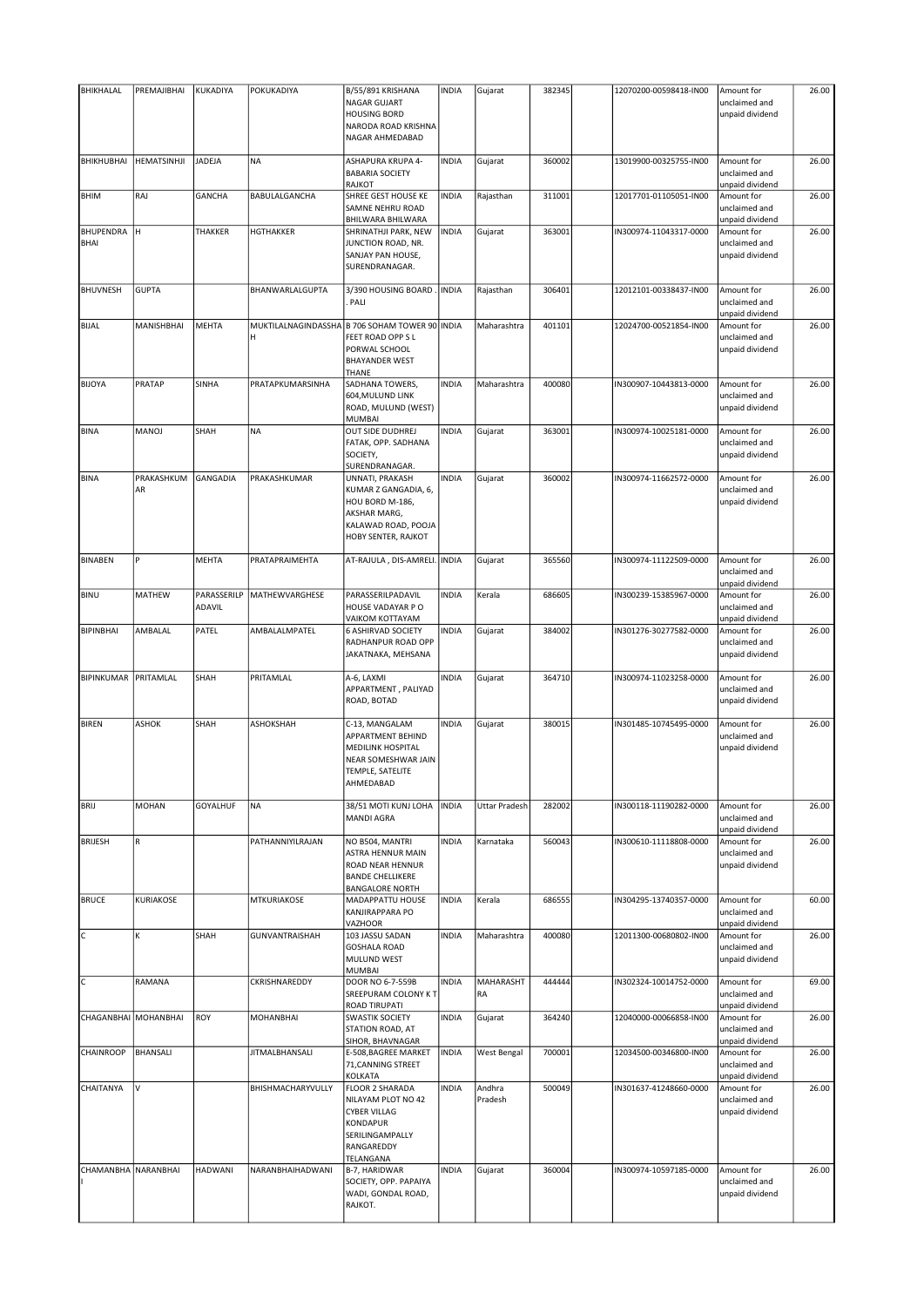| <b>BHIKHALAL</b>     | PREMAJIBHAI          | KUKADIYA              | POKUKADIYA            | B/55/891 KRISHANA                                                                                                                               | <b>INDIA</b> | Gujarat              | 382345 | 12070200-00598418-IN00 | Amount for                                                        | 26.00 |
|----------------------|----------------------|-----------------------|-----------------------|-------------------------------------------------------------------------------------------------------------------------------------------------|--------------|----------------------|--------|------------------------|-------------------------------------------------------------------|-------|
|                      |                      |                       |                       | <b>NAGAR GUJART</b><br><b>HOUSING BORD</b><br>NARODA ROAD KRISHNA                                                                               |              |                      |        |                        | unclaimed and<br>unpaid dividend                                  |       |
| <b>BHIKHUBHAI</b>    | <b>HEMATSINHJI</b>   | JADEJA                | <b>NA</b>             | NAGAR AHMEDABAD<br>ASHAPURA KRUPA 4-<br><b>BABARIA SOCIETY</b>                                                                                  | <b>INDIA</b> | Gujarat              | 360002 | 13019900-00325755-IN00 | Amount for<br>unclaimed and                                       | 26.00 |
| <b>BHIM</b>          | RAJ                  | <b>GANCHA</b>         | BABULALGANCHA         | <b>RAJKOT</b><br>SHREE GEST HOUSE KE                                                                                                            | <b>INDIA</b> | Rajasthan            | 311001 | 12017701-01105051-IN00 | unpaid dividend<br>Amount for                                     | 26.00 |
| <b>BHUPENDRA</b>     | lн                   | THAKKER               | <b>HGTHAKKER</b>      | SAMNE NEHRU ROAD<br>BHILWARA BHILWARA                                                                                                           | <b>INDIA</b> | Gujarat              | 363001 | IN300974-11043317-0000 | unclaimed and<br>unpaid dividend<br>Amount for                    | 26.00 |
| BHAI                 |                      |                       |                       | SHRINATHJI PARK, NEW<br>JUNCTION ROAD, NR.<br>SANJAY PAN HOUSE,<br>SURENDRANAGAR.                                                               |              |                      |        |                        | unclaimed and<br>unpaid dividend                                  |       |
| <b>BHUVNESH</b>      | <b>GUPTA</b>         |                       | BHANWARLALGUPTA       | 3/390 HOUSING BOARD<br>PALI                                                                                                                     | <b>INDIA</b> | Rajasthan            | 306401 | 12012101-00338437-IN00 | Amount for<br>unclaimed and<br>unpaid dividend                    | 26.00 |
| <b>BIJAL</b>         | MANISHBHAI           | <b>MEHTA</b>          | H                     | MUKTILALNAGINDASSHA B 706 SOHAM TOWER 90 INDIA<br>FEET ROAD OPP S L<br>PORWAL SCHOOL<br><b>BHAYANDER WEST</b><br>THANE                          |              | Maharashtra          | 401101 | 12024700-00521854-IN00 | Amount for<br>unclaimed and<br>unpaid dividend                    | 26.00 |
| <b>BIJOYA</b>        | PRATAP               | SINHA                 | PRATAPKUMARSINHA      | SADHANA TOWERS,<br>604, MULUND LINK<br>ROAD, MULUND (WEST)<br><b>MUMBAI</b>                                                                     | <b>INDIA</b> | Maharashtra          | 400080 | IN300907-10443813-0000 | Amount for<br>unclaimed and<br>unpaid dividend                    | 26.00 |
| <b>BINA</b>          | MANOJ                | SHAH                  | <b>NA</b>             | OUT SIDE DUDHREJ<br>FATAK, OPP. SADHANA<br>SOCIETY,<br>SURENDRANAGAR.                                                                           | <b>INDIA</b> | Gujarat              | 363001 | IN300974-10025181-0000 | Amount for<br>unclaimed and<br>unpaid dividend                    | 26.00 |
| <b>BINA</b>          | PRAKASHKUM<br>AR     | <b>GANGADIA</b>       | PRAKASHKUMAR          | UNNATI, PRAKASH<br>KUMAR Z GANGADIA, 6,<br>HOU BORD M-186,<br>AKSHAR MARG,<br>KALAWAD ROAD, POOJA<br>HOBY SENTER, RAJKOT                        | <b>INDIA</b> | Gujarat              | 360002 | IN300974-11662572-0000 | Amount for<br>unclaimed and<br>unpaid dividend                    | 26.00 |
| <b>BINABEN</b>       | P                    | MEHTA                 | PRATAPRAIMEHTA        | AT-RAJULA, DIS-AMRELI. INDIA                                                                                                                    |              | Gujarat              | 365560 | IN300974-11122509-0000 | Amount for<br>unclaimed and<br>unpaid dividend                    | 26.00 |
| <b>BINU</b>          | <b>MATHEW</b>        | PARASSERILP<br>ADAVIL | MATHEWVARGHESE        | PARASSERILPADAVIL<br>HOUSE VADAYAR P O<br>VAIKOM KOTTAYAM                                                                                       | <b>INDIA</b> | Kerala               | 686605 | IN300239-15385967-0000 | Amount for<br>unclaimed and<br>unpaid dividend                    | 26.00 |
| <b>BIPINBHAI</b>     | AMBALAL              | PATEL                 | AMBALALMPATEL         | 6 ASHIRVAD SOCIETY<br>RADHANPUR ROAD OPP<br>JAKATNAKA, MEHSANA                                                                                  | <b>INDIA</b> | Gujarat              | 384002 | IN301276-30277582-0000 | Amount for<br>unclaimed and<br>unpaid dividend                    | 26.00 |
| BIPINKUMAR PRITAMLAL |                      | SHAH                  | PRITAMLAL             | A-6, LAXMI<br>APPARTMENT, PALIYAD<br>ROAD, BOTAD                                                                                                | <b>INDIA</b> | Gujarat              | 364710 | IN300974-11023258-0000 | Amount for<br>unclaimed and<br>unpaid dividend                    | 26.00 |
| <b>BIREN</b>         | <b>ASHOK</b>         | SHAH                  | <b>ASHOKSHAH</b>      | C-13, MANGALAM<br>APPARTMENT BEHIND<br><b>MEDILINK HOSPITAL</b><br>NEAR SOMESHWAR JAIN<br>TEMPLE, SATELITE<br>AHMEDABAD                         | <b>INDIA</b> | Gujarat              | 380015 | IN301485-10745495-0000 | Amount for<br>unclaimed and<br>unpaid dividend                    | 26.00 |
| <b>BRIJ</b>          | MOHAN                | GOYALHUF              | NA                    | 38/51 MOTI KUNJ LOHA<br>MANDI AGRA                                                                                                              | <b>INDIA</b> | <b>Uttar Pradesh</b> | 282002 | IN300118-11190282-0000 | Amount for<br>unclaimed and<br>unpaid dividend                    | 26.00 |
| <b>BRIJESH</b>       | R                    |                       | PATHANNIYILRAJAN      | NO B504, MANTRI<br><b>ASTRA HENNUR MAIN</b><br>ROAD NEAR HENNUR<br><b>BANDE CHELLIKERE</b><br><b>BANGALORE NORTH</b>                            | <b>INDIA</b> | Karnataka            | 560043 | IN300610-11118808-0000 | Amount for<br>unclaimed and<br>unpaid dividend                    | 26.00 |
| <b>BRUCE</b>         | KURIAKOSE            |                       | MTKURIAKOSE           | MADAPPATTU HOUSE<br>KANJIRAPPARA PO<br>VAZHOOR                                                                                                  | <b>INDIA</b> | Kerala               | 686555 | IN304295-13740357-0000 | Amount for<br>unclaimed and<br>unpaid dividend                    | 60.00 |
| C                    | К                    | SHAH                  | <b>GUNVANTRAISHAH</b> | 103 JASSU SADAN<br><b>GOSHALA ROAD</b><br>MULUND WEST<br><b>MUMBAI</b>                                                                          | <b>INDIA</b> | Maharashtra          | 400080 | 12011300-00680802-IN00 | Amount for<br>unclaimed and<br>unpaid dividend                    | 26.00 |
| C                    | RAMANA               |                       | CKRISHNAREDDY         | DOOR NO 6-7-559B<br>SREEPURAM COLONY K T<br>ROAD TIRUPATI                                                                                       | <b>INDIA</b> | MAHARASHT<br>RA      | 444444 | IN302324-10014752-0000 | Amount for<br>unclaimed and<br>unpaid dividend                    | 69.00 |
|                      | CHAGANBHAI MOHANBHAI | ROY                   | <b>MOHANBHAI</b>      | <b>SWASTIK SOCIETY</b><br>STATION ROAD, AT<br>SIHOR, BHAVNAGAR                                                                                  | <b>INDIA</b> | Gujarat              | 364240 | 12040000-00066858-IN00 | Amount for<br>unclaimed and<br>unpaid dividend                    | 26.00 |
| CHAINROOP            | <b>BHANSALI</b>      |                       | <b>JITMALBHANSALI</b> | E-508, BAGREE MARKET<br>71, CANNING STREET                                                                                                      | <b>INDIA</b> | West Bengal          | 700001 | 12034500-00346800-IN00 | Amount for<br>unclaimed and                                       | 26.00 |
| CHAITANYA            | $\vee$               |                       | BHISHMACHARYVULLY     | <b>KOLKATA</b><br><b>FLOOR 2 SHARADA</b><br>NILAYAM PLOT NO 42<br><b>CYBER VILLAG</b><br>KONDAPUR<br>SERILINGAMPALLY<br>RANGAREDDY<br>TELANGANA | <b>INDIA</b> | Andhra<br>Pradesh    | 500049 | IN301637-41248660-0000 | unpaid dividend<br>Amount for<br>unclaimed and<br>unpaid dividend | 26.00 |
| CHAMANBHA NARANBHAI  |                      | <b>HADWANI</b>        | NARANBHAIHADWANI      | B-7, HARIDWAR<br>SOCIETY, OPP. PAPAIYA<br>WADI, GONDAL ROAD,<br>RAJKOT.                                                                         | <b>INDIA</b> | Gujarat              | 360004 | IN300974-10597185-0000 | Amount for<br>unclaimed and<br>unpaid dividend                    | 26.00 |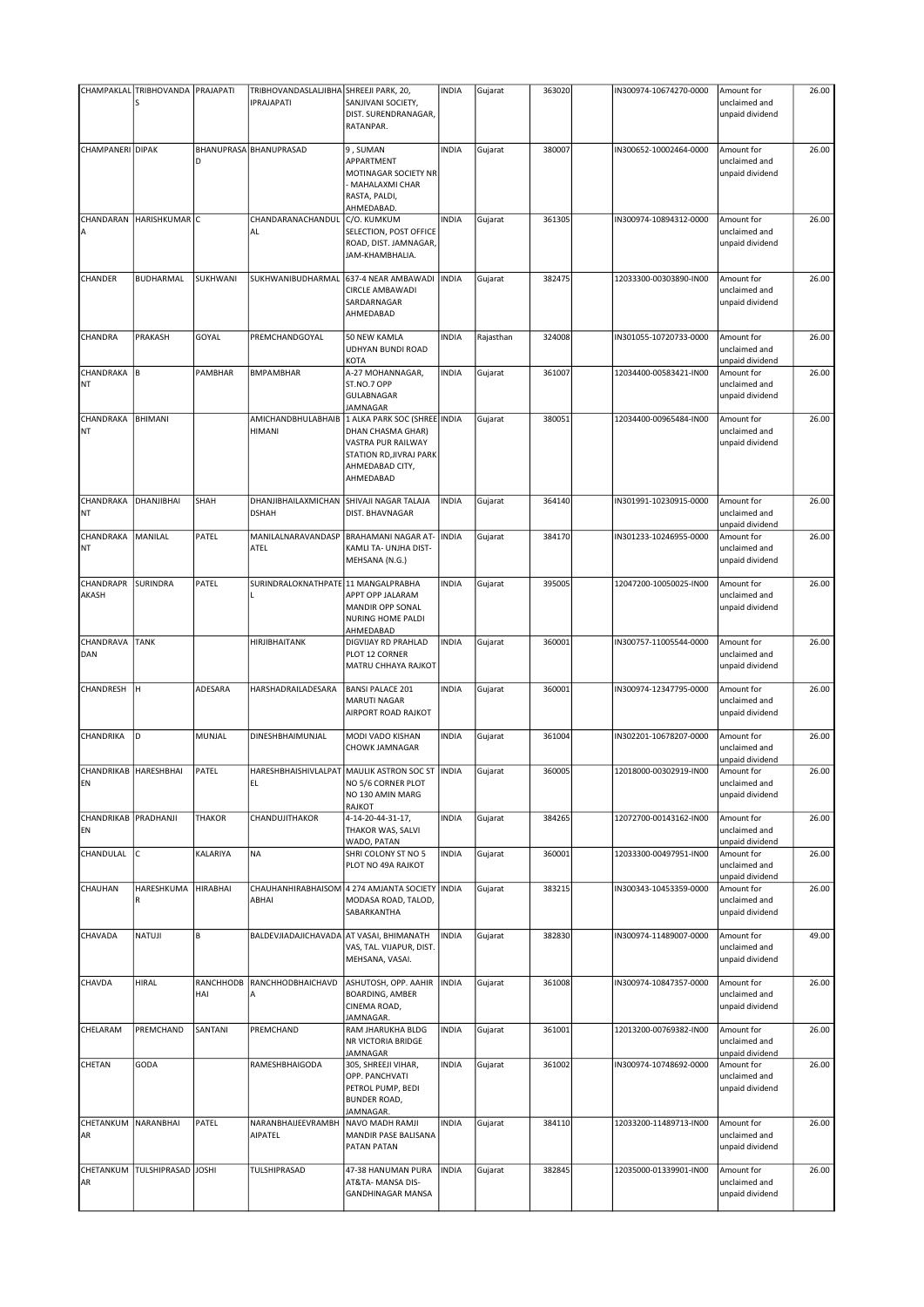|                               | CHAMPAKLAL TRIBHOVANDA PRAJAPATI<br>S |                  | TRIBHOVANDASLALJIBHA SHREEJI PARK, 20,<br><b>IPRAJAPATI</b> | SANJIVANI SOCIETY,<br>DIST. SURENDRANAGAR,                                                                                         | INDIA        | Gujarat   | 363020 | IN300974-10674270-0000 | Amount for<br>unclaimed and<br>unpaid dividend | 26.00 |
|-------------------------------|---------------------------------------|------------------|-------------------------------------------------------------|------------------------------------------------------------------------------------------------------------------------------------|--------------|-----------|--------|------------------------|------------------------------------------------|-------|
|                               |                                       |                  |                                                             | RATANPAR.                                                                                                                          |              |           |        |                        |                                                |       |
| CHAMPANERI DIPAK              |                                       | D                | BHANUPRASA BHANUPRASAD                                      | 9, SUMAN<br>APPARTMENT<br>MOTINAGAR SOCIETY NR<br>MAHALAXMI CHAR<br>RASTA, PALDI,<br>AHMEDABAD.                                    | <b>INDIA</b> | Gujarat   | 380007 | IN300652-10002464-0000 | Amount for<br>unclaimed and<br>unpaid dividend | 26.00 |
| CHANDARAN                     | HARISHKUMAR C                         |                  | CHANDARANACHANDUL                                           | C/O. KUMKUM                                                                                                                        | <b>INDIA</b> | Gujarat   | 361305 | IN300974-10894312-0000 | Amount for                                     | 26.00 |
| Α                             |                                       |                  | AL                                                          | SELECTION, POST OFFICE<br>ROAD, DIST. JAMNAGAR,<br>JAM-KHAMBHALIA.                                                                 |              |           |        |                        | unclaimed and<br>unpaid dividend               |       |
| CHANDER                       | BUDHARMAL                             | SUKHWANI         | SUKHWANIBUDHARMAL                                           | 637-4 NEAR AMBAWADI<br>CIRCLE AMBAWADI<br>SARDARNAGAR<br>AHMEDABAD                                                                 | <b>INDIA</b> | Gujarat   | 382475 | 12033300-00303890-IN00 | Amount for<br>unclaimed and<br>unpaid dividend | 26.00 |
| CHANDRA                       | PRAKASH                               | GOYAL            | PREMCHANDGOYAL                                              | 50 NEW KAMLA<br>UDHYAN BUNDI ROAD<br>KOTA                                                                                          | <b>INDIA</b> | Rajasthan | 324008 | IN301055-10720733-0000 | Amount for<br>unclaimed and<br>unpaid dividend | 26.00 |
| CHANDRAKA<br><b>NT</b>        | B                                     | PAMBHAR          | <b>BMPAMBHAR</b>                                            | A-27 MOHANNAGAR,<br>ST.NO.7 OPP<br>GULABNAGAR<br><b>JAMNAGAR</b>                                                                   | <b>INDIA</b> | Gujarat   | 361007 | 12034400-00583421-IN00 | Amount for<br>unclaimed and<br>unpaid dividend | 26.00 |
| CHANDRAKA<br><b>NT</b>        | <b>BHIMANI</b>                        |                  | AMICHANDBHULABHAIB<br>HIMANI                                | 1 ALKA PARK SOC (SHREE INDIA<br>DHAN CHASMA GHAR)<br>VASTRA PUR RAILWAY<br>STATION RD, JIVRAJ PARK<br>AHMEDABAD CITY,<br>AHMEDABAD |              | Gujarat   | 380051 | 12034400-00965484-IN00 | Amount for<br>unclaimed and<br>unpaid dividend | 26.00 |
| CHANDRAKA<br><b>NT</b>        | DHANJIBHAI                            | SHAH             | DHANJIBHAILAXMICHAN<br><b>DSHAH</b>                         | SHIVAJI NAGAR TALAJA<br>DIST. BHAVNAGAR                                                                                            | <b>INDIA</b> | Gujarat   | 364140 | IN301991-10230915-0000 | Amount for<br>unclaimed and<br>unpaid dividend | 26.00 |
| CHANDRAKA<br><b>NT</b>        | MANILAL                               | PATEL            | MANILALNARAVANDASP<br>ATEL                                  | <b>BRAHAMANI NAGAR AT-</b><br>KAMLI TA- UNJHA DIST-<br>MEHSANA (N.G.)                                                              | <b>INDIA</b> | Gujarat   | 384170 | IN301233-10246955-0000 | Amount for<br>unclaimed and<br>unpaid dividend | 26.00 |
| CHANDRAPR<br>AKASH            | SURINDRA                              | PATEL            | SURINDRALOKNATHPATE 11 MANGALPRABHA                         | APPT OPP JALARAM<br>MANDIR OPP SONAL<br>NURING HOME PALDI<br>AHMEDABAD                                                             | <b>INDIA</b> | Gujarat   | 395005 | 12047200-10050025-IN00 | Amount for<br>unclaimed and<br>unpaid dividend | 26.00 |
| CHANDRAVA<br>DAN              | <b>TANK</b>                           |                  | HIRJIBHAITANK                                               | DIGVIJAY RD PRAHLAD<br>PLOT 12 CORNER<br>MATRU CHHAYA RAJKOT                                                                       | <b>INDIA</b> | Gujarat   | 360001 | IN300757-11005544-0000 | Amount for<br>unclaimed and<br>unpaid dividend | 26.00 |
| CHANDRESH                     | lн.                                   | ADESARA          | HARSHADRAILADESARA                                          | <b>BANSI PALACE 201</b><br>MARUTI NAGAR<br>AIRPORT ROAD RAJKOT                                                                     | INDIA        | Gujarat   | 360001 | IN300974-12347795-0000 | Amount for<br>unclaimed and<br>unpaid dividend | 26.00 |
| CHANDRIKA                     | D                                     | MUNJAL           | DINESHBHAIMUNJAL                                            | MODI VADO KISHAN<br>CHOWK JAMNAGAR                                                                                                 | INDIA        | Gujarat   | 361004 | IN302201-10678207-0000 | Amount for<br>unclaimed and<br>unpaid dividend | 26.00 |
| CHANDRIKAB   HARESHBHAI<br>EN |                                       | PATEL            | EL                                                          | HARESHBHAISHIVLALPAT MAULIK ASTRON SOC ST INDIA<br>NO 5/6 CORNER PLOT<br>NO 130 AMIN MARG<br>RAJKOT                                |              | Gujarat   | 360005 | 12018000-00302919-IN00 | Amount for<br>unclaimed and<br>unpaid dividend | 26.00 |
| CHANDRIKAB PRADHANJI<br>EN    |                                       | <b>THAKOR</b>    | CHANDUJITHAKOR                                              | 4-14-20-44-31-17,<br>THAKOR WAS, SALVI<br>WADO, PATAN                                                                              | <b>INDIA</b> | Gujarat   | 384265 | 12072700-00143162-IN00 | Amount for<br>unclaimed and<br>unpaid dividend | 26.00 |
| CHANDULAL                     | lc.                                   | KALARIYA         | <b>NA</b>                                                   | SHRI COLONY ST NO 5<br>PLOT NO 49A RAJKOT                                                                                          | <b>INDIA</b> | Gujarat   | 360001 | 12033300-00497951-IN00 | Amount for<br>unclaimed and<br>unpaid dividend | 26.00 |
| CHAUHAN                       | HARESHKUMA<br>R                       | <b>HIRABHAI</b>  | CHAUHANHIRABHAISOM<br>ABHAI                                 | 4 274 AMJANTA SOCIETY INDIA<br>MODASA ROAD, TALOD,<br>SABARKANTHA                                                                  |              | Gujarat   | 383215 | IN300343-10453359-0000 | Amount for<br>unclaimed and<br>unpaid dividend | 26.00 |
| CHAVADA                       | NATUJI                                | B                | BALDEVJIADAJICHAVADA                                        | AT VASAI, BHIMANATH<br>VAS, TAL. VIJAPUR, DIST.<br>MEHSANA, VASAI.                                                                 | <b>INDIA</b> | Gujarat   | 382830 | IN300974-11489007-0000 | Amount for<br>unclaimed and<br>unpaid dividend | 49.00 |
| CHAVDA                        | HIRAL                                 | RANCHHODB<br>HAI | RANCHHODBHAICHAVD                                           | ASHUTOSH, OPP. AAHIR<br>BOARDING, AMBER<br>CINEMA ROAD,<br>JAMNAGAR.                                                               | <b>INDIA</b> | Gujarat   | 361008 | IN300974-10847357-0000 | Amount for<br>unclaimed and<br>unpaid dividend | 26.00 |
| CHELARAM                      | PREMCHAND                             | SANTANI          | PREMCHAND                                                   | RAM JHARUKHA BLDG<br>NR VICTORIA BRIDGE<br>JAMNAGAR                                                                                | <b>INDIA</b> | Gujarat   | 361001 | 12013200-00769382-IN00 | Amount for<br>unclaimed and<br>unpaid dividend | 26.00 |
| CHETAN                        | GODA                                  |                  | RAMESHBHAIGODA                                              | 305, SHREEJI VIHAR,<br>OPP. PANCHVATI<br>PETROL PUMP, BEDI<br><b>BUNDER ROAD,</b><br>JAMNAGAR.                                     | <b>INDIA</b> | Gujarat   | 361002 | IN300974-10748692-0000 | Amount for<br>unclaimed and<br>unpaid dividend | 26.00 |
| CHETANKUM<br>AR               | NARANBHAI                             | PATEL            | NARANBHAIJEEVRAMBH<br>AIPATEL                               | NAVO MADH RAMJI<br>MANDIR PASE BALISANA<br>PATAN PATAN                                                                             | <b>INDIA</b> | Gujarat   | 384110 | 12033200-11489713-IN00 | Amount for<br>unclaimed and<br>unpaid dividend | 26.00 |
| CHETANKUM<br>AR               | TULSHIPRASAD JOSHI                    |                  | TULSHIPRASAD                                                | 47-38 HANUMAN PURA<br>AT&TA- MANSA DIS-<br><b>GANDHINAGAR MANSA</b>                                                                | <b>INDIA</b> | Gujarat   | 382845 | 12035000-01339901-IN00 | Amount for<br>unclaimed and<br>unpaid dividend | 26.00 |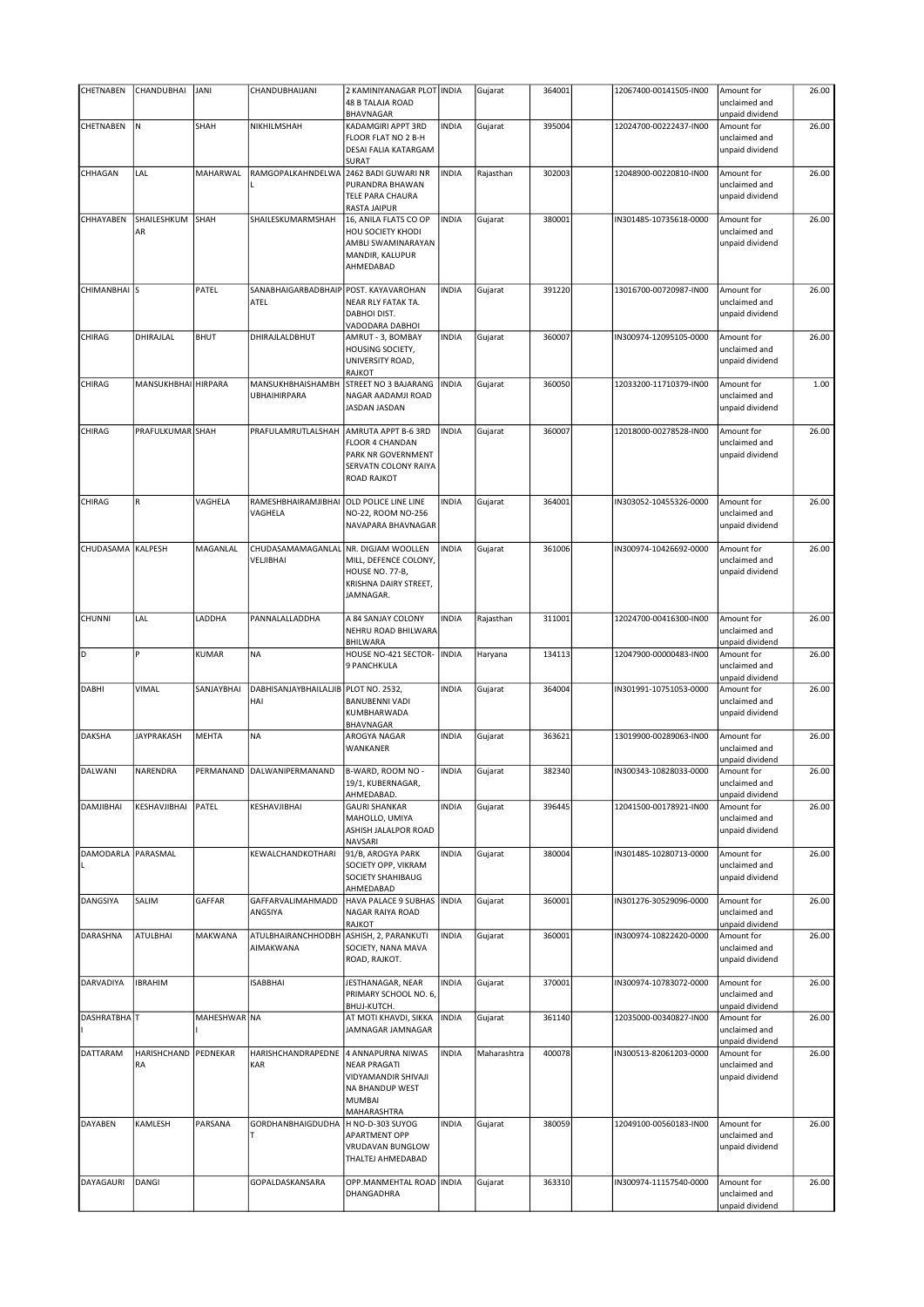| CHETNABEN               | CHANDUBHAI          | <b>JANI</b>    | CHANDUBHAIJANI                        | 2 KAMINIYANAGAR PLOT INDIA                  |              | Gujarat     | 364001 | 12067400-00141505-IN00 | Amount for                       | 26.00 |
|-------------------------|---------------------|----------------|---------------------------------------|---------------------------------------------|--------------|-------------|--------|------------------------|----------------------------------|-------|
|                         |                     |                |                                       | <b>48 B TALAJA ROAD</b>                     |              |             |        |                        | unclaimed and                    |       |
|                         |                     |                |                                       | BHAVNAGAR                                   |              |             |        |                        | unpaid dividend                  |       |
| CHETNABEN               | N                   | SHAH           | NIKHILMSHAH                           | KADAMGIRI APPT 3RD                          | <b>INDIA</b> | Gujarat     | 395004 | 12024700-00222437-IN00 | Amount for                       | 26.00 |
|                         |                     |                |                                       | FLOOR FLAT NO 2 B-H<br>DESAI FALIA KATARGAM |              |             |        |                        | unclaimed and<br>unpaid dividend |       |
|                         |                     |                |                                       | SURAT                                       |              |             |        |                        |                                  |       |
| CHHAGAN                 | LAL                 | MAHARWAL       | RAMGOPALKAHNDELWA                     | 2462 BADI GUWARI NR                         | <b>INDIA</b> | Rajasthan   | 302003 | 12048900-00220810-IN00 | Amount for                       | 26.00 |
|                         |                     |                |                                       | PURANDRA BHAWAN                             |              |             |        |                        | unclaimed and                    |       |
|                         |                     |                |                                       | TELE PARA CHAURA                            |              |             |        |                        | unpaid dividend                  |       |
|                         |                     |                |                                       | RASTA JAIPUR                                |              |             |        |                        |                                  |       |
| CHHAYABEN               | SHAILESHKUM         | SHAH           | SHAILESKUMARMSHAH                     | 16, ANILA FLATS CO OP                       | <b>INDIA</b> | Gujarat     | 380001 | IN301485-10735618-0000 | Amount for                       | 26.00 |
|                         | AR                  |                |                                       | HOU SOCIETY KHODI<br>AMBLI SWAMINARAYAN     |              |             |        |                        | unclaimed and                    |       |
|                         |                     |                |                                       | MANDIR, KALUPUR                             |              |             |        |                        | unpaid dividend                  |       |
|                         |                     |                |                                       | AHMEDABAD                                   |              |             |        |                        |                                  |       |
|                         |                     |                |                                       |                                             |              |             |        |                        |                                  |       |
| CHIMANBHAI <sup>S</sup> |                     | PATEL          | SANABHAIGARBADBHAIP POST. KAYAVAROHAN |                                             | <b>INDIA</b> | Gujarat     | 391220 | 13016700-00720987-IN00 | Amount for                       | 26.00 |
|                         |                     |                | ATEL                                  | NEAR RLY FATAK TA.                          |              |             |        |                        | unclaimed and                    |       |
|                         |                     |                |                                       | DABHOI DIST.                                |              |             |        |                        | unpaid dividend                  |       |
|                         |                     |                |                                       | VADODARA DABHOI                             |              |             |        |                        |                                  |       |
| CHIRAG                  | DHIRAJLAL           | <b>BHUT</b>    | DHIRAJLALDBHUT                        | AMRUT - 3, BOMBAY                           | <b>INDIA</b> | Gujarat     | 360007 | IN300974-12095105-0000 | Amount for                       | 26.00 |
|                         |                     |                |                                       | HOUSING SOCIETY,<br>UNIVERSITY ROAD,        |              |             |        |                        | unclaimed and<br>unpaid dividend |       |
|                         |                     |                |                                       | RAJKOT                                      |              |             |        |                        |                                  |       |
| CHIRAG                  | MANSUKHBHAI HIRPARA |                | MANSUKHBHAISHAMBH                     | STREET NO 3 BAJARANG                        | <b>INDIA</b> | Gujarat     | 360050 | 12033200-11710379-IN00 | Amount for                       | 1.00  |
|                         |                     |                | <b>UBHAIHIRPARA</b>                   | NAGAR AADAMJI ROAD                          |              |             |        |                        | unclaimed and                    |       |
|                         |                     |                |                                       | JASDAN JASDAN                               |              |             |        |                        | unpaid dividend                  |       |
|                         |                     |                |                                       |                                             |              |             |        |                        |                                  |       |
| CHIRAG                  | PRAFULKUMAR SHAH    |                | PRAFULAMRUTLALSHAH                    | AMRUTA APPT B-6 3RD                         | <b>INDIA</b> | Gujarat     | 360007 | 12018000-00278528-IN00 | Amount for                       | 26.00 |
|                         |                     |                |                                       | <b>FLOOR 4 CHANDAN</b>                      |              |             |        |                        | unclaimed and                    |       |
|                         |                     |                |                                       | PARK NR GOVERNMENT                          |              |             |        |                        | unpaid dividend                  |       |
|                         |                     |                |                                       | SERVATN COLONY RAIYA                        |              |             |        |                        |                                  |       |
|                         |                     |                |                                       | <b>ROAD RAJKOT</b>                          |              |             |        |                        |                                  |       |
| CHIRAG                  | $\mathsf R$         | VAGHELA        | RAMESHBHAIRAMJIBHAI                   | <b>OLD POLICE LINE LINE</b>                 | <b>INDIA</b> | Gujarat     | 364001 | IN303052-10455326-0000 | Amount for                       | 26.00 |
|                         |                     |                | VAGHELA                               | NO-22, ROOM NO-256                          |              |             |        |                        | unclaimed and                    |       |
|                         |                     |                |                                       | NAVAPARA BHAVNAGAR                          |              |             |        |                        | unpaid dividend                  |       |
|                         |                     |                |                                       |                                             |              |             |        |                        |                                  |       |
| CHUDASAMA               | <b>KALPESH</b>      | MAGANLAL       | CHUDASAMAMAGANLAL                     | NR. DIGJAM WOOLLEN                          | <b>INDIA</b> | Gujarat     | 361006 | IN300974-10426692-0000 | Amount for                       | 26.00 |
|                         |                     |                | VELJIBHAI                             | MILL, DEFENCE COLONY,                       |              |             |        |                        | unclaimed and                    |       |
|                         |                     |                |                                       | HOUSE NO. 77-B,                             |              |             |        |                        | unpaid dividend                  |       |
|                         |                     |                |                                       | KRISHNA DAIRY STREET,                       |              |             |        |                        |                                  |       |
|                         |                     |                |                                       | JAMNAGAR.                                   |              |             |        |                        |                                  |       |
| <b>CHUNNI</b>           | LAL                 | LADDHA         | PANNALALLADDHA                        |                                             | <b>INDIA</b> |             | 311001 |                        |                                  | 26.00 |
|                         |                     |                |                                       | A 84 SANJAY COLONY<br>NEHRU ROAD BHILWARA   |              | Rajasthan   |        | 12024700-00416300-IN00 | Amount for<br>unclaimed and      |       |
|                         |                     |                |                                       | BHILWARA                                    |              |             |        |                        | unpaid dividend                  |       |
| D                       |                     | KUMAR          | <b>NA</b>                             | HOUSE NO-421 SECTOR-                        | <b>INDIA</b> | Haryana     | 134113 | 12047900-00000483-IN00 | Amount for                       | 26.00 |
|                         |                     |                |                                       |                                             |              |             |        |                        |                                  |       |
|                         |                     |                |                                       | 9 PANCHKULA                                 |              |             |        |                        | unclaimed and                    |       |
|                         |                     |                |                                       |                                             |              |             |        |                        | unpaid dividend                  |       |
| DABHI                   | VIMAL               | SANJAYBHAI     | DABHISANJAYBHAILALJIB PLOT NO. 2532,  |                                             | <b>INDIA</b> | Gujarat     | 364004 | IN301991-10751053-0000 | Amount for                       | 26.00 |
|                         |                     |                | HAI                                   | <b>BANUBENNI VADI</b>                       |              |             |        |                        | unclaimed and                    |       |
|                         |                     |                |                                       | KUMBHARWADA                                 |              |             |        |                        | unpaid dividend                  |       |
|                         |                     |                |                                       | BHAVNAGAR                                   |              |             |        |                        |                                  |       |
| <b>DAKSHA</b>           | <b>JAYPRAKASH</b>   | <b>MEHTA</b>   | <b>NA</b>                             | AROGYA NAGAR                                | <b>INDIA</b> | Gujarat     | 363621 | 13019900-00289063-IN00 | Amount for                       | 26.00 |
|                         |                     |                |                                       | WANKANER                                    |              |             |        |                        | unclaimed and                    |       |
|                         |                     |                |                                       |                                             |              |             |        |                        | unpaid dividend                  |       |
| DALWANI                 | NARENDRA            | PERMANAND      | DALWANIPERMANAND                      | B-WARD, ROOM NO -                           | <b>INDIA</b> | Gujarat     | 382340 | IN300343-10828033-0000 | Amount for<br>unclaimed and      | 26.00 |
|                         |                     |                |                                       | 19/1, KUBERNAGAR,<br>AHMEDABAD.             |              |             |        |                        | unpaid dividend                  |       |
| DAMJIBHAI               | KESHAVJIBHAI        | PATEL          | KESHAVJIBHAI                          | <b>GAURI SHANKAR</b>                        | <b>INDIA</b> | Gujarat     | 396445 | 12041500-00178921-IN00 | Amount for                       | 26.00 |
|                         |                     |                |                                       | MAHOLLO, UMIYA                              |              |             |        |                        | unclaimed and                    |       |
|                         |                     |                |                                       | ASHISH JALALPOR ROAD                        |              |             |        |                        | unpaid dividend                  |       |
|                         |                     |                |                                       | NAVSARI                                     |              |             |        |                        |                                  |       |
| DAMODARLA PARASMAL      |                     |                | KEWALCHANDKOTHARI                     | 91/B, AROGYA PARK                           | <b>INDIA</b> | Gujarat     | 380004 | IN301485-10280713-0000 | Amount for                       | 26.00 |
|                         |                     |                |                                       | SOCIETY OPP, VIKRAM                         |              |             |        |                        | unclaimed and                    |       |
|                         |                     |                |                                       | SOCIETY SHAHIBAUG                           |              |             |        |                        | unpaid dividend                  |       |
|                         |                     |                |                                       | AHMEDABAD                                   |              |             |        |                        |                                  |       |
| DANGSIYA                | SALIM               | GAFFAR         | GAFFARVALIMAHMADD<br>ANGSIYA          | HAVA PALACE 9 SUBHAS<br>NAGAR RAIYA ROAD    | <b>INDIA</b> | Gujarat     | 360001 | IN301276-30529096-0000 | Amount for<br>unclaimed and      | 26.00 |
|                         |                     |                |                                       | RAJKOT                                      |              |             |        |                        | unpaid dividend                  |       |
| DARASHNA                | <b>ATULBHAI</b>     | <b>MAKWANA</b> | ATULBHAIRANCHHODBH                    | ASHISH, 2, PARANKUTI                        | <b>INDIA</b> | Gujarat     | 360001 | IN300974-10822420-0000 | Amount for                       | 26.00 |
|                         |                     |                | AIMAKWANA                             | SOCIETY, NANA MAVA                          |              |             |        |                        | unclaimed and                    |       |
|                         |                     |                |                                       | ROAD, RAJKOT.                               |              |             |        |                        | unpaid dividend                  |       |
|                         |                     |                |                                       |                                             |              |             |        |                        |                                  |       |
| DARVADIYA               | <b>IBRAHIM</b>      |                | <b>ISABBHAI</b>                       | JESTHANAGAR, NEAR                           | <b>INDIA</b> | Gujarat     | 370001 | IN300974-10783072-0000 | Amount for                       | 26.00 |
|                         |                     |                |                                       | PRIMARY SCHOOL NO. 6,                       |              |             |        |                        | unclaimed and                    |       |
|                         |                     |                |                                       | BHUJ-KUTCH.                                 |              |             |        |                        | unpaid dividend                  |       |
| DASHRATBHAT             |                     | MAHESHWAR NA   |                                       | AT MOTI KHAVDI, SIKKA                       | <b>INDIA</b> | Gujarat     | 361140 | 12035000-00340827-IN00 | Amount for                       | 26.00 |
|                         |                     |                |                                       | JAMNAGAR JAMNAGAR                           |              |             |        |                        | unclaimed and                    |       |
| DATTARAM                | HARISHCHAND         | PEDNEKAR       | HARISHCHANDRAPEDNE                    | 4 ANNAPURNA NIWAS                           | <b>INDIA</b> | Maharashtra | 400078 | IN300513-82061203-0000 | unpaid dividend<br>Amount for    | 26.00 |
|                         | RA                  |                | KAR                                   | <b>NEAR PRAGATI</b>                         |              |             |        |                        | unclaimed and                    |       |
|                         |                     |                |                                       | VIDYAMANDIR SHIVAJI                         |              |             |        |                        | unpaid dividend                  |       |
|                         |                     |                |                                       | NA BHANDUP WEST                             |              |             |        |                        |                                  |       |
|                         |                     |                |                                       | <b>MUMBAI</b>                               |              |             |        |                        |                                  |       |
|                         |                     |                |                                       | MAHARASHTRA                                 |              |             |        |                        |                                  |       |
| <b>DAYABEN</b>          | KAMLESH             | PARSANA        | GORDHANBHAIGDUDHA                     | H NO-D-303 SUYOG                            | <b>INDIA</b> | Gujarat     | 380059 | 12049100-00560183-IN00 | Amount for                       | 26.00 |
|                         |                     |                |                                       | APARTMENT OPP                               |              |             |        |                        | unclaimed and                    |       |
|                         |                     |                |                                       | VRUDAVAN BUNGLOW<br>THALTEJ AHMEDABAD       |              |             |        |                        | unpaid dividend                  |       |
|                         |                     |                |                                       |                                             |              |             |        |                        |                                  |       |
| DAYAGAURI               | DANGI               |                | GOPALDASKANSARA                       | OPP.MANMEHTAL ROAD   INDIA                  |              | Gujarat     | 363310 | IN300974-11157540-0000 | Amount for                       | 26.00 |
|                         |                     |                |                                       | DHANGADHRA                                  |              |             |        |                        | unclaimed and<br>unpaid dividend |       |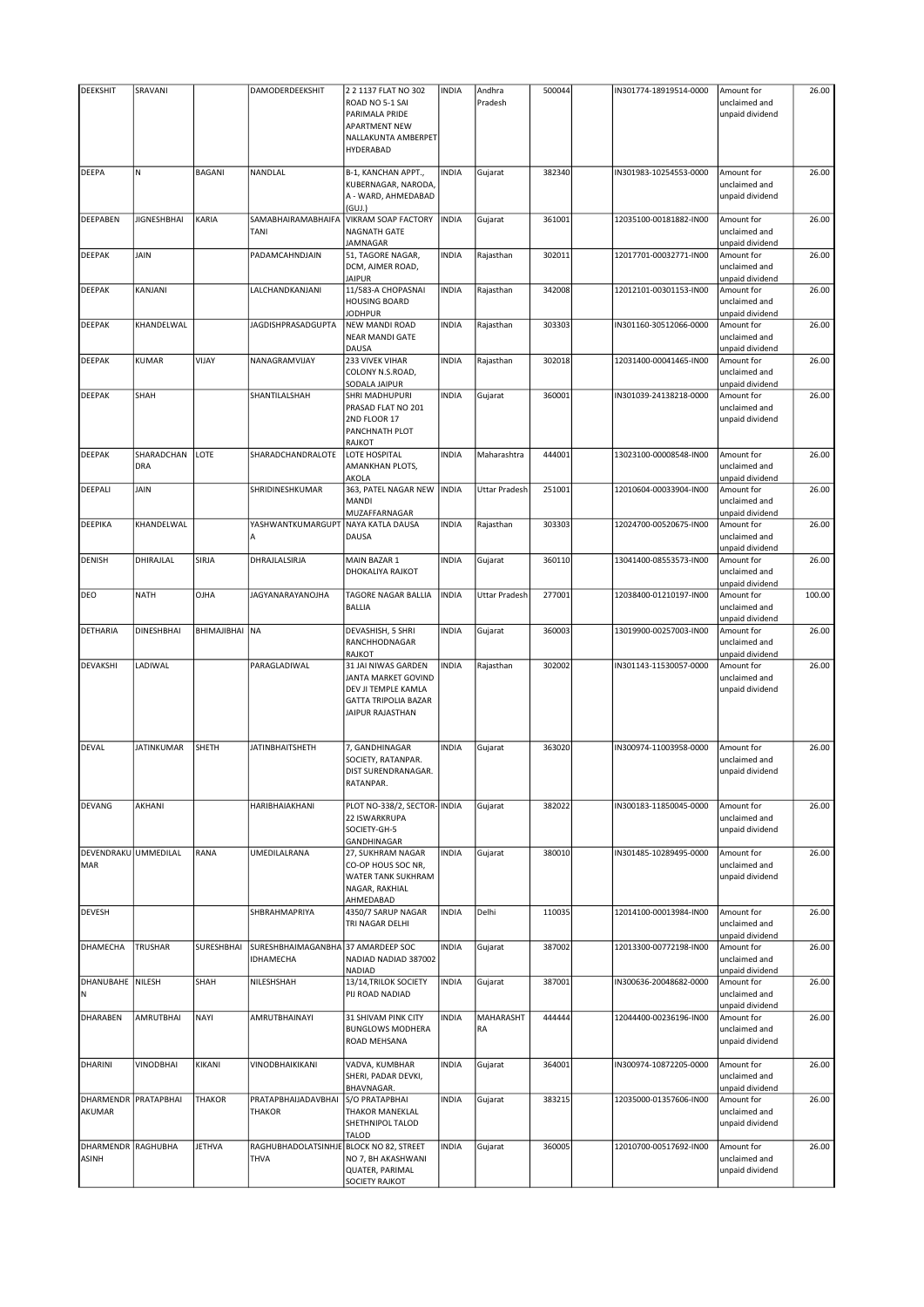| <b>DEEKSHIT</b>                    | SRAVANI            |               | DAMODERDEEKSHIT                                 | 2 2 1137 FLAT NO 302                                                                                                 | <b>INDIA</b> | Andhra               | 500044 | IN301774-18919514-0000 | Amount for                                     | 26.00  |
|------------------------------------|--------------------|---------------|-------------------------------------------------|----------------------------------------------------------------------------------------------------------------------|--------------|----------------------|--------|------------------------|------------------------------------------------|--------|
|                                    |                    |               |                                                 | ROAD NO 5-1 SAI<br>PARIMALA PRIDE<br><b>APARTMENT NEW</b><br>NALLAKUNTA AMBERPET<br>HYDERABAD                        |              | Pradesh              |        |                        | unclaimed and<br>unpaid dividend               |        |
| <b>DEEPA</b>                       | N                  | <b>BAGANI</b> | <b>NANDLAL</b>                                  | B-1, KANCHAN APPT.,<br>KUBERNAGAR, NARODA,<br>A - WARD, AHMEDABAD<br>(GUI.)                                          | <b>INDIA</b> | Gujarat              | 382340 | IN301983-10254553-0000 | Amount for<br>unclaimed and<br>unpaid dividend | 26.00  |
| DEEPABEN                           | <b>JIGNESHBHAI</b> | KARIA         | SAMABHAIRAMABHAIFA<br>TANI                      | <b>VIKRAM SOAP FACTORY</b><br>NAGNATH GATE<br>JAMNAGAR                                                               | <b>INDIA</b> | Gujarat              | 361001 | 12035100-00181882-IN00 | Amount for<br>unclaimed and<br>unpaid dividend | 26.00  |
| <b>DEEPAK</b>                      | JAIN               |               | PADAMCAHNDJAIN                                  | 51, TAGORE NAGAR,<br>DCM, AJMER ROAD,<br><b>JAIPUR</b>                                                               | <b>INDIA</b> | Rajasthan            | 302011 | 12017701-00032771-IN00 | Amount for<br>unclaimed and<br>unpaid dividend | 26.00  |
| DEEPAK                             | KANJANI            |               | LALCHANDKANJANI                                 | 11/583-A CHOPASNAI<br><b>HOUSING BOARD</b><br><b>JODHPUR</b>                                                         | <b>INDIA</b> | Rajasthan            | 342008 | 12012101-00301153-IN00 | Amount for<br>unclaimed and<br>unpaid dividend | 26.00  |
| DEEPAK                             | KHANDELWAL         |               | JAGDISHPRASADGUPTA                              | <b>NEW MANDI ROAD</b><br><b>NEAR MANDI GATE</b><br><b>DAUSA</b>                                                      | <b>INDIA</b> | Rajasthan            | 303303 | IN301160-30512066-0000 | Amount for<br>unclaimed and<br>unpaid dividend | 26.00  |
| <b>DEEPAK</b>                      | <b>KUMAR</b>       | VIJAY         | NANAGRAMVIJAY                                   | 233 VIVEK VIHAR<br>COLONY N.S.ROAD,<br>SODALA JAIPUR                                                                 | <b>INDIA</b> | Rajasthan            | 302018 | 12031400-00041465-IN00 | Amount for<br>unclaimed and<br>unpaid dividend | 26.00  |
| <b>DEEPAK</b>                      | SHAH               |               | SHANTILALSHAH                                   | SHRI MADHUPURI<br>PRASAD FLAT NO 201<br>2ND FLOOR 17<br>PANCHNATH PLOT<br><b>RAJKOT</b>                              | <b>INDIA</b> | Gujarat              | 360001 | IN301039-24138218-0000 | Amount for<br>unclaimed and<br>unpaid dividend | 26.00  |
| <b>DEEPAK</b>                      | SHARADCHAN<br>DRA  | LOTE          | SHARADCHANDRALOTE                               | <b>LOTE HOSPITAL</b><br>AMANKHAN PLOTS,<br>AKOLA                                                                     | <b>INDIA</b> | Maharashtra          | 444001 | 13023100-00008548-IN00 | Amount for<br>unclaimed and<br>unpaid dividend | 26.00  |
| DEEPALI                            | JAIN               |               | SHRIDINESHKUMAR                                 | 363, PATEL NAGAR NEW<br><b>MANDI</b><br>MUZAFFARNAGAR                                                                | <b>INDIA</b> | <b>Uttar Pradesh</b> | 251001 | 12010604-00033904-IN00 | Amount for<br>unclaimed and<br>unpaid dividend | 26.00  |
| <b>DEEPIKA</b>                     | KHANDELWAL         |               | YASHWANTKUMARGUPT<br>A                          | NAYA KATLA DAUSA<br><b>DAUSA</b>                                                                                     | <b>INDIA</b> | Rajasthan            | 303303 | 12024700-00520675-IN00 | Amount for<br>unclaimed and<br>unpaid dividend | 26.00  |
| DENISH                             | DHIRAJLAL          | SIRJA         | DHRAJLALSIRJA                                   | MAIN BAZAR 1<br>DHOKALIYA RAJKOT                                                                                     | <b>INDIA</b> | Gujarat              | 360110 | 13041400-08553573-IN00 | Amount for<br>unclaimed and<br>unpaid dividend | 26.00  |
| <b>DEO</b>                         | <b>NATH</b>        | <b>OJHA</b>   | JAGYANARAYANOJHA                                | TAGORE NAGAR BALLIA<br><b>BALLIA</b>                                                                                 | <b>INDIA</b> | <b>Uttar Pradesh</b> | 277001 | 12038400-01210197-IN00 | Amount for<br>unclaimed and<br>unpaid dividend | 100.00 |
| DETHARIA                           | <b>DINESHBHAI</b>  | BHIMAJIBHAI   | NA                                              | DEVASHISH, 5 SHRI<br>RANCHHODNAGAR<br><b>RAJKOT</b>                                                                  | <b>INDIA</b> | Gujarat              | 360003 | 13019900-00257003-IN00 | Amount for<br>unclaimed and<br>unpaid dividend | 26.00  |
| DEVAKSHI                           | LADIWAL            |               | PARAGLADIWAL                                    | 31 JAI NIWAS GARDEN<br>JANTA MARKET GOVIND<br>DEV JI TEMPLE KAMLA<br><b>GATTA TRIPOLIA BAZAR</b><br>JAIPUR RAJASTHAN | <b>INDIA</b> | Rajasthan            | 302002 | IN301143-11530057-0000 | Amount for<br>unclaimed and<br>unpaid dividend | 26.00  |
| <b>DEVAL</b>                       | <b>JATINKUMAR</b>  | SHETH         | <b>JATINBHAITSHETH</b>                          | 7, GANDHINAGAR<br>SOCIETY, RATANPAR.<br>DIST SURENDRANAGAR.<br>RATANPAR.                                             | <b>INDIA</b> | Gujarat              | 363020 | IN300974-11003958-0000 | Amount for<br>unclaimed and<br>unpaid dividend | 26.00  |
| <b>DEVANG</b>                      | AKHANI             |               | HARIBHAIAKHANI                                  | PLOT NO-338/2, SECTOR- INDIA<br>22 ISWARKRUPA<br>SOCIETY-GH-5<br>GANDHINAGAR                                         |              | Gujarat              | 382022 | IN300183-11850045-0000 | Amount for<br>unclaimed and<br>unpaid dividend | 26.00  |
| DEVENDRAKU UMMEDILAL<br>MAR        |                    | RANA          | UMEDILALRANA                                    | 27, SUKHRAM NAGAR<br>CO-OP HOUS SOC NR,<br>WATER TANK SUKHRAM<br>NAGAR, RAKHIAL<br>AHMEDABAD                         | <b>INDIA</b> | Gujarat              | 380010 | IN301485-10289495-0000 | Amount for<br>unclaimed and<br>unpaid dividend | 26.00  |
| DEVESH                             |                    |               | SHBRAHMAPRIYA                                   | 4350/7 SARUP NAGAR<br>TRI NAGAR DELHI                                                                                | <b>INDIA</b> | Delhi                | 110035 | 12014100-00013984-IN00 | Amount for<br>unclaimed and<br>unpaid dividend | 26.00  |
| DHAMECHA                           | TRUSHAR            | SURESHBHAI    | SURESHBHAIMAGANBHA 37 AMARDEEP SOC<br>IDHAMECHA | NADIAD NADIAD 387002<br>NADIAD                                                                                       | <b>INDIA</b> | Gujarat              | 387002 | 12013300-00772198-IN00 | Amount for<br>unclaimed and<br>unpaid dividend | 26.00  |
| DHANUBAHE NILESH<br>Ν              |                    | SHAH          | NILESHSHAH                                      | 13/14, TRILOK SOCIETY<br>PIJ ROAD NADIAD                                                                             | <b>INDIA</b> | Gujarat              | 387001 | IN300636-20048682-0000 | Amount for<br>unclaimed and<br>unpaid dividend | 26.00  |
| DHARABEN                           | AMRUTBHAI          | <b>NAYI</b>   | AMRUTBHAINAYI                                   | 31 SHIVAM PINK CITY<br><b>BUNGLOWS MODHERA</b><br>ROAD MEHSANA                                                       | <b>INDIA</b> | MAHARASHT<br>RA      | 444444 | 12044400-00236196-IN00 | Amount for<br>unclaimed and<br>unpaid dividend | 26.00  |
| DHARINI                            | VINODBHAI          | KIKANI        | VINODBHAIKIKANI                                 | VADVA, KUMBHAR<br>SHERI, PADAR DEVKI,<br>BHAVNAGAR.                                                                  | <b>INDIA</b> | Gujarat              | 364001 | IN300974-10872205-0000 | Amount for<br>unclaimed and<br>unpaid dividend | 26.00  |
| DHARMENDR PRATAPBHAI<br>AKUMAR     |                    | THAKOR        | PRATAPBHAIJADAVBHAI<br>THAKOR                   | S/O PRATAPBHAI<br>THAKOR MANEKLAL<br>SHETHNIPOL TALOD<br>TALOD                                                       | <b>INDIA</b> | Gujarat              | 383215 | 12035000-01357606-IN00 | Amount for<br>unclaimed and<br>unpaid dividend | 26.00  |
| DHARMENDR RAGHUBHA<br><b>ASINH</b> |                    | <b>JETHVA</b> | RAGHUBHADOLATSINHJE BLOCK NO 82, STREET<br>THVA | NO 7, BH AKASHWANI<br>QUATER, PARIMAL<br>SOCIETY RAJKOT                                                              | <b>INDIA</b> | Gujarat              | 360005 | 12010700-00517692-IN00 | Amount for<br>unclaimed and<br>unpaid dividend | 26.00  |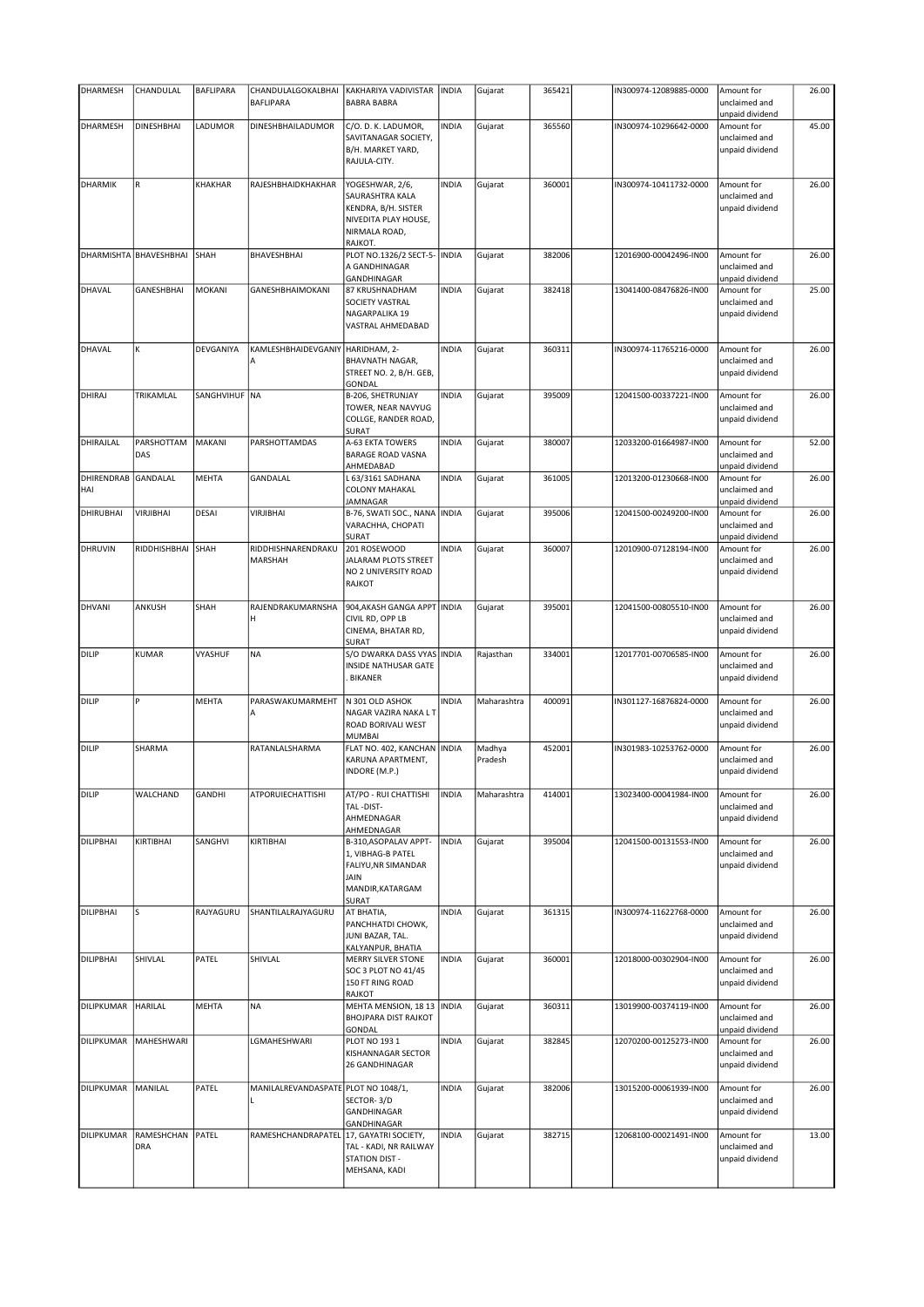| <b>DHARMESH</b>          | CHANDULAL                 | <b>BAFLIPARA</b> | CHANDULALGOKALBHAI<br><b>BAFLIPARA</b> | KAKHARIYA VADIVISTAR<br><b>BABRA BABRA</b>                                                                    | <b>INDIA</b> | Gujarat           | 365421 | IN300974-12089885-0000 | Amount for<br>unclaimed and                    | 26.00 |
|--------------------------|---------------------------|------------------|----------------------------------------|---------------------------------------------------------------------------------------------------------------|--------------|-------------------|--------|------------------------|------------------------------------------------|-------|
|                          |                           |                  |                                        |                                                                                                               |              |                   |        |                        | unpaid dividend                                |       |
| <b>DHARMESH</b>          | <b>DINESHBHAI</b>         | LADUMOR          | DINESHBHAILADUMOR                      | C/O. D. K. LADUMOR,<br>SAVITANAGAR SOCIETY,<br>B/H. MARKET YARD,<br>RAJULA-CITY.                              | <b>INDIA</b> | Gujarat           | 365560 | IN300974-10296642-0000 | Amount for<br>unclaimed and<br>unpaid dividend | 45.00 |
| <b>DHARMIK</b>           | R                         | KHAKHAR          | RAJESHBHAIDKHAKHAR                     | YOGESHWAR, 2/6,<br>SAURASHTRA KALA<br>KENDRA, B/H. SISTER<br>NIVEDITA PLAY HOUSE,<br>NIRMALA ROAD,<br>RAJKOT. | <b>INDIA</b> | Gujarat           | 360001 | IN300974-10411732-0000 | Amount for<br>unclaimed and<br>unpaid dividend | 26.00 |
| DHARMISHTA               | BHAVESHBHAI               | SHAH             | BHAVESHBHAI                            | PLOT NO.1326/2 SECT-5-<br>A GANDHINAGAR<br>GANDHINAGAR                                                        | <b>INDIA</b> | Gujarat           | 382006 | 12016900-00042496-IN00 | Amount for<br>unclaimed and<br>unpaid dividend | 26.00 |
| DHAVAL                   | GANESHBHAI                | MOKANI           | GANESHBHAIMOKANI                       | 87 KRUSHNADHAM<br>SOCIETY VASTRAL<br>NAGARPALIKA 19<br>VASTRAL AHMEDABAD                                      | <b>INDIA</b> | Gujarat           | 382418 | 13041400-08476826-IN00 | Amount for<br>unclaimed and<br>unpaid dividend | 25.00 |
| <b>DHAVAL</b>            | K                         | DEVGANIYA        | KAMLESHBHAIDEVGANIY<br>А               | HARIDHAM, 2-<br>BHAVNATH NAGAR,<br>STREET NO. 2, B/H. GEB,<br>GONDAL                                          | <b>INDIA</b> | Gujarat           | 360311 | IN300974-11765216-0000 | Amount for<br>unclaimed and<br>unpaid dividend | 26.00 |
| DHIRAJ                   | TRIKAMLAL                 | SANGHVIHUF NA    |                                        | B-206, SHETRUNJAY<br>TOWER, NEAR NAVYUG<br>COLLGE, RANDER ROAD,<br>SURAT                                      | <b>INDIA</b> | Gujarat           | 395009 | 12041500-00337221-IN00 | Amount for<br>unclaimed and<br>unpaid dividend | 26.00 |
| DHIRAJLAL                | PARSHOTTAM<br>DAS         | MAKANI           | PARSHOTTAMDAS                          | A-63 EKTA TOWERS<br><b>BARAGE ROAD VASNA</b><br>AHMEDABAD                                                     | <b>INDIA</b> | Gujarat           | 380007 | 12033200-01664987-IN00 | Amount for<br>unclaimed and<br>unpaid dividend | 52.00 |
| <b>DHIRENDRAB</b><br>HAI | GANDALAL                  | <b>MEHTA</b>     | <b>GANDALAL</b>                        | L 63/3161 SADHANA<br><b>COLONY MAHAKAL</b><br>JAMNAGAR                                                        | <b>INDIA</b> | Gujarat           | 361005 | 12013200-01230668-IN00 | Amount for<br>unclaimed and<br>unpaid dividend | 26.00 |
| DHIRUBHAI                | <b>VIRJIBHAI</b>          | <b>DESAI</b>     | <b>VIRJIBHAI</b>                       | B-76, SWATI SOC., NANA<br>VARACHHA, CHOPATI<br>SURAT                                                          | <b>INDIA</b> | Gujarat           | 395006 | 12041500-00249200-IN00 | Amount for<br>unclaimed and<br>unpaid dividend | 26.00 |
| DHRUVIN                  | RIDDHISHBHAI              | SHAH             | RIDDHISHNARENDRAKU<br>MARSHAH          | 201 ROSEWOOD<br>JALARAM PLOTS STREET<br>NO 2 UNIVERSITY ROAD<br>RAJKOT                                        | <b>INDIA</b> | Gujarat           | 360007 | 12010900-07128194-IN00 | Amount for<br>unclaimed and<br>unpaid dividend | 26.00 |
| <b>DHVANI</b>            | ANKUSH                    | SHAH             | RAJENDRAKUMARNSHA<br>н                 | 904, AKASH GANGA APPT INDIA<br>CIVIL RD, OPP LB<br>CINEMA, BHATAR RD,<br>SURAT                                |              | Gujarat           | 395001 | 12041500-00805510-IN00 | Amount for<br>unclaimed and<br>unpaid dividend | 26.00 |
| <b>DILIP</b>             | KUMAR                     | VYASHUF          | <b>NA</b>                              | S/O DWARKA DASS VYAS INDIA<br>INSIDE NATHUSAR GATE<br><b>BIKANER</b>                                          |              | Rajasthan         | 334001 | 12017701-00706585-IN00 | Amount for<br>unclaimed and<br>unpaid dividend | 26.00 |
| <b>DILIP</b>             | Þ                         | <b>MEHTA</b>     | PARASWAKUMARMEHT<br>Α                  | N 301 OLD ASHOK<br>NAGAR VAZIRA NAKA L T<br>ROAD BORIVALI WEST<br>MUMBAI                                      | <b>INDIA</b> | Maharashtra       | 400091 | IN301127-16876824-0000 | Amount for<br>unclaimed and<br>unpaid dividend | 26.00 |
| DILIP                    | SHARMA                    |                  | RATANLALSHARMA                         | FLAT NO. 402, KANCHAN   INDIA<br>KARUNA APARTMENT,<br>INDORE (M.P.)                                           |              | Madhya<br>Pradesh | 452001 | IN301983-10253762-0000 | Amount for<br>unclaimed and<br>unpaid dividend | 26.00 |
| DILIP                    | WALCHAND                  | <b>GANDHI</b>    | ATPORUIECHATTISHI                      | AT/PO - RUI CHATTISHI<br>TAL-DIST-<br>AHMEDNAGAR<br>AHMEDNAGAR                                                | <b>INDIA</b> | Maharashtra       | 414001 | 13023400-00041984-IN00 | Amount for<br>unclaimed and<br>unpaid dividend | 26.00 |
| <b>DILIPBHAI</b>         | KIRTIBHAI                 | SANGHVI          | KIRTIBHAI                              | B-310, ASOPALAV APPT-<br>1, VIBHAG-B PATEL<br>FALIYU, NR SIMANDAR<br>JAIN<br>MANDIR, KATARGAM<br>SURAT        | <b>INDIA</b> | Gujarat           | 395004 | 12041500-00131553-IN00 | Amount for<br>unclaimed and<br>unpaid dividend | 26.00 |
| <b>DILIPBHAI</b>         | S                         | RAJYAGURU        | SHANTILALRAJYAGURU                     | AT BHATIA,<br>PANCHHATDI CHOWK,<br>JUNI BAZAR, TAL.<br>KALYANPUR, BHATIA                                      | <b>INDIA</b> | Gujarat           | 361315 | IN300974-11622768-0000 | Amount for<br>unclaimed and<br>unpaid dividend | 26.00 |
| <b>DILIPBHAI</b>         | SHIVLAL                   | PATEL            | SHIVLAL                                | MERRY SILVER STONE<br>SOC 3 PLOT NO 41/45<br>150 FT RING ROAD<br>RAJKOT                                       | <b>INDIA</b> | Gujarat           | 360001 | 12018000-00302904-IN00 | Amount for<br>unclaimed and<br>unpaid dividend | 26.00 |
| DILIPKUMAR               | HARILAL                   | <b>MEHTA</b>     | <b>NA</b>                              | MEHTA MENSION, 18 13<br>BHOJPARA DIST RAJKOT<br>GONDAL                                                        | <b>INDIA</b> | Gujarat           | 360311 | 13019900-00374119-IN00 | Amount for<br>unclaimed and<br>unpaid dividend | 26.00 |
| DILIPKUMAR               | MAHESHWARI                |                  | LGMAHESHWARI                           | PLOT NO 193 1<br>KISHANNAGAR SECTOR<br>26 GANDHINAGAR                                                         | <b>INDIA</b> | Gujarat           | 382845 | 12070200-00125273-IN00 | Amount for<br>unclaimed and<br>unpaid dividend | 26.00 |
| DILIPKUMAR               | MANILAL                   | PATEL            | MANILALREVANDASPATE PLOT NO 1048/1,    | SECTOR-3/D<br>GANDHINAGAR<br>GANDHINAGAR                                                                      | <b>INDIA</b> | Gujarat           | 382006 | 13015200-00061939-IN00 | Amount for<br>unclaimed and<br>unpaid dividend | 26.00 |
| DILIPKUMAR               | RAMESHCHAN   PATEL<br>DRA |                  | RAMESHCHANDRAPATEL                     | 17, GAYATRI SOCIETY,<br>TAL - KADI, NR RAILWAY<br><b>STATION DIST -</b><br>MEHSANA, KADI                      | <b>INDIA</b> | Gujarat           | 382715 | 12068100-00021491-IN00 | Amount for<br>unclaimed and<br>unpaid dividend | 13.00 |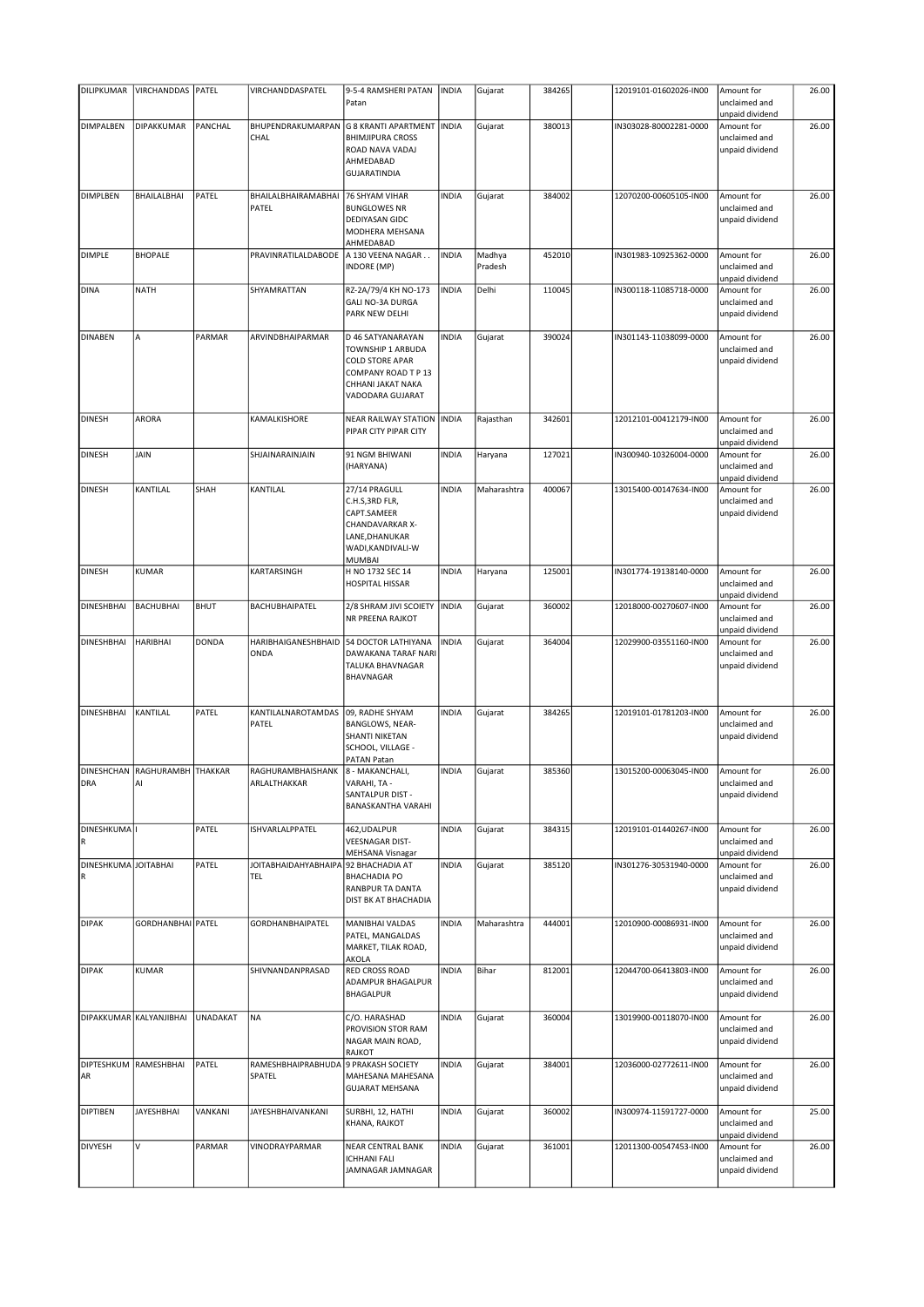| DILIPKUMAR                          | VIRCHANDDAS   PATEL                 |             | VIRCHANDDASPATEL                            | 9-5-4 RAMSHERI PATAN<br>Patan                                                                                                    | <b>INDIA</b> | Gujarat           | 384265 | 12019101-01602026-IN00 | Amount for<br>unclaimed and                    | 26.00 |
|-------------------------------------|-------------------------------------|-------------|---------------------------------------------|----------------------------------------------------------------------------------------------------------------------------------|--------------|-------------------|--------|------------------------|------------------------------------------------|-------|
| DIMPALBEN                           | DIPAKKUMAR                          | PANCHAL     | BHUPENDRAKUMARPAN                           | G 8 KRANTI APARTMENT                                                                                                             | <b>INDIA</b> | Gujarat           | 380013 | IN303028-80002281-0000 | unpaid dividend<br>Amount for                  | 26.00 |
|                                     |                                     |             | CHAL                                        | <b>BHIMJIPURA CROSS</b><br>ROAD NAVA VADAJ<br>AHMEDABAD<br><b>GUJARATINDIA</b>                                                   |              |                   |        |                        | unclaimed and<br>unpaid dividend               |       |
| <b>DIMPLBEN</b>                     | <b>BHAILALBHAI</b>                  | PATEL       | BHAILALBHAIRAMABHAI<br>PATEL                | 76 SHYAM VIHAR<br><b>BUNGLOWES NR</b><br>DEDIYASAN GIDC<br>MODHERA MEHSANA<br>AHMEDABAD                                          | <b>INDIA</b> | Gujarat           | 384002 | 12070200-00605105-IN00 | Amount for<br>unclaimed and<br>unpaid dividend | 26.00 |
| <b>DIMPLE</b>                       | <b>BHOPALE</b>                      |             | PRAVINRATILALDABODE                         | A 130 VEENA NAGAR<br><b>INDORE (MP)</b>                                                                                          | <b>INDIA</b> | Madhya<br>Pradesh | 452010 | IN301983-10925362-0000 | Amount for<br>unclaimed and<br>unpaid dividend | 26.00 |
| <b>DINA</b>                         | <b>NATH</b>                         |             | SHYAMRATTAN                                 | RZ-2A/79/4 KH NO-173<br><b>GALI NO-3A DURGA</b><br>PARK NEW DELHI                                                                | <b>INDIA</b> | Delhi             | 110045 | IN300118-11085718-0000 | Amount for<br>unclaimed and<br>unpaid dividend | 26.00 |
| <b>DINABEN</b>                      | A                                   | PARMAR      | ARVINDBHAIPARMAR                            | D 46 SATYANARAYAN<br>TOWNSHIP 1 ARBUDA<br><b>COLD STORE APAR</b><br>COMPANY ROAD T P 13<br>CHHANI JAKAT NAKA<br>VADODARA GUJARAT | <b>INDIA</b> | Gujarat           | 390024 | IN301143-11038099-0000 | Amount for<br>unclaimed and<br>unpaid dividend | 26.00 |
| <b>DINESH</b>                       | ARORA                               |             | KAMALKISHORE                                | <b>NEAR RAILWAY STATION</b><br>PIPAR CITY PIPAR CITY                                                                             | <b>INDIA</b> | Rajasthan         | 342601 | 12012101-00412179-IN00 | Amount for<br>unclaimed and<br>unpaid dividend | 26.00 |
| <b>DINESH</b>                       | <b>JAIN</b>                         |             | SHJAINARAINJAIN                             | 91 NGM BHIWANI<br>(HARYANA)                                                                                                      | <b>INDIA</b> | Haryana           | 127021 | IN300940-10326004-0000 | Amount for<br>unclaimed and<br>unpaid dividend | 26.00 |
| <b>DINESH</b>                       | KANTILAL                            | SHAH        | KANTILAL                                    | 27/14 PRAGULL<br>C.H.S, 3RD FLR,<br>CAPT.SAMEER<br>CHANDAVARKAR X-<br>LANE, DHANUKAR<br>WADI, KANDIVALI-W<br><b>MUMBAI</b>       | <b>INDIA</b> | Maharashtra       | 400067 | 13015400-00147634-IN00 | Amount for<br>unclaimed and<br>unpaid dividend | 26.00 |
| <b>DINESH</b>                       | <b>KUMAR</b>                        |             | KARTARSINGH                                 | H NO 1732 SEC 14<br><b>HOSPITAL HISSAR</b>                                                                                       | <b>INDIA</b> | Haryana           | 125001 | IN301774-19138140-0000 | Amount for<br>unclaimed and<br>unpaid dividend | 26.00 |
| <b>DINESHBHAI</b>                   | <b>BACHUBHAI</b>                    | <b>BHUT</b> | BACHUBHAIPATEL                              | 2/8 SHRAM JIVI SCOIETY<br>NR PREENA RAJKOT                                                                                       | <b>INDIA</b> | Gujarat           | 360002 | 12018000-00270607-IN00 | Amount for<br>unclaimed and<br>unpaid dividend | 26.00 |
| DINESHBHAI                          | <b>HARIBHAI</b>                     | DONDA       | HARIBHAIGANESHBHAID<br>ONDA                 | 54 DOCTOR LATHIYANA<br>DAWAKANA TARAF NARI<br>TALUKA BHAVNAGAR<br>BHAVNAGAR                                                      | <b>INDIA</b> | Gujarat           | 364004 | 12029900-03551160-IN00 | Amount for<br>unclaimed and<br>unpaid dividend | 26.00 |
| <b>DINESHBHAI</b>                   | KANTILAL                            | PATEL       | KANTILALNAROTAMDAS<br>PATEL                 | 09, RADHE SHYAM<br>BANGLOWS, NEAR-<br>SHANTI NIKETAN<br>SCHOOL, VILLAGE -<br>PATAN Patan                                         | <b>INDIA</b> | Gujarat           | 384265 | 12019101-01781203-IN00 | Amount for<br>unclaimed and<br>unpaid dividend | 26.00 |
| <b>DRA</b>                          | DINESHCHAN RAGHURAMBH THAKKAR<br>AI |             | RAGHURAMBHAISHANK<br>ARLALTHAKKAR           | 8 - MAKANCHALI,<br>VARAHI, TA -<br>SANTALPUR DIST -<br><b>BANASKANTHA VARAHI</b>                                                 | <b>INDIA</b> | Gujarat           | 385360 | 13015200-00063045-IN00 | Amount for<br>unclaimed and<br>unpaid dividend | 26.00 |
| DINESHKUMA I<br>R                   |                                     | PATEL       | ISHVARLALPPATEL                             | 462, UDALPUR<br><b>VEESNAGAR DIST-</b><br><b>MEHSANA Visnagar</b>                                                                | <b>INDIA</b> | Gujarat           | 384315 | 12019101-01440267-IN00 | Amount for<br>unclaimed and<br>unpaid dividend | 26.00 |
| DINESHKUMA JOITABHAI<br>$\mathsf R$ |                                     | PATEL       | JOITABHAIDAHYABHAIPA 92 BHACHADIA AT<br>TEL | <b>BHACHADIA PO</b><br>RANBPUR TA DANTA<br><b>DIST BK AT BHACHADIA</b>                                                           | <b>INDIA</b> | Gujarat           | 385120 | IN301276-30531940-0000 | Amount for<br>unclaimed and<br>unpaid dividend | 26.00 |
| <b>DIPAK</b>                        | GORDHANBHAI PATEL                   |             | <b>GORDHANBHAIPATEL</b>                     | <b>MANIBHAI VALDAS</b><br>PATEL, MANGALDAS<br>MARKET, TILAK ROAD,<br>AKOLA                                                       | <b>INDIA</b> | Maharashtra       | 444001 | 12010900-00086931-IN00 | Amount for<br>unclaimed and<br>unpaid dividend | 26.00 |
| <b>DIPAK</b>                        | <b>KUMAR</b>                        |             | SHIVNANDANPRASAD                            | <b>RED CROSS ROAD</b><br>ADAMPUR BHAGALPUR<br><b>BHAGALPUR</b>                                                                   | <b>INDIA</b> | Bihar             | 812001 | 12044700-06413803-IN00 | Amount for<br>unclaimed and<br>unpaid dividend | 26.00 |
|                                     | DIPAKKUMAR KALYANJIBHAI             | UNADAKAT    | NA                                          | C/O. HARASHAD<br>PROVISION STOR RAM<br>NAGAR MAIN ROAD,<br><b>RAJKOT</b>                                                         | <b>INDIA</b> | Gujarat           | 360004 | 13019900-00118070-IN00 | Amount for<br>unclaimed and<br>unpaid dividend | 26.00 |
| DIPTESHKUM<br>AR                    | RAMESHBHAI                          | PATEL       | RAMESHBHAIPRABHUDA<br>SPATEL                | 9 PRAKASH SOCIETY<br>MAHESANA MAHESANA<br><b>GUJARAT MEHSANA</b>                                                                 | <b>INDIA</b> | Gujarat           | 384001 | 12036000-02772611-IN00 | Amount for<br>unclaimed and<br>unpaid dividend | 26.00 |
| <b>DIPTIBEN</b>                     | <b>JAYESHBHAI</b>                   | VANKANI     | <b>JAYESHBHAIVANKANI</b>                    | SURBHI, 12, HATHI<br>KHANA, RAJKOT                                                                                               | <b>INDIA</b> | Gujarat           | 360002 | IN300974-11591727-0000 | Amount for<br>unclaimed and<br>unpaid dividend | 25.00 |
| <b>DIVYESH</b>                      | V                                   | PARMAR      | VINODRAYPARMAR                              | <b>NEAR CENTRAL BANK</b><br><b>ICHHANI FALI</b><br>JAMNAGAR JAMNAGAR                                                             | <b>INDIA</b> | Gujarat           | 361001 | 12011300-00547453-IN00 | Amount for<br>unclaimed and<br>unpaid dividend | 26.00 |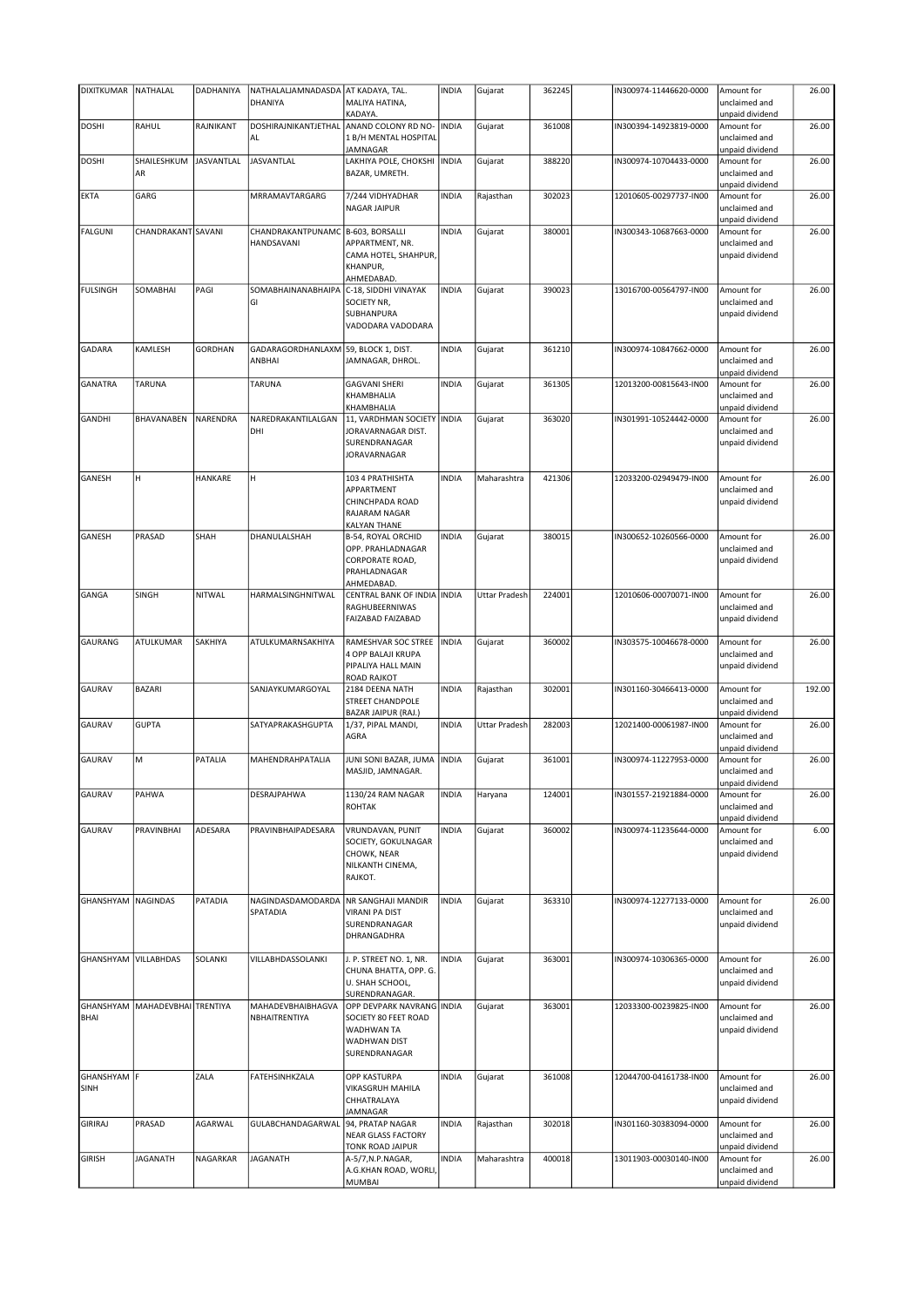| DIXITKUMAR NATHALAL        |                      | DADHANIYA      | NATHALALJAMNADASDA AT KADAYA, TAL. |                                                                                                         | <b>INDIA</b> | Gujarat              | 362245 | IN300974-11446620-0000 | Amount for                                     | 26.00  |
|----------------------------|----------------------|----------------|------------------------------------|---------------------------------------------------------------------------------------------------------|--------------|----------------------|--------|------------------------|------------------------------------------------|--------|
|                            |                      |                | DHANIYA                            | MALIYA HATINA,<br>KADAYA.                                                                               |              |                      |        |                        | unclaimed and<br>unpaid dividend               |        |
| <b>DOSHI</b>               | RAHUL                | RAJNIKANT      | DOSHIRAJNIKANTJETHAL               | ANAND COLONY RD NO-                                                                                     | <b>INDIA</b> | Gujarat              | 361008 | IN300394-14923819-0000 | Amount for                                     | 26.00  |
|                            |                      |                | AL                                 | 1 B/H MENTAL HOSPITAL<br><b>JAMNAGAR</b>                                                                |              |                      |        |                        | unclaimed and                                  |        |
| <b>DOSHI</b>               | SHAILESHKUM          | JASVANTLAL     | <b>JASVANTLAL</b>                  | LAKHIYA POLE, CHOKSHI                                                                                   | <b>INDIA</b> | Gujarat              | 388220 | IN300974-10704433-0000 | unpaid dividend<br>Amount for                  | 26.00  |
|                            | AR                   |                |                                    | BAZAR, UMRETH.                                                                                          |              |                      |        |                        | unclaimed and<br>unpaid dividend               |        |
| EKTA                       | GARG                 |                | MRRAMAVTARGARG                     | 7/244 VIDHYADHAR<br><b>NAGAR JAIPUR</b>                                                                 | <b>INDIA</b> | Rajasthan            | 302023 | 12010605-00297737-IN00 | Amount for<br>unclaimed and<br>unpaid dividend | 26.00  |
| <b>FALGUNI</b>             | CHANDRAKANT SAVANI   |                | CHANDRAKANTPUNAMC                  | B-603, BORSALLI                                                                                         | <b>INDIA</b> | Gujarat              | 380001 | IN300343-10687663-0000 | Amount for                                     | 26.00  |
|                            |                      |                | HANDSAVANI                         | APPARTMENT, NR.<br>CAMA HOTEL, SHAHPUR,<br>KHANPUR,<br>AHMEDABAD.                                       |              |                      |        |                        | unclaimed and<br>unpaid dividend               |        |
| <b>FULSINGH</b>            | SOMABHAI             | PAGI           | SOMABHAINANABHAIPA<br>GI           | C-18, SIDDHI VINAYAK<br>SOCIETY NR,<br>SUBHANPURA<br>VADODARA VADODARA                                  | <b>INDIA</b> | Gujarat              | 390023 | 13016700-00564797-IN00 | Amount for<br>unclaimed and<br>unpaid dividend | 26.00  |
| <b>GADARA</b>              | KAMLESH              | <b>GORDHAN</b> | GADARAGORDHANLAXM<br>ANBHAI        | 59, BLOCK 1, DIST.<br>JAMNAGAR, DHROL.                                                                  | <b>INDIA</b> | Gujarat              | 361210 | IN300974-10847662-0000 | Amount for<br>unclaimed and<br>unpaid dividend | 26.00  |
| <b>GANATRA</b>             | TARUNA               |                | TARUNA                             | <b>GAGVANI SHERI</b><br>KHAMBHALIA<br>KHAMBHALIA                                                        | <b>INDIA</b> | Gujarat              | 361305 | 12013200-00815643-IN00 | Amount for<br>unclaimed and<br>unpaid dividend | 26.00  |
| <b>GANDHI</b>              | BHAVANABEN           | NARENDRA       | NAREDRAKANTILALGAN<br>DHI          | 11, VARDHMAN SOCIETY INDIA<br>JORAVARNAGAR DIST.<br>SURENDRANAGAR<br>JORAVARNAGAR                       |              | Gujarat              | 363020 | IN301991-10524442-0000 | Amount for<br>unclaimed and<br>unpaid dividend | 26.00  |
| GANESH                     | H                    | HANKARE        | H                                  | 103 4 PRATHISHTA<br>APPARTMENT<br>CHINCHPADA ROAD<br>RAJARAM NAGAR<br><b>KALYAN THANE</b>               | <b>INDIA</b> | Maharashtra          | 421306 | 12033200-02949479-IN00 | Amount for<br>unclaimed and<br>unpaid dividend | 26.00  |
| GANESH                     | PRASAD               | SHAH           | DHANULALSHAH                       | B-54, ROYAL ORCHID<br>OPP. PRAHLADNAGAR<br>CORPORATE ROAD,<br>PRAHLADNAGAR<br>AHMEDABAD.                | <b>INDIA</b> | Gujarat              | 380015 | IN300652-10260566-0000 | Amount for<br>unclaimed and<br>unpaid dividend | 26.00  |
| GANGA                      | SINGH                | NITWAL         | HARMALSINGHNITWAL                  | CENTRAL BANK OF INDIA INDIA<br>RAGHUBEERNIWAS<br><b>FAIZABAD FAIZABAD</b>                               |              | <b>Uttar Pradesh</b> | 224001 | 12010606-00070071-IN00 | Amount for<br>unclaimed and<br>unpaid dividend | 26.00  |
| GAURANG                    | ATULKUMAR            | SAKHIYA        | ATULKUMARNSAKHIYA                  | RAMESHVAR SOC STREE<br>4 OPP BALAJI KRUPA<br>PIPALIYA HALL MAIN<br><b>ROAD RAJKOT</b>                   | <b>INDIA</b> | Gujarat              | 360002 | IN303575-10046678-0000 | Amount for<br>unclaimed and<br>unpaid dividend | 26.00  |
| GAURAV                     | <b>BAZARI</b>        |                | SANJAYKUMARGOYAL                   | 2184 DEENA NATH<br><b>STREET CHANDPOLE</b><br><b>BAZAR JAIPUR (RAJ.)</b>                                | <b>INDIA</b> | Rajasthan            | 302001 | IN301160-30466413-0000 | Amount for<br>unclaimed and<br>unpaid dividend | 192.00 |
| GAURAV                     | <b>GUPTA</b>         |                | SATYAPRAKASHGUPTA                  | 1/37, PIPAL MANDI,<br>AGRA                                                                              | <b>INDIA</b> | <b>Uttar Pradesh</b> | 282003 | 12021400-00061987-IN00 | Amount for<br>unclaimed and<br>unpaid dividend | 26.00  |
| GAURAV                     | M                    | PATALIA        | MAHENDRAHPATALIA                   | JUNI SONI BAZAR, JUMA<br>MASJID, JAMNAGAR.                                                              | <b>INDIA</b> | Gujarat              | 361001 | IN300974-11227953-0000 | Amount for<br>unclaimed and<br>unpaid dividend | 26.00  |
| GAURAV                     | PAHWA                |                | DESRAJPAHWA                        | 1130/24 RAM NAGAR<br><b>ROHTAK</b>                                                                      | <b>INDIA</b> | Haryana              | 124001 | IN301557-21921884-0000 | Amount for<br>unclaimed and<br>unpaid dividend | 26.00  |
| GAURAV                     | PRAVINBHAI           | ADESARA        | PRAVINBHAIPADESARA                 | VRUNDAVAN, PUNIT<br>SOCIETY, GOKULNAGAR<br>CHOWK, NEAR<br>NILKANTH CINEMA,<br>RAJKOT.                   | <b>INDIA</b> | Gujarat              | 360002 | IN300974-11235644-0000 | Amount for<br>unclaimed and<br>unpaid dividend | 6.00   |
| GHANSHYAM NAGINDAS         |                      | <b>PATADIA</b> | NAGINDASDAMODARDA<br>SPATADIA      | NR SANGHAJI MANDIR<br><b>VIRANI PA DIST</b><br>SURENDRANAGAR<br>DHRANGADHRA                             | <b>INDIA</b> | Gujarat              | 363310 | IN300974-12277133-0000 | Amount for<br>unclaimed and<br>unpaid dividend | 26.00  |
| GHANSHYAM VILLABHDAS       |                      | SOLANKI        | <b>VILLABHDASSOLANKI</b>           | J. P. STREET NO. 1, NR.<br>CHUNA BHATTA, OPP. G.<br>U. SHAH SCHOOL,<br>SURENDRANAGAR.                   | <b>INDIA</b> | Gujarat              | 363001 | IN300974-10306365-0000 | Amount for<br>unclaimed and<br>unpaid dividend | 26.00  |
| GHANSHYAM<br>BHAI          | MAHADEVBHAI TRENTIYA |                | MAHADEVBHAIBHAGVA<br>NBHAITRENTIYA | OPP DEVPARK NAVRANG INDIA<br>SOCIETY 80 FEET ROAD<br>WADHWAN TA<br><b>WADHWAN DIST</b><br>SURENDRANAGAR |              | Gujarat              | 363001 | 12033300-00239825-IN00 | Amount for<br>unclaimed and<br>unpaid dividend | 26.00  |
| GHANSHYAM F<br><b>SINH</b> |                      | ZALA           | FATEHSINHKZALA                     | OPP KASTURPA<br><b>VIKASGRUH MAHILA</b><br>CHHATRALAYA<br>JAMNAGAR                                      | <b>INDIA</b> | Gujarat              | 361008 | 12044700-04161738-IN00 | Amount for<br>unclaimed and<br>unpaid dividend | 26.00  |
| <b>GIRIRAJ</b>             | PRASAD               | AGARWAL        | GULABCHANDAGARWAL                  | 94, PRATAP NAGAR<br><b>NEAR GLASS FACTORY</b><br>TONK ROAD JAIPUR                                       | <b>INDIA</b> | Rajasthan            | 302018 | IN301160-30383094-0000 | Amount for<br>unclaimed and<br>unpaid dividend | 26.00  |
| <b>GIRISH</b>              | <b>JAGANATH</b>      | NAGARKAR       | <b>JAGANATH</b>                    | A-5/7, N.P. NAGAR,<br>A.G.KHAN ROAD, WORLI,<br><b>MUMBAI</b>                                            | <b>INDIA</b> | Maharashtra          | 400018 | 13011903-00030140-IN00 | Amount for<br>unclaimed and<br>unpaid dividend | 26.00  |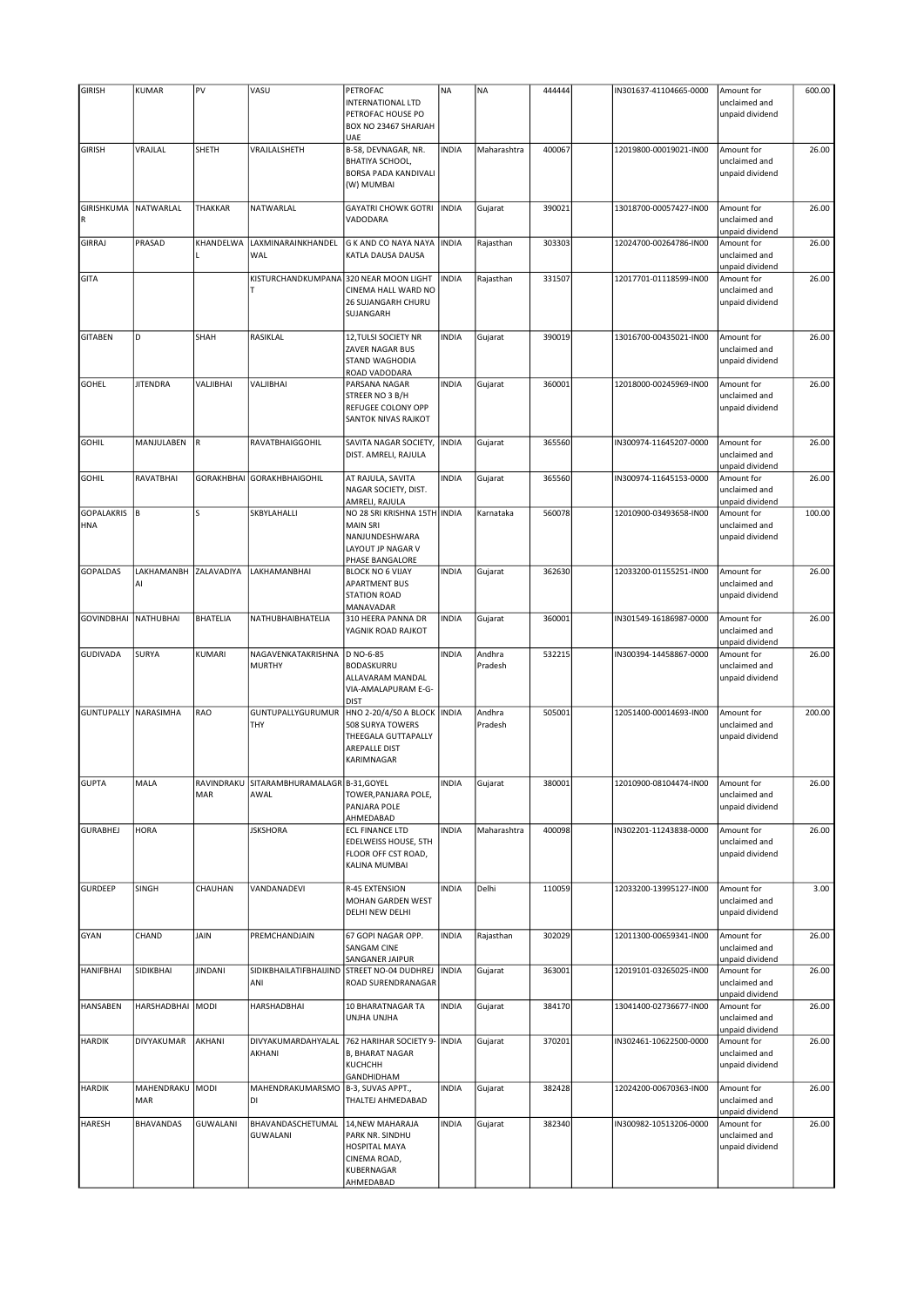| <b>GIRISH</b>                   | KUMAR                  | PV                | VASU                                              | PETROFAC<br>INTERNATIONAL LTD<br>PETROFAC HOUSE PO<br>BOX NO 23467 SHARJAH<br>UAE                         | <b>NA</b>    | <b>NA</b>         | 444444 | IN301637-41104665-0000 | Amount for<br>unclaimed and<br>unpaid dividend | 600.00 |
|---------------------------------|------------------------|-------------------|---------------------------------------------------|-----------------------------------------------------------------------------------------------------------|--------------|-------------------|--------|------------------------|------------------------------------------------|--------|
| <b>GIRISH</b>                   | VRAJLAL                | SHETH             | VRAJLALSHETH                                      | B-58, DEVNAGAR, NR.<br><b>BHATIYA SCHOOL,</b><br>BORSA PADA KANDIVALI<br>(W) MUMBAI                       | <b>INDIA</b> | Maharashtra       | 400067 | 12019800-00019021-IN00 | Amount for<br>unclaimed and<br>unpaid dividend | 26.00  |
| GIRISHKUMA<br>R                 | NATWARLAL              | <b>THAKKAR</b>    | NATWARLAL                                         | <b>GAYATRI CHOWK GOTRI</b><br>VADODARA                                                                    | <b>INDIA</b> | Gujarat           | 390021 | 13018700-00057427-IN00 | Amount for<br>unclaimed and<br>unpaid dividend | 26.00  |
| <b>GIRRAJ</b>                   | PRASAD                 | KHANDELWA         | LAXMINARAINKHANDEL<br>WAL                         | G K AND CO NAYA NAYA<br>KATLA DAUSA DAUSA                                                                 | <b>INDIA</b> | Rajasthan         | 303303 | 12024700-00264786-IN00 | Amount for<br>unclaimed and<br>unpaid dividend | 26.00  |
| GITA                            |                        |                   | KISTURCHANDKUMPANA<br>T                           | 320 NEAR MOON LIGHT<br>CINEMA HALL WARD NO<br>26 SUJANGARH CHURU<br>SUJANGARH                             | <b>INDIA</b> | Rajasthan         | 331507 | 12017701-01118599-IN00 | Amount for<br>unclaimed and<br>unpaid dividend | 26.00  |
| <b>GITABEN</b>                  | D                      | SHAH              | RASIKLAL                                          | 12, TULSI SOCIETY NR<br>ZAVER NAGAR BUS<br>STAND WAGHODIA<br>ROAD VADODARA                                | <b>INDIA</b> | Gujarat           | 390019 | 13016700-00435021-IN00 | Amount for<br>unclaimed and<br>unpaid dividend | 26.00  |
| GOHEL                           | <b>JITENDRA</b>        | VALJIBHAI         | VALJIBHAI                                         | PARSANA NAGAR<br>STREER NO 3 B/H<br>REFUGEE COLONY OPP<br>SANTOK NIVAS RAJKOT                             | <b>INDIA</b> | Gujarat           | 360001 | 12018000-00245969-IN00 | Amount for<br>unclaimed and<br>unpaid dividend | 26.00  |
| <b>GOHIL</b>                    | MANJULABEN             | R                 | RAVATBHAIGGOHIL                                   | SAVITA NAGAR SOCIETY,<br>DIST. AMRELI, RAJULA                                                             | <b>INDIA</b> | Gujarat           | 365560 | IN300974-11645207-0000 | Amount for<br>unclaimed and<br>unpaid dividend | 26.00  |
| <b>GOHIL</b>                    | RAVATBHAI              | <b>GORAKHBHAI</b> | <b>GORAKHBHAIGOHIL</b>                            | AT RAJULA, SAVITA<br>NAGAR SOCIETY, DIST.<br>AMRELI, RAJULA                                               | <b>INDIA</b> | Gujarat           | 365560 | IN300974-11645153-0000 | Amount for<br>unclaimed and<br>unpaid dividend | 26.00  |
| <b>GOPALAKRIS</b><br><b>HNA</b> | B                      | Ś                 | SKBYLAHALLI                                       | NO 28 SRI KRISHNA 15TH INDIA<br><b>MAIN SRI</b><br>NANJUNDESHWARA<br>LAYOUT JP NAGAR V<br>PHASE BANGALORE |              | Karnataka         | 560078 | 12010900-03493658-IN00 | Amount for<br>unclaimed and<br>unpaid dividend | 100.00 |
| <b>GOPALDAS</b>                 | LAKHAMANBH<br>Al       | ZALAVADIYA        | LAKHAMANBHAI                                      | <b>BLOCK NO 6 VIJAY</b><br><b>APARTMENT BUS</b><br><b>STATION ROAD</b><br>MANAVADAR                       | <b>INDIA</b> | Gujarat           | 362630 | 12033200-01155251-IN00 | Amount for<br>unclaimed and<br>unpaid dividend | 26.00  |
| <b>GOVINDBHAI</b>               | NATHUBHAI              | <b>BHATELIA</b>   | NATHUBHAIBHATELIA                                 | 310 HEERA PANNA DR<br>YAGNIK ROAD RAJKOT                                                                  | <b>INDIA</b> | Gujarat           | 360001 | IN301549-16186987-0000 | Amount for<br>unclaimed and<br>unpaid dividend | 26.00  |
| <b>GUDIVADA</b>                 | SURYA                  | KUMARI            | NAGAVENKATAKRISHNA<br><b>MURTHY</b>               | D NO-6-85<br><b>BODASKURRU</b><br>ALLAVARAM MANDAL<br>VIA-AMALAPURAM E-G-<br><b>DIST</b>                  | <b>INDIA</b> | Andhra<br>Pradesh | 532215 | IN300394-14458867-0000 | Amount for<br>unclaimed and<br>unpaid dividend | 26.00  |
| <b>GUNTUPALLY NARASIMHA</b>     |                        | RAO               | GUNTUPALLYGURUMUR<br>THY                          | HNO 2-20/4/50 A BLOCK   INDIA<br>508 SURYA TOWERS<br>THEEGALA GUTTAPALLY<br>AREPALLE DIST<br>KARIMNAGAR   |              | Andhra<br>Pradesh | 505001 | 12051400-00014693-IN00 | Amount for<br>unclaimed and<br>unpaid dividend | 200.00 |
| <b>GUPTA</b>                    | MALA                   | MAR               | RAVINDRAKU  SITARAMBHURAMALAGR B-31,GOYEL<br>AWAL | TOWER, PANJARA POLE,<br>PANJARA POLE<br>AHMEDABAD                                                         | INDIA        | Gujarat           | 380001 | 12010900-08104474-IN00 | Amount for<br>unclaimed and<br>unpaid dividend | 26.00  |
| <b>GURABHEJ</b>                 | <b>HORA</b>            |                   | <b>JSKSHORA</b>                                   | <b>ECL FINANCE LTD</b><br>EDELWEISS HOUSE, 5TH<br>FLOOR OFF CST ROAD,<br>KALINA MUMBAI                    | <b>INDIA</b> | Maharashtra       | 400098 | IN302201-11243838-0000 | Amount for<br>unclaimed and<br>unpaid dividend | 26.00  |
| <b>GURDEEP</b>                  | <b>SINGH</b>           | CHAUHAN           | VANDANADEVI                                       | R-45 EXTENSION<br>MOHAN GARDEN WEST<br>DELHI NEW DELHI                                                    | <b>INDIA</b> | Delhi             | 110059 | 12033200-13995127-IN00 | Amount for<br>unclaimed and<br>unpaid dividend | 3.00   |
| <b>GYAN</b>                     | CHAND                  | JAIN              | PREMCHANDJAIN                                     | 67 GOPI NAGAR OPP.<br>SANGAM CINE<br>SANGANER JAIPUR                                                      | <b>INDIA</b> | Rajasthan         | 302029 | 12011300-00659341-IN00 | Amount for<br>unclaimed and<br>unpaid dividend | 26.00  |
| <b>HANIFBHAI</b>                | SIDIKBHAI              | <b>JINDANI</b>    | SIDIKBHAILATIFBHAIJIND<br>ANI                     | STREET NO-04 DUDHREJ<br>ROAD SURENDRANAGAR                                                                | <b>INDIA</b> | Gujarat           | 363001 | 12019101-03265025-IN00 | Amount for<br>unclaimed and<br>unpaid dividend | 26.00  |
| <b>HANSABEN</b>                 | HARSHADBHAI MODI       |                   | HARSHADBHAI                                       | 10 BHARATNAGAR TA<br>UNJHA UNJHA                                                                          | <b>INDIA</b> | Gujarat           | 384170 | 13041400-02736677-IN00 | Amount for<br>unclaimed and<br>unpaid dividend | 26.00  |
| <b>HARDIK</b>                   | DIVYAKUMAR             | AKHANI            | DIVYAKUMARDAHYALAL<br>AKHANI                      | 762 HARIHAR SOCIETY 9- INDIA<br><b>B, BHARAT NAGAR</b><br><b>КUCHCHH</b><br>GANDHIDHAM                    |              | Gujarat           | 370201 | IN302461-10622500-0000 | Amount for<br>unclaimed and<br>unpaid dividend | 26.00  |
| <b>HARDIK</b>                   | MAHENDRAKU MODI<br>MAR |                   | MAHENDRAKUMARSMO<br>DI                            | B-3, SUVAS APPT.,<br>THALTEJ AHMEDABAD                                                                    | <b>INDIA</b> | Gujarat           | 382428 | 12024200-00670363-IN00 | Amount for<br>unclaimed and<br>unpaid dividend | 26.00  |
| <b>HARESH</b>                   | <b>BHAVANDAS</b>       | <b>GUWALANI</b>   | BHAVANDASCHETUMAL<br>GUWALANI                     | 14, NEW MAHARAJA<br>PARK NR. SINDHU<br>HOSPITAL MAYA<br>CINEMA ROAD,<br>KUBERNAGAR<br>AHMEDABAD           | <b>INDIA</b> | Gujarat           | 382340 | IN300982-10513206-0000 | Amount for<br>unclaimed and<br>unpaid dividend | 26.00  |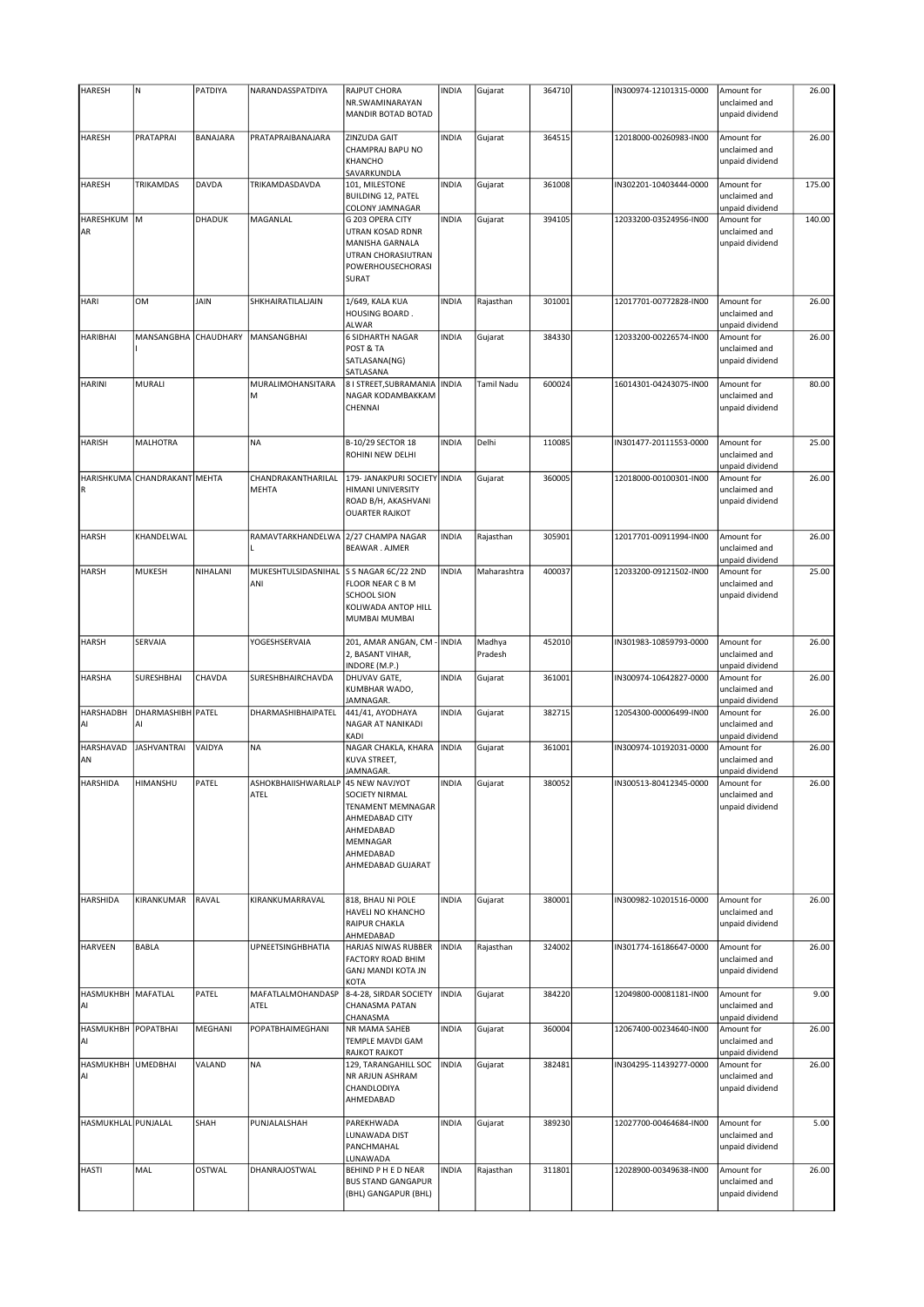| <b>HARESH</b>             | $\mathsf{N}$                 | PATDIYA   | NARANDASSPATDIYA                           | RAJPUT CHORA<br>NR.SWAMINARAYAN                                                                                  | <b>INDIA</b> | Gujarat           | 364710 | IN300974-12101315-0000 | Amount for<br>unclaimed and                    | 26.00  |
|---------------------------|------------------------------|-----------|--------------------------------------------|------------------------------------------------------------------------------------------------------------------|--------------|-------------------|--------|------------------------|------------------------------------------------|--------|
|                           |                              |           |                                            | MANDIR BOTAD BOTAD                                                                                               |              |                   |        |                        | unpaid dividend                                |        |
| HARESH                    | PRATAPRAI                    | BANAJARA  | PRATAPRAIBANAJARA                          | ZINZUDA GAIT<br>CHAMPRAJ BAPU NO<br>KHANCHO<br>SAVARKUNDLA                                                       | <b>INDIA</b> | Gujarat           | 364515 | 12018000-00260983-IN00 | Amount for<br>unclaimed and<br>unpaid dividend | 26.00  |
| HARESH                    | TRIKAMDAS                    | DAVDA     | TRIKAMDASDAVDA                             | 101, MILESTONE<br><b>BUILDING 12, PATEL</b><br>COLONY JAMNAGAR                                                   | <b>INDIA</b> | Gujarat           | 361008 | IN302201-10403444-0000 | Amount for<br>unclaimed and<br>unpaid dividend | 175.00 |
| HARESHKUM M<br>AR         |                              | DHADUK    | MAGANLAL                                   | G 203 OPERA CITY<br>UTRAN KOSAD RDNR<br>MANISHA GARNALA<br>UTRAN CHORASIUTRAN<br>POWERHOUSECHORASI<br>SURAT      | <b>INDIA</b> | Gujarat           | 394105 | 12033200-03524956-IN00 | Amount for<br>unclaimed and<br>unpaid dividend | 140.00 |
| <b>HARI</b>               | <b>OM</b>                    | JAIN      | SHKHAIRATILALJAIN                          | 1/649, KALA KUA<br>HOUSING BOARD.<br>ALWAR                                                                       | <b>INDIA</b> | Rajasthan         | 301001 | 12017701-00772828-IN00 | Amount for<br>unclaimed and<br>unpaid dividend | 26.00  |
| <b>HARIBHAI</b>           | MANSANGBHA                   | CHAUDHARY | MANSANGBHAI                                | <b>6 SIDHARTH NAGAR</b><br>POST & TA<br>SATLASANA(NG)<br>SATLASANA                                               | <b>INDIA</b> | Gujarat           | 384330 | 12033200-00226574-IN00 | Amount for<br>unclaimed and<br>unpaid dividend | 26.00  |
| <b>HARINI</b>             | MURALI                       |           | MURALIMOHANSITARA<br>M                     | 8   STREET, SUBRAMANIA<br>NAGAR KODAMBAKKAM<br>CHENNAI                                                           | <b>INDIA</b> | Tamil Nadu        | 600024 | 16014301-04243075-IN00 | Amount for<br>unclaimed and<br>unpaid dividend | 80.00  |
| <b>HARISH</b>             | <b>MALHOTRA</b>              |           | <b>NA</b>                                  | B-10/29 SECTOR 18<br>ROHINI NEW DELHI                                                                            | <b>INDIA</b> | Delhi             | 110085 | IN301477-20111553-0000 | Amount for<br>unclaimed and<br>unpaid dividend | 25.00  |
| R                         | HARISHKUMA CHANDRAKANT MEHTA |           | CHANDRAKANTHARILAL<br><b>MEHTA</b>         | 179- JANAKPURI SOCIETY INDIA<br>HIMANI UNIVERSITY<br>ROAD B/H, AKASHVANI<br><b>OUARTER RAJKOT</b>                |              | Gujarat           | 360005 | 12018000-00100301-IN00 | Amount for<br>unclaimed and<br>unpaid dividend | 26.00  |
| <b>HARSH</b>              | KHANDELWAL                   |           | RAMAVTARKHANDELWA<br>L                     | 2/27 CHAMPA NAGAR<br>BEAWAR. AJMER                                                                               | <b>INDIA</b> | Rajasthan         | 305901 | 12017701-00911994-IN00 | Amount for<br>unclaimed and<br>unpaid dividend | 26.00  |
| <b>HARSH</b>              | <b>MUKESH</b>                | NIHALANI  | MUKESHTULSIDASNIHAL<br>ANI                 | S S NAGAR 6C/22 2ND<br><b>FLOOR NEAR C B M</b><br><b>SCHOOL SION</b><br>KOLIWADA ANTOP HILL<br>MUMBAI MUMBAI     | <b>INDIA</b> | Maharashtra       | 400037 | 12033200-09121502-IN00 | Amount for<br>unclaimed and<br>unpaid dividend | 25.00  |
| <b>HARSH</b>              | SERVAIA                      |           | YOGESHSERVAIA                              | 201, AMAR ANGAN, CM - INDIA<br>2, BASANT VIHAR,<br>INDORE (M.P.)                                                 |              | Madhya<br>Pradesh | 452010 | IN301983-10859793-0000 | Amount for<br>unclaimed and<br>unpaid dividend | 26.00  |
| <b>HARSHA</b>             | SURESHBHAI                   | CHAVDA    | SURESHBHAIRCHAVDA                          | DHUVAV GATE,<br>KUMBHAR WADO,<br>JAMNAGAR.                                                                       | <b>INDIA</b> | Gujarat           | 361001 | IN300974-10642827-0000 | Amount for<br>unclaimed and<br>unpaid dividend | 26.00  |
| <b>HARSHADBH</b><br>AI    | DHARMASHIBH PATEL<br>AI      |           | DHARMASHIBHAIPATEL                         | 441/41, AYODHAYA<br>NAGAR AT NANIKADI<br>KADI                                                                    | <b>INDIA</b> | Gujarat           | 382715 | 12054300-00006499-IN00 | Amount for<br>unclaimed and<br>unpaid dividend | 26.00  |
| HARSHAVAD<br>AN           | <b>JASHVANTRAI</b>           | VAIDYA    | <b>NA</b>                                  | NAGAR CHAKLA, KHARA<br>KUVA STREET,<br>JAMNAGAR.                                                                 | <b>INDIA</b> | Gujarat           | 361001 | IN300974-10192031-0000 | Amount for<br>unclaimed and<br>unpaid dividend | 26.00  |
| <b>HARSHIDA</b>           | HIMANSHU                     | PATEL     | ASHOKBHAIISHWARLALP 45 NEW NAVJYOT<br>ATEL | SOCIETY NIRMAL<br>TENAMENT MEMNAGAR<br>AHMEDABAD CITY<br>AHMEDABAD<br>MEMNAGAR<br>AHMEDABAD<br>AHMEDABAD GUJARAT | <b>INDIA</b> | Gujarat           | 380052 | IN300513-80412345-0000 | Amount for<br>unclaimed and<br>unpaid dividend | 26.00  |
| <b>HARSHIDA</b>           | KIRANKUMAR                   | RAVAL     | KIRANKUMARRAVAL                            | 818, BHAU NI POLE<br>HAVELI NO KHANCHO<br><b>RAIPUR CHAKLA</b><br>AHMEDABAD                                      | <b>INDIA</b> | Gujarat           | 380001 | IN300982-10201516-0000 | Amount for<br>unclaimed and<br>unpaid dividend | 26.00  |
| <b>HARVEEN</b>            | <b>BABLA</b>                 |           | <b>UPNEETSINGHBHATIA</b>                   | HARJAS NIWAS RUBBER<br><b>FACTORY ROAD BHIM</b><br>GANJ MANDI KOTA JN<br>KOTA                                    | <b>INDIA</b> | Rajasthan         | 324002 | IN301774-16186647-0000 | Amount for<br>unclaimed and<br>unpaid dividend | 26.00  |
| HASMUKHBH MAFATLAL<br>Al  |                              | PATEL     | MAFATLALMOHANDASP<br>ATEL                  | 8-4-28, SIRDAR SOCIETY<br>CHANASMA PATAN<br>CHANASMA                                                             | <b>INDIA</b> | Gujarat           | 384220 | 12049800-00081181-IN00 | Amount for<br>unclaimed and<br>unpaid dividend | 9.00   |
| HASMUKHBH POPATBHAI<br>AI |                              | MEGHANI   | POPATBHAIMEGHANI                           | NR MAMA SAHEB<br>TEMPLE MAVDI GAM<br>RAJKOT RAJKOT                                                               | <b>INDIA</b> | Gujarat           | 360004 | 12067400-00234640-IN00 | Amount for<br>unclaimed and<br>unpaid dividend | 26.00  |
| HASMUKHBH UMEDBHAI<br>AI  |                              | VALAND    | <b>NA</b>                                  | 129, TARANGAHILL SOC<br>NR ARJUN ASHRAM<br>CHANDLODIYA<br>AHMEDABAD                                              | <b>INDIA</b> | Gujarat           | 382481 | IN304295-11439277-0000 | Amount for<br>unclaimed and<br>unpaid dividend | 26.00  |
| HASMUKHLAL PUNJALAL       |                              | SHAH      | PUNJALALSHAH                               | PAREKHWADA<br>LUNAWADA DIST<br>PANCHMAHAL<br>LUNAWADA                                                            | <b>INDIA</b> | Gujarat           | 389230 | 12027700-00464684-IN00 | Amount for<br>unclaimed and<br>unpaid dividend | 5.00   |
| <b>HASTI</b>              | MAL                          | OSTWAL    | DHANRAJOSTWAL                              | BEHIND P H E D NEAR<br><b>BUS STAND GANGAPUR</b><br>(BHL) GANGAPUR (BHL)                                         | <b>INDIA</b> | Rajasthan         | 311801 | 12028900-00349638-IN00 | Amount for<br>unclaimed and<br>unpaid dividend | 26.00  |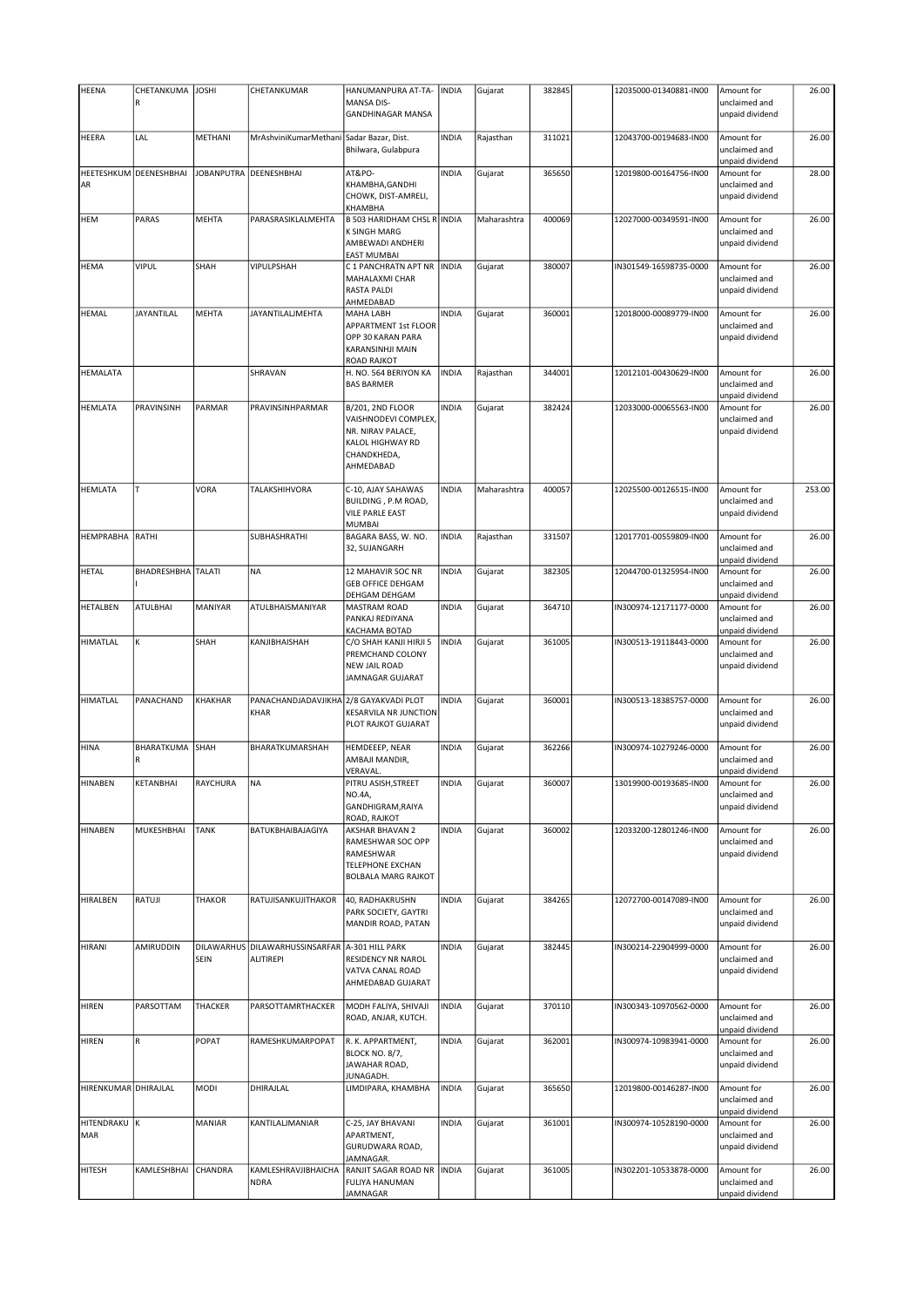| <b>HEENA</b>         | CHETANKUMA             | <b>JOSHI</b> | CHETANKUMAR                                    | HANUMANPURA AT-TA-                                                                                            | <b>INDIA</b> | Gujarat     | 382845 | 12035000-01340881-IN00 | Amount for                                                        | 26.00  |
|----------------------|------------------------|--------------|------------------------------------------------|---------------------------------------------------------------------------------------------------------------|--------------|-------------|--------|------------------------|-------------------------------------------------------------------|--------|
|                      | R                      |              |                                                | <b>MANSA DIS-</b><br><b>GANDHINAGAR MANSA</b>                                                                 |              |             |        |                        | unclaimed and<br>unpaid dividend                                  |        |
| <b>HEERA</b>         | LAL                    | METHANI      | MrAshviniKumarMethani Sadar Bazar, Dist.       | Bhilwara, Gulabpura                                                                                           | <b>INDIA</b> | Rajasthan   | 311021 | 12043700-00194683-IN00 | Amount for<br>unclaimed and                                       | 26.00  |
| AR                   | HEETESHKUM DEENESHBHAI |              | JOBANPUTRA DEENESHBHAI                         | AT&PO-<br>KHAMBHA, GANDHI<br>CHOWK, DIST-AMRELI,<br>KHAMBHA                                                   | <b>INDIA</b> | Gujarat     | 365650 | 12019800-00164756-IN00 | unpaid dividend<br>Amount for<br>unclaimed and<br>unpaid dividend | 28.00  |
| <b>HEM</b>           | PARAS                  | MEHTA        | PARASRASIKLALMEHTA                             | <b>B 503 HARIDHAM CHSL R INDIA</b><br><b>K SINGH MARG</b><br>AMBEWADI ANDHERI<br><b>EAST MUMBAI</b>           |              | Maharashtra | 400069 | 12027000-00349591-IN00 | Amount for<br>unclaimed and<br>unpaid dividend                    | 26.00  |
| HEMA                 | <b>VIPUL</b>           | SHAH         | <b>VIPULPSHAH</b>                              | C 1 PANCHRATN APT NR<br>MAHALAXMI CHAR<br><b>RASTA PALDI</b><br>AHMEDABAD                                     | <b>INDIA</b> | Gujarat     | 380007 | IN301549-16598735-0000 | Amount for<br>unclaimed and<br>unpaid dividend                    | 26.00  |
| <b>HEMAL</b>         | <b>JAYANTILAL</b>      | MEHTA        | JAYANTILALJMEHTA                               | <b>MAHA LABH</b><br>APPARTMENT 1st FLOOR<br>OPP 30 KARAN PARA<br>KARANSINHJI MAIN<br><b>ROAD RAJKOT</b>       | <b>INDIA</b> | Gujarat     | 360001 | 12018000-00089779-IN00 | Amount for<br>unclaimed and<br>unpaid dividend                    | 26.00  |
| HEMALATA             |                        |              | SHRAVAN                                        | H. NO. 564 BERIYON KA<br><b>BAS BARMER</b>                                                                    | <b>INDIA</b> | Rajasthan   | 344001 | 12012101-00430629-IN00 | Amount for<br>unclaimed and<br>unpaid dividend                    | 26.00  |
| <b>HEMLATA</b>       | PRAVINSINH             | PARMAR       | PRAVINSINHPARMAR                               | B/201, 2ND FLOOR<br>VAISHNODEVI COMPLEX,<br>NR. NIRAV PALACE,<br>KALOL HIGHWAY RD<br>CHANDKHEDA,<br>AHMEDABAD | <b>INDIA</b> | Gujarat     | 382424 | 12033000-00065563-IN00 | Amount for<br>unclaimed and<br>unpaid dividend                    | 26.00  |
| <b>HEMLATA</b>       | T                      | VORA         | TALAKSHIHVORA                                  | C-10, AJAY SAHAWAS<br>BUILDING, P.M ROAD,<br><b>VILE PARLE EAST</b><br><b>MUMBAI</b>                          | <b>INDIA</b> | Maharashtra | 400057 | 12025500-00126515-IN00 | Amount for<br>unclaimed and<br>unpaid dividend                    | 253.00 |
| HEMPRABHA            | <b>RATHI</b>           |              | SUBHASHRATHI                                   | BAGARA BASS, W. NO.<br>32, SUJANGARH                                                                          | <b>INDIA</b> | Rajasthan   | 331507 | 12017701-00559809-IN00 | Amount for<br>unclaimed and<br>unpaid dividend                    | 26.00  |
| <b>HETAL</b>         | BHADRESHBHA TALATI     |              | <b>NA</b>                                      | 12 MAHAVIR SOC NR<br><b>GEB OFFICE DEHGAM</b><br>DEHGAM DEHGAM                                                | <b>INDIA</b> | Gujarat     | 382305 | 12044700-01325954-IN00 | Amount for<br>unclaimed and<br>unpaid dividend                    | 26.00  |
| HETALBEN             | <b>ATULBHAI</b>        | MANIYAR      | ATULBHAISMANIYAR                               | <b>MASTRAM ROAD</b><br>PANKAJ REDIYANA<br>KACHAMA BOTAD                                                       | <b>INDIA</b> | Gujarat     | 364710 | IN300974-12171177-0000 | Amount for<br>unclaimed and<br>unpaid dividend                    | 26.00  |
| HIMATLAL             | K                      | SHAH         | KANJIBHAISHAH                                  | C/O SHAH KANJI HIRJI 5<br>PREMCHAND COLONY<br><b>NEW JAIL ROAD</b><br>JAMNAGAR GUJARAT                        | <b>INDIA</b> | Gujarat     | 361005 | IN300513-19118443-0000 | Amount for<br>unclaimed and<br>unpaid dividend                    | 26.00  |
| <b>HIMATLAL</b>      | PANACHAND              | KHAKHAR      | PANACHANDJADAVJIKHA 2/8 GAYAKVADI PLOT<br>KHAR | <b>KESARVILA NR JUNCTION</b><br>PLOT RAJKOT GUJARAT                                                           | <b>INDIA</b> | Gujarat     | 360001 | IN300513-18385757-0000 | Amount for<br>unclaimed and<br>unpaid dividend                    | 26.00  |
| <b>HINA</b>          | <b>BHARATKUMA</b><br>R | SHAH         | BHARATKUMARSHAH                                | HEMDEEEP, NEAR<br>AMBAJI MANDIR,<br>VERAVAL.                                                                  | <b>INDIA</b> | Gujarat     | 362266 | IN300974-10279246-0000 | Amount for<br>unclaimed and<br>unpaid dividend                    | 26.00  |
| <b>HINABEN</b>       | KETANBHAI              | RAYCHURA     | NA                                             | PITRU ASISH, STREET<br><b>NO.4A,</b><br>GANDHIGRAM, RAIYA<br>ROAD, RAJKOT                                     | <b>INDIA</b> | Gujarat     | 360007 | 13019900-00193685-IN00 | Amount for<br>unclaimed and<br>unpaid dividend                    | 26.00  |
| <b>HINABEN</b>       | MUKESHBHAI             | <b>TANK</b>  | BATUKBHAIBAJAGIYA                              | AKSHAR BHAVAN 2<br>RAMESHWAR SOC OPP<br>RAMESHWAR<br>TELEPHONE EXCHAN<br><b>BOLBALA MARG RAJKOT</b>           | <b>INDIA</b> | Gujarat     | 360002 | 12033200-12801246-IN00 | Amount for<br>unclaimed and<br>unpaid dividend                    | 26.00  |
| <b>HIRALBEN</b>      | RATUJI                 | THAKOR       | RATUJISANKUJITHAKOR                            | 40, RADHAKRUSHN<br>PARK SOCIETY, GAYTRI<br>MANDIR ROAD, PATAN                                                 | <b>INDIA</b> | Gujarat     | 384265 | 12072700-00147089-IN00 | Amount for<br>unclaimed and<br>unpaid dividend                    | 26.00  |
| <b>HIRANI</b>        | AMIRUDDIN              | SEIN         | DILAWARHUS DILAWARHUSSINSARFAR<br>ALITIREPI    | A-301 HILL PARK<br>RESIDENCY NR NAROL<br>VATVA CANAL ROAD<br>AHMEDABAD GUJARAT                                | <b>INDIA</b> | Gujarat     | 382445 | IN300214-22904999-0000 | Amount for<br>unclaimed and<br>unpaid dividend                    | 26.00  |
| HIREN                | PARSOTTAM              | THACKER      | PARSOTTAMRTHACKER                              | MODH FALIYA, SHIVAJI<br>ROAD, ANJAR, KUTCH.                                                                   | <b>INDIA</b> | Gujarat     | 370110 | IN300343-10970562-0000 | Amount for<br>unclaimed and<br>unpaid dividend                    | 26.00  |
| <b>HIREN</b>         | R                      | POPAT        | RAMESHKUMARPOPAT                               | R. K. APPARTMENT,<br>BLOCK NO. 8/7,<br>JAWAHAR ROAD,<br>JUNAGADH.                                             | <b>INDIA</b> | Gujarat     | 362001 | IN300974-10983941-0000 | Amount for<br>unclaimed and<br>unpaid dividend                    | 26.00  |
| HIRENKUMAR DHIRAJLAL |                        | MODI         | DHIRAJLAL                                      | LIMDIPARA, KHAMBHA                                                                                            | <b>INDIA</b> | Gujarat     | 365650 | 12019800-00146287-IN00 | Amount for<br>unclaimed and<br>unpaid dividend                    | 26.00  |
| HITENDRAKU K<br>MAR  |                        | MANIAR       | KANTILALJMANIAR                                | C-25, JAY BHAVANI<br>APARTMENT,<br>GURUDWARA ROAD,<br>JAMNAGAR.                                               | <b>INDIA</b> | Gujarat     | 361001 | IN300974-10528190-0000 | Amount for<br>unclaimed and<br>unpaid dividend                    | 26.00  |
| <b>HITESH</b>        | KAMLESHBHAI            | CHANDRA      | KAMLESHRAVJIBHAICHA<br><b>NDRA</b>             | RANJIT SAGAR ROAD NR   INDIA<br><b>FULIYA HANUMAN</b><br>JAMNAGAR                                             |              | Gujarat     | 361005 | IN302201-10533878-0000 | Amount for<br>unclaimed and<br>unpaid dividend                    | 26.00  |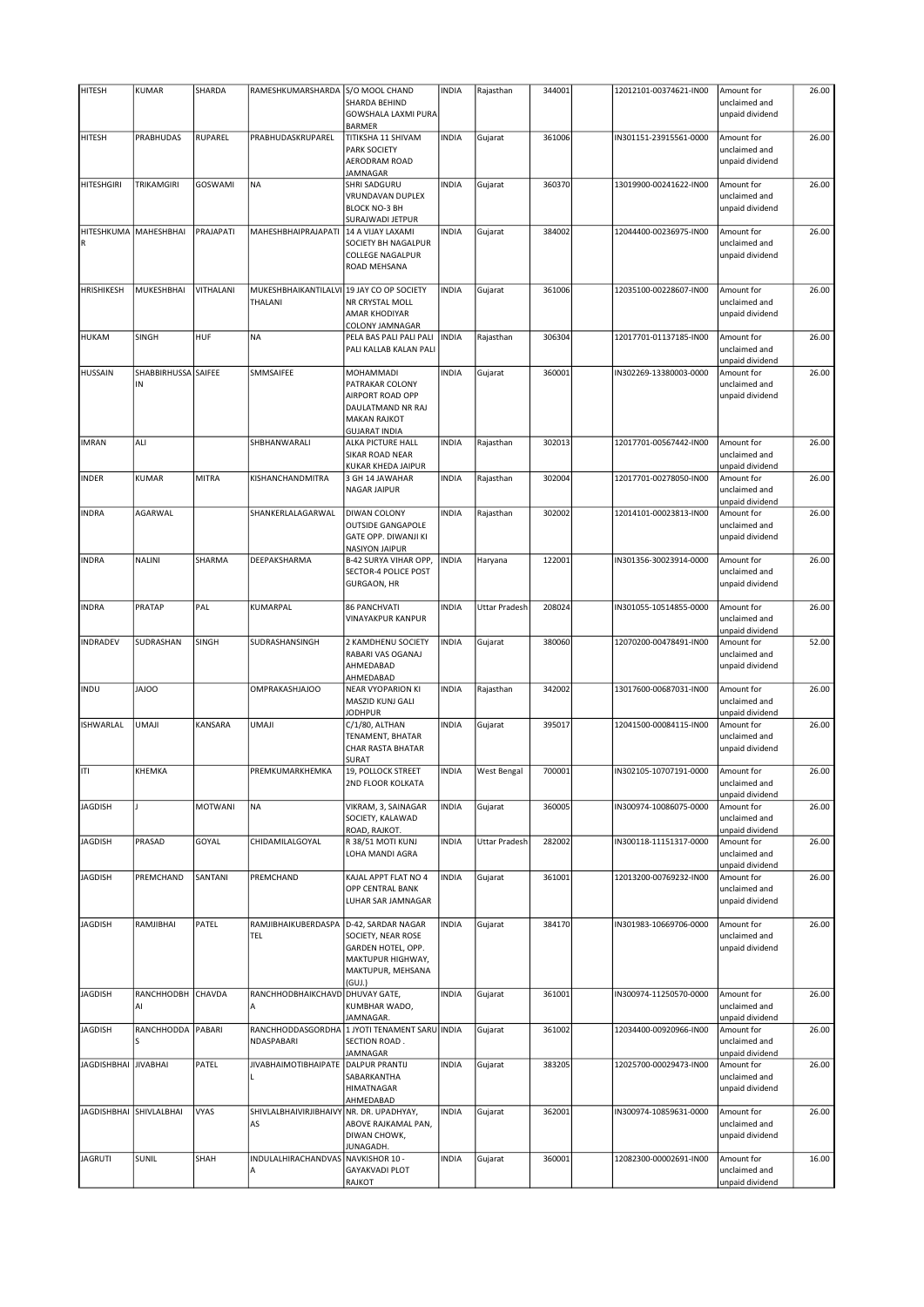| <b>HITESH</b>           |                         |              | RAMESHKUMARSHARDA                                    |                                                                                                                    | <b>INDIA</b> |                      |        |                        | Amount for                                                        |       |
|-------------------------|-------------------------|--------------|------------------------------------------------------|--------------------------------------------------------------------------------------------------------------------|--------------|----------------------|--------|------------------------|-------------------------------------------------------------------|-------|
|                         | <b>KUMAR</b>            | SHARDA       |                                                      | S/O MOOL CHAND<br>SHARDA BEHIND                                                                                    |              | Rajasthan            | 344001 | 12012101-00374621-IN00 | unclaimed and                                                     | 26.00 |
|                         |                         |              |                                                      | GOWSHALA LAXMI PURA<br><b>BARMER</b>                                                                               |              |                      |        |                        | unpaid dividend                                                   |       |
| HITESH                  | PRABHUDAS               | RUPAREL      | PRABHUDASKRUPAREL                                    | TITIKSHA 11 SHIVAM                                                                                                 | <b>INDIA</b> | Gujarat              | 361006 | IN301151-23915561-0000 | Amount for                                                        | 26.00 |
|                         |                         |              |                                                      | <b>PARK SOCIETY</b><br>AERODRAM ROAD<br>JAMNAGAR                                                                   |              |                      |        |                        | unclaimed and<br>unpaid dividend                                  |       |
| HITESHGIRI              | TRIKAMGIRI              | GOSWAMI      | <b>NA</b>                                            | <b>SHRI SADGURU</b>                                                                                                | <b>INDIA</b> | Gujarat              | 360370 | 13019900-00241622-IN00 | Amount for                                                        | 26.00 |
|                         |                         |              |                                                      | VRUNDAVAN DUPLEX<br><b>BLOCK NO-3 BH</b><br>SURAJWADI JETPUR                                                       |              |                      |        |                        | unclaimed and<br>unpaid dividend                                  |       |
|                         | HITESHKUMA MAHESHBHAI   | PRAJAPATI    | MAHESHBHAIPRAJAPATI                                  | 14 A VIJAY LAXAMI                                                                                                  | <b>INDIA</b> | Gujarat              | 384002 | 12044400-00236975-IN00 | Amount for                                                        | 26.00 |
| $\mathsf R$             |                         |              |                                                      | SOCIETY BH NAGALPUR<br><b>COLLEGE NAGALPUR</b><br><b>ROAD MEHSANA</b>                                              |              |                      |        |                        | unclaimed and<br>unpaid dividend                                  |       |
| <b>HRISHIKESH</b>       | MUKESHBHAI              | VITHALANI    | MUKESHBHAIKANTILALVI 19 JAY CO OP SOCIETY<br>THALANI | NR CRYSTAL MOLL<br>AMAR KHODIYAR<br>COLONY JAMNAGAR                                                                | <b>INDIA</b> | Gujarat              | 361006 | 12035100-00228607-IN00 | Amount for<br>unclaimed and<br>unpaid dividend                    | 26.00 |
| <b>HUKAM</b>            | SINGH                   | HUF          | <b>NA</b>                                            | PELA BAS PALI PALI PALI<br>PALI KALLAB KALAN PALI                                                                  | <b>INDIA</b> | Rajasthan            | 306304 | 12017701-01137185-IN00 | Amount for<br>unclaimed and<br>unpaid dividend                    | 26.00 |
| HUSSAIN                 | SHABBIRHUSSA            | SAIFEE       | SMMSAIFEE                                            | <b>MOHAMMADI</b>                                                                                                   | <b>INDIA</b> | Gujarat              | 360001 | IN302269-13380003-0000 | Amount for                                                        | 26.00 |
|                         | IN                      |              |                                                      | PATRAKAR COLONY<br>AIRPORT ROAD OPP<br>DAULATMAND NR RAJ<br><b>MAKAN RAJKOT</b><br><b>GUJARAT INDIA</b>            |              |                      |        |                        | unclaimed and<br>unpaid dividend                                  |       |
| <b>IMRAN</b>            | ALI                     |              | SHBHANWARALI                                         | <b>ALKA PICTURE HALL</b><br>SIKAR ROAD NEAR<br>KUKAR KHEDA JAIPUR                                                  | <b>INDIA</b> | Rajasthan            | 302013 | 12017701-00567442-IN00 | Amount for<br>unclaimed and<br>unpaid dividend                    | 26.00 |
| <b>INDER</b>            | <b>KUMAR</b>            | <b>MITRA</b> | KISHANCHANDMITRA                                     | 3 GH 14 JAWAHAR<br><b>NAGAR JAIPUR</b>                                                                             | <b>INDIA</b> | Rajasthan            | 302004 | 12017701-00278050-IN00 | Amount for<br>unclaimed and<br>unpaid dividend                    | 26.00 |
| <b>INDRA</b>            | AGARWAL                 |              | SHANKERLALAGARWAL                                    | DIWAN COLONY<br><b>OUTSIDE GANGAPOLE</b><br><b>GATE OPP. DIWANJI KI</b><br><b>NASIYON JAIPUR</b>                   | <b>INDIA</b> | Rajasthan            | 302002 | 12014101-00023813-IN00 | Amount for<br>unclaimed and<br>unpaid dividend                    | 26.00 |
| <b>INDRA</b>            | NALINI                  | SHARMA       | DEEPAKSHARMA                                         | B-42 SURYA VIHAR OPP,<br><b>SECTOR-4 POLICE POST</b><br><b>GURGAON, HR</b>                                         | <b>INDIA</b> | Haryana              | 122001 | IN301356-30023914-0000 | Amount for<br>unclaimed and<br>unpaid dividend                    | 26.00 |
| <b>INDRA</b>            | PRATAP                  | PAL          | KUMARPAL                                             | <b>86 PANCHVATI</b><br><b>VINAYAKPUR KANPUR</b>                                                                    | <b>INDIA</b> | Uttar Pradesh        | 208024 | IN301055-10514855-0000 | Amount for<br>unclaimed and<br>unpaid dividend                    | 26.00 |
| INDRADEV                | SUDRASHAN               | SINGH        | SUDRASHANSINGH                                       | 2 KAMDHENU SOCIETY<br>RABARI VAS OGANAJ<br>AHMEDABAD<br>AHMEDABAD                                                  | <b>INDIA</b> | Gujarat              | 380060 | 12070200-00478491-IN00 | Amount for<br>unclaimed and<br>unpaid dividend                    | 52.00 |
| <b>INDU</b>             | <b>OOLAL</b>            |              | OMPRAKASHJAJOO                                       | <b>NEAR VYOPARION KI</b><br>MASZID KUNJ GALI<br><b>JODHPUR</b>                                                     | <b>INDIA</b> | Rajasthan            | 342002 | 13017600-00687031-IN00 | Amount for<br>unclaimed and<br>unpaid dividend                    | 26.00 |
| ISHWARLAL               | UMAJI                   | KANSARA      | <b>ILAMU</b>                                         | C/1/80, ALTHAN                                                                                                     | <b>INDIA</b> | Gujarat              | 395017 | 12041500-00084115-IN00 | Amount for                                                        | 26.00 |
|                         |                         |              |                                                      | TENAMENT, BHATAR<br><b>CHAR RASTA BHATAR</b><br>SURAT                                                              |              |                      |        |                        | unclaimed and<br>unpaid dividend                                  |       |
| ITI                     | KHEMKA                  |              | PREMKUMARKHEMKA                                      | 19, POLLOCK STREET<br>2ND FLOOR KOLKATA                                                                            | <b>INDIA</b> | West Bengal          | 700001 | IN302105-10707191-0000 | Amount for<br>unclaimed and<br>unpaid dividend                    | 26.00 |
| <b>JAGDISH</b>          |                         | MOTWANI      | <b>NA</b>                                            | VIKRAM, 3, SAINAGAR<br>SOCIETY, KALAWAD                                                                            | <b>INDIA</b> | Gujarat              | 360005 | IN300974-10086075-0000 | Amount for<br>unclaimed and                                       | 26.00 |
| <b>JAGDISH</b>          | PRASAD                  | GOYAL        | CHIDAMILALGOYAL                                      | ROAD, RAJKOT.<br>R 38/51 MOTI KUNJ<br>LOHA MANDI AGRA                                                              | <b>INDIA</b> | <b>Uttar Pradesh</b> | 282002 | IN300118-11151317-0000 | unpaid dividend<br>Amount for<br>unclaimed and                    | 26.00 |
| <b>JAGDISH</b>          | PREMCHAND               | SANTANI      | PREMCHAND                                            | KAJAL APPT FLAT NO 4<br><b>OPP CENTRAL BANK</b><br>LUHAR SAR JAMNAGAR                                              | <b>INDIA</b> | Gujarat              | 361001 | 12013200-00769232-IN00 | unpaid dividend<br>Amount for<br>unclaimed and<br>unpaid dividend | 26.00 |
| <b>JAGDISH</b>          | RAMJIBHAI               | PATEL        | RAMJIBHAIKUBERDASPA<br>TEL                           | D-42, SARDAR NAGAR<br>SOCIETY, NEAR ROSE<br>GARDEN HOTEL, OPP.<br>MAKTUPUR HIGHWAY,<br>MAKTUPUR, MEHSANA<br>(GUI.) | <b>INDIA</b> | Gujarat              | 384170 | IN301983-10669706-0000 | Amount for<br>unclaimed and<br>unpaid dividend                    | 26.00 |
| <b>JAGDISH</b>          | RANCHHODBH CHAVDA<br>AI |              | RANCHHODBHAIKCHAVD DHUVAY GATE,<br>A                 | KUMBHAR WADO,                                                                                                      | <b>INDIA</b> | Gujarat              | 361001 | IN300974-11250570-0000 | Amount for<br>unclaimed and                                       | 26.00 |
| <b>JAGDISH</b>          | RANCHHODDA<br>S         | PABARI       | NDASPABARI                                           | JAMNAGAR.<br>RANCHHODDASGORDHA 1 JYOTI TENAMENT SARU INDIA<br>SECTION ROAD.                                        |              | Gujarat              | 361002 | 12034400-00920966-IN00 | unpaid dividend<br>Amount for<br>unclaimed and                    | 26.00 |
| <b>JAGDISHBHAI</b>      | <b>JIVABHAI</b>         | PATEL        | JIVABHAIMOTIBHAIPATE   DALPUR PRANTIJ                | JAMNAGAR<br>SABARKANTHA<br><b>HIMATNAGAR</b>                                                                       | <b>INDIA</b> | Gujarat              | 383205 | 12025700-00029473-IN00 | unpaid dividend<br>Amount for<br>unclaimed and<br>unpaid dividend | 26.00 |
| JAGDISHBHAI SHIVLALBHAI |                         | VYAS         | SHIVLALBHAIVIRJIBHAIVY NR. DR. UPADHYAY,<br>AS       | AHMEDABAD<br>ABOVE RAJKAMAL PAN,<br>DIWAN CHOWK,<br>JUNAGADH.                                                      | <b>INDIA</b> | Gujarat              | 362001 | IN300974-10859631-0000 | Amount for<br>unclaimed and<br>unpaid dividend                    | 26.00 |
| <b>JAGRUTI</b>          | SUNIL                   | SHAH         | INDULALHIRACHANDVAS<br>А                             | NAVKISHOR 10 -<br><b>GAYAKVADI PLOT</b><br><b>RAJKOT</b>                                                           | <b>INDIA</b> | Gujarat              | 360001 | 12082300-00002691-IN00 | Amount for<br>unclaimed and<br>unpaid dividend                    | 16.00 |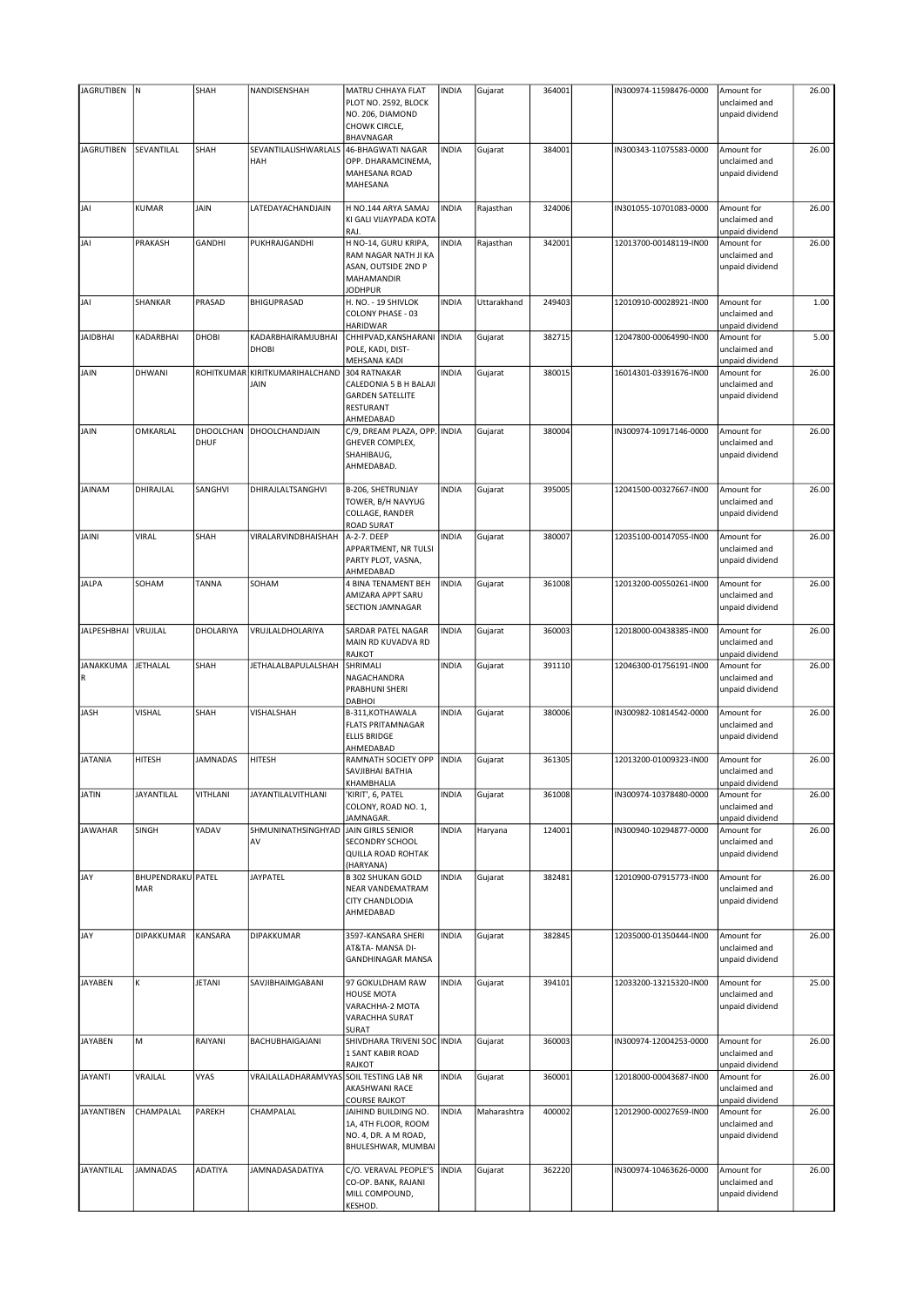| <b>JAGRUTIBEN</b>  | ${\sf N}$         | SHAH            | NANDISENSHAH                            | MATRU CHHAYA FLAT                          | <b>INDIA</b> | Gujarat     | 364001 | IN300974-11598476-0000 | Amount for      | 26.00 |
|--------------------|-------------------|-----------------|-----------------------------------------|--------------------------------------------|--------------|-------------|--------|------------------------|-----------------|-------|
|                    |                   |                 |                                         | PLOT NO. 2592, BLOCK                       |              |             |        |                        | unclaimed and   |       |
|                    |                   |                 |                                         | NO. 206, DIAMOND                           |              |             |        |                        | unpaid dividend |       |
|                    |                   |                 |                                         | CHOWK CIRCLE,                              |              |             |        |                        |                 |       |
|                    |                   |                 |                                         | BHAVNAGAR                                  |              |             |        |                        |                 |       |
| <b>JAGRUTIBEN</b>  | SEVANTILAL        | SHAH            | SEVANTILALISHWARLALS                    | 46-BHAGWATI NAGAR                          | <b>INDIA</b> |             | 384001 |                        | Amount for      | 26.00 |
|                    |                   |                 | HAH                                     |                                            |              | Gujarat     |        | IN300343-11075583-0000 |                 |       |
|                    |                   |                 |                                         | OPP. DHARAMCINEMA,<br><b>MAHESANA ROAD</b> |              |             |        |                        | unclaimed and   |       |
|                    |                   |                 |                                         |                                            |              |             |        |                        | unpaid dividend |       |
|                    |                   |                 |                                         | MAHESANA                                   |              |             |        |                        |                 |       |
|                    |                   |                 |                                         |                                            |              |             |        |                        |                 |       |
| JAI                | <b>KUMAR</b>      | JAIN            | LATEDAYACHANDJAIN                       | H NO.144 ARYA SAMAJ                        | <b>INDIA</b> | Rajasthan   | 324006 | IN301055-10701083-0000 | Amount for      | 26.00 |
|                    |                   |                 |                                         | KI GALI VIJAYPADA KOTA                     |              |             |        |                        | unclaimed and   |       |
|                    |                   |                 |                                         | RAJ.                                       |              |             |        |                        | unpaid dividend |       |
| JAI                | PRAKASH           | GANDHI          | PUKHRAJGANDHI                           | H NO-14, GURU KRIPA,                       | <b>INDIA</b> | Rajasthan   | 342001 | 12013700-00148119-IN00 | Amount for      | 26.00 |
|                    |                   |                 |                                         | RAM NAGAR NATH JI KA                       |              |             |        |                        | unclaimed and   |       |
|                    |                   |                 |                                         | ASAN, OUTSIDE 2ND P                        |              |             |        |                        | unpaid dividend |       |
|                    |                   |                 |                                         | MAHAMANDIR                                 |              |             |        |                        |                 |       |
|                    |                   |                 |                                         | <b>JODHPUR</b>                             |              |             |        |                        |                 |       |
| JAI                | SHANKAR           | PRASAD          | <b>BHIGUPRASAD</b>                      | H. NO. - 19 SHIVLOK                        | <b>INDIA</b> | Uttarakhand | 249403 | 12010910-00028921-IN00 | Amount for      | 1.00  |
|                    |                   |                 |                                         | COLONY PHASE - 03                          |              |             |        |                        | unclaimed and   |       |
|                    |                   |                 |                                         | HARIDWAR                                   |              |             |        |                        | unpaid dividend |       |
| <b>JAIDBHAI</b>    | KADARBHAI         | DHOBI           | KADARBHAIRAMJUBHAI                      | CHHIPVAD, KANSHARANI   INDIA               |              | Gujarat     | 382715 | 12047800-00064990-IN00 | Amount for      | 5.00  |
|                    |                   |                 | <b>DHOBI</b>                            | POLE, KADI, DIST-                          |              |             |        |                        | unclaimed and   |       |
|                    |                   |                 |                                         | MEHSANA KADI                               |              |             |        |                        | unpaid dividend |       |
| JAIN               | DHWANI            |                 | ROHITKUMAR KIRITKUMARIHALCHAND          | 304 RATNAKAR                               | <b>INDIA</b> | Gujarat     | 380015 | 16014301-03391676-IN00 | Amount for      | 26.00 |
|                    |                   |                 | <b>JAIN</b>                             | CALEDONIA 5 B H BALAJI                     |              |             |        |                        | unclaimed and   |       |
|                    |                   |                 |                                         | <b>GARDEN SATELLITE</b>                    |              |             |        |                        | unpaid dividend |       |
|                    |                   |                 |                                         | RESTURANT                                  |              |             |        |                        |                 |       |
|                    |                   |                 |                                         | AHMEDABAD                                  |              |             |        |                        |                 |       |
| JAIN               | OMKARLAL          | DHOOLCHAN       | DHOOLCHANDJAIN                          | C/9, DREAM PLAZA, OPP. INDIA               |              | Gujarat     | 380004 | IN300974-10917146-0000 | Amount for      | 26.00 |
|                    |                   | DHUF            |                                         | GHEVER COMPLEX,                            |              |             |        |                        | unclaimed and   |       |
|                    |                   |                 |                                         | SHAHIBAUG,                                 |              |             |        |                        | unpaid dividend |       |
|                    |                   |                 |                                         | AHMEDABAD.                                 |              |             |        |                        |                 |       |
|                    |                   |                 |                                         |                                            |              |             |        |                        |                 |       |
| <b>JAINAM</b>      | DHIRAJLAL         | SANGHVI         | DHIRAJLALTSANGHVI                       |                                            | <b>INDIA</b> | Gujarat     | 395005 | 12041500-00327667-IN00 | Amount for      | 26.00 |
|                    |                   |                 |                                         | B-206, SHETRUNJAY                          |              |             |        |                        |                 |       |
|                    |                   |                 |                                         | TOWER, B/H NAVYUG                          |              |             |        |                        | unclaimed and   |       |
|                    |                   |                 |                                         | COLLAGE, RANDER                            |              |             |        |                        | unpaid dividend |       |
|                    |                   |                 |                                         | <b>ROAD SURAT</b>                          |              |             |        |                        |                 |       |
| <b>JAINI</b>       | <b>VIRAL</b>      | SHAH            | VIRALARVINDBHAISHAH                     | A-2-7. DEEP                                | <b>INDIA</b> | Gujarat     | 380007 | 12035100-00147055-IN00 | Amount for      | 26.00 |
|                    |                   |                 |                                         | APPARTMENT, NR TULSI                       |              |             |        |                        | unclaimed and   |       |
|                    |                   |                 |                                         | PARTY PLOT, VASNA,                         |              |             |        |                        | unpaid dividend |       |
|                    |                   |                 |                                         | AHMEDABAD                                  |              |             |        |                        |                 |       |
| <b>JALPA</b>       | SOHAM             | TANNA           | SOHAM                                   | 4 BINA TENAMENT BEH                        | <b>INDIA</b> | Gujarat     | 361008 | 12013200-00550261-IN00 | Amount for      | 26.00 |
|                    |                   |                 |                                         | AMIZARA APPT SARU                          |              |             |        |                        | unclaimed and   |       |
|                    |                   |                 |                                         | SECTION JAMNAGAR                           |              |             |        |                        | unpaid dividend |       |
|                    |                   |                 |                                         |                                            |              |             |        |                        |                 |       |
| <b>JALPESHBHAI</b> | VRUJLAL           | DHOLARIYA       | VRUJLALDHOLARIYA                        | SARDAR PATEL NAGAR                         | <b>INDIA</b> | Gujarat     | 360003 | 12018000-00438385-IN00 | Amount for      | 26.00 |
|                    |                   |                 |                                         | MAIN RD KUVADVA RD                         |              |             |        |                        | unclaimed and   |       |
|                    |                   |                 |                                         | RAJKOT                                     |              |             |        |                        | unpaid dividend |       |
| JANAKKUMA          | <b>JETHALAL</b>   | SHAH            | JETHALALBAPULALSHAH                     | SHRIMALI                                   | <b>INDIA</b> | Gujarat     | 391110 | 12046300-01756191-IN00 | Amount for      | 26.00 |
| $\mathsf R$        |                   |                 |                                         | NAGACHANDRA                                |              |             |        |                        | unclaimed and   |       |
|                    |                   |                 |                                         | PRABHUNI SHERI                             |              |             |        |                        | unpaid dividend |       |
|                    |                   |                 |                                         | DABHOI                                     |              |             |        |                        |                 |       |
| JASH               | <b>VISHAL</b>     | SHAH            | <b>VISHALSHAH</b>                       | B-311, KOTHAWALA                           | <b>INDIA</b> | Gujarat     | 380006 | IN300982-10814542-0000 | Amount for      | 26.00 |
|                    |                   |                 |                                         | <b>FLATS PRITAMNAGAR</b>                   |              |             |        |                        | unclaimed and   |       |
|                    |                   |                 |                                         | <b>ELLIS BRIDGE</b>                        |              |             |        |                        | unpaid dividend |       |
|                    |                   |                 |                                         | AHMEDABAD                                  |              |             |        |                        |                 |       |
|                    | <b>HITESH</b>     | <b>JAMNADAS</b> | HITESH                                  |                                            | <b>INDIA</b> |             | 361305 | 12013200-01009323-IN00 | Amount for      | 26.00 |
| <b>JATANIA</b>     |                   |                 |                                         | RAMNATH SOCIETY OPP                        |              | Gujarat     |        |                        |                 |       |
|                    |                   |                 |                                         | SAVJIBHAI BATHIA                           |              |             |        |                        | unclaimed and   |       |
|                    |                   |                 |                                         | KHAMBHALIA                                 |              |             |        |                        | unpaid dividend |       |
| <b>JATIN</b>       | JAYANTILAL        | VITHLANI        | <b>JAYANTILALVITHLANI</b>               | KIRIT', 6, PATEL                           | <b>INDIA</b> | Gujarat     | 361008 | IN300974-10378480-0000 | Amount for      | 26.00 |
|                    |                   |                 |                                         | COLONY, ROAD NO. 1,                        |              |             |        |                        | unclaimed and   |       |
|                    |                   |                 |                                         | <b>JAMNAGAR.</b>                           |              |             |        |                        | unpaid dividend |       |
| <b>JAWAHAR</b>     | <b>SINGH</b>      | YADAV           | SHMUNINATHSINGHYAD                      | JAIN GIRLS SENIOR                          | <b>INDIA</b> | Haryana     | 124001 | IN300940-10294877-0000 | Amount for      | 26.00 |
|                    |                   |                 | AV                                      | SECONDRY SCHOOL                            |              |             |        |                        | unclaimed and   |       |
|                    |                   |                 |                                         | QUILLA ROAD ROHTAK                         |              |             |        |                        | unpaid dividend |       |
|                    |                   |                 |                                         | (HARYANA)                                  |              |             |        |                        |                 |       |
| JAY                | BHUPENDRAKU PATEL |                 | JAYPATEL                                | <b>B 302 SHUKAN GOLD</b>                   | <b>INDIA</b> | Gujarat     | 382481 | 12010900-07915773-IN00 | Amount for      | 26.00 |
|                    | MAR               |                 |                                         | NEAR VANDEMATRAM                           |              |             |        |                        | unclaimed and   |       |
|                    |                   |                 |                                         | CITY CHANDLODIA                            |              |             |        |                        | unpaid dividend |       |
|                    |                   |                 |                                         | AHMEDABAD                                  |              |             |        |                        |                 |       |
|                    |                   |                 |                                         |                                            |              |             |        |                        |                 |       |
| JAY                | DIPAKKUMAR        | KANSARA         | <b>DIPAKKUMAR</b>                       | 3597-KANSARA SHERI                         | <b>INDIA</b> | Gujarat     | 382845 | 12035000-01350444-IN00 | Amount for      | 26.00 |
|                    |                   |                 |                                         | AT&TA- MANSA DI-                           |              |             |        |                        | unclaimed and   |       |
|                    |                   |                 |                                         | <b>GANDHINAGAR MANSA</b>                   |              |             |        |                        | unpaid dividend |       |
|                    |                   |                 |                                         |                                            |              |             |        |                        |                 |       |
| <b>JAYABEN</b>     | К                 | JETANI          |                                         |                                            | <b>INDIA</b> |             | 394101 |                        |                 | 25.00 |
|                    |                   |                 | SAVJIBHAIMGABANI                        | 97 GOKULDHAM RAW                           |              | Gujarat     |        | 12033200-13215320-IN00 | Amount for      |       |
|                    |                   |                 |                                         | HOUSE MOTA                                 |              |             |        |                        | unclaimed and   |       |
|                    |                   |                 |                                         | VARACHHA-2 MOTA                            |              |             |        |                        | unpaid dividend |       |
|                    |                   |                 |                                         | VARACHHA SURAT                             |              |             |        |                        |                 |       |
|                    |                   |                 |                                         | SURAT                                      |              |             |        |                        |                 |       |
| <b>JAYABEN</b>     | M                 | RAIYANI         | BACHUBHAIGAJANI                         | SHIVDHARA TRIVENI SOC INDIA                |              | Gujarat     | 360003 | IN300974-12004253-0000 | Amount for      | 26.00 |
|                    |                   |                 |                                         | 1 SANT KABIR ROAD                          |              |             |        |                        | unclaimed and   |       |
|                    |                   |                 |                                         | RAJKOT                                     |              |             |        |                        | unpaid dividend |       |
| <b>JAYANTI</b>     | VRAJLAL           | <b>VYAS</b>     | VRAJLALLADHARAMVYAS SOIL TESTING LAB NR |                                            | <b>INDIA</b> | Gujarat     | 360001 | 12018000-00043687-IN00 | Amount for      | 26.00 |
|                    |                   |                 |                                         | AKASHWANI RACE                             |              |             |        |                        | unclaimed and   |       |
|                    |                   |                 |                                         | <b>COURSE RAJKOT</b>                       |              |             |        |                        | unpaid dividend |       |
| <b>JAYANTIBEN</b>  | CHAMPALAL         | PAREKH          | CHAMPALAL                               | JAIHIND BUILDING NO.                       | <b>INDIA</b> | Maharashtra | 400002 | 12012900-00027659-IN00 | Amount for      | 26.00 |
|                    |                   |                 |                                         | 1A, 4TH FLOOR, ROOM                        |              |             |        |                        | unclaimed and   |       |
|                    |                   |                 |                                         | NO. 4, DR. A M ROAD,                       |              |             |        |                        | unpaid dividend |       |
|                    |                   |                 |                                         | BHULESHWAR, MUMBAI                         |              |             |        |                        |                 |       |
|                    |                   |                 |                                         |                                            |              |             |        |                        |                 |       |
| JAYANTILAL         | <b>JAMNADAS</b>   | ADATIYA         | JAMNADASADATIYA                         | C/O. VERAVAL PEOPLE'S                      | <b>INDIA</b> | Gujarat     | 362220 | IN300974-10463626-0000 | Amount for      | 26.00 |
|                    |                   |                 |                                         | CO-OP. BANK, RAJANI                        |              |             |        |                        | unclaimed and   |       |
|                    |                   |                 |                                         | MILL COMPOUND,                             |              |             |        |                        | unpaid dividend |       |
|                    |                   |                 |                                         | KESHOD.                                    |              |             |        |                        |                 |       |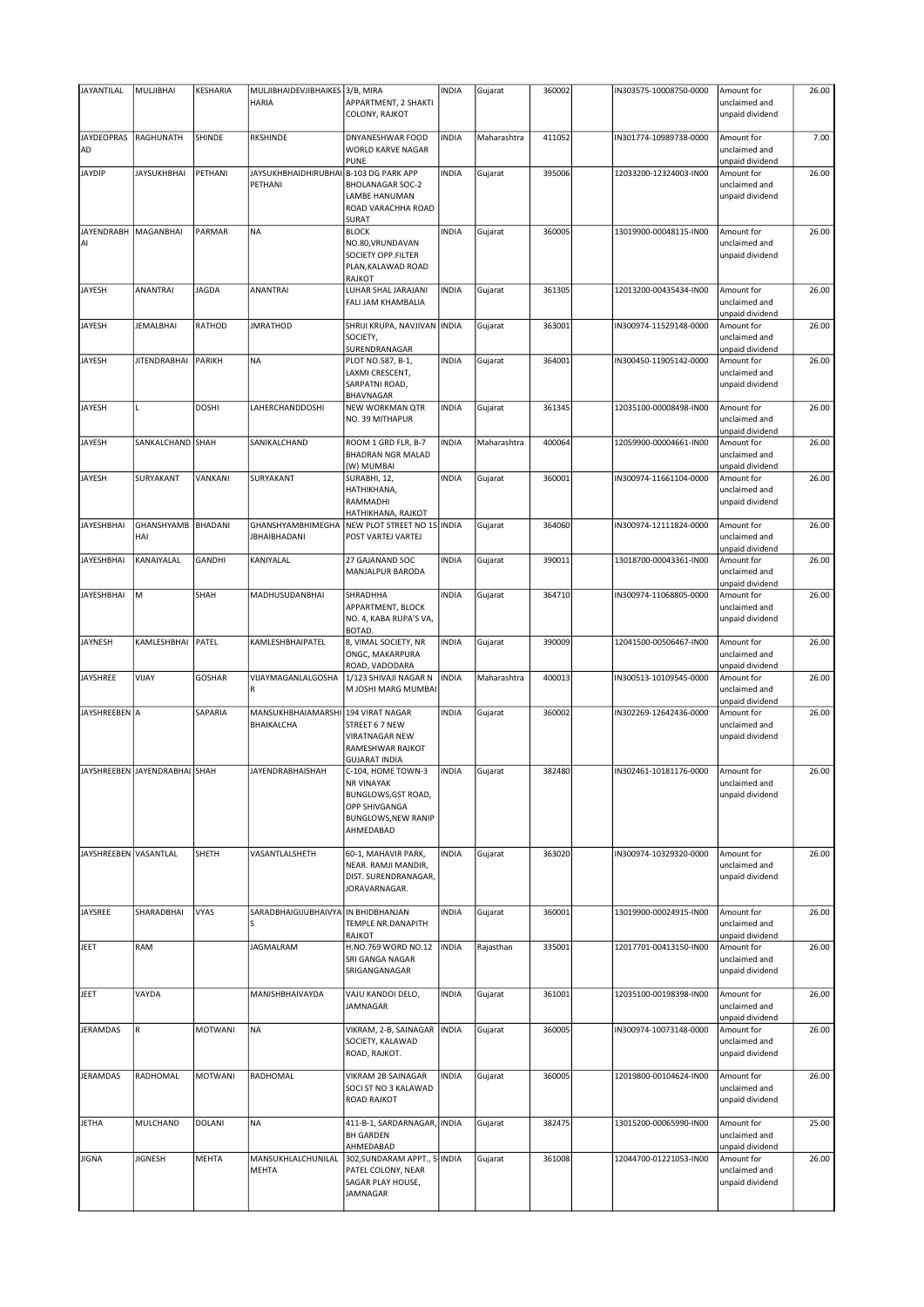| JAYANTILAL             | MULJIBHAI                     | KESHARIA      | MULJIBHAIDEVJIBHAIKES 3/B, MIRA        |                                                   | <b>INDIA</b> | Gujarat     | 360002 | IN303575-10008750-0000 | Amount for                       | 26.00 |
|------------------------|-------------------------------|---------------|----------------------------------------|---------------------------------------------------|--------------|-------------|--------|------------------------|----------------------------------|-------|
|                        |                               |               | <b>HARIA</b>                           | APPARTMENT, 2 SHAKTI<br>COLONY, RAJKOT            |              |             |        |                        | unclaimed and<br>unpaid dividend |       |
|                        |                               |               |                                        |                                                   |              |             |        |                        |                                  |       |
| <b>JAYDEOPRAS</b>      | <b>RAGHUNATH</b>              | SHINDE        | <b>RKSHINDE</b>                        | DNYANESHWAR FOOD                                  | <b>INDIA</b> | Maharashtra | 411052 | IN301774-10989738-0000 | Amount for                       | 7.00  |
| AD                     |                               |               |                                        | WORLD KARVE NAGAR<br><b>PUNE</b>                  |              |             |        |                        | unclaimed and<br>unpaid dividend |       |
| <b>JAYDIP</b>          | <b>JAYSUKHBHAI</b>            | PETHANI       | JAYSUKHBHAIDHIRUBHAI B-103 DG PARK APP |                                                   | <b>INDIA</b> | Gujarat     | 395006 | 12033200-12324003-IN00 | Amount for                       | 26.00 |
|                        |                               |               | PETHANI                                | <b>BHOLANAGAR SOC-2</b>                           |              |             |        |                        | unclaimed and                    |       |
|                        |                               |               |                                        | <b>LAMBE HANUMAN</b><br>ROAD VARACHHA ROAD        |              |             |        |                        | unpaid dividend                  |       |
|                        |                               |               |                                        | <b>SURAT</b>                                      |              |             |        |                        |                                  |       |
| JAYENDRABH   MAGANBHAI |                               | PARMAR        | <b>NA</b>                              | <b>BLOCK</b><br>NO.80, VRUNDAVAN                  | <b>INDIA</b> | Gujarat     | 360005 | 13019900-00048115-IN00 | Amount for                       | 26.00 |
| AI                     |                               |               |                                        | <b>SOCIETY OPP.FILTER</b>                         |              |             |        |                        | unclaimed and<br>unpaid dividend |       |
|                        |                               |               |                                        | PLAN, KALAWAD ROAD                                |              |             |        |                        |                                  |       |
| JAYESH                 | <b>ANANTRAI</b>               | JAGDA         | <b>ANANTRAI</b>                        | RAJKOT<br>LUHAR SHAL JARAJANI                     | <b>INDIA</b> | Gujarat     | 361305 | 12013200-00435434-IN00 | Amount for                       | 26.00 |
|                        |                               |               |                                        | FALI JAM KHAMBALIA                                |              |             |        |                        | unclaimed and                    |       |
|                        |                               |               |                                        |                                                   |              |             |        |                        | unpaid dividend                  |       |
| JAYESH                 | <b>JEMALBHAI</b>              | RATHOD        | <b>JMRATHOD</b>                        | SHRIJI KRUPA, NAVJIVAN INDIA<br>SOCIETY,          |              | Gujarat     | 363001 | IN300974-11529148-0000 | Amount for<br>unclaimed and      | 26.00 |
|                        |                               |               |                                        | SURENDRANAGAR                                     |              |             |        |                        | unpaid dividend                  |       |
| <b>JAYESH</b>          | <b>JITENDRABHAI</b>           | PARIKH        | <b>NA</b>                              | PLOT NO.587, B-1,                                 | <b>INDIA</b> | Gujarat     | 364001 | IN300450-11905142-0000 | Amount for                       | 26.00 |
|                        |                               |               |                                        | LAXMI CRESCENT,<br>SARPATNI ROAD,                 |              |             |        |                        | unclaimed and<br>unpaid dividend |       |
|                        |                               |               |                                        | BHAVNAGAR                                         |              |             |        |                        |                                  |       |
| <b>JAYESH</b>          |                               | <b>DOSHI</b>  | LAHERCHANDDOSHI                        | <b>NEW WORKMAN QTR</b><br>NO. 39 MITHAPUR         | <b>INDIA</b> | Gujarat     | 361345 | 12035100-00008498-IN00 | Amount for<br>unclaimed and      | 26.00 |
|                        |                               |               |                                        |                                                   |              |             |        |                        | unpaid dividend                  |       |
| JAYESH                 | SANKALCHAND                   | SHAH          | SANIKALCHAND                           | ROOM 1 GRD FLR, B-7                               | <b>INDIA</b> | Maharashtra | 400064 | 12059900-00004661-IN00 | Amount for                       | 26.00 |
|                        |                               |               |                                        | <b>BHADRAN NGR MALAD</b>                          |              |             |        |                        | unclaimed and                    |       |
| JAYESH                 | SURYAKANT                     | VANKANI       | SURYAKANT                              | (W) MUMBAI<br>SURABHI, 12,                        | <b>INDIA</b> | Gujarat     | 360001 | IN300974-11661104-0000 | unpaid dividend<br>Amount for    | 26.00 |
|                        |                               |               |                                        | HATHIKHANA,                                       |              |             |        |                        | unclaimed and                    |       |
|                        |                               |               |                                        | RAMMADHI                                          |              |             |        |                        | unpaid dividend                  |       |
| <b>JAYESHBHAI</b>      | GHANSHYAMB                    | BHADANI       | GHANSHYAMBHIMEGHA                      | HATHIKHANA, RAJKOT<br>NEW PLOT STREET NO 15 INDIA |              | Gujarat     | 364060 | IN300974-12111824-0000 | Amount for                       | 26.00 |
|                        | HAI                           |               | <b>JBHAIBHADANI</b>                    | POST VARTEJ VARTEJ                                |              |             |        |                        | unclaimed and                    |       |
| <b>JAYESHBHAI</b>      | KANAIYALAL                    | <b>GANDHI</b> | KANIYALAL                              | 27 GAJANAND SOC                                   | <b>INDIA</b> | Gujarat     | 390011 | 13018700-00043361-IN00 | unpaid dividend<br>Amount for    | 26.00 |
|                        |                               |               |                                        | MANJALPUR BARODA                                  |              |             |        |                        | unclaimed and                    |       |
|                        |                               |               |                                        |                                                   |              |             |        |                        | unpaid dividend                  |       |
| JAYESHBHAI             | M                             | SHAH          | MADHUSUDANBHAI                         | SHRADHHA<br>APPARTMENT, BLOCK                     | <b>INDIA</b> | Gujarat     | 364710 | IN300974-11068805-0000 | Amount for<br>unclaimed and      | 26.00 |
|                        |                               |               |                                        | NO. 4, KABA RUPA'S VA,                            |              |             |        |                        | unpaid dividend                  |       |
|                        |                               |               |                                        | <b>BOTAD</b>                                      |              |             |        |                        |                                  |       |
| JAYNESH                | KAMLESHBHAI                   | PATEL         | KAMLESHBHAIPATEL                       | 8, VIMAL SOCIETY, NR<br>ONGC, MAKARPURA           | <b>INDIA</b> | Gujarat     | 390009 | 12041500-00506467-IN00 | Amount for<br>unclaimed and      | 26.00 |
|                        |                               |               |                                        | ROAD, VADODARA                                    |              |             |        |                        | unpaid dividend                  |       |
| <b>JAYSHREE</b>        | VIJAY                         | <b>GOSHAR</b> | VIJAYMAGANLALGOSHA                     | 1/123 SHIVAJI NAGAR N                             | <b>INDIA</b> | Maharashtra | 400013 | IN300513-10109545-0000 | Amount for                       | 26.00 |
|                        |                               |               | R                                      | M JOSHI MARG MUMBAI                               |              |             |        |                        | unclaimed and<br>unpaid dividend |       |
| JAYSHREEBEN A          |                               | SAPARIA       | <b>MANSUKHBHAIAMARSHI</b>              | 194 VIRAT NAGAR                                   | <b>INDIA</b> | Gujarat     | 360002 | IN302269-12642436-0000 | Amount for                       | 26.00 |
|                        |                               |               | BHAIKALCHA                             | STREET 6 7 NEW                                    |              |             |        |                        | unclaimed and                    |       |
|                        |                               |               |                                        | <b>VIRATNAGAR NEW</b><br>RAMESHWAR RAJKOT         |              |             |        |                        | unpaid dividend                  |       |
|                        |                               |               |                                        | <b>GUJARAT INDIA</b>                              |              |             |        |                        |                                  |       |
|                        | JAYSHREEBEN JAYENDRABHAI SHAH |               | <b>JAYENDRABHAISHAH</b>                | C-104, HOME TOWN-3<br><b>NR VINAYAK</b>           | <b>INDIA</b> | Gujarat     | 382480 | IN302461-10181176-0000 | Amount for<br>unclaimed and      | 26.00 |
|                        |                               |               |                                        | BUNGLOWS, GST ROAD,                               |              |             |        |                        | unpaid dividend                  |       |
|                        |                               |               |                                        | OPP SHIVGANGA                                     |              |             |        |                        |                                  |       |
|                        |                               |               |                                        | <b>BUNGLOWS, NEW RANIP</b><br>AHMEDABAD           |              |             |        |                        |                                  |       |
|                        |                               |               |                                        |                                                   |              |             |        |                        |                                  |       |
| JAYSHREEBEN VASANTLAL  |                               | SHETH         | VASANTLALSHETH                         | 60-1, MAHAVIR PARK,                               | <b>INDIA</b> | Gujarat     | 363020 | IN300974-10329320-0000 | Amount for                       | 26.00 |
|                        |                               |               |                                        | NEAR. RAMJI MANDIR,<br>DIST. SURENDRANAGAR,       |              |             |        |                        | unclaimed and<br>unpaid dividend |       |
|                        |                               |               |                                        | JORAVARNAGAR.                                     |              |             |        |                        |                                  |       |
|                        |                               |               |                                        |                                                   |              |             |        |                        |                                  |       |
| JAYSREE                | SHARADBHAI                    | <b>VYAS</b>   | SARADBHAIGIJUBHAIVYA IN BHIDBHANJAN    | TEMPLE NR.DANAPITH                                | <b>INDIA</b> | Gujarat     | 360001 | 13019900-00024915-IN00 | Amount for<br>unclaimed and      | 26.00 |
|                        |                               |               |                                        | <b>RAJKOT</b>                                     |              |             |        |                        | unpaid dividend                  |       |
| JEET                   | RAM                           |               | JAGMALRAM                              | H.NO.769 WORD NO.12                               | <b>INDIA</b> | Rajasthan   | 335001 | 12017701-00413150-IN00 | Amount for                       | 26.00 |
|                        |                               |               |                                        | SRI GANGA NAGAR<br>SRIGANGANAGAR                  |              |             |        |                        | unclaimed and<br>unpaid dividend |       |
|                        |                               |               |                                        |                                                   |              |             |        |                        |                                  |       |
| JEET                   | VAYDA                         |               | MANISHBHAIVAYDA                        | VAJU KANDOI DELO,<br>JAMNAGAR                     | <b>INDIA</b> | Gujarat     | 361001 | 12035100-00198398-IN00 | Amount for<br>unclaimed and      | 26.00 |
|                        |                               |               |                                        |                                                   |              |             |        |                        | unpaid dividend                  |       |
| <b>JERAMDAS</b>        | R                             | MOTWANI       | NA                                     | VIKRAM, 2-B, SAINAGAR   INDIA                     |              | Gujarat     | 360005 | IN300974-10073148-0000 | Amount for                       | 26.00 |
|                        |                               |               |                                        | SOCIETY, KALAWAD<br>ROAD, RAJKOT.                 |              |             |        |                        | unclaimed and<br>unpaid dividend |       |
|                        |                               |               |                                        |                                                   |              |             |        |                        |                                  |       |
| <b>JERAMDAS</b>        | RADHOMAL                      | MOTWANI       | RADHOMAL                               | VIKRAM 2B SAINAGAR                                | <b>INDIA</b> | Gujarat     | 360005 | 12019800-00104624-IN00 | Amount for                       | 26.00 |
|                        |                               |               |                                        | SOCI ST NO 3 KALAWAD<br><b>ROAD RAJKOT</b>        |              |             |        |                        | unclaimed and<br>unpaid dividend |       |
|                        |                               |               |                                        |                                                   |              |             |        |                        |                                  |       |
| <b>JETHA</b>           | MULCHAND                      | <b>DOLANI</b> | <b>NA</b>                              | 411-B-1, SARDARNAGAR, INDIA                       |              | Gujarat     | 382475 | 13015200-00065990-IN00 | Amount for                       | 25.00 |
|                        |                               |               |                                        | <b>BH GARDEN</b><br>AHMEDABAD                     |              |             |        |                        | unclaimed and<br>unpaid dividend |       |
| <b>JIGNA</b>           | <b>JIGNESH</b>                | MEHTA         | MANSUKHLALCHUNILAL                     | 302, SUNDARAM APPT., 5 INDIA                      |              | Gujarat     | 361008 | 12044700-01221053-IN00 | Amount for                       | 26.00 |
|                        |                               |               | MEHTA                                  | PATEL COLONY, NEAR                                |              |             |        |                        | unclaimed and                    |       |
|                        |                               |               |                                        | SAGAR PLAY HOUSE,<br>JAMNAGAR                     |              |             |        |                        | unpaid dividend                  |       |
|                        |                               |               |                                        |                                                   |              |             |        |                        |                                  |       |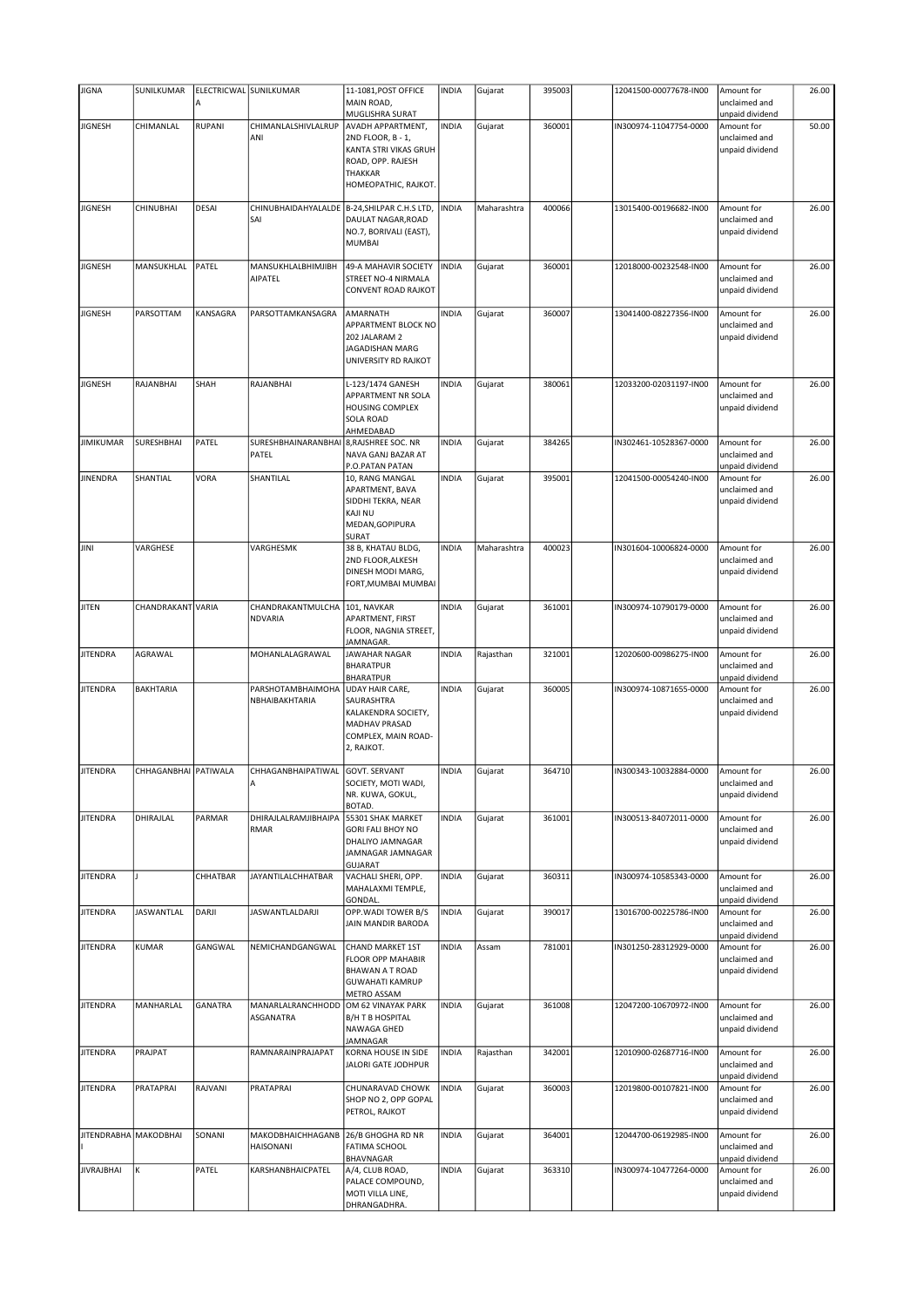| <b>JIGNA</b>          | SUNILKUMAR           |                | ELECTRICWAL SUNILKUMAR       | 11-1081, POST OFFICE                          | <b>INDIA</b> | Gujarat     | 395003 | 12041500-00077678-IN00 | Amount for                       | 26.00 |
|-----------------------|----------------------|----------------|------------------------------|-----------------------------------------------|--------------|-------------|--------|------------------------|----------------------------------|-------|
|                       |                      | А              |                              | MAIN ROAD,                                    |              |             |        |                        | unclaimed and                    |       |
|                       |                      |                |                              | MUGLISHRA SURAT                               |              |             |        |                        | unpaid dividend                  |       |
| <b>JIGNESH</b>        | CHIMANLAL            | <b>RUPANI</b>  | CHIMANLALSHIVLALRUP<br>ANI   | <b>AVADH APPARTMENT,</b><br>2ND FLOOR, B - 1, | <b>INDIA</b> | Gujarat     | 360001 | IN300974-11047754-0000 | Amount for<br>unclaimed and      | 50.00 |
|                       |                      |                |                              | KANTA STRI VIKAS GRUH                         |              |             |        |                        | unpaid dividend                  |       |
|                       |                      |                |                              | ROAD, OPP. RAJESH                             |              |             |        |                        |                                  |       |
|                       |                      |                |                              | <b>THAKKAR</b>                                |              |             |        |                        |                                  |       |
|                       |                      |                |                              | HOMEOPATHIC, RAJKOT.                          |              |             |        |                        |                                  |       |
| <b>JIGNESH</b>        | CHINUBHAI            | DESAI          | CHINUBHAIDAHYALALDE          | B-24, SHILPAR C.H.S LTD,                      | <b>INDIA</b> | Maharashtra | 400066 | 13015400-00196682-IN00 | Amount for                       | 26.00 |
|                       |                      |                | SAI                          | DAULAT NAGAR, ROAD                            |              |             |        |                        | unclaimed and                    |       |
|                       |                      |                |                              | NO.7, BORIVALI (EAST),                        |              |             |        |                        | unpaid dividend                  |       |
|                       |                      |                |                              | <b>MUMBAI</b>                                 |              |             |        |                        |                                  |       |
| <b>JIGNESH</b>        | MANSUKHLAL           | PATEL          | MANSUKHLALBHIMJIBH           | 49-A MAHAVIR SOCIETY                          | <b>INDIA</b> | Gujarat     | 360001 | 12018000-00232548-IN00 | Amount for                       | 26.00 |
|                       |                      |                | AIPATEL                      | STREET NO-4 NIRMALA                           |              |             |        |                        | unclaimed and                    |       |
|                       |                      |                |                              | <b>CONVENT ROAD RAJKOT</b>                    |              |             |        |                        | unpaid dividend                  |       |
| <b>JIGNESH</b>        | PARSOTTAM            | KANSAGRA       | PARSOTTAMKANSAGRA            | AMARNATH                                      | <b>INDIA</b> | Gujarat     | 360007 | 13041400-08227356-IN00 | Amount for                       | 26.00 |
|                       |                      |                |                              | APPARTMENT BLOCK NO                           |              |             |        |                        | unclaimed and                    |       |
|                       |                      |                |                              | 202 JALARAM 2                                 |              |             |        |                        | unpaid dividend                  |       |
|                       |                      |                |                              | JAGADISHAN MARG                               |              |             |        |                        |                                  |       |
|                       |                      |                |                              | UNIVERSITY RD RAJKOT                          |              |             |        |                        |                                  |       |
| <b>JIGNESH</b>        | RAJANBHAI            | SHAH           | RAJANBHAI                    | L-123/1474 GANESH                             | <b>INDIA</b> | Gujarat     | 380061 | 12033200-02031197-IN00 | Amount for                       | 26.00 |
|                       |                      |                |                              | APPARTMENT NR SOLA                            |              |             |        |                        | unclaimed and                    |       |
|                       |                      |                |                              | <b>HOUSING COMPLEX</b><br><b>SOLA ROAD</b>    |              |             |        |                        | unpaid dividend                  |       |
|                       |                      |                |                              | AHMEDABAD                                     |              |             |        |                        |                                  |       |
| <b>JIMIKUMAR</b>      | <b>SURESHBHAI</b>    | PATEL          | SURESHBHAINARANBHAI          | 8, RAJSHREE SOC. NR                           | <b>INDIA</b> | Gujarat     | 384265 | IN302461-10528367-0000 | Amount for                       | 26.00 |
|                       |                      |                | PATEL                        | NAVA GANJ BAZAR AT                            |              |             |        |                        | unclaimed and                    |       |
|                       |                      |                |                              | P.O.PATAN PATAN                               |              |             |        |                        | unpaid dividend                  |       |
| <b>JINENDRA</b>       | SHANTIAL             | VORA           | SHANTILAL                    | 10, RANG MANGAL<br>APARTMENT, BAVA            | <b>INDIA</b> | Gujarat     | 395001 | 12041500-00054240-IN00 | Amount for<br>unclaimed and      | 26.00 |
|                       |                      |                |                              | SIDDHI TEKRA, NEAR                            |              |             |        |                        | unpaid dividend                  |       |
|                       |                      |                |                              | <b>KAJI NU</b>                                |              |             |        |                        |                                  |       |
|                       |                      |                |                              | MEDAN, GOPIPURA                               |              |             |        |                        |                                  |       |
| JINI                  | VARGHESE             |                | VARGHESMK                    | <b>SURAT</b><br>38 B, KHATAU BLDG,            | <b>INDIA</b> | Maharashtra | 400023 | IN301604-10006824-0000 | Amount for                       | 26.00 |
|                       |                      |                |                              | 2ND FLOOR, ALKESH                             |              |             |        |                        | unclaimed and                    |       |
|                       |                      |                |                              | DINESH MODI MARG,                             |              |             |        |                        | unpaid dividend                  |       |
|                       |                      |                |                              | FORT, MUMBAI MUMBAI                           |              |             |        |                        |                                  |       |
| <b>JITEN</b>          | CHANDRAKANT VARIA    |                | CHANDRAKANTMULCHA            | 101, NAVKAR                                   | <b>INDIA</b> | Gujarat     | 361001 | IN300974-10790179-0000 | Amount for                       | 26.00 |
|                       |                      |                | <b>NDVARIA</b>               | APARTMENT, FIRST                              |              |             |        |                        | unclaimed and                    |       |
|                       |                      |                |                              | FLOOR, NAGNIA STREET,                         |              |             |        |                        | unpaid dividend                  |       |
|                       |                      |                |                              | JAMNAGAR.                                     |              |             |        |                        |                                  |       |
| <b>JITENDRA</b>       | AGRAWAL              |                | MOHANLALAGRAWAL              | <b>JAWAHAR NAGAR</b><br><b>BHARATPUR</b>      | <b>INDIA</b> | Rajasthan   | 321001 | 12020600-00986275-IN00 | Amount for<br>unclaimed and      | 26.00 |
|                       |                      |                |                              | <b>BHARATPUR</b>                              |              |             |        |                        | unpaid dividend                  |       |
| <b>JITENDRA</b>       | <b>BAKHTARIA</b>     |                | PARSHOTAMBHAIMOHA            | UDAY HAIR CARE,                               | <b>INDIA</b> | Gujarat     | 360005 | IN300974-10871655-0000 | Amount for                       | 26.00 |
|                       |                      |                | NBHAIBAKHTARIA               | SAURASHTRA                                    |              |             |        |                        | unclaimed and                    |       |
|                       |                      |                |                              | KALAKENDRA SOCIETY,<br>MADHAV PRASAD          |              |             |        |                        | unpaid dividend                  |       |
|                       |                      |                |                              | COMPLEX, MAIN ROAD-                           |              |             |        |                        |                                  |       |
|                       |                      |                |                              | 2, RAJKOT.                                    |              |             |        |                        |                                  |       |
| <b>JITENDRA</b>       | CHHAGANBHAI PATIWALA |                | CHHAGANBHAIPATIWAL           | <b>GOVT. SERVANT</b>                          | <b>INDIA</b> | Gujarat     | 364710 | IN300343-10032884-0000 | Amount for                       | 26.00 |
|                       |                      |                | A                            | SOCIETY, MOTI WADI,                           |              |             |        |                        | unclaimed and                    |       |
|                       |                      |                |                              | NR. KUWA, GOKUL,                              |              |             |        |                        | unpaid dividend                  |       |
|                       |                      |                |                              | BOTAD.                                        |              |             |        |                        |                                  |       |
| <b>JITENDRA</b>       | DHIRAJLAL            | PARMAR         | DHIRAJLALRAMJIBHAIPA<br>RMAR | 55301 SHAK MARKET<br><b>GORI FALI BHOY NO</b> | <b>INDIA</b> | Gujarat     | 361001 | IN300513-84072011-0000 | Amount for<br>unclaimed and      | 26.00 |
|                       |                      |                |                              | DHALIYO JAMNAGAR                              |              |             |        |                        | unpaid dividend                  |       |
|                       |                      |                |                              | JAMNAGAR JAMNAGAR                             |              |             |        |                        |                                  |       |
|                       |                      |                |                              | <b>GUJARAT</b>                                |              |             |        |                        |                                  |       |
| <b>JITENDRA</b>       |                      | CHHATBAR       | <b>JAYANTILALCHHATBAR</b>    | VACHALI SHERI, OPP.<br>MAHALAXMI TEMPLE,      | <b>INDIA</b> | Gujarat     | 360311 | IN300974-10585343-0000 | Amount for<br>unclaimed and      | 26.00 |
|                       |                      |                |                              | GONDAL.                                       |              |             |        |                        | unpaid dividend                  |       |
| <b>JITENDRA</b>       | <b>JASWANTLAL</b>    | DARJI          | JASWANTLALDARJI              | OPP. WADI TOWER B/S                           | <b>INDIA</b> | Gujarat     | 390017 | 13016700-00225786-IN00 | Amount for                       | 26.00 |
|                       |                      |                |                              | JAIN MANDIR BARODA                            |              |             |        |                        | unclaimed and                    |       |
| <b>JITENDRA</b>       | KUMAR                | GANGWAL        | NEMICHANDGANGWAL             | <b>CHAND MARKET 1ST</b>                       | <b>INDIA</b> | Assam       | 781001 | IN301250-28312929-0000 | unpaid dividend<br>Amount for    | 26.00 |
|                       |                      |                |                              | <b>FLOOR OPP MAHABIR</b>                      |              |             |        |                        | unclaimed and                    |       |
|                       |                      |                |                              | <b>BHAWAN A T ROAD</b>                        |              |             |        |                        | unpaid dividend                  |       |
|                       |                      |                |                              | <b>GUWAHATI KAMRUP</b>                        |              |             |        |                        |                                  |       |
| <b>JITENDRA</b>       | MANHARLAL            | <b>GANATRA</b> | MANARLALRANCHHODD            | <b>METRO ASSAM</b><br>OM 62 VINAYAK PARK      | <b>INDIA</b> | Gujarat     | 361008 | 12047200-10670972-IN00 | Amount for                       | 26.00 |
|                       |                      |                | ASGANATRA                    | <b>B/H T B HOSPITAL</b>                       |              |             |        |                        | unclaimed and                    |       |
|                       |                      |                |                              | NAWAGA GHED                                   |              |             |        |                        | unpaid dividend                  |       |
|                       |                      |                |                              |                                               |              |             |        |                        |                                  |       |
|                       |                      |                |                              | <b>JAMNAGAR</b>                               |              |             |        |                        |                                  |       |
| <b>JITENDRA</b>       | PRAJPAT              |                | RAMNARAINPRAJAPAT            | KORNA HOUSE IN SIDE                           | <b>INDIA</b> | Rajasthan   | 342001 | 12010900-02687716-IN00 | Amount for                       | 26.00 |
|                       |                      |                |                              | JALORI GATE JODHPUR                           |              |             |        |                        | unclaimed and                    |       |
| <b>JITENDRA</b>       | PRATAPRAI            | RAJVANI        | PRATAPRAI                    | CHUNARAVAD CHOWK                              | <b>INDIA</b> | Gujarat     | 360003 | 12019800-00107821-IN00 | unpaid dividend<br>Amount for    | 26.00 |
|                       |                      |                |                              | SHOP NO 2, OPP GOPAL                          |              |             |        |                        | unclaimed and                    |       |
|                       |                      |                |                              | PETROL, RAJKOT                                |              |             |        |                        | unpaid dividend                  |       |
| JITENDRABHA MAKODBHAI |                      | SONANI         | MAKODBHAICHHAGANB            | 26/B GHOGHA RD NR                             | <b>INDIA</b> |             | 364001 | 12044700-06192985-IN00 | Amount for                       | 26.00 |
|                       |                      |                | HAISONANI                    | <b>FATIMA SCHOOL</b>                          |              | Gujarat     |        |                        | unclaimed and                    |       |
|                       |                      |                |                              | BHAVNAGAR                                     |              |             |        |                        | unpaid dividend                  |       |
| <b>JIVRAJBHAI</b>     | К                    | PATEL          | KARSHANBHAICPATEL            | A/4, CLUB ROAD,                               | <b>INDIA</b> | Gujarat     | 363310 | IN300974-10477264-0000 | Amount for                       | 26.00 |
|                       |                      |                |                              | PALACE COMPOUND,<br>MOTI VILLA LINE,          |              |             |        |                        | unclaimed and<br>unpaid dividend |       |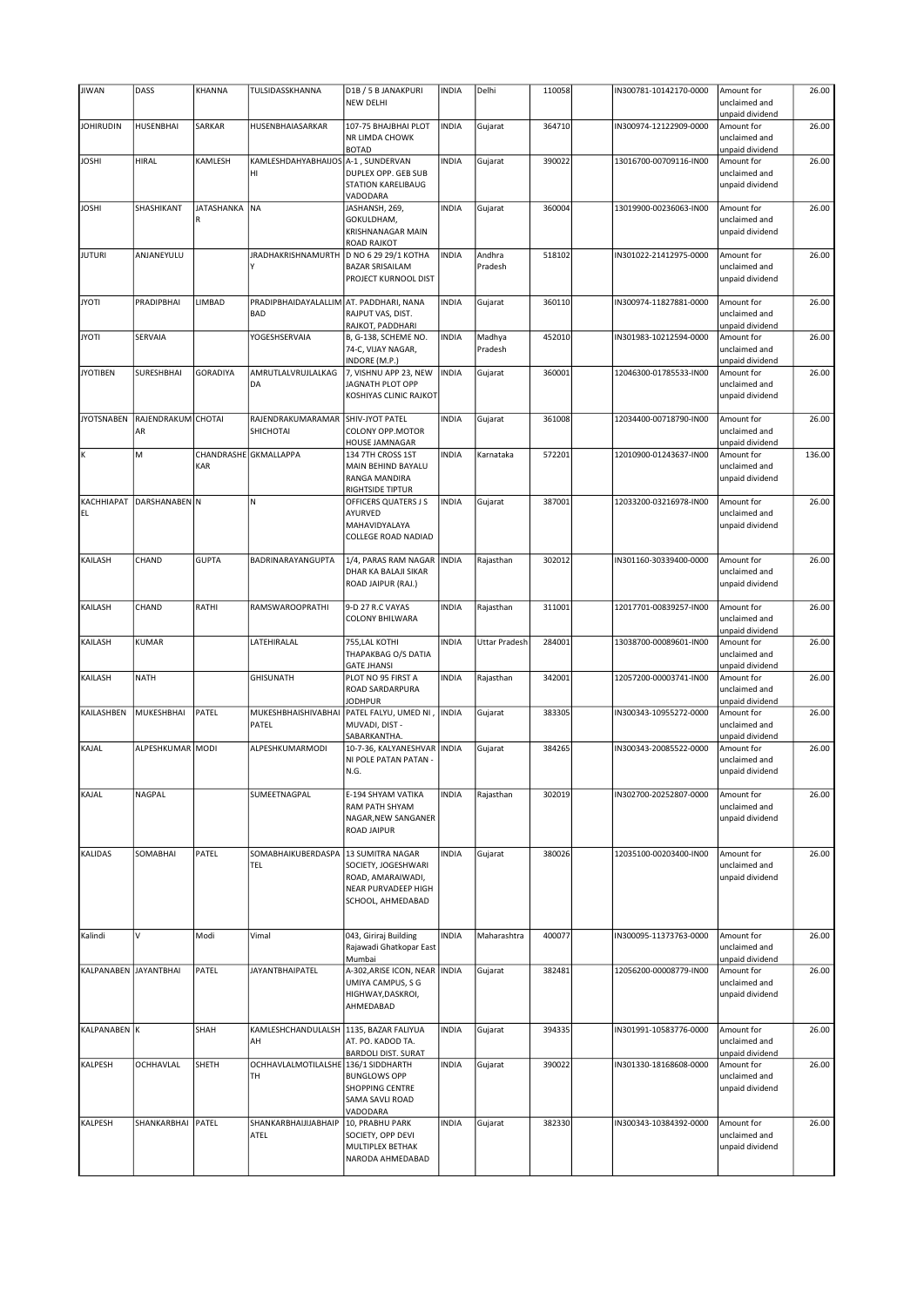| <b>JIWAN</b>          | DASS                     | KHANNA          | TULSIDASSKHANNA                                       | D1B / 5 B JANAKPURI<br><b>NEW DELHI</b>                                                                    | <b>INDIA</b> | Delhi             | 110058 | IN300781-10142170-0000 | Amount for<br>unclaimed and                                       | 26.00  |
|-----------------------|--------------------------|-----------------|-------------------------------------------------------|------------------------------------------------------------------------------------------------------------|--------------|-------------------|--------|------------------------|-------------------------------------------------------------------|--------|
| <b>JOHIRUDIN</b>      | <b>HUSENBHAI</b>         | SARKAR          | HUSENBHAIASARKAR                                      | 107-75 BHAJBHAI PLOT                                                                                       | <b>INDIA</b> | Gujarat           | 364710 | IN300974-12122909-0000 | unpaid dividend<br>Amount for                                     | 26.00  |
|                       |                          |                 |                                                       | NR LIMDA CHOWK<br><b>BOTAD</b>                                                                             |              |                   |        |                        | unclaimed and<br>unpaid dividend                                  |        |
| <b>JOSHI</b>          | HIRAL                    | KAMLESH         | KAMLESHDAHYABHAIJOS   A-1, SUNDERVAN<br>HI            | DUPLEX OPP. GEB SUB<br>STATION KARELIBAUG<br>VADODARA                                                      | <b>INDIA</b> | Gujarat           | 390022 | 13016700-00709116-IN00 | Amount for<br>unclaimed and<br>unpaid dividend                    | 26.00  |
| <b>JOSHI</b>          | SHASHIKANT               | JATASHANKA<br>R | NA                                                    | JASHANSH, 269,<br>GOKULDHAM,<br>KRISHNANAGAR MAIN<br><b>ROAD RAJKOT</b>                                    | <b>INDIA</b> | Gujarat           | 360004 | 13019900-00236063-IN00 | Amount for<br>unclaimed and<br>unpaid dividend                    | 26.00  |
| <b>JUTURI</b>         | ANJANEYULU               |                 | JRADHAKRISHNAMURTH   D NO 6 29 29/1 KOTHA<br>Υ        | <b>BAZAR SRISAILAM</b><br>PROJECT KURNOOL DIST                                                             | <b>INDIA</b> | Andhra<br>Pradesh | 518102 | IN301022-21412975-0000 | Amount for<br>unclaimed and<br>unpaid dividend                    | 26.00  |
| <b>JYOTI</b>          | PRADIPBHAI               | LIMBAD          | PRADIPBHAIDAYALALLIM AT. PADDHARI, NANA<br><b>BAD</b> | RAJPUT VAS, DIST.<br>RAJKOT, PADDHARI                                                                      | <b>INDIA</b> | Gujarat           | 360110 | IN300974-11827881-0000 | Amount for<br>unclaimed and<br>unpaid dividend                    | 26.00  |
| <b>JYOTI</b>          | SERVAIA                  |                 | YOGESHSERVAIA                                         | B, G-138, SCHEME NO.<br>74-C, VIJAY NAGAR,<br>INDORE (M.P.)                                                | <b>INDIA</b> | Madhya<br>Pradesh | 452010 | IN301983-10212594-0000 | Amount for<br>unclaimed and<br>unpaid dividend                    | 26.00  |
| <b>JYOTIBEN</b>       | SURESHBHAI               | <b>GORADIYA</b> | AMRUTLALVRUJLALKAG<br>DA                              | 7, VISHNU APP 23, NEW<br>JAGNATH PLOT OPP<br>KOSHIYAS CLINIC RAJKOT                                        | <b>INDIA</b> | Gujarat           | 360001 | 12046300-01785533-IN00 | Amount for<br>unclaimed and<br>unpaid dividend                    | 26.00  |
| <b>JYOTSNABEN</b>     | RAJENDRAKUM CHOTAI<br>AR |                 | RAJENDRAKUMARAMAR SHIV-JYOT PATEL<br>SHICHOTAI        | COLONY OPP.MOTOR<br>HOUSE JAMNAGAR                                                                         | <b>INDIA</b> | Gujarat           | 361008 | 12034400-00718790-IN00 | Amount for<br>unclaimed and<br>unpaid dividend                    | 26.00  |
| K                     | M                        | KAR             | CHANDRASHE GKMALLAPPA                                 | 134 7TH CROSS 1ST<br>MAIN BEHIND BAYALU<br>RANGA MANDIRA<br><b>RIGHTSIDE TIPTUR</b>                        | <b>INDIA</b> | Karnataka         | 572201 | 12010900-01243637-IN00 | Amount for<br>unclaimed and<br>unpaid dividend                    | 136.00 |
| EL.                   | KACHHIAPAT DARSHANABEN N |                 | N.                                                    | OFFICERS QUATERS J S<br>AYURVED<br>MAHAVIDYALAYA<br>COLLEGE ROAD NADIAD                                    | <b>INDIA</b> | Gujarat           | 387001 | 12033200-03216978-IN00 | Amount for<br>unclaimed and<br>unpaid dividend                    | 26.00  |
| KAILASH               | CHAND                    | <b>GUPTA</b>    | BADRINARAYANGUPTA                                     | 1/4, PARAS RAM NAGAR   INDIA<br>DHAR KA BALAJI SIKAR<br>ROAD JAIPUR (RAJ.)                                 |              | Rajasthan         | 302012 | IN301160-30339400-0000 | Amount for<br>unclaimed and<br>unpaid dividend                    | 26.00  |
| KAILASH               | CHAND                    | RATHI           | RAMSWAROOPRATHI                                       | 9-D 27 R.C VAYAS<br>COLONY BHILWARA                                                                        | <b>INDIA</b> | Rajasthan         | 311001 | 12017701-00839257-IN00 | Amount for<br>unclaimed and<br>unpaid dividend                    | 26.00  |
| KAILASH               | <b>KUMAR</b>             |                 | LATEHIRALAL                                           | 755, LAL KOTHI<br>THAPAKBAG O/S DATIA<br><b>GATE JHANSI</b>                                                | <b>INDIA</b> | Uttar Pradesh     | 284001 | 13038700-00089601-IN00 | Amount for<br>unclaimed and<br>unpaid dividend                    | 26.00  |
| KAILASH               | NATH                     |                 | <b>GHISUNATH</b>                                      | PLOT NO 95 FIRST A<br>ROAD SARDARPURA                                                                      | <b>INDIA</b> | Rajasthan         | 342001 | 12057200-00003741-IN00 | Amount for<br>unclaimed and<br>unpaid dividend                    | 26.00  |
|                       |                          |                 |                                                       |                                                                                                            |              |                   |        |                        |                                                                   |        |
| KAILASHBEN            | MUKESHBHAI               | PATEL           | MUKESHBHAISHIVABHAI<br>PATEL                          | <b>JODHPUR</b><br>PATEL FALYU, UMED NI,<br>MUVADI, DIST -                                                  | <b>INDIA</b> | Gujarat           | 383305 | IN300343-10955272-0000 | Amount for<br>unclaimed and                                       | 26.00  |
| KAJAL                 | ALPESHKUMAR MODI         |                 | ALPESHKUMARMODI                                       | SABARKANTHA.<br>10-7-36, KALYANESHVAR   INDIA<br>NI POLE PATAN PATAN -<br>N.G.                             |              | Gujarat           | 384265 | IN300343-20085522-0000 | unpaid dividend<br>Amount for<br>unclaimed and<br>unpaid dividend | 26.00  |
| KAJAL                 | NAGPAL                   |                 | SUMEETNAGPAL                                          | E-194 SHYAM VATIKA<br>RAM PATH SHYAM<br>NAGAR, NEW SANGANER<br>ROAD JAIPUR                                 | <b>INDIA</b> | Rajasthan         | 302019 | IN302700-20252807-0000 | Amount for<br>unclaimed and<br>unpaid dividend                    | 26.00  |
| KALIDAS               | SOMABHAI                 | PATEL           | SOMABHAIKUBERDASPA<br><b>TEL</b>                      | 13 SUMITRA NAGAR<br>SOCIETY, JOGESHWARI<br>ROAD, AMARAIWADI,<br>NEAR PURVADEEP HIGH<br>SCHOOL, AHMEDABAD   | <b>INDIA</b> | Gujarat           | 380026 | 12035100-00203400-IN00 | Amount for<br>unclaimed and<br>unpaid dividend                    | 26.00  |
| Kalindi               | V                        | Modi            | Vimal                                                 | 043, Giriraj Building<br>Rajawadi Ghatkopar East                                                           | <b>INDIA</b> | Maharashtra       | 400077 | IN300095-11373763-0000 | Amount for<br>unclaimed and                                       | 26.00  |
| KALPANABEN JAYANTBHAI |                          | PATEL           | <b>JAYANTBHAIPATEL</b>                                | Mumbai<br>A-302, ARISE ICON, NEAR INDIA<br>UMIYA CAMPUS, S G<br>HIGHWAY, DASKROI,<br>AHMEDABAD             |              | Gujarat           | 382481 | 12056200-00008779-IN00 | unpaid dividend<br>Amount for<br>unclaimed and<br>unpaid dividend | 26.00  |
| KALPANABEN K          |                          | SHAH            | KAMLESHCHANDULALSH<br>AH                              | 1135, BAZAR FALIYUA<br>AT. PO. KADOD TA.                                                                   | <b>INDIA</b> | Gujarat           | 394335 | IN301991-10583776-0000 | Amount for<br>unclaimed and                                       | 26.00  |
| KALPESH               | <b>OCHHAVLAL</b>         | SHETH           | OCHHAVLALMOTILALSHE 136/1 SIDDHARTH<br>TH             | <b>BARDOLI DIST. SURAT</b><br><b>BUNGLOWS OPP</b><br><b>SHOPPING CENTRE</b><br>SAMA SAVLI ROAD<br>VADODARA | <b>INDIA</b> | Gujarat           | 390022 | IN301330-18168608-0000 | unpaid dividend<br>Amount for<br>unclaimed and<br>unpaid dividend | 26.00  |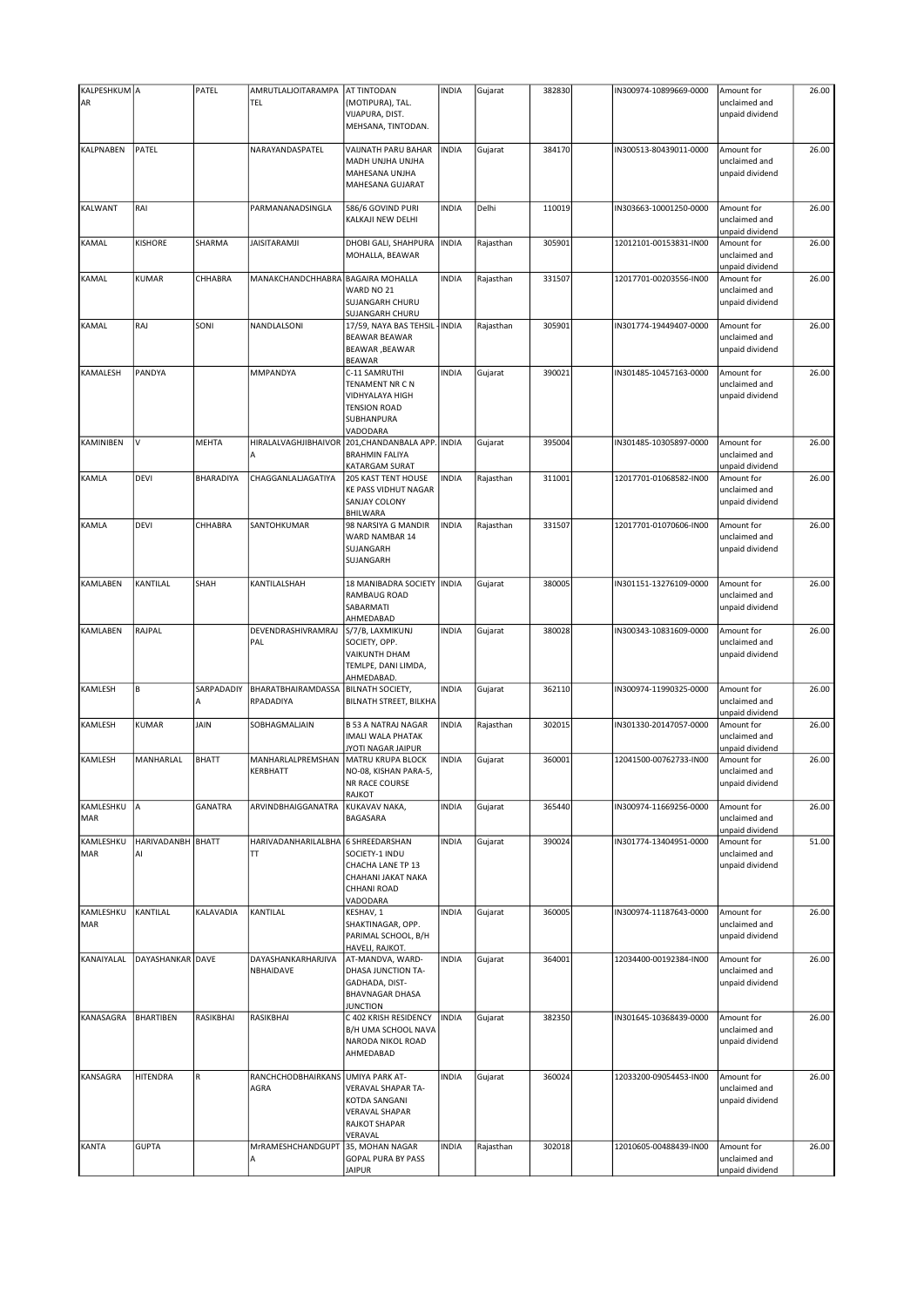| KALPESHKUM A<br>AR      |                         | PATEL           | AMRUTLALJOITARAMPA<br>TEL       | AT TINTODAN<br>(MOTIPURA), TAL.<br>VIJAPURA, DIST.<br>MEHSANA, TINTODAN.                                          | <b>INDIA</b> | Gujarat   | 382830 | IN300974-10899669-0000 | Amount for<br>unclaimed and<br>unpaid dividend | 26.00 |
|-------------------------|-------------------------|-----------------|---------------------------------|-------------------------------------------------------------------------------------------------------------------|--------------|-----------|--------|------------------------|------------------------------------------------|-------|
| KALPNABEN               | PATEL                   |                 | NARAYANDASPATEL                 | VAIJNATH PARU BAHAR<br>MADH UNJHA UNJHA<br>MAHESANA UNJHA<br>MAHESANA GUJARAT                                     | <b>INDIA</b> | Gujarat   | 384170 | IN300513-80439011-0000 | Amount for<br>unclaimed and<br>unpaid dividend | 26.00 |
| <b>KALWANT</b>          | RAI                     |                 | PARMANANADSINGLA                | 586/6 GOVIND PURI<br>KALKAJI NEW DELHI                                                                            | <b>INDIA</b> | Delhi     | 110019 | IN303663-10001250-0000 | Amount for<br>unclaimed and<br>unpaid dividend | 26.00 |
| KAMAL                   | <b>KISHORE</b>          | SHARMA          | <b>JAISITARAMJI</b>             | DHOBI GALI, SHAHPURA<br>MOHALLA, BEAWAR                                                                           | <b>INDIA</b> | Rajasthan | 305901 | 12012101-00153831-IN00 | Amount for<br>unclaimed and<br>unpaid dividend | 26.00 |
| KAMAL                   | KUMAR                   | CHHABRA         | MANAKCHANDCHHABRA               | <b>BAGAIRA MOHALLA</b><br>WARD NO 21<br>SUJANGARH CHURU<br>SUJANGARH CHURU                                        | <b>INDIA</b> | Rajasthan | 331507 | 12017701-00203556-IN00 | Amount for<br>unclaimed and<br>unpaid dividend | 26.00 |
| KAMAL                   | RAJ                     | SONI            | NANDLALSONI                     | 17/59, NAYA BAS TEHSIL - INDIA<br><b>BEAWAR BEAWAR</b><br>BEAWAR, BEAWAR<br><b>BEAWAR</b>                         |              | Rajasthan | 305901 | IN301774-19449407-0000 | Amount for<br>unclaimed and<br>unpaid dividend | 26.00 |
| KAMALESH                | PANDYA                  |                 | MMPANDYA                        | C-11 SAMRUTHI<br>TENAMENT NR C N<br>VIDHYALAYA HIGH<br><b>TENSION ROAD</b><br>SUBHANPURA<br>VADODARA              | <b>INDIA</b> | Gujarat   | 390021 | IN301485-10457163-0000 | Amount for<br>unclaimed and<br>unpaid dividend | 26.00 |
| KAMINIBEN               | V                       | <b>MEHTA</b>    | HIRALALVAGHJIBHAIVOR<br>А       | 201, CHANDANBALA APP. INDIA<br><b>BRAHMIN FALIYA</b><br>KATARGAM SURAT                                            |              | Gujarat   | 395004 | IN301485-10305897-0000 | Amount for<br>unclaimed and<br>unpaid dividend | 26.00 |
| KAMLA                   | DEVI                    | BHARADIYA       | CHAGGANLALJAGATIYA              | 205 KAST TENT HOUSE<br>KE PASS VIDHUT NAGAR<br>SANJAY COLONY<br>BHILWARA                                          | <b>INDIA</b> | Rajasthan | 311001 | 12017701-01068582-IN00 | Amount for<br>unclaimed and<br>unpaid dividend | 26.00 |
| KAMLA                   | DEVI                    | CHHABRA         | SANTOHKUMAR                     | 98 NARSIYA G MANDIR<br>WARD NAMBAR 14<br>SUJANGARH<br>SUJANGARH                                                   | <b>INDIA</b> | Rajasthan | 331507 | 12017701-01070606-IN00 | Amount for<br>unclaimed and<br>unpaid dividend | 26.00 |
| KAMLABEN                | KANTILAL                | SHAH            | KANTILALSHAH                    | 18 MANIBADRA SOCIETY   INDIA<br>RAMBAUG ROAD<br>SABARMATI<br>AHMEDABAD                                            |              | Gujarat   | 380005 | IN301151-13276109-0000 | Amount for<br>unclaimed and<br>unpaid dividend | 26.00 |
| KAMLABEN                | RAJPAL                  |                 | DEVENDRASHIVRAMRAJ<br>PAL       | S/7/B, LAXMIKUNJ<br>SOCIETY, OPP.<br>VAIKUNTH DHAM<br>TEMLPE, DANI LIMDA,<br>AHMEDABAD.                           | <b>INDIA</b> | Gujarat   | 380028 | IN300343-10831609-0000 | Amount for<br>unclaimed and<br>unpaid dividend | 26.00 |
| KAMLESH                 | B                       | SARPADADIY<br>A | BHARATBHAIRAMDASSA<br>RPADADIYA | <b>BILNATH SOCIETY,</b><br>BILNATH STREET, BILKHA                                                                 | <b>INDIA</b> | Gujarat   | 362110 | IN300974-11990325-0000 | Amount for<br>unclaimed and<br>unpaid dividend | 26.00 |
| KAMLESH                 | KUMAR                   | JAIN            | SOBHAGMALJAIN                   | <b>B 53 A NATRAJ NAGAR</b><br><b>IMALI WALA PHATAK</b><br>JYOTI NAGAR JAIPUR                                      | <b>INDIA</b> | Rajasthan | 302015 | IN301330-20147057-0000 | Amount for<br>unclaimed and<br>unpaid dividend | 26.00 |
| KAMLESH                 | MANHARLAL               | <b>BHATT</b>    | MANHARLALPREMSHAN<br>KERBHATT   | MATRU KRUPA BLOCK<br>NO-08, KISHAN PARA-5,<br>NR RACE COURSE<br>RAJKOT                                            | <b>INDIA</b> | Gujarat   | 360001 | 12041500-00762733-IN00 | Amount for<br>unclaimed and<br>unpaid dividend | 26.00 |
| KAMLESHKU<br>MAR        | A                       | GANATRA         | ARVINDBHAIGGANATRA              | KUKAVAV NAKA,<br>BAGASARA                                                                                         | <b>INDIA</b> | Gujarat   | 365440 | IN300974-11669256-0000 | Amount for<br>unclaimed and<br>unpaid dividend | 26.00 |
| KAMLESHKU<br><b>MAR</b> | HARIVADANBH BHATT<br>AI |                 | HARIVADANHARILALBHA<br>TT.      | 6 SHREEDARSHAN<br>SOCIETY-1 INDU<br>CHACHA LANE TP 13<br>CHAHANI JAKAT NAKA<br>CHHANI ROAD<br>VADODARA            | <b>INDIA</b> | Gujarat   | 390024 | IN301774-13404951-0000 | Amount for<br>unclaimed and<br>unpaid dividend | 51.00 |
| KAMLESHKU<br><b>MAR</b> | KANTILAL                | KALAVADIA       | KANTILAL                        | KESHAV, 1<br>SHAKTINAGAR, OPP.<br>PARIMAL SCHOOL, B/H<br>HAVELI, RAJKOT.                                          | <b>INDIA</b> | Gujarat   | 360005 | IN300974-11187643-0000 | Amount for<br>unclaimed and<br>unpaid dividend | 26.00 |
| KANAIYALAL              | DAYASHANKAR DAVE        |                 | DAYASHANKARHARJIVA<br>NBHAIDAVE | AT-MANDVA, WARD-<br>DHASA JUNCTION TA-<br>GADHADA, DIST-<br><b>BHAVNAGAR DHASA</b><br><b>JUNCTION</b>             | <b>INDIA</b> | Gujarat   | 364001 | 12034400-00192384-IN00 | Amount for<br>unclaimed and<br>unpaid dividend | 26.00 |
| KANASAGRA               | <b>BHARTIBEN</b>        | RASIKBHAI       | RASIKBHAI                       | C 402 KRISH RESIDENCY<br>B/H UMA SCHOOL NAVA<br>NARODA NIKOL ROAD<br>AHMEDABAD                                    | <b>INDIA</b> | Gujarat   | 382350 | IN301645-10368439-0000 | Amount for<br>unclaimed and<br>unpaid dividend | 26.00 |
| KANSAGRA                | HITENDRA                | R               | RANCHCHODBHAIRKANS<br>AGRA      | <b>UMIYA PARK AT-</b><br>VERAVAL SHAPAR TA-<br>KOTDA SANGANI<br><b>VERAVAL SHAPAR</b><br>RAJKOT SHAPAR<br>VERAVAL | <b>INDIA</b> | Gujarat   | 360024 | 12033200-09054453-IN00 | Amount for<br>unclaimed and<br>unpaid dividend | 26.00 |
| <b>KANTA</b>            | <b>GUPTA</b>            |                 | MrRAMESHCHANDGUPT<br>A          | 35, MOHAN NAGAR<br><b>GOPAL PURA BY PASS</b><br><b>JAIPUR</b>                                                     | <b>INDIA</b> | Rajasthan | 302018 | 12010605-00488439-IN00 | Amount for<br>unclaimed and<br>unpaid dividend | 26.00 |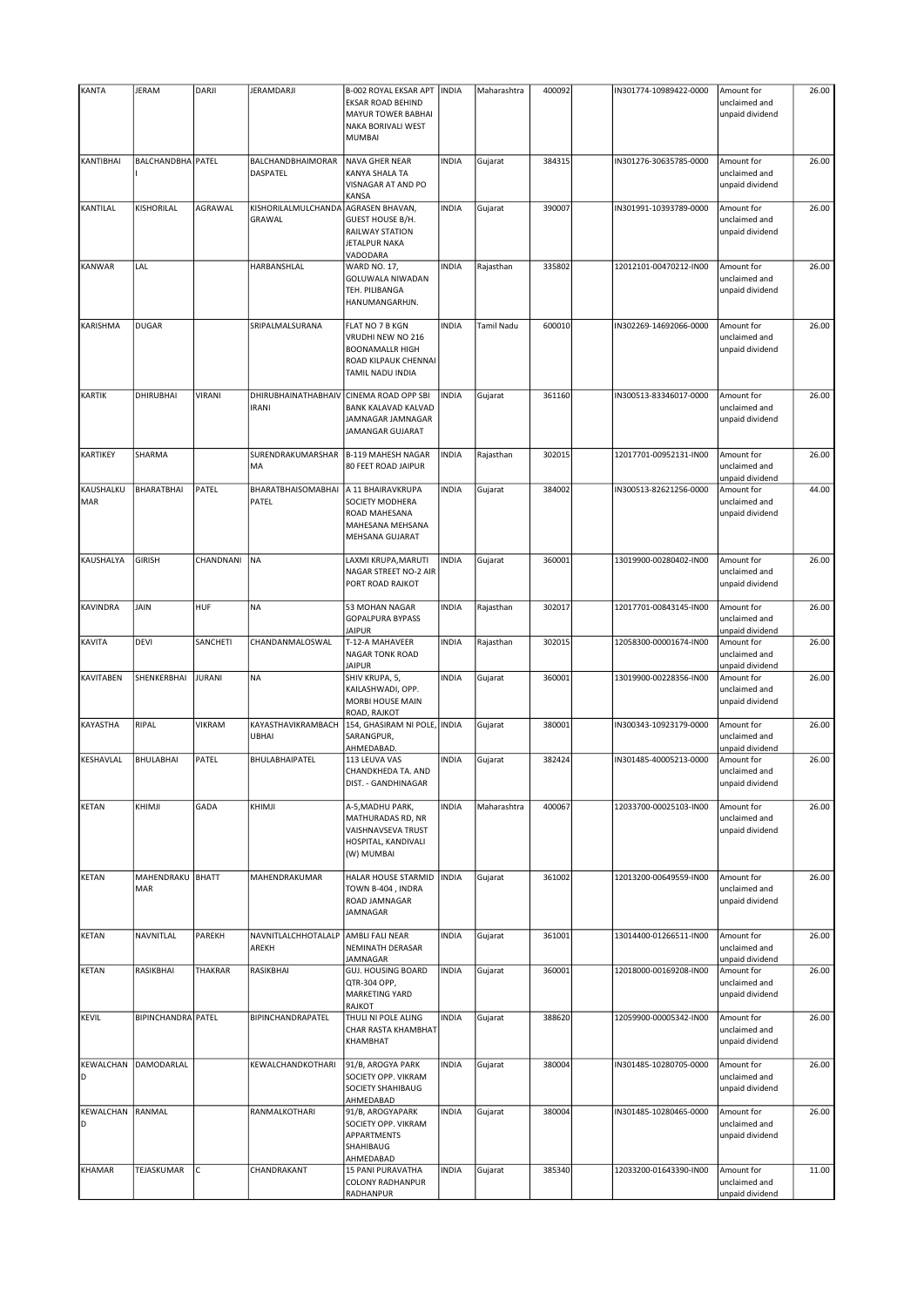| KANTA                   | JERAM                   | DARJI         | JERAMDARJI                          | B-002 ROYAL EKSAR APT<br>EKSAR ROAD BEHIND<br>MAYUR TOWER BABHAI<br>NAKA BORIVALI WEST<br><b>MUMBAI</b>    | <b>INDIA</b> | Maharashtra | 400092 | IN301774-10989422-0000 | Amount for<br>unclaimed and<br>unpaid dividend | 26.00 |
|-------------------------|-------------------------|---------------|-------------------------------------|------------------------------------------------------------------------------------------------------------|--------------|-------------|--------|------------------------|------------------------------------------------|-------|
| KANTIBHAI               | BALCHANDBHA PATEL       |               | BALCHANDBHAIMORAR<br>DASPATEL       | NAVA GHER NEAR<br>KANYA SHALA TA<br>VISNAGAR AT AND PO<br>KANSA                                            | <b>INDIA</b> | Gujarat     | 384315 | IN301276-30635785-0000 | Amount for<br>unclaimed and<br>unpaid dividend | 26.00 |
| KANTILAL                | KISHORILAL              | AGRAWAL       | KISHORILALMULCHANDA<br>GRAWAL       | AGRASEN BHAVAN,<br>GUEST HOUSE B/H.<br>RAILWAY STATION<br>JETALPUR NAKA<br>VADODARA                        | <b>INDIA</b> | Gujarat     | 390007 | IN301991-10393789-0000 | Amount for<br>unclaimed and<br>unpaid dividend | 26.00 |
| <b>KANWAR</b>           | LAL                     |               | HARBANSHLAL                         | <b>WARD NO. 17,</b><br>GOLUWALA NIWADAN<br>TEH. PILIBANGA<br>HANUMANGARHJN.                                | <b>INDIA</b> | Rajasthan   | 335802 | 12012101-00470212-IN00 | Amount for<br>unclaimed and<br>unpaid dividend | 26.00 |
| KARISHMA                | <b>DUGAR</b>            |               | SRIPALMALSURANA                     | FLAT NO 7 B KGN<br>VRUDHI NEW NO 216<br><b>BOONAMALLR HIGH</b><br>ROAD KILPAUK CHENNAI<br>TAMIL NADU INDIA | <b>INDIA</b> | Tamil Nadu  | 600010 | IN302269-14692066-0000 | Amount for<br>unclaimed and<br>unpaid dividend | 26.00 |
| <b>KARTIK</b>           | <b>DHIRUBHAI</b>        | VIRANI        | DHIRUBHAINATHABHAIV<br><b>IRANI</b> | CINEMA ROAD OPP SBI<br><b>BANK KALAVAD KALVAD</b><br>JAMNAGAR JAMNAGAR<br>JAMANGAR GUJARAT                 | <b>INDIA</b> | Gujarat     | 361160 | IN300513-83346017-0000 | Amount for<br>unclaimed and<br>unpaid dividend | 26.00 |
| KARTIKEY                | SHARMA                  |               | SURENDRAKUMARSHAR<br>MA             | <b>B-119 MAHESH NAGAR</b><br>80 FEET ROAD JAIPUR                                                           | <b>INDIA</b> | Rajasthan   | 302015 | 12017701-00952131-IN00 | Amount for<br>unclaimed and<br>unpaid dividend | 26.00 |
| KAUSHALKU<br><b>MAR</b> | BHARATBHAI              | PATEL         | BHARATBHAISOMABHAI<br>PATEL         | A 11 BHAIRAVKRUPA<br>SOCIETY MODHERA<br>ROAD MAHESANA<br>MAHESANA MEHSANA<br>MEHSANA GUJARAT               | <b>INDIA</b> | Gujarat     | 384002 | IN300513-82621256-0000 | Amount for<br>unclaimed and<br>unpaid dividend | 44.00 |
| KAUSHALYA               | <b>GIRISH</b>           | CHANDNANI     | <b>NA</b>                           | LAXMI KRUPA, MARUTI<br>NAGAR STREET NO-2 AIR<br>PORT ROAD RAJKOT                                           | <b>INDIA</b> | Gujarat     | 360001 | 13019900-00280402-IN00 | Amount for<br>unclaimed and<br>unpaid dividend | 26.00 |
| <b>KAVINDRA</b>         | JAIN                    | HUF           | <b>NA</b>                           | 53 MOHAN NAGAR<br><b>GOPALPURA BYPASS</b><br><b>JAIPUR</b>                                                 | <b>INDIA</b> | Rajasthan   | 302017 | 12017701-00843145-IN00 | Amount for<br>unclaimed and<br>unpaid dividend | 26.00 |
| KAVITA                  | <b>DEVI</b>             | SANCHETI      | CHANDANMALOSWAL                     | T-12-A MAHAVEER<br>NAGAR TONK ROAD<br><b>JAIPUR</b>                                                        | <b>INDIA</b> | Rajasthan   | 302015 | 12058300-00001674-IN00 | Amount for<br>unclaimed and<br>unpaid dividend | 26.00 |
| <b>KAVITABEN</b>        | SHENKERBHAI             | <b>JURANI</b> | <b>NA</b>                           | SHIV KRUPA, 5,<br>KAILASHWADI, OPP.<br>MORBI HOUSE MAIN<br>ROAD, RAJKOT                                    | <b>INDIA</b> | Gujarat     | 360001 | 13019900-00228356-IN00 | Amount for<br>unclaimed and<br>unpaid dividend | 26.00 |
| KAYASTHA                | RIPAL                   | VIKRAM        | KAYASTHAVIKRAMBACH<br><b>UBHAI</b>  | 154, GHASIRAM NI POLE, INDIA<br>SARANGPUR,<br>AHMEDABAD.                                                   |              | Gujarat     | 380001 | IN300343-10923179-0000 | Amount for<br>unclaimed and<br>unpaid dividend | 26.00 |
| KESHAVLAL               | BHULABHAI               | PATEL         | BHULABHAIPATEL                      | 113 LEUVA VAS<br>CHANDKHEDA TA. AND<br>DIST. - GANDHINAGAR                                                 | <b>INDIA</b> | Gujarat     | 382424 | IN301485-40005213-0000 | Amount for<br>unclaimed and<br>unpaid dividend | 26.00 |
| <b>KETAN</b>            | KHIMJI                  | GADA          | KHIMJI                              | A-5, MADHU PARK,<br>MATHURADAS RD, NR<br>VAISHNAVSEVA TRUST<br>HOSPITAL, KANDIVALI<br>(W) MUMBAI           | <b>INDIA</b> | Maharashtra | 400067 | 12033700-00025103-IN00 | Amount for<br>unclaimed and<br>unpaid dividend | 26.00 |
| <b>KETAN</b>            | MAHENDRAKU BHATT<br>MAR |               | MAHENDRAKUMAR                       | HALAR HOUSE STARMID<br>TOWN B-404, INDRA<br>ROAD JAMNAGAR<br>JAMNAGAR                                      | <b>INDIA</b> | Gujarat     | 361002 | 12013200-00649559-IN00 | Amount for<br>unclaimed and<br>unpaid dividend | 26.00 |
| <b>KETAN</b>            | NAVNITLAL               | PAREKH        | NAVNITLALCHHOTALALP<br>AREKH        | AMBLI FALI NEAR<br>NEMINATH DERASAR<br><b>JAMNAGAR</b>                                                     | <b>INDIA</b> | Gujarat     | 361001 | 13014400-01266511-IN00 | Amount for<br>unclaimed and<br>unpaid dividend | 26.00 |
| <b>KETAN</b>            | RASIKBHAI               | THAKRAR       | RASIKBHAI                           | GUJ. HOUSING BOARD<br>QTR-304 OPP,<br>MARKETING YARD<br>RAJKOT                                             | <b>INDIA</b> | Gujarat     | 360001 | 12018000-00169208-IN00 | Amount for<br>unclaimed and<br>unpaid dividend | 26.00 |
| <b>KEVIL</b>            | BIPINCHANDRA PATEL      |               | BIPINCHANDRAPATEL                   | THULI NI POLE ALING<br>CHAR RASTA KHAMBHAT<br>KHAMBHAT                                                     | <b>INDIA</b> | Gujarat     | 388620 | 12059900-00005342-IN00 | Amount for<br>unclaimed and<br>unpaid dividend | 26.00 |
| KEWALCHAN<br>D          | DAMODARLAL              |               | KEWALCHANDKOTHARI                   | 91/B, AROGYA PARK<br>SOCIETY OPP. VIKRAM<br>SOCIETY SHAHIBAUG<br>AHMEDABAD                                 | <b>INDIA</b> | Gujarat     | 380004 | IN301485-10280705-0000 | Amount for<br>unclaimed and<br>unpaid dividend | 26.00 |
| KEWALCHAN<br>D          | RANMAL                  |               | RANMALKOTHARI                       | 91/B, AROGYAPARK<br>SOCIETY OPP. VIKRAM<br>APPARTMENTS<br>SHAHIBAUG<br>AHMEDABAD                           | <b>INDIA</b> | Gujarat     | 380004 | IN301485-10280465-0000 | Amount for<br>unclaimed and<br>unpaid dividend | 26.00 |
| <b>KHAMAR</b>           | TEJASKUMAR              | C             | CHANDRAKANT                         | 15 PANI PURAVATHA<br><b>COLONY RADHANPUR</b><br>RADHANPUR                                                  | <b>INDIA</b> | Gujarat     | 385340 | 12033200-01643390-IN00 | Amount for<br>unclaimed and<br>unpaid dividend | 11.00 |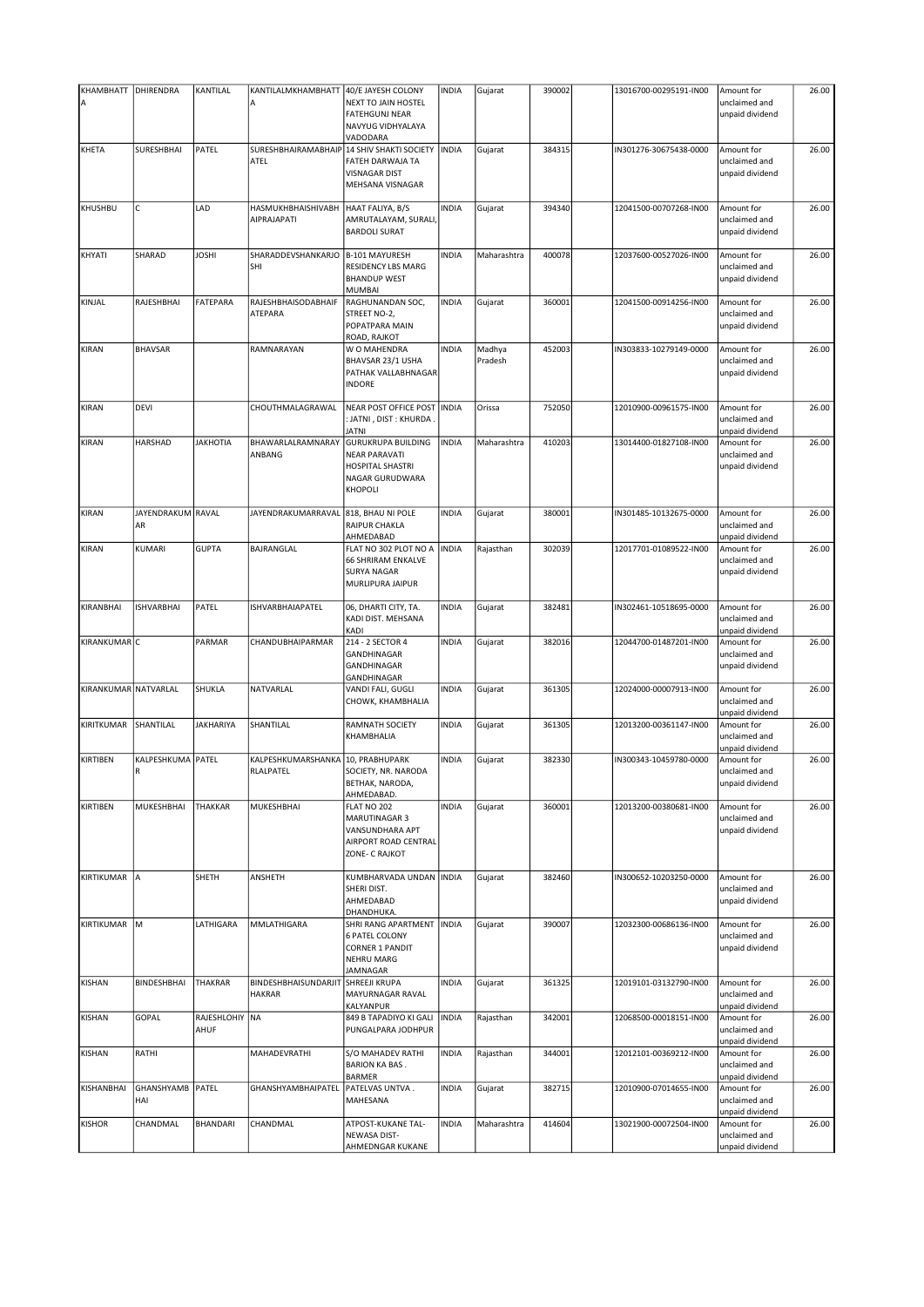| KHAMBHATT   DHIRENDRA |                           | KANTILAL               | KANTILALMKHAMBHATT                                 | 40/E JAYESH COLONY                                                                                         | INDIA        | Gujarat           | 390002 | 13016700-00295191-IN00 | Amount for                                     | 26.00 |
|-----------------------|---------------------------|------------------------|----------------------------------------------------|------------------------------------------------------------------------------------------------------------|--------------|-------------------|--------|------------------------|------------------------------------------------|-------|
| А                     |                           |                        | ΙA                                                 | NEXT TO JAIN HOSTEL<br><b>FATEHGUNJ NEAR</b><br>NAVYUG VIDHYALAYA<br>VADODARA                              |              |                   |        |                        | unclaimed and<br>unpaid dividend               |       |
| <b>KHETA</b>          | SURESHBHAI                | PATEL                  | SURESHBHAIRAMABHAIP 14 SHIV SHAKTI SOCIETY<br>ATEL | FATEH DARWAJA TA<br><b>VISNAGAR DIST</b><br>MEHSANA VISNAGAR                                               | <b>INDIA</b> | Gujarat           | 384315 | IN301276-30675438-0000 | Amount for<br>unclaimed and<br>unpaid dividend | 26.00 |
| KHUSHBU               | C                         | LAD                    | HASMUKHBHAISHIVABH<br><b>AIPRAJAPATI</b>           | HAAT FALIYA, B/S<br>AMRUTALAYAM, SURALI,<br><b>BARDOLI SURAT</b>                                           | <b>INDIA</b> | Gujarat           | 394340 | 12041500-00707268-IN00 | Amount for<br>unclaimed and<br>unpaid dividend | 26.00 |
| KHYATI                | SHARAD                    | <b>JOSHI</b>           | SHARADDEVSHANKARJO<br>SHI                          | B-101 MAYURESH<br>RESIDENCY LBS MARG<br><b>BHANDUP WEST</b><br><b>MUMBAI</b>                               | <b>INDIA</b> | Maharashtra       | 400078 | 12037600-00527026-IN00 | Amount for<br>unclaimed and<br>unpaid dividend | 26.00 |
| KINJAL                | RAJESHBHAI                | <b>FATEPARA</b>        | RAJESHBHAISODABHAIF<br><b>ATEPARA</b>              | RAGHUNANDAN SOC,<br>STREET NO-2,<br>POPATPARA MAIN<br>ROAD, RAJKOT                                         | <b>INDIA</b> | Gujarat           | 360001 | 12041500-00914256-IN00 | Amount for<br>unclaimed and<br>unpaid dividend | 26.00 |
| KIRAN                 | <b>BHAVSAR</b>            |                        | RAMNARAYAN                                         | W O MAHENDRA<br>BHAVSAR 23/1 USHA<br>PATHAK VALLABHNAGAR<br><b>INDORE</b>                                  | <b>INDIA</b> | Madhya<br>Pradesh | 452003 | IN303833-10279149-0000 | Amount for<br>unclaimed and<br>unpaid dividend | 26.00 |
| <b>KIRAN</b>          | DEVI                      |                        | CHOUTHMALAGRAWAL                                   | NEAR POST OFFICE POST<br>: JATNI , DIST : KHURDA .<br><b>JATNI</b>                                         | <b>INDIA</b> | Orissa            | 752050 | 12010900-00961575-IN00 | Amount for<br>unclaimed and<br>unpaid dividend | 26.00 |
| <b>KIRAN</b>          | HARSHAD                   | <b>JAKHOTIA</b>        | BHAWARLALRAMNARAY<br>ANBANG                        | <b>GURUKRUPA BUILDING</b><br><b>NEAR PARAVATI</b><br><b>HOSPITAL SHASTRI</b><br>NAGAR GURUDWARA<br>KHOPOLI | <b>INDIA</b> | Maharashtra       | 410203 | 13014400-01827108-IN00 | Amount for<br>unclaimed and<br>unpaid dividend | 26.00 |
| <b>KIRAN</b>          | JAYENDRAKUM RAVAL<br>AR   |                        | JAYENDRAKUMARRAVAL                                 | 818, BHAU NI POLE<br>RAIPUR CHAKLA<br>AHMEDABAD                                                            | INDIA        | Gujarat           | 380001 | IN301485-10132675-0000 | Amount for<br>unclaimed and<br>unpaid dividend | 26.00 |
| KIRAN                 | KUMARI                    | <b>GUPTA</b>           | BAJRANGLAL                                         | FLAT NO 302 PLOT NO A<br><b>66 SHRIRAM ENKALVE</b><br><b>SURYA NAGAR</b><br>MURLIPURA JAIPUR               | <b>INDIA</b> | Rajasthan         | 302039 | 12017701-01089522-IN00 | Amount for<br>unclaimed and<br>unpaid dividend | 26.00 |
| KIRANBHAI             | <b>ISHVARBHAI</b>         | PATEL                  | <b>ISHVARBHAIAPATEL</b>                            | 06, DHARTI CITY, TA.<br>KADI DIST. MEHSANA<br>KADI                                                         | <b>INDIA</b> | Gujarat           | 382481 | IN302461-10518695-0000 | Amount for<br>unclaimed and<br>unpaid dividend | 26.00 |
| KIRANKUMAR C          |                           | PARMAR                 | CHANDUBHAIPARMAR                                   | 214 - 2 SECTOR 4<br>GANDHINAGAR<br>GANDHINAGAR<br>GANDHINAGAR                                              | INDIA        | Gujarat           | 382016 | 12044700-01487201-IN00 | Amount for<br>unclaimed and<br>unpaid dividend | 26.00 |
| KIRANKUMAR NATVARLAL  |                           | SHUKLA                 | NATVARLAL                                          | VANDI FALI, GUGLI<br>CHOWK, KHAMBHALIA                                                                     | INDIA        | Gujarat           | 361305 | 12024000-00007913-IN00 | Amount for<br>unclaimed and<br>unpaid dividend | 26.00 |
| KIRITKUMAR            | SHANTILAL                 | <b>JAKHARIYA</b>       | SHANTILAL                                          | RAMNATH SOCIETY<br>KHAMBHALIA                                                                              | <b>INDIA</b> | Gujarat           | 361305 | 12013200-00361147-IN00 | Amount for<br>unclaimed and<br>unpaid dividend | 26.00 |
| <b>KIRTIBEN</b>       | KALPESHKUMA   PATEL<br>R  |                        | KALPESHKUMARSHANKA<br>RLALPATEL                    | 10, PRABHUPARK<br>SOCIETY, NR. NARODA<br>BETHAK, NARODA,<br>AHMEDABAD.                                     | <b>INDIA</b> | Gujarat           | 382330 | IN300343-10459780-0000 | Amount for<br>unclaimed and<br>unpaid dividend | 26.00 |
| KIRTIBEN              | MUKESHBHAI                | <b>THAKKAR</b>         | MUKESHBHAI                                         | FLAT NO 202<br>MARUTINAGAR 3<br>VANSUNDHARA APT<br>AIRPORT ROAD CENTRAL<br>ZONE- C RAJKOT                  | INDIA        | Gujarat           | 360001 | 12013200-00380681-IN00 | Amount for<br>unclaimed and<br>unpaid dividend | 26.00 |
| KIRTIKUMAR            | A                         | SHETH                  | ANSHETH                                            | KUMBHARVADA UNDAN INDIA<br>SHERI DIST.<br>AHMEDABAD<br>DHANDHUKA.                                          |              | Gujarat           | 382460 | IN300652-10203250-0000 | Amount for<br>unclaimed and<br>unpaid dividend | 26.00 |
| KIRTIKUMAR            | M                         | LATHIGARA              | <b>MMLATHIGARA</b>                                 | SHRI RANG APARTMENT<br><b>6 PATEL COLONY</b><br><b>CORNER 1 PANDIT</b><br><b>NEHRU MARG</b><br>JAMNAGAR    | <b>INDIA</b> | Gujarat           | 390007 | 12032300-00686136-IN00 | Amount for<br>unclaimed and<br>unpaid dividend | 26.00 |
| <b>KISHAN</b>         | <b>BINDESHBHAI</b>        | <b>THAKRAR</b>         | BINDESHBHAISUNDARJIT<br><b>HAKRAR</b>              | <b>SHREEJI KRUPA</b><br>MAYURNAGAR RAVAL<br>KALYANPUR                                                      | <b>INDIA</b> | Gujarat           | 361325 | 12019101-03132790-IN00 | Amount for<br>unclaimed and<br>unpaid dividend | 26.00 |
| <b>KISHAN</b>         | GOPAL                     | RAJESHLOHIY NA<br>AHUF |                                                    | 849 B TAPADIYO KI GALI<br>PUNGALPARA JODHPUR                                                               | <b>INDIA</b> | Rajasthan         | 342001 | 12068500-00018151-IN00 | Amount for<br>unclaimed and<br>unpaid dividend | 26.00 |
| <b>KISHAN</b>         | RATHI                     |                        | MAHADEVRATHI                                       | S/O MAHADEV RATHI<br><b>BARION KA BAS.</b><br><b>BARMER</b>                                                | INDIA        | Rajasthan         | 344001 | 12012101-00369212-IN00 | Amount for<br>unclaimed and<br>unpaid dividend | 26.00 |
| KISHANBHAI            | GHANSHYAMB   PATEL<br>HAI |                        | GHANSHYAMBHAIPATEL                                 | PATELVAS UNTVA.<br>MAHESANA                                                                                | INDIA        | Gujarat           | 382715 | 12010900-07014655-IN00 | Amount for<br>unclaimed and<br>unpaid dividend | 26.00 |
| <b>KISHOR</b>         | CHANDMAL                  | <b>BHANDARI</b>        | CHANDMAL                                           | ATPOST-KUKANE TAL-<br>NEWASA DIST-<br>AHMEDNGAR KUKANE                                                     | <b>INDIA</b> | Maharashtra       | 414604 | 13021900-00072504-IN00 | Amount for<br>unclaimed and<br>unpaid dividend | 26.00 |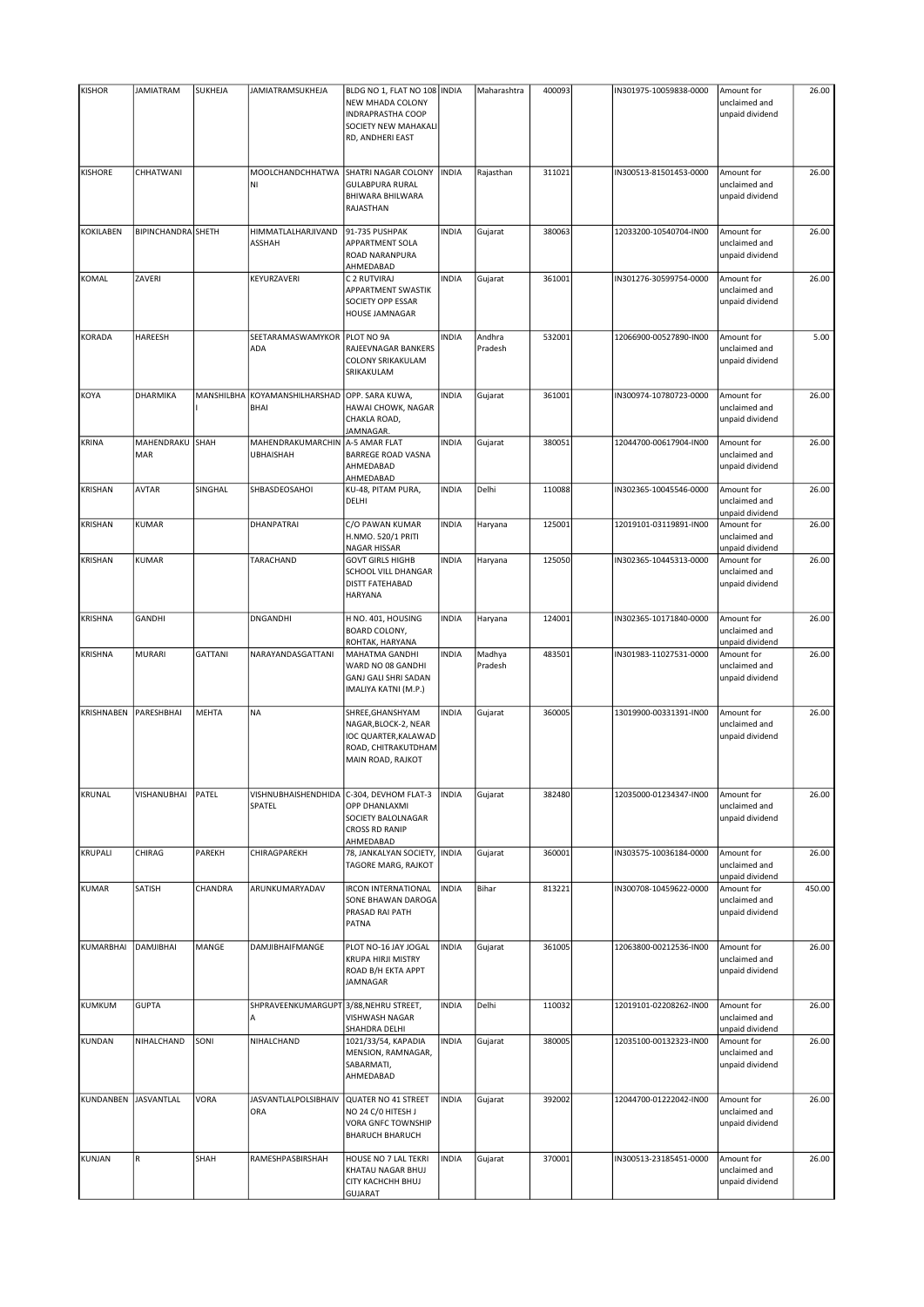| <b>KISHOR</b>    | <b>JAMIATRAM</b>     | SUKHEJA        | JAMIATRAMSUKHEJA                      | BLDG NO 1, FLAT NO 108   INDIA<br><b>NEW MHADA COLONY</b><br><b>INDRAPRASTHA COOP</b><br>SOCIETY NEW MAHAKALI<br>RD, ANDHERI EAST |              | Maharashtra       | 400093 | IN301975-10059838-0000 | Amount for<br>unclaimed and<br>unpaid dividend | 26.00  |
|------------------|----------------------|----------------|---------------------------------------|-----------------------------------------------------------------------------------------------------------------------------------|--------------|-------------------|--------|------------------------|------------------------------------------------|--------|
| <b>KISHORE</b>   | CHHATWANI            |                | MOOLCHANDCHHATWA<br>ΙNΙ               | SHATRI NAGAR COLONY<br><b>GULABPURA RURAL</b><br>BHIWARA BHILWARA<br>RAJASTHAN                                                    | <b>INDIA</b> | Rajasthan         | 311021 | IN300513-81501453-0000 | Amount for<br>unclaimed and<br>unpaid dividend | 26.00  |
| <b>KOKILABEN</b> | BIPINCHANDRA SHETH   |                | HIMMATLALHARJIVAND<br>ASSHAH          | 91-735 PUSHPAK<br>APPARTMENT SOLA<br><b>ROAD NARANPURA</b><br>AHMEDABAD                                                           | <b>INDIA</b> | Gujarat           | 380063 | 12033200-10540704-IN00 | Amount for<br>unclaimed and<br>unpaid dividend | 26.00  |
| KOMAL            | ZAVERI               |                | KEYURZAVERI                           | C 2 RUTVIRAJ<br><b>APPARTMENT SWASTIK</b><br>SOCIETY OPP ESSAR<br><b>HOUSE JAMNAGAR</b>                                           | <b>INDIA</b> | Gujarat           | 361001 | IN301276-30599754-0000 | Amount for<br>unclaimed and<br>unpaid dividend | 26.00  |
| KORADA           | HAREESH              |                | SEETARAMASWAMYKOR PLOT NO 9A<br>ADA   | RAJEEVNAGAR BANKERS<br>COLONY SRIKAKULAM<br>SRIKAKULAM                                                                            | <b>INDIA</b> | Andhra<br>Pradesh | 532001 | 12066900-00527890-IN00 | Amount for<br>unclaimed and<br>unpaid dividend | 5.00   |
| KOYA             | DHARMIKA             | MANSHILBHA     | KOYAMANSHILHARSHAD<br><b>BHAI</b>     | OPP. SARA KUWA,<br>HAWAI CHOWK, NAGAR<br>CHAKLA ROAD,<br>JAMNAGAR.                                                                | <b>INDIA</b> | Gujarat           | 361001 | IN300974-10780723-0000 | Amount for<br>unclaimed and<br>unpaid dividend | 26.00  |
| KRINA            | MAHENDRAKU<br>MAR    | SHAH           | MAHENDRAKUMARCHIN<br><b>UBHAISHAH</b> | A-5 AMAR FLAT<br><b>BARREGE ROAD VASNA</b><br>AHMEDABAD<br>AHMEDABAD                                                              | <b>INDIA</b> | Gujarat           | 380051 | 12044700-00617904-IN00 | Amount for<br>unclaimed and<br>unpaid dividend | 26.00  |
| KRISHAN          | <b>AVTAR</b>         | SINGHAL        | SHBASDEOSAHOI                         | KU-48, PITAM PURA,<br>DELHI                                                                                                       | <b>INDIA</b> | Delhi             | 110088 | IN302365-10045546-0000 | Amount for<br>unclaimed and<br>unpaid dividend | 26.00  |
| KRISHAN          | <b>KUMAR</b>         |                | DHANPATRAI                            | C/O PAWAN KUMAR<br>H.NMO. 520/1 PRITI<br>NAGAR HISSAR                                                                             | <b>INDIA</b> | Haryana           | 125001 | 12019101-03119891-IN00 | Amount for<br>unclaimed and<br>unpaid dividend | 26.00  |
| KRISHAN          | <b>KUMAR</b>         |                | TARACHAND                             | <b>GOVT GIRLS HIGHB</b><br>SCHOOL VILL DHANGAR<br><b>DISTT FATEHABAD</b><br><b>HARYANA</b>                                        | <b>INDIA</b> | Haryana           | 125050 | IN302365-10445313-0000 | Amount for<br>unclaimed and<br>unpaid dividend | 26.00  |
| <b>KRISHNA</b>   | <b>GANDHI</b>        |                | DNGANDHI                              | H NO. 401, HOUSING<br><b>BOARD COLONY,</b><br>ROHTAK, HARYANA                                                                     | <b>INDIA</b> | Haryana           | 124001 | IN302365-10171840-0000 | Amount for<br>unclaimed and<br>unpaid dividend | 26.00  |
| <b>KRISHNA</b>   | <b>MURARI</b>        | <b>GATTANI</b> | NARAYANDASGATTANI                     | MAHATMA GANDHI<br>WARD NO 08 GANDHI<br><b>GANJ GALI SHRI SADAN</b><br>IMALIYA KATNI (M.P.)                                        | <b>INDIA</b> | Madhya<br>Pradesh | 483501 | IN301983-11027531-0000 | Amount for<br>unclaimed and<br>unpaid dividend | 26.00  |
| KRISHNABEN       | PARESHBHAI           | <b>MEHTA</b>   | <b>NA</b>                             | SHREE, GHANSHYAM<br>NAGAR, BLOCK-2, NEAR<br>IOC QUARTER, KALAWAD<br>ROAD, CHITRAKUTDHAM<br>MAIN ROAD, RAJKOT                      | <b>INDIA</b> | Gujarat           | 360005 | 13019900-00331391-IN00 | Amount for<br>unclaimed and<br>unpaid dividend | 26.00  |
| KRUNAL           | VISHANUBHAI          | PATEL          | VISHNUBHAISHENDHIDA<br>SPATEL         | C-304, DEVHOM FLAT-3<br>OPP DHANLAXMI<br>SOCIETY BALOLNAGAR<br><b>CROSS RD RANIP</b><br>AHMEDABAD                                 | <b>INDIA</b> | Gujarat           | 382480 | 12035000-01234347-IN00 | Amount for<br>unclaimed and<br>unpaid dividend | 26.00  |
| KRUPALI          | CHIRAG               | PAREKH         | CHIRAGPAREKH                          | 78, JANKALYAN SOCIETY,<br>TAGORE MARG, RAJKOT                                                                                     | <b>INDIA</b> | Gujarat           | 360001 | IN303575-10036184-0000 | Amount for<br>unclaimed and<br>unpaid dividend | 26.00  |
| <b>KUMAR</b>     | SATISH               | CHANDRA        | ARUNKUMARYADAV                        | <b>IRCON INTERNATIONAL</b><br>SONE BHAWAN DAROGA<br>PRASAD RAI PATH<br>PATNA                                                      | <b>INDIA</b> | Bihar             | 813221 | IN300708-10459622-0000 | Amount for<br>unclaimed and<br>unpaid dividend | 450.00 |
| KUMARBHAI        | <b>DAMJIBHAI</b>     | MANGE          | DAMJIBHAIFMANGE                       | PLOT NO-16 JAY JOGAL<br><b>KRUPA HIRJI MISTRY</b><br>ROAD B/H EKTA APPT<br>JAMNAGAR                                               | <b>INDIA</b> | Gujarat           | 361005 | 12063800-00212536-IN00 | Amount for<br>unclaimed and<br>unpaid dividend | 26.00  |
| KUMKUM           | <b>GUPTA</b>         |                | SHPRAVEENKUMARGUPT<br>A               | 3/88, NEHRU STREET,<br>VISHWASH NAGAR<br>SHAHDRA DELHI                                                                            | <b>INDIA</b> | Delhi             | 110032 | 12019101-02208262-IN00 | Amount for<br>unclaimed and<br>unpaid dividend | 26.00  |
| <b>KUNDAN</b>    | NIHALCHAND           | SONI           | NIHALCHAND                            | 1021/33/54, KAPADIA<br>MENSION, RAMNAGAR,<br>SABARMATI,<br>AHMEDABAD                                                              | <b>INDIA</b> | Gujarat           | 380005 | 12035100-00132323-IN00 | Amount for<br>unclaimed and<br>unpaid dividend | 26.00  |
|                  | KUNDANBEN JASVANTLAL | VORA           | <b>JASVANTLALPOLSIBHAIV</b><br>ORA    | QUATER NO 41 STREET<br>NO 24 C/O HITESH J<br>VORA GNFC TOWNSHIP<br><b>BHARUCH BHARUCH</b>                                         | <b>INDIA</b> | Gujarat           | 392002 | 12044700-01222042-IN00 | Amount for<br>unclaimed and<br>unpaid dividend | 26.00  |
| KUNJAN           | R                    | SHAH           | RAMESHPASBIRSHAH                      | HOUSE NO 7 LAL TEKRI<br>KHATAU NAGAR BHUJ<br>CITY KACHCHH BHUJ<br><b>GUJARAT</b>                                                  | <b>INDIA</b> | Gujarat           | 370001 | IN300513-23185451-0000 | Amount for<br>unclaimed and<br>unpaid dividend | 26.00  |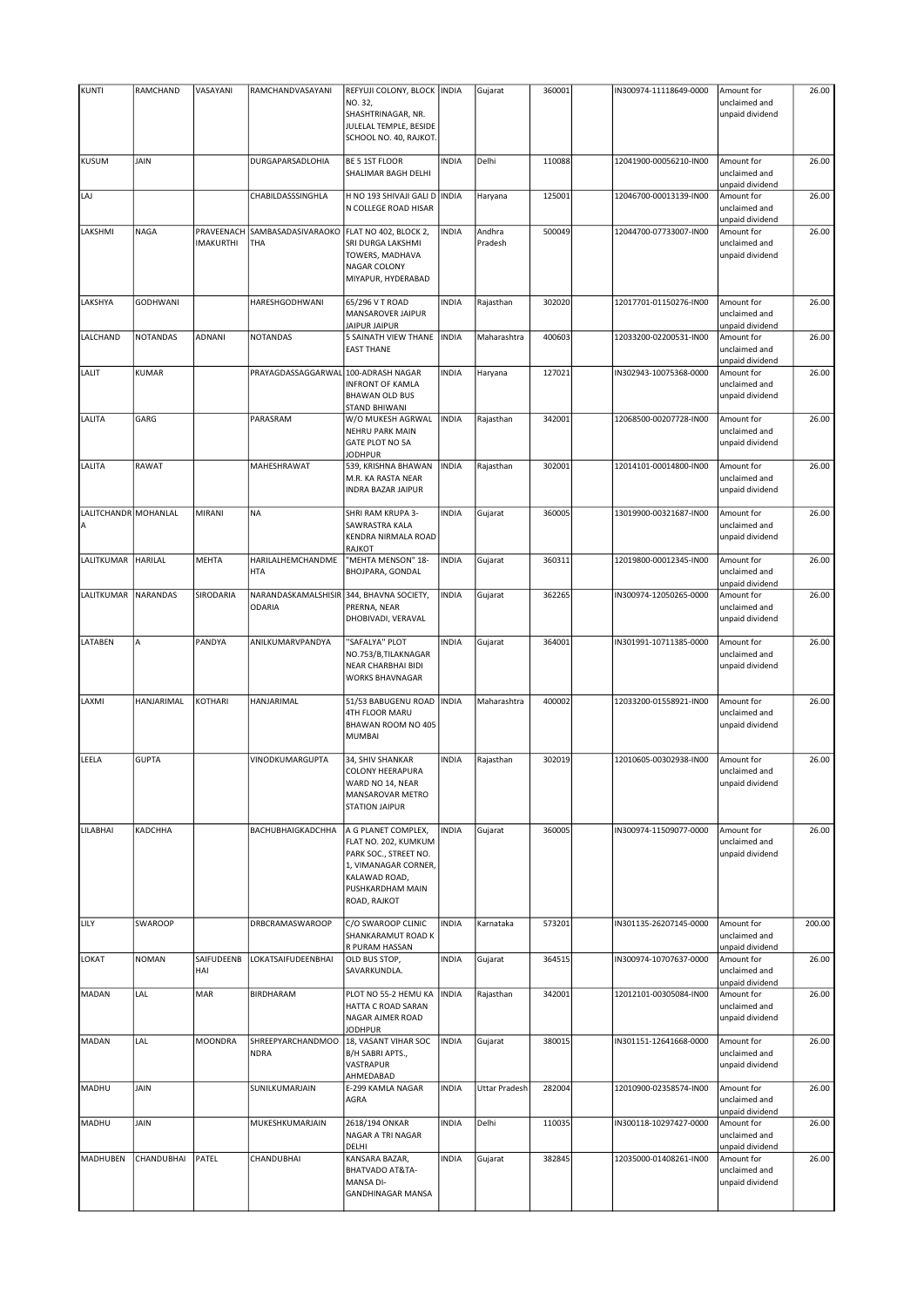| <b>KUNTI</b>         | RAMCHAND        | VASAYANI         | RAMCHANDVASAYANI    | REFYUJI COLONY, BLOCK   INDIA                    |              | Gujarat              | 360001 | IN300974-11118649-0000 | Amount for                       | 26.00  |
|----------------------|-----------------|------------------|---------------------|--------------------------------------------------|--------------|----------------------|--------|------------------------|----------------------------------|--------|
|                      |                 |                  |                     | NO. 32,                                          |              |                      |        |                        | unclaimed and                    |        |
|                      |                 |                  |                     | SHASHTRINAGAR, NR.                               |              |                      |        |                        | unpaid dividend                  |        |
|                      |                 |                  |                     | JULELAL TEMPLE, BESIDE<br>SCHOOL NO. 40, RAJKOT. |              |                      |        |                        |                                  |        |
|                      |                 |                  |                     |                                                  |              |                      |        |                        |                                  |        |
| <b>KUSUM</b>         | JAIN            |                  | DURGAPARSADLOHIA    | BE 5 1ST FLOOR                                   | <b>INDIA</b> | Delhi                | 110088 | 12041900-00056210-IN00 | Amount for                       | 26.00  |
|                      |                 |                  |                     | SHALIMAR BAGH DELHI                              |              |                      |        |                        | unclaimed and                    |        |
|                      |                 |                  |                     |                                                  |              |                      |        |                        | unpaid dividend                  |        |
| LAJ                  |                 |                  | CHABILDASSSINGHLA   | H NO 193 SHIVAJI GALI D                          | <b>INDIA</b> | Haryana              | 125001 | 12046700-00013139-IN00 | Amount for                       | 26.00  |
|                      |                 |                  |                     | N COLLEGE ROAD HISAR                             |              |                      |        |                        | unclaimed and<br>unpaid dividend |        |
| LAKSHMI              | NAGA            | PRAVEENACH       | SAMBASADASIVARAOKO  | FLAT NO 402, BLOCK 2,                            | <b>INDIA</b> | Andhra               | 500049 | 12044700-07733007-IN00 | Amount for                       | 26.00  |
|                      |                 | <b>IMAKURTHI</b> | THA                 | SRI DURGA LAKSHMI                                |              | Pradesh              |        |                        | unclaimed and                    |        |
|                      |                 |                  |                     | TOWERS, MADHAVA                                  |              |                      |        |                        | unpaid dividend                  |        |
|                      |                 |                  |                     | NAGAR COLONY                                     |              |                      |        |                        |                                  |        |
|                      |                 |                  |                     | MIYAPUR, HYDERABAD                               |              |                      |        |                        |                                  |        |
| LAKSHYA              | <b>GODHWANI</b> |                  | HARESHGODHWANI      | 65/296 V T ROAD                                  | <b>INDIA</b> | Rajasthan            | 302020 | 12017701-01150276-IN00 | Amount for                       | 26.00  |
|                      |                 |                  |                     | MANSAROVER JAIPUR                                |              |                      |        |                        | unclaimed and                    |        |
|                      |                 |                  |                     | JAIPUR JAIPUR                                    |              |                      |        |                        | unpaid dividend                  |        |
| LALCHAND             | <b>NOTANDAS</b> | ADNANI           | <b>NOTANDAS</b>     | <b>5 SAINATH VIEW THANE</b>                      | <b>INDIA</b> | Maharashtra          | 400603 | 12033200-02200531-IN00 | Amount for                       | 26.00  |
|                      |                 |                  |                     | <b>EAST THANE</b>                                |              |                      |        |                        | unclaimed and                    |        |
| LALIT                | KUMAR           |                  | PRAYAGDASSAGGARWAL  | 100-ADRASH NAGAR                                 | <b>INDIA</b> | Haryana              | 127021 | IN302943-10075368-0000 | unpaid dividend<br>Amount for    | 26.00  |
|                      |                 |                  |                     | <b>INFRONT OF KAMLA</b>                          |              |                      |        |                        | unclaimed and                    |        |
|                      |                 |                  |                     | <b>BHAWAN OLD BUS</b>                            |              |                      |        |                        | unpaid dividend                  |        |
|                      |                 |                  |                     | STAND BHIWANI                                    |              |                      |        |                        |                                  |        |
| LALITA               | GARG            |                  | PARASRAM            | W/O MUKESH AGRWAL                                | <b>INDIA</b> | Rajasthan            | 342001 | 12068500-00207728-IN00 | Amount for                       | 26.00  |
|                      |                 |                  |                     | <b>NEHRU PARK MAIN</b>                           |              |                      |        |                        | unclaimed and                    |        |
|                      |                 |                  |                     | <b>GATE PLOT NO 5A</b><br><b>JODHPUR</b>         |              |                      |        |                        | unpaid dividend                  |        |
| LALITA               | RAWAT           |                  | MAHESHRAWAT         | 539, KRISHNA BHAWAN                              | <b>INDIA</b> | Rajasthan            | 302001 | 12014101-00014800-IN00 | Amount for                       | 26.00  |
|                      |                 |                  |                     | M.R. KA RASTA NEAR                               |              |                      |        |                        | unclaimed and                    |        |
|                      |                 |                  |                     | INDRA BAZAR JAIPUR                               |              |                      |        |                        | unpaid dividend                  |        |
|                      |                 |                  |                     |                                                  |              |                      |        |                        |                                  |        |
| LALITCHANDR MOHANLAL |                 | MIRANI           | <b>NA</b>           | <b>SHRI RAM KRUPA 3-</b>                         | <b>INDIA</b> | Gujarat              | 360005 | 13019900-00321687-IN00 | Amount for                       | 26.00  |
| Α                    |                 |                  |                     | SAWRASTRA KALA                                   |              |                      |        |                        | unclaimed and                    |        |
|                      |                 |                  |                     | KENDRA NIRMALA ROAD<br>RAJKOT                    |              |                      |        |                        | unpaid dividend                  |        |
| LALITKUMAR           | <b>HARILAL</b>  | MEHTA            | HARILALHEMCHANDME   | "MEHTA MENSON" 18-                               | <b>INDIA</b> | Gujarat              | 360311 | 12019800-00012345-IN00 | Amount for                       | 26.00  |
|                      |                 |                  | <b>HTA</b>          | BHOJPARA, GONDAL                                 |              |                      |        |                        | unclaimed and                    |        |
|                      |                 |                  |                     |                                                  |              |                      |        |                        | unpaid dividend                  |        |
| LALITKUMAR           | NARANDAS        | SIRODARIA        | NARANDASKAMALSHISIR | 344, BHAVNA SOCIETY,                             | <b>INDIA</b> | Gujarat              | 362265 | IN300974-12050265-0000 | Amount for                       | 26.00  |
|                      |                 |                  | <b>ODARIA</b>       | PRERNA, NEAR                                     |              |                      |        |                        | unclaimed and                    |        |
|                      |                 |                  |                     | DHOBIVADI, VERAVAL                               |              |                      |        |                        | unpaid dividend                  |        |
| LATABEN              | А               | PANDYA           | ANILKUMARVPANDYA    | 'SAFALYA" PLOT                                   | <b>INDIA</b> | Gujarat              | 364001 | IN301991-10711385-0000 | Amount for                       | 26.00  |
|                      |                 |                  |                     | NO.753/B,TILAKNAGAR                              |              |                      |        |                        | unclaimed and                    |        |
|                      |                 |                  |                     | NEAR CHARBHAI BIDI                               |              |                      |        |                        | unpaid dividend                  |        |
|                      |                 |                  |                     | <b>WORKS BHAVNAGAR</b>                           |              |                      |        |                        |                                  |        |
| LAXMI                | HANJARIMAL      | KOTHARI          | HANJARIMAL          | 51/53 BABUGENU ROAD                              | <b>INDIA</b> | Maharashtra          | 400002 | 12033200-01558921-IN00 | Amount for                       | 26.00  |
|                      |                 |                  |                     | 4TH FLOOR MARU                                   |              |                      |        |                        | unclaimed and                    |        |
|                      |                 |                  |                     | BHAWAN ROOM NO 405                               |              |                      |        |                        | unpaid dividend                  |        |
|                      |                 |                  |                     | <b>MUMBAI</b>                                    |              |                      |        |                        |                                  |        |
|                      |                 |                  |                     |                                                  |              |                      |        |                        |                                  |        |
| LEELA                | <b>GUPTA</b>    |                  | VINODKUMARGUPTA     | 34, SHIV SHANKAR<br>COLONY HEERAPURA             | <b>INDIA</b> | Rajasthan            | 302019 | 12010605-00302938-IN00 | Amount for<br>unclaimed and      | 26.00  |
|                      |                 |                  |                     | WARD NO 14, NEAR                                 |              |                      |        |                        | unpaid dividend                  |        |
|                      |                 |                  |                     | MANSAROVAR METRO                                 |              |                      |        |                        |                                  |        |
|                      |                 |                  |                     | <b>STATION JAIPUR</b>                            |              |                      |        |                        |                                  |        |
|                      |                 |                  |                     |                                                  |              |                      |        |                        |                                  |        |
| LILABHAI             | KADCHHA         |                  | BACHUBHAIGKADCHHA   | A G PLANET COMPLEX,                              | <b>INDIA</b> | Gujarat              | 360005 | IN300974-11509077-0000 | Amount for<br>unclaimed and      | 26.00  |
|                      |                 |                  |                     | FLAT NO. 202, KUMKUM<br>PARK SOC., STREET NO.    |              |                      |        |                        | unpaid dividend                  |        |
|                      |                 |                  |                     | 1, VIMANAGAR CORNER,                             |              |                      |        |                        |                                  |        |
|                      |                 |                  |                     | KALAWAD ROAD,                                    |              |                      |        |                        |                                  |        |
|                      |                 |                  |                     | PUSHKARDHAM MAIN                                 |              |                      |        |                        |                                  |        |
|                      |                 |                  |                     | ROAD, RAJKOT                                     |              |                      |        |                        |                                  |        |
|                      |                 |                  |                     |                                                  |              |                      |        |                        |                                  |        |
| LILY                 | SWAROOP         |                  | DRBCRAMASWAROOP     | C/O SWAROOP CLINIC<br>SHANKARAMUT ROAD K         | <b>INDIA</b> | Karnataka            | 573201 | IN301135-26207145-0000 | Amount for<br>unclaimed and      | 200.00 |
|                      |                 |                  |                     | R PURAM HASSAN                                   |              |                      |        |                        | unpaid dividend                  |        |
| LOKAT                | NOMAN           | SAIFUDEENB       | LOKATSAIFUDEENBHAI  | OLD BUS STOP,                                    | <b>INDIA</b> | Gujarat              | 364515 | IN300974-10707637-0000 | Amount for                       | 26.00  |
|                      |                 | HAI              |                     | SAVARKUNDLA.                                     |              |                      |        |                        | unclaimed and                    |        |
|                      |                 |                  |                     |                                                  |              |                      |        |                        | unpaid dividend                  |        |
| MADAN                | LAL             | MAR              | BIRDHARAM           | PLOT NO 55-2 HEMU KA                             | <b>INDIA</b> | Rajasthan            | 342001 | 12012101-00305084-IN00 | Amount for                       | 26.00  |
|                      |                 |                  |                     | HATTA C ROAD SARAN<br>NAGAR AJMER ROAD           |              |                      |        |                        | unclaimed and<br>unpaid dividend |        |
|                      |                 |                  |                     | <b>JODHPUR</b>                                   |              |                      |        |                        |                                  |        |
| MADAN                | LAL             | MOONDRA          | SHREEPYARCHANDMOO   | 18, VASANT VIHAR SOC                             | <b>INDIA</b> | Gujarat              | 380015 | IN301151-12641668-0000 | Amount for                       | 26.00  |
|                      |                 |                  | <b>NDRA</b>         | B/H SABRI APTS.,                                 |              |                      |        |                        | unclaimed and                    |        |
|                      |                 |                  |                     | VASTRAPUR                                        |              |                      |        |                        | unpaid dividend                  |        |
| MADHU                | JAIN            |                  | SUNILKUMARJAIN      | AHMEDABAD<br>E-299 KAMLA NAGAR                   | <b>INDIA</b> | <b>Uttar Pradesh</b> | 282004 | 12010900-02358574-IN00 | Amount for                       | 26.00  |
|                      |                 |                  |                     | AGRA                                             |              |                      |        |                        | unclaimed and                    |        |
|                      |                 |                  |                     |                                                  |              |                      |        |                        | unpaid dividend                  |        |
| MADHU                | JAIN            |                  | MUKESHKUMARJAIN     | 2618/194 ONKAR                                   | <b>INDIA</b> | Delhi                | 110035 | IN300118-10297427-0000 | Amount for                       | 26.00  |
|                      |                 |                  |                     | NAGAR A TRI NAGAR                                |              |                      |        |                        | unclaimed and                    |        |
|                      |                 |                  |                     | DELHI                                            |              |                      |        |                        | unpaid dividend                  |        |
| <b>MADHUBEN</b>      | CHANDUBHAI      | PATEL            | CHANDUBHAI          | KANSARA BAZAR,<br>BHATVADO AT&TA-                | <b>INDIA</b> | Gujarat              | 382845 | 12035000-01408261-IN00 | Amount for<br>unclaimed and      | 26.00  |
|                      |                 |                  |                     | MANSA DI-                                        |              |                      |        |                        | unpaid dividend                  |        |
|                      |                 |                  |                     | <b>GANDHINAGAR MANSA</b>                         |              |                      |        |                        |                                  |        |
|                      |                 |                  |                     |                                                  |              |                      |        |                        |                                  |        |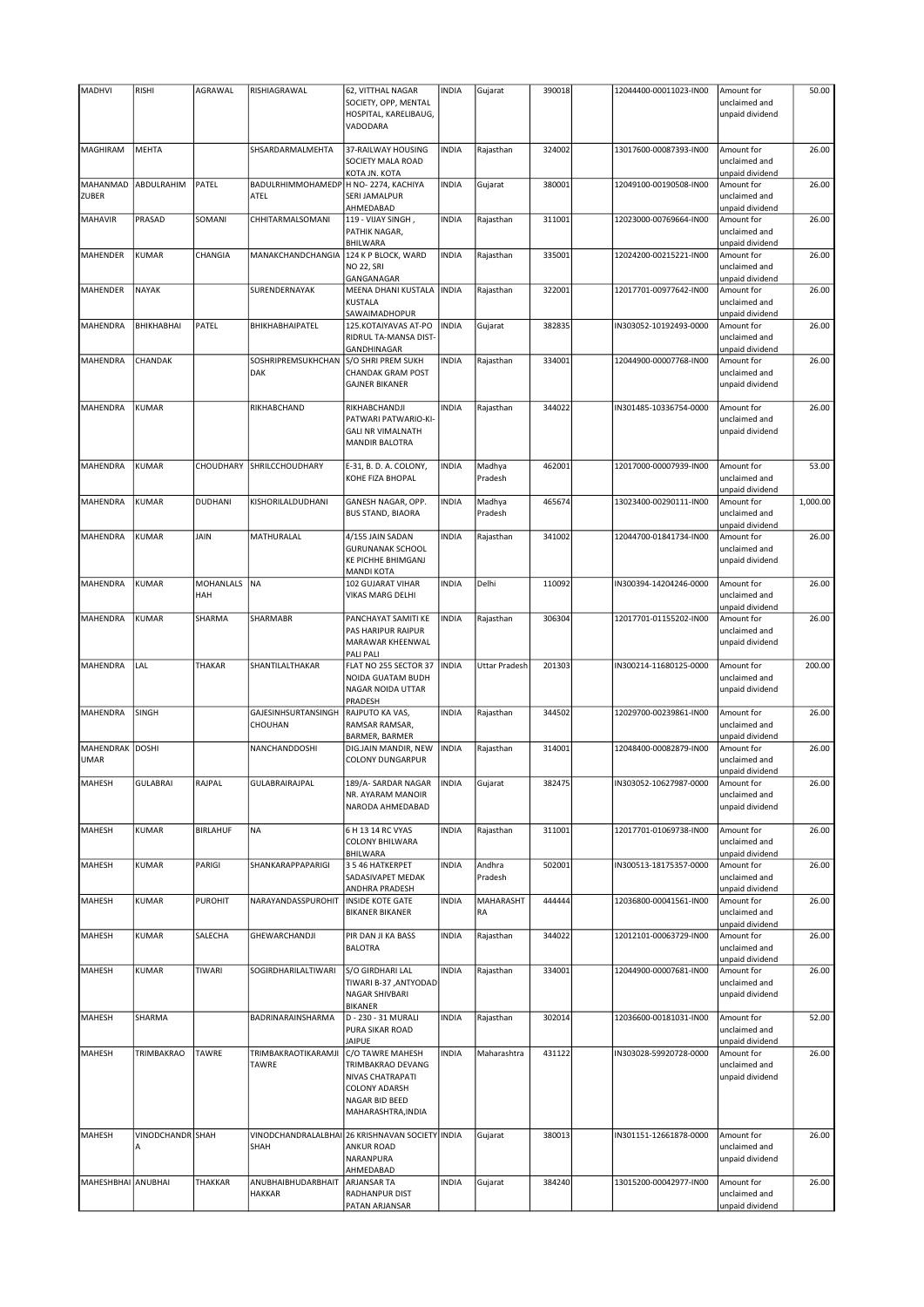| <b>MADHVI</b>      | <b>RISHI</b>     | AGRAWAL         | RISHIAGRAWAL                         | 62, VITTHAL NAGAR                               | <b>INDIA</b> | Gujarat              | 390018 | 12044400-00011023-IN00 | Amount for      | 50.00    |
|--------------------|------------------|-----------------|--------------------------------------|-------------------------------------------------|--------------|----------------------|--------|------------------------|-----------------|----------|
|                    |                  |                 |                                      | SOCIETY, OPP, MENTAL                            |              |                      |        |                        | unclaimed and   |          |
|                    |                  |                 |                                      | HOSPITAL, KARELIBAUG,                           |              |                      |        |                        | unpaid dividend |          |
|                    |                  |                 |                                      |                                                 |              |                      |        |                        |                 |          |
|                    |                  |                 |                                      | VADODARA                                        |              |                      |        |                        |                 |          |
|                    |                  |                 |                                      |                                                 |              |                      |        |                        |                 |          |
| MAGHIRAM           | MEHTA            |                 | SHSARDARMALMEHTA                     | 37-RAILWAY HOUSING                              | <b>INDIA</b> | Rajasthan            | 324002 | 13017600-00087393-IN00 | Amount for      | 26.00    |
|                    |                  |                 |                                      | SOCIETY MALA ROAD                               |              |                      |        |                        | unclaimed and   |          |
|                    |                  |                 |                                      | KOTA JN. KOTA                                   |              |                      |        |                        | unpaid dividend |          |
| MAHANMAD           | ABDULRAHIM       | PATEL           | BADULRHIMMOHAMEDP H NO-2274, KACHIYA |                                                 | <b>INDIA</b> | Gujarat              | 380001 | 12049100-00190508-IN00 | Amount for      | 26.00    |
| ZUBER              |                  |                 | ATEL                                 | <b>SERI JAMALPUR</b>                            |              |                      |        |                        | unclaimed and   |          |
|                    |                  |                 |                                      | AHMEDABAD                                       |              |                      |        |                        | unpaid dividend |          |
| <b>MAHAVIR</b>     | PRASAD           | SOMANI          | CHHITARMALSOMANI                     | 119 - VIJAY SINGH,                              | <b>INDIA</b> | Rajasthan            | 311001 | 12023000-00769664-IN00 | Amount for      | 26.00    |
|                    |                  |                 |                                      | PATHIK NAGAR,                                   |              |                      |        |                        | unclaimed and   |          |
|                    |                  |                 |                                      | <b>BHILWARA</b>                                 |              |                      |        |                        | unpaid dividend |          |
| MAHENDER           | <b>KUMAR</b>     | CHANGIA         | MANAKCHANDCHANGIA                    | 124 K P BLOCK, WARD                             | <b>INDIA</b> | Rajasthan            | 335001 | 12024200-00215221-IN00 | Amount for      | 26.00    |
|                    |                  |                 |                                      | <b>NO 22, SRI</b>                               |              |                      |        |                        | unclaimed and   |          |
|                    |                  |                 |                                      |                                                 |              |                      |        |                        |                 |          |
|                    |                  |                 |                                      | GANGANAGAR                                      |              |                      |        |                        | unpaid dividend |          |
| MAHENDER           | NAYAK            |                 | SURENDERNAYAK                        | MEENA DHANI KUSTALA                             | <b>INDIA</b> | Rajasthan            | 322001 | 12017701-00977642-IN00 | Amount for      | 26.00    |
|                    |                  |                 |                                      | <b>KUSTALA</b>                                  |              |                      |        |                        | unclaimed and   |          |
|                    |                  |                 |                                      | SAWAIMADHOPUR                                   |              |                      |        |                        | unpaid dividend |          |
| MAHENDRA           | BHIKHABHAI       | PATEL           | BHIKHABHAIPATEL                      | 125.KOTAIYAVAS AT-PO                            | <b>INDIA</b> | Gujarat              | 382835 | IN303052-10192493-0000 | Amount for      | 26.00    |
|                    |                  |                 |                                      | RIDRUL TA-MANSA DIST-                           |              |                      |        |                        | unclaimed and   |          |
|                    |                  |                 |                                      | GANDHINAGAR                                     |              |                      |        |                        | unpaid dividend |          |
| MAHENDRA           | CHANDAK          |                 | SOSHRIPREMSUKHCHAN                   | S/O SHRI PREM SUKH                              | <b>INDIA</b> | Rajasthan            | 334001 | 12044900-00007768-IN00 | Amount for      | 26.00    |
|                    |                  |                 | DAK                                  | <b>CHANDAK GRAM POST</b>                        |              |                      |        |                        | unclaimed and   |          |
|                    |                  |                 |                                      | <b>GAJNER BIKANER</b>                           |              |                      |        |                        | unpaid dividend |          |
|                    |                  |                 |                                      |                                                 |              |                      |        |                        |                 |          |
| <b>MAHENDRA</b>    | <b>KUMAR</b>     |                 |                                      |                                                 | <b>INDIA</b> |                      |        |                        |                 | 26.00    |
|                    |                  |                 | RIKHABCHAND                          | RIKHABCHANDJI                                   |              | Rajasthan            | 344022 | IN301485-10336754-0000 | Amount for      |          |
|                    |                  |                 |                                      | PATWARI PATWARIO-KI-                            |              |                      |        |                        | unclaimed and   |          |
|                    |                  |                 |                                      | <b>GALI NR VIMALNATH</b>                        |              |                      |        |                        | unpaid dividend |          |
|                    |                  |                 |                                      | <b>MANDIR BALOTRA</b>                           |              |                      |        |                        |                 |          |
|                    |                  |                 |                                      |                                                 |              |                      |        |                        |                 |          |
| MAHENDRA           | <b>KUMAR</b>     | CHOUDHARY       | SHRILCCHOUDHARY                      | E-31, B. D. A. COLONY,                          | <b>INDIA</b> | Madhya               | 462001 | 12017000-00007939-IN00 | Amount for      | 53.00    |
|                    |                  |                 |                                      | KOHE FIZA BHOPAL                                |              | Pradesh              |        |                        | unclaimed and   |          |
|                    |                  |                 |                                      |                                                 |              |                      |        |                        | unpaid dividend |          |
| MAHENDRA           | <b>KUMAR</b>     | <b>DUDHANI</b>  | KISHORILALDUDHANI                    | GANESH NAGAR, OPP.                              | <b>INDIA</b> | Madhya               | 465674 | 13023400-00290111-IN00 | Amount for      | 1,000.00 |
|                    |                  |                 |                                      | <b>BUS STAND, BIAORA</b>                        |              | Pradesh              |        |                        | unclaimed and   |          |
|                    |                  |                 |                                      |                                                 |              |                      |        |                        |                 |          |
|                    |                  |                 |                                      |                                                 |              |                      |        |                        | unpaid dividend |          |
| MAHENDRA           | <b>KUMAR</b>     | JAIN            | MATHURALAL                           | 4/155 JAIN SADAN                                | <b>INDIA</b> | Rajasthan            | 341002 | 12044700-01841734-IN00 | Amount for      | 26.00    |
|                    |                  |                 |                                      | <b>GURUNANAK SCHOOL</b>                         |              |                      |        |                        | unclaimed and   |          |
|                    |                  |                 |                                      | <b>KE PICHHE BHIMGANJ</b>                       |              |                      |        |                        | unpaid dividend |          |
|                    |                  |                 |                                      | <b>MANDI KOTA</b>                               |              |                      |        |                        |                 |          |
| MAHENDRA           | <b>KUMAR</b>     | MOHANLALS       | NA                                   | 102 GUJARAT VIHAR                               | <b>INDIA</b> | Delhi                | 110092 | IN300394-14204246-0000 | Amount for      | 26.00    |
|                    |                  | HAH             |                                      | VIKAS MARG DELHI                                |              |                      |        |                        | unclaimed and   |          |
|                    |                  |                 |                                      |                                                 |              |                      |        |                        | unpaid dividend |          |
| MAHENDRA           | KUMAR            | SHARMA          | SHARMABR                             | PANCHAYAT SAMITI KE                             | <b>INDIA</b> | Rajasthan            | 306304 | 12017701-01155202-IN00 | Amount for      | 26.00    |
|                    |                  |                 |                                      |                                                 |              |                      |        |                        |                 |          |
|                    |                  |                 |                                      | PAS HARIPUR RAIPUR                              |              |                      |        |                        | unclaimed and   |          |
|                    |                  |                 |                                      | MARAWAR KHEENWAL                                |              |                      |        |                        | unpaid dividend |          |
|                    |                  |                 |                                      | <b>PALI PALI</b>                                |              |                      |        |                        |                 |          |
| MAHENDRA           | LAL              | THAKAR          | SHANTILALTHAKAR                      | FLAT NO 255 SECTOR 37                           | <b>INDIA</b> | <b>Uttar Pradesh</b> | 201303 | IN300214-11680125-0000 | Amount for      | 200.00   |
|                    |                  |                 |                                      | NOIDA GUATAM BUDH                               |              |                      |        |                        | unclaimed and   |          |
|                    |                  |                 |                                      | NAGAR NOIDA UTTAR                               |              |                      |        |                        | unpaid dividend |          |
|                    |                  |                 |                                      | PRADESH                                         |              |                      |        |                        |                 |          |
| MAHENDRA           | SINGH            |                 | GAJESINHSURTANSINGH                  | RAJPUTO KA VAS,                                 | <b>INDIA</b> | Rajasthan            | 344502 | 12029700-00239861-IN00 | Amount for      | 26.00    |
|                    |                  |                 |                                      | RAMSAR RAMSAR,                                  |              |                      |        |                        |                 |          |
|                    |                  |                 | CHOUHAN                              |                                                 |              |                      |        |                        | unclaimed and   |          |
|                    |                  |                 |                                      | BARMER, BARMER                                  |              |                      |        |                        | unpaid dividend |          |
| MAHENDRAK DOSHI    |                  |                 | NANCHANDDOSHI                        | DIG.JAIN MANDIR, NEW                            | <b>INDIA</b> | Rajasthan            | 314001 | 12048400-00082879-IN00 | Amount for      | 26.00    |
| <b>UMAR</b>        |                  |                 |                                      | <b>COLONY DUNGARPUR</b>                         |              |                      |        |                        | unclaimed and   |          |
|                    |                  |                 |                                      |                                                 |              |                      |        |                        | unpaid dividend |          |
| MAHESH             | <b>GULABRAI</b>  | RAJPAL          | GULABRAIRAJPAL                       | 189/A-SARDAR NAGAR                              | <b>INDIA</b> | Gujarat              | 382475 | IN303052-10627987-0000 | Amount for      | 26.00    |
|                    |                  |                 |                                      | NR. AYARAM MANOIR                               |              |                      |        |                        | unclaimed and   |          |
|                    |                  |                 |                                      | NARODA AHMEDABAD                                |              |                      |        |                        | unpaid dividend |          |
|                    |                  |                 |                                      |                                                 |              |                      |        |                        |                 |          |
| MAHESH             | KUMAR            | <b>BIRLAHUF</b> | <b>NA</b>                            | 6 H 13 14 RC VYAS                               | <b>INDIA</b> | Rajasthan            | 311001 | 12017701-01069738-IN00 | Amount for      | 26.00    |
|                    |                  |                 |                                      |                                                 |              |                      |        |                        |                 |          |
|                    |                  |                 |                                      | <b>COLONY BHILWARA</b>                          |              |                      |        |                        | unclaimed and   |          |
|                    |                  |                 |                                      | BHILWARA                                        |              |                      |        |                        | unpaid dividend |          |
| MAHESH             | <b>KUMAR</b>     | PARIGI          | SHANKARAPPAPARIGI                    | 35 46 HATKERPET                                 | <b>INDIA</b> | Andhra               | 502001 | IN300513-18175357-0000 | Amount for      | 26.00    |
|                    |                  |                 |                                      | SADASIVAPET MEDAK                               |              | Pradesh              |        |                        | unclaimed and   |          |
|                    |                  |                 |                                      | ANDHRA PRADESH                                  |              |                      |        |                        | unpaid dividend |          |
| MAHESH             | KUMAR            | <b>PUROHIT</b>  | NARAYANDASSPUROHIT                   | <b>INSIDE KOTE GATE</b>                         | <b>INDIA</b> | MAHARASHT            | 444444 | 12036800-00041561-IN00 | Amount for      | 26.00    |
|                    |                  |                 |                                      | <b>BIKANER BIKANER</b>                          |              | RA                   |        |                        | unclaimed and   |          |
|                    |                  |                 |                                      |                                                 |              |                      |        |                        | unpaid dividend |          |
| MAHESH             | <b>KUMAR</b>     | SALECHA         | GHEWARCHANDJI                        | PIR DAN JI KA BASS                              | <b>INDIA</b> | Rajasthan            | 344022 | 12012101-00063729-IN00 | Amount for      | 26.00    |
|                    |                  |                 |                                      | <b>BALOTRA</b>                                  |              |                      |        |                        | unclaimed and   |          |
|                    |                  |                 |                                      |                                                 |              |                      |        |                        | unpaid dividend |          |
| MAHESH             | <b>KUMAR</b>     | TIWARI          | SOGIRDHARILALTIWARI                  | S/O GIRDHARI LAL                                | <b>INDIA</b> | Rajasthan            | 334001 | 12044900-00007681-IN00 |                 | 26.00    |
|                    |                  |                 |                                      |                                                 |              |                      |        |                        | Amount for      |          |
|                    |                  |                 |                                      | TIWARI B-37, ANTYODAD                           |              |                      |        |                        | unclaimed and   |          |
|                    |                  |                 |                                      | NAGAR SHIVBARI                                  |              |                      |        |                        | unpaid dividend |          |
|                    |                  |                 |                                      | <b>BIKANER</b>                                  |              |                      |        |                        |                 |          |
| MAHESH             | SHARMA           |                 | BADRINARAINSHARMA                    | D - 230 - 31 MURALI                             | <b>INDIA</b> | Rajasthan            | 302014 | 12036600-00181031-IN00 | Amount for      | 52.00    |
|                    |                  |                 |                                      | PURA SIKAR ROAD                                 |              |                      |        |                        | unclaimed and   |          |
|                    |                  |                 |                                      | <b>JAIPUE</b>                                   |              |                      |        |                        | unpaid dividend |          |
| MAHESH             | TRIMBAKRAO       | TAWRE           | TRIMBAKRAOTIKARAMJI                  | C/O TAWRE MAHESH                                | <b>INDIA</b> | Maharashtra          | 431122 | IN303028-59920728-0000 | Amount for      | 26.00    |
|                    |                  |                 | TAWRE                                | TRIMBAKRAO DEVANG                               |              |                      |        |                        | unclaimed and   |          |
|                    |                  |                 |                                      | <b>NIVAS CHATRAPATI</b>                         |              |                      |        |                        | unpaid dividend |          |
|                    |                  |                 |                                      | <b>COLONY ADARSH</b>                            |              |                      |        |                        |                 |          |
|                    |                  |                 |                                      |                                                 |              |                      |        |                        |                 |          |
|                    |                  |                 |                                      | NAGAR BID BEED                                  |              |                      |        |                        |                 |          |
|                    |                  |                 |                                      | MAHARASHTRA, INDIA                              |              |                      |        |                        |                 |          |
|                    |                  |                 |                                      |                                                 |              |                      |        |                        |                 |          |
| MAHESH             | VINODCHANDR SHAH |                 |                                      | VINODCHANDRALALBHAI 26 KRISHNAVAN SOCIETY INDIA |              | Gujarat              | 380013 | IN301151-12661878-0000 | Amount for      | 26.00    |
|                    | Α                |                 | SHAH                                 | <b>ANKUR ROAD</b>                               |              |                      |        |                        | unclaimed and   |          |
|                    |                  |                 |                                      | NARANPURA                                       |              |                      |        |                        | unpaid dividend |          |
|                    |                  |                 |                                      | AHMEDABAD                                       |              |                      |        |                        |                 |          |
| MAHESHBHAI ANUBHAI |                  | THAKKAR         | ANUBHAIBHUDARBHAIT                   | <b>ARJANSAR TA</b>                              | <b>INDIA</b> | Gujarat              | 384240 | 13015200-00042977-IN00 | Amount for      | 26.00    |
|                    |                  |                 | <b>HAKKAR</b>                        | RADHANPUR DIST                                  |              |                      |        |                        | unclaimed and   |          |
|                    |                  |                 |                                      | PATAN ARJANSAR                                  |              |                      |        |                        | unpaid dividend |          |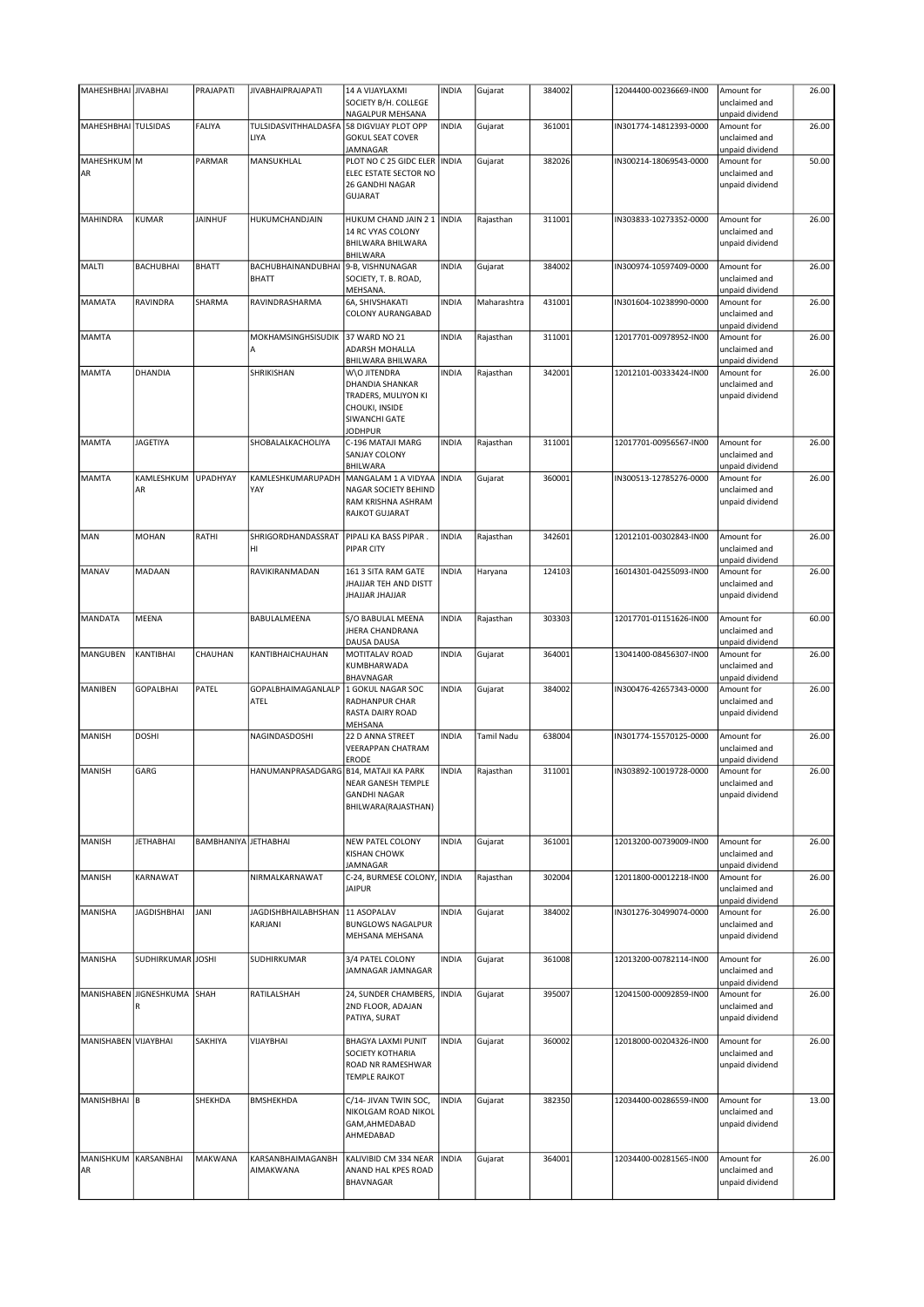| MAHESHBHAI JIVABHAI  |                         | PRAJAPATI                   | <b>JIVABHAIPRAJAPATI</b>              | 14 A VIJAYLAXMI                                                                                             | <b>INDIA</b> | Gujarat     | 384002 | 12044400-00236669-IN00 | Amount for                                                        | 26.00 |
|----------------------|-------------------------|-----------------------------|---------------------------------------|-------------------------------------------------------------------------------------------------------------|--------------|-------------|--------|------------------------|-------------------------------------------------------------------|-------|
|                      |                         |                             |                                       | SOCIETY B/H. COLLEGE                                                                                        |              |             |        |                        | unclaimed and                                                     |       |
| MAHESHBHAI TULSIDAS  |                         | <b>FALIYA</b>               | TULSIDASVITHHALDASFA                  | NAGALPUR MEHSANA<br>58 DIGVIJAY PLOT OPP                                                                    | <b>INDIA</b> | Gujarat     | 361001 | IN301774-14812393-0000 | unpaid dividend<br>Amount for                                     | 26.00 |
|                      |                         |                             | LIYA                                  | <b>GOKUL SEAT COVER</b><br>JAMNAGAR                                                                         |              |             |        |                        | unclaimed and<br>unpaid dividend                                  |       |
| MAHESHKUM M          |                         | PARMAR                      | MANSUKHLAL                            | PLOT NO C 25 GIDC ELER                                                                                      | <b>INDIA</b> | Gujarat     | 382026 | IN300214-18069543-0000 | Amount for                                                        | 50.00 |
| AR                   |                         |                             |                                       | ELEC ESTATE SECTOR NO<br>26 GANDHI NAGAR<br><b>GUJARAT</b>                                                  |              |             |        |                        | unclaimed and<br>unpaid dividend                                  |       |
| <b>MAHINDRA</b>      | <b>KUMAR</b>            | <b>JAINHUF</b>              | HUKUMCHANDJAIN                        | HUKUM CHAND JAIN 2 1   INDIA                                                                                |              | Rajasthan   | 311001 | IN303833-10273352-0000 | Amount for                                                        | 26.00 |
|                      |                         |                             |                                       | 14 RC VYAS COLONY<br>BHILWARA BHILWARA<br>BHILWARA                                                          |              |             |        |                        | unclaimed and<br>unpaid dividend                                  |       |
| <b>MALTI</b>         | <b>BACHUBHAI</b>        | <b>BHATT</b>                | BACHUBHAINANDUBHAI<br><b>BHATT</b>    | 9-B, VISHNUNAGAR<br>SOCIETY, T. B. ROAD,<br>MEHSANA.                                                        | <b>INDIA</b> | Gujarat     | 384002 | IN300974-10597409-0000 | Amount for<br>unclaimed and<br>unpaid dividend                    | 26.00 |
| <b>MAMATA</b>        | RAVINDRA                | SHARMA                      | RAVINDRASHARMA                        | 6A, SHIVSHAKATI<br>COLONY AURANGABAD                                                                        | <b>INDIA</b> | Maharashtra | 431001 | IN301604-10238990-0000 | Amount for<br>unclaimed and<br>unpaid dividend                    | 26.00 |
| <b>MAMTA</b>         |                         |                             | MOKHAMSINGHSISUDIK<br>А               | 37 WARD NO 21<br>ADARSH MOHALLA<br>BHILWARA BHILWARA                                                        | <b>INDIA</b> | Rajasthan   | 311001 | 12017701-00978952-IN00 | Amount for<br>unclaimed and<br>unpaid dividend                    | 26.00 |
| <b>MAMTA</b>         | DHANDIA                 |                             | SHRIKISHAN                            | W\O JITENDRA<br>DHANDIA SHANKAR<br>TRADERS, MULIYON KI<br>CHOUKI, INSIDE<br>SIWANCHI GATE<br><b>JODHPUR</b> | <b>INDIA</b> | Rajasthan   | 342001 | 12012101-00333424-IN00 | Amount for<br>unclaimed and<br>unpaid dividend                    | 26.00 |
| <b>MAMTA</b>         | <b>JAGETIYA</b>         |                             | SHOBALALKACHOLIYA                     | C-196 MATAJI MARG<br><b>SANJAY COLONY</b><br>BHILWARA                                                       | <b>INDIA</b> | Rajasthan   | 311001 | 12017701-00956567-IN00 | Amount for<br>unclaimed and<br>unpaid dividend                    | 26.00 |
| <b>MAMTA</b>         | KAMLESHKUM<br>AR        | <b>UPADHYAY</b>             | KAMLESHKUMARUPADH<br>YAY              | MANGALAM 1 A VIDYAA<br>NAGAR SOCIETY BEHIND<br>RAM KRISHNA ASHRAM<br><b>RAJKOT GUJARAT</b>                  | <b>INDIA</b> | Gujarat     | 360001 | IN300513-12785276-0000 | Amount for<br>unclaimed and<br>unpaid dividend                    | 26.00 |
| MAN                  | MOHAN                   | RATHI                       | SHRIGORDHANDASSRAT<br>HI              | PIPALI KA BASS PIPAR.<br>PIPAR CITY                                                                         | <b>INDIA</b> | Rajasthan   | 342601 | 12012101-00302843-IN00 | Amount for<br>unclaimed and<br>unpaid dividend                    | 26.00 |
| MANAV                | MADAAN                  |                             | RAVIKIRANMADAN                        | 161 3 SITA RAM GATE<br>JHAJJAR TEH AND DISTT<br>JHAJJAR JHAJJAR                                             | <b>INDIA</b> | Haryana     | 124103 | 16014301-04255093-IN00 | Amount for<br>unclaimed and<br>unpaid dividend                    | 26.00 |
| <b>MANDATA</b>       | MEENA                   |                             | BABULALMEENA                          | S/O BABULAL MEENA<br><b>JHERA CHANDRANA</b><br>DAUSA DAUSA                                                  | <b>INDIA</b> | Rajasthan   | 303303 | 12017701-01151626-IN00 | Amount for<br>unclaimed and<br>unpaid dividend                    | 60.00 |
| <b>MANGUBEN</b>      | KANTIBHAI               | CHAUHAN                     | KANTIBHAICHAUHAN                      | MOTITALAV ROAD<br>KUMBHARWADA<br>BHAVNAGAR                                                                  | <b>INDIA</b> | Gujarat     | 364001 | 13041400-08456307-IN00 | Amount for<br>unclaimed and                                       | 26.00 |
| MANIBEN              | <b>GOPALBHAI</b>        | PATEL                       | GOPALBHAIMAGANLALP<br>ATEL            | 1 GOKUL NAGAR SOC<br>RADHANPUR CHAR<br>RASTA DAIRY ROAD<br>MEHSANA                                          | <b>INDIA</b> | Gujarat     | 384002 | IN300476-42657343-0000 | unpaid dividend<br>Amount for<br>unclaimed and<br>unpaid dividend | 26.00 |
| <b>MANISH</b>        | <b>DOSHI</b>            |                             | NAGINDASDOSHI                         | 22 D ANNA STREET<br>VEERAPPAN CHATRAM<br>ERODE                                                              | <b>INDIA</b> | Tamil Nadu  | 638004 | IN301774-15570125-0000 | Amount for<br>unclaimed and<br>unpaid dividend                    | 26.00 |
| <b>MANISH</b>        | GARG                    |                             | HANUMANPRASADGARG B14, MATAJI KA PARK | NEAR GANESH TEMPLE<br><b>GANDHI NAGAR</b><br>BHILWARA(RAJASTHAN)                                            | <b>INDIA</b> | Rajasthan   | 311001 | IN303892-10019728-0000 | Amount for<br>unclaimed and<br>unpaid dividend                    | 26.00 |
| <b>MANISH</b>        | <b>JETHABHAI</b>        | <b>BAMBHANIYA JETHABHAI</b> |                                       | <b>NEW PATEL COLONY</b><br><b>KISHAN CHOWK</b><br><b>JAMNAGAR</b>                                           | <b>INDIA</b> | Gujarat     | 361001 | 12013200-00739009-IN00 | Amount for<br>unclaimed and<br>unpaid dividend                    | 26.00 |
| MANISH               | KARNAWAT                |                             | NIRMALKARNAWAT                        | C-24, BURMESE COLONY, INDIA<br><b>JAIPUR</b>                                                                |              | Rajasthan   | 302004 | 12011800-00012218-IN00 | Amount for<br>unclaimed and<br>unpaid dividend                    | 26.00 |
| MANISHA              | <b>JAGDISHBHAI</b>      | <b>JANI</b>                 | <b>JAGDISHBHAILABHSHAN</b><br>KARJANI | 11 ASOPALAV<br><b>BUNGLOWS NAGALPUR</b><br>MEHSANA MEHSANA                                                  | <b>INDIA</b> | Gujarat     | 384002 | IN301276-30499074-0000 | Amount for<br>unclaimed and<br>unpaid dividend                    | 26.00 |
| MANISHA              | SUDHIRKUMAR JOSHI       |                             | SUDHIRKUMAR                           | 3/4 PATEL COLONY<br>JAMNAGAR JAMNAGAR                                                                       | <b>INDIA</b> | Gujarat     | 361008 | 12013200-00782114-IN00 | Amount for<br>unclaimed and<br>unpaid dividend                    | 26.00 |
| MANISHABEN           | <b>JIGNESHKUMA</b><br>R | SHAH                        | RATILALSHAH                           | 24, SUNDER CHAMBERS,<br>2ND FLOOR, ADAJAN<br>PATIYA, SURAT                                                  | <b>INDIA</b> | Gujarat     | 395007 | 12041500-00092859-IN00 | Amount for<br>unclaimed and<br>unpaid dividend                    | 26.00 |
| MANISHABEN VIJAYBHAI |                         | SAKHIYA                     | VIJAYBHAI                             | BHAGYA LAXMI PUNIT<br>SOCIETY KOTHARIA<br>ROAD NR RAMESHWAR<br><b>TEMPLE RAJKOT</b>                         | <b>INDIA</b> | Gujarat     | 360002 | 12018000-00204326-IN00 | Amount for<br>unclaimed and<br>unpaid dividend                    | 26.00 |
| MANISHBHAI B         |                         | SHEKHDA                     | <b>BMSHEKHDA</b>                      | C/14- JIVAN TWIN SOC,<br>NIKOLGAM ROAD NIKOL<br>GAM, AHMEDABAD<br>AHMEDABAD                                 | <b>INDIA</b> | Gujarat     | 382350 | 12034400-00286559-IN00 | Amount for<br>unclaimed and<br>unpaid dividend                    | 13.00 |
| MANISHKUM<br>AR      | KARSANBHAI              | MAKWANA                     | KARSANBHAIMAGANBH<br>AIMAKWANA        | KALIVIBID CM 334 NEAR<br>ANAND HAL KPES ROAD<br>BHAVNAGAR                                                   | <b>INDIA</b> | Gujarat     | 364001 | 12034400-00281565-IN00 | Amount for<br>unclaimed and<br>unpaid dividend                    | 26.00 |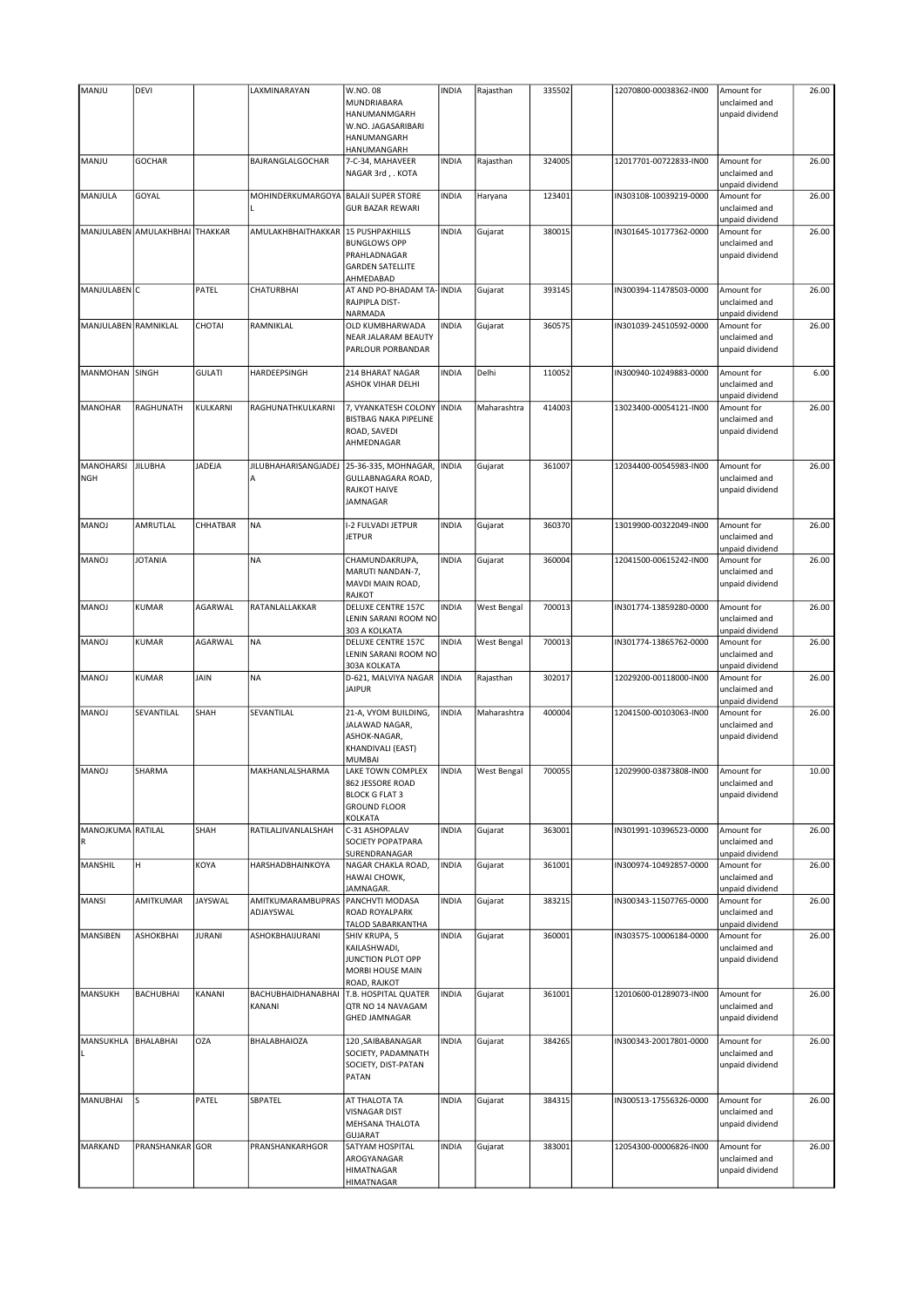| MANJU                   | DEVI                           |                | LAXMINARAYAN                         | W.NO.08<br>MUNDRIABARA                                                                              | <b>INDIA</b> | Rajasthan   | 335502 | 12070800-00038362-IN00 | Amount for<br>unclaimed and                    | 26.00 |
|-------------------------|--------------------------------|----------------|--------------------------------------|-----------------------------------------------------------------------------------------------------|--------------|-------------|--------|------------------------|------------------------------------------------|-------|
|                         |                                |                |                                      | HANUMANMGARH<br>W.NO. JAGASARIBARI<br>HANUMANGARH<br>HANUMANGARH                                    |              |             |        |                        | unpaid dividend                                |       |
| MANJU                   | <b>GOCHAR</b>                  |                | BAJRANGLALGOCHAR                     | 7-C-34, MAHAVEER<br>NAGAR 3rd, . KOTA                                                               | <b>INDIA</b> | Rajasthan   | 324005 | 12017701-00722833-IN00 | Amount for<br>unclaimed and<br>unpaid dividend | 26.00 |
| MANJULA                 | GOYAL                          |                | MOHINDERKUMARGOYA BALAJI SUPER STORE | <b>GUR BAZAR REWARI</b>                                                                             | <b>INDIA</b> | Haryana     | 123401 | IN303108-10039219-0000 | Amount for<br>unclaimed and<br>unpaid dividend | 26.00 |
|                         | MANJULABEN AMULAKHBHAI THAKKAR |                | AMULAKHBHAITHAKKAR                   | 15 PUSHPAKHILLS<br><b>BUNGLOWS OPP</b><br>PRAHLADNAGAR<br><b>GARDEN SATELLITE</b><br>AHMEDABAD      | <b>INDIA</b> | Gujarat     | 380015 | IN301645-10177362-0000 | Amount for<br>unclaimed and<br>unpaid dividend | 26.00 |
| MANJULABEN C            |                                | PATEL          | CHATURBHAI                           | AT AND PO-BHADAM TA- INDIA<br>RAJPIPLA DIST-<br><b>NARMADA</b>                                      |              | Gujarat     | 393145 | IN300394-11478503-0000 | Amount for<br>unclaimed and<br>unpaid dividend | 26.00 |
| MANJULABEN RAMNIKLAL    |                                | CHOTAI         | RAMNIKLAL                            | OLD KUMBHARWADA<br>NEAR JALARAM BEAUTY<br>PARLOUR PORBANDAR                                         | <b>INDIA</b> | Gujarat     | 360575 | IN301039-24510592-0000 | Amount for<br>unclaimed and<br>unpaid dividend | 26.00 |
| MANMOHAN SINGH          |                                | <b>GULATI</b>  | HARDEEPSINGH                         | 214 BHARAT NAGAR<br><b>ASHOK VIHAR DELHI</b>                                                        | <b>INDIA</b> | Delhi       | 110052 | IN300940-10249883-0000 | Amount for<br>unclaimed and<br>unpaid dividend | 6.00  |
| MANOHAR                 | RAGHUNATH                      | KULKARNI       | RAGHUNATHKULKARNI                    | 7, VYANKATESH COLONY<br><b>BISTBAG NAKA PIPELINE</b><br>ROAD, SAVEDI<br>AHMEDNAGAR                  | <b>INDIA</b> | Maharashtra | 414003 | 13023400-00054121-IN00 | Amount for<br>unclaimed and<br>unpaid dividend | 26.00 |
| MANOHARSI<br><b>NGH</b> | <b>JILUBHA</b>                 | JADEJA         | <b>JILUBHAHARISANGJADEJ</b><br>Α     | 25-36-335, MOHNAGAR,<br>GULLABNAGARA ROAD,<br><b>RAJKOT HAIVE</b><br>JAMNAGAR                       | <b>INDIA</b> | Gujarat     | 361007 | 12034400-00545983-IN00 | Amount for<br>unclaimed and<br>unpaid dividend | 26.00 |
| <b>MANOJ</b>            | AMRUTLAL                       | CHHATBAR       | <b>NA</b>                            | I-2 FULVADI JETPUR<br><b>JETPUR</b>                                                                 | <b>INDIA</b> | Gujarat     | 360370 | 13019900-00322049-IN00 | Amount for<br>unclaimed and<br>unpaid dividend | 26.00 |
| <b>MANOJ</b>            | <b>JOTANIA</b>                 |                | <b>NA</b>                            | CHAMUNDAKRUPA,<br>MARUTI NANDAN-7,<br>MAVDI MAIN ROAD,<br><b>RAJKOT</b>                             | <b>INDIA</b> | Gujarat     | 360004 | 12041500-00615242-IN00 | Amount for<br>unclaimed and<br>unpaid dividend | 26.00 |
| <b>MANOJ</b>            | <b>KUMAR</b>                   | AGARWAL        | RATANLALLAKKAR                       | <b>DELUXE CENTRE 157C</b><br>LENIN SARANI ROOM NO<br>303 A KOLKATA                                  | <b>INDIA</b> | West Bengal | 700013 | IN301774-13859280-0000 | Amount for<br>unclaimed and<br>unpaid dividend | 26.00 |
| <b>MANOJ</b>            | <b>KUMAR</b>                   | AGARWAL        | <b>NA</b>                            | <b>DELUXE CENTRE 157C</b><br>LENIN SARANI ROOM NO<br>303A KOLKATA                                   | <b>INDIA</b> | West Bengal | 700013 | IN301774-13865762-0000 | Amount for<br>unclaimed and<br>unpaid dividend | 26.00 |
| MANOJ                   | <b>KUMAR</b>                   | JAIN           | <b>NA</b>                            | D-621, MALVIYA NAGAR<br><b>JAIPUR</b>                                                               | <b>INDIA</b> | Rajasthan   | 302017 | 12029200-00118000-IN00 | Amount for<br>unclaimed and<br>unpaid dividend | 26.00 |
| MANOJ                   | SEVANTILAL                     | SHAH           | SEVANTILAL                           | 21-A, VYOM BUILDING,<br>JALAWAD NAGAR,<br>ASHOK-NAGAR,<br><b>KHANDIVALI (EAST)</b><br><b>MUMBAI</b> | <b>INDIA</b> | Maharashtra | 400004 | 12041500-00103063-IN00 | Amount for<br>unclaimed and<br>unpaid dividend | 26.00 |
| MANOJ                   | SHARMA                         |                | MAKHANLALSHARMA                      | LAKE TOWN COMPLEX<br>862 JESSORE ROAD<br><b>BLOCK G FLAT 3</b><br><b>GROUND FLOOR</b><br>KOLKATA    | <b>INDIA</b> | West Bengal | 700055 | 12029900-03873808-IN00 | Amount for<br>unclaimed and<br>unpaid dividend | 10.00 |
| MANOJKUMA RATILAL       |                                | SHAH           | RATILALJIVANLALSHAH                  | C-31 ASHOPALAV<br>SOCIETY POPATPARA<br>SURENDRANAGAR                                                | <b>INDIA</b> | Gujarat     | 363001 | IN301991-10396523-0000 | Amount for<br>unclaimed and<br>unpaid dividend | 26.00 |
| MANSHIL                 | н                              | KOYA           | HARSHADBHAINKOYA                     | NAGAR CHAKLA ROAD,<br>HAWAI CHOWK,<br>JAMNAGAR.                                                     | <b>INDIA</b> | Gujarat     | 361001 | IN300974-10492857-0000 | Amount for<br>unclaimed and<br>unpaid dividend | 26.00 |
| <b>MANSI</b>            | AMITKUMAR                      | <b>JAYSWAL</b> | AMITKUMARAMBUPRAS<br>ADJAYSWAL       | PANCHVTI MODASA<br>ROAD ROYALPARK<br>TALOD SABARKANTHA                                              | <b>INDIA</b> | Gujarat     | 383215 | IN300343-11507765-0000 | Amount for<br>unclaimed and<br>unpaid dividend | 26.00 |
| MANSIBEN                | <b>ASHOKBHAI</b>               | <b>JURANI</b>  | ASHOKBHAIJURANI                      | SHIV KRUPA, 5<br>KAILASHWADI,<br>JUNCTION PLOT OPP<br>MORBI HOUSE MAIN<br>ROAD, RAJKOT              | <b>INDIA</b> | Gujarat     | 360001 | IN303575-10006184-0000 | Amount for<br>unclaimed and<br>unpaid dividend | 26.00 |
| MANSUKH                 | <b>BACHUBHAI</b>               | KANANI         | BACHUBHAIDHANABHAI<br>KANANI         | T.B. HOSPITAL QUATER<br>QTR NO 14 NAVAGAM<br><b>GHED JAMNAGAR</b>                                   | <b>INDIA</b> | Gujarat     | 361001 | 12010600-01289073-IN00 | Amount for<br>unclaimed and<br>unpaid dividend | 26.00 |
| MANSUKHLA               | BHALABHAI                      | <b>OZA</b>     | BHALABHAIOZA                         | 120, SAIBABANAGAR<br>SOCIETY, PADAMNATH<br>SOCIETY, DIST-PATAN<br>PATAN                             | <b>INDIA</b> | Gujarat     | 384265 | IN300343-20017801-0000 | Amount for<br>unclaimed and<br>unpaid dividend | 26.00 |
| MANUBHAI                | S                              | PATEL          | SBPATEL                              | AT THALOTA TA<br><b>VISNAGAR DIST</b><br>MEHSANA THALOTA<br><b>GUJARAT</b>                          | <b>INDIA</b> | Gujarat     | 384315 | IN300513-17556326-0000 | Amount for<br>unclaimed and<br>unpaid dividend | 26.00 |
| <b>MARKAND</b>          | PRANSHANKAR GOR                |                | PRANSHANKARHGOR                      | SATYAM HOSPITAL<br>AROGYANAGAR<br><b>HIMATNAGAR</b><br><b>HIMATNAGAR</b>                            | <b>INDIA</b> | Gujarat     | 383001 | 12054300-00006826-IN00 | Amount for<br>unclaimed and<br>unpaid dividend | 26.00 |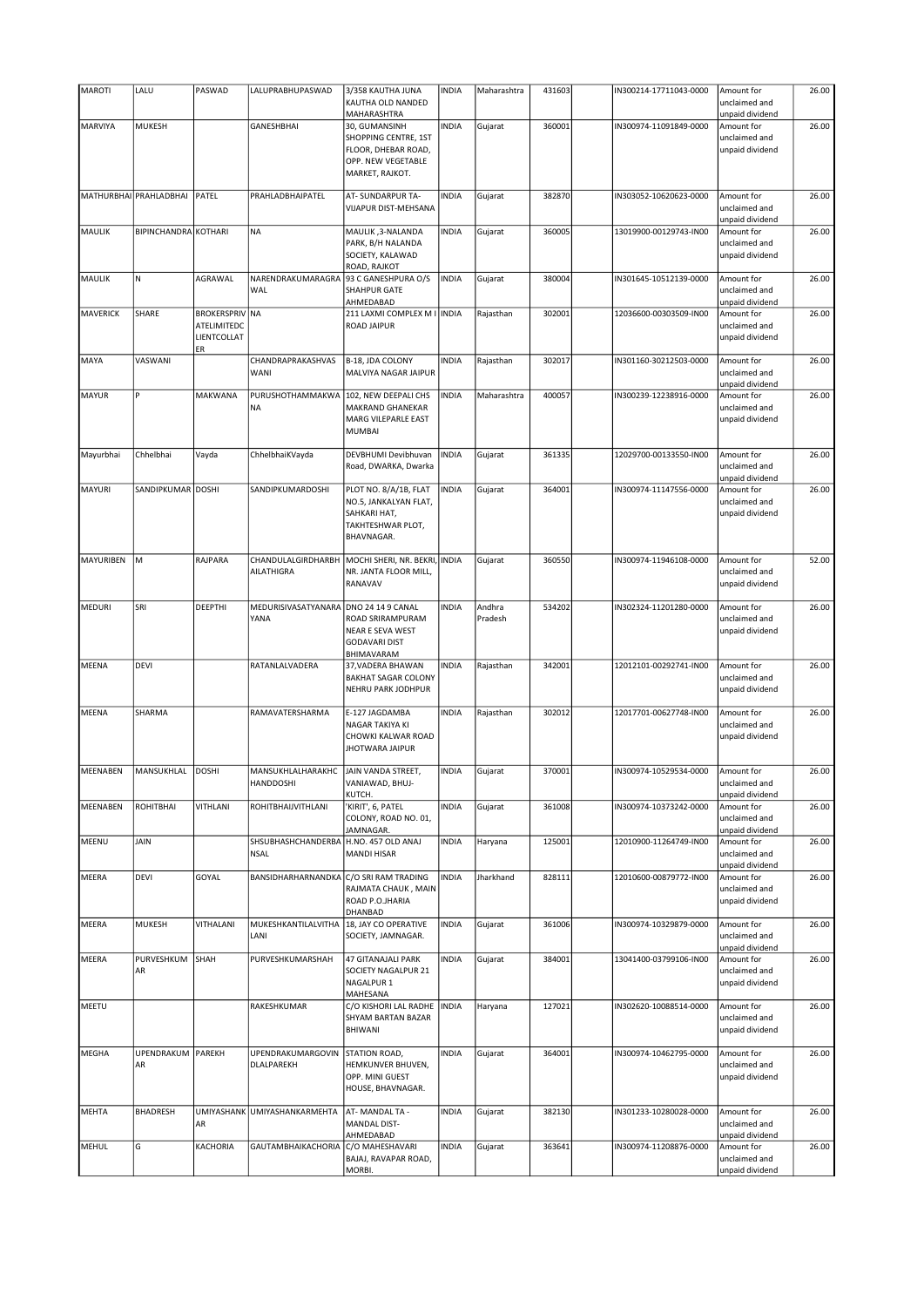| <b>MAROTI</b>   | LALU                    | PASWAD                                              | LALUPRABHUPASWAD                  | 3/358 KAUTHA JUNA                                                                                     | <b>INDIA</b> | Maharashtra       | 431603 | IN300214-17711043-0000 | Amount for                                                        | 26.00 |
|-----------------|-------------------------|-----------------------------------------------------|-----------------------------------|-------------------------------------------------------------------------------------------------------|--------------|-------------------|--------|------------------------|-------------------------------------------------------------------|-------|
|                 |                         |                                                     |                                   | KAUTHA OLD NANDED                                                                                     |              |                   |        |                        | unclaimed and                                                     |       |
|                 | MUKESH                  |                                                     | <b>GANESHBHAI</b>                 | MAHARASHTRA                                                                                           | <b>INDIA</b> |                   |        |                        | unpaid dividend                                                   | 26.00 |
| <b>MARVIYA</b>  |                         |                                                     |                                   | 30, GUMANSINH<br>SHOPPING CENTRE, 1ST<br>FLOOR, DHEBAR ROAD,<br>OPP. NEW VEGETABLE<br>MARKET, RAJKOT. |              | Gujarat           | 360001 | IN300974-11091849-0000 | Amount for<br>unclaimed and<br>unpaid dividend                    |       |
|                 | MATHURBHAI PRAHLADBHAI  | PATEL                                               | PRAHLADBHAIPATEL                  | AT- SUNDARPUR TA-<br>VIJAPUR DIST-MEHSANA                                                             | <b>INDIA</b> | Gujarat           | 382870 | IN303052-10620623-0000 | Amount for<br>unclaimed and<br>unpaid dividend                    | 26.00 |
| MAULIK          | BIPINCHANDRA KOTHARI    |                                                     | <b>NA</b>                         | MAULIK, 3-NALANDA<br>PARK, B/H NALANDA<br>SOCIETY, KALAWAD<br>ROAD, RAJKOT                            | <b>INDIA</b> | Gujarat           | 360005 | 13019900-00129743-IN00 | Amount for<br>unclaimed and<br>unpaid dividend                    | 26.00 |
| MAULIK          | N                       | AGRAWAL                                             | NARENDRAKUMARAGRA<br>WAL          | 93 C GANESHPURA O/S<br>SHAHPUR GATE                                                                   | <b>INDIA</b> | Gujarat           | 380004 | IN301645-10512139-0000 | Amount for<br>unclaimed and                                       | 26.00 |
| <b>MAVERICK</b> | SHARE                   | <b>BROKERSPRIV NA</b><br>ATELIMITEDC<br>LIENTCOLLAT |                                   | AHMEDABAD<br>211 LAXMI COMPLEX M I   INDIA<br><b>ROAD JAIPUR</b>                                      |              | Rajasthan         | 302001 | 12036600-00303509-IN00 | unpaid dividend<br>Amount for<br>unclaimed and<br>unpaid dividend | 26.00 |
| MAYA            | VASWANI                 | ER                                                  | CHANDRAPRAKASHVAS<br>WANI         | B-18, JDA COLONY<br>MALVIYA NAGAR JAIPUR                                                              | <b>INDIA</b> | Rajasthan         | 302017 | IN301160-30212503-0000 | Amount for<br>unclaimed and<br>unpaid dividend                    | 26.00 |
| <b>MAYUR</b>    | P                       | MAKWANA                                             | PURUSHOTHAMMAKWA<br><b>NA</b>     | 102, NEW DEEPALI CHS<br>MAKRAND GHANEKAR<br>MARG VILEPARLE EAST<br><b>MUMBAI</b>                      | <b>INDIA</b> | Maharashtra       | 400057 | IN300239-12238916-0000 | Amount for<br>unclaimed and<br>unpaid dividend                    | 26.00 |
| Mayurbhai       | Chhelbhai               | Vayda                                               | ChhelbhaiKVayda                   | DEVBHUMI Devibhuvan<br>Road, DWARKA, Dwarka                                                           | <b>INDIA</b> | Gujarat           | 361335 | 12029700-00133550-IN00 | Amount for<br>unclaimed and<br>unpaid dividend                    | 26.00 |
| <b>MAYURI</b>   | SANDIPKUMAR DOSHI       |                                                     | SANDIPKUMARDOSHI                  | PLOT NO. 8/A/1B, FLAT<br>NO.5, JANKALYAN FLAT,<br>SAHKARI HAT,<br>TAKHTESHWAR PLOT,<br>BHAVNAGAR.     | <b>INDIA</b> | Gujarat           | 364001 | IN300974-11147556-0000 | Amount for<br>unclaimed and<br>unpaid dividend                    | 26.00 |
| MAYURIBEN       | M                       | RAJPARA                                             | CHANDULALGIRDHARBH<br>AILATHIGRA  | MOCHI SHERI, NR. BEKRI, INDIA<br>NR. JANTA FLOOR MILL,<br>RANAVAV                                     |              | Gujarat           | 360550 | IN300974-11946108-0000 | Amount for<br>unclaimed and<br>unpaid dividend                    | 52.00 |
| <b>MEDURI</b>   | SRI                     | DEEPTHI                                             | MEDURISIVASATYANARA<br>YANA       | DNO 24 14 9 CANAL<br>ROAD SRIRAMPURAM<br>NEAR E SEVA WEST<br><b>GODAVARI DIST</b><br>BHIMAVARAM       | <b>INDIA</b> | Andhra<br>Pradesh | 534202 | IN302324-11201280-0000 | Amount for<br>unclaimed and<br>unpaid dividend                    | 26.00 |
| <b>MEENA</b>    | DEVI                    |                                                     | RATANLALVADERA                    | 37, VADERA BHAWAN<br><b>BAKHAT SAGAR COLONY</b><br>NEHRU PARK JODHPUR                                 | <b>INDIA</b> | Rajasthan         | 342001 | 12012101-00292741-IN00 | Amount for<br>unclaimed and<br>unpaid dividend                    | 26.00 |
| <b>MEENA</b>    | SHARMA                  |                                                     | RAMAVATERSHARMA                   | E-127 JAGDAMBA<br>NAGAR TAKIYA KI<br>CHOWKI KALWAR ROAD<br><b>JHOTWARA JAIPUR</b>                     | <b>INDIA</b> | Rajasthan         | 302012 | 12017701-00627748-IN00 | Amount for<br>unclaimed and<br>unpaid dividend                    | 26.00 |
| <b>MEENABEN</b> | MANSUKHLAL              | DOSHI                                               | MANSUKHLALHARAKHC<br>HANDDOSHI    | JAIN VANDA STREET,<br>VANIAWAD, BHUJ-<br>KUTCH.                                                       | <b>INDIA</b> | Gujarat           | 370001 | IN300974-10529534-0000 | Amount for<br>unclaimed and<br>unpaid dividend                    | 26.00 |
| <b>MEENABEN</b> | ROHITBHAI               | VITHLANI                                            | ROHITBHAIJVITHLANI                | KIRIT', 6, PATEL<br>COLONY, ROAD NO. 01,<br>JAMNAGAR.                                                 | <b>INDIA</b> | Gujarat           | 361008 | IN300974-10373242-0000 | Amount for<br>unclaimed and<br>unpaid dividend                    | 26.00 |
| MEENU           | JAIN                    |                                                     | SHSUBHASHCHANDERBA<br><b>NSAL</b> | H.NO. 457 OLD ANAJ<br>MANDI HISAR                                                                     | <b>INDIA</b> | Haryana           | 125001 | 12010900-11264749-IN00 | Amount for<br>unclaimed and<br>unpaid dividend                    | 26.00 |
| <b>MEERA</b>    | DEVI                    | GOYAL                                               | BANSIDHARHARNANDKA                | C/O SRI RAM TRADING<br>RAJMATA CHAUK, MAIN<br>ROAD P.O.JHARIA<br>DHANBAD                              | <b>INDIA</b> | Jharkhand         | 828111 | 12010600-00879772-IN00 | Amount for<br>unclaimed and<br>unpaid dividend                    | 26.00 |
| <b>MEERA</b>    | <b>MUKESH</b>           | VITHALANI                                           | MUKESHKANTILALVITHA<br>LANI       | 18, JAY CO OPERATIVE<br>SOCIETY, JAMNAGAR.                                                            | <b>INDIA</b> | Gujarat           | 361006 | IN300974-10329879-0000 | Amount for<br>unclaimed and<br>unpaid dividend                    | 26.00 |
| <b>MEERA</b>    | PURVESHKUM<br>AR        | SHAH                                                | PURVESHKUMARSHAH                  | <b>47 GITANAJALI PARK</b><br>SOCIETY NAGALPUR 21<br>NAGALPUR <sub>1</sub><br>MAHESANA                 | <b>INDIA</b> | Gujarat           | 384001 | 13041400-03799106-IN00 | Amount for<br>unclaimed and<br>unpaid dividend                    | 26.00 |
| MEETU           |                         |                                                     | RAKESHKUMAR                       | C/O KISHORI LAL RADHE<br>SHYAM BARTAN BAZAR<br>BHIWANI                                                | <b>INDIA</b> | Haryana           | 127021 | IN302620-10088514-0000 | Amount for<br>unclaimed and<br>unpaid dividend                    | 26.00 |
| <b>MEGHA</b>    | UPENDRAKUM PAREKH<br>AR |                                                     | UPENDRAKUMARGOVIN<br>DLALPAREKH   | STATION ROAD,<br>HEMKUNVER BHUVEN,<br>OPP. MINI GUEST<br>HOUSE, BHAVNAGAR.                            | <b>INDIA</b> | Gujarat           | 364001 | IN300974-10462795-0000 | Amount for<br>unclaimed and<br>unpaid dividend                    | 26.00 |
| <b>MEHTA</b>    | <b>BHADRESH</b>         | AR                                                  | UMIYASHANK UMIYASHANKARMEHTA      | AT-MANDAL TA -<br>MANDAL DIST-<br>AHMEDABAD                                                           | <b>INDIA</b> | Gujarat           | 382130 | IN301233-10280028-0000 | Amount for<br>unclaimed and<br>unpaid dividend                    | 26.00 |
| <b>MEHUL</b>    | G                       | KACHORIA                                            | <b>GAUTAMBHAIKACHORIA</b>         | C/O MAHESHAVARI<br>BAJAJ, RAVAPAR ROAD,<br>MORBI.                                                     | <b>INDIA</b> | Gujarat           | 363641 | IN300974-11208876-0000 | Amount for<br>unclaimed and<br>unpaid dividend                    | 26.00 |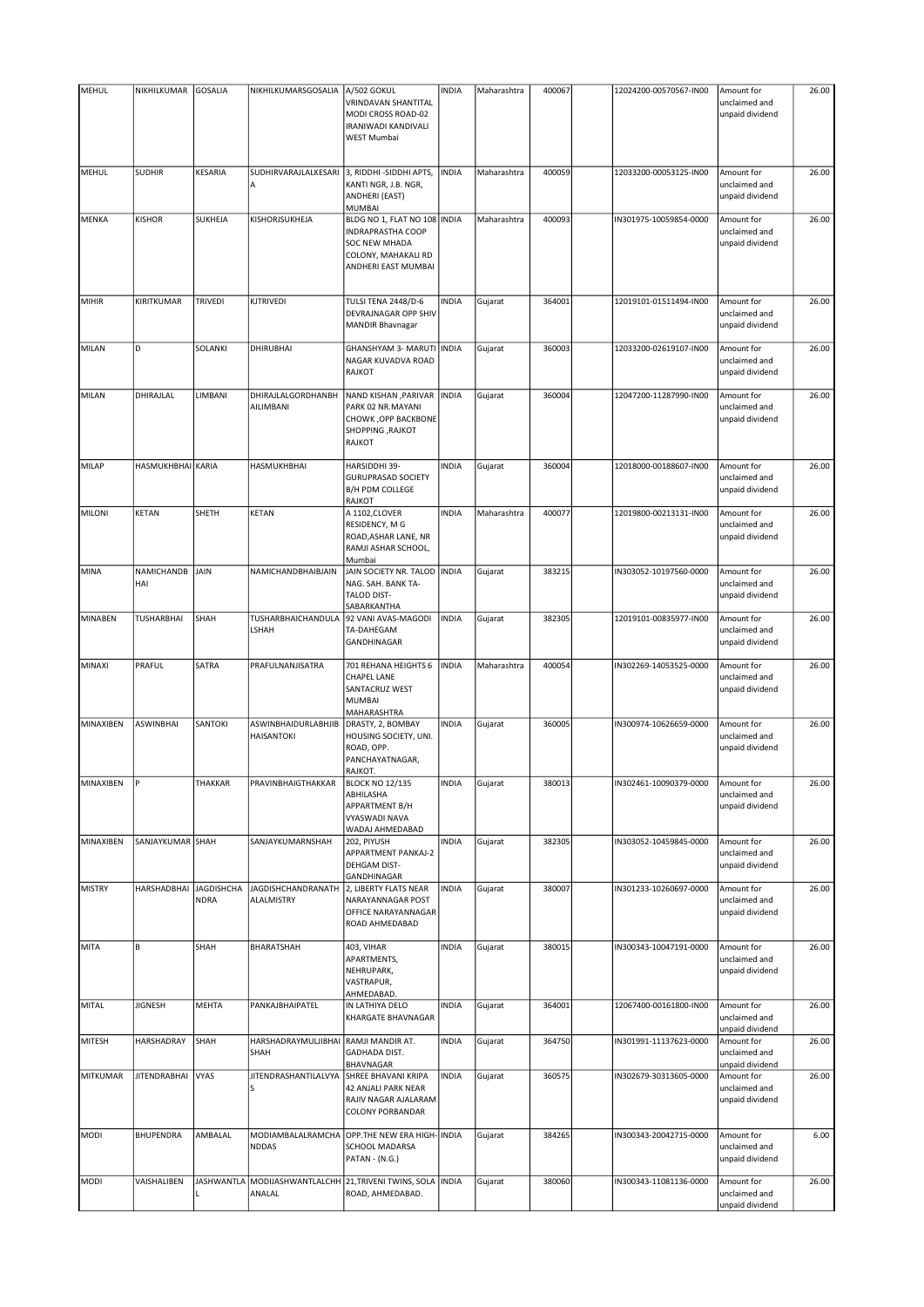| <b>MEHUL</b>  | NIKHILKUMAR         | <b>GOSALIA</b>                   | NIKHILKUMARSGOSALIA                                  | A/502 GOKUL<br>VRINDAVAN SHANTITAL<br>MODI CROSS ROAD-02<br>IRANIWADI KANDIVALI<br>WEST Mumbai                                 | <b>INDIA</b> | Maharashtra | 400067 | 12024200-00570567-IN00 | Amount for<br>unclaimed and<br>unpaid dividend | 26.00 |
|---------------|---------------------|----------------------------------|------------------------------------------------------|--------------------------------------------------------------------------------------------------------------------------------|--------------|-------------|--------|------------------------|------------------------------------------------|-------|
| MEHUL         | <b>SUDHIR</b>       | KESARIA                          | SUDHIRVARAJLALKESARI<br>A                            | 3, RIDDHI - SIDDHI APTS,<br>KANTI NGR, J.B. NGR,<br>ANDHERI (EAST)<br><b>MUMBAI</b>                                            | <b>INDIA</b> | Maharashtra | 400059 | 12033200-00053125-IN00 | Amount for<br>unclaimed and<br>unpaid dividend | 26.00 |
| MENKA         | <b>KISHOR</b>       | SUKHEJA                          | KISHORJSUKHEJA                                       | BLDG NO 1, FLAT NO 108 INDIA<br><b>INDRAPRASTHA COOP</b><br><b>SOC NEW MHADA</b><br>COLONY, MAHAKALI RD<br>ANDHERI EAST MUMBAI |              | Maharashtra | 400093 | IN301975-10059854-0000 | Amount for<br>unclaimed and<br>unpaid dividend | 26.00 |
| <b>MIHIR</b>  | KIRITKUMAR          | TRIVEDI                          | KJTRIVEDI                                            | <b>TULSI TENA 2448/D-6</b><br>DEVRAJNAGAR OPP SHIV<br>MANDIR Bhavnagar                                                         | <b>INDIA</b> | Gujarat     | 364001 | 12019101-01511494-IN00 | Amount for<br>unclaimed and<br>unpaid dividend | 26.00 |
| MILAN         | D                   | SOLANKI                          | <b>DHIRUBHAI</b>                                     | GHANSHYAM 3- MARUTI   INDIA<br>NAGAR KUVADVA ROAD<br><b>RAJKOT</b>                                                             |              | Gujarat     | 360003 | 12033200-02619107-IN00 | Amount for<br>unclaimed and<br>unpaid dividend | 26.00 |
| MILAN         | DHIRAJLAL           | LIMBANI                          | DHIRAJLALGORDHANBH<br>AILIMBANI                      | NAND KISHAN , PARIVAR   INDIA<br>PARK 02 NR.MAYANI<br>CHOWK , OPP BACKBONE<br><b>SHOPPING, RAJKOT</b><br><b>RAJKOT</b>         |              | Gujarat     | 360004 | 12047200-11287990-IN00 | Amount for<br>unclaimed and<br>unpaid dividend | 26.00 |
| <b>MILAP</b>  | HASMUKHBHAI KARIA   |                                  | HASMUKHBHAI                                          | HARSIDDHI 39-<br><b>GURUPRASAD SOCIETY</b><br><b>B/H PDM COLLEGE</b><br><b>RAJKOT</b>                                          | <b>INDIA</b> | Gujarat     | 360004 | 12018000-00188607-IN00 | Amount for<br>unclaimed and<br>unpaid dividend | 26.00 |
| <b>MILONI</b> | <b>KETAN</b>        | SHETH                            | KETAN                                                | A 1102, CLOVER<br>RESIDENCY, M G<br>ROAD, ASHAR LANE, NR<br>RAMJI ASHAR SCHOOL,<br>Mumbai                                      | <b>INDIA</b> | Maharashtra | 400077 | 12019800-00213131-IN00 | Amount for<br>unclaimed and<br>unpaid dividend | 26.00 |
| MINA          | NAMICHANDB<br>HAI   | JAIN                             | NAMICHANDBHAIBJAIN                                   | JAIN SOCIETY NR. TALOD<br>NAG. SAH. BANK TA-<br><b>TALOD DIST-</b><br>SABARKANTHA                                              | <b>INDIA</b> | Gujarat     | 383215 | IN303052-10197560-0000 | Amount for<br>unclaimed and<br>unpaid dividend | 26.00 |
| MINABEN       | <b>TUSHARBHAI</b>   | SHAH                             | TUSHARBHAICHANDULA<br>LSHAH                          | 92 VANI AVAS-MAGODI<br>TA-DAHEGAM<br>GANDHINAGAR                                                                               | <b>INDIA</b> | Gujarat     | 382305 | 12019101-00835977-IN00 | Amount for<br>unclaimed and<br>unpaid dividend | 26.00 |
| MINAXI        | PRAFUL              | SATRA                            | PRAFULNANJISATRA                                     | 701 REHANA HEIGHTS 6<br><b>CHAPEL LANE</b><br>SANTACRUZ WEST<br>MUMBAI<br>MAHARASHTRA                                          | <b>INDIA</b> | Maharashtra | 400054 | IN302269-14053525-0000 | Amount for<br>unclaimed and<br>unpaid dividend | 26.00 |
| MINAXIBEN     | <b>ASWINBHAI</b>    | SANTOKI                          | ASWINBHAIDURLABHJIB<br>HAISANTOKI                    | DRASTY, 2, BOMBAY<br>HOUSING SOCIETY, UNI.<br>ROAD, OPP.<br>PANCHAYATNAGAR,<br>RAJKOT.                                         | <b>INDIA</b> | Gujarat     | 360005 | IN300974-10626659-0000 | Amount for<br>unclaimed and<br>unpaid dividend | 26.00 |
| MINAXIBEN     |                     | THAKKAR                          | PRAVINBHAIGTHAKKAR                                   | BLOCK NO 12/135<br>ABHILASHA<br>APPARTMENT B/H<br>VYASWADI NAVA<br>WADAJ AHMEDABAD                                             | INDIA        | Gujarat     | 380013 | IN302461-10090379-0000 | Amount for<br>unclaimed and<br>unpaid dividend | 26.00 |
| MINAXIBEN     | SANJAYKUMAR SHAH    |                                  | SANJAYKUMARNSHAH                                     | 202, PIYUSH<br>APPARTMENT PANKAJ-2<br><b>DEHGAM DIST-</b><br>GANDHINAGAR                                                       | <b>INDIA</b> | Gujarat     | 382305 | IN303052-10459845-0000 | Amount for<br>unclaimed and<br>unpaid dividend | 26.00 |
| <b>MISTRY</b> | <b>HARSHADBHAI</b>  | <b>JAGDISHCHA</b><br><b>NDRA</b> | JAGDISHCHANDRANATH<br>ALALMISTRY                     | 2, LIBERTY FLATS NEAR<br>NARAYANNAGAR POST<br>OFFICE NARAYANNAGAR<br>ROAD AHMEDABAD                                            | <b>INDIA</b> | Gujarat     | 380007 | IN301233-10260697-0000 | Amount for<br>unclaimed and<br>unpaid dividend | 26.00 |
| MITA          | B                   | SHAH                             | BHARATSHAH                                           | 403, VIHAR<br>APARTMENTS,<br>NEHRUPARK,<br>VASTRAPUR,<br>AHMEDABAD                                                             | <b>INDIA</b> | Gujarat     | 380015 | IN300343-10047191-0000 | Amount for<br>unclaimed and<br>unpaid dividend | 26.00 |
| MITAL         | <b>JIGNESH</b>      | MEHTA                            | PANKAJBHAIPATEL                                      | IN LATHIYA DELO<br>KHARGATE BHAVNAGAR                                                                                          | <b>INDIA</b> | Gujarat     | 364001 | 12067400-00161800-IN00 | Amount for<br>unclaimed and<br>unpaid dividend | 26.00 |
| MITESH        | HARSHADRAY          | SHAH                             | HARSHADRAYMULJIBHAI<br>SHAH                          | RAMJI MANDIR AT.<br>GADHADA DIST.<br>BHAVNAGAR                                                                                 | <b>INDIA</b> | Gujarat     | 364750 | IN301991-11137623-0000 | Amount for<br>unclaimed and<br>unpaid dividend | 26.00 |
| MITKUMAR      | <b>JITENDRABHAI</b> | <b>VYAS</b>                      | JITENDRASHANTILALVYA                                 | <b>SHREE BHAVANI KRIPA</b><br>42 ANJALI PARK NEAR<br>RAJIV NAGAR AJALARAM<br><b>COLONY PORBANDAR</b>                           | <b>INDIA</b> | Gujarat     | 360575 | IN302679-30313605-0000 | Amount for<br>unclaimed and<br>unpaid dividend | 26.00 |
| MODI          | BHUPENDRA           | AMBALAL                          | MODIAMBALALRAMCHA<br><b>NDDAS</b>                    | OPP.THE NEW ERA HIGH- INDIA<br>SCHOOL MADARSA<br>PATAN - (N.G.)                                                                |              | Gujarat     | 384265 | IN300343-20042715-0000 | Amount for<br>unclaimed and<br>unpaid dividend | 6.00  |
| MODI          | VAISHALIBEN         | <b>JASHWANTLA</b>                | MODIJASHWANTLALCHH 21, TRIVENI TWINS, SOLA<br>ANALAL | ROAD, AHMEDABAD.                                                                                                               | <b>INDIA</b> | Gujarat     | 380060 | IN300343-11081136-0000 | Amount for<br>unclaimed and<br>unpaid dividend | 26.00 |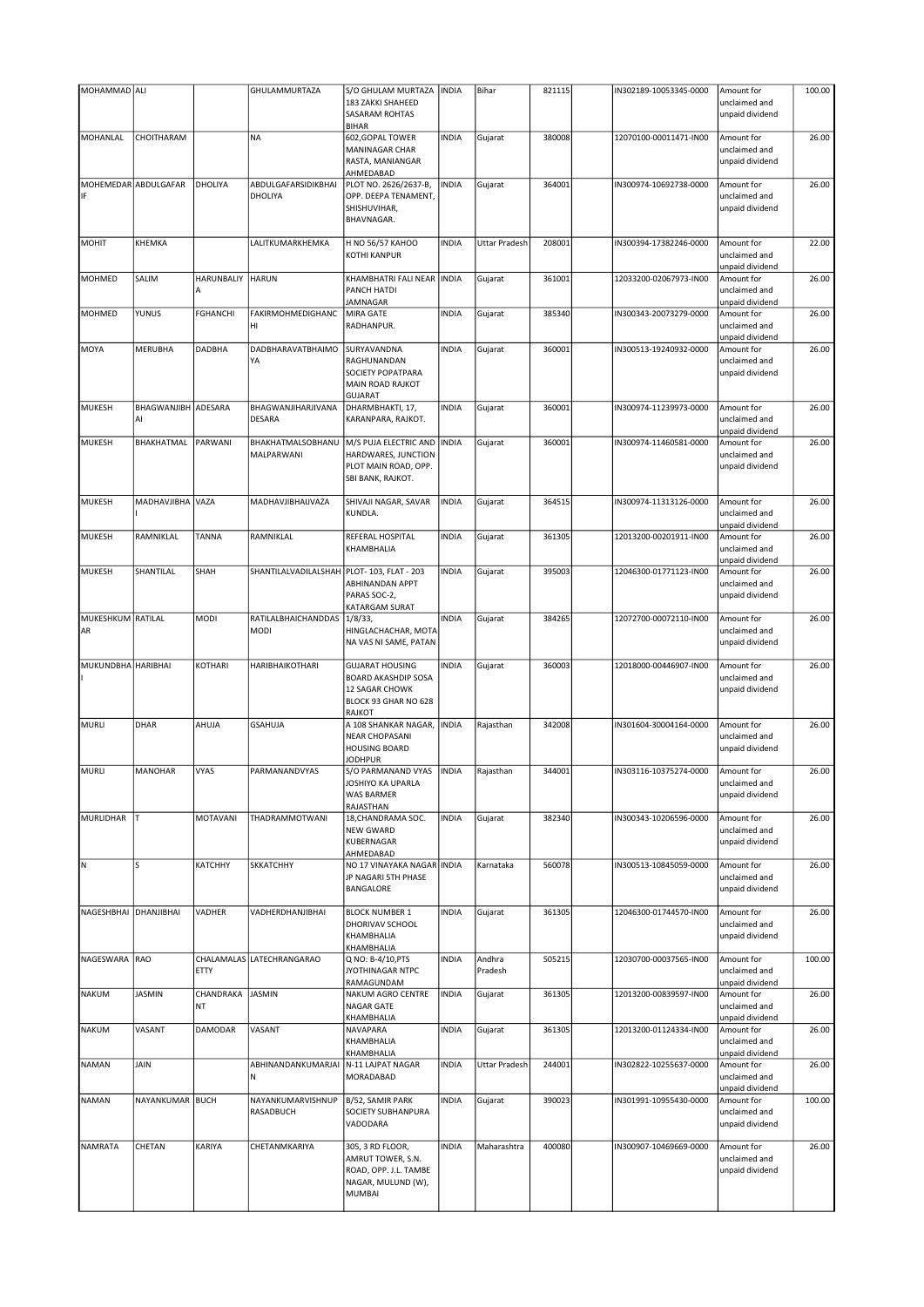| MOHAMMAD ALI            |                             |                    | GHULAMMURTAZA                       | S/O GHULAM MURTAZA                                                                                       | <b>INDIA</b> | Bihar             | 821115 | IN302189-10053345-0000 | Amount for                                     | 100.00 |
|-------------------------|-----------------------------|--------------------|-------------------------------------|----------------------------------------------------------------------------------------------------------|--------------|-------------------|--------|------------------------|------------------------------------------------|--------|
|                         |                             |                    |                                     | 183 ZAKKI SHAHEED<br>SASARAM ROHTAS<br><b>BIHAR</b>                                                      |              |                   |        |                        | unclaimed and<br>unpaid dividend               |        |
| MOHANLAL                | CHOITHARAM                  |                    | <b>NA</b>                           | 602, GOPAL TOWER<br>MANINAGAR CHAR<br>RASTA, MANIANGAR<br>AHMEDABAD                                      | <b>INDIA</b> | Gujarat           | 380008 | 12070100-00011471-IN00 | Amount for<br>unclaimed and<br>unpaid dividend | 26.00  |
| IF                      | <b>MOHEMEDAR ABDULGAFAR</b> | DHOLIYA            | ABDULGAFARSIDIKBHAI<br>DHOLIYA      | PLOT NO. 2626/2637-B,<br>OPP. DEEPA TENAMENT,<br>SHISHUVIHAR,<br>BHAVNAGAR.                              | <b>INDIA</b> | Gujarat           | 364001 | IN300974-10692738-0000 | Amount for<br>unclaimed and<br>unpaid dividend | 26.00  |
| <b>MOHIT</b>            | КНЕМКА                      |                    | LALITKUMARKHEMKA                    | H NO 56/57 KAHOO<br><b>KOTHI KANPUR</b>                                                                  | <b>INDIA</b> | Uttar Pradesh     | 208001 | IN300394-17382246-0000 | Amount for<br>unclaimed and<br>unpaid dividend | 22.00  |
| MOHMED                  | SALIM                       | HARUNBALIY<br>A    | <b>HARUN</b>                        | KHAMBHATRI FALI NEAR<br>PANCH HATDI<br>JAMNAGAR                                                          | <b>INDIA</b> | Gujarat           | 361001 | 12033200-02067973-IN00 | Amount for<br>unclaimed and<br>unpaid dividend | 26.00  |
| <b>MOHMED</b>           | YUNUS                       | <b>FGHANCHI</b>    | FAKIRMOHMEDIGHANC<br>HI             | MIRA GATE<br>RADHANPUR.                                                                                  | <b>INDIA</b> | Gujarat           | 385340 | IN300343-20073279-0000 | Amount for<br>unclaimed and<br>unpaid dividend | 26.00  |
| MOYA                    | MERUBHA                     | <b>DADBHA</b>      | DADBHARAVATBHAIMO<br>YA             | SURYAVANDNA<br>RAGHUNANDAN<br>SOCIETY POPATPARA<br>MAIN ROAD RAJKOT<br><b>GUJARAT</b>                    | <b>INDIA</b> | Gujarat           | 360001 | IN300513-19240932-0000 | Amount for<br>unclaimed and<br>unpaid dividend | 26.00  |
| <b>MUKESH</b>           | BHAGWANJIBH ADESARA<br>Al   |                    | BHAGWANJIHARJIVANA<br><b>DESARA</b> | DHARMBHAKTI, 17,<br>KARANPARA, RAJKOT.                                                                   | <b>INDIA</b> | Gujarat           | 360001 | IN300974-11239973-0000 | Amount for<br>unclaimed and<br>unpaid dividend | 26.00  |
| <b>MUKESH</b>           | BHAKHATMAL                  | PARWANI            | BHAKHATMALSOBHANU<br>MALPARWANI     | M/S PUJA ELECTRIC AND<br>HARDWARES, JUNCTION<br>PLOT MAIN ROAD, OPP.<br>SBI BANK, RAJKOT.                | <b>INDIA</b> | Gujarat           | 360001 | IN300974-11460581-0000 | Amount for<br>unclaimed and<br>unpaid dividend | 26.00  |
| <b>MUKESH</b>           | MADHAVJIBHA VAZA            |                    | MADHAVJIBHAIJVAZA                   | SHIVAJI NAGAR, SAVAR<br>KUNDLA.                                                                          | <b>INDIA</b> | Gujarat           | 364515 | IN300974-11313126-0000 | Amount for<br>unclaimed and<br>unpaid dividend | 26.00  |
| <b>MUKESH</b>           | RAMNIKLAL                   | TANNA              | RAMNIKLAL                           | REFERAL HOSPITAL<br>KHAMBHALIA                                                                           | <b>INDIA</b> | Gujarat           | 361305 | 12013200-00201911-IN00 | Amount for<br>unclaimed and<br>unpaid dividend | 26.00  |
| <b>MUKESH</b>           | SHANTILAL                   | SHAH               | SHANTILALVADILALSHAH                | PLOT- 103, FLAT - 203<br><b>ABHINANDAN APPT</b><br>PARAS SOC-2,<br>KATARGAM SURAT                        | <b>INDIA</b> | Gujarat           | 395003 | 12046300-01771123-IN00 | Amount for<br>unclaimed and<br>unpaid dividend | 26.00  |
| MUKESHKUM RATILAL<br>AR |                             | MODI               | RATILALBHAICHANDDAS<br>MODI         | 1/8/33,<br>HINGLACHACHAR, MOTA<br>NA VAS NI SAME, PATAN                                                  | <b>INDIA</b> | Gujarat           | 384265 | 12072700-00072110-IN00 | Amount for<br>unclaimed and<br>unpaid dividend | 26.00  |
| MUKUNDBHA HARIBHAI      |                             | KOTHARI            | HARIBHAIKOTHARI                     | <b>GUJARAT HOUSING</b><br><b>BOARD AKASHDIP SOSA</b><br>12 SAGAR CHOWK<br>BLOCK 93 GHAR NO 628<br>RAJKOT | <b>INDIA</b> | Gujarat           | 360003 | 12018000-00446907-IN00 | Amount for<br>unclaimed and<br>unpaid dividend | 26.00  |
| <b>MURLI</b>            | DHAR                        | AHUJA              | <b>GSAHUJA</b>                      | A 108 SHANKAR NAGAR,<br><b>NEAR CHOPASANI</b><br><b>HOUSING BOARD</b><br><b>JODHPUR</b>                  | <b>INDIA</b> | Rajasthan         | 342008 | IN301604-30004164-0000 | Amount for<br>unclaimed and<br>unpaid dividend | 26.00  |
| <b>MURLI</b>            | MANOHAR                     | <b>VYAS</b>        | PARMANANDVYAS                       | S/O PARMANAND VYAS<br>JOSHIYO KA UPARLA<br>WAS BARMER<br>RAJASTHAN                                       | <b>INDIA</b> | Rajasthan         | 344001 | IN303116-10375274-0000 | Amount for<br>unclaimed and<br>unpaid dividend | 26.00  |
| MURLIDHAR               | т                           | MOTAVANI           | THADRAMMOTWANI                      | 18, CHANDRAMA SOC.<br><b>NEW GWARD</b><br>KUBERNAGAR<br>AHMEDABAD                                        | <b>INDIA</b> | Gujarat           | 382340 | IN300343-10206596-0000 | Amount for<br>unclaimed and<br>unpaid dividend | 26.00  |
| IΝ                      | S                           | КАТСННҮ            | <b>SKKATCHHY</b>                    | NO 17 VINAYAKA NAGAR INDIA<br>JP NAGARI 5TH PHASE<br>BANGALORE                                           |              | Karnataka         | 560078 | IN300513-10845059-0000 | Amount for<br>unclaimed and<br>unpaid dividend | 26.00  |
| NAGESHBHAI              | DHANJIBHAI                  | VADHER             | VADHERDHANJIBHAI                    | <b>BLOCK NUMBER 1</b><br>DHORIVAV SCHOOL<br>KHAMBHALIA<br>KHAMBHALIA                                     | <b>INDIA</b> | Gujarat           | 361305 | 12046300-01744570-IN00 | Amount for<br>unclaimed and<br>unpaid dividend | 26.00  |
| NAGESWARA               | <b>RAO</b>                  | CHALAMALAS<br>ETTY | LATECHRANGARAO                      | Q NO: B-4/10, PTS<br>JYOTHINAGAR NTPC<br>RAMAGUNDAM                                                      | <b>INDIA</b> | Andhra<br>Pradesh | 505215 | 12030700-00037565-IN00 | Amount for<br>unclaimed and<br>unpaid dividend | 100.00 |
| <b>NAKUM</b>            | <b>JASMIN</b>               | CHANDRAKA<br>ΝT    | <b>JASMIN</b>                       | NAKUM AGRO CENTRE<br>NAGAR GATE<br>KHAMBHALIA                                                            | <b>INDIA</b> | Gujarat           | 361305 | 12013200-00839597-IN00 | Amount for<br>unclaimed and<br>unpaid dividend | 26.00  |
| <b>NAKUM</b>            | VASANT                      | DAMODAR            | VASANT                              | NAVAPARA<br>KHAMBHALIA<br>KHAMBHALIA                                                                     | <b>INDIA</b> | Gujarat           | 361305 | 12013200-01124334-IN00 | Amount for<br>unclaimed and<br>unpaid dividend | 26.00  |
| <b>NAMAN</b>            | JAIN                        |                    | ABHINANDANKUMARJAI<br>N             | N-11 LAJPAT NAGAR<br>MORADABAD                                                                           | <b>INDIA</b> | Uttar Pradesh     | 244001 | IN302822-10255637-0000 | Amount for<br>unclaimed and<br>unpaid dividend | 26.00  |
| <b>NAMAN</b>            | NAYANKUMAR BUCH             |                    | NAYANKUMARVISHNUP<br>RASADBUCH      | B/52, SAMIR PARK<br>SOCIETY SUBHANPURA<br>VADODARA                                                       | <b>INDIA</b> | Gujarat           | 390023 | IN301991-10955430-0000 | Amount for<br>unclaimed and<br>unpaid dividend | 100.00 |
| <b>NAMRATA</b>          | CHETAN                      | KARIYA             | CHETANMKARIYA                       | 305, 3 RD FLOOR,<br>AMRUT TOWER, S.N.<br>ROAD, OPP. J.L. TAMBE<br>NAGAR, MULUND (W),<br>MUMBAI           | <b>INDIA</b> | Maharashtra       | 400080 | IN300907-10469669-0000 | Amount for<br>unclaimed and<br>unpaid dividend | 26.00  |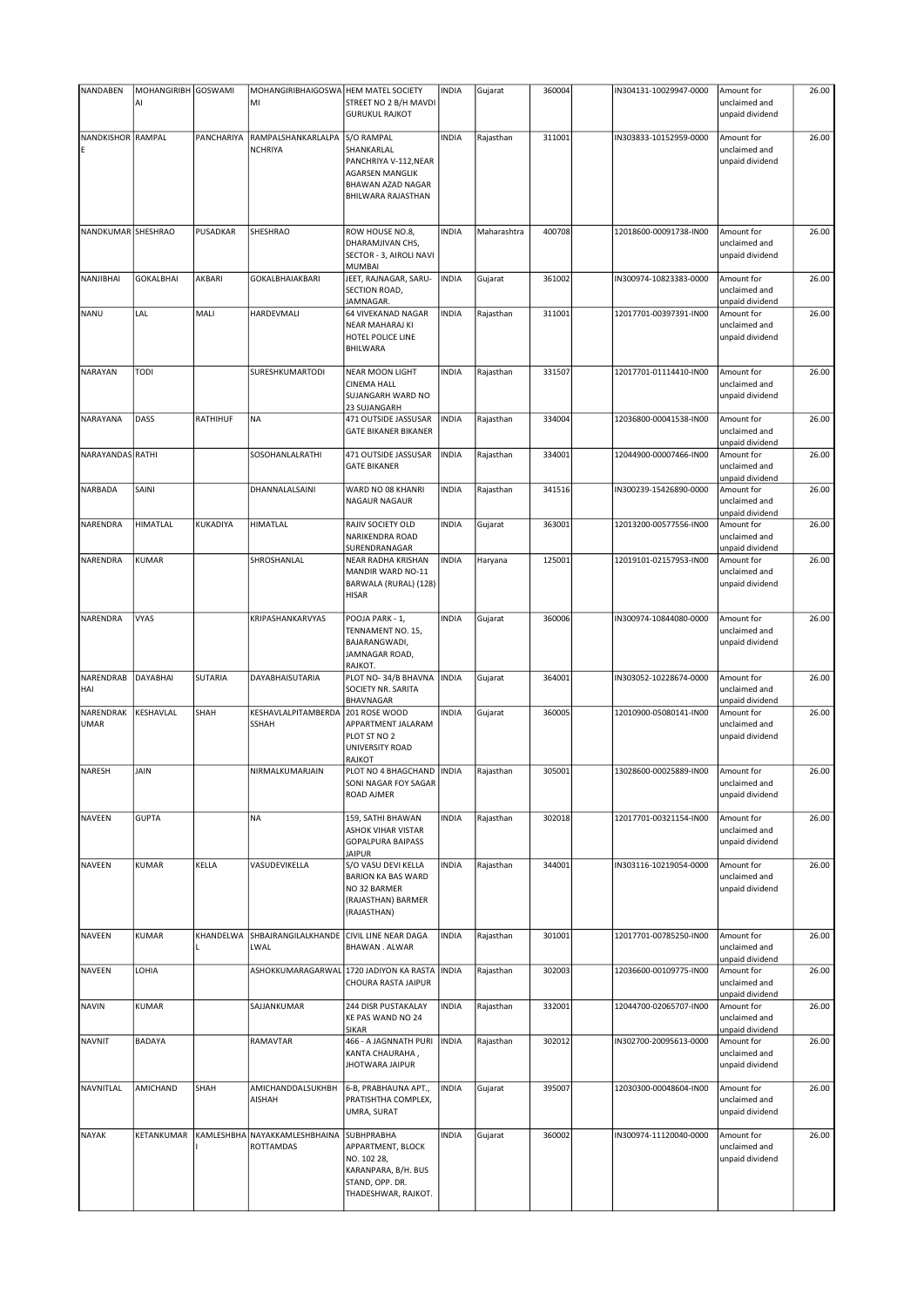| NANDABEN           | MOHANGIRIBH GOSWAMI |            | MOHANGIRIBHAIGOSWA HEM MATEL SOCIETY |                                                       | <b>INDIA</b> | Gujarat     | 360004 | IN304131-10029947-0000 | Amount for                       | 26.00 |
|--------------------|---------------------|------------|--------------------------------------|-------------------------------------------------------|--------------|-------------|--------|------------------------|----------------------------------|-------|
|                    | Al                  |            | MI                                   | STREET NO 2 B/H MAVDI<br><b>GURUKUL RAJKOT</b>        |              |             |        |                        | unclaimed and<br>unpaid dividend |       |
| NANDKISHOR RAMPAL  |                     | PANCHARIYA | RAMPALSHANKARLALPA                   | S/O RAMPAL                                            | <b>INDIA</b> | Rajasthan   | 311001 | IN303833-10152959-0000 | Amount for                       | 26.00 |
|                    |                     |            | <b>NCHRIYA</b>                       | SHANKARLAL                                            |              |             |        |                        | unclaimed and                    |       |
|                    |                     |            |                                      | PANCHRIYA V-112, NEAR                                 |              |             |        |                        | unpaid dividend                  |       |
|                    |                     |            |                                      | <b>AGARSEN MANGLIK</b>                                |              |             |        |                        |                                  |       |
|                    |                     |            |                                      | <b>BHAWAN AZAD NAGAR</b><br><b>BHILWARA RAJASTHAN</b> |              |             |        |                        |                                  |       |
|                    |                     |            |                                      |                                                       |              |             |        |                        |                                  |       |
| NANDKUMAR SHESHRAO |                     | PUSADKAR   | SHESHRAO                             | ROW HOUSE NO.8,                                       | <b>INDIA</b> | Maharashtra | 400708 | 12018600-00091738-IN00 | Amount for                       | 26.00 |
|                    |                     |            |                                      | DHARAMJIVAN CHS,                                      |              |             |        |                        | unclaimed and                    |       |
|                    |                     |            |                                      | SECTOR - 3, AIROLI NAVI<br><b>MUMBAI</b>              |              |             |        |                        | unpaid dividend                  |       |
| NANJIBHAI          | <b>GOKALBHAI</b>    | AKBARI     | GOKALBHAIAKBARI                      | JEET, RAJNAGAR, SARU-                                 | <b>INDIA</b> | Gujarat     | 361002 | IN300974-10823383-0000 | Amount for                       | 26.00 |
|                    |                     |            |                                      | SECTION ROAD,                                         |              |             |        |                        | unclaimed and                    |       |
| NANU               | LAL                 | MALI       | HARDEVMALI                           | JAMNAGAR.<br>64 VIVEKANAD NAGAR                       | <b>INDIA</b> | Rajasthan   | 311001 | 12017701-00397391-IN00 | unpaid dividend<br>Amount for    | 26.00 |
|                    |                     |            |                                      | <b>NEAR MAHARAJ KI</b>                                |              |             |        |                        | unclaimed and                    |       |
|                    |                     |            |                                      | HOTEL POLICE LINE                                     |              |             |        |                        | unpaid dividend                  |       |
|                    |                     |            |                                      | <b>BHILWARA</b>                                       |              |             |        |                        |                                  |       |
| NARAYAN            | <b>TODI</b>         |            | SURESHKUMARTODI                      | NEAR MOON LIGHT                                       | <b>INDIA</b> | Rajasthan   | 331507 | 12017701-01114410-IN00 | Amount for                       | 26.00 |
|                    |                     |            |                                      | <b>CINEMA HALL</b>                                    |              |             |        |                        | unclaimed and                    |       |
|                    |                     |            |                                      | SUJANGARH WARD NO                                     |              |             |        |                        | unpaid dividend                  |       |
|                    |                     |            |                                      | 23 SUJANGARH                                          |              |             |        |                        |                                  |       |
| NARAYANA           | DASS                | RATHIHUF   | <b>NA</b>                            | 471 OUTSIDE JASSUSAR<br><b>GATE BIKANER BIKANER</b>   | <b>INDIA</b> | Rajasthan   | 334004 | 12036800-00041538-IN00 | Amount for<br>unclaimed and      | 26.00 |
|                    |                     |            |                                      |                                                       |              |             |        |                        | unpaid dividend                  |       |
| NARAYANDAS RATHI   |                     |            | SOSOHANLALRATHI                      | 471 OUTSIDE JASSUSAR                                  | <b>INDIA</b> | Rajasthan   | 334001 | 12044900-00007466-IN00 | Amount for                       | 26.00 |
|                    |                     |            |                                      | <b>GATE BIKANER</b>                                   |              |             |        |                        | unclaimed and                    |       |
| NARBADA            | SAINI               |            | DHANNALALSAINI                       | WARD NO 08 KHANRI                                     | <b>INDIA</b> |             | 341516 | IN300239-15426890-0000 | unpaid dividend<br>Amount for    | 26.00 |
|                    |                     |            |                                      | NAGAUR NAGAUR                                         |              | Rajasthan   |        |                        | unclaimed and                    |       |
|                    |                     |            |                                      |                                                       |              |             |        |                        | unpaid dividend                  |       |
| <b>NARENDRA</b>    | <b>HIMATLAL</b>     | KUKADIYA   | HIMATLAL                             | RAJIV SOCIETY OLD                                     | <b>INDIA</b> | Gujarat     | 363001 | 12013200-00577556-IN00 | Amount for                       | 26.00 |
|                    |                     |            |                                      | NARIKENDRA ROAD                                       |              |             |        |                        | unclaimed and                    |       |
| NARENDRA           | <b>KUMAR</b>        |            | SHROSHANLAL                          | SURENDRANAGAR<br>NEAR RADHA KRISHAN                   | <b>INDIA</b> | Haryana     | 125001 | 12019101-02157953-IN00 | unpaid dividend<br>Amount for    | 26.00 |
|                    |                     |            |                                      | MANDIR WARD NO-11                                     |              |             |        |                        | unclaimed and                    |       |
|                    |                     |            |                                      | BARWALA (RURAL) (128)                                 |              |             |        |                        | unpaid dividend                  |       |
|                    |                     |            |                                      | <b>HISAR</b>                                          |              |             |        |                        |                                  |       |
| NARENDRA           | <b>VYAS</b>         |            | KRIPASHANKARVYAS                     | POOJA PARK - 1,                                       | <b>INDIA</b> | Gujarat     | 360006 | IN300974-10844080-0000 | Amount for                       | 26.00 |
|                    |                     |            |                                      | TENNAMENT NO. 15,                                     |              |             |        |                        | unclaimed and                    |       |
|                    |                     |            |                                      | BAJARANGWADI,                                         |              |             |        |                        | unpaid dividend                  |       |
|                    |                     |            |                                      | JAMNAGAR ROAD,                                        |              |             |        |                        |                                  |       |
| NARENDRAB          | DAYABHAI            | SUTARIA    | DAYABHAISUTARIA                      | RAJKOT.<br>PLOT NO-34/B BHAVNA                        | <b>INDIA</b> | Gujarat     | 364001 | IN303052-10228674-0000 | Amount for                       | 26.00 |
| HAI                |                     |            |                                      | SOCIETY NR. SARITA                                    |              |             |        |                        | unclaimed and                    |       |
|                    |                     |            |                                      | <b>BHAVNAGAR</b>                                      |              |             |        |                        | unpaid dividend                  |       |
| NARENDRAK<br>UMAR  | KESHAVLAL           | SHAH       | KESHAVLALPITAMBERDA<br>SSHAH         | 201 ROSE WOOD<br>APPARTMENT JALARAM                   | <b>INDIA</b> | Gujarat     | 360005 | 12010900-05080141-IN00 | Amount for<br>unclaimed and      | 26.00 |
|                    |                     |            |                                      | PLOT ST NO 2                                          |              |             |        |                        | unpaid dividend                  |       |
|                    |                     |            |                                      | UNIVERSITY ROAD                                       |              |             |        |                        |                                  |       |
|                    |                     |            |                                      | RAJKOT                                                |              |             |        |                        |                                  |       |
| NARESH             | JAIN                |            | NIRMALKUMARJAIN                      | PLOT NO 4 BHAGCHAND INDIA<br>SONI NAGAR FOY SAGAR     |              | Rajasthan   | 305001 | 13028600-00025889-IN00 | Amount for<br>unclaimed and      | 26.00 |
|                    |                     |            |                                      | ROAD AJMER                                            |              |             |        |                        | unpaid dividend                  |       |
|                    |                     |            |                                      |                                                       |              |             |        |                        |                                  |       |
| <b>NAVEEN</b>      | <b>GUPTA</b>        |            | <b>NA</b>                            | 159, SATHI BHAWAN                                     | <b>INDIA</b> | Rajasthan   | 302018 | 12017701-00321154-IN00 | Amount for                       | 26.00 |
|                    |                     |            |                                      | <b>ASHOK VIHAR VISTAR</b><br><b>GOPALPURA BAIPASS</b> |              |             |        |                        | unclaimed and<br>unpaid dividend |       |
|                    |                     |            |                                      | <b>JAIPUR</b>                                         |              |             |        |                        |                                  |       |
| NAVEEN             | KUMAR               | KELLA      | VASUDEVIKELLA                        | S/O VASU DEVI KELLA                                   | <b>INDIA</b> | Rajasthan   | 344001 | IN303116-10219054-0000 | Amount for                       | 26.00 |
|                    |                     |            |                                      | <b>BARION KA BAS WARD</b><br>NO 32 BARMER             |              |             |        |                        | unclaimed and                    |       |
|                    |                     |            |                                      | (RAJASTHAN) BARMER                                    |              |             |        |                        | unpaid dividend                  |       |
|                    |                     |            |                                      | (RAJASTHAN)                                           |              |             |        |                        |                                  |       |
|                    |                     |            |                                      |                                                       |              |             |        |                        |                                  |       |
| <b>NAVEEN</b>      | KUMAR               | KHANDELWA  | SHBAJRANGILALKHANDE                  | CIVIL LINE NEAR DAGA                                  | <b>INDIA</b> | Rajasthan   | 301001 | 12017701-00785250-IN00 | Amount for                       | 26.00 |
|                    |                     |            | LWAL                                 | <b>BHAWAN. ALWAR</b>                                  |              |             |        |                        | unclaimed and<br>unpaid dividend |       |
| NAVEEN             | LOHIA               |            |                                      | ASHOKKUMARAGARWAL 1720 JADIYON KA RASTA               | <b>INDIA</b> | Rajasthan   | 302003 | 12036600-00109775-IN00 | Amount for                       | 26.00 |
|                    |                     |            |                                      | CHOURA RASTA JAIPUR                                   |              |             |        |                        | unclaimed and                    |       |
|                    |                     |            |                                      |                                                       |              |             |        |                        | unpaid dividend                  |       |
| <b>NAVIN</b>       | <b>KUMAR</b>        |            | SAJJANKUMAR                          | 244 DISR PUSTAKALAY<br>KE PAS WAND NO 24              | <b>INDIA</b> | Rajasthan   | 332001 | 12044700-02065707-IN00 | Amount for<br>unclaimed and      | 26.00 |
|                    |                     |            |                                      | <b>SIKAR</b>                                          |              |             |        |                        | unpaid dividend                  |       |
| <b>NAVNIT</b>      | <b>BADAYA</b>       |            | RAMAVTAR                             | 466 - A JAGNNATH PURI                                 | <b>INDIA</b> | Rajasthan   | 302012 | IN302700-20095613-0000 | Amount for                       | 26.00 |
|                    |                     |            |                                      | KANTA CHAURAHA,<br><b>JHOTWARA JAIPUR</b>             |              |             |        |                        | unclaimed and<br>unpaid dividend |       |
|                    |                     |            |                                      |                                                       |              |             |        |                        |                                  |       |
| NAVNITLAL          | AMICHAND            | SHAH       | AMICHANDDALSUKHBH                    | 6-B, PRABHAUNA APT.,                                  | <b>INDIA</b> | Gujarat     | 395007 | 12030300-00048604-IN00 | Amount for                       | 26.00 |
|                    |                     |            | AISHAH                               | PRATISHTHA COMPLEX,                                   |              |             |        |                        | unclaimed and                    |       |
|                    |                     |            |                                      | UMRA, SURAT                                           |              |             |        |                        | unpaid dividend                  |       |
| <b>NAYAK</b>       | KETANKUMAR          | KAMLESHBHA | NAYAKKAMLESHBHAINA                   | <b>SUBHPRABHA</b>                                     | <b>INDIA</b> | Gujarat     | 360002 | IN300974-11120040-0000 | Amount for                       | 26.00 |
|                    |                     |            | ROTTAMDAS                            | APPARTMENT, BLOCK                                     |              |             |        |                        | unclaimed and                    |       |
|                    |                     |            |                                      | NO. 102 28,                                           |              |             |        |                        | unpaid dividend                  |       |
|                    |                     |            |                                      | KARANPARA, B/H. BUS<br>STAND, OPP. DR.                |              |             |        |                        |                                  |       |
|                    |                     |            |                                      | THADESHWAR, RAJKOT.                                   |              |             |        |                        |                                  |       |
|                    |                     |            |                                      |                                                       |              |             |        |                        |                                  |       |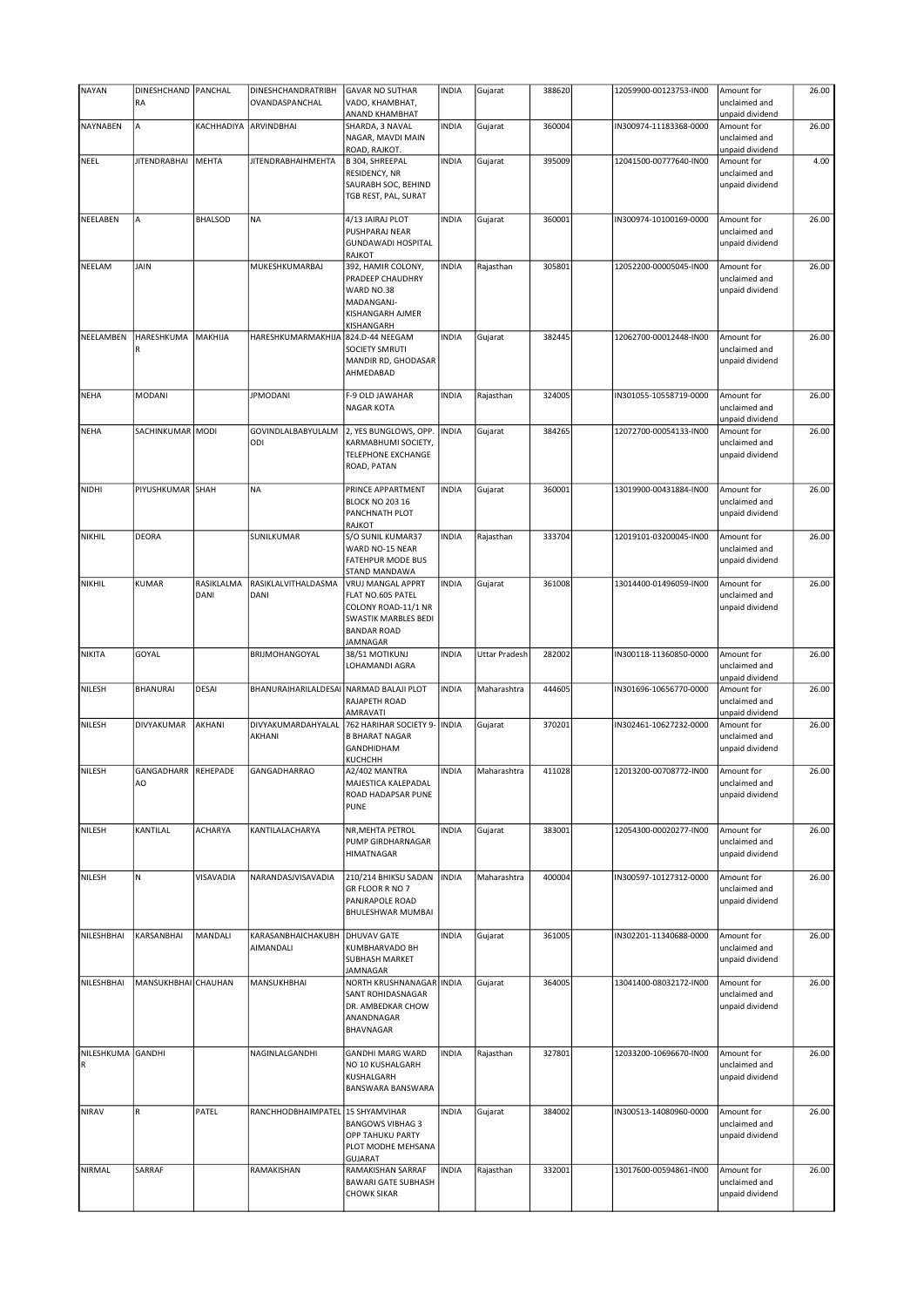| <b>NAYAN</b>                     | DINESHCHAND   PANCHAL<br>RA |                    | DINESHCHANDRATRIBH<br>OVANDASPANCHAL    | <b>GAVAR NO SUTHAR</b><br>VADO, KHAMBHAT,                                                                               | <b>INDIA</b> | Gujarat              | 388620 | 12059900-00123753-IN00 | Amount for<br>unclaimed and                                       | 26.00 |
|----------------------------------|-----------------------------|--------------------|-----------------------------------------|-------------------------------------------------------------------------------------------------------------------------|--------------|----------------------|--------|------------------------|-------------------------------------------------------------------|-------|
| NAYNABEN                         | A                           | KACHHADIYA         | ARVINDBHAI                              | ANAND KHAMBHAT<br>SHARDA, 3 NAVAL<br>NAGAR, MAVDI MAIN<br>ROAD, RAJKOT.                                                 | <b>INDIA</b> | Gujarat              | 360004 | IN300974-11183368-0000 | unpaid dividend<br>Amount for<br>unclaimed and<br>unpaid dividend | 26.00 |
| NEEL                             | <b>JITENDRABHAI</b>         | <b>MEHTA</b>       | <b>JITENDRABHAIHMEHTA</b>               | B 304, SHREEPAL<br>RESIDENCY, NR<br>SAURABH SOC, BEHIND<br>TGB REST, PAL, SURAT                                         | <b>INDIA</b> | Gujarat              | 395009 | 12041500-00777640-IN00 | Amount for<br>unclaimed and<br>unpaid dividend                    | 4.00  |
| NEELABEN                         | A                           | <b>BHALSOD</b>     | <b>NA</b>                               | 4/13 JAIRAJ PLOT<br>PUSHPARAJ NEAR<br><b>GUNDAWADI HOSPITAL</b><br><b>RAJKOT</b>                                        | <b>INDIA</b> | Gujarat              | 360001 | IN300974-10100169-0000 | Amount for<br>unclaimed and<br>unpaid dividend                    | 26.00 |
| NEELAM                           | <b>JAIN</b>                 |                    | MUKESHKUMARBAJ                          | 392, HAMIR COLONY,<br>PRADEEP CHAUDHRY<br>WARD NO.38<br>MADANGANJ-<br>KISHANGARH AJMER<br>KISHANGARH                    | <b>INDIA</b> | Rajasthan            | 305801 | 12052200-00005045-IN00 | Amount for<br>unclaimed and<br>unpaid dividend                    | 26.00 |
| NEELAMBEN                        | HARESHKUMA<br>R             | MAKHIJA            | HARESHKUMARMAKHIJA                      | 824.D-44 NEEGAM<br>SOCIETY SMRUTI<br>MANDIR RD, GHODASAR<br>AHMEDABAD                                                   | <b>INDIA</b> | Gujarat              | 382445 | 12062700-00012448-IN00 | Amount for<br>unclaimed and<br>unpaid dividend                    | 26.00 |
| <b>NEHA</b>                      | <b>MODANI</b>               |                    | <b>JPMODANI</b>                         | F-9 OLD JAWAHAR<br><b>NAGAR KOTA</b>                                                                                    | <b>INDIA</b> | Rajasthan            | 324005 | IN301055-10558719-0000 | Amount for<br>unclaimed and<br>unpaid dividend                    | 26.00 |
| <b>NEHA</b>                      | SACHINKUMAR MODI            |                    | GOVINDLALBABYULALM<br>ODI               | 2, YES BUNGLOWS, OPP.<br>KARMABHUMI SOCIETY,<br><b>TELEPHONE EXCHANGE</b><br>ROAD, PATAN                                | <b>INDIA</b> | Gujarat              | 384265 | 12072700-00054133-IN00 | Amount for<br>unclaimed and<br>unpaid dividend                    | 26.00 |
| NIDHI                            | PIYUSHKUMAR SHAH            |                    | <b>NA</b>                               | PRINCE APPARTMENT<br><b>BLOCK NO 203 16</b><br>PANCHNATH PLOT<br><b>RAJKOT</b>                                          | <b>INDIA</b> | Gujarat              | 360001 | 13019900-00431884-IN00 | Amount for<br>unclaimed and<br>unpaid dividend                    | 26.00 |
| NIKHIL                           | <b>DEORA</b>                |                    | SUNILKUMAR                              | S/O SUNIL KUMAR37<br>WARD NO-15 NEAR<br><b>FATEHPUR MODE BUS</b><br>STAND MANDAWA                                       | <b>INDIA</b> | Rajasthan            | 333704 | 12019101-03200045-IN00 | Amount for<br>unclaimed and<br>unpaid dividend                    | 26.00 |
| NIKHIL                           | <b>KUMAR</b>                | RASIKLALMA<br>DANI | RASIKLALVITHALDASMA<br>DANI             | VRUJ MANGAL APPRT<br>FLAT NO.605 PATEL<br>COLONY ROAD-11/1 NR<br>SWASTIK MARBLES BEDI<br><b>BANDAR ROAD</b><br>JAMNAGAR | <b>INDIA</b> | Gujarat              | 361008 | 13014400-01496059-IN00 | Amount for<br>unclaimed and<br>unpaid dividend                    | 26.00 |
| NIKITA                           | GOYAL                       |                    | BRIJMOHANGOYAL                          | 38/51 MOTIKUNJ<br>LOHAMANDI AGRA                                                                                        | <b>INDIA</b> | <b>Uttar Pradesh</b> | 282002 | IN300118-11360850-0000 | Amount for<br>unclaimed and<br>unpaid dividend                    | 26.00 |
| NILESH                           | BHANURAI                    | <b>DESAI</b>       | BHANURAIHARILALDESAI NARMAD BALAJI PLOT | RAJAPETH ROAD<br>AMRAVATI                                                                                               | <b>INDIA</b> | Maharashtra          | 444605 | IN301696-10656770-0000 | Amount for<br>unclaimed and<br>unpaid dividend                    | 26.00 |
| NILESH                           | DIVYAKUMAR                  | AKHANI             | DIVYAKUMARDAHYALAL<br>AKHANI            | 762 HARIHAR SOCIETY 9- INDIA<br><b>B BHARAT NAGAR</b><br><b>GANDHIDHAM</b><br><b>К</b> ИСНСНН                           |              | Gujarat              | 370201 | IN302461-10627232-0000 | Amount for<br>unclaimed and<br>unpaid dividend                    | 26.00 |
| NILESH                           | GANGADHARR<br>AO            | REHEPADE           | GANGADHARRAO                            | A2/402 MANTRA<br>MAJESTICA KALEPADAL<br>ROAD HADAPSAR PUNE<br>PUNE                                                      | <b>INDIA</b> | Maharashtra          | 411028 | 12013200-00708772-IN00 | Amount for<br>unclaimed and<br>unpaid dividend                    | 26.00 |
| NILESH                           | KANTILAL                    | <b>ACHARYA</b>     | KANTILALACHARYA                         | NR, MEHTA PETROL<br>PUMP GIRDHARNAGAR<br>HIMATNAGAR                                                                     | <b>INDIA</b> | Gujarat              | 383001 | 12054300-00020277-IN00 | Amount for<br>unclaimed and<br>unpaid dividend                    | 26.00 |
| NILESH                           | N                           | VISAVADIA          | NARANDASJVISAVADIA                      | 210/214 BHIKSU SADAN<br>GR FLOOR R NO 7<br>PANJRAPOLE ROAD<br><b>BHULESHWAR MUMBAI</b>                                  | <b>INDIA</b> | Maharashtra          | 400004 | IN300597-10127312-0000 | Amount for<br>unclaimed and<br>unpaid dividend                    | 26.00 |
| NILESHBHAI                       | KARSANBHAI                  | MANDALI            | KARASANBHAICHAKUBH<br>AIMANDALI         | <b>DHUVAV GATE</b><br>KUMBHARVADO BH<br><b>SUBHASH MARKET</b><br>JAMNAGAR                                               | <b>INDIA</b> | Gujarat              | 361005 | IN302201-11340688-0000 | Amount for<br>unclaimed and<br>unpaid dividend                    | 26.00 |
| NILESHBHAI                       | MANSUKHBHAI CHAUHAN         |                    | MANSUKHBHAI                             | NORTH KRUSHNANAGAR INDIA<br>SANT ROHIDASNAGAR<br>DR. AMBEDKAR CHOW<br>ANANDNAGAR<br>BHAVNAGAR                           |              | Gujarat              | 364005 | 13041400-08032172-IN00 | Amount for<br>unclaimed and<br>unpaid dividend                    | 26.00 |
| NILESHKUMA GANDHI<br>$\mathsf R$ |                             |                    | NAGINLALGANDHI                          | <b>GANDHI MARG WARD</b><br>NO 10 KUSHALGARH<br>KUSHALGARH<br>BANSWARA BANSWARA                                          | <b>INDIA</b> | Rajasthan            | 327801 | 12033200-10696670-IN00 | Amount for<br>unclaimed and<br>unpaid dividend                    | 26.00 |
| <b>NIRAV</b>                     | R                           | PATEL              | RANCHHODBHAIMPATEL 15 SHYAMVIHAR        | <b>BANGOWS VIBHAG 3</b><br>OPP TAHUKU PARTY<br>PLOT MODHE MEHSANA<br><b>GUJARAT</b>                                     | <b>INDIA</b> | Gujarat              | 384002 | IN300513-14080960-0000 | Amount for<br>unclaimed and<br>unpaid dividend                    | 26.00 |
| NIRMAL                           | SARRAF                      |                    | RAMAKISHAN                              | RAMAKISHAN SARRAF<br><b>BAWARI GATE SUBHASH</b><br><b>CHOWK SIKAR</b>                                                   | <b>INDIA</b> | Rajasthan            | 332001 | 13017600-00594861-IN00 | Amount for<br>unclaimed and<br>unpaid dividend                    | 26.00 |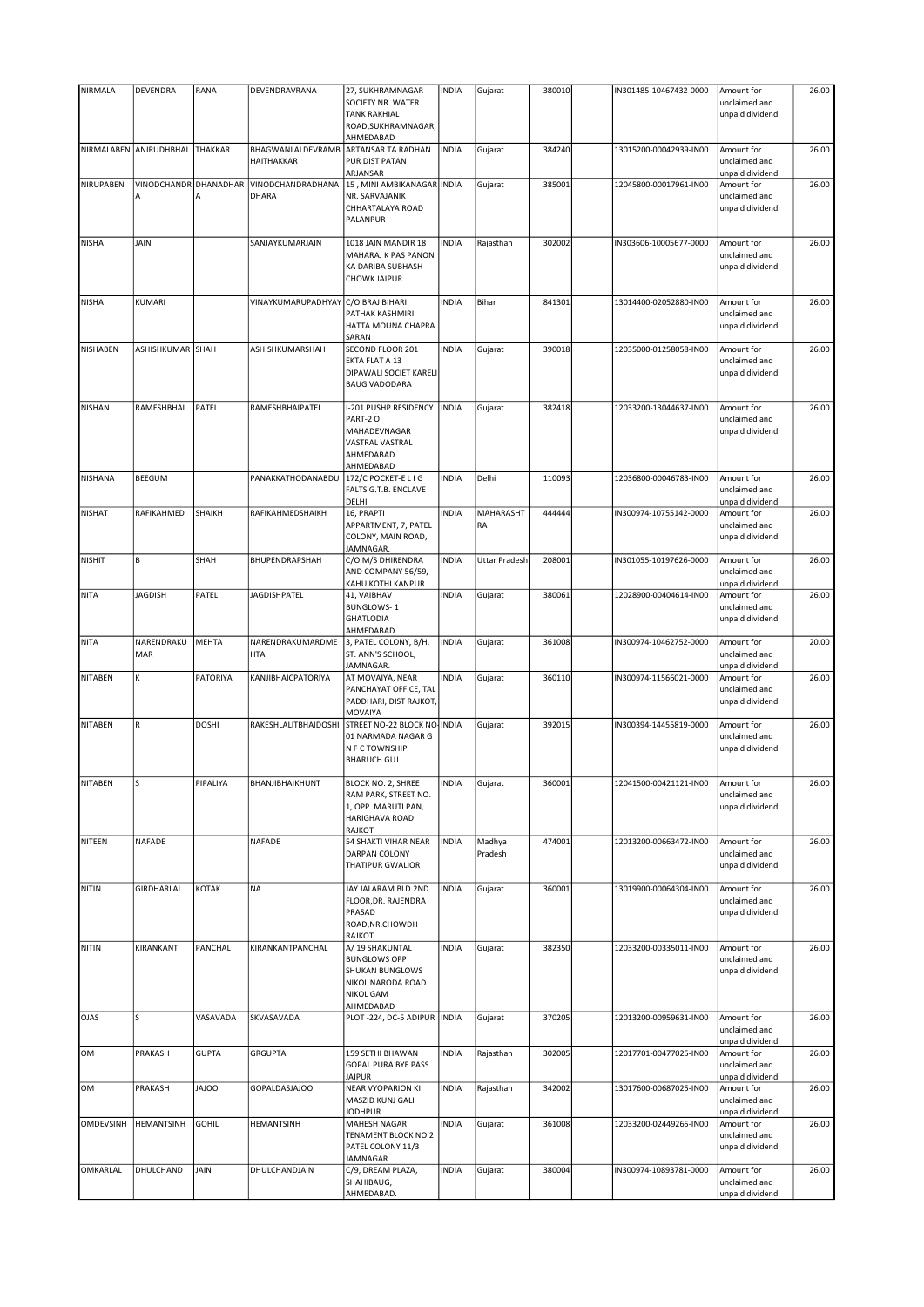| <b>NIRMALA</b> | DEVENDRA                   | RANA           | DEVENDRAVRANA                     | 27, SUKHRAMNAGAR<br>SOCIETY NR. WATER<br><b>TANK RAKHIAL</b><br>ROAD, SUKHRAMNAGAR,<br>AHMEDABAD         | <b>INDIA</b> | Gujarat           | 380010 | IN301485-10467432-0000 | Amount for<br>unclaimed and<br>unpaid dividend | 26.00 |
|----------------|----------------------------|----------------|-----------------------------------|----------------------------------------------------------------------------------------------------------|--------------|-------------------|--------|------------------------|------------------------------------------------|-------|
| NIRMALABEN     | ANIRUDHBHAI                | <b>THAKKAR</b> | BHAGWANLALDEVRAMB<br>HAITHAKKAR   | ARTANSAR TA RADHAN<br>PUR DIST PATAN<br>ARJANSAR                                                         | <b>INDIA</b> | Gujarat           | 384240 | 13015200-00042939-IN00 | Amount for<br>unclaimed and<br>unpaid dividend | 26.00 |
| NIRUPABEN      | VINODCHANDR DHANADHAR<br>Α | А              | <b>VINODCHANDRADHANA</b><br>DHARA | 15, MINI AMBIKANAGAR INDIA<br>NR. SARVAJANIK<br>CHHARTALAYA ROAD<br>PALANPUR                             |              | Gujarat           | 385001 | 12045800-00017961-IN00 | Amount for<br>unclaimed and<br>unpaid dividend | 26.00 |
| <b>NISHA</b>   | JAIN                       |                | SANJAYKUMARJAIN                   | 1018 JAIN MANDIR 18<br>MAHARAJ K PAS PANON<br>KA DARIBA SUBHASH<br><b>CHOWK JAIPUR</b>                   | <b>INDIA</b> | Rajasthan         | 302002 | IN303606-10005677-0000 | Amount for<br>unclaimed and<br>unpaid dividend | 26.00 |
| <b>NISHA</b>   | KUMARI                     |                | VINAYKUMARUPADHYAY                | C/O BRAJ BIHARI<br>PATHAK KASHMIRI<br>HATTA MOUNA CHAPRA<br>SARAN                                        | <b>INDIA</b> | Bihar             | 841301 | 13014400-02052880-IN00 | Amount for<br>unclaimed and<br>unpaid dividend | 26.00 |
| NISHABEN       | ASHISHKUMAR SHAH           |                | ASHISHKUMARSHAH                   | SECOND FLOOR 201<br>EKTA FLAT A 13<br>DIPAWALI SOCIET KARELI<br><b>BAUG VADODARA</b>                     | <b>INDIA</b> | Gujarat           | 390018 | 12035000-01258058-IN00 | Amount for<br>unclaimed and<br>unpaid dividend | 26.00 |
| <b>NISHAN</b>  | RAMESHBHAI                 | PATEL          | RAMESHBHAIPATEL                   | I-201 PUSHP RESIDENCY<br>PART-2 O<br>MAHADEVNAGAR<br>VASTRAL VASTRAL<br>AHMEDABAD<br>AHMEDABAD           | <b>INDIA</b> | Gujarat           | 382418 | 12033200-13044637-IN00 | Amount for<br>unclaimed and<br>unpaid dividend | 26.00 |
| <b>NISHANA</b> | BEEGUM                     |                | PANAKKATHODANABDU                 | 172/C POCKET-E L I G<br>FALTS G.T.B. ENCLAVE<br>DELHI                                                    | <b>INDIA</b> | Delhi             | 110093 | 12036800-00046783-IN00 | Amount for<br>unclaimed and<br>unpaid dividend | 26.00 |
| <b>NISHAT</b>  | RAFIKAHMED                 | SHAIKH         | RAFIKAHMEDSHAIKH                  | 16, PRAPTI<br>APPARTMENT, 7, PATEL<br>COLONY, MAIN ROAD,<br>JAMNAGAR.                                    | <b>INDIA</b> | MAHARASHT<br>RA   | 444444 | IN300974-10755142-0000 | Amount for<br>unclaimed and<br>unpaid dividend | 26.00 |
| <b>NISHIT</b>  | B                          | SHAH           | BHUPENDRAPSHAH                    | C/O M/S DHIRENDRA<br>AND COMPANY 56/59,<br>KAHU KOTHI KANPUR                                             | <b>INDIA</b> | Uttar Pradesh     | 208001 | IN301055-10197626-0000 | Amount for<br>unclaimed and<br>unpaid dividend | 26.00 |
| <b>NITA</b>    | <b>JAGDISH</b>             | PATEL          | <b>JAGDISHPATEL</b>               | 41, VAIBHAV<br><b>BUNGLOWS-1</b><br><b>GHATLODIA</b><br>AHMEDABAD                                        | <b>INDIA</b> | Gujarat           | 380061 | 12028900-00404614-IN00 | Amount for<br>unclaimed and<br>unpaid dividend | 26.00 |
| <b>NITA</b>    | NARENDRAKU<br>MAR          | <b>MEHTA</b>   | NARENDRAKUMARDME<br><b>HTA</b>    | 3, PATEL COLONY, B/H.<br>ST. ANN'S SCHOOL,<br>JAMNAGAR.                                                  | <b>INDIA</b> | Gujarat           | 361008 | IN300974-10462752-0000 | Amount for<br>unclaimed and<br>unpaid dividend | 20.00 |
| <b>NITABEN</b> | K                          | PATORIYA       | KANJIBHAICPATORIYA                | AT MOVAIYA, NEAR<br>PANCHAYAT OFFICE, TAL<br>PADDHARI, DIST RAJKOT,<br>MOVAIYA                           | <b>INDIA</b> | Gujarat           | 360110 | IN300974-11566021-0000 | Amount for<br>unclaimed and<br>unpaid dividend | 26.00 |
| <b>NITABEN</b> | $\mathsf R$                | <b>DOSHI</b>   | RAKESHLALITBHAIDOSHI              | STREET NO-22 BLOCK NO-INDIA<br>01 NARMADA NAGAR G<br>N F C TOWNSHIP<br><b>BHARUCH GUJ</b>                |              | Gujarat           | 392015 | IN300394-14455819-0000 | Amount for<br>unclaimed and<br>unpaid dividend | 26.00 |
| NITABEN        |                            | PIPALIYA       | BHANJIBHAIKHUNT                   | BLOCK NO. 2, SHREE<br>RAM PARK, STREET NO.<br>1, OPP. MARUTI PAN,<br>HARIGHAVA ROAD<br>RAJKOT            | INDIA        | Gujarat           | 360001 | 12041500-00421121-IN00 | Amount for<br>unclaimed and<br>unpaid dividend | 26.00 |
| NITEEN         | NAFADE                     |                | NAFADE                            | 54 SHAKTI VIHAR NEAR<br>DARPAN COLONY<br>THATIPUR GWALIOR                                                | <b>INDIA</b> | Madhya<br>Pradesh | 474001 | 12013200-00663472-IN00 | Amount for<br>unclaimed and<br>unpaid dividend | 26.00 |
| <b>NITIN</b>   | GIRDHARLAL                 | <b>KOTAK</b>   | <b>NA</b>                         | JAY JALARAM BLD.2ND<br>FLOOR, DR. RAJENDRA<br>PRASAD<br>ROAD, NR.CHOWDH<br>RAJKOT                        | <b>INDIA</b> | Gujarat           | 360001 | 13019900-00064304-IN00 | Amount for<br>unclaimed and<br>unpaid dividend | 26.00 |
| <b>NITIN</b>   | KIRANKANT                  | PANCHAL        | KIRANKANTPANCHAL                  | A/ 19 SHAKUNTAL<br><b>BUNGLOWS OPP</b><br>SHUKAN BUNGLOWS<br>NIKOL NARODA ROAD<br>NIKOL GAM<br>AHMEDABAD | <b>INDIA</b> | Gujarat           | 382350 | 12033200-00335011-IN00 | Amount for<br>unclaimed and<br>unpaid dividend | 26.00 |
| <b>OJAS</b>    | S                          | VASAVADA       | SKVASAVADA                        | PLOT-224, DC-5 ADIPUR  INDIA                                                                             |              | Gujarat           | 370205 | 12013200-00959631-IN00 | Amount for<br>unclaimed and<br>unpaid dividend | 26.00 |
| OM             | PRAKASH                    | <b>GUPTA</b>   | GRGUPTA                           | 159 SETHI BHAWAN<br><b>GOPAL PURA BYE PASS</b><br><b>JAIPUR</b>                                          | <b>INDIA</b> | Rajasthan         | 302005 | 12017701-00477025-IN00 | Amount for<br>unclaimed and<br>unpaid dividend | 26.00 |
| OM             | PRAKASH                    | <b>JAJOO</b>   | GOPALDASJAJOO                     | <b>NEAR VYOPARION KI</b><br>MASZID KUNJ GALI<br><b>JODHPUR</b>                                           | <b>INDIA</b> | Rajasthan         | 342002 | 13017600-00687025-IN00 | Amount for<br>unclaimed and<br>unpaid dividend | 26.00 |
| OMDEVSINH      | <b>HEMANTSINH</b>          | <b>GOHIL</b>   | HEMANTSINH                        | MAHESH NAGAR<br>TENAMENT BLOCK NO 2<br>PATEL COLONY 11/3<br><b>JAMNAGAR</b>                              | <b>INDIA</b> | Gujarat           | 361008 | 12033200-02449265-IN00 | Amount for<br>unclaimed and<br>unpaid dividend | 26.00 |
| OMKARLAL       | DHULCHAND                  | JAIN           | DHULCHANDJAIN                     | C/9, DREAM PLAZA,<br>SHAHIBAUG,<br>AHMEDABAD.                                                            | <b>INDIA</b> | Gujarat           | 380004 | IN300974-10893781-0000 | Amount for<br>unclaimed and<br>unpaid dividend | 26.00 |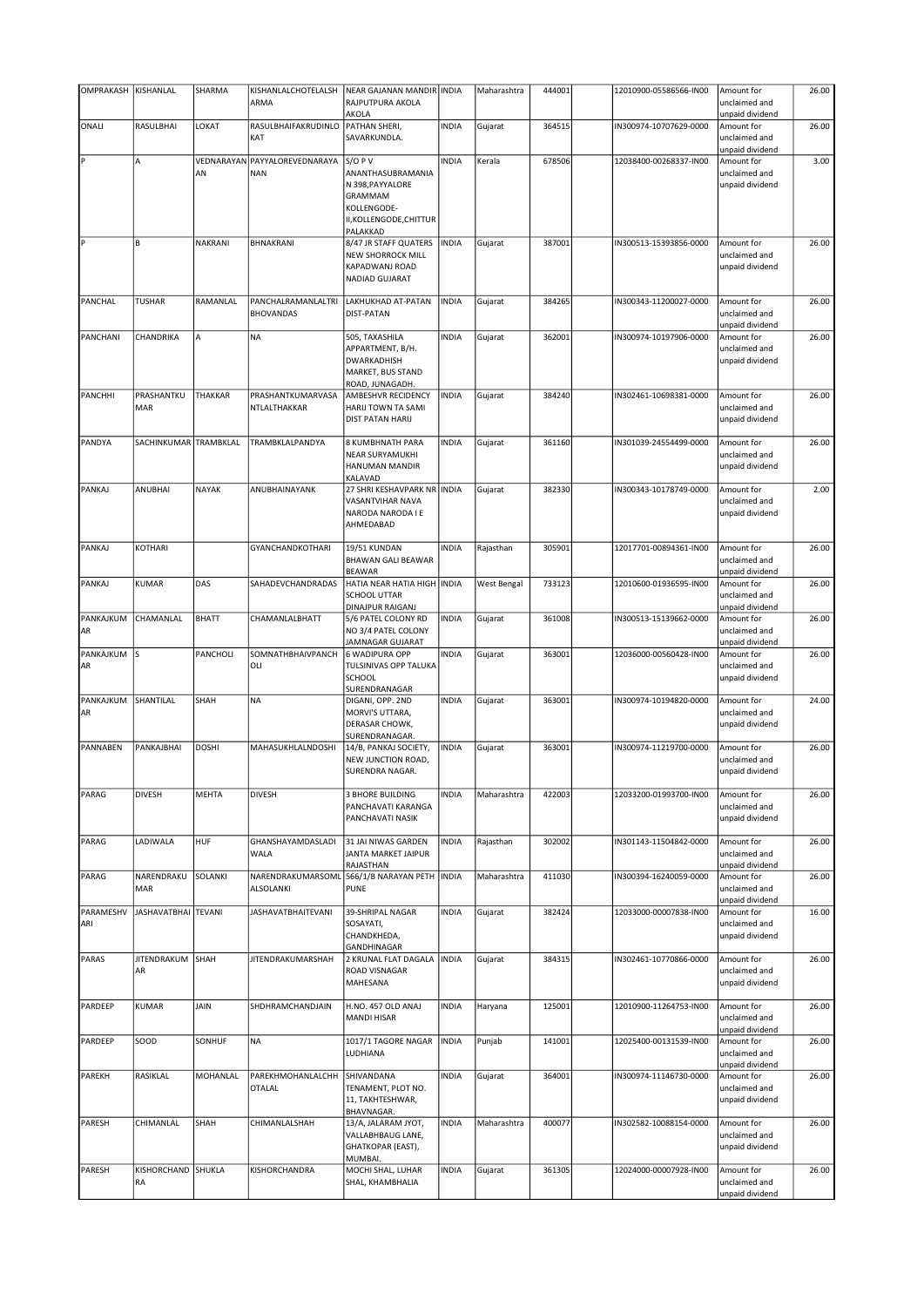| OMPRAKASH      | KISHANLAL             | SHARMA         | KISHANLALCHOTELALSH                         | <b>NEAR GAJANAN MANDIR INDIA</b>           |              | Maharashtra | 444001 | 12010900-05586566-IN00 | Amount for                       | 26.00 |
|----------------|-----------------------|----------------|---------------------------------------------|--------------------------------------------|--------------|-------------|--------|------------------------|----------------------------------|-------|
|                |                       |                | ARMA                                        | RAJPUTPURA AKOLA                           |              |             |        |                        | unclaimed and                    |       |
|                |                       |                |                                             | AKOLA                                      |              |             |        |                        | unpaid dividend                  |       |
| ONALI          | RASULBHAI             | LOKAT          | RASULBHAIFAKRUDINLO                         | PATHAN SHERI,                              | <b>INDIA</b> | Gujarat     | 364515 | IN300974-10707629-0000 | Amount for                       | 26.00 |
|                |                       |                | KAT                                         | SAVARKUNDLA.                               |              |             |        |                        | unclaimed and                    |       |
|                |                       |                |                                             |                                            |              |             |        |                        | unpaid dividend                  |       |
| P              | A                     | AN             | VEDNARAYAN PAYYALOREVEDNARAYA<br><b>NAN</b> | $S/O$ P V                                  | <b>INDIA</b> | Kerala      | 678506 | 12038400-00268337-IN00 | Amount for                       | 3.00  |
|                |                       |                |                                             | ANANTHASUBRAMANIA<br>N 398, PAYYALORE      |              |             |        |                        | unclaimed and<br>unpaid dividend |       |
|                |                       |                |                                             | GRAMMAM                                    |              |             |        |                        |                                  |       |
|                |                       |                |                                             | KOLLENGODE-                                |              |             |        |                        |                                  |       |
|                |                       |                |                                             | II, KOLLENGODE, CHITTUR                    |              |             |        |                        |                                  |       |
|                |                       |                |                                             | PALAKKAD                                   |              |             |        |                        |                                  |       |
| ∦P             | B                     | NAKRANI        | BHNAKRANI                                   | 8/47 JR STAFF QUATERS                      | <b>INDIA</b> | Gujarat     | 387001 | IN300513-15393856-0000 | Amount for                       | 26.00 |
|                |                       |                |                                             | <b>NEW SHORROCK MILL</b>                   |              |             |        |                        | unclaimed and                    |       |
|                |                       |                |                                             | KAPADWANJ ROAD                             |              |             |        |                        | unpaid dividend                  |       |
|                |                       |                |                                             | NADIAD GUJARAT                             |              |             |        |                        |                                  |       |
|                |                       |                |                                             |                                            |              |             |        |                        |                                  |       |
| PANCHAL        | <b>TUSHAR</b>         | RAMANLAL       | PANCHALRAMANLALTRI                          | LAKHUKHAD AT-PATAN                         | <b>INDIA</b> | Gujarat     | 384265 | IN300343-11200027-0000 | Amount for                       | 26.00 |
|                |                       |                | <b>BHOVANDAS</b>                            | <b>DIST-PATAN</b>                          |              |             |        |                        | unclaimed and                    |       |
|                |                       |                |                                             |                                            |              |             |        |                        | unpaid dividend                  |       |
| PANCHANI       | CHANDRIKA             | А              | <b>NA</b>                                   | 505, TAXASHILA                             | <b>INDIA</b> | Gujarat     | 362001 | IN300974-10197906-0000 | Amount for                       | 26.00 |
|                |                       |                |                                             | APPARTMENT, B/H.                           |              |             |        |                        | unclaimed and                    |       |
|                |                       |                |                                             | DWARKADHISH                                |              |             |        |                        | unpaid dividend                  |       |
|                |                       |                |                                             | MARKET, BUS STAND<br>ROAD, JUNAGADH.       |              |             |        |                        |                                  |       |
| <b>PANCHHI</b> | PRASHANTKU            | THAKKAR        | PRASHANTKUMARVASA                           | AMBESHVR RECIDENCY                         | <b>INDIA</b> | Gujarat     | 384240 | IN302461-10698381-0000 | Amount for                       | 26.00 |
|                | MAR                   |                | NTLALTHAKKAR                                | HARIJ TOWN TA SAMI                         |              |             |        |                        | unclaimed and                    |       |
|                |                       |                |                                             | <b>DIST PATAN HARIJ</b>                    |              |             |        |                        | unpaid dividend                  |       |
|                |                       |                |                                             |                                            |              |             |        |                        |                                  |       |
| PANDYA         | SACHINKUMAR TRAMBKLAL |                | TRAMBKLALPANDYA                             | <b>8 KUMBHNATH PARA</b>                    | <b>INDIA</b> | Gujarat     | 361160 | IN301039-24554499-0000 | Amount for                       | 26.00 |
|                |                       |                |                                             | NEAR SURYAMUKHI                            |              |             |        |                        | unclaimed and                    |       |
|                |                       |                |                                             | HANUMAN MANDIR                             |              |             |        |                        | unpaid dividend                  |       |
|                |                       |                |                                             | KALAVAD                                    |              |             |        |                        |                                  |       |
| PANKAJ         | ANUBHAI               | <b>NAYAK</b>   | ANUBHAINAYANK                               | 27 SHRI KESHAVPARK NR INDIA                |              | Gujarat     | 382330 | IN300343-10178749-0000 | Amount for                       | 2.00  |
|                |                       |                |                                             | VASANTVIHAR NAVA                           |              |             |        |                        | unclaimed and                    |       |
|                |                       |                |                                             | NARODA NARODA I E                          |              |             |        |                        | unpaid dividend                  |       |
|                |                       |                |                                             | AHMEDABAD                                  |              |             |        |                        |                                  |       |
|                |                       |                |                                             |                                            |              |             |        |                        |                                  |       |
| PANKAJ         | KOTHARI               |                | <b>GYANCHANDKOTHARI</b>                     | 19/51 KUNDAN                               | <b>INDIA</b> | Rajasthan   | 305901 | 12017701-00894361-IN00 | Amount for                       | 26.00 |
|                |                       |                |                                             | <b>BHAWAN GALI BEAWAR</b>                  |              |             |        |                        | unclaimed and                    |       |
|                |                       |                |                                             | <b>BEAWAR</b>                              |              |             |        |                        | unpaid dividend                  |       |
| PANKAJ         | KUMAR                 | DAS            | SAHADEVCHANDRADAS                           | HATIA NEAR HATIA HIGH   INDIA              |              | West Bengal | 733123 | 12010600-01936595-IN00 | Amount for                       | 26.00 |
|                |                       |                |                                             | <b>SCHOOL UTTAR</b>                        |              |             |        |                        | unclaimed and                    |       |
|                |                       |                |                                             | <b>DINAJPUR RAIGANJ</b>                    |              |             |        |                        | unpaid dividend                  |       |
| PANKAJKUM      | CHAMANLAL             | <b>BHATT</b>   | CHAMANLALBHATT                              | 5/6 PATEL COLONY RD<br>NO 3/4 PATEL COLONY | <b>INDIA</b> | Gujarat     | 361008 | IN300513-15139662-0000 | Amount for<br>unclaimed and      | 26.00 |
| AR             |                       |                |                                             | JAMNAGAR GUJARAT                           |              |             |        |                        | unpaid dividend                  |       |
| PANKAJKUM      | ls.                   | PANCHOLI       | SOMNATHBHAIVPANCH                           | 6 WADIPURA OPP                             | <b>INDIA</b> | Gujarat     | 363001 | 12036000-00560428-IN00 | Amount for                       | 26.00 |
| AR             |                       |                | OLI                                         | TULSINIVAS OPP TALUKA                      |              |             |        |                        | unclaimed and                    |       |
|                |                       |                |                                             | SCHOOL                                     |              |             |        |                        | unpaid dividend                  |       |
|                |                       |                |                                             | SURENDRANAGAR                              |              |             |        |                        |                                  |       |
| PANKAJKUM      | SHANTILAL             | SHAH           | <b>NA</b>                                   | DIGANI, OPP. 2ND                           | <b>INDIA</b> | Gujarat     | 363001 | IN300974-10194820-0000 | Amount for                       | 24.00 |
| AR             |                       |                |                                             | MORVI'S UTTARA,                            |              |             |        |                        | unclaimed and                    |       |
|                |                       |                |                                             | DERASAR CHOWK,                             |              |             |        |                        | unpaid dividend                  |       |
|                |                       |                |                                             | SURENDRANAGAR.                             |              |             |        |                        |                                  |       |
| PANNABEN       | PANKAJBHAI            | <b>DOSHI</b>   | MAHASUKHLALNDOSHI                           | 14/B, PANKAJ SOCIETY,                      | <b>INDIA</b> | Gujarat     | 363001 | IN300974-11219700-0000 | Amount for                       | 26.00 |
|                |                       |                |                                             | NEW JUNCTION ROAD,                         |              |             |        |                        | unclaimed and                    |       |
|                |                       |                |                                             | SURENDRA NAGAR.                            |              |             |        |                        | unpaid dividend                  |       |
|                |                       |                |                                             |                                            |              |             |        |                        |                                  |       |
| PARAG          | <b>DIVESH</b>         | MEHTA          | <b>DIVESH</b>                               | <b>3 BHORE BUILDING</b>                    | <b>INDIA</b> | Maharashtra | 422003 | 12033200-01993700-IN00 | Amount for                       | 26.00 |
|                |                       |                |                                             | PANCHAVATI KARANGA                         |              |             |        |                        | unclaimed and                    |       |
|                |                       |                |                                             | PANCHAVATI NASIK                           |              |             |        |                        | unpaid dividend                  |       |
|                |                       |                |                                             |                                            |              |             |        |                        |                                  |       |
| PARAG          | LADIWALA              | HUF            | GHANSHAYAMDASLADI                           | 31 JAI NIWAS GARDEN                        | <b>INDIA</b> | Rajasthan   | 302002 | IN301143-11504842-0000 | Amount for                       | 26.00 |
|                |                       |                | WALA                                        | JANTA MARKET JAIPUR                        |              |             |        |                        | unclaimed and                    |       |
|                |                       |                |                                             | RAJASTHAN                                  |              |             |        |                        | unpaid dividend                  |       |
| PARAG          | NARENDRAKU            | <b>SOLANKI</b> | NARENDRAKUMARSOML                           | 566/1/B NARAYAN PETH                       | <b>INDIA</b> | Maharashtra | 411030 | IN300394-16240059-0000 | Amount for                       | 26.00 |
|                | MAR                   |                | <b>ALSOLANKI</b>                            | <b>PUNE</b>                                |              |             |        |                        | unclaimed and                    |       |
|                |                       |                |                                             |                                            |              |             |        |                        | unpaid dividend                  |       |
| PARAMESHV      | JASHAVATBHAI TEVANI   |                | <b>JASHAVATBHAITEVANI</b>                   | 39-SHRIPAL NAGAR                           | <b>INDIA</b> | Gujarat     | 382424 | 12033000-00007838-IN00 | Amount for                       | 16.00 |
| ARI            |                       |                |                                             | SOSAYATI,<br>CHANDKHEDA,                   |              |             |        |                        | unclaimed and                    |       |
|                |                       |                |                                             | GANDHINAGAR                                |              |             |        |                        | unpaid dividend                  |       |
| PARAS          | jitendrakum Ishah     |                | JITENDRAKUMARSHAH                           | 2 KRUNAL FLAT DAGALA                       | <b>INDIA</b> | Gujarat     | 384315 | IN302461-10770866-0000 | Amount for                       | 26.00 |
|                | AR                    |                |                                             | ROAD VISNAGAR                              |              |             |        |                        | unclaimed and                    |       |
|                |                       |                |                                             | MAHESANA                                   |              |             |        |                        | unpaid dividend                  |       |
|                |                       |                |                                             |                                            |              |             |        |                        |                                  |       |
| PARDEEP        | KUMAR                 | JAIN           | SHDHRAMCHANDJAIN                            | H.NO. 457 OLD ANAJ                         | <b>INDIA</b> | Haryana     | 125001 | 12010900-11264753-IN00 | Amount for                       | 26.00 |
|                |                       |                |                                             | <b>MANDI HISAR</b>                         |              |             |        |                        | unclaimed and                    |       |
|                |                       |                |                                             |                                            |              |             |        |                        | unpaid dividend                  |       |
| PARDEEP        | SOOD                  | SONHUF         | <b>NA</b>                                   | 1017/1 TAGORE NAGAR                        | <b>INDIA</b> | Punjab      | 141001 | 12025400-00131539-IN00 | Amount for                       | 26.00 |
|                |                       |                |                                             | LUDHIANA                                   |              |             |        |                        | unclaimed and                    |       |
|                |                       |                |                                             |                                            |              |             |        |                        | unpaid dividend                  |       |
| <b>PAREKH</b>  | RASIKLAL              | MOHANLAL       | PAREKHMOHANLALCHH                           | SHIVANDANA                                 | <b>INDIA</b> | Gujarat     | 364001 | IN300974-11146730-0000 | Amount for                       | 26.00 |
|                |                       |                | <b>OTALAL</b>                               | TENAMENT, PLOT NO.                         |              |             |        |                        | unclaimed and                    |       |
|                |                       |                |                                             | 11, TAKHTESHWAR,                           |              |             |        |                        | unpaid dividend                  |       |
|                |                       |                |                                             | BHAVNAGAR.                                 |              |             |        |                        |                                  |       |
| PARESH         | CHIMANLAL             | SHAH           | CHIMANLALSHAH                               | 13/A, JALARAM JYOT,                        | <b>INDIA</b> | Maharashtra | 400077 | IN302582-10088154-0000 | Amount for                       | 26.00 |
|                |                       |                |                                             | VALLABHBAUG LANE,                          |              |             |        |                        | unclaimed and                    |       |
|                |                       |                |                                             | GHATKOPAR (EAST),<br>MUMBAI.               |              |             |        |                        | unpaid dividend                  |       |
| PARESH         | KISHORCHAND SHUKLA    |                | KISHORCHANDRA                               | MOCHI SHAL, LUHAR                          | <b>INDIA</b> | Gujarat     | 361305 | 12024000-00007928-IN00 | Amount for                       | 26.00 |
|                | RA                    |                |                                             | SHAL, KHAMBHALIA                           |              |             |        |                        | unclaimed and                    |       |
|                |                       |                |                                             |                                            |              |             |        |                        | unpaid dividend                  |       |
|                |                       |                |                                             |                                            |              |             |        |                        |                                  |       |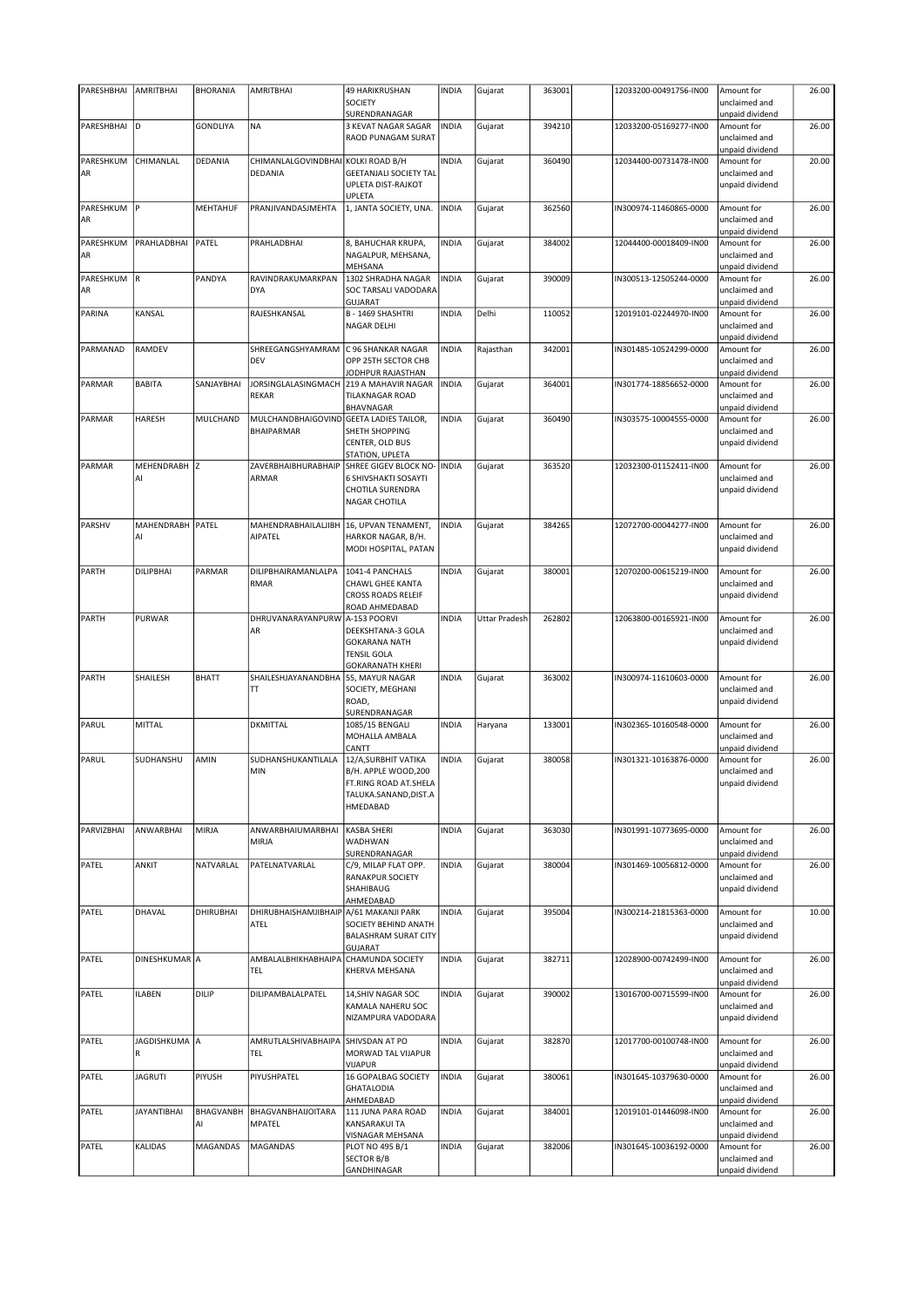| PARESHBHAI        | AMRITBHAI          | <b>BHORANIA</b> | <b>AMRITBHAI</b>                        | <b>49 HARIKRUSHAN</b>                                                                      | <b>INDIA</b> | Gujarat              | 363001 | 12033200-00491756-IN00 | Amount for                                     | 26.00 |
|-------------------|--------------------|-----------------|-----------------------------------------|--------------------------------------------------------------------------------------------|--------------|----------------------|--------|------------------------|------------------------------------------------|-------|
|                   |                    |                 |                                         | <b>SOCIETY</b>                                                                             |              |                      |        |                        | unclaimed and                                  |       |
|                   |                    |                 |                                         | SURENDRANAGAR                                                                              |              |                      |        |                        | unpaid dividend                                |       |
| PARESHBHAI        | ١D                 | GONDLIYA        | <b>NA</b>                               | 3 KEVAT NAGAR SAGAR<br>RAOD PUNAGAM SURAT                                                  | <b>INDIA</b> | Gujarat              | 394210 | 12033200-05169277-IN00 | Amount for<br>unclaimed and                    | 26.00 |
| PARESHKUM         | CHIMANLAL          | DEDANIA         | CHIMANLALGOVINDBHAI KOLKI ROAD B/H      |                                                                                            | <b>INDIA</b> | Gujarat              | 360490 | 12034400-00731478-IN00 | unpaid dividend<br>Amount for                  | 20.00 |
| AR                |                    |                 | <b>DEDANIA</b>                          | <b>GEETANJALI SOCIETY TAL</b><br>UPLETA DIST-RAJKOT                                        |              |                      |        |                        | unclaimed and<br>unpaid dividend               |       |
| PARESHKUM P       |                    | MEHTAHUF        | PRANJIVANDASJMEHTA                      | <b>UPLETA</b><br>1, JANTA SOCIETY, UNA.                                                    | <b>INDIA</b> | Gujarat              | 362560 | IN300974-11460865-0000 | Amount for                                     | 26.00 |
| AR                |                    |                 |                                         |                                                                                            |              |                      |        |                        | unclaimed and<br>unpaid dividend               |       |
| PARESHKUM         | PRAHLADBHAI        | PATEL           | PRAHLADBHAI                             | 8, BAHUCHAR KRUPA,                                                                         | <b>INDIA</b> | Gujarat              | 384002 | 12044400-00018409-IN00 | Amount for                                     | 26.00 |
| AR<br>PARESHKUM R |                    | PANDYA          | RAVINDRAKUMARKPAN                       | NAGALPUR, MEHSANA,<br>MEHSANA<br>1302 SHRADHA NAGAR                                        | <b>INDIA</b> |                      | 390009 | IN300513-12505244-0000 | unclaimed and<br>unpaid dividend               | 26.00 |
| AR                |                    |                 | <b>DYA</b>                              | SOC TARSALI VADODARA<br><b>GUJARAT</b>                                                     |              | Gujarat              |        |                        | Amount for<br>unclaimed and<br>unpaid dividend |       |
| PARINA            | KANSAL             |                 | RAJESHKANSAL                            | B - 1469 SHASHTRI<br>NAGAR DELHI                                                           | <b>INDIA</b> | Delhi                | 110052 | 12019101-02244970-IN00 | Amount for<br>unclaimed and<br>unpaid dividend | 26.00 |
| PARMANAD          | RAMDEV             |                 | SHREEGANGSHYAMRAM                       | C 96 SHANKAR NAGAR                                                                         | <b>INDIA</b> | Rajasthan            | 342001 | IN301485-10524299-0000 | Amount for                                     | 26.00 |
|                   | <b>BABITA</b>      | SANJAYBHAI      | DEV                                     | OPP 25TH SECTOR CHB<br>JODHPUR RAJASTHAN                                                   |              |                      |        | IN301774-18856652-0000 | unclaimed and<br>unpaid dividend<br>Amount for | 26.00 |
| PARMAR            |                    |                 | JORSINGLALASINGMACH<br><b>REKAR</b>     | 219 A MAHAVIR NAGAR<br><b>TILAKNAGAR ROAD</b><br>BHAVNAGAR                                 | <b>INDIA</b> | Gujarat              | 364001 |                        | unclaimed and<br>unpaid dividend               |       |
| PARMAR            | <b>HARESH</b>      | MULCHAND        | MULCHANDBHAIGOVIND GEETA LADIES TAILOR, |                                                                                            | <b>INDIA</b> | Gujarat              | 360490 | IN303575-10004555-0000 | Amount for                                     | 26.00 |
|                   |                    |                 | <b>BHAIPARMAR</b>                       | SHETH SHOPPING<br>CENTER, OLD BUS<br>STATION, UPLETA                                       |              |                      |        |                        | unclaimed and<br>unpaid dividend               |       |
| PARMAR            | MEHENDRABH Z       |                 | ZAVERBHAIBHURABHAIP                     | SHREE GIGEV BLOCK NO-                                                                      | <b>INDIA</b> | Gujarat              | 363520 | 12032300-01152411-IN00 | Amount for                                     | 26.00 |
|                   | AI                 |                 | ARMAR                                   | 6 SHIVSHAKTI SOSAYTI<br><b>CHOTILA SURENDRA</b><br>NAGAR CHOTILA                           |              |                      |        |                        | unclaimed and<br>unpaid dividend               |       |
| PARSHV            | MAHENDRABH   PATEL |                 | MAHENDRABHAILALJIBH                     | 16, UPVAN TENAMENT,                                                                        | <b>INDIA</b> | Gujarat              | 384265 | 12072700-00044277-IN00 | Amount for                                     | 26.00 |
|                   | Al                 |                 | AIPATEL                                 | HARKOR NAGAR, B/H.<br>MODI HOSPITAL, PATAN                                                 |              |                      |        |                        | unclaimed and<br>unpaid dividend               |       |
| PARTH             | DILIPBHAI          | PARMAR          | DILIPBHAIRAMANLALPA                     | 1041-4 PANCHALS                                                                            | <b>INDIA</b> | Gujarat              | 380001 | 12070200-00615219-IN00 | Amount for                                     | 26.00 |
|                   |                    |                 | RMAR                                    | CHAWL GHEE KANTA<br><b>CROSS ROADS RELEIF</b>                                              |              |                      |        |                        | unclaimed and<br>unpaid dividend               |       |
| PARTH             | PURWAR             |                 | DHRUVANARAYANPURW A-153 POORVI          | ROAD AHMEDABAD                                                                             | <b>INDIA</b> | <b>Uttar Pradesh</b> | 262802 | 12063800-00165921-IN00 | Amount for                                     | 26.00 |
|                   |                    |                 | AR                                      | DEEKSHTANA-3 GOLA<br><b>GOKARANA NATH</b><br><b>TENSIL GOLA</b><br><b>GOKARANATH KHERI</b> |              |                      |        |                        | unclaimed and<br>unpaid dividend               |       |
| PARTH             | SHAILESH           | <b>BHATT</b>    | SHAILESHJAYANANDBHA<br>TT               | 55, MAYUR NAGAR<br>SOCIETY, MEGHANI<br>ROAD,                                               | <b>INDIA</b> | Gujarat              | 363002 | IN300974-11610603-0000 | Amount for<br>unclaimed and<br>unpaid dividend | 26.00 |
|                   |                    |                 |                                         | SURENDRANAGAR                                                                              |              |                      |        |                        |                                                |       |
| PARUL             | MITTAL             |                 | <b>DKMITTAL</b>                         | 1085/15 BENGALI<br>MOHALLA AMBALA<br>CANTT                                                 | <b>INDIA</b> | Haryana              | 133001 | IN302365-10160548-0000 | Amount for<br>unclaimed and<br>unpaid dividend | 26.00 |
| PARUL             | SUDHANSHU          | AMIN            | SUDHANSHUKANTILALA                      | 12/A, SURBHIT VATIKA                                                                       | <b>INDIA</b> | Gujarat              | 380058 | IN301321-10163876-0000 | Amount for                                     | 26.00 |
|                   |                    |                 | MIN                                     | B/H. APPLE WOOD,200<br>FT.RING ROAD AT.SHELA<br>TALUKA.SANAND, DIST.A<br>HMEDABAD          |              |                      |        |                        | unclaimed and<br>unpaid dividend               |       |
| PARVIZBHAI        | ANWARBHAI          | MIRJA           | ANWARBHAIUMARBHAI<br>MIRJA              | <b>KASBA SHERI</b><br>WADHWAN                                                              | <b>INDIA</b> | Gujarat              | 363030 | IN301991-10773695-0000 | Amount for<br>unclaimed and                    | 26.00 |
| PATEL             | ANKIT              | NATVARLAL       | PATELNATVARLAL                          | SURENDRANAGAR<br>C/9, MILAP FLAT OPP.                                                      | <b>INDIA</b> | Gujarat              | 380004 | IN301469-10056812-0000 | unpaid dividend<br>Amount for                  | 26.00 |
|                   |                    |                 |                                         | <b>RANAKPUR SOCIETY</b><br>SHAHIBAUG                                                       |              |                      |        |                        | unclaimed and<br>unpaid dividend               |       |
| PATEL             | DHAVAL             | DHIRUBHAI       | DHIRUBHAISHAMJIBHAIP A/61 MAKANJI PARK  | AHMEDABAD                                                                                  | <b>INDIA</b> | Gujarat              | 395004 | IN300214-21815363-0000 | Amount for                                     | 10.00 |
|                   |                    |                 | ATEL                                    | SOCIETY BEHIND ANATH<br><b>BALASHRAM SURAT CITY</b>                                        |              |                      |        |                        | unclaimed and<br>unpaid dividend               |       |
| PATEL             | DINESHKUMAR A      |                 | AMBALALBHIKHABHAIPA                     | <b>GUJARAT</b><br><b>CHAMUNDA SOCIETY</b>                                                  | <b>INDIA</b> | Gujarat              | 382711 | 12028900-00742499-IN00 | Amount for                                     | 26.00 |
|                   |                    |                 | TEL                                     | KHERVA MEHSANA                                                                             |              |                      |        |                        | unclaimed and<br>unpaid dividend               |       |
| PATEL             | <b>ILABEN</b>      | DILIP           | DILIPAMBALALPATEL                       | 14, SHIV NAGAR SOC<br>KAMALA NAHERU SOC<br>NIZAMPURA VADODARA                              | <b>INDIA</b> | Gujarat              | 390002 | 13016700-00715599-IN00 | Amount for<br>unclaimed and<br>unpaid dividend | 26.00 |
| PATEL             | JAGDISHKUMA A<br>R |                 | AMRUTLALSHIVABHAIPA<br>TEL              | SHIVSDAN AT PO<br>MORWAD TAL VIJAPUR<br>VIJAPUR                                            | <b>INDIA</b> | Gujarat              | 382870 | 12017700-00100748-IN00 | Amount for<br>unclaimed and                    | 26.00 |
| PATEL             | <b>JAGRUTI</b>     | PIYUSH          | PIYUSHPATEL                             | <b>16 GOPALBAG SOCIETY</b>                                                                 | <b>INDIA</b> | Gujarat              | 380061 | IN301645-10379630-0000 | unpaid dividend<br>Amount for                  | 26.00 |
|                   |                    |                 |                                         | <b>GHATALODIA</b><br>AHMEDABAD                                                             |              |                      |        |                        | unclaimed and<br>unpaid dividend               |       |
| PATEL             | <b>JAYANTIBHAI</b> | BHAGVANBH<br>AI | BHAGVANBHAIJOITARA<br><b>MPATEL</b>     | 111 JUNA PARA ROAD<br><b>KANSARAKUI TA</b><br>VISNAGAR MEHSANA                             | <b>INDIA</b> | Gujarat              | 384001 | 12019101-01446098-IN00 | Amount for<br>unclaimed and<br>unpaid dividend | 26.00 |
| PATEL             | KALIDAS            | MAGANDAS        | MAGANDAS                                | PLOT NO 495 B/1                                                                            | <b>INDIA</b> | Gujarat              | 382006 | IN301645-10036192-0000 | Amount for                                     | 26.00 |
|                   |                    |                 |                                         | <b>SECTOR B/B</b>                                                                          |              |                      |        |                        | unclaimed and                                  |       |
|                   |                    |                 |                                         | GANDHINAGAR                                                                                |              |                      |        |                        | unpaid dividend                                |       |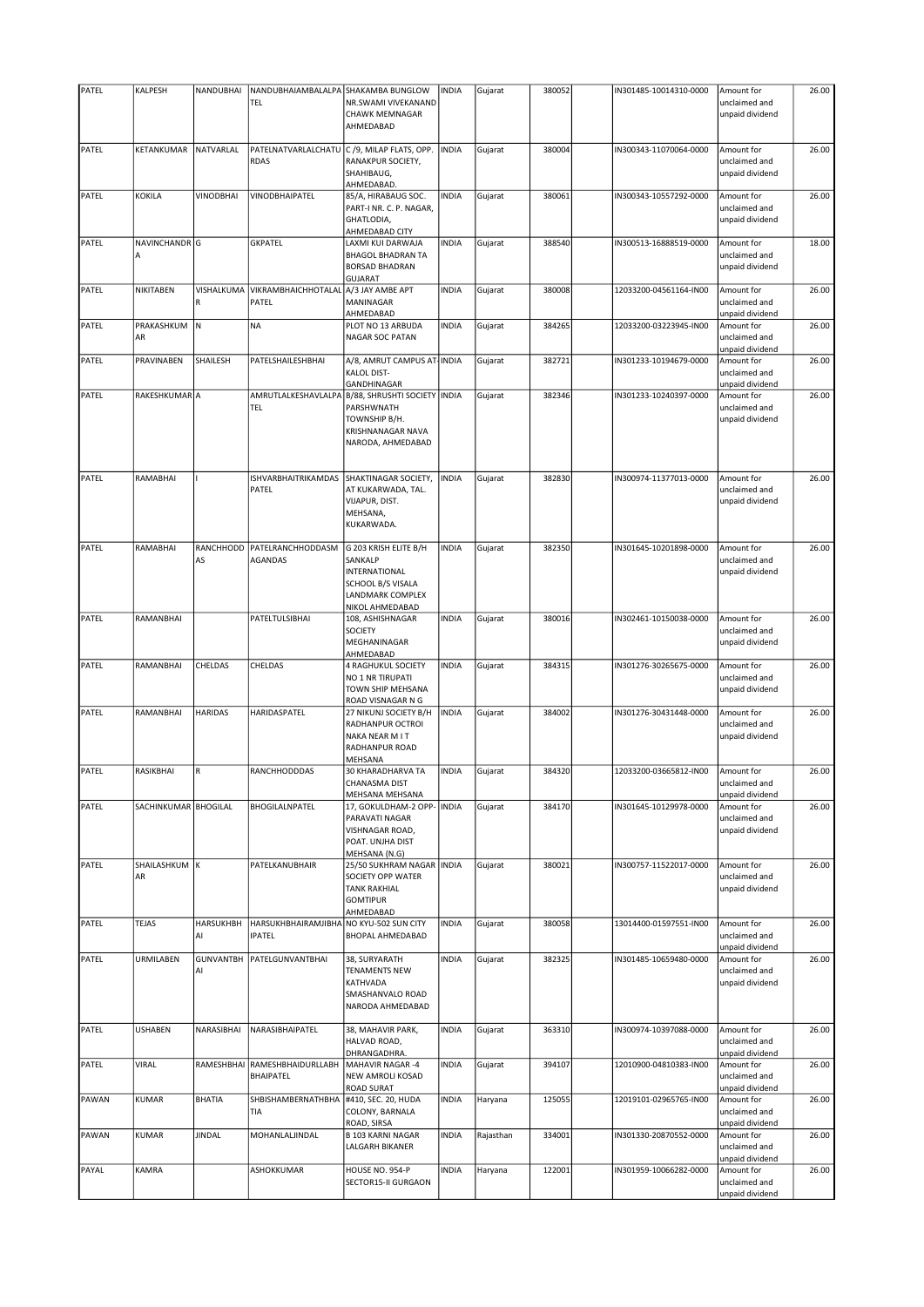| PATEL | KALPESH              | NANDUBHAI              | NANDUBHAIAMBALALPA                                         | SHAKAMBA BUNGLOW                                                                                              | <b>INDIA</b> | Gujarat   | 380052 | IN301485-10014310-0000 | Amount for                                     | 26.00 |
|-------|----------------------|------------------------|------------------------------------------------------------|---------------------------------------------------------------------------------------------------------------|--------------|-----------|--------|------------------------|------------------------------------------------|-------|
|       |                      |                        | TEL                                                        | NR.SWAMI VIVEKANAND<br>CHAWK MEMNAGAR<br>AHMEDABAD                                                            |              |           |        |                        | unclaimed and<br>unpaid dividend               |       |
|       |                      |                        |                                                            |                                                                                                               |              |           |        |                        |                                                |       |
| PATEL | KETANKUMAR           | NATVARLAL              | PATELNATVARLALCHATU C /9, MILAP FLATS, OPP.<br><b>RDAS</b> | RANAKPUR SOCIETY,<br>SHAHIBAUG,<br>AHMEDABAD                                                                  | <b>INDIA</b> | Gujarat   | 380004 | IN300343-11070064-0000 | Amount for<br>unclaimed and<br>unpaid dividend | 26.00 |
| PATEL | KOKILA               | VINODBHAI              | VINODBHAIPATEL                                             | 85/A, HIRABAUG SOC.<br>PART-I NR. C. P. NAGAR,<br>GHATLODIA,<br>AHMEDABAD CITY                                | <b>INDIA</b> | Gujarat   | 380061 | IN300343-10557292-0000 | Amount for<br>unclaimed and<br>unpaid dividend | 26.00 |
| PATEL | NAVINCHANDR G<br>A   |                        | <b>GKPATEL</b>                                             | LAXMI KUI DARWAJA<br>BHAGOL BHADRAN TA<br><b>BORSAD BHADRAN</b><br><b>GUJARAT</b>                             | <b>INDIA</b> | Gujarat   | 388540 | IN300513-16888519-0000 | Amount for<br>unclaimed and<br>unpaid dividend | 18.00 |
| PATEL | NIKITABEN            | VISHALKUMA<br>R        | <b>VIKRAMBHAICHHOTALAL</b><br>PATEL                        | A/3 JAY AMBE APT<br>MANINAGAR<br>AHMEDABAD                                                                    | <b>INDIA</b> | Gujarat   | 380008 | 12033200-04561164-IN00 | Amount for<br>unclaimed and<br>unpaid dividend | 26.00 |
| PATEL | PRAKASHKUM N<br>AR   |                        | <b>NA</b>                                                  | PLOT NO 13 ARBUDA<br>NAGAR SOC PATAN                                                                          | <b>INDIA</b> | Gujarat   | 384265 | 12033200-03223945-IN00 | Amount for<br>unclaimed and<br>unpaid dividend | 26.00 |
| PATEL | PRAVINABEN           | SHAILESH               | PATELSHAILESHBHAI                                          | A/8, AMRUT CAMPUS AT-INDIA<br><b>KALOL DIST-</b><br>GANDHINAGAR                                               |              | Gujarat   | 382721 | IN301233-10194679-0000 | Amount for<br>unclaimed and<br>unpaid dividend | 26.00 |
| PATEL | RAKESHKUMAR A        |                        | AMRUTLALKESHAVLALPA<br>TEL                                 | B/88, SHRUSHTI SOCIETY   INDIA<br>PARSHWNATH<br>TOWNSHIP B/H.<br>KRISHNANAGAR NAVA<br>NARODA, AHMEDABAD       |              | Gujarat   | 382346 | IN301233-10240397-0000 | Amount for<br>unclaimed and<br>unpaid dividend | 26.00 |
| PATEL | RAMABHAI             |                        | ISHVARBHAITRIKAMDAS<br>PATEL                               | SHAKTINAGAR SOCIETY,<br>AT KUKARWADA, TAL.<br>VIJAPUR, DIST.<br>MEHSANA,<br>KUKARWADA.                        | <b>INDIA</b> | Gujarat   | 382830 | IN300974-11377013-0000 | Amount for<br>unclaimed and<br>unpaid dividend | 26.00 |
| PATEL | RAMABHAI             | RANCHHODD<br>AS        | PATELRANCHHODDASM<br><b>AGANDAS</b>                        | G 203 KRISH ELITE B/H<br>SANKALP<br>INTERNATIONAL<br>SCHOOL B/S VISALA<br>LANDMARK COMPLEX<br>NIKOL AHMEDABAD | <b>INDIA</b> | Gujarat   | 382350 | IN301645-10201898-0000 | Amount for<br>unclaimed and<br>unpaid dividend | 26.00 |
| PATEL | RAMANBHAI            |                        | PATELTULSIBHAI                                             | 108, ASHISHNAGAR<br><b>SOCIETY</b><br>MEGHANINAGAR<br>AHMEDABAD                                               | <b>INDIA</b> | Gujarat   | 380016 | IN302461-10150038-0000 | Amount for<br>unclaimed and<br>unpaid dividend | 26.00 |
| PATEL | RAMANBHAI            | CHELDAS                | CHELDAS                                                    | 4 RAGHUKUL SOCIETY<br>NO 1 NR TIRUPATI<br>TOWN SHIP MEHSANA<br>ROAD VISNAGAR N G                              | <b>INDIA</b> | Gujarat   | 384315 | IN301276-30265675-0000 | Amount for<br>unclaimed and<br>unpaid dividend | 26.00 |
| PATEL | RAMANBHAI            | <b>HARIDAS</b>         | HARIDASPATEL                                               | 27 NIKUNJ SOCIETY B/H<br>RADHANPUR OCTROI<br>NAKA NEAR M I T<br>RADHANPUR ROAD<br>MEHSANA                     | <b>INDIA</b> | Gujarat   | 384002 | IN301276-30431448-0000 | Amount for<br>unclaimed and<br>unpaid dividend | 26.00 |
| PATEL | RASIKBHAI            | R                      | RANCHHODDDAS                                               | 30 KHARADHARVA TA<br>CHANASMA DIST<br>MEHSANA MEHSANA                                                         | <b>INDIA</b> | Gujarat   | 384320 | 12033200-03665812-IN00 | Amount for<br>unclaimed and<br>unpaid dividend | 26.00 |
| PATEL | SACHINKUMAR BHOGILAL |                        | BHOGILALNPATEL                                             | 17, GOKULDHAM-2 OPP-   INDIA<br>PARAVATI NAGAR<br>VISHNAGAR ROAD,<br>POAT. UNJHA DIST<br>MEHSANA (N.G)        |              | Gujarat   | 384170 | IN301645-10129978-0000 | Amount for<br>unclaimed and<br>unpaid dividend | 26.00 |
| PATEL | SHAILASHKUM K<br>AR  |                        | PATELKANUBHAIR                                             | 25/50 SUKHRAM NAGAR   INDIA<br>SOCIETY OPP WATER<br><b>TANK RAKHIAL</b><br><b>GOMTIPUR</b><br>AHMEDABAD       |              | Gujarat   | 380021 | IN300757-11522017-0000 | Amount for<br>unclaimed and<br>unpaid dividend | 26.00 |
| PATEL | TEJAS                | <b>HARSUKHBH</b><br>AI | HARSUKHBHAIRAMJIBHA<br><b>IPATEL</b>                       | NO KYU-502 SUN CITY<br>BHOPAL AHMEDABAD                                                                       | <b>INDIA</b> | Gujarat   | 380058 | 13014400-01597551-IN00 | Amount for<br>unclaimed and<br>unpaid dividend | 26.00 |
| PATEL | URMILABEN            | <b>GUNVANTBH</b><br>AI | PATELGUNVANTBHAI                                           | 38, SURYARATH<br><b>TENAMENTS NEW</b><br>KATHVADA<br>SMASHANVALO ROAD<br>NARODA AHMEDABAD                     | <b>INDIA</b> | Gujarat   | 382325 | IN301485-10659480-0000 | Amount for<br>unclaimed and<br>unpaid dividend | 26.00 |
| PATEL | <b>USHABEN</b>       | NARASIBHAI             | NARASIBHAIPATEL                                            | 38, MAHAVIR PARK,<br>HALVAD ROAD,<br>DHRANGADHRA.                                                             | <b>INDIA</b> | Gujarat   | 363310 | IN300974-10397088-0000 | Amount for<br>unclaimed and<br>unpaid dividend | 26.00 |
| PATEL | VIRAL                | RAMESHBHAI             | RAMESHBHAIDURLLABH<br>BHAIPATEL                            | MAHAVIR NAGAR-4<br>NEW AMROLI KOSAD<br>ROAD SURAT                                                             | <b>INDIA</b> | Gujarat   | 394107 | 12010900-04810383-IN00 | Amount for<br>unclaimed and<br>unpaid dividend | 26.00 |
| PAWAN | KUMAR                | <b>BHATIA</b>          | SHBISHAMBERNATHBHA<br>TIA                                  | #410, SEC. 20, HUDA<br>COLONY, BARNALA<br>ROAD, SIRSA                                                         | <b>INDIA</b> | Haryana   | 125055 | 12019101-02965765-IN00 | Amount for<br>unclaimed and<br>unpaid dividend | 26.00 |
| PAWAN | KUMAR                | <b>JINDAL</b>          | MOHANLALJINDAL                                             | <b>B 103 KARNI NAGAR</b><br>LALGARH BIKANER                                                                   | <b>INDIA</b> | Rajasthan | 334001 | IN301330-20870552-0000 | Amount for<br>unclaimed and<br>unpaid dividend | 26.00 |
| PAYAL | KAMRA                |                        | ASHOKKUMAR                                                 | HOUSE NO. 954-P<br>SECTOR15-II GURGAON                                                                        | <b>INDIA</b> | Haryana   | 122001 | IN301959-10066282-0000 | Amount for<br>unclaimed and<br>unpaid dividend | 26.00 |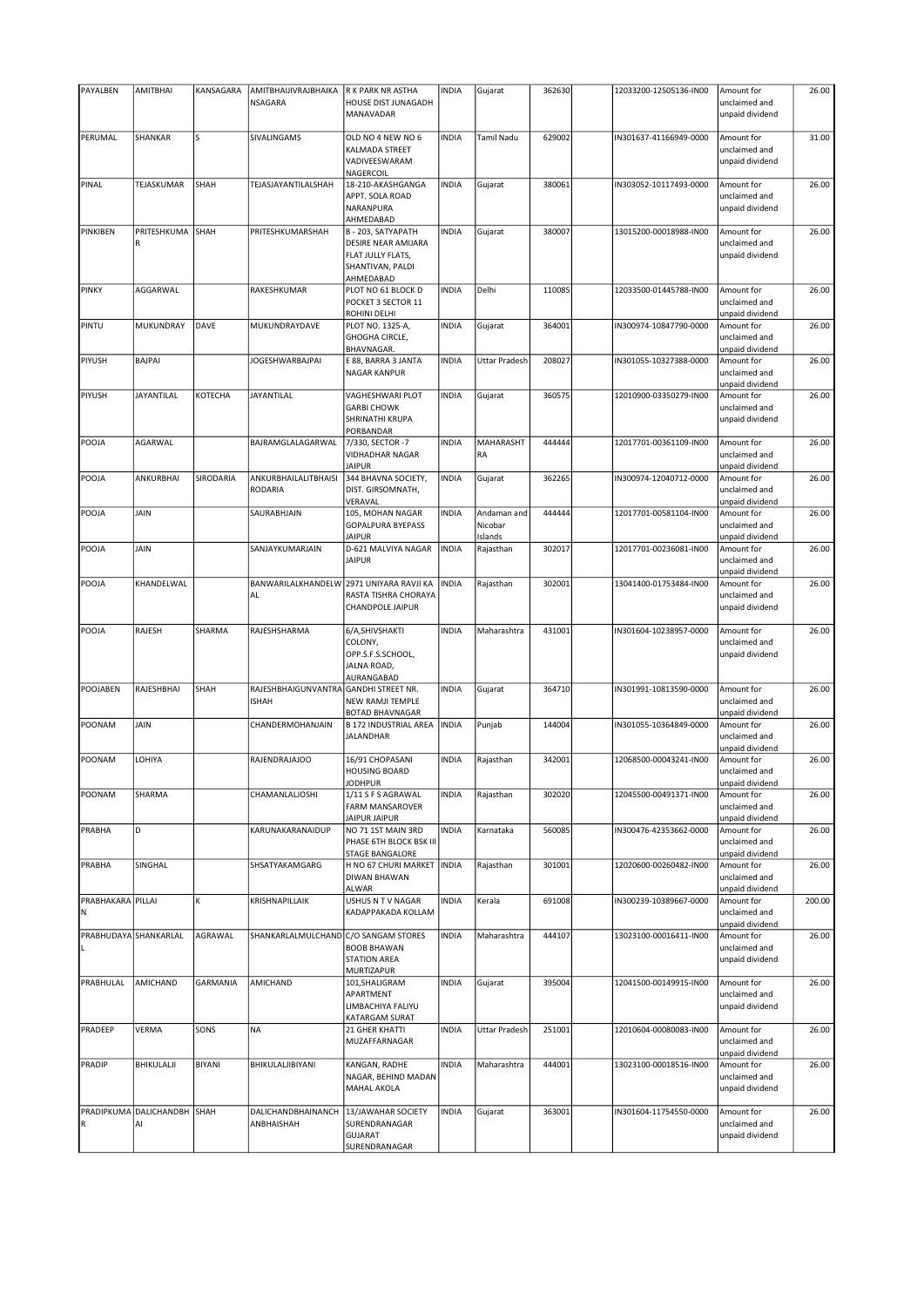| PAYALBEN          | <b>AMITBHAI</b>                   | KANSAGARA       | AMITBHAIJIVRAJBHAIKA                   | R K PARK NR ASTHA                                                                               | <b>INDIA</b> | Gujarat                           | 362630 | 12033200-12505136-IN00 | Amount for                                     | 26.00  |
|-------------------|-----------------------------------|-----------------|----------------------------------------|-------------------------------------------------------------------------------------------------|--------------|-----------------------------------|--------|------------------------|------------------------------------------------|--------|
|                   |                                   |                 | <b>NSAGARA</b>                         | HOUSE DIST JUNAGADH<br>MANAVADAR                                                                |              |                                   |        |                        | unclaimed and<br>unpaid dividend               |        |
|                   |                                   |                 |                                        |                                                                                                 |              |                                   |        |                        |                                                |        |
| PERUMAL           | SHANKAR                           | S               | SIVALINGAMS                            | OLD NO 4 NEW NO 6<br><b>KALMADA STREET</b><br>VADIVEESWARAM<br>NAGERCOIL                        | <b>INDIA</b> | Tamil Nadu                        | 629002 | IN301637-41166949-0000 | Amount for<br>unclaimed and<br>unpaid dividend | 31.00  |
| PINAL             | TEJASKUMAR                        | SHAH            | TEJASJAYANTILALSHAH                    | 18-210-AKASHGANGA                                                                               | <b>INDIA</b> | Gujarat                           | 380061 | IN303052-10117493-0000 | Amount for                                     | 26.00  |
|                   |                                   |                 |                                        | APPT. SOLA ROAD<br>NARANPURA<br>AHMEDABAD                                                       |              |                                   |        |                        | unclaimed and<br>unpaid dividend               |        |
| PINKIBEN          | PRITESHKUMA<br>R                  | SHAH            | PRITESHKUMARSHAH                       | B - 203, SATYAPATH<br>DESIRE NEAR AMIJARA<br>FLAT JULLY FLATS,<br>SHANTIVAN, PALDI<br>AHMEDABAD | <b>INDIA</b> | Gujarat                           | 380007 | 13015200-00018988-IN00 | Amount for<br>unclaimed and<br>unpaid dividend | 26.00  |
| <b>PINKY</b>      | AGGARWAL                          |                 | RAKESHKUMAR                            | PLOT NO 61 BLOCK D<br>POCKET 3 SECTOR 11<br>ROHINI DELHI                                        | <b>INDIA</b> | Delhi                             | 110085 | 12033500-01445788-IN00 | Amount for<br>unclaimed and<br>unpaid dividend | 26.00  |
| PINTU             | MUKUNDRAY                         | DAVE            | MUKUNDRAYDAVE                          | PLOT NO. 1325-A,<br>GHOGHA CIRCLE,<br>BHAVNAGAR.                                                | <b>INDIA</b> | Gujarat                           | 364001 | IN300974-10847790-0000 | Amount for<br>unclaimed and<br>unpaid dividend | 26.00  |
| PIYUSH            | <b>BAJPAI</b>                     |                 | <b>JOGESHWARBAJPAI</b>                 | E 88, BARRA 3 JANTA<br>NAGAR KANPUR                                                             | <b>INDIA</b> | Uttar Pradesh                     | 208027 | IN301055-10327388-0000 | Amount for<br>unclaimed and<br>unpaid dividend | 26.00  |
| PIYUSH            | <b>JAYANTILAL</b>                 | KOTECHA         | <b>JAYANTILAL</b>                      | <b>VAGHESHWARI PLOT</b><br><b>GARBI CHOWK</b><br>SHRINATHI KRUPA<br>PORBANDAR                   | <b>INDIA</b> | Gujarat                           | 360575 | 12010900-03350279-IN00 | Amount for<br>unclaimed and<br>unpaid dividend | 26.00  |
| POOJA             | AGARWAL                           |                 | BAJRAMGLALAGARWAL                      | 7/330, SECTOR -7<br>VIDHADHAR NAGAR<br><b>JAIPUR</b>                                            | <b>INDIA</b> | <b>MAHARASHT</b><br>RA            | 444444 | 12017701-00361109-IN00 | Amount for<br>unclaimed and<br>unpaid dividend | 26.00  |
| POOJA             | <b>ANKURBHAI</b>                  | SIRODARIA       | ANKURBHAILALITBHAISI<br><b>RODARIA</b> | 344 BHAVNA SOCIETY,<br>DIST. GIRSOMNATH,<br>VERAVAL                                             | <b>INDIA</b> | Gujarat                           | 362265 | IN300974-12040712-0000 | Amount for<br>unclaimed and<br>unpaid dividend | 26.00  |
| POOJA             | JAIN                              |                 | SAURABHJAIN                            | 105, MOHAN NAGAR<br>GOPALPURA BYEPASS<br><b>JAIPUR</b>                                          | <b>INDIA</b> | Andaman and<br>Nicobar<br>Islands | 444444 | 12017701-00581104-IN00 | Amount for<br>unclaimed and<br>unpaid dividend | 26.00  |
| POOJA             | JAIN                              |                 | SANJAYKUMARJAIN                        | D-621 MALVIYA NAGAR<br><b>JAIPUR</b>                                                            | <b>INDIA</b> | Rajasthan                         | 302017 | 12017701-00236081-IN00 | Amount for<br>unclaimed and<br>unpaid dividend | 26.00  |
| POOJA             | KHANDELWAL                        |                 | BANWARILALKHANDELW<br>AL               | 2971 UNIYARA RAVJI KA<br>RASTA TISHRA CHORAYA<br>CHANDPOLE JAIPUR                               | <b>INDIA</b> | Rajasthan                         | 302001 | 13041400-01753484-IN00 | Amount for<br>unclaimed and<br>unpaid dividend | 26.00  |
| POOJA             | RAJESH                            | SHARMA          | RAJESHSHARMA                           | 6/A, SHIVSHAKTI<br>COLONY,<br>OPP.S.F.S.SCHOOL,<br>JALNA ROAD,                                  | <b>INDIA</b> | Maharashtra                       | 431001 | IN301604-10238957-0000 | Amount for<br>unclaimed and<br>unpaid dividend | 26.00  |
| POOJABEN          | <b>RAJESHBHAI</b>                 | SHAH            | RAJESHBHAIGUNVANTRA<br><b>ISHAH</b>    | AURANGABAD<br><b>GANDHI STREET NR.</b><br>NEW RAMJI TEMPLE                                      | <b>INDIA</b> | Gujarat                           | 364710 | IN301991-10813590-0000 | Amount for<br>unclaimed and                    | 26.00  |
| POONAM            | JAIN                              |                 | CHANDERMOHANJAIN                       | BOTAD BHAVNAGAR<br><b>B 172 INDUSTRIAL AREA</b><br>JALANDHAR                                    | <b>INDIA</b> | Punjab                            | 144004 | IN301055-10364849-0000 | unpaid dividend<br>Amount for<br>unclaimed and | 26.00  |
| POONAM            | LOHIYA                            |                 | RAJENDRAJAJOO                          | 16/91 CHOPASANI<br><b>HOUSING BOARD</b>                                                         | <b>INDIA</b> | Rajasthan                         | 342001 | 12068500-00043241-IN00 | unpaid dividend<br>Amount for<br>unclaimed and | 26.00  |
| POONAM            | SHARMA                            |                 | CHAMANLALJOSHI                         | <b>JODHPUR</b><br>1/11 S F S AGRAWAL                                                            | <b>INDIA</b> | Rajasthan                         | 302020 | 12045500-00491371-IN00 | unpaid dividend<br>Amount for                  | 26.00  |
| PRABHA            | D                                 |                 | KARUNAKARANAIDUP                       | FARM MANSAROVER<br><b>JAIPUR JAIPUR</b><br>NO 71 1ST MAIN 3RD                                   | <b>INDIA</b> | Karnataka                         | 560085 | IN300476-42353662-0000 | unclaimed and<br>unpaid dividend<br>Amount for | 26.00  |
| PRABHA            | SINGHAL                           |                 | SHSATYAKAMGARG                         | PHASE 6TH BLOCK BSK III<br><b>STAGE BANGALORE</b><br>H NO 67 CHURI MARKET                       | <b>INDIA</b> | Rajasthan                         | 301001 | 12020600-00260482-IN00 | unclaimed and<br>unpaid dividend<br>Amount for | 26.00  |
| PRABHAKARA PILLAI |                                   | K               | KRISHNAPILLAIK                         | <b>DIWAN BHAWAN</b><br>ALWAR<br>USHUS N T V NAGAR                                               | <b>INDIA</b> | Kerala                            | 691008 | IN300239-10389667-0000 | unclaimed and<br>unpaid dividend<br>Amount for | 200.00 |
| N                 |                                   |                 |                                        | KADAPPAKADA KOLLAM                                                                              |              |                                   |        |                        | unclaimed and<br>unpaid dividend               |        |
|                   | PRABHUDAYA SHANKARLAL             | AGRAWAL         | SHANKARLALMULCHAND                     | C/O SANGAM STORES<br><b>BOOB BHAWAN</b><br><b>STATION AREA</b><br>MURTIZAPUR                    | <b>INDIA</b> | Maharashtra                       | 444107 | 13023100-00016411-IN00 | Amount for<br>unclaimed and<br>unpaid dividend | 26.00  |
| PRABHULAL         | AMICHAND                          | <b>GARMANIA</b> | AMICHAND                               | 101, SHALIGRAM<br>APARTMENT<br>LIMBACHIYA FALIYU<br>KATARGAM SURAT                              | <b>INDIA</b> | Gujarat                           | 395004 | 12041500-00149915-IN00 | Amount for<br>unclaimed and<br>unpaid dividend | 26.00  |
| PRADEEP           | VERMA                             | SONS            | <b>NA</b>                              | 21 GHER KHATTI<br>MUZAFFARNAGAR                                                                 | <b>INDIA</b> | <b>Uttar Pradesh</b>              | 251001 | 12010604-00080083-IN00 | Amount for<br>unclaimed and<br>unpaid dividend | 26.00  |
| PRADIP            | BHIKULALJI                        | <b>BIYANI</b>   | BHIKULALJIBIYANI                       | KANGAN, RADHE<br>NAGAR, BEHIND MADAN<br><b>MAHAL AKOLA</b>                                      | <b>INDIA</b> | Maharashtra                       | 444001 | 13023100-00018516-IN00 | Amount for<br>unclaimed and<br>unpaid dividend | 26.00  |
|                   | PRADIPKUMA DALICHANDBH SHAH<br>Al |                 | DALICHANDBHAINANCH<br>ANBHAISHAH       | 13/JAWAHAR SOCIETY<br>SURENDRANAGAR<br><b>GUJARAT</b><br>SURENDRANAGAR                          | <b>INDIA</b> | Gujarat                           | 363001 | IN301604-11754550-0000 | Amount for<br>unclaimed and<br>unpaid dividend | 26.00  |
|                   |                                   |                 |                                        |                                                                                                 |              |                                   |        |                        |                                                |        |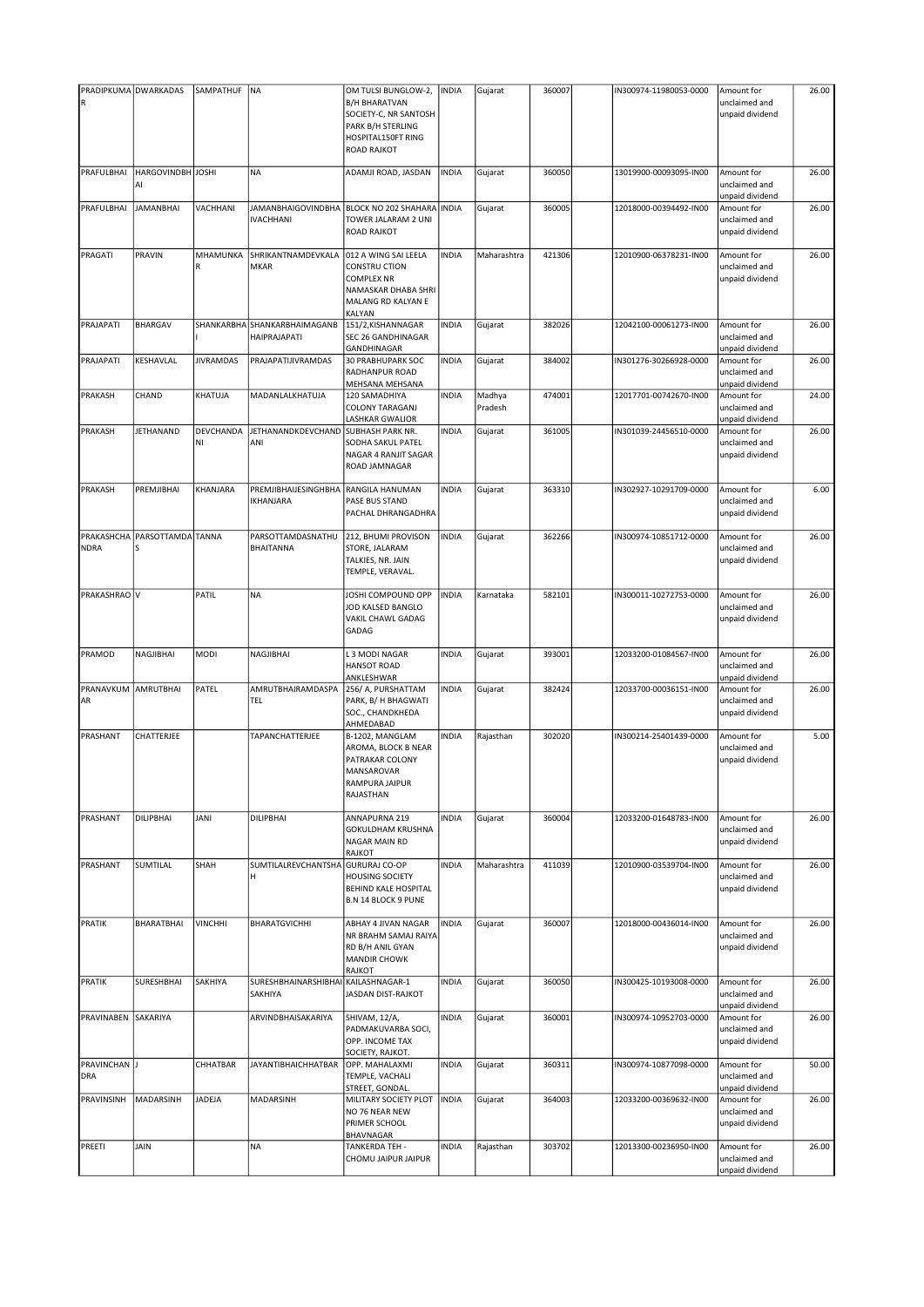| PRADIPKUMA DWARKADAS       |                         | SAMPATHUF        | NA                                            | OM TULSI BUNGLOW-2,                                                                                                      | INDIA        | Gujarat           | 360007 | IN300974-11980053-0000 | Amount for                                     | 26.00 |
|----------------------------|-------------------------|------------------|-----------------------------------------------|--------------------------------------------------------------------------------------------------------------------------|--------------|-------------------|--------|------------------------|------------------------------------------------|-------|
| ${\sf R}$                  |                         |                  |                                               | <b>B/H BHARATVAN</b><br>SOCIETY-C, NR SANTOSH<br>PARK B/H STERLING<br>HOSPITAL150FT RING<br><b>ROAD RAJKOT</b>           |              |                   |        |                        | unclaimed and<br>unpaid dividend               |       |
| PRAFULBHAI                 | HARGOVINDBH JOSHI<br>Al |                  | <b>NA</b>                                     | ADAMJI ROAD, JASDAN                                                                                                      | <b>INDIA</b> | Gujarat           | 360050 | 13019900-00093095-IN00 | Amount for<br>unclaimed and<br>unpaid dividend | 26.00 |
| PRAFULBHAI                 | <b>JAMANBHAI</b>        | VACHHANI         | <b>JAMANBHAIGOVINDBHA</b><br><b>IVACHHANI</b> | BLOCK NO 202 SHAHARA<br>TOWER JALARAM 2 UNI<br><b>ROAD RAJKOT</b>                                                        | <b>INDIA</b> | Gujarat           | 360005 | 12018000-00394492-IN00 | Amount for<br>unclaimed and<br>unpaid dividend | 26.00 |
| PRAGATI                    | PRAVIN                  | MHAMUNKA<br>R    | SHRIKANTNAMDEVKALA<br><b>MKAR</b>             | 012 A WING SAI LEELA<br><b>CONSTRU CTION</b><br><b>COMPLEX NR</b><br>NAMASKAR DHABA SHRI<br>MALANG RD KALYAN E<br>KALYAN | <b>INDIA</b> | Maharashtra       | 421306 | 12010900-06378231-IN00 | Amount for<br>unclaimed and<br>unpaid dividend | 26.00 |
| PRAJAPATI                  | <b>BHARGAV</b>          |                  | SHANKARBHA SHANKARBHAIMAGANB<br>HAIPRAJAPATI  | 151/2, KISHANNAGAR<br>SEC 26 GANDHINAGAR<br>GANDHINAGAR                                                                  | <b>INDIA</b> | Gujarat           | 382026 | 12042100-00061273-IN00 | Amount for<br>unclaimed and<br>unpaid dividend | 26.00 |
| PRAJAPATI                  | KESHAVLAL               | <b>JIVRAMDAS</b> | PRAJAPATIJIVRAMDAS                            | <b>30 PRABHUPARK SOC</b><br>RADHANPUR ROAD<br>MEHSANA MEHSANA                                                            | INDIA        | Gujarat           | 384002 | IN301276-30266928-0000 | Amount for<br>unclaimed and<br>unpaid dividend | 26.00 |
| <b>PRAKASH</b>             | CHAND                   | KHATUJA          | MADANLALKHATUJA                               | 120 SAMADHIYA<br><b>COLONY TARAGANJ</b><br>LASHKAR GWALIOR                                                               | <b>INDIA</b> | Madhya<br>Pradesh | 474001 | 12017701-00742670-IN00 | Amount for<br>unclaimed and<br>unpaid dividend | 24.00 |
| <b>PRAKASH</b>             | <b>JETHANAND</b>        | DEVCHANDA<br>NI  | JETHANANDKDEVCHAND<br>ANI                     | SUBHASH PARK NR.<br>SODHA SAKUL PATEL<br>NAGAR 4 RANJIT SAGAR<br>ROAD JAMNAGAR                                           | <b>INDIA</b> | Gujarat           | 361005 | IN301039-24456510-0000 | Amount for<br>unclaimed and<br>unpaid dividend | 26.00 |
| PRAKASH                    | PREMJIBHAI              | KHANJARA         | <b>PREMJIBHAIJESINGHBHA</b><br>IKHANJARA      | RANGILA HANUMAN<br><b>PASE BUS STAND</b><br>PACHAL DHRANGADHRA                                                           | <b>INDIA</b> | Gujarat           | 363310 | IN302927-10291709-0000 | Amount for<br>unclaimed and<br>unpaid dividend | 6.00  |
| PRAKASHCHA<br><b>NDRA</b>  | PARSOTTAMDA TANNA<br>S  |                  | PARSOTTAMDASNATHU<br><b>BHAITANNA</b>         | 212, BHUMI PROVISON<br>STORE, JALARAM<br>TALKIES, NR. JAIN<br>TEMPLE, VERAVAL.                                           | <b>INDIA</b> | Gujarat           | 362266 | IN300974-10851712-0000 | Amount for<br>unclaimed and<br>unpaid dividend | 26.00 |
| PRAKASHRAO V               |                         | PATIL            | <b>NA</b>                                     | JOSHI COMPOUND OPP<br>JOD KALSED BANGLO<br>VAKIL CHAWL GADAG<br>GADAG                                                    | INDIA        | Karnataka         | 582101 | IN300011-10272753-0000 | Amount for<br>unclaimed and<br>unpaid dividend | 26.00 |
| PRAMOD                     | NAGJIBHAI               | MODI             | NAGJIBHAI                                     | L 3 MODI NAGAR<br><b>HANSOT ROAD</b><br>ANKLESHWAR                                                                       | <b>INDIA</b> | Gujarat           | 393001 | 12033200-01084567-IN00 | Amount for<br>unclaimed and<br>unpaid dividend | 26.00 |
| PRANAVKUM AMRUTBHAI<br>AR  |                         | PATEL            | AMRUTBHAIRAMDASPA<br><b>TEL</b>               | 256/ A, PURSHATTAM<br>PARK, B/H BHAGWATI<br>SOC., CHANDKHEDA<br>AHMEDABAD                                                | INDIA        | Gujarat           | 382424 | 12033700-00036151-IN00 | Amount for<br>unclaimed and<br>unpaid dividend | 26.00 |
| PRASHANT                   | CHATTERJEE              |                  | TAPANCHATTERJEE                               | B-1202, MANGLAM<br>AROMA, BLOCK B NEAR<br>PATRAKAR COLONY<br>MANSAROVAR<br>RAMPURA JAIPUR<br>RAJASTHAN                   | INDIA        | Rajasthan         | 302020 | IN300214-25401439-0000 | Amount for<br>unclaimed and<br>unpaid dividend | 5.00  |
| PRASHANT                   | <b>DILIPBHAI</b>        | JANI             | DILIPBHAI                                     | ANNAPURNA 219<br><b>GOKULDHAM KRUSHNA</b><br>NAGAR MAIN RD<br><b>RAJKOT</b>                                              | <b>INDIA</b> | Gujarat           | 360004 | 12033200-01648783-IN00 | Amount for<br>unclaimed and<br>unpaid dividend | 26.00 |
| PRASHANT                   | SUMTILAL                | SHAH             | SUMTILALREVCHANTSHA<br>н                      | <b>GURURAJ CO-OP</b><br><b>HOUSING SOCIETY</b><br>BEHIND KALE HOSPITAL<br><b>B.N 14 BLOCK 9 PUNE</b>                     | INDIA        | Maharashtra       | 411039 | 12010900-03539704-IN00 | Amount for<br>unclaimed and<br>unpaid dividend | 26.00 |
| <b>PRATIK</b>              | BHARATBHAI              | <b>VINCHHI</b>   | <b>BHARATGVICHHI</b>                          | ABHAY 4 JIVAN NAGAR<br>NR BRAHM SAMAJ RAIYA<br>RD B/H ANIL GYAN<br><b>MANDIR CHOWK</b><br>RAJKOT                         | <b>INDIA</b> | Gujarat           | 360007 | 12018000-00436014-IN00 | Amount for<br>unclaimed and<br>unpaid dividend | 26.00 |
| <b>PRATIK</b>              | SURESHBHAI              | SAKHIYA          | SURESHBHAINARSHIBHAI<br>SAKHIYA               | KAILASHNAGAR-1<br><b>JASDAN DIST-RAJKOT</b>                                                                              | <b>INDIA</b> | Gujarat           | 360050 | IN300425-10193008-0000 | Amount for<br>unclaimed and<br>unpaid dividend | 26.00 |
| PRAVINABEN                 | SAKARIYA                |                  | ARVINDBHAISAKARIYA                            | SHIVAM, 12/A,<br>PADMAKUVARBA SOCI,<br>OPP. INCOME TAX<br>SOCIETY, RAJKOT.                                               | <b>INDIA</b> | Gujarat           | 360001 | IN300974-10952703-0000 | Amount for<br>unclaimed and<br>unpaid dividend | 26.00 |
| PRAVINCHAN J<br><b>DRA</b> |                         | CHHATBAR         | <b>JAYANTIBHAICHHATBAR</b>                    | OPP. MAHALAXMI<br>TEMPLE, VACHALI<br>STREET, GONDAL.                                                                     | <b>INDIA</b> | Gujarat           | 360311 | IN300974-10877098-0000 | Amount for<br>unclaimed and<br>unpaid dividend | 50.00 |
| PRAVINSINH                 | MADARSINH               | <b>JADEJA</b>    | MADARSINH                                     | MILITARY SOCIETY PLOT<br>NO 76 NEAR NEW<br>PRIMER SCHOOL<br>BHAVNAGAR                                                    | <b>INDIA</b> | Gujarat           | 364003 | 12033200-00369632-IN00 | Amount for<br>unclaimed and<br>unpaid dividend | 26.00 |
| PREETI                     | JAIN                    |                  | <b>NA</b>                                     | TANKERDA TEH -<br>CHOMU JAIPUR JAIPUR                                                                                    | INDIA        | Rajasthan         | 303702 | 12013300-00236950-IN00 | Amount for<br>unclaimed and<br>unpaid dividend | 26.00 |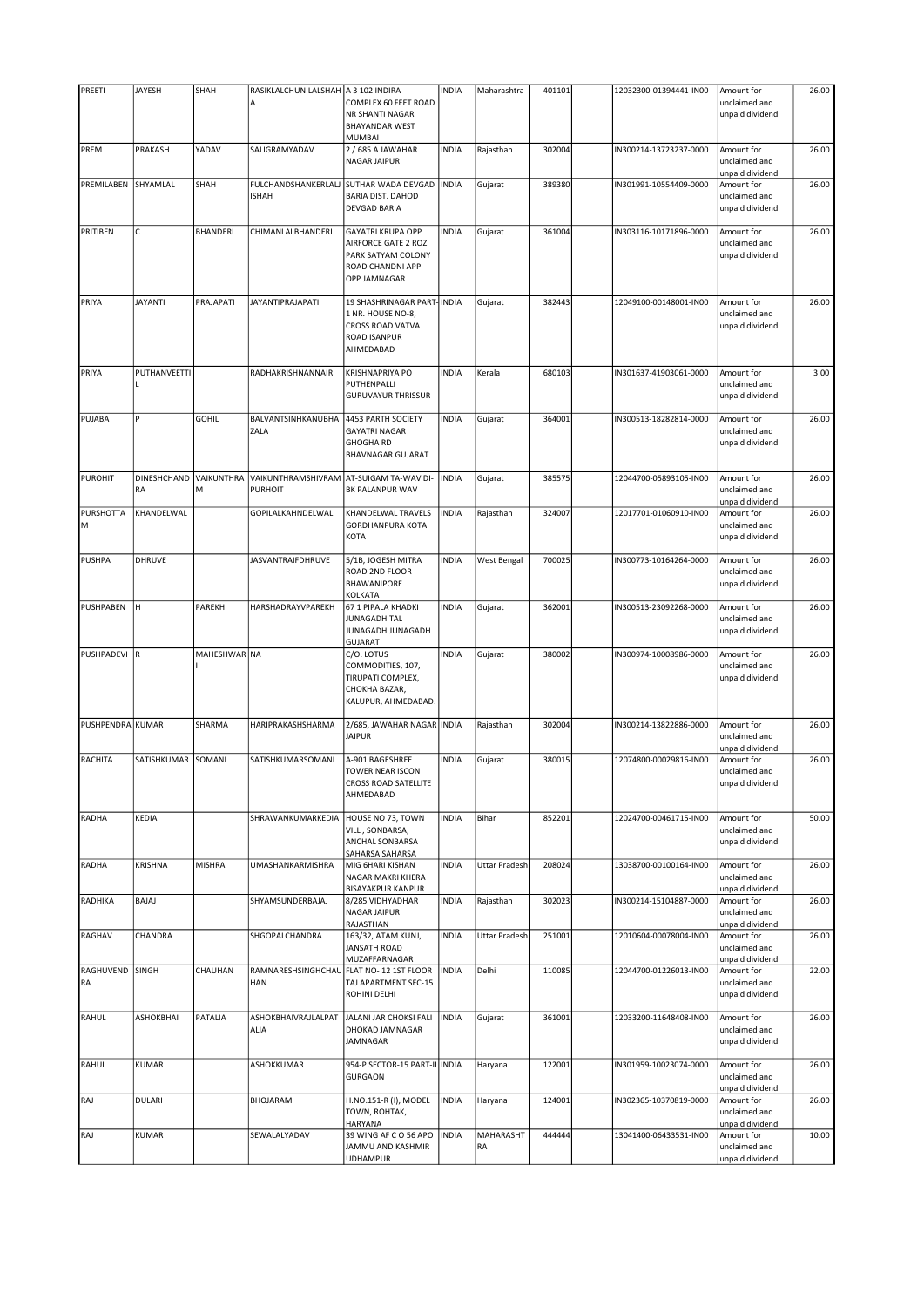| PREETI           | JAYESH                   | SHAH            | RASIKLALCHUNILALSHAH   A 3 102 INDIRA                  |                                                                                                                   | <b>INDIA</b> | Maharashtra            | 401101 | 12032300-01394441-IN00 | Amount for                                     | 26.00 |
|------------------|--------------------------|-----------------|--------------------------------------------------------|-------------------------------------------------------------------------------------------------------------------|--------------|------------------------|--------|------------------------|------------------------------------------------|-------|
|                  |                          |                 | А                                                      | COMPLEX 60 FEET ROAD<br>NR SHANTI NAGAR<br><b>BHAYANDAR WEST</b><br><b>MUMBAI</b>                                 |              |                        |        |                        | unclaimed and<br>unpaid dividend               |       |
| PREM             | PRAKASH                  | YADAV           | SALIGRAMYADAV                                          | 2 / 685 A JAWAHAR<br><b>NAGAR JAIPUR</b>                                                                          | <b>INDIA</b> | Rajasthan              | 302004 | IN300214-13723237-0000 | Amount for<br>unclaimed and<br>unpaid dividend | 26.00 |
| PREMILABEN       | SHYAMLAL                 | SHAH            | FULCHANDSHANKERLALJ<br><b>ISHAH</b>                    | <b>SUTHAR WADA DEVGAD</b><br><b>BARIA DIST. DAHOD</b><br><b>DEVGAD BARIA</b>                                      | <b>INDIA</b> | Gujarat                | 389380 | IN301991-10554409-0000 | Amount for<br>unclaimed and<br>unpaid dividend | 26.00 |
| PRITIBEN         | C                        | BHANDERI        | CHIMANLALBHANDERI                                      | <b>GAYATRI KRUPA OPP</b><br>AIRFORCE GATE 2 ROZI<br>PARK SATYAM COLONY<br>ROAD CHANDNI APP<br><b>OPP JAMNAGAR</b> | <b>INDIA</b> | Gujarat                | 361004 | IN303116-10171896-0000 | Amount for<br>unclaimed and<br>unpaid dividend | 26.00 |
| PRIYA            | <b>JAYANTI</b>           | PRAJAPATI       | JAYANTIPRAJAPATI                                       | 19 SHASHRINAGAR PART-INDIA<br>1 NR. HOUSE NO-8,<br><b>CROSS ROAD VATVA</b><br><b>ROAD ISANPUR</b><br>AHMEDABAD    |              | Gujarat                | 382443 | 12049100-00148001-IN00 | Amount for<br>unclaimed and<br>unpaid dividend | 26.00 |
| PRIYA            | PUTHANVEETTI             |                 | RADHAKRISHNANNAIR                                      | <b>KRISHNAPRIYA PO</b><br>PUTHENPALLI<br><b>GURUVAYUR THRISSUR</b>                                                | <b>INDIA</b> | Kerala                 | 680103 | IN301637-41903061-0000 | Amount for<br>unclaimed and<br>unpaid dividend | 3.00  |
| PUJABA           | P                        | <b>GOHIL</b>    | BALVANTSINHKANUBHA<br>ZALA                             | 4453 PARTH SOCIETY<br><b>GAYATRI NAGAR</b><br><b>GHOGHA RD</b><br><b>BHAVNAGAR GUJARAT</b>                        | <b>INDIA</b> | Gujarat                | 364001 | IN300513-18282814-0000 | Amount for<br>unclaimed and<br>unpaid dividend | 26.00 |
| <b>PUROHIT</b>   | <b>DINESHCHAND</b><br>RA | VAIKUNTHRA<br>М | VAIKUNTHRAMSHIVRAM<br><b>PURHOIT</b>                   | AT-SUIGAM TA-WAV DI-<br><b>BK PALANPUR WAV</b>                                                                    | <b>INDIA</b> | Gujarat                | 385575 | 12044700-05893105-IN00 | Amount for<br>unclaimed and<br>unpaid dividend | 26.00 |
| PURSHOTTA<br>M   | KHANDELWAL               |                 | GOPILALKAHNDELWAL                                      | KHANDELWAL TRAVELS<br><b>GORDHANPURA KOTA</b><br><b>KOTA</b>                                                      | <b>INDIA</b> | Rajasthan              | 324007 | 12017701-01060910-IN00 | Amount for<br>unclaimed and<br>unpaid dividend | 26.00 |
| <b>PUSHPA</b>    | <b>DHRUVE</b>            |                 | <b>JASVANTRAIFDHRUVE</b>                               | 5/1B, JOGESH MITRA<br>ROAD 2ND FLOOR<br><b>BHAWANIPORE</b><br><b>KOLKATA</b>                                      | <b>INDIA</b> | West Bengal            | 700025 | IN300773-10164264-0000 | Amount for<br>unclaimed and<br>unpaid dividend | 26.00 |
| PUSHPABEN        | lн                       | PAREKH          | HARSHADRAYVPAREKH                                      | 67 1 PIPALA KHADKI<br>JUNAGADH TAL<br>JUNAGADH JUNAGADH<br><b>GUJARAT</b>                                         | <b>INDIA</b> | Gujarat                | 362001 | IN300513-23092268-0000 | Amount for<br>unclaimed and<br>unpaid dividend | 26.00 |
| PUSHPADEVI R     |                          | MAHESHWAR NA    |                                                        | C/O. LOTUS<br>COMMODITIES, 107,<br>TIRUPATI COMPLEX,<br>CHOKHA BAZAR,<br>KALUPUR, AHMEDABAD.                      | <b>INDIA</b> | Gujarat                | 380002 | IN300974-10008986-0000 | Amount for<br>unclaimed and<br>unpaid dividend | 26.00 |
| PUSHPENDRA KUMAR |                          | SHARMA          | HARIPRAKASHSHARMA                                      | 2/685, JAWAHAR NAGAR INDIA<br><b>JAIPUR</b>                                                                       |              | Rajasthan              | 302004 | IN300214-13822886-0000 | Amount for<br>unclaimed and<br>unpaid dividend | 26.00 |
| <b>RACHITA</b>   | SATISHKUMAR              | SOMANI          | SATISHKUMARSOMANI                                      | A-901 BAGESHREE<br>TOWER NEAR ISCON<br><b>CROSS ROAD SATELLITE</b><br>AHMEDABAD                                   | <b>INDIA</b> | Gujarat                | 380015 | 12074800-00029816-IN00 | Amount for<br>unclaimed and<br>unpaid dividend | 26.00 |
| <b>RADHA</b>     | <b>KEDIA</b>             |                 | SHRAWANKUMARKEDIA                                      | HOUSE NO 73, TOWN<br>VILL, SONBARSA,<br>ANCHAL SONBARSA<br>SAHARSA SAHARSA                                        | <b>INDIA</b> | Bihar                  | 852201 | 12024700-00461715-IN00 | Amount for<br>unclaimed and<br>unpaid dividend | 50.00 |
| RADHA            | KRISHNA                  | <b>MISHRA</b>   | <b>UMASHANKARMISHRA</b>                                | MIG 6HARI KISHAN<br>NAGAR MAKRI KHERA<br><b>BISAYAKPUR KANPUR</b>                                                 | <b>INDIA</b> | Uttar Pradesh          | 208024 | 13038700-00100164-IN00 | Amount for<br>unclaimed and<br>unpaid dividend | 26.00 |
| RADHIKA          | <b>BAJAJ</b>             |                 | SHYAMSUNDERBAJAJ                                       | 8/285 VIDHYADHAR<br>NAGAR JAIPUR<br>RAJASTHAN                                                                     | <b>INDIA</b> | Rajasthan              | 302023 | IN300214-15104887-0000 | Amount for<br>unclaimed and<br>unpaid dividend | 26.00 |
| RAGHAV           | CHANDRA                  |                 | SHGOPALCHANDRA                                         | 163/32, ATAM KUNJ,<br><b>JANSATH ROAD</b><br>MUZAFFARNAGAR                                                        | <b>INDIA</b> | <b>Uttar Pradesh</b>   | 251001 | 12010604-00078004-IN00 | Amount for<br>unclaimed and<br>unpaid dividend | 26.00 |
| RAGHUVEND<br>RA  | <b>SINGH</b>             | CHAUHAN         | RAMNARESHSINGHCHAU FLAT NO- 12 1ST FLOOR<br><b>HAN</b> | TAJ APARTMENT SEC-15<br>ROHINI DELHI                                                                              | <b>INDIA</b> | Delhi                  | 110085 | 12044700-01226013-IN00 | Amount for<br>unclaimed and<br>unpaid dividend | 22.00 |
| RAHUL            | ASHOKBHAI                | PATALIA         | ASHOKBHAIVRAJLALPAT<br>ALIA                            | JALANI JAR CHOKSI FALI<br>DHOKAD JAMNAGAR<br>JAMNAGAR                                                             | <b>INDIA</b> | Gujarat                | 361001 | 12033200-11648408-IN00 | Amount for<br>unclaimed and<br>unpaid dividend | 26.00 |
| RAHUL            | <b>KUMAR</b>             |                 | ASHOKKUMAR                                             | 954-P SECTOR-15 PART-II INDIA<br><b>GURGAON</b>                                                                   |              | Haryana                | 122001 | IN301959-10023074-0000 | Amount for<br>unclaimed and<br>unpaid dividend | 26.00 |
| RAJ              | <b>DULARI</b>            |                 | BHOJARAM                                               | H.NO.151-R (I), MODEL<br>TOWN, ROHTAK,<br>HARYANA                                                                 | <b>INDIA</b> | Haryana                | 124001 | IN302365-10370819-0000 | Amount for<br>unclaimed and<br>unpaid dividend | 26.00 |
| RAJ              | KUMAR                    |                 | SEWALALYADAV                                           | 39 WING AF C O 56 APO<br>JAMMU AND KASHMIR<br><b>UDHAMPUR</b>                                                     | <b>INDIA</b> | <b>MAHARASHT</b><br>RA | 444444 | 13041400-06433531-IN00 | Amount for<br>unclaimed and<br>unpaid dividend | 10.00 |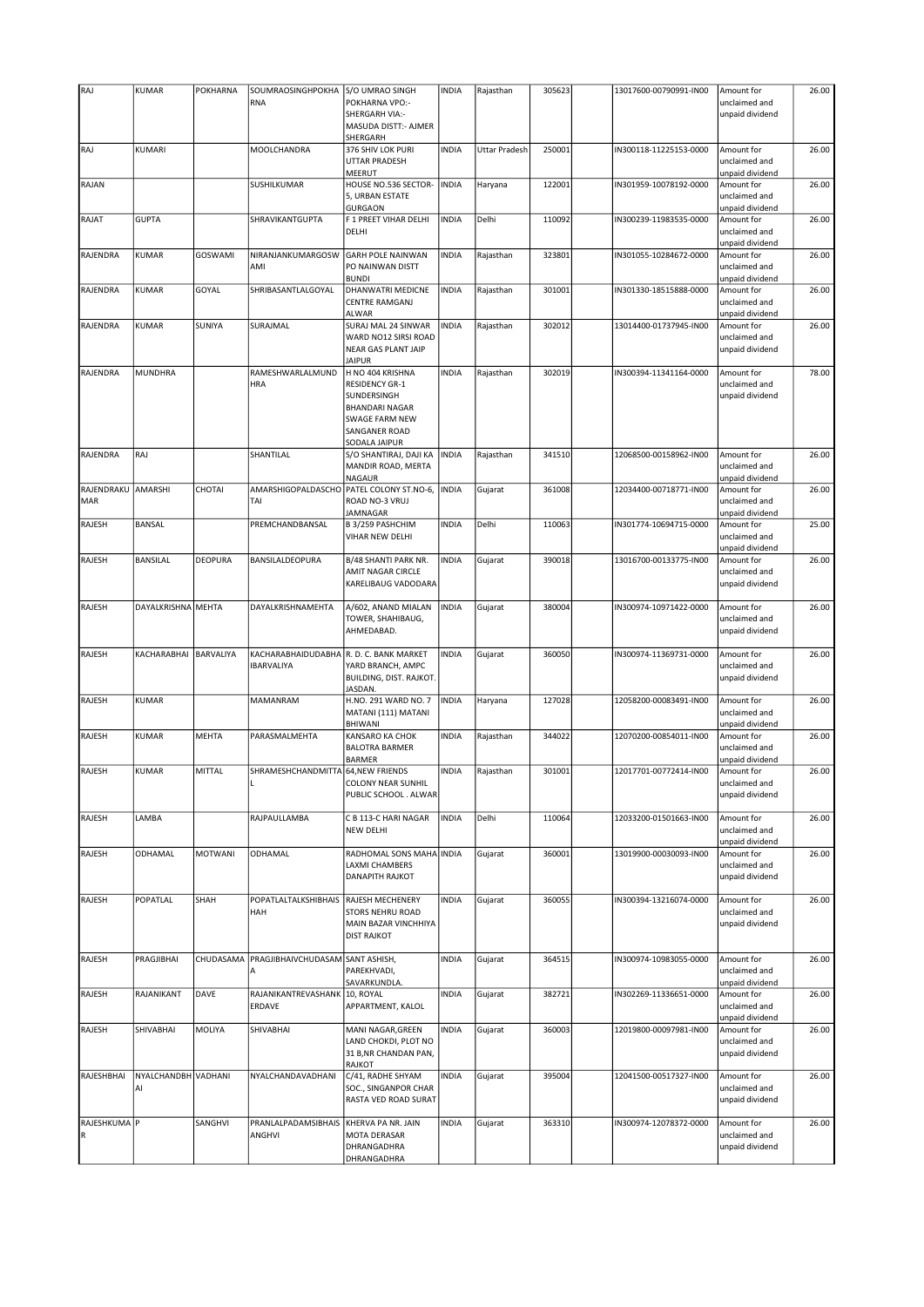| RAJ                       | KUMAR                     | <b>POKHARNA</b> | SOUMRAOSINGHPOKHA                       | S/O UMRAO SINGH                                                                                                                              | <b>INDIA</b> | Rajasthan     | 305623 | 13017600-00790991-IN00 | Amount for                                     | 26.00 |
|---------------------------|---------------------------|-----------------|-----------------------------------------|----------------------------------------------------------------------------------------------------------------------------------------------|--------------|---------------|--------|------------------------|------------------------------------------------|-------|
|                           |                           |                 | <b>RNA</b>                              | POKHARNA VPO:-<br><b>SHERGARH VIA:-</b><br>MASUDA DISTT:- AJMER<br>SHERGARH                                                                  |              |               |        |                        | unclaimed and<br>unpaid dividend               |       |
| RAJ                       | KUMARI                    |                 | MOOLCHANDRA                             | 376 SHIV LOK PURI<br><b>UTTAR PRADESH</b><br>MEERUT                                                                                          | <b>INDIA</b> | Uttar Pradesh | 250001 | IN300118-11225153-0000 | Amount for<br>unclaimed and<br>unpaid dividend | 26.00 |
| RAJAN                     |                           |                 | SUSHILKUMAR                             | HOUSE NO.536 SECTOR-<br>5, URBAN ESTATE<br><b>GURGAON</b>                                                                                    | <b>INDIA</b> | Haryana       | 122001 | IN301959-10078192-0000 | Amount for<br>unclaimed and<br>unpaid dividend | 26.00 |
| RAJAT                     | <b>GUPTA</b>              |                 | SHRAVIKANTGUPTA                         | F 1 PREET VIHAR DELHI<br>DELHI                                                                                                               | <b>INDIA</b> | Delhi         | 110092 | IN300239-11983535-0000 | Amount for<br>unclaimed and<br>unpaid dividend | 26.00 |
| RAJENDRA                  | <b>KUMAR</b>              | <b>GOSWAMI</b>  | NIRANJANKUMARGOSW<br>AMI                | <b>GARH POLE NAINWAN</b><br>PO NAINWAN DISTT<br><b>BUNDI</b>                                                                                 | <b>INDIA</b> | Rajasthan     | 323801 | IN301055-10284672-0000 | Amount for<br>unclaimed and<br>unpaid dividend | 26.00 |
| RAJENDRA                  | <b>KUMAR</b>              | GOYAL           | SHRIBASANTLALGOYAL                      | DHANWATRI MEDICNE<br><b>CENTRE RAMGANJ</b><br><b>ALWAR</b>                                                                                   | <b>INDIA</b> | Rajasthan     | 301001 | IN301330-18515888-0000 | Amount for<br>unclaimed and<br>unpaid dividend | 26.00 |
| RAJENDRA                  | <b>KUMAR</b>              | SUNIYA          | SURAJMAL                                | SURAJ MAL 24 SINWAR<br>WARD NO12 SIRSI ROAD<br>NEAR GAS PLANT JAIP<br><b>JAIPUR</b>                                                          | <b>INDIA</b> | Rajasthan     | 302012 | 13014400-01737945-IN00 | Amount for<br>unclaimed and<br>unpaid dividend | 26.00 |
| RAJENDRA                  | <b>MUNDHRA</b>            |                 | RAMESHWARLALMUND<br><b>HRA</b>          | H NO 404 KRISHNA<br><b>RESIDENCY GR-1</b><br>SUNDERSINGH<br><b>BHANDARI NAGAR</b><br><b>SWAGE FARM NEW</b><br>SANGANER ROAD<br>SODALA JAIPUR | <b>INDIA</b> | Rajasthan     | 302019 | IN300394-11341164-0000 | Amount for<br>unclaimed and<br>unpaid dividend | 78.00 |
| RAJENDRA                  | RAJ                       |                 | SHANTILAL                               | S/O SHANTIRAJ, DAJI KA<br>MANDIR ROAD, MERTA<br>NAGAUR                                                                                       | <b>INDIA</b> | Rajasthan     | 341510 | 12068500-00158962-IN00 | Amount for<br>unclaimed and<br>unpaid dividend | 26.00 |
| RAJENDRAKU<br><b>MAR</b>  | AMARSHI                   | CHOTAI          | AMARSHIGOPALDASCHO<br>TAI               | PATEL COLONY ST.NO-6,<br>ROAD NO-3 VRUJ<br><b>JAMNAGAR</b>                                                                                   | <b>INDIA</b> | Gujarat       | 361008 | 12034400-00718771-IN00 | Amount for<br>unclaimed and<br>unpaid dividend | 26.00 |
| RAJESH                    | <b>BANSAL</b>             |                 | PREMCHANDBANSAL                         | B 3/259 PASHCHIM<br>VIHAR NEW DELHI                                                                                                          | <b>INDIA</b> | Delhi         | 110063 | IN301774-10694715-0000 | Amount for<br>unclaimed and<br>unpaid dividend | 25.00 |
| RAJESH                    | <b>BANSILAL</b>           | <b>DEOPURA</b>  | BANSILALDEOPURA                         | B/48 SHANTI PARK NR.<br>AMIT NAGAR CIRCLE<br>KARELIBAUG VADODARA                                                                             | <b>INDIA</b> | Gujarat       | 390018 | 13016700-00133775-IN00 | Amount for<br>unclaimed and<br>unpaid dividend | 26.00 |
| RAJESH                    | DAYALKRISHNA MEHTA        |                 | DAYALKRISHNAMEHTA                       | A/602, ANAND MIALAN<br>TOWER, SHAHIBAUG,<br>AHMEDABAD.                                                                                       | <b>INDIA</b> | Gujarat       | 380004 | IN300974-10971422-0000 | Amount for<br>unclaimed and<br>unpaid dividend | 26.00 |
| RAJESH                    | KACHARABHAI               | BARVALIYA       | KACHARABHAIDUDABHA<br><b>IBARVALIYA</b> | R. D. C. BANK MARKET<br>YARD BRANCH, AMPC<br>BUILDING, DIST. RAJKOT.<br>JASDAN.                                                              | <b>INDIA</b> | Gujarat       | 360050 | IN300974-11369731-0000 | Amount for<br>unclaimed and<br>unpaid dividend | 26.00 |
| <b>RAJESH</b>             | KUMAR                     |                 | MAMANRAM                                | H.NO. 291 WARD NO. 7<br>MATANI (111) MATANI<br>BHIWANI                                                                                       | <b>INDIA</b> | Haryana       | 127028 | 12058200-00083491-IN00 | Amount for<br>unclaimed and<br>unpaid dividend | 26.00 |
| RAJESH                    | KUMAR                     | <b>MEHTA</b>    | PARASMALMEHTA                           | KANSARO KA CHOK<br><b>BALOTRA BARMER</b><br><b>BARMER</b>                                                                                    | <b>INDIA</b> | Rajasthan     | 344022 | 12070200-00854011-IN00 | Amount for<br>unclaimed and<br>unpaid dividend | 26.00 |
| RAJESH                    | KUMAR                     | MITTAL          | SHRAMESHCHANDMITTA 64, NEW FRIENDS      | COLONY NEAR SUNHIL<br>PUBLIC SCHOOL . ALWAR                                                                                                  | <b>INDIA</b> | Rajasthan     | 301001 | 12017701-00772414-IN00 | Amount for<br>unclaimed and<br>unpaid dividend | 26.00 |
| RAJESH                    | LAMBA                     |                 | RAJPAULLAMBA                            | C B 113-C HARI NAGAR<br>NEW DELHI                                                                                                            | <b>INDIA</b> | Delhi         | 110064 | 12033200-01501663-IN00 | Amount for<br>unclaimed and<br>unpaid dividend | 26.00 |
| RAJESH                    | ODHAMAL                   | MOTWANI         | ODHAMAL                                 | RADHOMAL SONS MAHA INDIA<br>LAXMI CHAMBERS<br>DANAPITH RAJKOT                                                                                |              | Gujarat       | 360001 | 13019900-00030093-IN00 | Amount for<br>unclaimed and<br>unpaid dividend | 26.00 |
| RAJESH                    | POPATLAL                  | SHAH            | POPATLALTALKSHIBHAIS<br>HAH             | RAJESH MECHENERY<br>STORS NEHRU ROAD<br>MAIN BAZAR VINCHHIYA<br><b>DIST RAJKOT</b>                                                           | <b>INDIA</b> | Gujarat       | 360055 | IN300394-13216074-0000 | Amount for<br>unclaimed and<br>unpaid dividend | 26.00 |
| RAJESH                    | PRAGJIBHAI                | CHUDASAMA       | PRAGJIBHAIVCHUDASAM SANT ASHISH,<br>А   | PAREKHVADI,<br>SAVARKUNDLA.                                                                                                                  | <b>INDIA</b> | Gujarat       | 364515 | IN300974-10983055-0000 | Amount for<br>unclaimed and<br>unpaid dividend | 26.00 |
| RAJESH                    | RAJANIKANT                | DAVE            | RAJANIKANTREVASHANK<br>ERDAVE           | 10, ROYAL<br>APPARTMENT, KALOL                                                                                                               | <b>INDIA</b> | Gujarat       | 382721 | IN302269-11336651-0000 | Amount for<br>unclaimed and<br>unpaid dividend | 26.00 |
| RAJESH                    | SHIVABHAI                 | MOLIYA          | SHIVABHAI                               | MANI NAGAR, GREEN<br>LAND CHOKDI, PLOT NO<br>31 B, NR CHANDAN PAN,<br>RAJKOT                                                                 | <b>INDIA</b> | Gujarat       | 360003 | 12019800-00097981-IN00 | Amount for<br>unclaimed and<br>unpaid dividend | 26.00 |
| RAJESHBHAI                | NYALCHANDBH VADHANI<br>Al |                 | NYALCHANDAVADHANI                       | C/41, RADHE SHYAM<br>SOC., SINGANPOR CHAR<br>RASTA VED ROAD SURAT                                                                            | <b>INDIA</b> | Gujarat       | 395004 | 12041500-00517327-IN00 | Amount for<br>unclaimed and<br>unpaid dividend | 26.00 |
| RAJESHKUMA P<br>${\sf R}$ |                           | SANGHVI         | PRANLALPADAMSIBHAIS<br>ANGHVI           | KHERVA PA NR. JAIN<br>MOTA DERASAR<br>DHRANGADHRA<br>DHRANGADHRA                                                                             | <b>INDIA</b> | Gujarat       | 363310 | IN300974-12078372-0000 | Amount for<br>unclaimed and<br>unpaid dividend | 26.00 |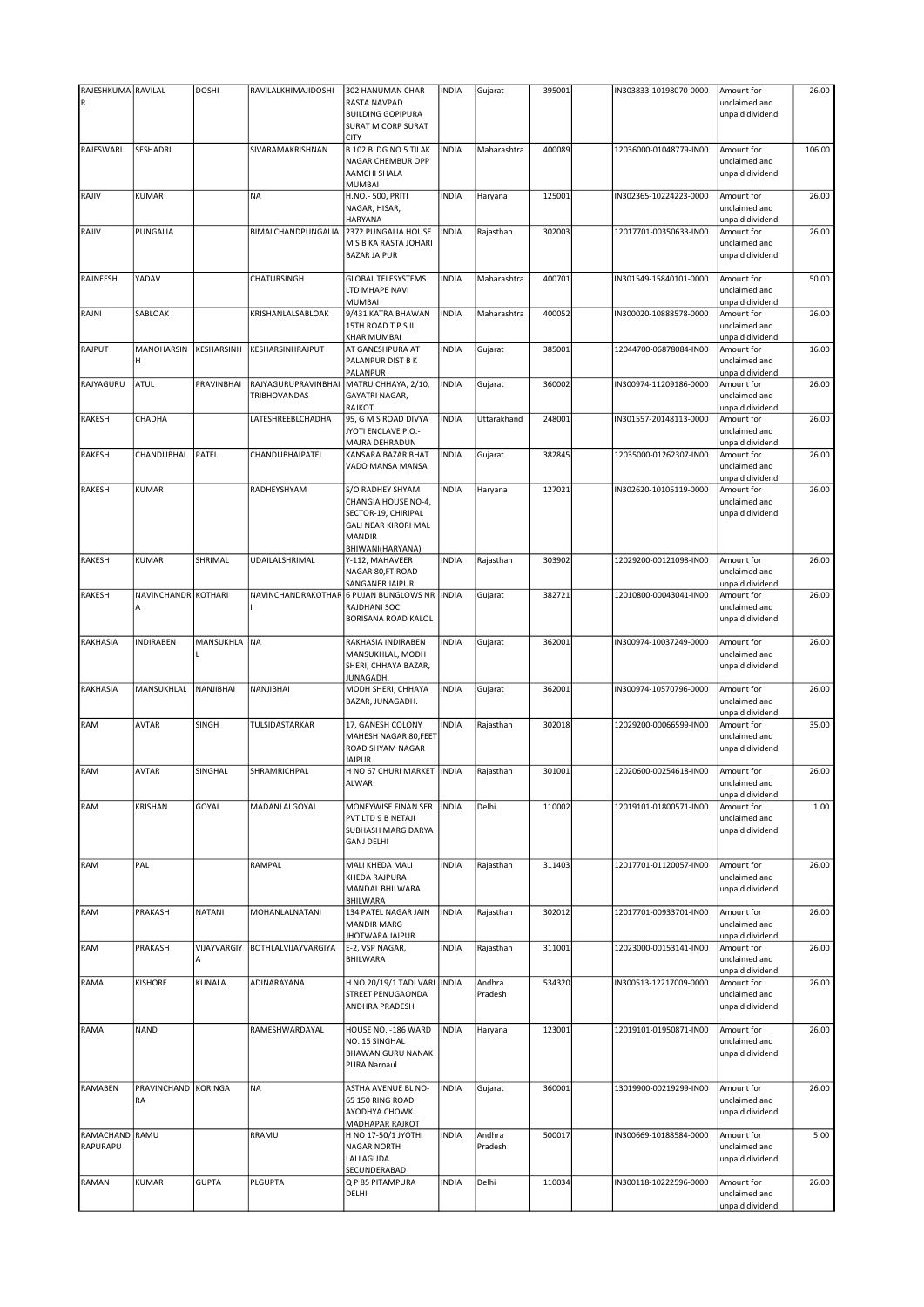| RAJESHKUMA RAVILAL |                     | <b>DOSHI</b> | RAVILALKHIMAJIDOSHI | 302 HANUMAN CHAR                            | <b>INDIA</b> | Gujarat     | 395001 | IN303833-10198070-0000 | Amount for                    | 26.00  |
|--------------------|---------------------|--------------|---------------------|---------------------------------------------|--------------|-------------|--------|------------------------|-------------------------------|--------|
| ${\sf R}$          |                     |              |                     | <b>RASTA NAVPAD</b>                         |              |             |        |                        | unclaimed and                 |        |
|                    |                     |              |                     | <b>BUILDING GOPIPURA</b>                    |              |             |        |                        | unpaid dividend               |        |
|                    |                     |              |                     | SURAT M CORP SURAT                          |              |             |        |                        |                               |        |
|                    |                     |              |                     | <b>CITY</b>                                 |              |             |        |                        |                               |        |
| RAJESWARI          | SESHADRI            |              | SIVARAMAKRISHNAN    | B 102 BLDG NO 5 TILAK                       | <b>INDIA</b> | Maharashtra | 400089 | 12036000-01048779-IN00 | Amount for                    | 106.00 |
|                    |                     |              |                     | NAGAR CHEMBUR OPP                           |              |             |        |                        | unclaimed and                 |        |
|                    |                     |              |                     | AAMCHI SHALA                                |              |             |        |                        | unpaid dividend               |        |
|                    |                     |              |                     | MUMBAI                                      |              |             |        |                        |                               |        |
| RAJIV              | KUMAR               |              | <b>NA</b>           | H.NO.- 500, PRITI                           | <b>INDIA</b> | Haryana     | 125001 | IN302365-10224223-0000 | Amount for                    | 26.00  |
|                    |                     |              |                     | NAGAR, HISAR,                               |              |             |        |                        | unclaimed and                 |        |
|                    |                     |              |                     | HARYANA                                     |              |             |        |                        | unpaid dividend               |        |
| RAJIV              | PUNGALIA            |              | BIMALCHANDPUNGALIA  | 2372 PUNGALIA HOUSE                         | <b>INDIA</b> | Rajasthan   | 302003 | 12017701-00350633-IN00 | Amount for                    | 26.00  |
|                    |                     |              |                     | M S B KA RASTA JOHARI                       |              |             |        |                        | unclaimed and                 |        |
|                    |                     |              |                     | <b>BAZAR JAIPUR</b>                         |              |             |        |                        | unpaid dividend               |        |
|                    |                     |              |                     |                                             |              |             |        |                        |                               |        |
| RAJNEESH           | YADAV               |              | CHATURSINGH         | <b>GLOBAL TELESYSTEMS</b>                   | <b>INDIA</b> | Maharashtra | 400701 | IN301549-15840101-0000 | Amount for                    | 50.00  |
|                    |                     |              |                     | LTD MHAPE NAVI                              |              |             |        |                        | unclaimed and                 |        |
|                    |                     |              |                     | <b>MUMBAI</b>                               |              |             |        |                        | unpaid dividend               |        |
| RAJNI              | SABLOAK             |              | KRISHANLALSABLOAK   | 9/431 KATRA BHAWAN<br>15TH ROAD T P S III   | <b>INDIA</b> | Maharashtra | 400052 | IN300020-10888578-0000 | Amount for<br>unclaimed and   | 26.00  |
|                    |                     |              |                     | KHAR MUMBAI                                 |              |             |        |                        | unpaid dividend               |        |
| RAJPUT             | MANOHARSIN          | KESHARSINH   | KESHARSINHRAJPUT    | AT GANESHPURA AT                            | <b>INDIA</b> | Gujarat     | 385001 | 12044700-06878084-IN00 | Amount for                    | 16.00  |
|                    | н                   |              |                     | PALANPUR DIST B K                           |              |             |        |                        | unclaimed and                 |        |
|                    |                     |              |                     | PALANPUR                                    |              |             |        |                        | unpaid dividend               |        |
| RAJYAGURU          | ATUL                | PRAVINBHAI   | RAJYAGURUPRAVINBHAI | MATRU CHHAYA, 2/10,                         | <b>INDIA</b> | Gujarat     | 360002 | IN300974-11209186-0000 | Amount for                    | 26.00  |
|                    |                     |              | <b>TRIBHOVANDAS</b> | <b>GAYATRI NAGAR,</b>                       |              |             |        |                        | unclaimed and                 |        |
|                    |                     |              |                     | RAJKOT.                                     |              |             |        |                        | unpaid dividend               |        |
| <b>RAKESH</b>      | CHADHA              |              | LATESHREEBLCHADHA   | 95, G M S ROAD DIVYA                        | <b>INDIA</b> | Uttarakhand | 248001 | IN301557-20148113-0000 | Amount for                    | 26.00  |
|                    |                     |              |                     | <b>JYOTI ENCLAVE P.O.-</b>                  |              |             |        |                        | unclaimed and                 |        |
|                    |                     |              |                     | MAJRA DEHRADUN                              |              |             |        |                        | unpaid dividend               |        |
| <b>RAKESH</b>      | CHANDUBHAI          | PATEL        | CHANDUBHAIPATEL     | KANSARA BAZAR BHAT                          | <b>INDIA</b> | Gujarat     | 382845 | 12035000-01262307-IN00 | Amount for                    | 26.00  |
|                    |                     |              |                     | VADO MANSA MANSA                            |              |             |        |                        | unclaimed and                 |        |
|                    |                     |              |                     |                                             |              |             |        |                        | unpaid dividend               |        |
| <b>RAKESH</b>      | KUMAR               |              | RADHEYSHYAM         | S/O RADHEY SHYAM                            | <b>INDIA</b> | Haryana     | 127021 | IN302620-10105119-0000 | Amount for                    | 26.00  |
|                    |                     |              |                     | CHANGIA HOUSE NO-4,                         |              |             |        |                        | unclaimed and                 |        |
|                    |                     |              |                     | SECTOR-19, CHIRIPAL                         |              |             |        |                        | unpaid dividend               |        |
|                    |                     |              |                     | <b>GALI NEAR KIRORI MAL</b>                 |              |             |        |                        |                               |        |
|                    |                     |              |                     | <b>MANDIR</b>                               |              |             |        |                        |                               |        |
|                    |                     |              |                     | BHIWANI(HARYANA)                            |              |             |        |                        |                               |        |
| <b>RAKESH</b>      | KUMAR               | SHRIMAL      | UDAILALSHRIMAL      | Y-112, MAHAVEER                             | <b>INDIA</b> | Rajasthan   | 303902 | 12029200-00121098-IN00 | Amount for                    | 26.00  |
|                    |                     |              |                     | NAGAR 80,FT.ROAD                            |              |             |        |                        | unclaimed and                 |        |
|                    |                     |              |                     | SANGANER JAIPUR                             |              |             |        |                        | unpaid dividend               |        |
| <b>RAKESH</b>      | NAVINCHANDR KOTHARI |              | NAVINCHANDRAKOTHAR  | 6 PUJAN BUNGLOWS NR                         | <b>INDIA</b> | Gujarat     | 382721 | 12010800-00043041-IN00 | Amount for                    | 26.00  |
|                    | Α                   |              |                     | RAJDHANI SOC                                |              |             |        |                        | unclaimed and                 |        |
|                    |                     |              |                     | BORISANA ROAD KALOL                         |              |             |        |                        | unpaid dividend               |        |
|                    |                     |              |                     |                                             |              |             |        |                        |                               |        |
| RAKHASIA           | <b>INDIRABEN</b>    | MANSUKHLA    | <b>NA</b>           | RAKHASIA INDIRABEN                          | <b>INDIA</b> | Gujarat     | 362001 | IN300974-10037249-0000 | Amount for                    | 26.00  |
|                    |                     |              |                     | MANSUKHLAL, MODH                            |              |             |        |                        | unclaimed and                 |        |
|                    |                     |              |                     | SHERI, CHHAYA BAZAR,                        |              |             |        |                        | unpaid dividend               |        |
|                    |                     |              |                     | JUNAGADH.                                   |              |             |        |                        |                               |        |
| <b>RAKHASIA</b>    | MANSUKHLAL          | NANJIBHAI    | NANJIBHAI           | MODH SHERI, CHHAYA                          | <b>INDIA</b> | Gujarat     | 362001 | IN300974-10570796-0000 | Amount for                    | 26.00  |
|                    |                     |              |                     | BAZAR, JUNAGADH.                            |              |             |        |                        | unclaimed and                 |        |
|                    |                     |              |                     |                                             |              |             |        |                        | unpaid dividend               |        |
| RAM                | <b>AVTAR</b>        | SINGH        | TULSIDASTARKAR      | 17, GANESH COLONY                           | <b>INDIA</b> | Rajasthan   | 302018 | 12029200-00066599-IN00 | Amount for                    | 35.00  |
|                    |                     |              |                     | MAHESH NAGAR 80, FEET                       |              |             |        |                        | unclaimed and                 |        |
|                    |                     |              |                     | ROAD SHYAM NAGAR                            |              |             |        |                        | unpaid dividend               |        |
|                    |                     |              |                     | <b>JAIPUR</b>                               |              |             |        |                        |                               |        |
| <b>RAM</b>         | <b>AVTAR</b>        | SINGHAL      | SHRAMRICHPAL        | H NO 67 CHURI MARKET INDIA                  |              | Rajasthan   | 301001 | 12020600-00254618-IN00 | Amount for                    | 26.00  |
|                    |                     |              |                     | <b>ALWAR</b>                                |              |             |        |                        | unclaimed and                 |        |
|                    |                     |              |                     |                                             |              |             |        |                        | unpaid dividend               |        |
| RAM                | KRISHAN             | GOYAL        | MADANLALGOYAL       | MONEYWISE FINAN SER                         | <b>INDIA</b> | Delhi       | 110002 | 12019101-01800571-IN00 | Amount for                    | 1.00   |
|                    |                     |              |                     | PVT LTD 9 B NETAJI                          |              |             |        |                        | unclaimed and                 |        |
|                    |                     |              |                     | SUBHASH MARG DARYA                          |              |             |        |                        | unpaid dividend               |        |
|                    |                     |              |                     | <b>GANJ DELHI</b>                           |              |             |        |                        |                               |        |
|                    |                     |              |                     |                                             |              |             |        |                        |                               |        |
| RAM                | PAL                 |              | RAMPAL              | MALI KHEDA MALI                             | <b>INDIA</b> | Rajasthan   | 311403 | 12017701-01120057-IN00 | Amount for                    | 26.00  |
|                    |                     |              |                     | KHEDA RAJPURA                               |              |             |        |                        | unclaimed and                 |        |
|                    |                     |              |                     | MANDAL BHILWARA                             |              |             |        |                        | unpaid dividend               |        |
|                    |                     |              |                     | BHILWARA                                    |              |             |        |                        |                               |        |
| RAM                | PRAKASH             | NATANI       | MOHANLALNATANI      | 134 PATEL NAGAR JAIN                        | <b>INDIA</b> | Rajasthan   | 302012 | 12017701-00933701-IN00 | Amount for                    | 26.00  |
|                    |                     |              |                     | <b>MANDIR MARG</b>                          |              |             |        |                        | unclaimed and                 |        |
|                    |                     |              |                     | JHOTWARA JAIPUR                             |              |             |        |                        | unpaid dividend               |        |
| RAM                | PRAKASH             | VIJAYVARGIY  | BOTHLALVIJAYVARGIYA | E-2, VSP NAGAR,                             | <b>INDIA</b> | Rajasthan   | 311001 | 12023000-00153141-IN00 | Amount for                    | 26.00  |
|                    |                     | А            |                     | BHILWARA                                    |              |             |        |                        | unclaimed and                 |        |
| RAMA               | <b>KISHORE</b>      |              | ADINARAYANA         |                                             | INDIA        | Andhra      | 534320 | IN300513-12217009-0000 | unpaid dividend<br>Amount for | 26.00  |
|                    |                     | KUNALA       |                     | H NO 20/19/1 TADI VARI<br>STREET PENUGAONDA |              | Pradesh     |        |                        | unclaimed and                 |        |
|                    |                     |              |                     | ANDHRA PRADESH                              |              |             |        |                        | unpaid dividend               |        |
|                    |                     |              |                     |                                             |              |             |        |                        |                               |        |
| RAMA               | <b>NAND</b>         |              | RAMESHWARDAYAL      | HOUSE NO. - 186 WARD                        | <b>INDIA</b> | Haryana     | 123001 | 12019101-01950871-IN00 | Amount for                    | 26.00  |
|                    |                     |              |                     | NO. 15 SINGHAL                              |              |             |        |                        | unclaimed and                 |        |
|                    |                     |              |                     | <b>BHAWAN GURU NANAK</b>                    |              |             |        |                        | unpaid dividend               |        |
|                    |                     |              |                     | <b>PURA Narnaul</b>                         |              |             |        |                        |                               |        |
|                    |                     |              |                     |                                             |              |             |        |                        |                               |        |
| RAMABEN            | PRAVINCHAND KORINGA |              | <b>NA</b>           | ASTHA AVENUE BL NO-                         | <b>INDIA</b> | Gujarat     | 360001 | 13019900-00219299-IN00 | Amount for                    | 26.00  |
|                    | RA                  |              |                     | 65 150 RING ROAD                            |              |             |        |                        | unclaimed and                 |        |
|                    |                     |              |                     | AYODHYA CHOWK                               |              |             |        |                        | unpaid dividend               |        |
|                    |                     |              |                     | MADHAPAR RAJKOT                             |              |             |        |                        |                               |        |
| RAMACHAND          | RAMU                |              | RRAMU               | H NO 17-50/1 JYOTHI                         | <b>INDIA</b> | Andhra      | 500017 | IN300669-10188584-0000 | Amount for                    | 5.00   |
| RAPURAPU           |                     |              |                     | NAGAR NORTH                                 |              | Pradesh     |        |                        | unclaimed and                 |        |
|                    |                     |              |                     | LALLAGUDA                                   |              |             |        |                        | unpaid dividend               |        |
|                    |                     |              |                     | SECUNDERABAD                                |              |             |        |                        |                               |        |
| RAMAN              | KUMAR               | <b>GUPTA</b> | <b>PLGUPTA</b>      | Q P 85 PITAMPURA                            | <b>INDIA</b> | Delhi       | 110034 | IN300118-10222596-0000 | Amount for                    | 26.00  |
|                    |                     |              |                     | DELHI                                       |              |             |        |                        | unclaimed and                 |        |
|                    |                     |              |                     |                                             |              |             |        |                        | unpaid dividend               |        |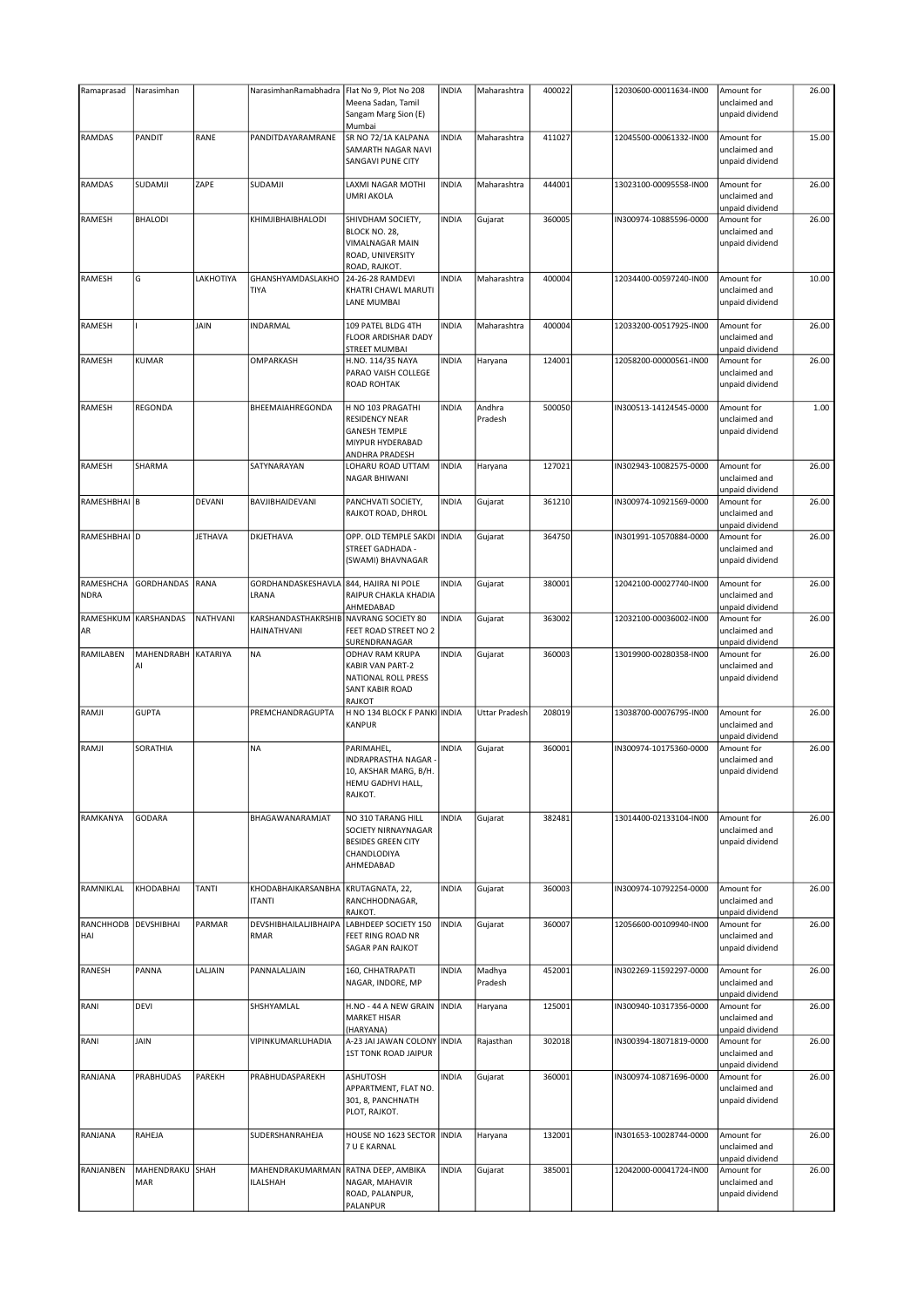|                          | Narasimhan        |                | NarasimhanRamabhadra                                  | Flat No 9, Plot No 208                                                                                   | <b>INDIA</b> | Maharashtra          | 400022 | 12030600-00011634-IN00 | Amount for                                                        | 26.00 |
|--------------------------|-------------------|----------------|-------------------------------------------------------|----------------------------------------------------------------------------------------------------------|--------------|----------------------|--------|------------------------|-------------------------------------------------------------------|-------|
|                          |                   |                |                                                       | Meena Sadan, Tamil<br>Sangam Marg Sion (E)<br>Mumbai                                                     |              |                      |        |                        | unclaimed and<br>unpaid dividend                                  |       |
| RAMDAS                   | PANDIT            | RANE           | PANDITDAYARAMRANE                                     | SR NO 72/1A KALPANA<br>SAMARTH NAGAR NAVI<br>SANGAVI PUNE CITY                                           | <b>INDIA</b> | Maharashtra          | 411027 | 12045500-00061332-IN00 | Amount for<br>unclaimed and<br>unpaid dividend                    | 15.00 |
| RAMDAS                   | SUDAMJI           | ZAPE           | SUDAMJI                                               | LAXMI NAGAR MOTHI<br><b>UMRI AKOLA</b>                                                                   | <b>INDIA</b> | Maharashtra          | 444001 | 13023100-00095558-IN00 | Amount for<br>unclaimed and<br>unpaid dividend                    | 26.00 |
| RAMESH                   | <b>BHALODI</b>    |                | KHIMJIBHAIBHALODI                                     | SHIVDHAM SOCIETY,<br>BLOCK NO. 28,<br><b>VIMALNAGAR MAIN</b><br>ROAD, UNIVERSITY<br>ROAD, RAJKOT.        | <b>INDIA</b> | Gujarat              | 360005 | IN300974-10885596-0000 | Amount for<br>unclaimed and<br>unpaid dividend                    | 26.00 |
| RAMESH                   | G                 | LAKHOTIYA      | GHANSHYAMDASLAKHO<br>TIYA                             | 24-26-28 RAMDEVI<br>KHATRI CHAWL MARUTI<br><b>LANE MUMBAI</b>                                            | <b>INDIA</b> | Maharashtra          | 400004 | 12034400-00597240-IN00 | Amount for<br>unclaimed and<br>unpaid dividend                    | 10.00 |
| RAMESH                   |                   | JAIN           | INDARMAL                                              | 109 PATEL BLDG 4TH<br><b>FLOOR ARDISHAR DADY</b><br><b>STREET MUMBAI</b>                                 | <b>INDIA</b> | Maharashtra          | 400004 | 12033200-00517925-IN00 | Amount for<br>unclaimed and<br>unpaid dividend                    | 26.00 |
| RAMESH                   | <b>KUMAR</b>      |                | OMPARKASH                                             | H.NO. 114/35 NAYA<br>PARAO VAISH COLLEGE<br><b>ROAD ROHTAK</b>                                           | <b>INDIA</b> | Haryana              | 124001 | 12058200-00000561-IN00 | Amount for<br>unclaimed and<br>unpaid dividend                    | 26.00 |
| RAMESH                   | REGONDA           |                | BHEEMAIAHREGONDA                                      | H NO 103 PRAGATHI<br><b>RESIDENCY NEAR</b><br><b>GANESH TEMPLE</b><br>MIYPUR HYDERABAD<br>ANDHRA PRADESH | <b>INDIA</b> | Andhra<br>Pradesh    | 500050 | IN300513-14124545-0000 | Amount for<br>unclaimed and<br>unpaid dividend                    | 1.00  |
| RAMESH                   | SHARMA            |                | SATYNARAYAN                                           | LOHARU ROAD UTTAM<br><b>NAGAR BHIWANI</b>                                                                | <b>INDIA</b> | Haryana              | 127021 | IN302943-10082575-0000 | Amount for<br>unclaimed and<br>unpaid dividend                    | 26.00 |
| RAMESHBHAI B             |                   | DEVANI         | BAVJIBHAIDEVANI                                       | PANCHVATI SOCIETY,<br>RAJKOT ROAD, DHROL                                                                 | <b>INDIA</b> | Gujarat              | 361210 | IN300974-10921569-0000 | Amount for<br>unclaimed and<br>unpaid dividend                    | 26.00 |
| RAMESHBHAI D             |                   | <b>JETHAVA</b> | DKJETHAVA                                             | OPP. OLD TEMPLE SAKDI<br><b>STREET GADHADA -</b><br>(SWAMI) BHAVNAGAR                                    | <b>INDIA</b> | Gujarat              | 364750 | IN301991-10570884-0000 | Amount for<br>unclaimed and<br>unpaid dividend                    | 26.00 |
| RAMESHCHA<br><b>NDRA</b> | <b>GORDHANDAS</b> | RANA           | GORDHANDASKESHAVLA<br>LRANA                           | 844, HAJIRA NI POLE<br>RAIPUR CHAKLA KHADIA<br>AHMEDABAD                                                 | <b>INDIA</b> | Gujarat              | 380001 | 12042100-00027740-IN00 | Amount for<br>unclaimed and<br>unpaid dividend                    | 26.00 |
| RAMESHKUM<br>AR          | <b>KARSHANDAS</b> | NATHVANI       | KARSHANDASTHAKRSHIB NAVRANG SOCIETY 80<br>HAINATHVANI | FEET ROAD STREET NO 2<br>SURENDRANAGAR                                                                   | <b>INDIA</b> | Gujarat              | 363002 | 12032100-00036002-IN00 | Amount for<br>unclaimed and<br>unpaid dividend                    | 26.00 |
| RAMILABEN                | MAHENDRABH<br>AI  | KATARIYA       | <b>NA</b>                                             | ODHAV RAM KRUPA<br><b>KABIR VAN PART-2</b>                                                               | <b>INDIA</b> | Gujarat              | 360003 | 13019900-00280358-IN00 | Amount for<br>unclaimed and                                       | 26.00 |
|                          |                   |                |                                                       | NATIONAL ROLL PRESS<br><b>SANT KABIR ROAD</b><br><b>RAJKOT</b>                                           |              |                      |        |                        | unpaid dividend                                                   |       |
| RAMJI                    | <b>GUPTA</b>      |                | PREMCHANDRAGUPTA                                      | H NO 134 BLOCK F PANKI INDIA<br><b>KANPUR</b>                                                            |              | <b>Uttar Pradesh</b> | 208019 | 13038700-00076795-IN00 | Amount for<br>unclaimed and<br>unpaid dividend                    | 26.00 |
| RAMJI                    | SORATHIA          |                | <b>NA</b>                                             | PARIMAHEL,<br><b>INDRAPRASTHA NAGAR</b><br>10, AKSHAR MARG, B/H.<br>HEMU GADHVI HALL,<br>RAJKOT.         | <b>INDIA</b> | Gujarat              | 360001 | IN300974-10175360-0000 | Amount for<br>unclaimed and<br>unpaid dividend                    | 26.00 |
| RAMKANYA                 | <b>GODARA</b>     |                | BHAGAWANARAMJAT                                       | NO 310 TARANG HILL<br>SOCIETY NIRNAYNAGAR<br><b>BESIDES GREEN CITY</b><br>CHANDLODIYA<br>AHMEDABAD       | <b>INDIA</b> | Gujarat              | 382481 | 13014400-02133104-IN00 | Amount for<br>unclaimed and<br>unpaid dividend                    | 26.00 |
| RAMNIKLAL                | KHODABHAI         | <b>TANTI</b>   | KHODABHAIKARSANBHA<br><b>ITANTI</b>                   | KRUTAGNATA, 22,<br>RANCHHODNAGAR,<br>RAJKOT.                                                             | <b>INDIA</b> | Gujarat              | 360003 | IN300974-10792254-0000 | Amount for<br>unclaimed and<br>unpaid dividend                    | 26.00 |
| RANCHHODB<br>HAI         | <b>DEVSHIBHAI</b> | PARMAR         | DEVSHIBHAILALJIBHAIPA<br>RMAR                         | LABHDEEP SOCIETY 150<br>FEET RING ROAD NR<br><b>SAGAR PAN RAJKOT</b>                                     | <b>INDIA</b> | Gujarat              | 360007 | 12056600-00109940-IN00 | Amount for<br>unclaimed and<br>unpaid dividend                    | 26.00 |
| RANESH                   | PANNA             | LALJAIN        | PANNALALJAIN                                          | 160, CHHATRAPATI<br>NAGAR, INDORE, MP                                                                    | <b>INDIA</b> | Madhya<br>Pradesh    | 452001 | IN302269-11592297-0000 | Amount for<br>unclaimed and                                       | 26.00 |
| RANI                     | <b>DEVI</b>       |                | SHSHYAMLAL                                            | H.NO - 44 A NEW GRAIN<br><b>MARKET HISAR</b><br>(HARYANA)                                                | <b>INDIA</b> | Haryana              | 125001 | IN300940-10317356-0000 | unpaid dividend<br>Amount for<br>unclaimed and<br>unpaid dividend | 26.00 |
| RANI                     | JAIN              |                | VIPINKUMARLUHADIA                                     | A-23 JAI JAWAN COLONY INDIA<br><b>1ST TONK ROAD JAIPUR</b>                                               |              | Rajasthan            | 302018 | IN300394-18071819-0000 | Amount for<br>unclaimed and<br>unpaid dividend                    | 26.00 |
| RANJANA                  | <b>PRABHUDAS</b>  | PAREKH         | PRABHUDASPAREKH                                       | <b>ASHUTOSH</b><br>APPARTMENT, FLAT NO.<br>301, 8, PANCHNATH<br>PLOT, RAJKOT.                            | <b>INDIA</b> | Gujarat              | 360001 | IN300974-10871696-0000 | Amount for<br>unclaimed and<br>unpaid dividend                    | 26.00 |
| RANJANA                  | RAHEJA            |                | SUDERSHANRAHEJA                                       | HOUSE NO 1623 SECTOR   INDIA<br>7 U E KARNAL                                                             |              | Haryana              | 132001 | IN301653-10028744-0000 | Amount for<br>unclaimed and<br>unpaid dividend                    | 26.00 |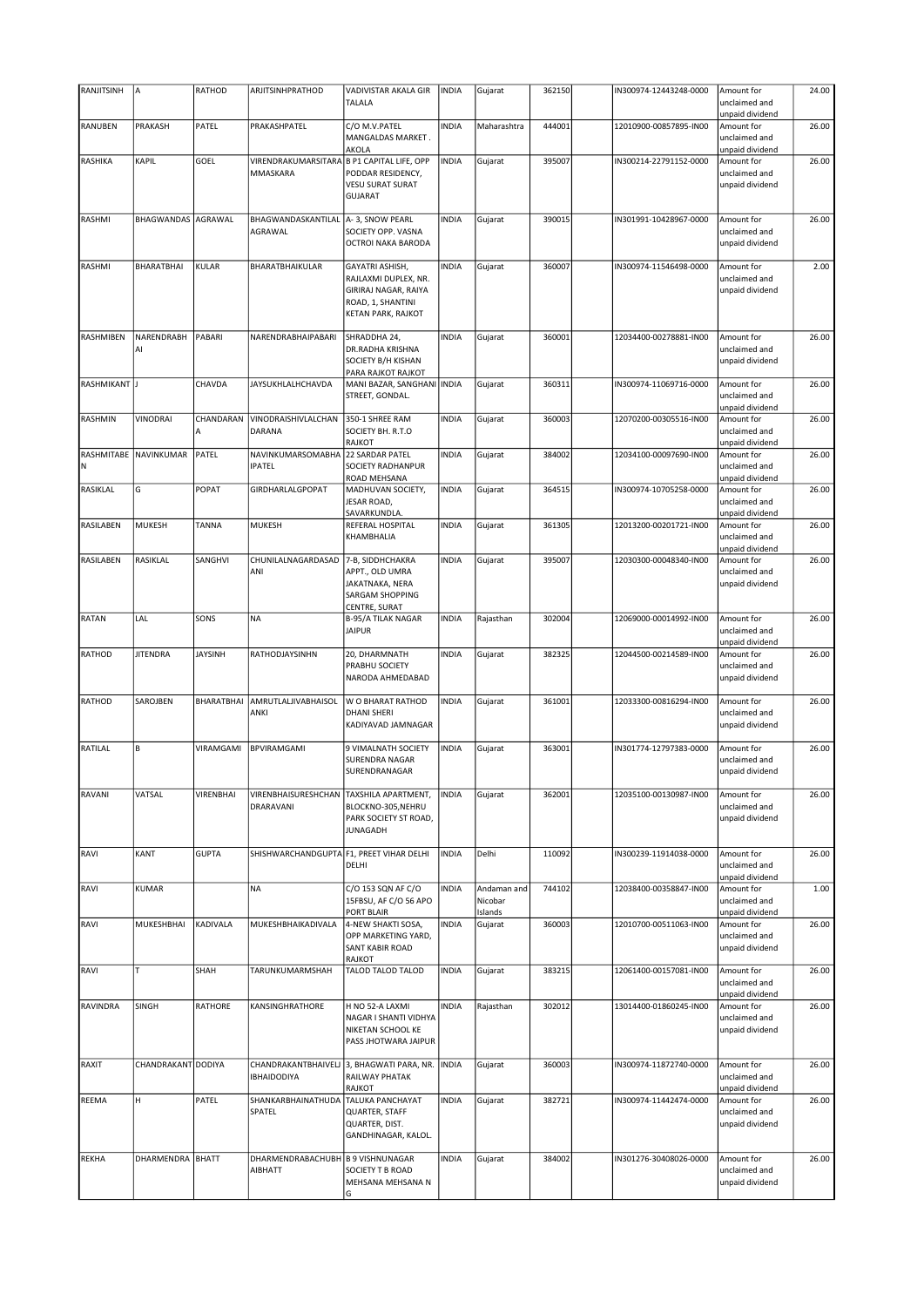| RANJITSINH    | A                     | RATHOD         | ARJITSINHPRATHOD                           | VADIVISTAR AKALA GIR                                                                                              | <b>INDIA</b> | Gujarat            | 362150 | IN300974-12443248-0000 | Amount for                                     | 24.00 |
|---------------|-----------------------|----------------|--------------------------------------------|-------------------------------------------------------------------------------------------------------------------|--------------|--------------------|--------|------------------------|------------------------------------------------|-------|
|               |                       |                |                                            | <b>TALALA</b>                                                                                                     |              |                    |        |                        | unclaimed and                                  |       |
|               |                       |                |                                            |                                                                                                                   |              |                    |        |                        | unpaid dividend                                |       |
| RANUBEN       | PRAKASH               | PATEL          | PRAKASHPATEL                               | C/O M.V.PATEL<br>MANGALDAS MARKET.<br>AKOLA                                                                       | <b>INDIA</b> | Maharashtra        | 444001 | 12010900-00857895-IN00 | Amount for<br>unclaimed and<br>unpaid dividend | 26.00 |
| RASHIKA       | KAPIL                 | GOEL           | VIRENDRAKUMARSITARA B P1 CAPITAL LIFE, OPP |                                                                                                                   | <b>INDIA</b> | Gujarat            | 395007 | IN300214-22791152-0000 | Amount for                                     | 26.00 |
|               |                       |                | MMASKARA                                   | PODDAR RESIDENCY,                                                                                                 |              |                    |        |                        | unclaimed and                                  |       |
|               |                       |                |                                            | <b>VESU SURAT SURAT</b><br><b>GUJARAT</b>                                                                         |              |                    |        |                        | unpaid dividend                                |       |
|               |                       |                |                                            |                                                                                                                   |              |                    |        |                        |                                                |       |
| RASHMI        | <b>BHAGWANDAS</b>     | AGRAWAL        | BHAGWANDASKANTILAL<br>AGRAWAL              | A-3, SNOW PEARL<br>SOCIETY OPP. VASNA<br>OCTROI NAKA BARODA                                                       | <b>INDIA</b> | Gujarat            | 390015 | IN301991-10428967-0000 | Amount for<br>unclaimed and<br>unpaid dividend | 26.00 |
|               |                       |                |                                            |                                                                                                                   |              |                    |        |                        |                                                |       |
| RASHMI        | <b>BHARATBHAI</b>     | <b>KULAR</b>   | BHARATBHAIKULAR                            | GAYATRI ASHISH,<br>RAJLAXMI DUPLEX, NR.<br><b>GIRIRAJ NAGAR, RAIYA</b><br>ROAD, 1, SHANTINI<br>KETAN PARK, RAJKOT | <b>INDIA</b> | Gujarat            | 360007 | IN300974-11546498-0000 | Amount for<br>unclaimed and<br>unpaid dividend | 2.00  |
| RASHMIBEN     | NARENDRABH            | PABARI         | NARENDRABHAIPABARI                         | SHRADDHA 24,                                                                                                      | <b>INDIA</b> | Gujarat            | 360001 | 12034400-00278881-IN00 | Amount for                                     | 26.00 |
|               | AI                    |                |                                            | DR.RADHA KRISHNA<br>SOCIETY B/H KISHAN                                                                            |              |                    |        |                        | unclaimed and<br>unpaid dividend               |       |
| RASHMIKANT J  |                       | CHAVDA         | JAYSUKHLALHCHAVDA                          | PARA RAJKOT RAJKOT<br>MANI BAZAR, SANGHANI INDIA                                                                  |              | Gujarat            | 360311 | IN300974-11069716-0000 | Amount for                                     | 26.00 |
|               |                       |                |                                            | STREET, GONDAL.                                                                                                   |              |                    |        |                        | unclaimed and<br>unpaid dividend               |       |
| RASHMIN       | <b>VINODRAI</b>       | CHANDARAN      | VINODRAISHIVLALCHAN                        | 350-1 SHREE RAM                                                                                                   | <b>INDIA</b> | Gujarat            | 360003 | 12070200-00305516-IN00 | Amount for                                     | 26.00 |
|               |                       | A              | DARANA                                     | SOCIETY BH. R.T.O<br><b>RAJKOT</b>                                                                                |              |                    |        |                        | unclaimed and<br>unpaid dividend               |       |
|               | RASHMITABE NAVINKUMAR | PATEL          | NAVINKUMARSOMABHA                          | 22 SARDAR PATEL                                                                                                   | <b>INDIA</b> | Gujarat            | 384002 | 12034100-00097690-IN00 | Amount for                                     | 26.00 |
| N             |                       |                | <b>IPATEL</b>                              | <b>SOCIETY RADHANPUR</b>                                                                                          |              |                    |        |                        | unclaimed and                                  |       |
|               |                       |                |                                            | ROAD MEHSANA                                                                                                      |              |                    |        |                        | unpaid dividend                                |       |
| RASIKLAL      | G                     | POPAT          | <b>GIRDHARLALGPOPAT</b>                    | MADHUVAN SOCIETY,<br>JESAR ROAD,<br>SAVARKUNDLA.                                                                  | <b>INDIA</b> | Gujarat            | 364515 | IN300974-10705258-0000 | Amount for<br>unclaimed and<br>unpaid dividend | 26.00 |
| RASILABEN     | <b>MUKESH</b>         | TANNA          | <b>MUKESH</b>                              | REFERAL HOSPITAL                                                                                                  | <b>INDIA</b> | Gujarat            | 361305 | 12013200-00201721-IN00 | Amount for                                     | 26.00 |
|               |                       |                |                                            | KHAMBHALIA                                                                                                        |              |                    |        |                        | unclaimed and<br>unpaid dividend               |       |
| RASILABEN     | RASIKLAL              | SANGHVI        | CHUNILALNAGARDASAD                         | 7-B, SIDDHCHAKRA                                                                                                  | <b>INDIA</b> | Gujarat            | 395007 | 12030300-00048340-IN00 | Amount for                                     | 26.00 |
|               |                       |                | ANI                                        | APPT., OLD UMRA<br>JAKATNAKA, NERA<br><b>SARGAM SHOPPING</b>                                                      |              |                    |        |                        | unclaimed and<br>unpaid dividend               |       |
| <b>RATAN</b>  | LAL                   | SONS           | <b>NA</b>                                  | CENTRE, SURAT<br><b>B-95/A TILAK NAGAR</b>                                                                        | <b>INDIA</b> | Rajasthan          | 302004 | 12069000-00014992-IN00 | Amount for                                     | 26.00 |
|               |                       |                |                                            | <b>JAIPUR</b>                                                                                                     |              |                    |        |                        | unclaimed and                                  |       |
| RATHOD        | <b>JITENDRA</b>       | <b>JAYSINH</b> | RATHODJAYSINHN                             | 20, DHARMNATH                                                                                                     | <b>INDIA</b> | Gujarat            | 382325 | 12044500-00214589-IN00 | unpaid dividend<br>Amount for                  | 26.00 |
|               |                       |                |                                            | PRABHU SOCIETY<br>NARODA AHMEDABAD                                                                                |              |                    |        |                        | unclaimed and<br>unpaid dividend               |       |
| <b>RATHOD</b> | SAROJBEN              | BHARATBHAI     | AMRUTLALJIVABHAISOL                        | W O BHARAT RATHOD                                                                                                 | <b>INDIA</b> | Gujarat            | 361001 | 12033300-00816294-IN00 | Amount for                                     | 26.00 |
|               |                       |                | ANKI                                       | <b>DHANI SHERI</b><br>KADIYAVAD JAMNAGAR                                                                          |              |                    |        |                        | unclaimed and<br>unpaid dividend               |       |
| RATILAL       | B                     | VIRAMGAMI      | <b>BPVIRAMGAMI</b>                         | 9 VIMALNATH SOCIETY                                                                                               | <b>INDIA</b> | Gujarat            | 363001 | IN301774-12797383-0000 | Amount for                                     | 26.00 |
|               |                       |                |                                            | <b>SURENDRA NAGAR</b><br>SURENDRANAGAR                                                                            |              |                    |        |                        | unclaimed and<br>unpaid dividend               |       |
| RAVANI        | VATSAL                | VIRENBHAI      | VIRENBHAISURESHCHAN                        | <b>TAXSHILA APARTMENT,</b>                                                                                        | <b>INDIA</b> | Gujarat            | 362001 | 12035100-00130987-IN00 | Amount for                                     | 26.00 |
|               |                       |                | DRARAVANI                                  | BLOCKNO-305,NEHRU<br>PARK SOCIETY ST ROAD,<br><b>JUNAGADH</b>                                                     |              |                    |        |                        | unclaimed and<br>unpaid dividend               |       |
| RAVI          | KANT                  | <b>GUPTA</b>   | SHISHWARCHANDGUPTA F1, PREET VIHAR DELHI   | DELHI                                                                                                             | <b>INDIA</b> | Delhi              | 110092 | IN300239-11914038-0000 | Amount for<br>unclaimed and                    | 26.00 |
| RAVI          | <b>KUMAR</b>          |                | <b>NA</b>                                  | C/O 153 SQN AF C/O                                                                                                | <b>INDIA</b> | Andaman and        | 744102 | 12038400-00358847-IN00 | unpaid dividend<br>Amount for                  | 1.00  |
|               |                       |                |                                            | 15FBSU, AF C/O 56 APO<br>PORT BLAIR                                                                               |              | Nicobar<br>Islands |        |                        | unclaimed and<br>unpaid dividend               |       |
| RAVI          | MUKESHBHAI            | KADIVALA       | MUKESHBHAIKADIVALA                         | 4-NEW SHAKTI SOSA,                                                                                                | <b>INDIA</b> | Gujarat            | 360003 | 12010700-00511063-IN00 | Amount for                                     | 26.00 |
|               |                       |                |                                            | OPP MARKETING YARD,<br><b>SANT KABIR ROAD</b>                                                                     |              |                    |        |                        | unclaimed and<br>unpaid dividend               |       |
| RAVI          | T                     | SHAH           | TARUNKUMARMSHAH                            | <b>RAJKOT</b><br>TALOD TALOD TALOD                                                                                | <b>INDIA</b> | Gujarat            | 383215 | 12061400-00157081-IN00 | Amount for                                     | 26.00 |
|               |                       |                |                                            |                                                                                                                   |              |                    |        |                        | unclaimed and<br>unpaid dividend               |       |
| RAVINDRA      | SINGH                 | RATHORE        | KANSINGHRATHORE                            | H NO 52-A LAXMI                                                                                                   | <b>INDIA</b> | Rajasthan          | 302012 | 13014400-01860245-IN00 | Amount for                                     | 26.00 |
|               |                       |                |                                            | NAGAR I SHANTI VIDHYA<br>NIKETAN SCHOOL KE<br>PASS JHOTWARA JAIPUR                                                |              |                    |        |                        | unclaimed and<br>unpaid dividend               |       |
| RAXIT         | CHANDRAKANT DODIYA    |                | CHANDRAKANTBHAIVELJ<br><b>IBHAIDODIYA</b>  | 3, BHAGWATI PARA, NR.<br><b>RAILWAY PHATAK</b><br>RAJKOT                                                          | <b>INDIA</b> | Gujarat            | 360003 | IN300974-11872740-0000 | Amount for<br>unclaimed and<br>unpaid dividend | 26.00 |
| REEMA         | н                     | PATEL          | SHANKARBHAINATHUDA                         | <b>TALUKA PANCHAYAT</b>                                                                                           | <b>INDIA</b> | Gujarat            | 382721 | IN300974-11442474-0000 | Amount for                                     | 26.00 |
|               |                       |                | SPATEL                                     | QUARTER, STAFF<br>QUARTER, DIST.<br>GANDHINAGAR, KALOL.                                                           |              |                    |        |                        | unclaimed and<br>unpaid dividend               |       |
| <b>REKHA</b>  | DHARMENDRA BHATT      |                | DHARMENDRABACHUBH                          | <b>B 9 VISHNUNAGAR</b>                                                                                            | <b>INDIA</b> | Gujarat            | 384002 | IN301276-30408026-0000 | Amount for                                     | 26.00 |
|               |                       |                | AIBHATT                                    | SOCIETY T B ROAD<br>MEHSANA MEHSANA N                                                                             |              |                    |        |                        | unclaimed and<br>unpaid dividend               |       |
|               |                       |                |                                            | lG.                                                                                                               |              |                    |        |                        |                                                |       |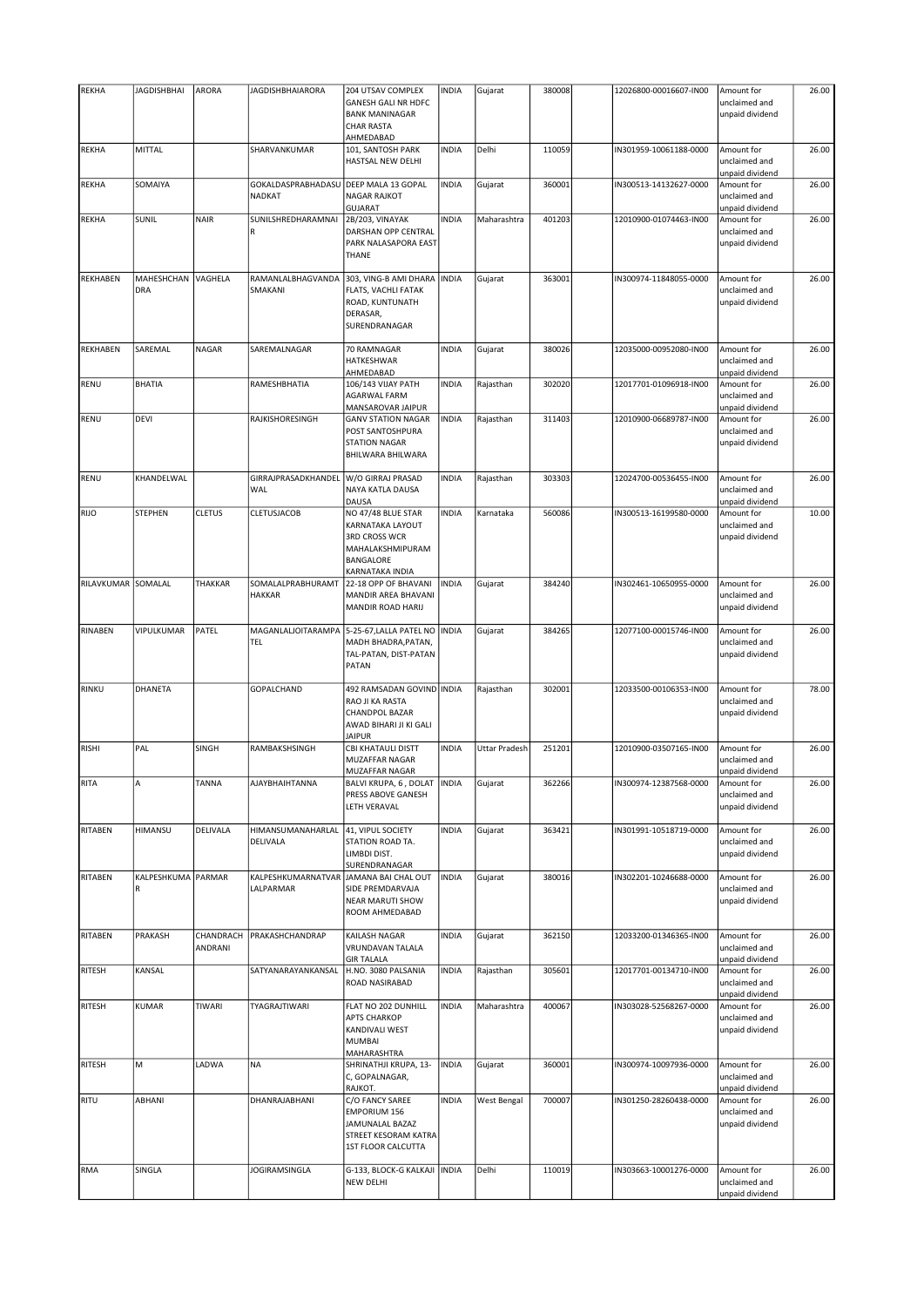| <b>REKHA</b>       | <b>JAGDISHBHAI</b> | ARORA          | JAGDISHBHAIARORA    | 204 UTSAV COMPLEX              | <b>INDIA</b> | Gujarat              | 380008 | 12026800-00016607-IN00 | Amount for      | 26.00 |
|--------------------|--------------------|----------------|---------------------|--------------------------------|--------------|----------------------|--------|------------------------|-----------------|-------|
|                    |                    |                |                     | <b>GANESH GALI NR HDFC</b>     |              |                      |        |                        | unclaimed and   |       |
|                    |                    |                |                     | <b>BANK MANINAGAR</b>          |              |                      |        |                        | unpaid dividend |       |
|                    |                    |                |                     | <b>CHAR RASTA</b>              |              |                      |        |                        |                 |       |
|                    |                    |                |                     | AHMEDABAD                      |              |                      |        |                        |                 |       |
| <b>REKHA</b>       | MITTAL             |                | SHARVANKUMAR        | 101, SANTOSH PARK              | <b>INDIA</b> | Delhi                | 110059 | IN301959-10061188-0000 | Amount for      | 26.00 |
|                    |                    |                |                     | HASTSAL NEW DELHI              |              |                      |        |                        | unclaimed and   |       |
|                    |                    |                |                     |                                |              |                      |        |                        | unpaid dividend |       |
| <b>REKHA</b>       | SOMAIYA            |                | GOKALDASPRABHADASU  | DEEP MALA 13 GOPAL             | <b>INDIA</b> | Gujarat              | 360001 | IN300513-14132627-0000 | Amount for      | 26.00 |
|                    |                    |                | <b>NADKAT</b>       | <b>NAGAR RAJKOT</b>            |              |                      |        |                        | unclaimed and   |       |
|                    |                    |                |                     | <b>GUJARAT</b>                 |              |                      |        |                        | unpaid dividend |       |
| <b>REKHA</b>       | SUNIL              | <b>NAIR</b>    | SUNILSHREDHARAMNAI  | 2B/203, VINAYAK                | <b>INDIA</b> | Maharashtra          | 401203 | 12010900-01074463-IN00 | Amount for      | 26.00 |
|                    |                    |                | R                   | DARSHAN OPP CENTRAL            |              |                      |        |                        | unclaimed and   |       |
|                    |                    |                |                     | PARK NALASAPORA EAST           |              |                      |        |                        | unpaid dividend |       |
|                    |                    |                |                     | THANE                          |              |                      |        |                        |                 |       |
|                    |                    |                |                     |                                |              |                      |        |                        |                 |       |
| <b>REKHABEN</b>    | MAHESHCHAN         | <b>VAGHELA</b> | RAMANLALBHAGVANDA   | 303, VING-B AMI DHARA          | <b>INDIA</b> | Gujarat              | 363001 | IN300974-11848055-0000 | Amount for      | 26.00 |
|                    | DRA                |                | SMAKANI             | FLATS, VACHLI FATAK            |              |                      |        |                        | unclaimed and   |       |
|                    |                    |                |                     | ROAD, KUNTUNATH                |              |                      |        |                        | unpaid dividend |       |
|                    |                    |                |                     | DERASAR,                       |              |                      |        |                        |                 |       |
|                    |                    |                |                     | SURENDRANAGAR                  |              |                      |        |                        |                 |       |
| <b>REKHABEN</b>    | SAREMAL            | NAGAR          | SAREMALNAGAR        | 70 RAMNAGAR                    | <b>INDIA</b> | Gujarat              | 380026 | 12035000-00952080-IN00 | Amount for      | 26.00 |
|                    |                    |                |                     | <b>HATKESHWAR</b>              |              |                      |        |                        | unclaimed and   |       |
|                    |                    |                |                     | AHMEDABAD                      |              |                      |        |                        | unpaid dividend |       |
| RENU               | <b>BHATIA</b>      |                | RAMESHBHATIA        | 106/143 VIJAY PATH             | <b>INDIA</b> | Rajasthan            | 302020 | 12017701-01096918-IN00 |                 | 26.00 |
|                    |                    |                |                     | AGARWAL FARM                   |              |                      |        |                        | Amount for      |       |
|                    |                    |                |                     |                                |              |                      |        |                        | unclaimed and   |       |
|                    |                    |                |                     | MANSAROVAR JAIPUR              |              |                      |        |                        | unpaid dividend |       |
| RENU               | DEVI               |                | RAJKISHORESINGH     | <b>GANV STATION NAGAR</b>      | <b>INDIA</b> | Rajasthan            | 311403 | 12010900-06689787-IN00 | Amount for      | 26.00 |
|                    |                    |                |                     | POST SANTOSHPURA               |              |                      |        |                        | unclaimed and   |       |
|                    |                    |                |                     | <b>STATION NAGAR</b>           |              |                      |        |                        | unpaid dividend |       |
|                    |                    |                |                     | BHILWARA BHILWARA              |              |                      |        |                        |                 |       |
|                    |                    |                |                     |                                |              |                      |        |                        |                 |       |
| <b>RENU</b>        | KHANDELWAL         |                | GIRRAJPRASADKHANDEL | W/O GIRRAJ PRASAD              | <b>INDIA</b> | Rajasthan            | 303303 | 12024700-00536455-IN00 | Amount for      | 26.00 |
|                    |                    |                | WAL                 | NAYA KATLA DAUSA               |              |                      |        |                        | unclaimed and   |       |
|                    |                    |                |                     | DAUSA                          |              |                      |        |                        | unpaid dividend |       |
| <b>RIJO</b>        | <b>STEPHEN</b>     | <b>CLETUS</b>  | <b>CLETUSJACOB</b>  | NO 47/48 BLUE STAR             | <b>INDIA</b> | Karnataka            | 560086 | IN300513-16199580-0000 | Amount for      | 10.00 |
|                    |                    |                |                     | KARNATAKA LAYOUT               |              |                      |        |                        | unclaimed and   |       |
|                    |                    |                |                     | <b>3RD CROSS WCR</b>           |              |                      |        |                        | unpaid dividend |       |
|                    |                    |                |                     | MAHALAKSHMIPURAM               |              |                      |        |                        |                 |       |
|                    |                    |                |                     | BANGALORE                      |              |                      |        |                        |                 |       |
|                    |                    |                |                     | KARNATAKA INDIA                |              |                      |        |                        |                 |       |
| RILAVKUMAR SOMALAL |                    | THAKKAR        | SOMALALPRABHURAMT   | 22-18 OPP OF BHAVANI           | <b>INDIA</b> | Gujarat              | 384240 | IN302461-10650955-0000 | Amount for      | 26.00 |
|                    |                    |                | HAKKAR              | MANDIR AREA BHAVANI            |              |                      |        |                        | unclaimed and   |       |
|                    |                    |                |                     | MANDIR ROAD HARIJ              |              |                      |        |                        | unpaid dividend |       |
|                    |                    |                |                     |                                |              |                      |        |                        |                 |       |
| RINABEN            | VIPULKUMAR         | PATEL          | MAGANLALJOITARAMPA  | 5-25-67, LALLA PATEL NO  INDIA |              | Gujarat              | 384265 | 12077100-00015746-IN00 | Amount for      | 26.00 |
|                    |                    |                | TEL                 | MADH BHADRA, PATAN,            |              |                      |        |                        | unclaimed and   |       |
|                    |                    |                |                     | TAL-PATAN, DIST-PATAN          |              |                      |        |                        | unpaid dividend |       |
|                    |                    |                |                     | PATAN                          |              |                      |        |                        |                 |       |
|                    |                    |                |                     |                                |              |                      |        |                        |                 |       |
| RINKU              | DHANETA            |                | GOPALCHAND          | 492 RAMSADAN GOVIND INDIA      |              | Rajasthan            | 302001 | 12033500-00106353-IN00 | Amount for      | 78.00 |
|                    |                    |                |                     | RAO JI KA RASTA                |              |                      |        |                        | unclaimed and   |       |
|                    |                    |                |                     | <b>CHANDPOL BAZAR</b>          |              |                      |        |                        | unpaid dividend |       |
|                    |                    |                |                     | AWAD BIHARI JI KI GALI         |              |                      |        |                        |                 |       |
|                    |                    |                |                     | <b>JAIPUR</b>                  |              |                      |        |                        |                 |       |
| <b>RISHI</b>       | PAL                | SINGH          | RAMBAKSHSINGH       | CBI KHATAULI DISTT             | <b>INDIA</b> | <b>Uttar Pradesh</b> | 251201 | 12010900-03507165-IN00 | Amount for      | 26.00 |
|                    |                    |                |                     | <b>MUZAFFAR NAGAR</b>          |              |                      |        |                        | unclaimed and   |       |
|                    |                    |                |                     | MUZAFFAR NAGAR                 |              |                      |        |                        | unpaid dividend |       |
| RITA               | Α                  | TANNA          | AJAYBHAIHTANNA      | BALVI KRUPA, 6, DOLAT   INDIA  |              | Gujarat              | 362266 | IN300974-12387568-0000 | Amount for      | 26.00 |
|                    |                    |                |                     | PRESS ABOVE GANESH             |              |                      |        |                        | unclaimed and   |       |
|                    |                    |                |                     | LETH VERAVAL                   |              |                      |        |                        | unpaid dividend |       |
|                    |                    |                |                     |                                |              |                      |        |                        |                 |       |
| RITABEN            | HIMANSU            | DELIVALA       | HIMANSUMANAHARLAL   | 41, VIPUL SOCIETY              | <b>INDIA</b> | Gujarat              | 363421 | IN301991-10518719-0000 | Amount for      | 26.00 |
|                    |                    |                | DELIVALA            | STATION ROAD TA.               |              |                      |        |                        | unclaimed and   |       |
|                    |                    |                |                     | LIMBDI DIST.                   |              |                      |        |                        | unpaid dividend |       |
|                    |                    |                |                     | SURENDRANAGAR                  |              |                      |        |                        |                 |       |
| RITABEN            | KALPESHKUMA PARMAR |                | KALPESHKUMARNATVAR  | JAMANA BAI CHAL OUT            | <b>INDIA</b> | Gujarat              | 380016 | IN302201-10246688-0000 | Amount for      | 26.00 |
|                    | R                  |                | LALPARMAR           | SIDE PREMDARVAJA               |              |                      |        |                        | unclaimed and   |       |
|                    |                    |                |                     | NEAR MARUTI SHOW               |              |                      |        |                        | unpaid dividend |       |
|                    |                    |                |                     | ROOM AHMEDABAD                 |              |                      |        |                        |                 |       |
|                    |                    |                |                     |                                |              |                      |        |                        |                 |       |
| RITABEN            | PRAKASH            | CHANDRACH      | PRAKASHCHANDRAP     | KAILASH NAGAR                  | <b>INDIA</b> | Gujarat              | 362150 | 12033200-01346365-IN00 | Amount for      | 26.00 |
|                    |                    | ANDRANI        |                     | VRUNDAVAN TALALA               |              |                      |        |                        | unclaimed and   |       |
|                    |                    |                |                     | <b>GIR TALALA</b>              |              |                      |        |                        | unpaid dividend |       |
| <b>RITESH</b>      | KANSAL             |                | SATYANARAYANKANSAL  | H.NO. 3080 PALSANIA            | <b>INDIA</b> | Rajasthan            | 305601 | 12017701-00134710-IN00 | Amount for      | 26.00 |
|                    |                    |                |                     | ROAD NASIRABAD                 |              |                      |        |                        | unclaimed and   |       |
|                    |                    |                |                     |                                |              |                      |        |                        | unpaid dividend |       |
| <b>RITESH</b>      | <b>KUMAR</b>       | TIWARI         | TYAGRAJTIWARI       | FLAT NO 202 DUNHILL            | <b>INDIA</b> | Maharashtra          | 400067 | IN303028-52568267-0000 | Amount for      | 26.00 |
|                    |                    |                |                     | <b>APTS CHARKOP</b>            |              |                      |        |                        | unclaimed and   |       |
|                    |                    |                |                     | KANDIVALI WEST                 |              |                      |        |                        | unpaid dividend |       |
|                    |                    |                |                     | <b>MUMBAI</b>                  |              |                      |        |                        |                 |       |
|                    |                    |                |                     | MAHARASHTRA                    |              |                      |        |                        |                 |       |
| <b>RITESH</b>      | M                  | LADWA          | <b>NA</b>           | SHRINATHJI KRUPA, 13-          | <b>INDIA</b> | Gujarat              | 360001 | IN300974-10097936-0000 | Amount for      | 26.00 |
|                    |                    |                |                     | C, GOPALNAGAR,                 |              |                      |        |                        | unclaimed and   |       |
|                    |                    |                |                     | RAJKOT.                        |              |                      |        |                        | unpaid dividend |       |
| RITU               | ABHANI             |                | DHANRAJABHANI       | C/O FANCY SAREE                | <b>INDIA</b> | West Bengal          | 700007 | IN301250-28260438-0000 | Amount for      | 26.00 |
|                    |                    |                |                     |                                |              |                      |        |                        |                 |       |
|                    |                    |                |                     | <b>EMPORIUM 156</b>            |              |                      |        |                        | unclaimed and   |       |
|                    |                    |                |                     | JAMUNALAL BAZAZ                |              |                      |        |                        | unpaid dividend |       |
|                    |                    |                |                     | STREET KESORAM KATRA           |              |                      |        |                        |                 |       |
|                    |                    |                |                     | 1ST FLOOR CALCUTTA             |              |                      |        |                        |                 |       |
|                    |                    |                |                     |                                |              |                      |        |                        |                 |       |
| <b>RMA</b>         | SINGLA             |                | JOGIRAMSINGLA       | G-133, BLOCK-G KALKAJI   INDIA |              | Delhi                | 110019 | IN303663-10001276-0000 | Amount for      | 26.00 |
|                    |                    |                |                     | <b>NEW DELHI</b>               |              |                      |        |                        | unclaimed and   |       |
|                    |                    |                |                     |                                |              |                      |        |                        | unpaid dividend |       |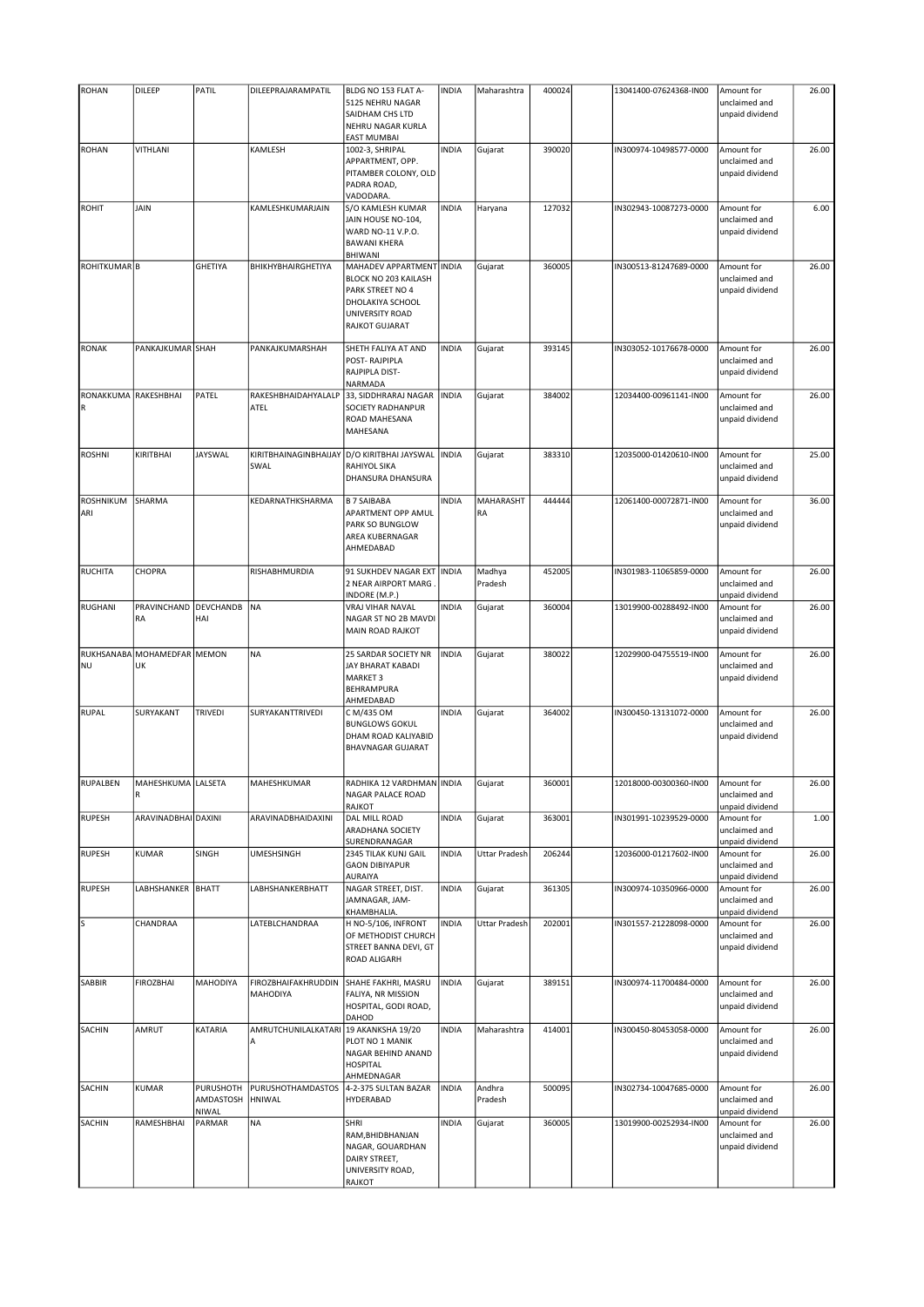| <b>ROHAN</b>            | DILEEP                | PATIL          | DILEEPRAJARAMPATIL                    | BLDG NO 153 FLAT A-                               | <b>INDIA</b> | Maharashtra          | 400024 | 13041400-07624368-IN00 | Amount for                       | 26.00 |
|-------------------------|-----------------------|----------------|---------------------------------------|---------------------------------------------------|--------------|----------------------|--------|------------------------|----------------------------------|-------|
|                         |                       |                |                                       | 5125 NEHRU NAGAR                                  |              |                      |        |                        | unclaimed and                    |       |
|                         |                       |                |                                       | SAIDHAM CHS LTD                                   |              |                      |        |                        | unpaid dividend                  |       |
|                         |                       |                |                                       | NEHRU NAGAR KURLA                                 |              |                      |        |                        |                                  |       |
|                         | VITHLANI              |                |                                       | <b>EAST MUMBAI</b>                                | <b>INDIA</b> |                      |        |                        |                                  |       |
| <b>ROHAN</b>            |                       |                | KAMLESH                               | 1002-3, SHRIPAL<br>APPARTMENT, OPP.               |              | Gujarat              | 390020 | IN300974-10498577-0000 | Amount for<br>unclaimed and      | 26.00 |
|                         |                       |                |                                       | PITAMBER COLONY, OLD                              |              |                      |        |                        | unpaid dividend                  |       |
|                         |                       |                |                                       | PADRA ROAD,                                       |              |                      |        |                        |                                  |       |
|                         |                       |                |                                       | VADODARA.                                         |              |                      |        |                        |                                  |       |
| <b>ROHIT</b>            | JAIN                  |                | KAMLESHKUMARJAIN                      | S/O KAMLESH KUMAR                                 | <b>INDIA</b> | Haryana              | 127032 | IN302943-10087273-0000 | Amount for                       | 6.00  |
|                         |                       |                |                                       | JAIN HOUSE NO-104,                                |              |                      |        |                        | unclaimed and                    |       |
|                         |                       |                |                                       | WARD NO-11 V.P.O.                                 |              |                      |        |                        | unpaid dividend                  |       |
|                         |                       |                |                                       | <b>BAWANI KHERA</b>                               |              |                      |        |                        |                                  |       |
| ROHITKUMAR <sup>B</sup> |                       | <b>GHETIYA</b> | BHIKHYBHAIRGHETIYA                    | <b>BHIWANI</b><br>MAHADEV APPARTMENT INDIA        |              | Gujarat              | 360005 | IN300513-81247689-0000 | Amount for                       | 26.00 |
|                         |                       |                |                                       | BLOCK NO 203 KAILASH                              |              |                      |        |                        | unclaimed and                    |       |
|                         |                       |                |                                       | PARK STREET NO 4                                  |              |                      |        |                        | unpaid dividend                  |       |
|                         |                       |                |                                       | DHOLAKIYA SCHOOL                                  |              |                      |        |                        |                                  |       |
|                         |                       |                |                                       | <b>UNIVERSITY ROAD</b>                            |              |                      |        |                        |                                  |       |
|                         |                       |                |                                       | <b>RAJKOT GUJARAT</b>                             |              |                      |        |                        |                                  |       |
|                         |                       |                |                                       |                                                   |              |                      |        |                        |                                  |       |
| <b>RONAK</b>            | PANKAJKUMAR SHAH      |                | PANKAJKUMARSHAH                       | SHETH FALIYA AT AND                               | <b>INDIA</b> | Gujarat              | 393145 | IN303052-10176678-0000 | Amount for                       | 26.00 |
|                         |                       |                |                                       | POST-RAJPIPLA<br>RAJPIPLA DIST-                   |              |                      |        |                        | unclaimed and<br>unpaid dividend |       |
|                         |                       |                |                                       | NARMADA                                           |              |                      |        |                        |                                  |       |
| RONAKKUMA RAKESHBHAI    |                       | PATEL          | RAKESHBHAIDAHYALALP                   | 33, SIDDHRARAJ NAGAR                              | <b>INDIA</b> | Gujarat              | 384002 | 12034400-00961141-IN00 | Amount for                       | 26.00 |
|                         |                       |                | ATEL                                  | <b>SOCIETY RADHANPUR</b>                          |              |                      |        |                        | unclaimed and                    |       |
|                         |                       |                |                                       | ROAD MAHESANA                                     |              |                      |        |                        | unpaid dividend                  |       |
|                         |                       |                |                                       | MAHESANA                                          |              |                      |        |                        |                                  |       |
|                         |                       |                |                                       |                                                   |              |                      |        |                        |                                  |       |
| <b>ROSHNI</b>           | KIRITBHAI             | <b>JAYSWAL</b> |                                       | KIRITBHAINAGINBHAIJAY D/O KIRITBHAI JAYSWAL INDIA |              | Gujarat              | 383310 | 12035000-01420610-IN00 | Amount for                       | 25.00 |
|                         |                       |                | SWAL                                  | RAHIYOL SIKA                                      |              |                      |        |                        | unclaimed and                    |       |
|                         |                       |                |                                       | DHANSURA DHANSURA                                 |              |                      |        |                        | unpaid dividend                  |       |
| ROSHNIKUM               | SHARMA                |                | KEDARNATHKSHARMA                      | <b>B 7 SAIBABA</b>                                | <b>INDIA</b> | MAHARASHT            | 444444 | 12061400-00072871-IN00 | Amount for                       | 36.00 |
| ARI                     |                       |                |                                       | APARTMENT OPP AMUL                                |              | RA                   |        |                        | unclaimed and                    |       |
|                         |                       |                |                                       | PARK SO BUNGLOW                                   |              |                      |        |                        | unpaid dividend                  |       |
|                         |                       |                |                                       | AREA KUBERNAGAR                                   |              |                      |        |                        |                                  |       |
|                         |                       |                |                                       | AHMEDABAD                                         |              |                      |        |                        |                                  |       |
|                         |                       |                |                                       |                                                   |              |                      |        |                        |                                  |       |
| <b>RUCHITA</b>          | CHOPRA                |                | RISHABHMURDIA                         | 91 SUKHDEV NAGAR EXT                              | <b>INDIA</b> | Madhya               | 452005 | IN301983-11065859-0000 | Amount for                       | 26.00 |
|                         |                       |                |                                       | 2 NEAR AIRPORT MARG                               |              | Pradesh              |        |                        | unclaimed and                    |       |
| RUGHANI                 | PRAVINCHAND           | DEVCHANDB      | NA                                    | INDORE (M.P.)<br>VRAJ VIHAR NAVAL                 | <b>INDIA</b> |                      | 360004 | 13019900-00288492-IN00 | unpaid dividend<br>Amount for    | 26.00 |
|                         | RA                    | HAI            |                                       | NAGAR ST NO 2B MAVDI                              |              | Gujarat              |        |                        | unclaimed and                    |       |
|                         |                       |                |                                       | MAIN ROAD RAJKOT                                  |              |                      |        |                        | unpaid dividend                  |       |
|                         |                       |                |                                       |                                                   |              |                      |        |                        |                                  |       |
|                         | RUKHSANABA MOHAMEDFAR | MEMON          | <b>NA</b>                             | 25 SARDAR SOCIETY NR                              | <b>INDIA</b> | Gujarat              | 380022 | 12029900-04755519-IN00 | Amount for                       | 26.00 |
| <b>NU</b>               | UK                    |                |                                       | JAY BHARAT KABADI                                 |              |                      |        |                        | unclaimed and                    |       |
|                         |                       |                |                                       | MARKET 3                                          |              |                      |        |                        | unpaid dividend                  |       |
|                         |                       |                |                                       | <b>BEHRAMPURA</b>                                 |              |                      |        |                        |                                  |       |
|                         |                       |                |                                       | AHMEDABAD                                         |              |                      |        |                        |                                  |       |
| <b>RUPAL</b>            | SURYAKANT             | TRIVEDI        | SURYAKANTTRIVEDI                      | C M/435 OM<br><b>BUNGLOWS GOKUL</b>               | <b>INDIA</b> | Gujarat              | 364002 | IN300450-13131072-0000 | Amount for<br>unclaimed and      | 26.00 |
|                         |                       |                |                                       | DHAM ROAD KALIYABID                               |              |                      |        |                        | unpaid dividend                  |       |
|                         |                       |                |                                       | <b>BHAVNAGAR GUJARAT</b>                          |              |                      |        |                        |                                  |       |
|                         |                       |                |                                       |                                                   |              |                      |        |                        |                                  |       |
|                         |                       |                |                                       |                                                   |              |                      |        |                        |                                  |       |
| RUPALBEN                | MAHESHKUMA   LALSETA  |                | MAHESHKUMAR                           | RADHIKA 12 VARDHMAN INDIA                         |              | Gujarat              | 360001 | 12018000-00300360-IN00 | Amount for                       | 26.00 |
|                         | ${\sf R}$             |                |                                       | NAGAR PALACE ROAD                                 |              |                      |        |                        | unclaimed and                    |       |
| <b>RUPESH</b>           | ARAVINADBHAI DAXINI   |                |                                       | RAJKOT<br>DAL MILL ROAD                           |              | Gujarat              |        |                        | unpaid dividend                  | 1.00  |
|                         |                       |                | ARAVINADBHAIDAXINI                    | ARADHANA SOCIETY                                  | <b>INDIA</b> |                      | 363001 | IN301991-10239529-0000 | Amount for<br>unclaimed and      |       |
|                         |                       |                |                                       | SURENDRANAGAR                                     |              |                      |        |                        | unpaid dividend                  |       |
| <b>RUPESH</b>           | <b>KUMAR</b>          | SINGH          | <b>UMESHSINGH</b>                     | 2345 TILAK KUNJ GAIL                              | <b>INDIA</b> | Uttar Pradesh        | 206244 | 12036000-01217602-IN00 | Amount for                       | 26.00 |
|                         |                       |                |                                       | <b>GAON DIBIYAPUR</b>                             |              |                      |        |                        | unclaimed and                    |       |
|                         |                       |                |                                       | AURAIYA                                           |              |                      |        |                        | unpaid dividend                  |       |
| <b>RUPESH</b>           | LABHSHANKER BHATT     |                | LABHSHANKERBHATT                      | NAGAR STREET, DIST.                               | <b>INDIA</b> | Gujarat              | 361305 | IN300974-10350966-0000 | Amount for                       | 26.00 |
|                         |                       |                |                                       | JAMNAGAR, JAM-                                    |              |                      |        |                        | unclaimed and                    |       |
|                         |                       |                |                                       | KHAMBHALIA.                                       |              |                      |        | IN301557-21228098-0000 | unpaid dividend                  |       |
| s                       | CHANDRAA              |                | LATEBLCHANDRAA                        | H NO-5/106, INFRONT<br>OF METHODIST CHURCH        | <b>INDIA</b> | <b>Uttar Pradesh</b> | 202001 |                        | Amount for<br>unclaimed and      | 26.00 |
|                         |                       |                |                                       | STREET BANNA DEVI, GT                             |              |                      |        |                        | unpaid dividend                  |       |
|                         |                       |                |                                       | ROAD ALIGARH                                      |              |                      |        |                        |                                  |       |
|                         |                       |                |                                       |                                                   |              |                      |        |                        |                                  |       |
| SABBIR                  | <b>FIROZBHAI</b>      | MAHODIYA       | FIROZBHAIFAKHRUDDIN                   | SHAHE FAKHRI, MASRU                               | <b>INDIA</b> | Gujarat              | 389151 | IN300974-11700484-0000 | Amount for                       | 26.00 |
|                         |                       |                | MAHODIYA                              | FALIYA, NR MISSION                                |              |                      |        |                        | unclaimed and                    |       |
|                         |                       |                |                                       | HOSPITAL, GODI ROAD,                              |              |                      |        |                        | unpaid dividend                  |       |
|                         |                       |                |                                       | DAHOD                                             |              |                      |        |                        |                                  |       |
| SACHIN                  | AMRUT                 | KATARIA        | AMRUTCHUNILALKATARI 19 AKANKSHA 19/20 |                                                   | <b>INDIA</b> | Maharashtra          | 414001 | IN300450-80453058-0000 | Amount for                       | 26.00 |
|                         |                       |                | Α                                     | PLOT NO 1 MANIK<br>NAGAR BEHIND ANAND             |              |                      |        |                        | unclaimed and<br>unpaid dividend |       |
|                         |                       |                |                                       | <b>HOSPITAL</b>                                   |              |                      |        |                        |                                  |       |
|                         |                       |                |                                       | AHMEDNAGAR                                        |              |                      |        |                        |                                  |       |
| SACHIN                  | KUMAR                 | PURUSHOTH      | PURUSHOTHAMDASTOS                     | 4-2-375 SULTAN BAZAR                              | <b>INDIA</b> | Andhra               | 500095 | IN302734-10047685-0000 | Amount for                       | 26.00 |
|                         |                       | AMDASTOSH      | HNIWAL                                | <b>HYDERABAD</b>                                  |              | Pradesh              |        |                        | unclaimed and                    |       |
|                         |                       | NIWAL          |                                       |                                                   |              |                      |        |                        | unpaid dividend                  |       |
| SACHIN                  | RAMESHBHAI            | PARMAR         | <b>NA</b>                             | SHRI                                              | <b>INDIA</b> | Gujarat              | 360005 | 13019900-00252934-IN00 | Amount for                       | 26.00 |
|                         |                       |                |                                       | RAM, BHIDBHANJAN                                  |              |                      |        |                        | unclaimed and                    |       |
|                         |                       |                |                                       | NAGAR, GOUARDHAN                                  |              |                      |        |                        | unpaid dividend                  |       |
|                         |                       |                |                                       | DAIRY STREET,<br>UNIVERSITY ROAD,                 |              |                      |        |                        |                                  |       |
|                         |                       |                |                                       | RAJKOT                                            |              |                      |        |                        |                                  |       |
|                         |                       |                |                                       |                                                   |              |                      |        |                        |                                  |       |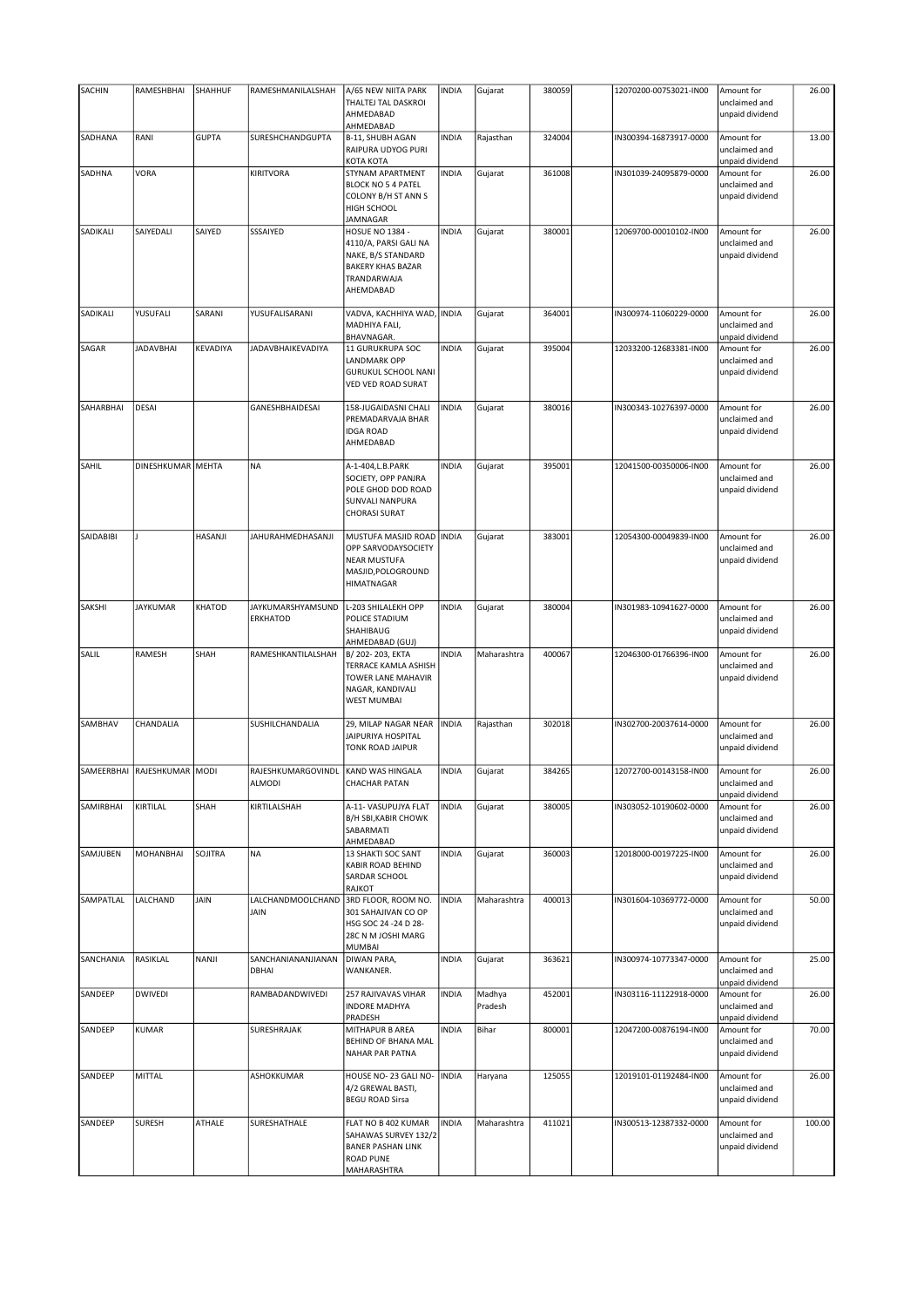| SACHIN    | RAMESHBHAI                  | SHAHHUF      | RAMESHMANILALSHAH                    | A/65 NEW NIITA PARK                                                                                                           | <b>INDIA</b> | Gujarat           | 380059 | 12070200-00753021-IN00 | Amount for                                     | 26.00  |
|-----------|-----------------------------|--------------|--------------------------------------|-------------------------------------------------------------------------------------------------------------------------------|--------------|-------------------|--------|------------------------|------------------------------------------------|--------|
|           |                             |              |                                      | THALTEJ TAL DASKROI<br>AHMEDABAD<br>AHMEDABAD                                                                                 |              |                   |        |                        | unclaimed and<br>unpaid dividend               |        |
| SADHANA   | RANI                        | <b>GUPTA</b> | SURESHCHANDGUPTA                     | B-11, SHUBH AGAN<br>RAIPURA UDYOG PURI<br>КОТА КОТА                                                                           | <b>INDIA</b> | Rajasthan         | 324004 | IN300394-16873917-0000 | Amount for<br>unclaimed and<br>unpaid dividend | 13.00  |
| SADHNA    | VORA                        |              | <b>KIRITVORA</b>                     | STYNAM APARTMENT<br><b>BLOCK NO 5 4 PATEL</b><br>COLONY B/H ST ANN S<br>HIGH SCHOOL<br>JAMNAGAR                               | <b>INDIA</b> | Gujarat           | 361008 | IN301039-24095879-0000 | Amount for<br>unclaimed and<br>unpaid dividend | 26.00  |
| SADIKALI  | SAIYEDALI                   | SAIYED       | SSSAIYED                             | <b>HOSUE NO 1384 -</b><br>4110/A, PARSI GALI NA<br>NAKE, B/S STANDARD<br><b>BAKERY KHAS BAZAR</b><br>TRANDARWAJA<br>AHEMDABAD | <b>INDIA</b> | Gujarat           | 380001 | 12069700-00010102-IN00 | Amount for<br>unclaimed and<br>unpaid dividend | 26.00  |
| SADIKALI  | YUSUFALI                    | SARANI       | YUSUFALISARANI                       | VADVA, KACHHIYA WAD, INDIA<br>MADHIYA FALI,<br>BHAVNAGAR.                                                                     |              | Gujarat           | 364001 | IN300974-11060229-0000 | Amount for<br>unclaimed and<br>unpaid dividend | 26.00  |
| SAGAR     | <b>JADAVBHAI</b>            | KEVADIYA     | JADAVBHAIKEVADIYA                    | 11 GURUKRUPA SOC<br><b>LANDMARK OPP</b><br><b>GURUKUL SCHOOL NANI</b><br>VED VED ROAD SURAT                                   | <b>INDIA</b> | Gujarat           | 395004 | 12033200-12683381-IN00 | Amount for<br>unclaimed and<br>unpaid dividend | 26.00  |
| SAHARBHAI | <b>DESAI</b>                |              | GANESHBHAIDESAI                      | 158-JUGAIDASNI CHALI<br>PREMADARVAJA BHAR<br><b>IDGA ROAD</b><br>AHMEDABAD                                                    | <b>INDIA</b> | Gujarat           | 380016 | IN300343-10276397-0000 | Amount for<br>unclaimed and<br>unpaid dividend | 26.00  |
| SAHIL     | DINESHKUMAR MEHTA           |              | <b>NA</b>                            | A-1-404, L.B. PARK<br>SOCIETY, OPP PANJRA<br>POLE GHOD DOD ROAD<br>SUNVALI NANPURA<br><b>CHORASI SURAT</b>                    | <b>INDIA</b> | Gujarat           | 395001 | 12041500-00350006-IN00 | Amount for<br>unclaimed and<br>unpaid dividend | 26.00  |
| SAIDABIBI |                             | HASANJI      | JAHURAHMEDHASANJI                    | MUSTUFA MASJID ROAD   INDIA<br>OPP SARVODAYSOCIETY<br><b>NEAR MUSTUFA</b><br>MASJID, POLOGROUND<br><b>HIMATNAGAR</b>          |              | Gujarat           | 383001 | 12054300-00049839-IN00 | Amount for<br>unclaimed and<br>unpaid dividend | 26.00  |
| SAKSHI    | <b>JAYKUMAR</b>             | KHATOD       | JAYKUMARSHYAMSUND<br><b>ERKHATOD</b> | L-203 SHILALEKH OPP<br>POLICE STADIUM<br>SHAHIBAUG<br>AHMEDABAD (GUJ)                                                         | <b>INDIA</b> | Gujarat           | 380004 | IN301983-10941627-0000 | Amount for<br>unclaimed and<br>unpaid dividend | 26.00  |
| SALIL     | RAMESH                      | SHAH         | RAMESHKANTILALSHAH                   | B/202-203, EKTA<br>TERRACE KAMLA ASHISH<br>TOWER LANE MAHAVIR<br>NAGAR, KANDIVALI<br><b>WEST MUMBAI</b>                       | <b>INDIA</b> | Maharashtra       | 400067 | 12046300-01766396-IN00 | Amount for<br>unclaimed and<br>unpaid dividend | 26.00  |
| SAMBHAV   | CHANDALIA                   |              | SUSHILCHANDALIA                      | 29, MILAP NAGAR NEAR<br>JAIPURIYA HOSPITAL<br>TONK ROAD JAIPUR                                                                | <b>INDIA</b> | Rajasthan         | 302018 | IN302700-20037614-0000 | Amount for<br>unclaimed and<br>unpaid dividend | 26.00  |
|           | SAMEERBHAI RAJESHKUMAR MODI |              | RAJESHKUMARGOVINDL<br><b>ALMODI</b>  | KAND WAS HINGALA<br><b>CHACHAR PATAN</b>                                                                                      | <b>INDIA</b> | Gujarat           | 384265 | 12072700-00143158-IN00 | Amount for<br>unclaimed and<br>unpaid dividend | 26.00  |
| SAMIRBHAI | KIRTILAL                    | SHAH         | KIRTILALSHAH                         | A-11- VASUPUJYA FLAT<br><b>B/H SBI, KABIR CHOWK</b><br>SABARMATI<br>AHMEDABAD                                                 | <b>INDIA</b> | Gujarat           | 380005 | IN303052-10190602-0000 | Amount for<br>unclaimed and<br>unpaid dividend | 26.00  |
| SAMJUBEN  | <b>MOHANBHAI</b>            | SOJITRA      | <b>NA</b>                            | 13 SHAKTI SOC SANT<br>KABIR ROAD BEHIND<br><b>SARDAR SCHOOL</b><br><b>RAJKOT</b>                                              | <b>INDIA</b> | Gujarat           | 360003 | 12018000-00197225-IN00 | Amount for<br>unclaimed and<br>unpaid dividend | 26.00  |
| SAMPATLAL | LALCHAND                    | JAIN         | LALCHANDMOOLCHAND<br>JAIN            | 3RD FLOOR, ROOM NO.<br>301 SAHAJIVAN CO OP<br>HSG SOC 24 -24 D 28-<br>28C N M JOSHI MARG<br><b>MUMBAI</b>                     | <b>INDIA</b> | Maharashtra       | 400013 | IN301604-10369772-0000 | Amount for<br>unclaimed and<br>unpaid dividend | 50.00  |
| SANCHANIA | RASIKLAL                    | NANJI        | SANCHANIANANJIANAN<br>DBHAI          | DIWAN PARA,<br>WANKANER.                                                                                                      | <b>INDIA</b> | Gujarat           | 363621 | IN300974-10773347-0000 | Amount for<br>unclaimed and<br>unpaid dividend | 25.00  |
| SANDEEP   | <b>DWIVEDI</b>              |              | RAMBADANDWIVEDI                      | 257 RAJIVAVAS VIHAR<br><b>INDORE MADHYA</b><br>PRADESH                                                                        | <b>INDIA</b> | Madhya<br>Pradesh | 452001 | IN303116-11122918-0000 | Amount for<br>unclaimed and<br>unpaid dividend | 26.00  |
| SANDEEP   | <b>KUMAR</b>                |              | SURESHRAJAK                          | MITHAPUR B AREA<br><b>BEHIND OF BHANA MAL</b><br>NAHAR PAR PATNA                                                              | <b>INDIA</b> | Bihar             | 800001 | 12047200-00876194-IN00 | Amount for<br>unclaimed and<br>unpaid dividend | 70.00  |
| SANDEEP   | MITTAL                      |              | ASHOKKUMAR                           | HOUSE NO- 23 GALI NO-<br>4/2 GREWAL BASTI,<br><b>BEGU ROAD Sirsa</b>                                                          | <b>INDIA</b> | Haryana           | 125055 | 12019101-01192484-IN00 | Amount for<br>unclaimed and<br>unpaid dividend | 26.00  |
| SANDEEP   | <b>SURESH</b>               | ATHALE       | SURESHATHALE                         | FLAT NO B 402 KUMAR<br>SAHAWAS SURVEY 132/2<br><b>BANER PASHAN LINK</b><br><b>ROAD PUNE</b><br>MAHARASHTRA                    | <b>INDIA</b> | Maharashtra       | 411021 | IN300513-12387332-0000 | Amount for<br>unclaimed and<br>unpaid dividend | 100.00 |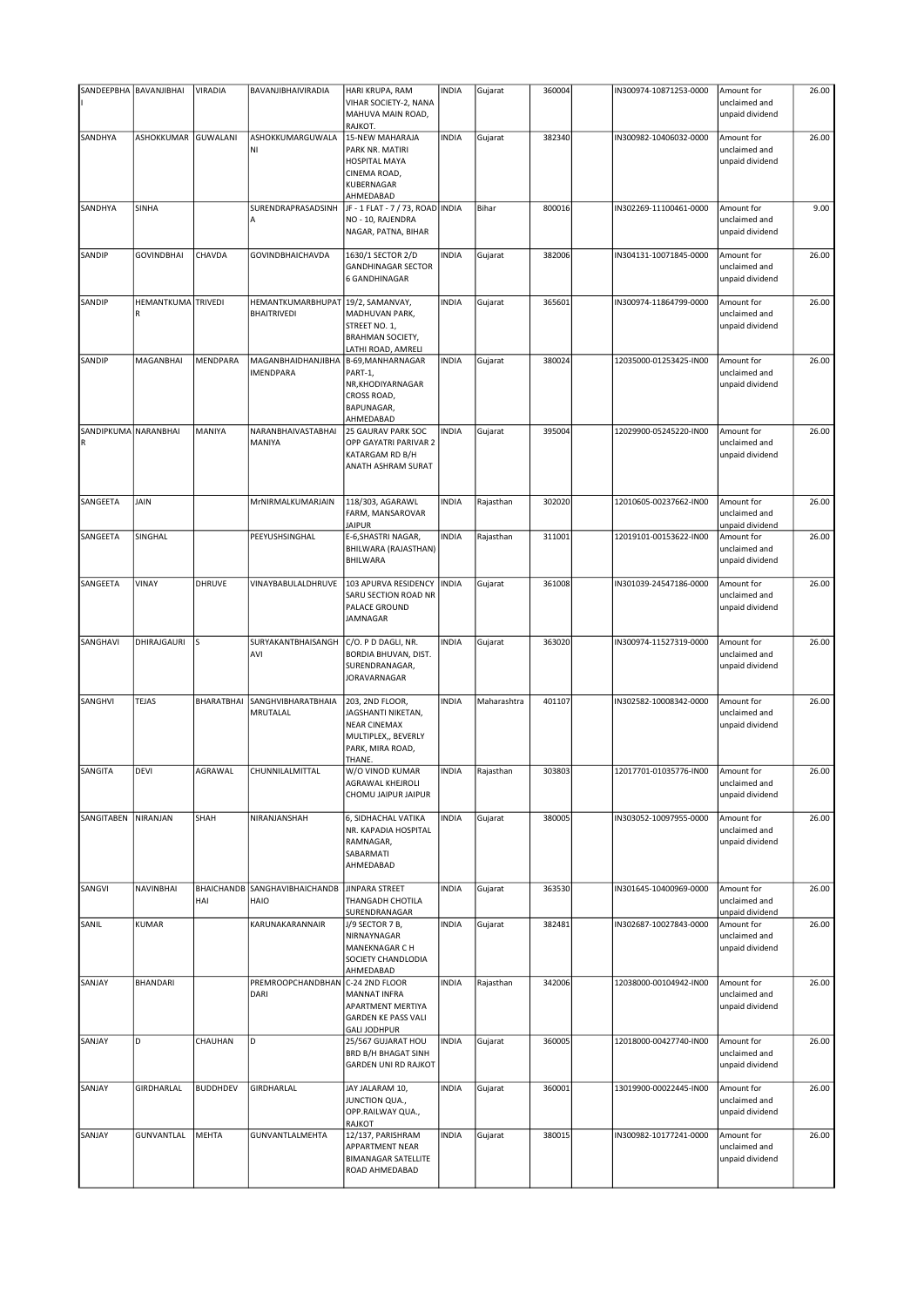|                           | SANDEEPBHA BAVANJIBHAI  | VIRADIA                  | BAVANJIBHAIVIRADIA                      | HARI KRUPA, RAM<br>VIHAR SOCIETY-2, NANA                                                                   | <b>INDIA</b> | Gujarat     | 360004 | IN300974-10871253-0000 | Amount for<br>unclaimed and                    | 26.00 |
|---------------------------|-------------------------|--------------------------|-----------------------------------------|------------------------------------------------------------------------------------------------------------|--------------|-------------|--------|------------------------|------------------------------------------------|-------|
|                           |                         |                          |                                         | MAHUVA MAIN ROAD,<br>RAJKOT.                                                                               |              |             |        |                        | unpaid dividend                                |       |
| SANDHYA                   | ASHOKKUMAR              | lguwalani                | ASHOKKUMARGUWALA<br>MI)                 | 15-NEW MAHARAJA<br>PARK NR. MATIRI<br>HOSPITAL MAYA<br>CINEMA ROAD,<br>KUBERNAGAR<br>AHMEDABAD             | <b>INDIA</b> | Gujarat     | 382340 | IN300982-10406032-0000 | Amount for<br>unclaimed and<br>unpaid dividend | 26.00 |
| SANDHYA                   | SINHA                   |                          | SURENDRAPRASADSINH                      | JF - 1 FLAT - 7 / 73, ROAD INDIA<br>NO - 10, RAJENDRA<br>NAGAR, PATNA, BIHAR                               |              | Bihar       | 800016 | IN302269-11100461-0000 | Amount for<br>unclaimed and<br>unpaid dividend | 9.00  |
| SANDIP                    | <b>GOVINDBHAI</b>       | CHAVDA                   | <b>GOVINDBHAICHAVDA</b>                 | 1630/1 SECTOR 2/D<br><b>GANDHINAGAR SECTOR</b><br><b>6 GANDHINAGAR</b>                                     | <b>INDIA</b> | Gujarat     | 382006 | IN304131-10071845-0000 | Amount for<br>unclaimed and<br>unpaid dividend | 26.00 |
| SANDIP                    | HEMANTKUMA TRIVEDI<br>R |                          | HEMANTKUMARBHUPAT<br><b>BHAITRIVEDI</b> | 19/2, SAMANVAY,<br>MADHUVAN PARK,<br>STREET NO. 1,<br><b>BRAHMAN SOCIETY,</b><br>LATHI ROAD, AMRELI        | <b>INDIA</b> | Gujarat     | 365601 | IN300974-11864799-0000 | Amount for<br>unclaimed and<br>unpaid dividend | 26.00 |
| SANDIP                    | MAGANBHAI               | MENDPARA                 | MAGANBHAIDHANJIBHA<br><b>IMENDPARA</b>  | B-69, MANHARNAGAR<br>PART-1,<br>NR, KHODIYARNAGAR<br>CROSS ROAD,<br><b>BAPUNAGAR,</b><br>AHMEDABAD         | <b>INDIA</b> | Gujarat     | 380024 | 12035000-01253425-IN00 | Amount for<br>unclaimed and<br>unpaid dividend | 26.00 |
| SANDIPKUMA NARANBHAI<br>R |                         | MANIYA                   | NARANBHAIVASTABHAI<br>MANIYA            | 25 GAURAV PARK SOC<br>OPP GAYATRI PARIVAR 2<br>KATARGAM RD B/H<br>ANATH ASHRAM SURAT                       | <b>INDIA</b> | Gujarat     | 395004 | 12029900-05245220-IN00 | Amount for<br>unclaimed and<br>unpaid dividend | 26.00 |
| SANGEETA                  | JAIN                    |                          | MrNIRMALKUMARJAIN                       | 118/303, AGARAWL<br>FARM, MANSAROVAR<br><b>JAIPUR</b>                                                      | <b>INDIA</b> | Rajasthan   | 302020 | 12010605-00237662-IN00 | Amount for<br>unclaimed and<br>unpaid dividend | 26.00 |
| SANGEETA                  | SINGHAL                 |                          | PEEYUSHSINGHAL                          | E-6, SHASTRI NAGAR,<br>BHILWARA (RAJASTHAN)<br><b>BHILWARA</b>                                             | <b>INDIA</b> | Rajasthan   | 311001 | 12019101-00153622-IN00 | Amount for<br>unclaimed and<br>unpaid dividend | 26.00 |
| SANGEETA                  | VINAY                   | <b>DHRUVE</b>            | VINAYBABULALDHRUVE                      | 103 APURVA RESIDENCY<br>SARU SECTION ROAD NR<br>PALACE GROUND<br>JAMNAGAR                                  | <b>INDIA</b> | Gujarat     | 361008 | IN301039-24547186-0000 | Amount for<br>unclaimed and<br>unpaid dividend | 26.00 |
| SANGHAVI                  | DHIRAJGAURI             | ls                       | SURYAKANTBHAISANGH<br>AVI               | C/O. P D DAGLI, NR.<br>BORDIA BHUVAN, DIST.<br>SURENDRANAGAR,<br>JORAVARNAGAR                              | <b>INDIA</b> | Gujarat     | 363020 | IN300974-11527319-0000 | Amount for<br>unclaimed and<br>unpaid dividend | 26.00 |
| SANGHVI                   | <b>TEJAS</b>            | BHARATBHAI               | SANGHVIBHARATBHAIA<br>MRUTALAL          | 203, 2ND FLOOR,<br>JAGSHANTI NIKETAN,<br>NEAR CINEMAX<br>MULTIPLEX,, BEVERLY<br>PARK, MIRA ROAD,<br>THANE. | <b>INDIA</b> | Maharashtra | 401107 | IN302582-10008342-0000 | Amount for<br>unclaimed and<br>unpaid dividend | 26.00 |
| SANGITA                   | <b>DEVI</b>             | AGRAWAL                  | CHUNNILALMITTAL                         | W/O VINOD KUMAR<br>AGRAWAL KHEJROLI<br>CHOMU JAIPUR JAIPUR                                                 | <b>INDIA</b> | Rajasthan   | 303803 | 12017701-01035776-IN00 | Amount for<br>unclaimed and<br>unpaid dividend | 26.00 |
| SANGITABEN                | <b>NIRANJAN</b>         | SHAH                     | NIRANJANSHAH                            | 6, SIDHACHAL VATIKA<br>NR. KAPADIA HOSPITAL<br>RAMNAGAR,<br>SABARMATI<br>AHMEDABAD                         | <b>INDIA</b> | Gujarat     | 380005 | IN303052-10097955-0000 | Amount for<br>unclaimed and<br>unpaid dividend | 26.00 |
| SANGVI                    | NAVINBHAI               | <b>BHAICHANDB</b><br>HAI | SANGHAVIBHAICHANDB<br>HAIO              | JINPARA STREET<br>THANGADH CHOTILA<br>SURENDRANAGAR                                                        | <b>INDIA</b> | Gujarat     | 363530 | IN301645-10400969-0000 | Amount for<br>unclaimed and<br>unpaid dividend | 26.00 |
| SANIL                     | <b>KUMAR</b>            |                          | KARUNAKARANNAIR                         | J/9 SECTOR 7 B,<br>NIRNAYNAGAR<br>MANEKNAGAR C H<br>SOCIETY CHANDLODIA<br>AHMEDABAD                        | <b>INDIA</b> | Gujarat     | 382481 | IN302687-10027843-0000 | Amount for<br>unclaimed and<br>unpaid dividend | 26.00 |
| SANJAY                    | <b>BHANDARI</b>         |                          | PREMROOPCHANDBHAN<br>DARI               | C-24 2ND FLOOR<br>MANNAT INFRA<br>APARTMENT MERTIYA<br><b>GARDEN KE PASS VALI</b><br><b>GALI JODHPUR</b>   | <b>INDIA</b> | Rajasthan   | 342006 | 12038000-00104942-IN00 | Amount for<br>unclaimed and<br>unpaid dividend | 26.00 |
| SANJAY                    | D                       | CHAUHAN                  | D                                       | 25/567 GUJARAT HOU<br><b>BRD B/H BHAGAT SINH</b><br><b>GARDEN UNI RD RAJKOT</b>                            | <b>INDIA</b> | Gujarat     | 360005 | 12018000-00427740-IN00 | Amount for<br>unclaimed and<br>unpaid dividend | 26.00 |
| SANJAY                    | GIRDHARLAL              | <b>BUDDHDEV</b>          | GIRDHARLAL                              | JAY JALARAM 10,<br>JUNCTION QUA.,<br>OPP.RAILWAY QUA.,<br>RAJKOT                                           | <b>INDIA</b> | Gujarat     | 360001 | 13019900-00022445-IN00 | Amount for<br>unclaimed and<br>unpaid dividend | 26.00 |
| SANJAY                    | GUNVANTLAL              | <b>MEHTA</b>             | <b>GUNVANTLALMEHTA</b>                  | 12/137, PARISHRAM<br>APPARTMENT NEAR<br><b>BIMANAGAR SATELLITE</b><br>ROAD AHMEDABAD                       | <b>INDIA</b> | Gujarat     | 380015 | IN300982-10177241-0000 | Amount for<br>unclaimed and<br>unpaid dividend | 26.00 |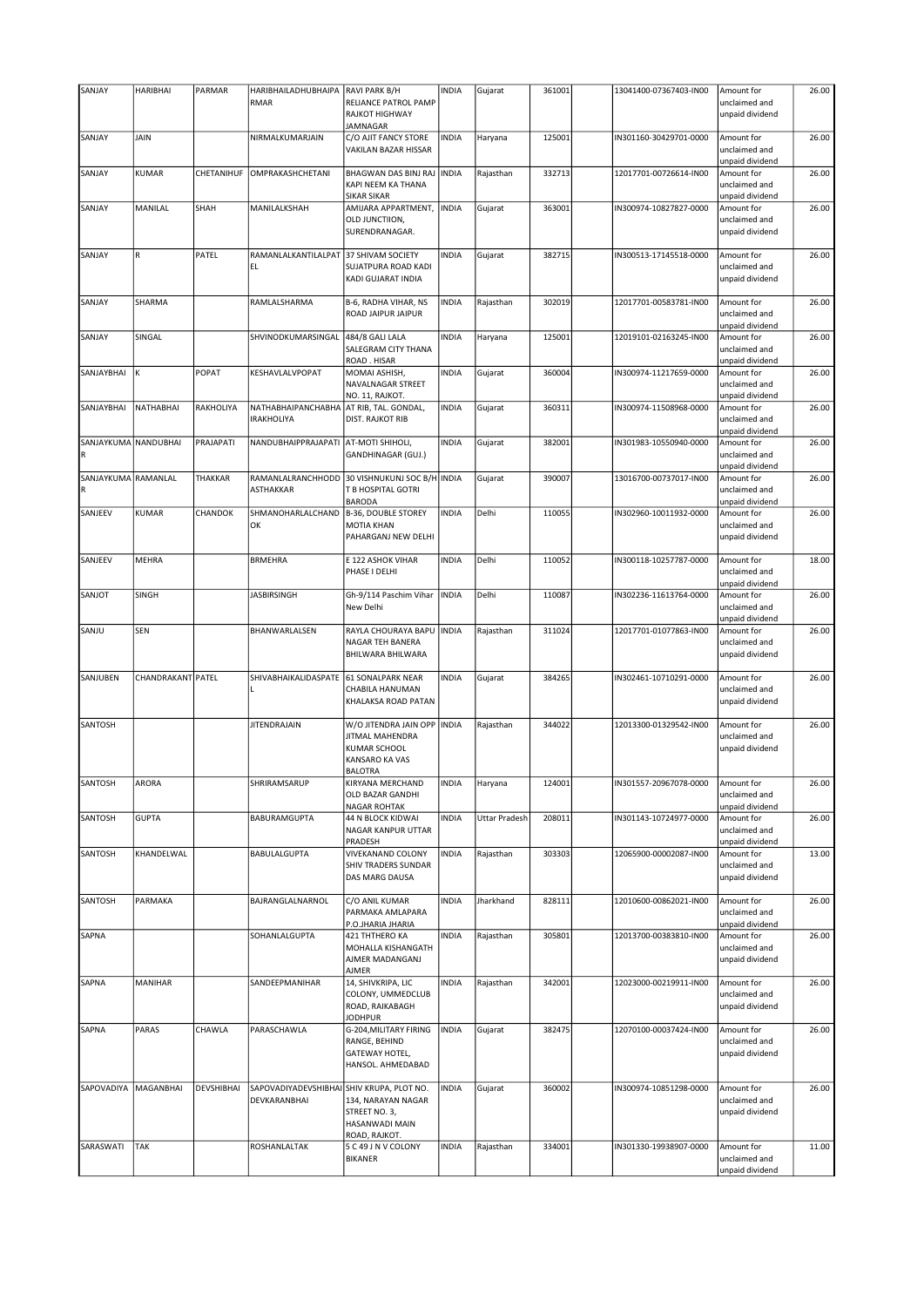| SANJAY                             | <b>HARIBHAI</b>   | PARMAR     | HARIBHAILADHUBHAIPA                                       | RAVI PARK B/H                                                                                    | <b>INDIA</b> | Gujarat              | 361001 | 13041400-07367403-IN00 | Amount for                                                        | 26.00 |
|------------------------------------|-------------------|------------|-----------------------------------------------------------|--------------------------------------------------------------------------------------------------|--------------|----------------------|--------|------------------------|-------------------------------------------------------------------|-------|
|                                    |                   |            | RMAR                                                      | RELIANCE PATROL PAMP<br>RAJKOT HIGHWAY<br>JAMNAGAR                                               |              |                      |        |                        | unclaimed and<br>unpaid dividend                                  |       |
| SANJAY                             | JAIN              |            | NIRMALKUMARJAIN                                           | C/O AJIT FANCY STORE<br>VAKILAN BAZAR HISSAR                                                     | <b>INDIA</b> | Haryana              | 125001 | IN301160-30429701-0000 | Amount for<br>unclaimed and<br>unpaid dividend                    | 26.00 |
| SANJAY                             | KUMAR             | CHETANIHUF | OMPRAKASHCHETANI                                          | BHAGWAN DAS BINJ RAJ<br>KAPI NEEM KA THANA<br><b>SIKAR SIKAR</b>                                 | <b>INDIA</b> | Rajasthan            | 332713 | 12017701-00726614-IN00 | Amount for<br>unclaimed and<br>unpaid dividend                    | 26.00 |
| SANJAY                             | MANILAL           | SHAH       | MANILALKSHAH                                              | AMIJARA APPARTMENT,<br>OLD JUNCTIION,<br>SURENDRANAGAR.                                          | <b>INDIA</b> | Gujarat              | 363001 | IN300974-10827827-0000 | Amount for<br>unclaimed and<br>unpaid dividend                    | 26.00 |
| SANJAY                             | $\mathsf R$       | PATEL      | RAMANLALKANTILALPAT<br>EL                                 | 37 SHIVAM SOCIETY<br>SUJATPURA ROAD KADI<br>KADI GUJARAT INDIA                                   | <b>INDIA</b> | Gujarat              | 382715 | IN300513-17145518-0000 | Amount for<br>unclaimed and<br>unpaid dividend                    | 26.00 |
| SANJAY                             | SHARMA            |            | RAMLALSHARMA                                              | B-6, RADHA VIHAR, NS<br>ROAD JAIPUR JAIPUR                                                       | <b>INDIA</b> | Rajasthan            | 302019 | 12017701-00583781-IN00 | Amount for<br>unclaimed and                                       | 26.00 |
| SANJAY                             | SINGAL            |            | SHVINODKUMARSINGAL                                        | 484/8 GALI LALA<br>SALEGRAM CITY THANA<br>ROAD. HISAR                                            | <b>INDIA</b> | Haryana              | 125001 | 12019101-02163245-IN00 | unpaid dividend<br>Amount for<br>unclaimed and<br>unpaid dividend | 26.00 |
| SANJAYBHAI                         | К                 | POPAT      | KESHAVLALVPOPAT                                           | MOMAI ASHISH,<br>NAVALNAGAR STREET<br>NO. 11, RAJKOT.                                            | INDIA        | Gujarat              | 360004 | IN300974-11217659-0000 | Amount for<br>unclaimed and<br>unpaid dividend                    | 26.00 |
| SANJAYBHAI                         | NATHABHAI         | RAKHOLIYA  | NATHABHAIPANCHABHA<br><b>IRAKHOLIYA</b>                   | AT RIB, TAL. GONDAL,<br><b>DIST. RAJKOT RIB</b>                                                  | INDIA        | Gujarat              | 360311 | IN300974-11508968-0000 | Amount for<br>unclaimed and<br>unpaid dividend                    | 26.00 |
| SANJAYKUMA NANDUBHAI<br>${\sf R}$  |                   | PRAJAPATI  | NANDUBHAIPPRAJAPATI                                       | AT-MOTI SHIHOLI,<br>GANDHINAGAR (GUJ.)                                                           | INDIA        | Gujarat              | 382001 | IN301983-10550940-0000 | Amount for<br>unclaimed and<br>unpaid dividend                    | 26.00 |
| SANJAYKUMA RAMANLAL<br>$\mathsf R$ |                   | THAKKAR    | RAMANLALRANCHHODD<br><b>ASTHAKKAR</b>                     | 30 VISHNUKUNJ SOC B/H INDIA<br>T B HOSPITAL GOTRI<br><b>BARODA</b>                               |              | Gujarat              | 390007 | 13016700-00737017-IN00 | Amount for<br>unclaimed and<br>unpaid dividend                    | 26.00 |
| SANJEEV                            | KUMAR             | CHANDOK    | SHMANOHARLALCHAND<br>OK                                   | <b>B-36, DOUBLE STOREY</b><br><b>MOTIA KHAN</b><br>PAHARGANJ NEW DELHI                           | <b>INDIA</b> | Delhi                | 110055 | IN302960-10011932-0000 | Amount for<br>unclaimed and<br>unpaid dividend                    | 26.00 |
| SANJEEV                            | MEHRA             |            | <b>BRMEHRA</b>                                            | E 122 ASHOK VIHAR<br>PHASE I DELHI                                                               | <b>INDIA</b> | Delhi                | 110052 | IN300118-10257787-0000 | Amount for<br>unclaimed and<br>unpaid dividend                    | 18.00 |
| SANJOT                             | SINGH             |            | <b>JASBIRSINGH</b>                                        | Gh-9/114 Paschim Vihar<br>New Delhi                                                              | <b>INDIA</b> | Delhi                | 110087 | IN302236-11613764-0000 | Amount for<br>unclaimed and<br>unpaid dividend                    | 26.00 |
| SANJU                              | SEN               |            | BHANWARLALSEN                                             | RAYLA CHOURAYA BAPU<br>NAGAR TEH BANERA<br>BHILWARA BHILWARA                                     | <b>INDIA</b> | Rajasthan            | 311024 | 12017701-01077863-IN00 | Amount for<br>unclaimed and<br>unpaid dividend                    | 26.00 |
| SANJUBEN                           | CHANDRAKANT PATEL |            | SHIVABHAIKALIDASPATE<br>т                                 | <b>61 SONALPARK NEAR</b><br>CHABILA HANUMAN<br>KHALAKSA ROAD PATAN                               | <b>INDIA</b> | Gujarat              | 384265 | IN302461-10710291-0000 | Amount for<br>unclaimed and<br>unpaid dividend                    | 26.00 |
| SANTOSH                            |                   |            | <b>JITENDRAJAIN</b>                                       | W/O JITENDRA JAIN OPP   INDIA<br>JITMAL MAHENDRA<br>KUMAR SCHOOL<br>KANSARO KA VAS<br>BALOTRA    |              | Rajasthan            | 344022 | 12013300-01329542-IN00 | Amount for<br>unclaimed and<br>unpaid dividend                    | 26.00 |
| SANTOSH                            | ARORA             |            | SHRIRAMSARUP                                              | KIRYANA MERCHAND<br>OLD BAZAR GANDHI<br><b>NAGAR ROHTAK</b>                                      | <b>INDIA</b> | Haryana              | 124001 | IN301557-20967078-0000 | Amount for<br>unclaimed and<br>unpaid dividend                    | 26.00 |
| SANTOSH                            | <b>GUPTA</b>      |            | BABURAMGUPTA                                              | 44 N BLOCK KIDWAI<br>NAGAR KANPUR UTTAR<br>PRADESH                                               | INDIA        | <b>Uttar Pradesh</b> | 208011 | IN301143-10724977-0000 | Amount for<br>unclaimed and<br>unpaid dividend                    | 26.00 |
| SANTOSH                            | KHANDELWAL        |            | BABULALGUPTA                                              | VIVEKANAND COLONY<br>SHIV TRADERS SUNDAR<br>DAS MARG DAUSA                                       | <b>INDIA</b> | Rajasthan            | 303303 | 12065900-00002087-IN00 | Amount for<br>unclaimed and<br>unpaid dividend                    | 13.00 |
| SANTOSH                            | PARMAKA           |            | BAJRANGLALNARNOL                                          | C/O ANIL KUMAR<br>PARMAKA AMLAPARA<br>P.O.JHARIA JHARIA                                          | INDIA        | Jharkhand            | 828111 | 12010600-00862021-IN00 | Amount for<br>unclaimed and<br>unpaid dividend                    | 26.00 |
| SAPNA                              |                   |            | SOHANLALGUPTA                                             | 421 THTHERO KA<br>MOHALLA KISHANGATH<br>AJMER MADANGANJ<br><b>AJMER</b>                          | <b>INDIA</b> | Rajasthan            | 305801 | 12013700-00383810-IN00 | Amount for<br>unclaimed and<br>unpaid dividend                    | 26.00 |
| SAPNA                              | MANIHAR           |            | SANDEEPMANIHAR                                            | 14, SHIVKRIPA, LIC<br>COLONY, UMMEDCLUB<br>ROAD, RAIKABAGH                                       | INDIA        | Rajasthan            | 342001 | 12023000-00219911-IN00 | Amount for<br>unclaimed and<br>unpaid dividend                    | 26.00 |
| SAPNA                              | PARAS             | CHAWLA     | PARASCHAWLA                                               | <b>JODHPUR</b><br>G-204, MILITARY FIRING<br>RANGE, BEHIND<br>GATEWAY HOTEL,<br>HANSOL. AHMEDABAD | <b>INDIA</b> | Gujarat              | 382475 | 12070100-00037424-IN00 | Amount for<br>unclaimed and<br>unpaid dividend                    | 26.00 |
| SAPOVADIYA                         | MAGANBHAI         | DEVSHIBHAI | SAPOVADIYADEVSHIBHAI SHIV KRUPA, PLOT NO.<br>DEVKARANBHAI | 134, NARAYAN NAGAR<br>STREET NO. 3,<br>HASANWADI MAIN<br>ROAD, RAJKOT.                           | INDIA        | Gujarat              | 360002 | IN300974-10851298-0000 | Amount for<br>unclaimed and<br>unpaid dividend                    | 26.00 |
| SARASWATI                          | <b>TAK</b>        |            | ROSHANLALTAK                                              | 5 C 49 J N V COLONY<br><b>BIKANER</b>                                                            | <b>INDIA</b> | Rajasthan            | 334001 | IN301330-19938907-0000 | Amount for<br>unclaimed and<br>unpaid dividend                    | 11.00 |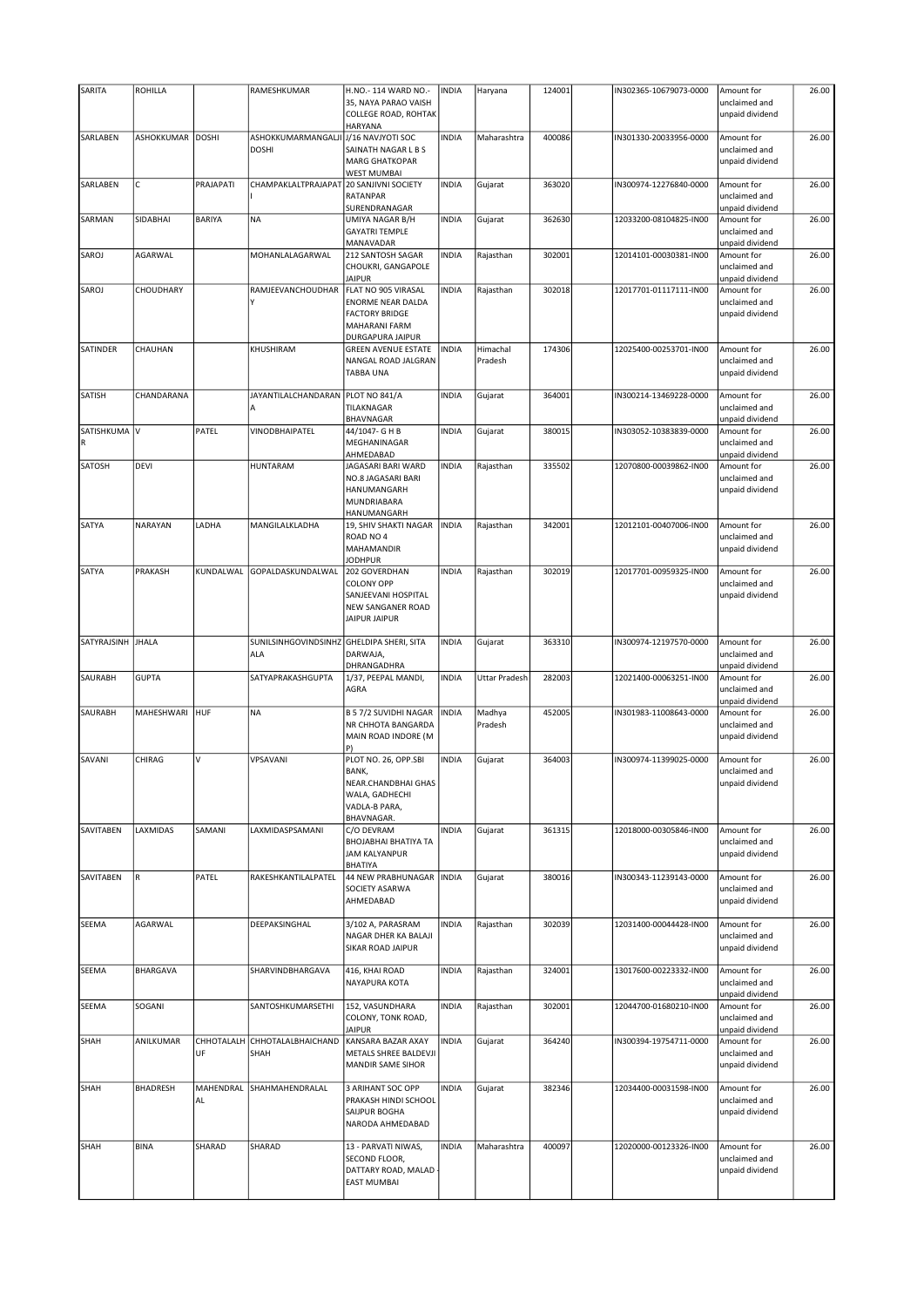| SARITA            | <b>ROHILLA</b>    |                  | RAMESHKUMAR                                      | H.NO.- 114 WARD NO.-                                                                                   | <b>INDIA</b> | Haryana             | 124001 | IN302365-10679073-0000 | Amount for                                     | 26.00 |
|-------------------|-------------------|------------------|--------------------------------------------------|--------------------------------------------------------------------------------------------------------|--------------|---------------------|--------|------------------------|------------------------------------------------|-------|
|                   |                   |                  |                                                  | 35, NAYA PARAO VAISH<br>COLLEGE ROAD, ROHTAK<br>HARYANA                                                |              |                     |        |                        | unclaimed and<br>unpaid dividend               |       |
| SARLABEN          | <b>ASHOKKUMAR</b> | <b>DOSHI</b>     | ASHOKKUMARMANGALJI<br><b>DOSHI</b>               | J/16 NAVJYOTI SOC<br>SAINATH NAGAR L B S<br><b>MARG GHATKOPAR</b><br>WEST MUMBAI                       | <b>INDIA</b> | Maharashtra         | 400086 | IN301330-20033956-0000 | Amount for<br>unclaimed and<br>unpaid dividend | 26.00 |
| SARLABEN          | $\mathsf C$       | PRAJAPATI        | CHAMPAKLALTPRAJAPAT                              | 20 SANJIVNI SOCIETY<br><b>RATANPAR</b><br>SURENDRANAGAR                                                | <b>INDIA</b> | Gujarat             | 363020 | IN300974-12276840-0000 | Amount for<br>unclaimed and<br>unpaid dividend | 26.00 |
| SARMAN            | SIDABHAI          | <b>BARIYA</b>    | <b>NA</b>                                        | UMIYA NAGAR B/H<br><b>GAYATRI TEMPLE</b><br>MANAVADAR                                                  | <b>INDIA</b> | Gujarat             | 362630 | 12033200-08104825-IN00 | Amount for<br>unclaimed and<br>unpaid dividend | 26.00 |
| SAROJ             | AGARWAL           |                  | MOHANLALAGARWAL                                  | 212 SANTOSH SAGAR<br>CHOUKRI, GANGAPOLE<br><b>JAIPUR</b>                                               | <b>INDIA</b> | Rajasthan           | 302001 | 12014101-00030381-IN00 | Amount for<br>unclaimed and<br>unpaid dividend | 26.00 |
| SAROJ             | CHOUDHARY         |                  | RAMJEEVANCHOUDHAR                                | FLAT NO 905 VIRASAL<br>ENORME NEAR DALDA<br><b>FACTORY BRIDGE</b><br>MAHARANI FARM<br>DURGAPURA JAIPUR | <b>INDIA</b> | Rajasthan           | 302018 | 12017701-01117111-IN00 | Amount for<br>unclaimed and<br>unpaid dividend | 26.00 |
| SATINDER          | CHAUHAN           |                  | KHUSHIRAM                                        | <b>GREEN AVENUE ESTATE</b><br>NANGAL ROAD JALGRAN<br>TABBA UNA                                         | <b>INDIA</b> | Himachal<br>Pradesh | 174306 | 12025400-00253701-IN00 | Amount for<br>unclaimed and<br>unpaid dividend | 26.00 |
| SATISH            | CHANDARANA        |                  | JAYANTILALCHANDARAN                              | PLOT NO 841/A<br>TILAKNAGAR<br>BHAVNAGAR                                                               | <b>INDIA</b> | Gujarat             | 364001 | IN300214-13469228-0000 | Amount for<br>unclaimed and<br>unpaid dividend | 26.00 |
| SATISHKUMA V      |                   | PATEL            | VINODBHAIPATEL                                   | 44/1047- G H B<br>MEGHANINAGAR<br>AHMEDABAD                                                            | <b>INDIA</b> | Gujarat             | 380015 | IN303052-10383839-0000 | Amount for<br>unclaimed and<br>unpaid dividend | 26.00 |
| SATOSH            | <b>DEVI</b>       |                  | <b>HUNTARAM</b>                                  | JAGASARI BARI WARD<br>NO.8 JAGASARI BARI<br>HANUMANGARH<br>MUNDRIABARA<br>HANUMANGARH                  | <b>INDIA</b> | Rajasthan           | 335502 | 12070800-00039862-IN00 | Amount for<br>unclaimed and<br>unpaid dividend | 26.00 |
| SATYA             | NARAYAN           | LADHA            | MANGILALKLADHA                                   | 19, SHIV SHAKTI NAGAR<br>ROAD NO 4<br>MAHAMANDIR<br><b>JODHPUR</b>                                     | <b>INDIA</b> | Rajasthan           | 342001 | 12012101-00407006-IN00 | Amount for<br>unclaimed and<br>unpaid dividend | 26.00 |
| SATYA             | PRAKASH           | KUNDALWAL        | GOPALDASKUNDALWAL                                | 202 GOVERDHAN<br><b>COLONY OPP</b><br>SANJEEVANI HOSPITAL<br>NEW SANGANER ROAD<br><b>JAIPUR JAIPUR</b> | <b>INDIA</b> | Rajasthan           | 302019 | 12017701-00959325-IN00 | Amount for<br>unclaimed and<br>unpaid dividend | 26.00 |
| SATYRAJSINH JHALA |                   |                  | SUNILSINHGOVINDSINHZ GHELDIPA SHERI, SITA<br>ALA | DARWAJA,<br>DHRANGADHRA                                                                                | <b>INDIA</b> | Gujarat             | 363310 | IN300974-12197570-0000 | Amount for<br>unclaimed and<br>unpaid dividend | 26.00 |
| SAURABH           | <b>GUPTA</b>      |                  | SATYAPRAKASHGUPTA                                | 1/37, PEEPAL MANDI,<br>AGRA                                                                            | <b>INDIA</b> | Uttar Pradesh       | 282003 | 12021400-00063251-IN00 | Amount for<br>unclaimed and<br>unpaid dividend | 26.00 |
| SAURABH           | MAHESHWARI        | HUF              | <b>NA</b>                                        | <b>B 5 7/2 SUVIDHI NAGAR</b><br>NR CHHOTA BANGARDA<br>MAIN ROAD INDORE (M<br>P)                        | <b>INDIA</b> | Madhya<br>Pradesh   | 452005 | IN301983-11008643-0000 | Amount for<br>unclaimed and<br>unpaid dividend | 26.00 |
| SAVANI            | CHIRAG            | V                | VPSAVANI                                         | PLOT NO. 26, OPP.SBI<br>BANK,<br>NEAR.CHANDBHAI GHAS<br>WALA, GADHECHI<br>VADLA-B PARA,<br>BHAVNAGAR.  | <b>INDIA</b> | Gujarat             | 364003 | IN300974-11399025-0000 | Amount for<br>unclaimed and<br>unpaid dividend | 26.00 |
| SAVITABEN         | LAXMIDAS          | SAMANI           | LAXMIDASPSAMANI                                  | C/O DEVRAM<br>BHOJABHAI BHATIYA TA<br><b>JAM KALYANPUR</b><br>BHATIYA                                  | <b>INDIA</b> | Gujarat             | 361315 | 12018000-00305846-IN00 | Amount for<br>unclaimed and<br>unpaid dividend | 26.00 |
| SAVITABEN         | R                 | PATEL            | RAKESHKANTILALPATEL                              | 44 NEW PRABHUNAGAR<br>SOCIETY ASARWA<br>AHMEDABAD                                                      | <b>INDIA</b> | Gujarat             | 380016 | IN300343-11239143-0000 | Amount for<br>unclaimed and<br>unpaid dividend | 26.00 |
| SEEMA             | AGARWAL           |                  | DEEPAKSINGHAL                                    | 3/102 A, PARASRAM<br>NAGAR DHER KA BALAJI<br>SIKAR ROAD JAIPUR                                         | <b>INDIA</b> | Rajasthan           | 302039 | 12031400-00044428-IN00 | Amount for<br>unclaimed and<br>unpaid dividend | 26.00 |
| SEEMA             | <b>BHARGAVA</b>   |                  | SHARVINDBHARGAVA                                 | 416, KHAI ROAD<br>NAYAPURA KOTA                                                                        | <b>INDIA</b> | Rajasthan           | 324001 | 13017600-00223332-IN00 | Amount for<br>unclaimed and<br>unpaid dividend | 26.00 |
| SEEMA             | SOGANI            |                  | SANTOSHKUMARSETHI                                | 152, VASUNDHARA<br>COLONY, TONK ROAD,<br><b>JAIPUR</b>                                                 | <b>INDIA</b> | Rajasthan           | 302001 | 12044700-01680210-IN00 | Amount for<br>unclaimed and<br>unpaid dividend | 26.00 |
| SHAH              | ANILKUMAR         | CHHOTALALH<br>UF | CHHOTALALBHAICHAND<br>SHAH                       | KANSARA BAZAR AXAY<br>METALS SHREE BALDEVJI<br>MANDIR SAME SIHOR                                       | <b>INDIA</b> | Gujarat             | 364240 | IN300394-19754711-0000 | Amount for<br>unclaimed and<br>unpaid dividend | 26.00 |
| SHAH              | <b>BHADRESH</b>   | MAHENDRAL<br>AL  | SHAHMAHENDRALAL                                  | 3 ARIHANT SOC OPP<br>PRAKASH HINDI SCHOOL                                                              | <b>INDIA</b> | Gujarat             | 382346 | 12034400-00031598-IN00 | Amount for<br>unclaimed and                    | 26.00 |
|                   |                   |                  |                                                  | SAIJPUR BOGHA<br>NARODA AHMEDABAD                                                                      |              |                     |        |                        | unpaid dividend                                |       |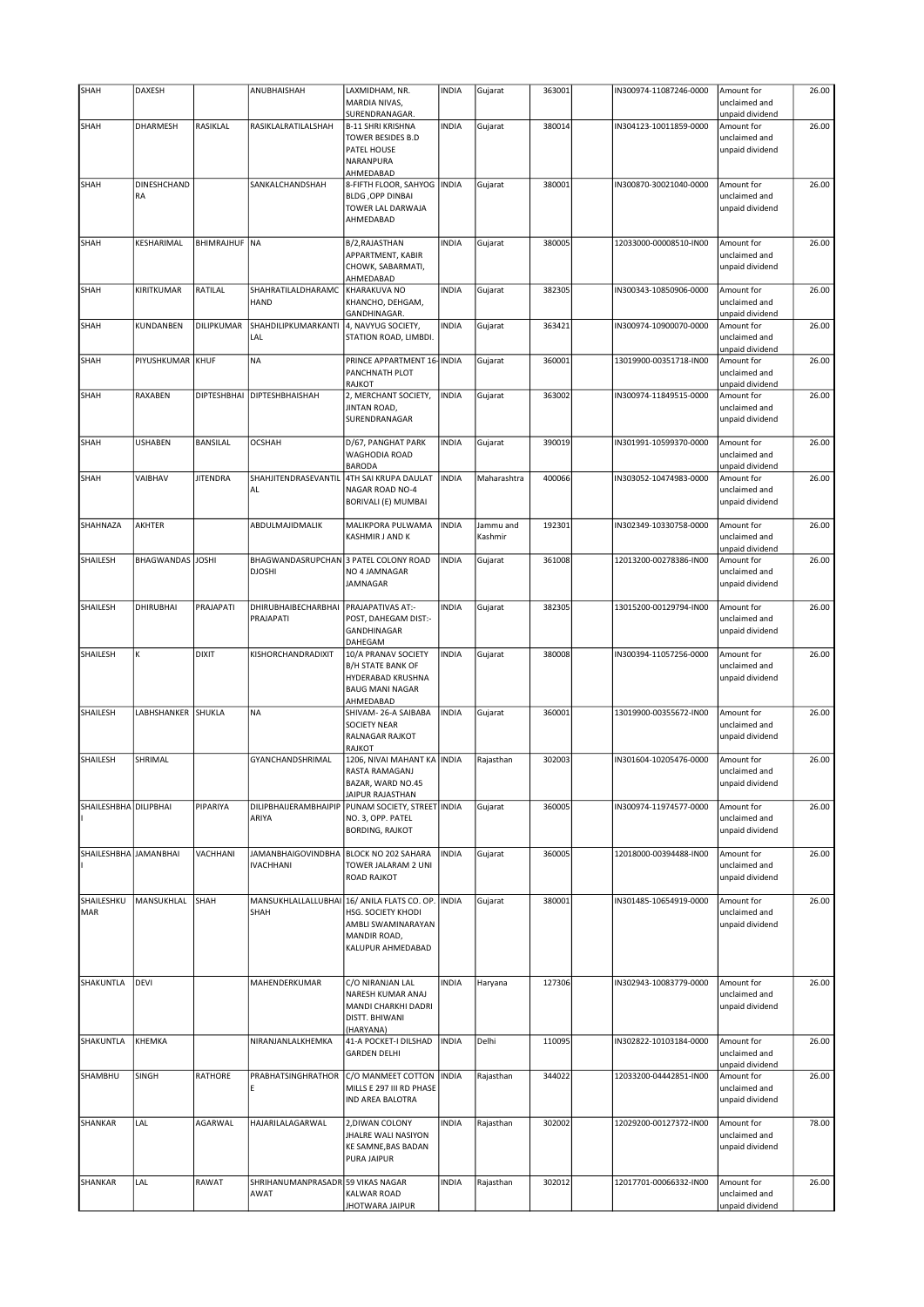| SHAH                  | DAXESH           |                      | ANUBHAISHAH                                            | LAXMIDHAM, NR.                                | <b>INDIA</b> | Gujarat     | 363001 | IN300974-11087246-0000 | Amount for                       | 26.00 |
|-----------------------|------------------|----------------------|--------------------------------------------------------|-----------------------------------------------|--------------|-------------|--------|------------------------|----------------------------------|-------|
|                       |                  |                      |                                                        | MARDIA NIVAS,                                 |              |             |        |                        | unclaimed and                    |       |
|                       |                  |                      |                                                        | SURENDRANAGAR.                                |              |             |        |                        | unpaid dividend                  |       |
| SHAH                  | DHARMESH         | RASIKLAL             | RASIKLALRATILALSHAH                                    | <b>B-11 SHRI KRISHNA</b>                      | <b>INDIA</b> | Gujarat     | 380014 | IN304123-10011859-0000 | Amount for                       | 26.00 |
|                       |                  |                      |                                                        | <b>TOWER BESIDES B.D</b>                      |              |             |        |                        | unclaimed and                    |       |
|                       |                  |                      |                                                        | PATEL HOUSE                                   |              |             |        |                        | unpaid dividend                  |       |
|                       |                  |                      |                                                        | NARANPURA                                     |              |             |        |                        |                                  |       |
|                       |                  |                      |                                                        | AHMEDABAD                                     |              |             |        |                        |                                  |       |
| SHAH                  | DINESHCHAND      |                      | SANKALCHANDSHAH                                        | 8-FIFTH FLOOR, SAHYOG   INDIA                 |              | Gujarat     | 380001 | IN300870-30021040-0000 | Amount for                       | 26.00 |
|                       | RA               |                      |                                                        | <b>BLDG, OPP DINBAI</b>                       |              |             |        |                        | unclaimed and                    |       |
|                       |                  |                      |                                                        | TOWER LAL DARWAJA<br>AHMEDABAD                |              |             |        |                        | unpaid dividend                  |       |
|                       |                  |                      |                                                        |                                               |              |             |        |                        |                                  |       |
| SHAH                  | KESHARIMAL       | <b>BHIMRAJHUF NA</b> |                                                        | B/2, RAJASTHAN                                | <b>INDIA</b> | Gujarat     | 380005 | 12033000-00008510-IN00 | Amount for                       | 26.00 |
|                       |                  |                      |                                                        | APPARTMENT, KABIR                             |              |             |        |                        | unclaimed and                    |       |
|                       |                  |                      |                                                        | CHOWK, SABARMATI,                             |              |             |        |                        | unpaid dividend                  |       |
|                       |                  |                      |                                                        | AHMEDABAD                                     |              |             |        |                        |                                  |       |
| SHAH                  | KIRITKUMAR       | RATILAL              | SHAHRATILALDHARAMC                                     | KHARAKUVA NO                                  | <b>INDIA</b> | Gujarat     | 382305 | IN300343-10850906-0000 | Amount for                       | 26.00 |
|                       |                  |                      | HAND                                                   | KHANCHO, DEHGAM,                              |              |             |        |                        | unclaimed and                    |       |
|                       |                  | DILIPKUMAR           |                                                        | GANDHINAGAR.                                  |              |             |        |                        | unpaid dividend                  |       |
| SHAH                  | KUNDANBEN        |                      | SHAHDILIPKUMARKANTI<br>LAL                             | 4, NAVYUG SOCIETY,<br>STATION ROAD, LIMBDI.   | <b>INDIA</b> | Gujarat     | 363421 | IN300974-10900070-0000 | Amount for<br>unclaimed and      | 26.00 |
|                       |                  |                      |                                                        |                                               |              |             |        |                        | unpaid dividend                  |       |
| SHAH                  | PIYUSHKUMAR KHUF |                      | <b>NA</b>                                              | PRINCE APPARTMENT 16- INDIA                   |              | Gujarat     | 360001 | 13019900-00351718-IN00 | Amount for                       | 26.00 |
|                       |                  |                      |                                                        | PANCHNATH PLOT                                |              |             |        |                        | unclaimed and                    |       |
|                       |                  |                      |                                                        | <b>RAJKOT</b>                                 |              |             |        |                        | unpaid dividend                  |       |
| SHAH                  | RAXABEN          | <b>DIPTESHBHAI</b>   | <b>DIPTESHBHAISHAH</b>                                 | 2, MERCHANT SOCIETY,                          | <b>INDIA</b> | Gujarat     | 363002 | IN300974-11849515-0000 | Amount for                       | 26.00 |
|                       |                  |                      |                                                        | JINTAN ROAD,                                  |              |             |        |                        | unclaimed and                    |       |
|                       |                  |                      |                                                        | SURENDRANAGAR                                 |              |             |        |                        | unpaid dividend                  |       |
| SHAH                  | <b>USHABEN</b>   | <b>BANSILAL</b>      | <b>OCSHAH</b>                                          |                                               | <b>INDIA</b> |             | 390019 | IN301991-10599370-0000 |                                  | 26.00 |
|                       |                  |                      |                                                        | D/67, PANGHAT PARK<br><b>WAGHODIA ROAD</b>    |              | Gujarat     |        |                        | Amount for<br>unclaimed and      |       |
|                       |                  |                      |                                                        | <b>BARODA</b>                                 |              |             |        |                        | unpaid dividend                  |       |
| SHAH                  | VAIBHAV          | <b>JITENDRA</b>      | SHAHJITENDRASEVANTIL                                   | 4TH SAI KRUPA DAULAT                          | <b>INDIA</b> | Maharashtra | 400066 | IN303052-10474983-0000 | Amount for                       | 26.00 |
|                       |                  |                      | AL                                                     | NAGAR ROAD NO-4                               |              |             |        |                        | unclaimed and                    |       |
|                       |                  |                      |                                                        | BORIVALI (E) MUMBAI                           |              |             |        |                        | unpaid dividend                  |       |
|                       |                  |                      |                                                        |                                               |              |             |        |                        |                                  |       |
| <b>SHAHNAZA</b>       | AKHTER           |                      | ABDULMAJIDMALIK                                        | MALIKPORA PULWAMA                             | <b>INDIA</b> | Jammu and   | 192301 | IN302349-10330758-0000 | Amount for                       | 26.00 |
|                       |                  |                      |                                                        | KASHMIR J AND K                               |              | Kashmir     |        |                        | unclaimed and                    |       |
|                       |                  |                      |                                                        |                                               |              |             |        |                        | unpaid dividend                  |       |
| SHAILESH              | BHAGWANDAS       | <b>JOSHI</b>         | BHAGWANDASRUPCHAN 3 PATEL COLONY ROAD<br><b>DJOSHI</b> | NO 4 JAMNAGAR                                 | <b>INDIA</b> | Gujarat     | 361008 | 12013200-00278386-IN00 | Amount for<br>unclaimed and      | 26.00 |
|                       |                  |                      |                                                        | JAMNAGAR                                      |              |             |        |                        | unpaid dividend                  |       |
|                       |                  |                      |                                                        |                                               |              |             |        |                        |                                  |       |
| SHAILESH              | DHIRUBHAI        | PRAJAPATI            | DHIRUBHAIBECHARBHAI                                    | PRAJAPATIVAS AT:-                             | <b>INDIA</b> | Gujarat     | 382305 | 13015200-00129794-IN00 | Amount for                       | 26.00 |
|                       |                  |                      | PRAJAPATI                                              | POST, DAHEGAM DIST:-                          |              |             |        |                        | unclaimed and                    |       |
|                       |                  |                      |                                                        | GANDHINAGAR                                   |              |             |        |                        | unpaid dividend                  |       |
|                       |                  |                      |                                                        | DAHEGAM                                       |              |             |        |                        |                                  |       |
| SHAILESH              | Κ                | <b>DIXIT</b>         | KISHORCHANDRADIXIT                                     | 10/A PRANAV SOCIETY                           | <b>INDIA</b> | Gujarat     | 380008 | IN300394-11057256-0000 | Amount for                       | 26.00 |
|                       |                  |                      |                                                        | <b>B/H STATE BANK OF</b>                      |              |             |        |                        | unclaimed and                    |       |
|                       |                  |                      |                                                        | HYDERABAD KRUSHNA<br><b>BAUG MANI NAGAR</b>   |              |             |        |                        | unpaid dividend                  |       |
|                       |                  |                      |                                                        | AHMEDABAD                                     |              |             |        |                        |                                  |       |
| <b>SHAILESH</b>       | LABHSHANKER      | SHUKLA               | <b>NA</b>                                              | SHIVAM-26-A SAIBABA                           | <b>INDIA</b> | Gujarat     | 360001 | 13019900-00355672-IN00 | Amount for                       | 26.00 |
|                       |                  |                      |                                                        | <b>SOCIETY NEAR</b>                           |              |             |        |                        | unclaimed and                    |       |
|                       |                  |                      |                                                        | RALNAGAR RAJKOT                               |              |             |        |                        | unpaid dividend                  |       |
|                       |                  |                      |                                                        | <b>RAJKOT</b>                                 |              |             |        |                        |                                  |       |
| SHAILESH              | SHRIMAL          |                      | GYANCHANDSHRIMAL                                       | 1206, NIVAI MAHANT KA INDIA                   |              | Rajasthan   | 302003 | IN301604-10205476-0000 | Amount for                       | 26.00 |
|                       |                  |                      |                                                        | RASTA RAMAGANJ                                |              |             |        |                        | unclaimed and                    |       |
|                       |                  |                      |                                                        | BAZAR, WARD NO.45<br>JAIPUR RAJASTHAN         |              |             |        |                        | unpaid dividend                  |       |
| SHAILESHBHA DILIPBHAI |                  | PIPARIYA             | DILIPBHAIJERAMBHAIPIP                                  | PUNAM SOCIETY, STREET INDIA                   |              | Gujarat     | 360005 | IN300974-11974577-0000 | Amount for                       | 26.00 |
|                       |                  |                      | ARIYA                                                  | NO. 3, OPP. PATEL                             |              |             |        |                        | unclaimed and                    |       |
|                       |                  |                      |                                                        | <b>BORDING, RAJKOT</b>                        |              |             |        |                        | unpaid dividend                  |       |
|                       |                  |                      |                                                        |                                               |              |             |        |                        |                                  |       |
| SHAILESHBHA JAMANBHAI |                  | VACHHANI             | <b>JAMANBHAIGOVINDBHA</b>                              | BLOCK NO 202 SAHARA                           | <b>INDIA</b> | Gujarat     | 360005 | 12018000-00394488-IN00 | Amount for                       | 26.00 |
|                       |                  |                      | <b>IVACHHANI</b>                                       | TOWER JALARAM 2 UNI                           |              |             |        |                        | unclaimed and                    |       |
|                       |                  |                      |                                                        | <b>ROAD RAJKOT</b>                            |              |             |        |                        | unpaid dividend                  |       |
|                       |                  |                      |                                                        |                                               |              |             |        |                        |                                  |       |
| SHAILESHKU            | MANSUKHLAL       | SHAH                 | MANSUKHLALLALLUBHAI                                    |                                               |              |             |        |                        | Amount for                       |       |
| MAR                   |                  |                      |                                                        | 16/ ANILA FLATS CO. OP. INDIA                 |              | Gujarat     | 380001 | IN301485-10654919-0000 |                                  | 26.00 |
|                       |                  |                      | SHAH                                                   | HSG. SOCIETY KHODI                            |              |             |        |                        | unclaimed and                    |       |
|                       |                  |                      |                                                        | AMBLI SWAMINARAYAN                            |              |             |        |                        | unpaid dividend                  |       |
|                       |                  |                      |                                                        | MANDIR ROAD,<br>KALUPUR AHMEDABAD             |              |             |        |                        |                                  |       |
|                       |                  |                      |                                                        |                                               |              |             |        |                        |                                  |       |
|                       |                  |                      |                                                        |                                               |              |             |        |                        |                                  |       |
| SHAKUNTLA             | <b>DEVI</b>      |                      | MAHENDERKUMAR                                          | C/O NIRANJAN LAL                              | <b>INDIA</b> | Haryana     | 127306 | IN302943-10083779-0000 | Amount for                       | 26.00 |
|                       |                  |                      |                                                        | NARESH KUMAR ANAJ                             |              |             |        |                        | unclaimed and                    |       |
|                       |                  |                      |                                                        | MANDI CHARKHI DADRI                           |              |             |        |                        | unpaid dividend                  |       |
|                       |                  |                      |                                                        | DISTT. BHIWANI<br>(HARYANA)                   |              |             |        |                        |                                  |       |
| SHAKUNTLA             | KHEMKA           |                      | NIRANJANLALKHEMKA                                      | 41-A POCKET-I DILSHAD                         | <b>INDIA</b> | Delhi       | 110095 | IN302822-10103184-0000 | Amount for                       | 26.00 |
|                       |                  |                      |                                                        | <b>GARDEN DELHI</b>                           |              |             |        |                        | unclaimed and                    |       |
|                       |                  |                      |                                                        |                                               |              |             |        |                        | unpaid dividend                  |       |
| SHAMBHU               | SINGH            | RATHORE              | PRABHATSINGHRATHOR                                     | C/O MANMEET COTTON                            | <b>INDIA</b> | Rajasthan   | 344022 | 12033200-04442851-IN00 | Amount for                       | 26.00 |
|                       |                  |                      |                                                        | MILLS E 297 III RD PHASE                      |              |             |        |                        | unclaimed and                    |       |
|                       |                  |                      |                                                        | <b>IND AREA BALOTRA</b>                       |              |             |        |                        | unpaid dividend                  |       |
|                       |                  |                      |                                                        |                                               |              |             |        |                        |                                  |       |
| SHANKAR               | LAL              | AGARWAL              | HAJARILALAGARWAL                                       | 2, DIWAN COLONY<br><b>JHALRE WALI NASIYON</b> | <b>INDIA</b> | Rajasthan   | 302002 | 12029200-00127372-IN00 | Amount for<br>unclaimed and      | 78.00 |
|                       |                  |                      |                                                        | <b>KE SAMNE, BAS BADAN</b>                    |              |             |        |                        | unpaid dividend                  |       |
|                       |                  |                      |                                                        | PURA JAIPUR                                   |              |             |        |                        |                                  |       |
|                       |                  |                      |                                                        |                                               |              |             |        |                        |                                  |       |
| SHANKAR               | LAL              | RAWAT                | SHRIHANUMANPRASADR 59 VIKAS NAGAR                      |                                               | <b>INDIA</b> | Rajasthan   | 302012 | 12017701-00066332-IN00 | Amount for                       | 26.00 |
|                       |                  |                      | AWAT                                                   | <b>KALWAR ROAD</b><br>JHOTWARA JAIPUR         |              |             |        |                        | unclaimed and<br>unpaid dividend |       |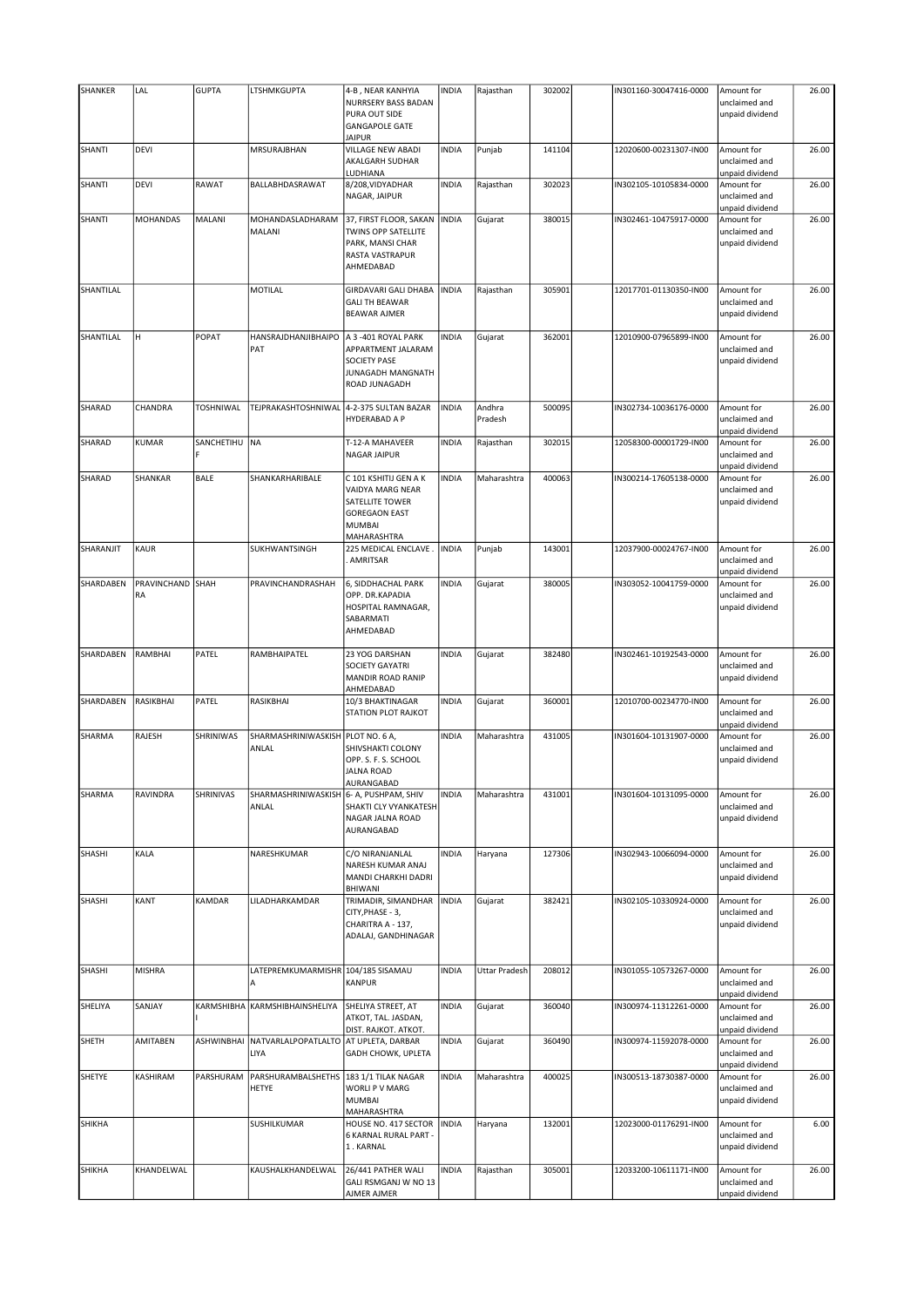| SHANKER   | LAL               | <b>GUPTA</b>         | LTSHMKGUPTA                                      | 4-B, NEAR KANHYIA<br>NURRSERY BASS BADAN<br>PURA OUT SIDE<br><b>GANGAPOLE GATE</b><br><b>JAIPUR</b>                  | <b>INDIA</b> | Rajasthan            | 302002 | IN301160-30047416-0000 | Amount for<br>unclaimed and<br>unpaid dividend | 26.00 |
|-----------|-------------------|----------------------|--------------------------------------------------|----------------------------------------------------------------------------------------------------------------------|--------------|----------------------|--------|------------------------|------------------------------------------------|-------|
| SHANTI    | DEVI              |                      | MRSURAJBHAN                                      | <b>VILLAGE NEW ABADI</b><br>AKALGARH SUDHAR<br>LUDHIANA                                                              | <b>INDIA</b> | Punjab               | 141104 | 12020600-00231307-IN00 | Amount for<br>unclaimed and<br>unpaid dividend | 26.00 |
| SHANTI    | DEVI              | RAWAT                | BALLABHDASRAWAT                                  | 8/208, VIDYADHAR<br>NAGAR, JAIPUR                                                                                    | <b>INDIA</b> | Rajasthan            | 302023 | IN302105-10105834-0000 | Amount for<br>unclaimed and<br>unpaid dividend | 26.00 |
| SHANTI    | <b>MOHANDAS</b>   | MALANI               | MOHANDASLADHARAM<br>MALANI                       | 37, FIRST FLOOR, SAKAN<br>TWINS OPP SATELLITE<br>PARK, MANSI CHAR<br>RASTA VASTRAPUR<br>AHMEDABAD                    | <b>INDIA</b> | Gujarat              | 380015 | IN302461-10475917-0000 | Amount for<br>unclaimed and<br>unpaid dividend | 26.00 |
| SHANTILAL |                   |                      | MOTILAL                                          | <b>GIRDAVARI GALI DHABA</b><br><b>GALI TH BEAWAR</b><br><b>BEAWAR AJMER</b>                                          | <b>INDIA</b> | Rajasthan            | 305901 | 12017701-01130350-IN00 | Amount for<br>unclaimed and<br>unpaid dividend | 26.00 |
| SHANTILAL | lн.               | POPAT                | HANSRAJDHANJIBHAIPO<br>PAT                       | A 3 -401 ROYAL PARK<br>APPARTMENT JALARAM<br><b>SOCIETY PASE</b><br>JUNAGADH MANGNATH<br>ROAD JUNAGADH               | <b>INDIA</b> | Gujarat              | 362001 | 12010900-07965899-IN00 | Amount for<br>unclaimed and<br>unpaid dividend | 26.00 |
| SHARAD    | CHANDRA           | TOSHNIWAL            | TEJPRAKASHTOSHNIWAL                              | 4-2-375 SULTAN BAZAR<br>HYDERABAD A P                                                                                | <b>INDIA</b> | Andhra<br>Pradesh    | 500095 | IN302734-10036176-0000 | Amount for<br>unclaimed and<br>unpaid dividend | 26.00 |
| SHARAD    | <b>KUMAR</b>      | SANCHETIHU INA<br>Ė. |                                                  | T-12-A MAHAVEER<br><b>NAGAR JAIPUR</b>                                                                               | <b>INDIA</b> | Rajasthan            | 302015 | 12058300-00001729-IN00 | Amount for<br>unclaimed and<br>unpaid dividend | 26.00 |
| SHARAD    | SHANKAR           | <b>BALE</b>          | SHANKARHARIBALE                                  | C 101 KSHITIJ GEN A K<br>VAIDYA MARG NEAR<br>SATELLITE TOWER<br><b>GOREGAON EAST</b><br><b>MUMBAI</b><br>MAHARASHTRA | <b>INDIA</b> | Maharashtra          | 400063 | IN300214-17605138-0000 | Amount for<br>unclaimed and<br>unpaid dividend | 26.00 |
| SHARANJIT | <b>KAUR</b>       |                      | SUKHWANTSINGH                                    | 225 MEDICAL ENCLAVE.<br>AMRITSAR                                                                                     | <b>INDIA</b> | Punjab               | 143001 | 12037900-00024767-IN00 | Amount for<br>unclaimed and<br>unpaid dividend | 26.00 |
| SHARDABEN | PRAVINCHAND<br>RA | SHAH                 | PRAVINCHANDRASHAH                                | 6, SIDDHACHAL PARK<br>OPP. DR.KAPADIA<br>HOSPITAL RAMNAGAR,<br>SABARMATI<br>AHMEDABAD                                | <b>INDIA</b> | Gujarat              | 380005 | IN303052-10041759-0000 | Amount for<br>unclaimed and<br>unpaid dividend | 26.00 |
| SHARDABEN | RAMBHAI           | PATEL                | RAMBHAIPATEL                                     | 23 YOG DARSHAN<br>SOCIETY GAYATRI<br>MANDIR ROAD RANIP<br>AHMEDABAD                                                  | <b>INDIA</b> | Gujarat              | 382480 | IN302461-10192543-0000 | Amount for<br>unclaimed and<br>unpaid dividend | 26.00 |
| SHARDABEN | RASIKBHAI         | PATEL                | <b>RASIKBHAI</b>                                 | 10/3 BHAKTINAGAR<br>STATION PLOT RAJKOT                                                                              | <b>INDIA</b> | Gujarat              | 360001 | 12010700-00234770-IN00 | Amount for<br>unclaimed and<br>unpaid dividend | 26.00 |
| SHARMA    | RAJESH            | SHRINIWAS            | SHARMASHRINIWASKISH PLOT NO. 6 A,<br>ANLAL       | SHIVSHAKTI COLONY<br>OPP. S. F. S. SCHOOL<br><b>JALNA ROAD</b><br> AURANGABAD                                        | <b>INDIA</b> | Maharashtra          | 431005 | IN301604-10131907-0000 | Amount for<br>unclaimed and<br>unpaid dividend | 26.00 |
| SHARMA    | RAVINDRA          | SHRINIVAS            | SHARMASHRINIWASKISH 6- A, PUSHPAM, SHIV<br>ANLAL | SHAKTI CLY VYANKATESH<br>NAGAR JALNA ROAD<br>AURANGABAD                                                              | <b>INDIA</b> | Maharashtra          | 431001 | IN301604-10131095-0000 | Amount for<br>unclaimed and<br>unpaid dividend | 26.00 |
| SHASHI    | KALA              |                      | NARESHKUMAR                                      | C/O NIRANJANLAL<br>NARESH KUMAR ANAJ<br>MANDI CHARKHI DADRI<br>BHIWANI                                               | <b>INDIA</b> | Haryana              | 127306 | IN302943-10066094-0000 | Amount for<br>unclaimed and<br>unpaid dividend | 26.00 |
| SHASHI    | KANT              | KAMDAR               | LILADHARKAMDAR                                   | TRIMADIR, SIMANDHAR<br>CITY, PHASE - 3,<br>CHARITRA A - 137,<br>ADALAJ, GANDHINAGAR                                  | <b>INDIA</b> | Gujarat              | 382421 | IN302105-10330924-0000 | Amount for<br>unclaimed and<br>unpaid dividend | 26.00 |
| SHASHI    | <b>MISHRA</b>     |                      | LATEPREMKUMARMISHR 104/185 SISAMAU<br>А          | <b>KANPUR</b>                                                                                                        | <b>INDIA</b> | <b>Uttar Pradesh</b> | 208012 | IN301055-10573267-0000 | Amount for<br>unclaimed and<br>unpaid dividend | 26.00 |
| SHELIYA   | SANJAY            |                      | KARMSHIBHA KARMSHIBHAINSHELIYA                   | SHELIYA STREET, AT<br>ATKOT, TAL. JASDAN,<br>DIST. RAJKOT. ATKOT.                                                    | <b>INDIA</b> | Gujarat              | 360040 | IN300974-11312261-0000 | Amount for<br>unclaimed and<br>unpaid dividend | 26.00 |
| SHETH     | AMITABEN          | ASHWINBHAI           | NATVARLALPOPATLALTO<br>LIYA                      | AT UPLETA, DARBAR<br>GADH CHOWK, UPLETA                                                                              | <b>INDIA</b> | Gujarat              | 360490 | IN300974-11592078-0000 | Amount for<br>unclaimed and<br>unpaid dividend | 26.00 |
| SHETYE    | KASHIRAM          | PARSHURAM            | PARSHURAMBALSHETHS<br>HETYE                      | 183 1/1 TILAK NAGAR<br>WORLI P V MARG<br><b>MUMBAI</b><br>MAHARASHTRA                                                | <b>INDIA</b> | Maharashtra          | 400025 | IN300513-18730387-0000 | Amount for<br>unclaimed and<br>unpaid dividend | 26.00 |
| SHIKHA    |                   |                      | SUSHILKUMAR                                      | HOUSE NO. 417 SECTOR<br>6 KARNAL RURAL PART -<br>1. KARNAL                                                           | <b>INDIA</b> | Haryana              | 132001 | 12023000-01176291-IN00 | Amount for<br>unclaimed and<br>unpaid dividend | 6.00  |
| SHIKHA    | KHANDELWAL        |                      | KAUSHALKHANDELWAL                                | 26/441 PATHER WALI<br>GALI RSMGANJ W NO 13<br>AJMER AJMER                                                            | <b>INDIA</b> | Rajasthan            | 305001 | 12033200-10611171-IN00 | Amount for<br>unclaimed and<br>unpaid dividend | 26.00 |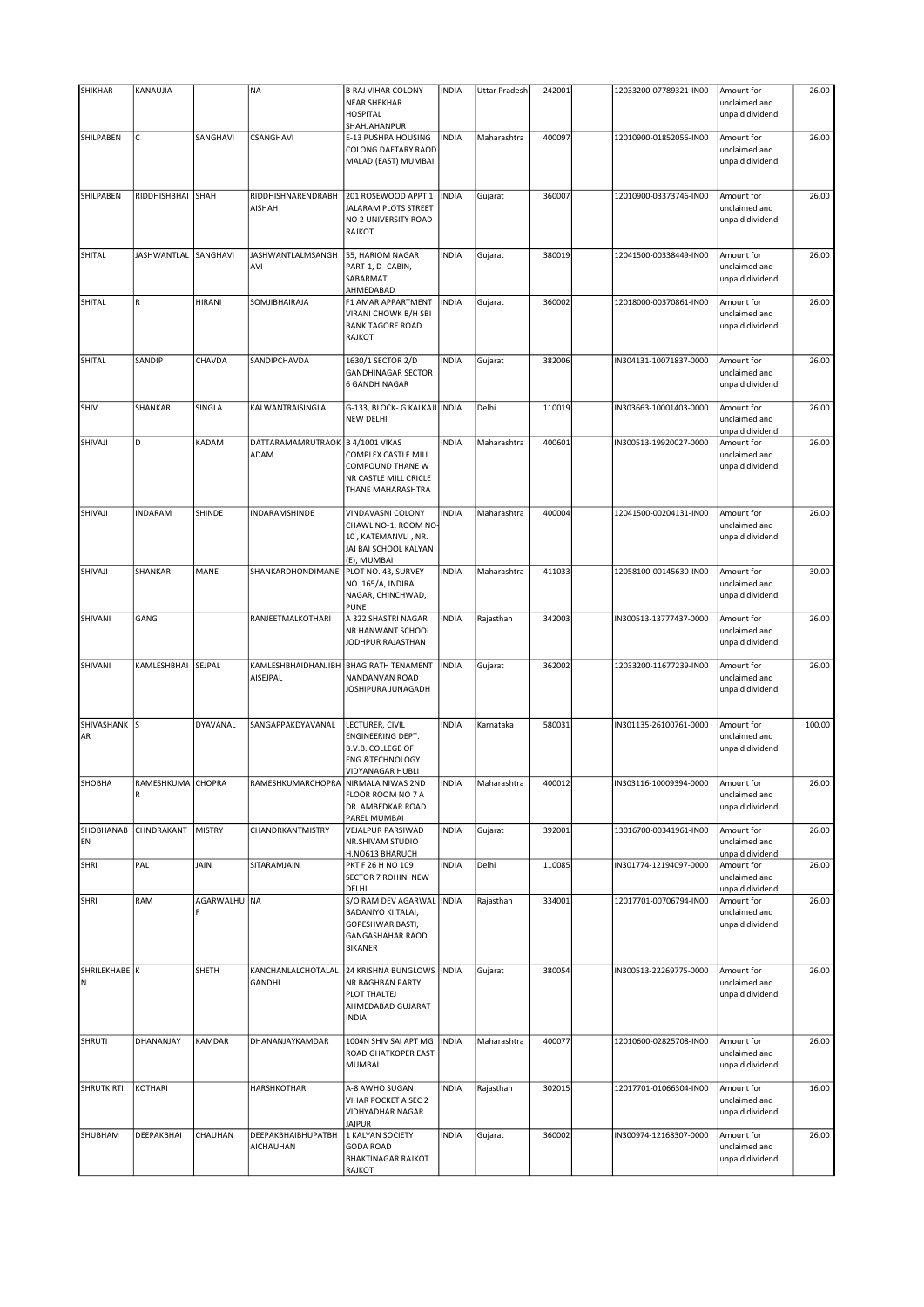| <b>SHIKHAR</b>     | KANAUJIA               |                 | <b>NA</b>                                  | <b>B RAJ VIHAR COLONY</b>                                                                                               | <b>INDIA</b> | Uttar Pradesh | 242001 | 12033200-07789321-IN00 | Amount for                                                        | 26.00  |
|--------------------|------------------------|-----------------|--------------------------------------------|-------------------------------------------------------------------------------------------------------------------------|--------------|---------------|--------|------------------------|-------------------------------------------------------------------|--------|
|                    |                        |                 |                                            | <b>NEAR SHEKHAR</b><br><b>HOSPITAL</b>                                                                                  |              |               |        |                        | unclaimed and<br>unpaid dividend                                  |        |
|                    |                        |                 |                                            | SHAHJAHANPUR                                                                                                            |              |               |        |                        |                                                                   |        |
| SHILPABEN          | $\mathsf C$            | SANGHAVI        | CSANGHAVI                                  | E-13 PUSHPA HOUSING<br><b>COLONG DAFTARY RAOD</b><br>MALAD (EAST) MUMBAI                                                | <b>INDIA</b> | Maharashtra   | 400097 | 12010900-01852056-IN00 | Amount for<br>unclaimed and<br>unpaid dividend                    | 26.00  |
| SHILPABEN          | RIDDHISHBHAI           | SHAH            | RIDDHISHNARENDRABH<br><b>AISHAH</b>        | 201 ROSEWOOD APPT 1<br>JALARAM PLOTS STREET<br>NO 2 UNIVERSITY ROAD<br><b>RAJKOT</b>                                    | <b>INDIA</b> | Gujarat       | 360007 | 12010900-03373746-IN00 | Amount for<br>unclaimed and<br>unpaid dividend                    | 26.00  |
| SHITAL             | <b>JASHWANTLAL</b>     | SANGHAVI        | JASHWANTLALMSANGH                          | 55, HARIOM NAGAR                                                                                                        | <b>INDIA</b> | Gujarat       | 380019 | 12041500-00338449-IN00 | Amount for                                                        | 26.00  |
|                    |                        |                 | AVI                                        | PART-1, D- CABIN,<br>SABARMATI<br>AHMEDABAD                                                                             |              |               |        |                        | unclaimed and<br>unpaid dividend                                  |        |
| SHITAL             | R                      | HIRANI          | SOMJIBHAIRAJA                              | F1 AMAR APPARTMENT<br>VIRANI CHOWK B/H SBI<br><b>BANK TAGORE ROAD</b>                                                   | <b>INDIA</b> | Gujarat       | 360002 | 12018000-00370861-IN00 | Amount for<br>unclaimed and<br>unpaid dividend                    | 26.00  |
|                    |                        |                 |                                            | <b>RAJKOT</b>                                                                                                           |              |               |        |                        |                                                                   |        |
| SHITAL             | SANDIP                 | CHAVDA          | SANDIPCHAVDA                               | 1630/1 SECTOR 2/D<br><b>GANDHINAGAR SECTOR</b><br>6 GANDHINAGAR                                                         | <b>INDIA</b> | Gujarat       | 382006 | IN304131-10071837-0000 | Amount for<br>unclaimed and<br>unpaid dividend                    | 26.00  |
| SHIV               | SHANKAR                | SINGLA          | KALWANTRAISINGLA                           | G-133, BLOCK- G KALKAJI INDIA<br><b>NEW DELHI</b>                                                                       |              | Delhi         | 110019 | IN303663-10001403-0000 | Amount for<br>unclaimed and                                       | 26.00  |
| SHIVAJI            | D                      | KADAM           | DATTARAMAMRUTRAOK   B 4/1001 VIKAS<br>ADAM | COMPLEX CASTLE MILL<br><b>COMPOUND THANE W</b><br>NR CASTLE MILL CRICLE<br>THANE MAHARASHTRA                            | <b>INDIA</b> | Maharashtra   | 400601 | IN300513-19920027-0000 | unpaid dividend<br>Amount for<br>unclaimed and<br>unpaid dividend | 26.00  |
| SHIVAJI            | <b>INDARAM</b>         | SHINDE          | INDARAMSHINDE                              | VINDAVASNI COLONY<br>CHAWL NO-1, ROOM NO<br>10, KATEMANVLI, NR.<br>JAI BAI SCHOOL KALYAN<br>(E), MUMBAI                 | <b>INDIA</b> | Maharashtra   | 400004 | 12041500-00204131-IN00 | Amount for<br>unclaimed and<br>unpaid dividend                    | 26.00  |
| SHIVAJI            | SHANKAR                | MANE            | SHANKARDHONDIMANE                          | PLOT NO. 43, SURVEY<br>NO. 165/A, INDIRA<br>NAGAR, CHINCHWAD,                                                           | <b>INDIA</b> | Maharashtra   | 411033 | 12058100-00145630-IN00 | Amount for<br>unclaimed and<br>unpaid dividend                    | 30.00  |
| SHIVANI            | GANG                   |                 | RANJEETMALKOTHARI                          | <b>PUNE</b><br>A 322 SHASTRI NAGAR<br>NR HANWANT SCHOOL<br>JODHPUR RAJASTHAN                                            | <b>INDIA</b> | Rajasthan     | 342003 | IN300513-13777437-0000 | Amount for<br>unclaimed and<br>unpaid dividend                    | 26.00  |
| SHIVANI            | KAMLESHBHAI            | SEJPAL          | KAMLESHBHAIDHANJIBH<br>AISEJPAL            | <b>BHAGIRATH TENAMENT</b><br>NANDANVAN ROAD<br>JOSHIPURA JUNAGADH                                                       | <b>INDIA</b> | Gujarat       | 362002 | 12033200-11677239-IN00 | Amount for<br>unclaimed and<br>unpaid dividend                    | 26.00  |
| SHIVASHANK S<br>AR |                        | <b>DYAVANAL</b> | SANGAPPAKDYAVANAL                          | LECTURER, CIVIL<br>ENGINEERING DEPT.<br><b>B.V.B. COLLEGE OF</b><br><b>ENG.&amp;TECHNOLOGY</b><br>VIDYANAGAR HUBLI      | <b>INDIA</b> | Karnataka     | 580031 | IN301135-26100761-0000 | Amount for<br>unclaimed and<br>unpaid dividend                    | 100.00 |
| SHOBHA             | RAMESHKUMA CHOPRA<br>R |                 | RAMESHKUMARCHOPRA NIRMALA NIWAS 2ND        | FLOOR ROOM NO 7 A<br>DR. AMBEDKAR ROAD<br>PAREL MUMBAI                                                                  | <b>INDIA</b> | Maharashtra   | 400012 | IN303116-10009394-0000 | Amount for<br>unclaimed and<br>unpaid dividend                    | 26.00  |
| SHOBHANAB<br>EN    | CHNDRAKANT             | <b>MISTRY</b>   | CHANDRKANTMISTRY                           | VEJALPUR PARSIWAD<br>NR.SHIVAM STUDIO<br>H.NO613 BHARUCH                                                                | <b>INDIA</b> | Gujarat       | 392001 | 13016700-00341961-IN00 | Amount for<br>unclaimed and<br>unpaid dividend                    | 26.00  |
| <b>SHRI</b>        | PAL                    | JAIN            | SITARAMJAIN                                | PKT F 26 H NO 109<br><b>SECTOR 7 ROHINI NEW</b><br>DELHI                                                                | <b>INDIA</b> | Delhi         | 110085 | IN301774-12194097-0000 | Amount for<br>unclaimed and<br>unpaid dividend                    | 26.00  |
| <b>SHRI</b>        | RAM                    | AGARWALHU  NA   |                                            | S/O RAM DEV AGARWAL INDIA<br><b>BADANIYO KI TALAI,</b><br>GOPESHWAR BASTI,<br><b>GANGASHAHAR RAOD</b><br><b>BIKANER</b> |              | Rajasthan     | 334001 | 12017701-00706794-IN00 | Amount for<br>unclaimed and<br>unpaid dividend                    | 26.00  |
| SHRILEKHABE K<br>N |                        | SHETH           | KANCHANLALCHOTALAL<br><b>GANDHI</b>        | 24 KRISHNA BUNGLOWS   INDIA<br>NR BAGHBAN PARTY<br>PLOT THALTEJ<br>AHMEDABAD GUJARAT<br><b>INDIA</b>                    |              | Gujarat       | 380054 | IN300513-22269775-0000 | Amount for<br>unclaimed and<br>unpaid dividend                    | 26.00  |
| SHRUTI             | DHANANJAY              | KAMDAR          | DHANANJAYKAMDAR                            | 1004N SHIV SAI APT MG<br>ROAD GHATKOPER EAST<br><b>MUMBAI</b>                                                           | <b>INDIA</b> | Maharashtra   | 400077 | 12010600-02825708-IN00 | Amount for<br>unclaimed and<br>unpaid dividend                    | 26.00  |
| SHRUTKIRTI         | KOTHARI                |                 | <b>HARSHKOTHARI</b>                        | A-8 AWHO SUGAN<br>VIHAR POCKET A SEC 2<br><b>VIDHYADHAR NAGAR</b><br><b>JAIPUR</b>                                      | <b>INDIA</b> | Rajasthan     | 302015 | 12017701-01066304-IN00 | Amount for<br>unclaimed and<br>unpaid dividend                    | 16.00  |
| SHUBHAM            | DEEPAKBHAI             | CHAUHAN         | <b>DEEPAKBHAIBHUPATBH</b><br>AICHAUHAN     | 1 KALYAN SOCIETY<br><b>GODA ROAD</b><br><b>BHAKTINAGAR RAJKOT</b><br>RAJKOT                                             | <b>INDIA</b> | Gujarat       | 360002 | IN300974-12168307-0000 | Amount for<br>unclaimed and<br>unpaid dividend                    | 26.00  |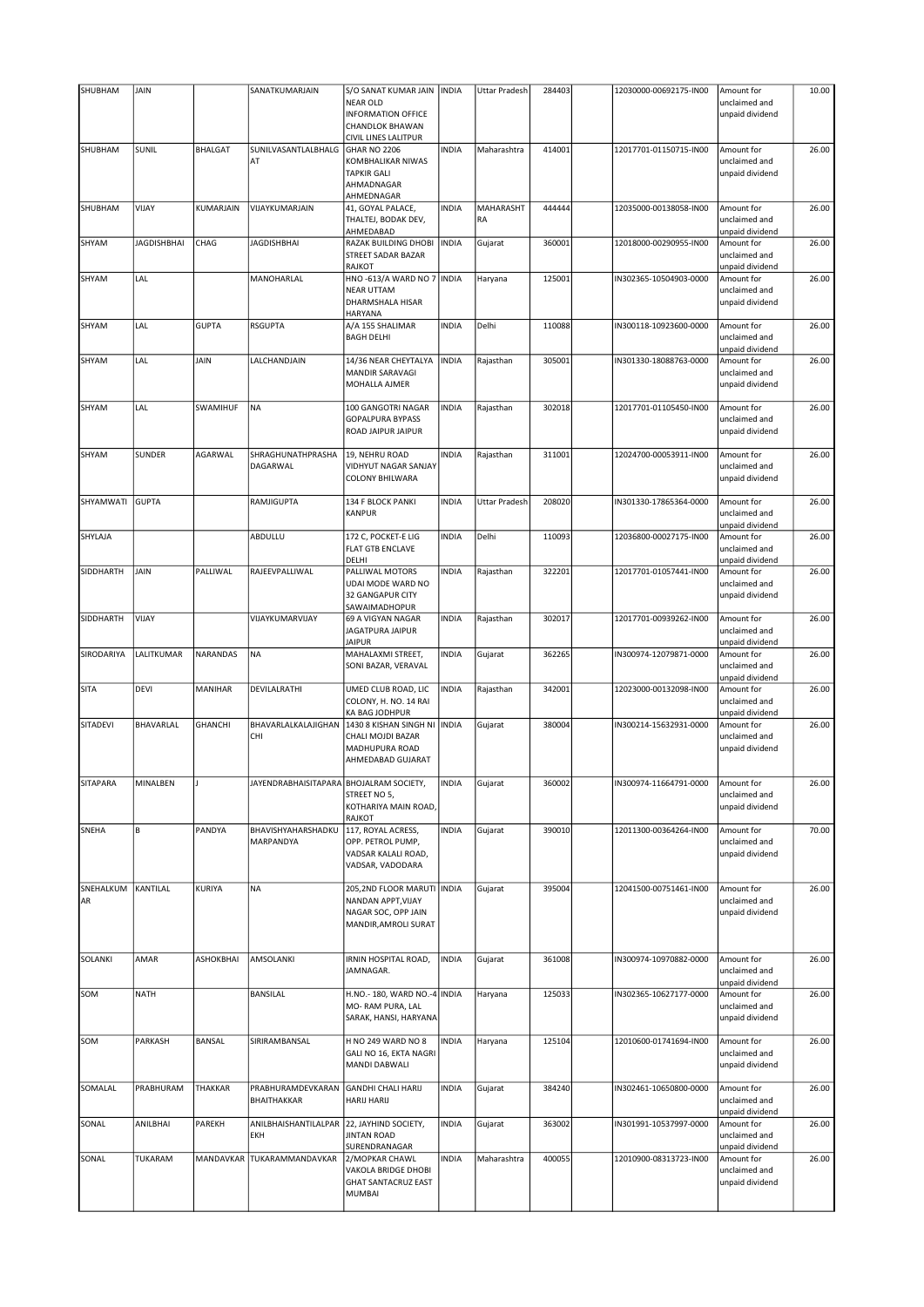| SHUBHAM         | JAIN               |                | SANATKUMARJAIN                          | S/O SANAT KUMAR JAIN<br><b>NEAR OLD</b><br><b>INFORMATION OFFICE</b><br><b>CHANDLOK BHAWAN</b>              | <b>INDIA</b> | Uttar Pradesh   | 284403 | 12030000-00692175-IN00 | Amount for<br>unclaimed and<br>unpaid dividend | 10.00 |
|-----------------|--------------------|----------------|-----------------------------------------|-------------------------------------------------------------------------------------------------------------|--------------|-----------------|--------|------------------------|------------------------------------------------|-------|
| SHUBHAM         | SUNIL              | <b>BHALGAT</b> | SUNILVASANTLALBHALG<br>AT               | CIVIL LINES LALITPUR<br>GHAR NO 2206<br>KOMBHALIKAR NIWAS<br><b>TAPKIR GALI</b><br>AHMADNAGAR<br>AHMEDNAGAR | <b>INDIA</b> | Maharashtra     | 414001 | 12017701-01150715-IN00 | Amount for<br>unclaimed and<br>unpaid dividend | 26.00 |
| SHUBHAM         | VIJAY              | KUMARJAIN      | VIJAYKUMARJAIN                          | 41, GOYAL PALACE,<br>THALTEJ, BODAK DEV,<br>AHMEDABAD                                                       | <b>INDIA</b> | MAHARASHT<br>RA | 444444 | 12035000-00138058-IN00 | Amount for<br>unclaimed and<br>unpaid dividend | 26.00 |
| SHYAM           | <b>JAGDISHBHAI</b> | CHAG           | JAGDISHBHAI                             | RAZAK BUILDING DHOBI<br><b>STREET SADAR BAZAR</b><br><b>RAJKOT</b>                                          | <b>INDIA</b> | Gujarat         | 360001 | 12018000-00290955-IN00 | Amount for<br>unclaimed and<br>unpaid dividend | 26.00 |
| SHYAM           | LAL                |                | MANOHARLAL                              | HNO-613/A WARD NO 7 INDIA<br><b>NEAR UTTAM</b><br>DHARMSHALA HISAR<br><b>HARYANA</b>                        |              | Haryana         | 125001 | IN302365-10504903-0000 | Amount for<br>unclaimed and<br>unpaid dividend | 26.00 |
| SHYAM           | LAL                | <b>GUPTA</b>   | <b>RSGUPTA</b>                          | A/A 155 SHALIMAR<br><b>BAGH DELHI</b>                                                                       | <b>INDIA</b> | Delhi           | 110088 | IN300118-10923600-0000 | Amount for<br>unclaimed and<br>unpaid dividend | 26.00 |
| SHYAM           | LAL                | JAIN           | LALCHANDJAIN                            | 14/36 NEAR CHEYTALYA<br>MANDIR SARAVAGI<br>MOHALLA AJMER                                                    | <b>INDIA</b> | Rajasthan       | 305001 | IN301330-18088763-0000 | Amount for<br>unclaimed and<br>unpaid dividend | 26.00 |
| SHYAM           | LAL                | SWAMIHUF       | NA                                      | 100 GANGOTRI NAGAR<br><b>GOPALPURA BYPASS</b><br>ROAD JAIPUR JAIPUR                                         | <b>INDIA</b> | Rajasthan       | 302018 | 12017701-01105450-IN00 | Amount for<br>unclaimed and<br>unpaid dividend | 26.00 |
| SHYAM           | <b>SUNDER</b>      | AGARWAL        | SHRAGHUNATHPRASHA<br>DAGARWAL           | 19, NEHRU ROAD<br>VIDHYUT NAGAR SANJAY<br><b>COLONY BHILWARA</b>                                            | <b>INDIA</b> | Rajasthan       | 311001 | 12024700-00053911-IN00 | Amount for<br>unclaimed and<br>unpaid dividend | 26.00 |
| SHYAMWATI       | <b>GUPTA</b>       |                | RAMJIGUPTA                              | 134 F BLOCK PANKI<br><b>KANPUR</b>                                                                          | <b>INDIA</b> | Uttar Pradesh   | 208020 | IN301330-17865364-0000 | Amount for<br>unclaimed and<br>unpaid dividend | 26.00 |
| SHYLAJA         |                    |                | ABDULLU                                 | 172 C, POCKET-E LIG<br><b>FLAT GTB ENCLAVE</b><br>DELHI                                                     | <b>INDIA</b> | Delhi           | 110093 | 12036800-00027175-IN00 | Amount for<br>unclaimed and<br>unpaid dividend | 26.00 |
| SIDDHARTH       | JAIN               | PALLIWAL       | RAJEEVPALLIWAL                          | PALLIWAL MOTORS<br>UDAI MODE WARD NO<br><b>32 GANGAPUR CITY</b><br>SAWAIMADHOPUR                            | <b>INDIA</b> | Rajasthan       | 322201 | 12017701-01057441-IN00 | Amount for<br>unclaimed and<br>unpaid dividend | 26.00 |
| SIDDHARTH       | VIJAY              |                | VIJAYKUMARVIJAY                         | 69 A VIGYAN NAGAR<br><b>JAGATPURA JAIPUR</b><br><b>JAIPUR</b>                                               | <b>INDIA</b> | Rajasthan       | 302017 | 12017701-00939262-IN00 | Amount for<br>unclaimed and<br>unpaid dividend | 26.00 |
| SIRODARIYA      | LALITKUMAR         | NARANDAS       | <b>NA</b>                               | MAHALAXMI STREET,<br>SONI BAZAR, VERAVAL                                                                    | <b>INDIA</b> | Gujarat         | 362265 | IN300974-12079871-0000 | Amount for<br>unclaimed and<br>unpaid dividend | 26.00 |
| <b>SITA</b>     | DEVI               | MANIHAR        | DEVILALRATHI                            | UMED CLUB ROAD, LIC<br>COLONY, H. NO. 14 RAI<br>KA BAG JODHPUR                                              | <b>INDIA</b> | Rajasthan       | 342001 | 12023000-00132098-IN00 | Amount for<br>unclaimed and<br>unpaid dividend | 26.00 |
| SITADEVI        | BHAVARLAL          | <b>GHANCHI</b> | BHAVARLALKALAJIGHAN<br>CHI              | 1430 8 KISHAN SINGH NI INDIA<br>CHALI MOJDI BAZAR<br>MADHUPURA ROAD<br>AHMEDABAD GUJARAT                    |              | Gujarat         | 380004 | IN300214-15632931-0000 | Amount for<br>unclaimed and<br>unpaid dividend | 26.00 |
| SITAPARA        | MINALBEN           |                | JAYENDRABHAISITAPARA BHOJALRAM SOCIETY, | STREET NO 5,<br>KOTHARIYA MAIN ROAD,<br><b>RAJKOT</b>                                                       | INDIA        | Gujarat         | 360002 | IN300974-11664791-0000 | Amount for<br>unclaimed and<br>unpaid dividend | 26.00 |
| SNEHA           | $\sf{B}$           | PANDYA         | BHAVISHYAHARSHADKU<br>MARPANDYA         | 117, ROYAL ACRESS,<br>OPP. PETROL PUMP,<br>VADSAR KALALI ROAD,<br>VADSAR, VADODARA                          | <b>INDIA</b> | Gujarat         | 390010 | 12011300-00364264-IN00 | Amount for<br>unclaimed and<br>unpaid dividend | 70.00 |
| SNEHALKUM<br>AR | KANTILAL           | KURIYA         | <b>NA</b>                               | 205,2ND FLOOR MARUTI INDIA<br>NANDAN APPT, VIJAY<br>NAGAR SOC, OPP JAIN<br>MANDIR, AMROLI SURAT             |              | Gujarat         | 395004 | 12041500-00751461-IN00 | Amount for<br>unclaimed and<br>unpaid dividend | 26.00 |
| SOLANKI         | AMAR               | ASHOKBHAI      | AMSOLANKI                               | IRNIN HOSPITAL ROAD,<br>JAMNAGAR.                                                                           | <b>INDIA</b> | Gujarat         | 361008 | IN300974-10970882-0000 | Amount for<br>unclaimed and<br>unpaid dividend | 26.00 |
| SOM             | <b>NATH</b>        |                | BANSILAL                                | H.NO.- 180, WARD NO.-4 INDIA<br>MO-RAM PURA, LAL<br>SARAK, HANSI, HARYANA                                   |              | Haryana         | 125033 | IN302365-10627177-0000 | Amount for<br>unclaimed and<br>unpaid dividend | 26.00 |
| SOM             | PARKASH            | BANSAL         | SIRIRAMBANSAL                           | H NO 249 WARD NO 8<br>GALI NO 16, EKTA NAGRI<br>MANDI DABWALI                                               | <b>INDIA</b> | Haryana         | 125104 | 12010600-01741694-IN00 | Amount for<br>unclaimed and<br>unpaid dividend | 26.00 |
| SOMALAL         | PRABHURAM          | THAKKAR        | PRABHURAMDEVKARAN<br><b>BHAITHAKKAR</b> | <b>GANDHI CHALI HARIJ</b><br><b>HARIJ HARIJ</b>                                                             | <b>INDIA</b> | Gujarat         | 384240 | IN302461-10650800-0000 | Amount for<br>unclaimed and<br>unpaid dividend | 26.00 |
| SONAL           | ANILBHAI           | PAREKH         | ANILBHAISHANTILALPAR<br>EKH             | 22, JAYHIND SOCIETY,<br><b>JINTAN ROAD</b><br>SURENDRANAGAR                                                 | <b>INDIA</b> | Gujarat         | 363002 | IN301991-10537997-0000 | Amount for<br>unclaimed and<br>unpaid dividend | 26.00 |
| SONAL           | TUKARAM            | MANDAVKAR      | TUKARAMMANDAVKAR                        | 2/MOPKAR CHAWL<br>VAKOLA BRIDGE DHOBI<br><b>GHAT SANTACRUZ EAST</b><br><b>MUMBAI</b>                        | <b>INDIA</b> | Maharashtra     | 400055 | 12010900-08313723-IN00 | Amount for<br>unclaimed and<br>unpaid dividend | 26.00 |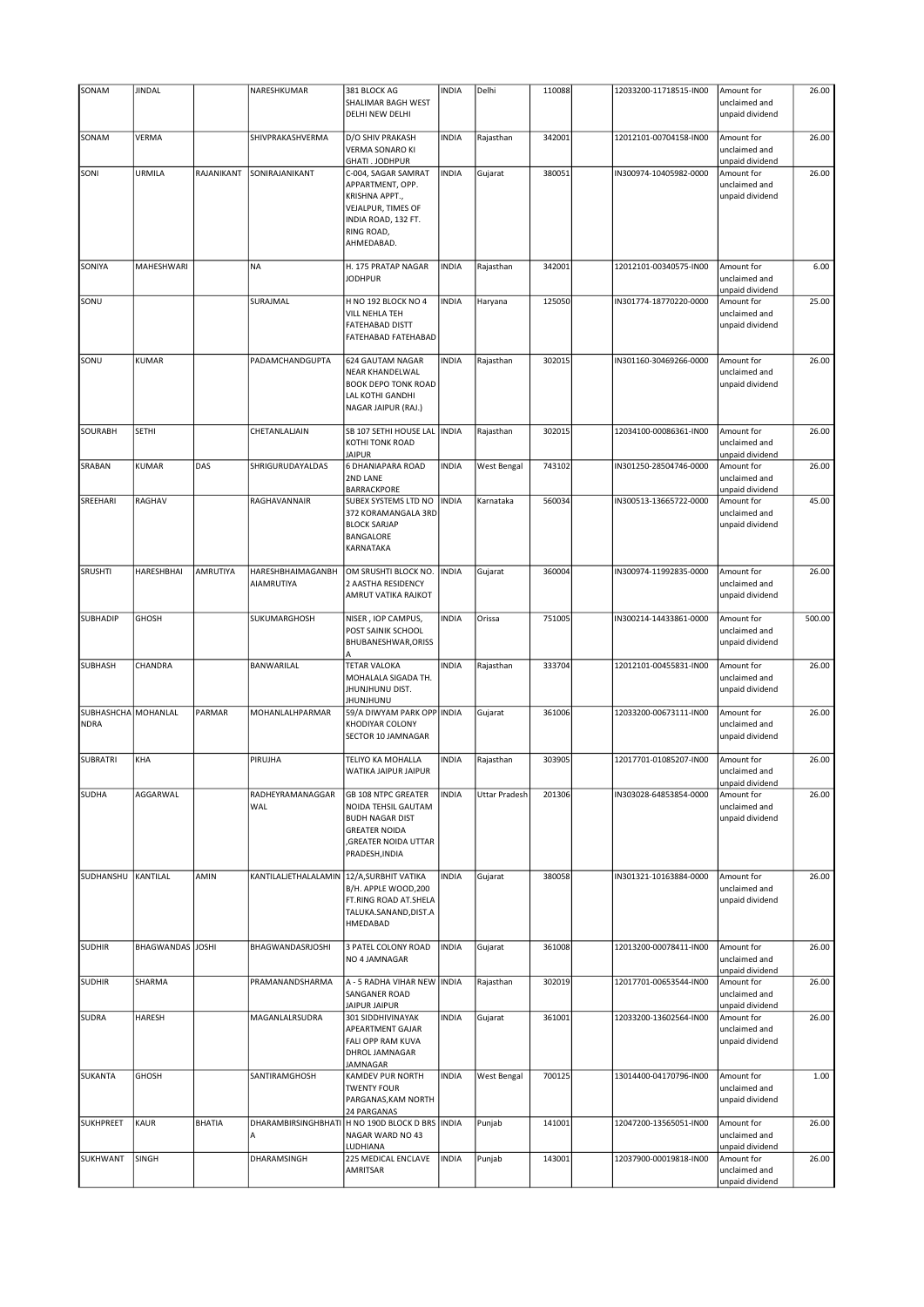| SONAM                     | <b>JINDAL</b>    |               | NARESHKUMAR                     | 381 BLOCK AG<br>SHALIMAR BAGH WEST                                                                                                                   | <b>INDIA</b> | Delhi                | 110088 | 12033200-11718515-IN00 | Amount for<br>unclaimed and                                       | 26.00  |
|---------------------------|------------------|---------------|---------------------------------|------------------------------------------------------------------------------------------------------------------------------------------------------|--------------|----------------------|--------|------------------------|-------------------------------------------------------------------|--------|
|                           |                  |               |                                 | DELHI NEW DELHI                                                                                                                                      |              |                      |        |                        | unpaid dividend                                                   |        |
| SONAM                     | VERMA            |               | SHIVPRAKASHVERMA                | D/O SHIV PRAKASH<br><b>VERMA SONARO KI</b>                                                                                                           | <b>INDIA</b> | Rajasthan            | 342001 | 12012101-00704158-IN00 | Amount for<br>unclaimed and                                       | 26.00  |
| SONI                      | URMILA           | RAJANIKANT    | SONIRAJANIKANT                  | GHATI. JODHPUR<br>C-004, SAGAR SAMRAT<br>APPARTMENT, OPP.<br>KRISHNA APPT.,<br>VEJALPUR, TIMES OF<br>INDIA ROAD, 132 FT.<br>RING ROAD,<br>AHMEDABAD. | <b>INDIA</b> | Gujarat              | 380051 | IN300974-10405982-0000 | unpaid dividend<br>Amount for<br>unclaimed and<br>unpaid dividend | 26.00  |
| SONIYA                    | MAHESHWARI       |               | <b>NA</b>                       | H. 175 PRATAP NAGAR<br><b>JODHPUR</b>                                                                                                                | <b>INDIA</b> | Rajasthan            | 342001 | 12012101-00340575-IN00 | Amount for<br>unclaimed and<br>unpaid dividend                    | 6.00   |
| SONU                      |                  |               | SURAJMAL                        | H NO 192 BLOCK NO 4<br>VILL NEHLA TEH<br><b>FATEHABAD DISTT</b>                                                                                      | <b>INDIA</b> | Haryana              | 125050 | IN301774-18770220-0000 | Amount for<br>unclaimed and<br>unpaid dividend                    | 25.00  |
|                           |                  |               |                                 | FATEHABAD FATEHABAD                                                                                                                                  |              |                      |        |                        |                                                                   |        |
| SONU                      | <b>KUMAR</b>     |               | PADAMCHANDGUPTA                 | 624 GAUTAM NAGAR<br>NEAR KHANDELWAL<br><b>BOOK DEPO TONK ROAD</b><br>LAL KOTHI GANDHI<br>NAGAR JAIPUR (RAJ.)                                         | <b>INDIA</b> | Rajasthan            | 302015 | IN301160-30469266-0000 | Amount for<br>unclaimed and<br>unpaid dividend                    | 26.00  |
| SOURABH                   | SETHI            |               | CHETANLALJAIN                   | SB 107 SETHI HOUSE LAL INDIA<br>KOTHI TONK ROAD<br><b>JAIPUR</b>                                                                                     |              | Rajasthan            | 302015 | 12034100-00086361-IN00 | Amount for<br>unclaimed and<br>unpaid dividend                    | 26.00  |
| SRABAN                    | KUMAR            | DAS           | SHRIGURUDAYALDAS                | 6 DHANIAPARA ROAD<br>2ND LANE<br>BARRACKPORE                                                                                                         | INDIA        | <b>West Bengal</b>   | 743102 | IN301250-28504746-0000 | Amount for<br>unclaimed and<br>unpaid dividend                    | 26.00  |
| SREEHARI                  | RAGHAV           |               | RAGHAVANNAIR                    | SUBEX SYSTEMS LTD NO<br>372 KORAMANGALA 3RD<br><b>BLOCK SARJAP</b><br>BANGALORE<br>KARNATAKA                                                         | <b>INDIA</b> | Karnataka            | 560034 | IN300513-13665722-0000 | Amount for<br>unclaimed and<br>unpaid dividend                    | 45.00  |
| SRUSHTI                   | HARESHBHAI       | AMRUTIYA      | HARESHBHAIMAGANBH<br>AIAMRUTIYA | OM SRUSHTI BLOCK NO.<br>2 AASTHA RESIDENCY<br>AMRUT VATIKA RAJKOT                                                                                    | <b>INDIA</b> | Gujarat              | 360004 | IN300974-11992835-0000 | Amount for<br>unclaimed and<br>unpaid dividend                    | 26.00  |
| <b>SUBHADIP</b>           | <b>GHOSH</b>     |               | SUKUMARGHOSH                    | NISER, IOP CAMPUS,<br>POST SAINIK SCHOOL<br>BHUBANESHWAR, ORISS                                                                                      | <b>INDIA</b> | Orissa               | 751005 | IN300214-14433861-0000 | Amount for<br>unclaimed and<br>unpaid dividend                    | 500.00 |
| <b>SUBHASH</b>            | CHANDRA          |               | BANWARILAL                      | <b>TETAR VALOKA</b><br>MOHALALA SIGADA TH.<br>JHUNJHUNU DIST.<br><b>JHUNJHUNU</b>                                                                    | <b>INDIA</b> | Rajasthan            | 333704 | 12012101-00455831-IN00 | Amount for<br>unclaimed and<br>unpaid dividend                    | 26.00  |
| SUBHASHCHA<br><b>NDRA</b> | MOHANLAL         | PARMAR        | MOHANLALHPARMAR                 | 59/A DIWYAM PARK OPP INDIA<br>KHODIYAR COLONY<br>SECTOR 10 JAMNAGAR                                                                                  |              | Gujarat              | 361006 | 12033200-00673111-IN00 | Amount for<br>unclaimed and<br>unpaid dividend                    | 26.00  |
| <b>SUBRATRI</b>           | KHA              |               | PIRUJHA                         | TELIYO KA MOHALLA<br>WATIKA JAIPUR JAIPUR                                                                                                            | <b>INDIA</b> | Rajasthan            | 303905 | 12017701-01085207-IN00 | Amount for<br>unclaimed and<br>unpaid dividend                    | 26.00  |
| <b>SUDHA</b>              | AGGARWAL         |               | RADHEYRAMANAGGAR<br>WAL         | <b>GB 108 NTPC GREATER</b><br>NOIDA TEHSIL GAUTAM<br><b>BUDH NAGAR DIST</b><br><b>GREATER NOIDA</b><br>GREATER NOIDA UTTAR<br>PRADESH, INDIA         | <b>INDIA</b> | <b>Uttar Pradesh</b> | 201306 | IN303028-64853854-0000 | Amount for<br>unclaimed and<br>unpaid dividend                    | 26.00  |
| SUDHANSHU                 | KANTILAL         | AMIN          | KANTILALJETHALALAMIN            | 12/A, SURBHIT VATIKA<br>B/H. APPLE WOOD, 200<br>FT.RING ROAD AT.SHELA<br>TALUKA.SANAND, DIST.A<br>HMEDABAD                                           | <b>INDIA</b> | Gujarat              | 380058 | IN301321-10163884-0000 | Amount for<br>unclaimed and<br>unpaid dividend                    | 26.00  |
| <b>SUDHIR</b>             | BHAGWANDAS JOSHI |               | BHAGWANDASRJOSHI                | 3 PATEL COLONY ROAD<br>NO 4 JAMNAGAR                                                                                                                 | <b>INDIA</b> | Gujarat              | 361008 | 12013200-00078411-IN00 | Amount for<br>unclaimed and<br>unpaid dividend                    | 26.00  |
| <b>SUDHIR</b>             | SHARMA           |               | PRAMANANDSHARMA                 | A - 5 RADHA VIHAR NEW   INDIA<br>SANGANER ROAD<br><b>JAIPUR JAIPUR</b>                                                                               |              | Rajasthan            | 302019 | 12017701-00653544-IN00 | Amount for<br>unclaimed and<br>unpaid dividend                    | 26.00  |
| <b>SUDRA</b>              | <b>HARESH</b>    |               | MAGANLALRSUDRA                  | 301 SIDDHIVINAYAK<br>APEARTMENT GAJAR<br>FALI OPP RAM KUVA<br>DHROL JAMNAGAR<br>JAMNAGAR                                                             | <b>INDIA</b> | Gujarat              | 361001 | 12033200-13602564-IN00 | Amount for<br>unclaimed and<br>unpaid dividend                    | 26.00  |
| SUKANTA                   | <b>GHOSH</b>     |               | SANTIRAMGHOSH                   | KAMDEV PUR NORTH<br><b>TWENTY FOUR</b><br>PARGANAS, KAM NORTH<br>24 PARGANAS                                                                         | <b>INDIA</b> | West Bengal          | 700125 | 13014400-04170796-IN00 | Amount for<br>unclaimed and<br>unpaid dividend                    | 1.00   |
| <b>SUKHPREET</b>          | KAUR             | <b>BHATIA</b> | А                               | DHARAMBIRSINGHBHATI H NO 190D BLOCK D BRS INDIA<br>NAGAR WARD NO 43<br>LUDHIANA                                                                      |              | Punjab               | 141001 | 12047200-13565051-IN00 | Amount for<br>unclaimed and<br>unpaid dividend                    | 26.00  |
| SUKHWANT                  | SINGH            |               | DHARAMSINGH                     | 225 MEDICAL ENCLAVE<br>AMRITSAR                                                                                                                      | <b>INDIA</b> | Punjab               | 143001 | 12037900-00019818-IN00 | Amount for<br>unclaimed and<br>unpaid dividend                    | 26.00  |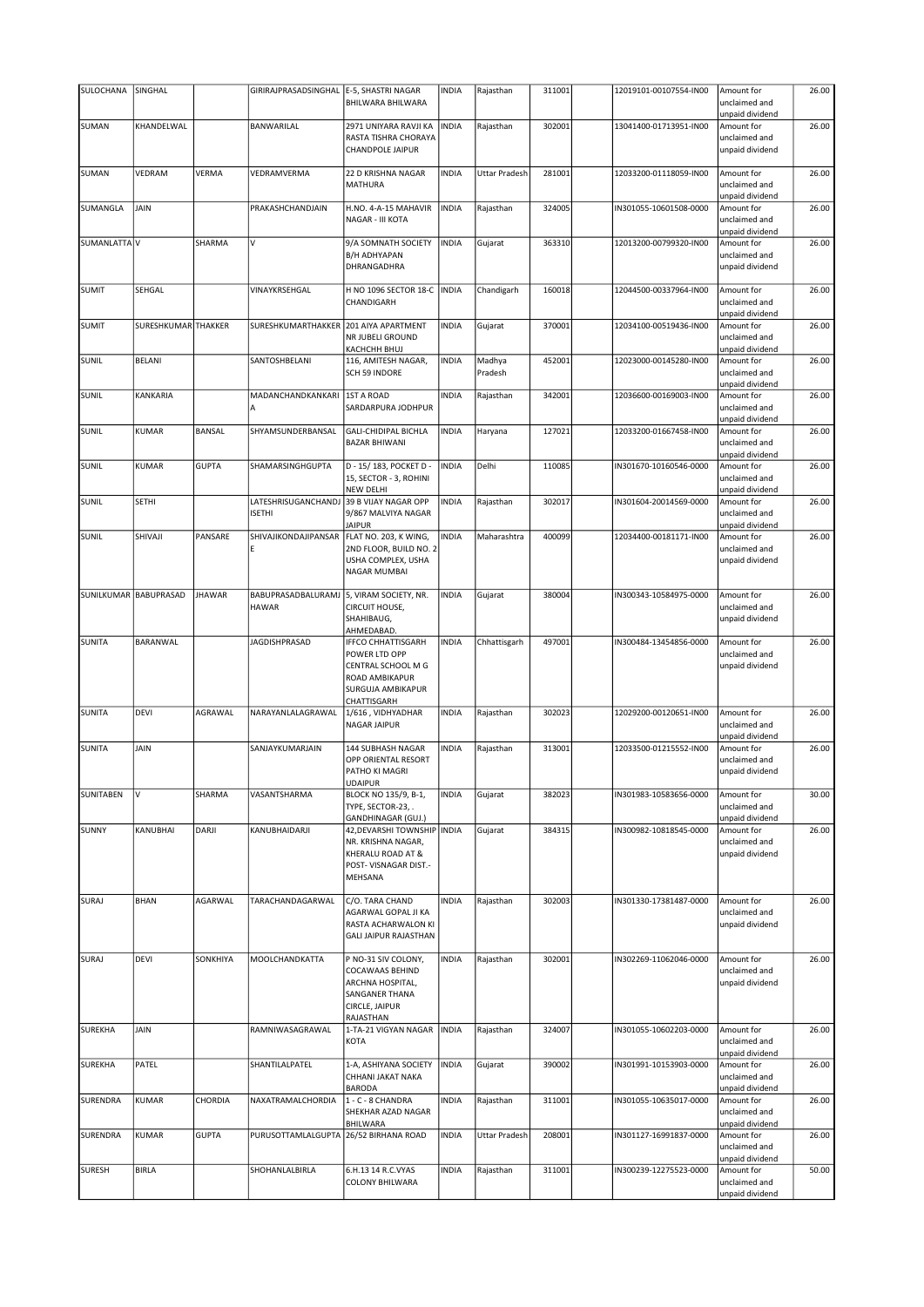| SULOCHANA        | SINGHAL               |               | GIRIRAJPRASADSINGHAL                 | E-5, SHASTRI NAGAR<br>BHILWARA BHILWARA                                                                                | <b>INDIA</b> | Rajasthan         | 311001 | 12019101-00107554-IN00 | Amount for<br>unclaimed and<br>unpaid dividend                    | 26.00 |
|------------------|-----------------------|---------------|--------------------------------------|------------------------------------------------------------------------------------------------------------------------|--------------|-------------------|--------|------------------------|-------------------------------------------------------------------|-------|
| <b>SUMAN</b>     | KHANDELWAL            |               | BANWARILAL                           | 2971 UNIYARA RAVJI KA<br>RASTA TISHRA CHORAYA<br>CHANDPOLE JAIPUR                                                      | <b>INDIA</b> | Rajasthan         | 302001 | 13041400-01713951-IN00 | Amount for<br>unclaimed and<br>unpaid dividend                    | 26.00 |
| <b>SUMAN</b>     | VEDRAM                | VERMA         | VEDRAMVERMA                          | 22 D KRISHNA NAGAR<br>MATHURA                                                                                          | <b>INDIA</b> | Uttar Pradesh     | 281001 | 12033200-01118059-IN00 | Amount for<br>unclaimed and<br>unpaid dividend                    | 26.00 |
| SUMANGLA         | JAIN                  |               | PRAKASHCHANDJAIN                     | H.NO. 4-A-15 MAHAVIR<br>NAGAR - III KOTA                                                                               | <b>INDIA</b> | Rajasthan         | 324005 | IN301055-10601508-0000 | Amount for<br>unclaimed and<br>unpaid dividend                    | 26.00 |
| SUMANLATTA V     |                       | SHARMA        | v                                    | 9/A SOMNATH SOCIETY<br><b>B/H ADHYAPAN</b><br>DHRANGADHRA                                                              | <b>INDIA</b> | Gujarat           | 363310 | 12013200-00799320-IN00 | Amount for<br>unclaimed and<br>unpaid dividend                    | 26.00 |
| <b>SUMIT</b>     | SEHGAL                |               | VINAYKRSEHGAL                        | H NO 1096 SECTOR 18-C<br>CHANDIGARH                                                                                    | <b>INDIA</b> | Chandigarh        | 160018 | 12044500-00337964-IN00 | Amount for<br>unclaimed and<br>unpaid dividend                    | 26.00 |
| <b>SUMIT</b>     | SURESHKUMAR THAKKER   |               | SURESHKUMARTHAKKER                   | 201 AIYA APARTMENT<br>NR JUBELI GROUND<br>KACHCHH BHUJ                                                                 | <b>INDIA</b> | Gujarat           | 370001 | 12034100-00519436-IN00 | Amount for<br>unclaimed and<br>unpaid dividend                    | 26.00 |
| SUNIL            | <b>BELANI</b>         |               | SANTOSHBELANI                        | 116, AMITESH NAGAR,<br>SCH 59 INDORE                                                                                   | <b>INDIA</b> | Madhya<br>Pradesh | 452001 | 12023000-00145280-IN00 | Amount for<br>unclaimed and                                       | 26.00 |
| SUNIL            | KANKARIA              |               | MADANCHANDKANKARI<br>Α               | 1ST A ROAD<br>SARDARPURA JODHPUR                                                                                       | <b>INDIA</b> | Rajasthan         | 342001 | 12036600-00169003-IN00 | unpaid dividend<br>Amount for<br>unclaimed and<br>unpaid dividend | 26.00 |
| SUNIL            | KUMAR                 | <b>BANSAL</b> | SHYAMSUNDERBANSAL                    | GALI-CHIDIPAL BICHLA<br><b>BAZAR BHIWANI</b>                                                                           | <b>INDIA</b> | Haryana           | 127021 | 12033200-01667458-IN00 | Amount for<br>unclaimed and<br>unpaid dividend                    | 26.00 |
| SUNIL            | KUMAR                 | <b>GUPTA</b>  | SHAMARSINGHGUPTA                     | D - 15/ 183, POCKET D -<br>15, SECTOR - 3, ROHINI<br><b>NEW DELHI</b>                                                  | <b>INDIA</b> | Delhi             | 110085 | IN301670-10160546-0000 | Amount for<br>unclaimed and<br>unpaid dividend                    | 26.00 |
| SUNIL            | SETHI                 |               | LATESHRISUGANCHANDJ<br><b>ISETHI</b> | 39 B VIJAY NAGAR OPP<br>9/867 MALVIYA NAGAR<br><b>JAIPUR</b>                                                           | <b>INDIA</b> | Rajasthan         | 302017 | IN301604-20014569-0000 | Amount for<br>unclaimed and<br>unpaid dividend                    | 26.00 |
| SUNIL            | SHIVAJI               | PANSARE       | SHIVAJIKONDAJIPANSAR<br>E            | FLAT NO. 203, K WING,<br>2ND FLOOR, BUILD NO. 2<br>USHA COMPLEX, USHA<br>NAGAR MUMBAI                                  | <b>INDIA</b> | Maharashtra       | 400099 | 12034400-00181171-IN00 | Amount for<br>unclaimed and<br>unpaid dividend                    | 26.00 |
|                  | SUNILKUMAR BABUPRASAD | <b>JHAWAR</b> | BABUPRASADBALURAMJ<br><b>HAWAR</b>   | 5, VIRAM SOCIETY, NR.<br>CIRCUIT HOUSE,<br>SHAHIBAUG,<br>AHMEDABAD.                                                    | <b>INDIA</b> | Gujarat           | 380004 | IN300343-10584975-0000 | Amount for<br>unclaimed and<br>unpaid dividend                    | 26.00 |
| <b>SUNITA</b>    | BARANWAL              |               | <b>JAGDISHPRASAD</b>                 | <b>IFFCO CHHATTISGARH</b><br>POWER LTD OPP<br>CENTRAL SCHOOL M G<br>ROAD AMBIKAPUR<br>SURGUJA AMBIKAPUR<br>CHATTISGARH | <b>INDIA</b> | Chhattisgarh      | 497001 | IN300484-13454856-0000 | Amount for<br>unclaimed and<br>unpaid dividend                    | 26.00 |
| <b>SUNITA</b>    | DEVI                  | AGRAWAL       | NARAYANLALAGRAWAL                    | 1/616, VIDHYADHAR<br>NAGAR JAIPUR                                                                                      | <b>INDIA</b> | Rajasthan         | 302023 | 12029200-00120651-IN00 | Amount for<br>unclaimed and<br>unpaid dividend                    | 26.00 |
| <b>SUNITA</b>    | JAIN                  |               | SANJAYKUMARJAIN                      | 144 SUBHASH NAGAR<br>OPP ORIENTAL RESORT<br>PATHO KI MAGRI<br>UDAIPUR                                                  | <b>INDIA</b> | Rajasthan         | 313001 | 12033500-01215552-IN00 | Amount for<br>unclaimed and<br>unpaid dividend                    | 26.00 |
| <b>SUNITABEN</b> | V                     | SHARMA        | VASANTSHARMA                         | BLOCK NO 135/9, B-1,<br>TYPE, SECTOR-23, .<br>GANDHINAGAR (GUJ.)                                                       | <b>INDIA</b> | Gujarat           | 382023 | IN301983-10583656-0000 | Amount for<br>unclaimed and<br>unpaid dividend                    | 30.00 |
| <b>SUNNY</b>     | KANUBHAI              | DARJI         | KANUBHAIDARJI                        | 42, DEVARSHI TOWNSHIP   INDIA<br>NR. KRISHNA NAGAR,<br>KHERALU ROAD AT &<br>POST- VISNAGAR DIST.-<br>MEHSANA           |              | Gujarat           | 384315 | IN300982-10818545-0000 | Amount for<br>unclaimed and<br>unpaid dividend                    | 26.00 |
| SURAJ            | BHAN                  | AGARWAL       | TARACHANDAGARWAL                     | C/O. TARA CHAND<br>AGARWAL GOPAL JI KA<br>RASTA ACHARWALON KI<br><b>GALI JAIPUR RAJASTHAN</b>                          | <b>INDIA</b> | Rajasthan         | 302003 | IN301330-17381487-0000 | Amount for<br>unclaimed and<br>unpaid dividend                    | 26.00 |
| SURAJ            | DEVI                  | SONKHIYA      | MOOLCHANDKATTA                       | P NO-31 SIV COLONY,<br>COCAWAAS BEHIND<br>ARCHNA HOSPITAL,<br>SANGANER THANA<br>CIRCLE, JAIPUR<br>RAJASTHAN            | <b>INDIA</b> | Rajasthan         | 302001 | IN302269-11062046-0000 | Amount for<br>unclaimed and<br>unpaid dividend                    | 26.00 |
| <b>SUREKHA</b>   | JAIN                  |               | RAMNIWASAGRAWAL                      | 1-TA-21 VIGYAN NAGAR<br>KOTA                                                                                           | <b>INDIA</b> | Rajasthan         | 324007 | IN301055-10602203-0000 | Amount for<br>unclaimed and<br>unpaid dividend                    | 26.00 |
| <b>SUREKHA</b>   | PATEL                 |               | SHANTILALPATEL                       | 1-A, ASHIYANA SOCIETY<br>CHHANI JAKAT NAKA<br><b>BARODA</b>                                                            | <b>INDIA</b> | Gujarat           | 390002 | IN301991-10153903-0000 | Amount for<br>unclaimed and<br>unpaid dividend                    | 26.00 |
| SURENDRA         | KUMAR                 | CHORDIA       | NAXATRAMALCHORDIA                    | 1 - C - 8 CHANDRA<br>SHEKHAR AZAD NAGAR<br>BHILWARA                                                                    | <b>INDIA</b> | Rajasthan         | 311001 | IN301055-10635017-0000 | Amount for<br>unclaimed and<br>unpaid dividend                    | 26.00 |
| SURENDRA         | KUMAR                 | <b>GUPTA</b>  | PURUSOTTAMLALGUPTA                   | 26/52 BIRHANA ROAD                                                                                                     | <b>INDIA</b> | Uttar Pradesh     | 208001 | IN301127-16991837-0000 | Amount for<br>unclaimed and<br>unpaid dividend                    | 26.00 |
| <b>SURESH</b>    | <b>BIRLA</b>          |               | SHOHANLALBIRLA                       | 6.H.13 14 R.C.VYAS<br>COLONY BHILWARA                                                                                  | <b>INDIA</b> | Rajasthan         | 311001 | IN300239-12275523-0000 | Amount for<br>unclaimed and<br>unpaid dividend                    | 50.00 |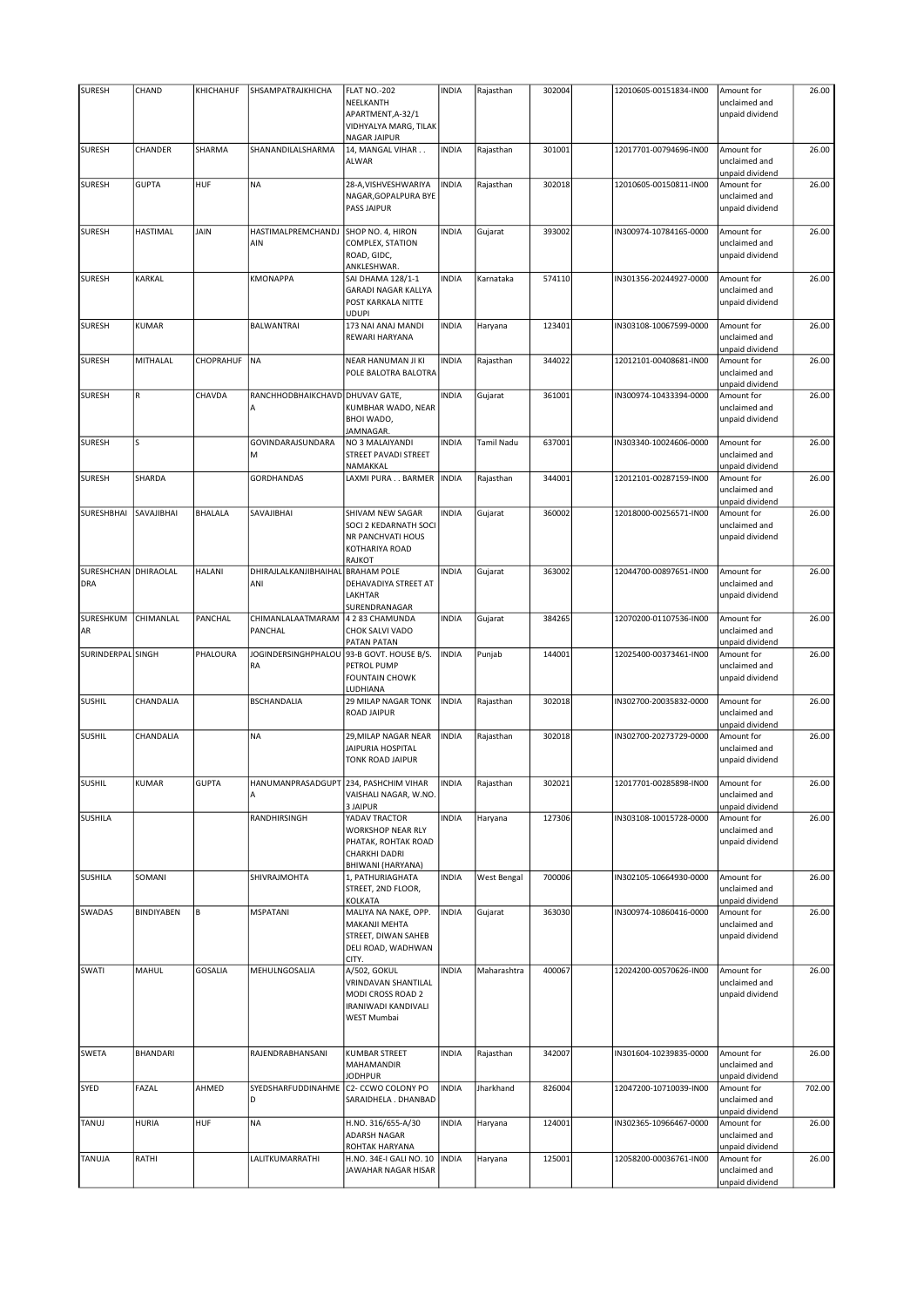| <b>SURESH</b>                      | CHAND           | KHICHAHUF      | SHSAMPATRAJKHICHA                       | <b>FLAT NO.-202</b>                                                                                | <b>INDIA</b> | Rajasthan   | 302004 | 12010605-00151834-IN00 | Amount for                                                        | 26.00  |
|------------------------------------|-----------------|----------------|-----------------------------------------|----------------------------------------------------------------------------------------------------|--------------|-------------|--------|------------------------|-------------------------------------------------------------------|--------|
|                                    |                 |                |                                         | NEELKANTH                                                                                          |              |             |        |                        | unclaimed and                                                     |        |
|                                    |                 |                |                                         | APARTMENT, A-32/1<br>VIDHYALYA MARG, TILAK                                                         |              |             |        |                        | unpaid dividend                                                   |        |
| <b>SURESH</b>                      | CHANDER         | SHARMA         | SHANANDILALSHARMA                       | NAGAR JAIPUR<br>14, MANGAL VIHAR                                                                   | <b>INDIA</b> | Rajasthan   | 301001 | 12017701-00794696-IN00 | Amount for                                                        | 26.00  |
|                                    |                 |                |                                         | ALWAR                                                                                              |              |             |        |                        | unclaimed and<br>unpaid dividend                                  |        |
| <b>SURESH</b>                      | <b>GUPTA</b>    | HUF            | <b>NA</b>                               | 28-A, VISHVESHWARIYA<br>NAGAR, GOPALPURA BYE<br>PASS JAIPUR                                        | <b>INDIA</b> | Rajasthan   | 302018 | 12010605-00150811-IN00 | Amount for<br>unclaimed and<br>unpaid dividend                    | 26.00  |
| <b>SURESH</b>                      | <b>HASTIMAL</b> | <b>JAIN</b>    | HASTIMALPREMCHANDJ                      | SHOP NO. 4, HIRON                                                                                  | <b>INDIA</b> | Gujarat     | 393002 | IN300974-10784165-0000 | Amount for                                                        | 26.00  |
|                                    |                 |                | AIN                                     | COMPLEX, STATION<br>ROAD, GIDC,<br>ANKLESHWAR.                                                     |              |             |        |                        | unclaimed and<br>unpaid dividend                                  |        |
| <b>SURESH</b>                      | KARKAL          |                | <b>KMONAPPA</b>                         | SAI DHAMA 128/1-1<br><b>GARADI NAGAR KALLYA</b><br>POST KARKALA NITTE                              | <b>INDIA</b> | Karnataka   | 574110 | IN301356-20244927-0000 | Amount for<br>unclaimed and<br>unpaid dividend                    | 26.00  |
| <b>SURESH</b>                      | KUMAR           |                | <b>BALWANTRAI</b>                       | UDUPI<br>173 NAI ANAJ MANDI<br>REWARI HARYANA                                                      | <b>INDIA</b> | Haryana     | 123401 | IN303108-10067599-0000 | Amount for<br>unclaimed and                                       | 26.00  |
| <b>SURESH</b>                      | MITHALAL        | CHOPRAHUF      | <b>NA</b>                               | NEAR HANUMAN JI KI<br>POLE BALOTRA BALOTRA                                                         | <b>INDIA</b> | Rajasthan   | 344022 | 12012101-00408681-IN00 | unpaid dividend<br>Amount for<br>unclaimed and<br>unpaid dividend | 26.00  |
| <b>SURESH</b>                      | R               | CHAVDA         | RANCHHODBHAIKCHAVD                      | <b>DHUVAV GATE,</b>                                                                                | <b>INDIA</b> | Gujarat     | 361001 | IN300974-10433394-0000 | Amount for                                                        | 26.00  |
|                                    |                 |                | А                                       | KUMBHAR WADO, NEAR<br>BHOI WADO,<br>JAMNAGAR.                                                      |              |             |        |                        | unclaimed and<br>unpaid dividend                                  |        |
| <b>SURESH</b>                      | S               |                | GOVINDARAJSUNDARA<br>M                  | NO 3 MALAIYANDI<br>STREET PAVADI STREET<br>NAMAKKAL                                                | <b>INDIA</b> | Tamil Nadu  | 637001 | IN303340-10024606-0000 | Amount for<br>unclaimed and<br>unpaid dividend                    | 26.00  |
| <b>SURESH</b>                      | SHARDA          |                | <b>GORDHANDAS</b>                       | LAXMI PURA BARMER                                                                                  | <b>INDIA</b> | Rajasthan   | 344001 | 12012101-00287159-IN00 | Amount for<br>unclaimed and<br>unpaid dividend                    | 26.00  |
| SURESHBHAI                         | SAVAJIBHAI      | <b>BHALALA</b> | SAVAJIBHAI                              | SHIVAM NEW SAGAR<br>SOCI 2 KEDARNATH SOCI<br>NR PANCHVATI HOUS<br>KOTHARIYA ROAD<br>RAJKOT         | <b>INDIA</b> | Gujarat     | 360002 | 12018000-00256571-IN00 | Amount for<br>unclaimed and<br>unpaid dividend                    | 26.00  |
| SURESHCHAN DHIRAOLAL<br><b>DRA</b> |                 | <b>HALANI</b>  | DHIRAJLALKANJIBHAIHAL<br>ANI            | <b>BRAHAM POLE</b><br>DEHAVADIYA STREET AT<br>LAKHTAR<br>SURENDRANAGAR                             | <b>INDIA</b> | Gujarat     | 363002 | 12044700-00897651-IN00 | Amount for<br>unclaimed and<br>unpaid dividend                    | 26.00  |
| SURESHKUM<br>AR                    | CHIMANLAL       | PANCHAL        | CHIMANLALAATMARAM<br>PANCHAL            | 4 2 83 CHAMUNDA<br>CHOK SALVI VADO<br>PATAN PATAN                                                  | <b>INDIA</b> | Gujarat     | 384265 | 12070200-01107536-IN00 | Amount for<br>unclaimed and<br>unpaid dividend                    | 26.00  |
| SURINDERPAL SINGH                  |                 | PHALOURA       | JOGINDERSINGHPHALOU<br>RA               | 93-B GOVT. HOUSE B/S.<br>PETROL PUMP<br><b>FOUNTAIN CHOWK</b><br>LUDHIANA                          | <b>INDIA</b> | Punjab      | 144001 | 12025400-00373461-IN00 | Amount for<br>unclaimed and<br>unpaid dividend                    | 26.00  |
| <b>SUSHIL</b>                      | CHANDALIA       |                | <b>BSCHANDALIA</b>                      | <b>29 MILAP NAGAR TONK</b><br>ROAD JAIPUR                                                          | <b>INDIA</b> | Rajasthan   | 302018 | IN302700-20035832-0000 | Amount for<br>unclaimed and<br>unpaid dividend                    | 26.00  |
| <b>SUSHIL</b>                      | CHANDALIA       |                | <b>NA</b>                               | 29, MILAP NAGAR NEAR<br>JAIPURIA HOSPITAL<br>TONK ROAD JAIPUR                                      | <b>INDIA</b> | Rajasthan   | 302018 | IN302700-20273729-0000 | Amount for<br>unclaimed and<br>unpaid dividend                    | 26.00  |
| <b>SUSHIL</b>                      | KUMAR           | <b>GUPTA</b>   | HANUMANPRASADGUPT   234, PASHCHIM VIHAR | VAISHALI NAGAR, W.NO.<br>3 JAIPUR                                                                  | INDIA        | Rajasthan   | 302021 | 12017701-00285898-IN00 | Amount for<br>unclaimed and<br>unpaid dividend                    | 26.00  |
| <b>SUSHILA</b>                     |                 |                | RANDHIRSINGH                            | YADAV TRACTOR<br>WORKSHOP NEAR RLY<br>PHATAK, ROHTAK ROAD<br>CHARKHI DADRI<br>BHIWANI (HARYANA)    | <b>INDIA</b> | Haryana     | 127306 | IN303108-10015728-0000 | Amount for<br>unclaimed and<br>unpaid dividend                    | 26.00  |
| <b>SUSHILA</b>                     | SOMANI          |                | SHIVRAJMOHTA                            | 1, PATHURIAGHATA<br>STREET, 2ND FLOOR,<br>KOLKATA                                                  | <b>INDIA</b> | West Bengal | 700006 | IN302105-10664930-0000 | Amount for<br>unclaimed and<br>unpaid dividend                    | 26.00  |
| SWADAS                             | BINDIYABEN      | B              | <b>MSPATANI</b>                         | MALIYA NA NAKE, OPP.<br><b>MAKANJI MEHTA</b><br>STREET, DIWAN SAHEB<br>DELI ROAD, WADHWAN<br>CITY. | <b>INDIA</b> | Gujarat     | 363030 | IN300974-10860416-0000 | Amount for<br>unclaimed and<br>unpaid dividend                    | 26.00  |
| SWATI                              | MAHUL           | <b>GOSALIA</b> | MEHULNGOSALIA                           | A/502, GOKUL<br>VRINDAVAN SHANTILAL<br>MODI CROSS ROAD 2<br>IRANIWADI KANDIVALI<br>WEST Mumbai     | <b>INDIA</b> | Maharashtra | 400067 | 12024200-00570626-IN00 | Amount for<br>unclaimed and<br>unpaid dividend                    | 26.00  |
| <b>SWETA</b>                       | BHANDARI        |                | RAJENDRABHANSANI                        | <b>KUMBAR STREET</b><br>MAHAMANDIR<br><b>JODHPUR</b>                                               | <b>INDIA</b> | Rajasthan   | 342007 | IN301604-10239835-0000 | Amount for<br>unclaimed and<br>unpaid dividend                    | 26.00  |
| SYED                               | FAZAL           | AHMED          | SYEDSHARFUDDINAHME<br>D                 | C2- CCWO COLONY PO<br>SARAIDHELA . DHANBAD                                                         | <b>INDIA</b> | Jharkhand   | 826004 | 12047200-10710039-IN00 | Amount for<br>unclaimed and                                       | 702.00 |
| TANUJ                              | <b>HURIA</b>    | HUF            | <b>NA</b>                               | H.NO. 316/655-A/30<br>ADARSH NAGAR<br>ROHTAK HARYANA                                               | <b>INDIA</b> | Haryana     | 124001 | IN302365-10966467-0000 | unpaid dividend<br>Amount for<br>unclaimed and<br>unpaid dividend | 26.00  |
| TANUJA                             | RATHI           |                | LALITKUMARRATHI                         | H.NO. 34E-I GALI NO. 10<br>JAWAHAR NAGAR HISAR                                                     | <b>INDIA</b> | Haryana     | 125001 | 12058200-00036761-IN00 | Amount for<br>unclaimed and<br>unpaid dividend                    | 26.00  |
|                                    |                 |                |                                         |                                                                                                    |              |             |        |                        |                                                                   |        |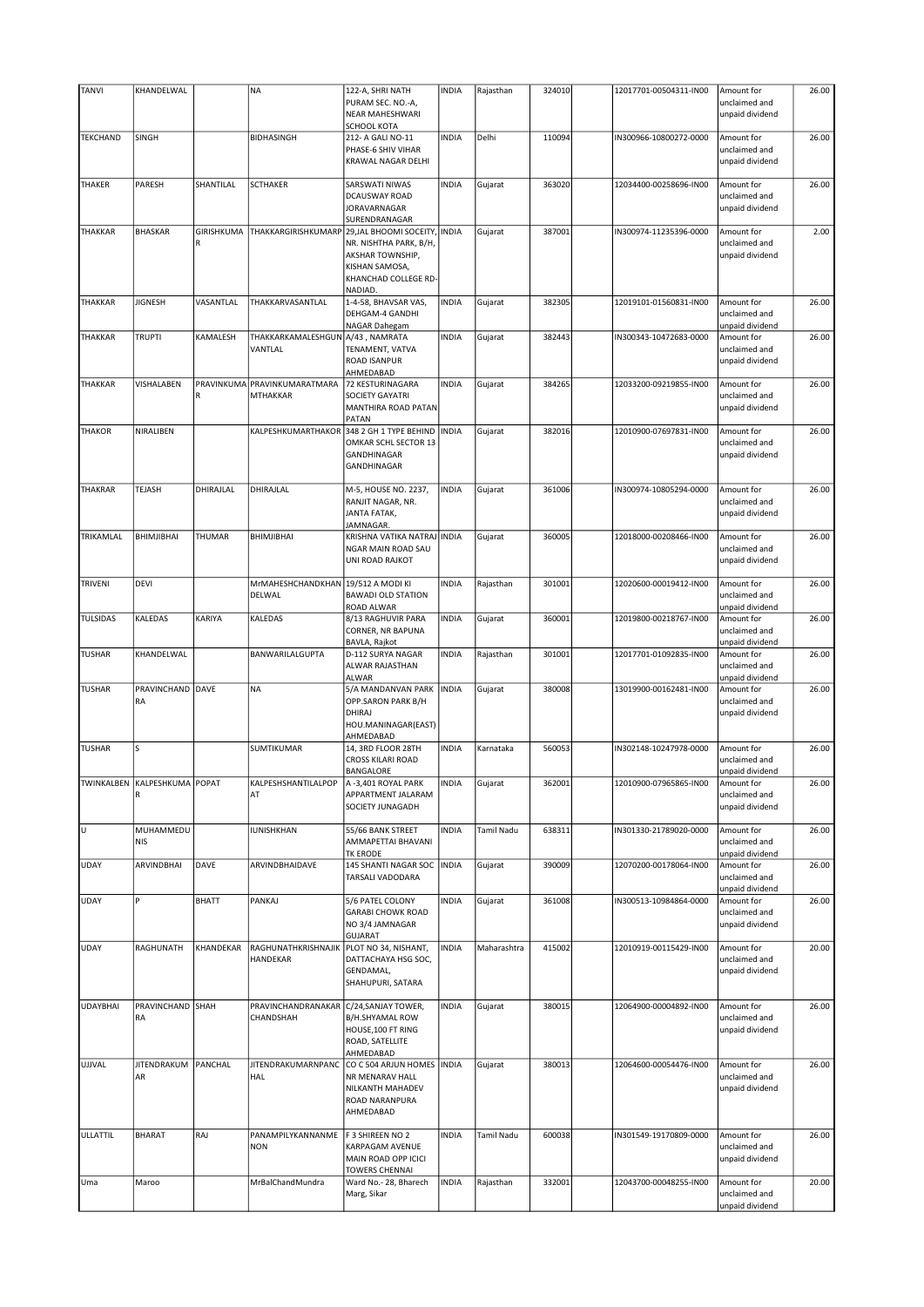| <b>TANVI</b>    | KHANDELWAL                            |              | <b>NA</b>                       | 122-A, SHRI NATH                       | <b>INDIA</b> | Rajasthan   | 324010 | 12017701-00504311-IN00 | Amount for                       | 26.00 |
|-----------------|---------------------------------------|--------------|---------------------------------|----------------------------------------|--------------|-------------|--------|------------------------|----------------------------------|-------|
|                 |                                       |              |                                 | PURAM SEC. NO.-A,                      |              |             |        |                        | unclaimed and                    |       |
|                 |                                       |              |                                 | NEAR MAHESHWARI                        |              |             |        |                        | unpaid dividend                  |       |
|                 |                                       |              |                                 | <b>SCHOOL KOTA</b>                     |              |             |        |                        |                                  |       |
| <b>TEKCHAND</b> | SINGH                                 |              | <b>BIDHASINGH</b>               | 212- A GALI NO-11                      | INDIA        | Delhi       | 110094 | IN300966-10800272-0000 | Amount for                       | 26.00 |
|                 |                                       |              |                                 | PHASE-6 SHIV VIHAR                     |              |             |        |                        | unclaimed and                    |       |
|                 |                                       |              |                                 | KRAWAL NAGAR DELHI                     |              |             |        |                        | unpaid dividend                  |       |
| THAKER          | PARESH                                | SHANTILAL    | <b>SCTHAKER</b>                 | SARSWATI NIWAS                         | <b>INDIA</b> |             | 363020 | 12034400-00258696-IN00 |                                  | 26.00 |
|                 |                                       |              |                                 | DCAUSWAY ROAD                          |              | Gujarat     |        |                        | Amount for<br>unclaimed and      |       |
|                 |                                       |              |                                 | JORAVARNAGAR                           |              |             |        |                        | unpaid dividend                  |       |
|                 |                                       |              |                                 | SURENDRANAGAR                          |              |             |        |                        |                                  |       |
| <b>THAKKAR</b>  | <b>BHASKAR</b>                        | GIRISHKUMA   | THAKKARGIRISHKUMARP             | 29, JAL BHOOMI SOCEITY,                | <b>INDIA</b> | Gujarat     | 387001 | IN300974-11235396-0000 | Amount for                       | 2.00  |
|                 |                                       | R            |                                 | NR. NISHTHA PARK, B/H,                 |              |             |        |                        | unclaimed and                    |       |
|                 |                                       |              |                                 | AKSHAR TOWNSHIP,                       |              |             |        |                        | unpaid dividend                  |       |
|                 |                                       |              |                                 | KISHAN SAMOSA,                         |              |             |        |                        |                                  |       |
|                 |                                       |              |                                 | KHANCHAD COLLEGE RD                    |              |             |        |                        |                                  |       |
|                 |                                       |              |                                 | NADIAD.                                |              |             |        |                        |                                  |       |
| THAKKAR         | <b>JIGNESH</b>                        | VASANTLAL    | THAKKARVASANTLAL                | 1-4-58, BHAVSAR VAS,                   | <b>INDIA</b> | Gujarat     | 382305 | 12019101-01560831-IN00 | Amount for                       | 26.00 |
|                 |                                       |              |                                 | DEHGAM-4 GANDHI                        |              |             |        |                        | unclaimed and                    |       |
| THAKKAR         | TRUPTI                                | KAMALESH     | THAKKARKAMALESHGUN              | NAGAR Dahegam<br>A/43, NAMRATA         | <b>INDIA</b> | Gujarat     | 382443 | IN300343-10472683-0000 | unpaid dividend<br>Amount for    | 26.00 |
|                 |                                       |              | VANTLAL                         | TENAMENT, VATVA                        |              |             |        |                        | unclaimed and                    |       |
|                 |                                       |              |                                 | ROAD ISANPUR                           |              |             |        |                        | unpaid dividend                  |       |
|                 |                                       |              |                                 | AHMEDABAD                              |              |             |        |                        |                                  |       |
| THAKKAR         | VISHALABEN                            |              | PRAVINKUMA PRAVINKUMARATMARA    | 72 KESTURINAGARA                       | <b>INDIA</b> | Gujarat     | 384265 | 12033200-09219855-IN00 | Amount for                       | 26.00 |
|                 |                                       | R            | <b>MTHAKKAR</b>                 | <b>SOCIETY GAYATRI</b>                 |              |             |        |                        | unclaimed and                    |       |
|                 |                                       |              |                                 | MANTHIRA ROAD PATAN                    |              |             |        |                        | unpaid dividend                  |       |
|                 |                                       |              |                                 | PATAN                                  |              |             |        |                        |                                  |       |
| <b>THAKOR</b>   | NIRALIBEN                             |              | KALPESHKUMARTHAKOR              | 348 2 GH 1 TYPE BEHIND                 | <b>INDIA</b> | Gujarat     | 382016 | 12010900-07697831-IN00 | Amount for                       | 26.00 |
|                 |                                       |              |                                 | OMKAR SCHL SECTOR 13                   |              |             |        |                        | unclaimed and                    |       |
|                 |                                       |              |                                 | GANDHINAGAR                            |              |             |        |                        | unpaid dividend                  |       |
|                 |                                       |              |                                 | GANDHINAGAR                            |              |             |        |                        |                                  |       |
|                 |                                       |              |                                 |                                        |              |             |        |                        |                                  |       |
| <b>THAKRAR</b>  | TEJASH                                | DHIRAJLAL    | DHIRAJLAL                       | M-5, HOUSE NO. 2237,                   | <b>INDIA</b> | Gujarat     | 361006 | IN300974-10805294-0000 | Amount for                       | 26.00 |
|                 |                                       |              |                                 | RANJIT NAGAR, NR.                      |              |             |        |                        | unclaimed and                    |       |
|                 |                                       |              |                                 | JANTA FATAK,                           |              |             |        |                        | unpaid dividend                  |       |
|                 |                                       |              |                                 | JAMNAGAR.                              |              |             |        |                        |                                  |       |
| TRIKAMLAL       | BHIMJIBHAI                            | THUMAR       | BHIMJIBHAI                      | KRISHNA VATIKA NATRAJ                  | <b>INDIA</b> | Gujarat     | 360005 | 12018000-00208466-IN00 | Amount for                       | 26.00 |
|                 |                                       |              |                                 | NGAR MAIN ROAD SAU<br>UNI ROAD RAJKOT  |              |             |        |                        | unclaimed and                    |       |
|                 |                                       |              |                                 |                                        |              |             |        |                        | unpaid dividend                  |       |
| TRIVENI         | <b>DEVI</b>                           |              | MrMAHESHCHANDKHAN               | 19/512 A MODI KI                       | <b>INDIA</b> | Rajasthan   | 301001 | 12020600-00019412-IN00 | Amount for                       | 26.00 |
|                 |                                       |              | DELWAL                          | <b>BAWADI OLD STATION</b>              |              |             |        |                        | unclaimed and                    |       |
|                 |                                       |              |                                 | ROAD ALWAR                             |              |             |        |                        | unpaid dividend                  |       |
| <b>TULSIDAS</b> | KALEDAS                               | KARIYA       | KALEDAS                         | 8/13 RAGHUVIR PARA                     | <b>INDIA</b> | Gujarat     | 360001 | 12019800-00218767-IN00 | Amount for                       | 26.00 |
|                 |                                       |              |                                 | CORNER, NR BAPUNA                      |              |             |        |                        | unclaimed and                    |       |
|                 |                                       |              |                                 | BAVLA, Rajkot                          |              |             |        |                        | unpaid dividend                  |       |
|                 | KHANDELWAL                            |              |                                 |                                        |              |             |        |                        |                                  |       |
| <b>TUSHAR</b>   |                                       |              | BANWARILALGUPTA                 | D-112 SURYA NAGAR                      | INDIA        | Rajasthan   | 301001 | 12017701-01092835-IN00 | Amount for                       | 26.00 |
|                 |                                       |              |                                 | ALWAR RAJASTHAN                        |              |             |        |                        | unclaimed and                    |       |
|                 |                                       |              |                                 | <b>ALWAR</b>                           |              |             |        |                        | unpaid dividend                  |       |
| <b>TUSHAR</b>   | PRAVINCHAND DAVE                      |              | <b>NA</b>                       | 5/A MANDANVAN PARK                     | <b>INDIA</b> | Gujarat     | 380008 | 13019900-00162481-IN00 | Amount for                       | 26.00 |
|                 | RA                                    |              |                                 | OPP.SARON PARK B/H                     |              |             |        |                        | unclaimed and                    |       |
|                 |                                       |              |                                 | DHIRAJ                                 |              |             |        |                        | unpaid dividend                  |       |
|                 |                                       |              |                                 | HOU.MANINAGAR(EAST)                    |              |             |        |                        |                                  |       |
|                 |                                       |              |                                 | AHMEDABAD                              |              |             |        |                        |                                  |       |
| <b>TUSHAR</b>   | S                                     |              | SUMTIKUMAR                      | 14, 3RD FLOOR 28TH                     | <b>INDIA</b> | Karnataka   | 560053 | IN302148-10247978-0000 | Amount for                       | 26.00 |
|                 |                                       |              |                                 | <b>CROSS KILARI ROAD</b>               |              |             |        |                        | unclaimed and                    |       |
|                 |                                       |              |                                 | BANGALORE                              |              |             |        |                        | unpaid dividend                  |       |
|                 | TWINKALBEN   KALPESHKUMA   POPAT<br>R |              | KALPESHSHANTILALPOP<br>AT       | A -3,401 ROYAL PARK                    | <b>INDIA</b> | Gujarat     | 362001 | 12010900-07965865-IN00 | Amount for                       | 26.00 |
|                 |                                       |              |                                 | APPARTMENT JALARAM<br>SOCIETY JUNAGADH |              |             |        |                        | unclaimed and<br>unpaid dividend |       |
|                 |                                       |              |                                 |                                        |              |             |        |                        |                                  |       |
| Iυ              | MUHAMMEDU                             |              | IUNISHKHAN                      | 55/66 BANK STREET                      | <b>INDIA</b> | Tamil Nadu  | 638311 | IN301330-21789020-0000 | Amount for                       | 26.00 |
|                 | NIS                                   |              |                                 | AMMAPETTAI BHAVANI                     |              |             |        |                        | unclaimed and                    |       |
|                 |                                       |              |                                 | TK ERODE                               |              |             |        |                        | unpaid dividend                  |       |
| <b>UDAY</b>     | ARVINDBHAI                            | DAVE         | ARVINDBHAIDAVE                  | 145 SHANTI NAGAR SOC                   | <b>INDIA</b> | Gujarat     | 390009 | 12070200-00178064-IN00 | Amount for                       | 26.00 |
|                 |                                       |              |                                 | TARSALI VADODARA                       |              |             |        |                        | unclaimed and                    |       |
|                 |                                       |              |                                 |                                        |              |             |        |                        | unpaid dividend                  |       |
| <b>UDAY</b>     | P                                     | <b>BHATT</b> | PANKAJ                          | 5/6 PATEL COLONY                       | <b>INDIA</b> | Gujarat     | 361008 | IN300513-10984864-0000 | Amount for                       | 26.00 |
|                 |                                       |              |                                 | <b>GARABI CHOWK ROAD</b>               |              |             |        |                        | unclaimed and                    |       |
|                 |                                       |              |                                 | NO 3/4 JAMNAGAR                        |              |             |        |                        | unpaid dividend                  |       |
|                 |                                       |              |                                 | <b>GUJARAT</b>                         |              |             |        |                        |                                  |       |
| <b>UDAY</b>     | RAGHUNATH                             | KHANDEKAR    | RAGHUNATHKRISHNAJIK             | PLOT NO 34, NISHANT,                   | INDIA        | Maharashtra | 415002 | 12010919-00115429-IN00 | Amount for                       | 20.00 |
|                 |                                       |              | HANDEKAR                        | DATTACHAYA HSG SOC,                    |              |             |        |                        | unclaimed and                    |       |
|                 |                                       |              |                                 | GENDAMAL,<br>SHAHUPURI, SATARA         |              |             |        |                        | unpaid dividend                  |       |
|                 |                                       |              |                                 |                                        |              |             |        |                        |                                  |       |
| <b>UDAYBHAI</b> | PRAVINCHAND SHAH                      |              | PRAVINCHANDRANAKAR              | C/24, SANJAY TOWER,                    | <b>INDIA</b> | Gujarat     | 380015 | 12064900-00004892-IN00 | Amount for                       | 26.00 |
|                 | RA                                    |              | CHANDSHAH                       | <b>B/H.SHYAMAL ROW</b>                 |              |             |        |                        | unclaimed and                    |       |
|                 |                                       |              |                                 | HOUSE, 100 FT RING                     |              |             |        |                        | unpaid dividend                  |       |
|                 |                                       |              |                                 | ROAD, SATELLITE                        |              |             |        |                        |                                  |       |
|                 |                                       |              |                                 | AHMEDABAD                              |              |             |        |                        |                                  |       |
| UJJVAL          | JITENDRAKUM PANCHAL                   |              | JITENDRAKUMARNPANC              | CO C 504 ARJUN HOMES   INDIA           |              | Gujarat     | 380013 | 12064600-00054476-IN00 | Amount for                       | 26.00 |
|                 | AR                                    |              | HAL                             | NR MENARAV HALL                        |              |             |        |                        | unclaimed and                    |       |
|                 |                                       |              |                                 | NILKANTH MAHADEV                       |              |             |        |                        | unpaid dividend                  |       |
|                 |                                       |              |                                 | ROAD NARANPURA                         |              |             |        |                        |                                  |       |
|                 |                                       |              |                                 | AHMEDABAD                              |              |             |        |                        |                                  |       |
|                 |                                       |              |                                 |                                        |              |             |        |                        |                                  |       |
| ULLATTIL        | BHARAT                                | RAJ          | PANAMPILYKANNANME<br><b>NON</b> | F 3 SHIREEN NO 2<br>KARPAGAM AVENUE    | INDIA        | Tamil Nadu  | 600038 | IN301549-19170809-0000 | Amount for<br>unclaimed and      | 26.00 |
|                 |                                       |              |                                 | MAIN ROAD OPP ICICI                    |              |             |        |                        | unpaid dividend                  |       |
|                 |                                       |              |                                 | <b>TOWERS CHENNAI</b>                  |              |             |        |                        |                                  |       |
| Uma             | Maroo                                 |              | MrBalChandMundra                | Ward No.- 28, Bharech                  | INDIA        | Rajasthan   | 332001 | 12043700-00048255-IN00 | Amount for                       | 20.00 |
|                 |                                       |              |                                 | Marg, Sikar                            |              |             |        |                        | unclaimed and<br>unpaid dividend |       |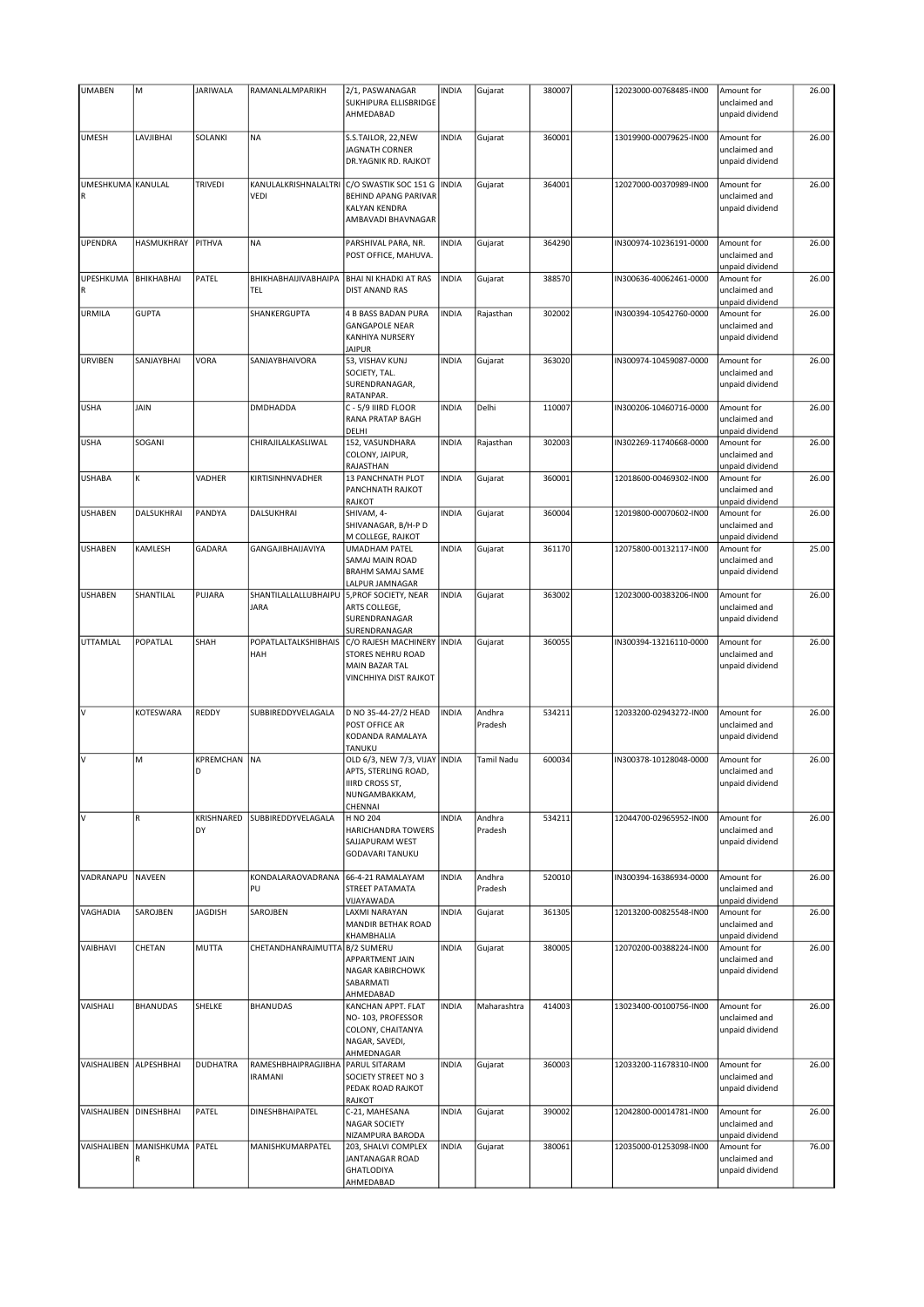| <b>UMABEN</b>                    | M               | <b>JARIWALA</b>  | RAMANLALMPARIKH                       | 2/1, PASWANAGAR<br>SUKHIPURA ELLISBRIDGE<br>AHMEDABAD                                                                   | <b>INDIA</b> | Gujarat           | 380007 | 12023000-00768485-IN00 | Amount for<br>unclaimed and<br>unpaid dividend | 26.00 |
|----------------------------------|-----------------|------------------|---------------------------------------|-------------------------------------------------------------------------------------------------------------------------|--------------|-------------------|--------|------------------------|------------------------------------------------|-------|
|                                  |                 |                  |                                       |                                                                                                                         |              |                   |        |                        |                                                |       |
| UMESH                            | LAVJIBHAI       | SOLANKI          | <b>NA</b>                             | S.S.TAILOR, 22, NEW<br><b>JAGNATH CORNER</b><br>DR.YAGNIK RD. RAJKOT                                                    | <b>INDIA</b> | Gujarat           | 360001 | 13019900-00079625-IN00 | Amount for<br>unclaimed and<br>unpaid dividend | 26.00 |
| UMESHKUMA KANULAL<br>$\mathsf R$ |                 | TRIVEDI          | <b>VEDI</b>                           | KANULALKRISHNALALTRI C/O SWASTIK SOC 151 G<br><b>BEHIND APANG PARIVAR</b><br><b>KALYAN KENDRA</b><br>AMBAVADI BHAVNAGAR | <b>INDIA</b> | Gujarat           | 364001 | 12027000-00370989-IN00 | Amount for<br>unclaimed and<br>unpaid dividend | 26.00 |
| UPENDRA                          | HASMUKHRAY      | PITHVA           | <b>NA</b>                             | PARSHIVAL PARA, NR.<br>POST OFFICE, MAHUVA.                                                                             | <b>INDIA</b> | Gujarat           | 364290 | IN300974-10236191-0000 | Amount for<br>unclaimed and<br>unpaid dividend | 26.00 |
| UPESHKUMA<br>R                   | BHIKHABHAI      | PATEL            | BHIKHABHAIJIVABHAIPA<br><b>TEL</b>    | <b>BHAI NI KHADKI AT RAS</b><br><b>DIST ANAND RAS</b>                                                                   | <b>INDIA</b> | Gujarat           | 388570 | IN300636-40062461-0000 | Amount for<br>unclaimed and<br>unpaid dividend | 26.00 |
| URMILA                           | <b>GUPTA</b>    |                  | SHANKERGUPTA                          | <b>4 B BASS BADAN PURA</b><br><b>GANGAPOLE NEAR</b><br><b>KANHIYA NURSERY</b><br><b>JAIPUR</b>                          | <b>INDIA</b> | Rajasthan         | 302002 | IN300394-10542760-0000 | Amount for<br>unclaimed and<br>unpaid dividend | 26.00 |
| <b>URVIBEN</b>                   | SANJAYBHAI      | <b>VORA</b>      | SANJAYBHAIVORA                        | 53, VISHAV KUNJ<br>SOCIETY, TAL.<br>SURENDRANAGAR,<br>RATANPAR.                                                         | <b>INDIA</b> | Gujarat           | 363020 | IN300974-10459087-0000 | Amount for<br>unclaimed and<br>unpaid dividend | 26.00 |
| <b>USHA</b>                      | <b>JAIN</b>     |                  | <b>DMDHADDA</b>                       | C - 5/9 IIIRD FLOOR<br><b>RANA PRATAP BAGH</b><br>DELHI                                                                 | <b>INDIA</b> | Delhi             | 110007 | IN300206-10460716-0000 | Amount for<br>unclaimed and<br>unpaid dividend | 26.00 |
| <b>USHA</b>                      | SOGANI          |                  | CHIRAJILALKASLIWAL                    | 152, VASUNDHARA<br>COLONY, JAIPUR,<br>RAJASTHAN                                                                         | <b>INDIA</b> | Rajasthan         | 302003 | IN302269-11740668-0000 | Amount for<br>unclaimed and<br>unpaid dividend | 26.00 |
| <b>USHABA</b>                    | К               | VADHER           | KIRTISINHNVADHER                      | 13 PANCHNATH PLOT<br><b>PANCHNATH RAJKOT</b><br><b>RAJKOT</b>                                                           | <b>INDIA</b> | Gujarat           | 360001 | 12018600-00469302-IN00 | Amount for<br>unclaimed and<br>unpaid dividend | 26.00 |
| USHABEN                          | DALSUKHRAI      | PANDYA           | DALSUKHRAI                            | SHIVAM, 4-<br>SHIVANAGAR, B/H-P D<br>M COLLEGE, RAJKOT                                                                  | <b>INDIA</b> | Gujarat           | 360004 | 12019800-00070602-IN00 | Amount for<br>unclaimed and<br>unpaid dividend | 26.00 |
| <b>USHABEN</b>                   | KAMLESH         | GADARA           | GANGAJIBHAIJAVIYA                     | <b>UMADHAM PATEL</b><br>SAMAJ MAIN ROAD<br><b>BRAHM SAMAJ SAME</b><br>LALPUR JAMNAGAR                                   | <b>INDIA</b> | Gujarat           | 361170 | 12075800-00132117-IN00 | Amount for<br>unclaimed and<br>unpaid dividend | 25.00 |
| <b>USHABEN</b>                   | SHANTILAL       | PUJARA           | SHANTILALLALLUBHAIPU<br><b>JARA</b>   | 5, PROF SOCIETY, NEAR<br>ARTS COLLEGE,<br>SURENDRANAGAR<br>SURENDRANAGAR                                                | <b>INDIA</b> | Gujarat           | 363002 | 12023000-00383206-IN00 | Amount for<br>unclaimed and<br>unpaid dividend | 26.00 |
| UTTAMLAL                         | POPATLAL        | SHAH             | POPATLALTALKSHIBHAIS<br>HAH           | C/O RAJESH MACHINERY   INDIA<br><b>STORES NEHRU ROAD</b><br><b>MAIN BAZAR TAL</b><br>VINCHHIYA DIST RAJKOT              |              | Gujarat           | 360055 | IN300394-13216110-0000 | Amount for<br>unclaimed and<br>unpaid dividend | 26.00 |
| V                                | KOTESWARA       | REDDY            | SUBBIREDDYVELAGALA                    | D NO 35-44-27/2 HEAD<br>POST OFFICE AR<br>KODANDA RAMALAYA<br>TANUKU                                                    | <b>INDIA</b> | Andhra<br>Pradesh | 534211 | 12033200-02943272-IN00 | Amount for<br>unclaimed and<br>unpaid dividend | 26.00 |
| V                                | M               | KPREMCHAN<br>D   | NA                                    | OLD 6/3, NEW 7/3, VIJAY INDIA<br>APTS, STERLING ROAD,<br><b>IIIRD CROSS ST,</b><br>NUNGAMBAKKAM,<br>CHENNAI             |              | Tamil Nadu        | 600034 | IN300378-10128048-0000 | Amount for<br>unclaimed and<br>unpaid dividend | 26.00 |
| V                                | R               | KRISHNARED<br>DY | SUBBIREDDYVELAGALA                    | H NO 204<br>HARICHANDRA TOWERS<br>SAJJAPURAM WEST<br><b>GODAVARI TANUKU</b>                                             | <b>INDIA</b> | Andhra<br>Pradesh | 534211 | 12044700-02965952-IN00 | Amount for<br>unclaimed and<br>unpaid dividend | 26.00 |
| VADRANAPU                        | <b>NAVEEN</b>   |                  | KONDALARAOVADRANA<br>PU               | 66-4-21 RAMALAYAM<br>STREET PATAMATA<br>VIJAYAWADA                                                                      | <b>INDIA</b> | Andhra<br>Pradesh | 520010 | IN300394-16386934-0000 | Amount for<br>unclaimed and<br>unpaid dividend | 26.00 |
| VAGHADIA                         | SAROJBEN        | <b>JAGDISH</b>   | SAROJBEN                              | <b>LAXMI NARAYAN</b><br>MANDIR BETHAK ROAD<br>KHAMBHALIA                                                                | <b>INDIA</b> | Gujarat           | 361305 | 12013200-00825548-IN00 | Amount for<br>unclaimed and<br>unpaid dividend | 26.00 |
| VAIBHAVI                         | CHETAN          | MUTTA            | CHETANDHANRAJMUTTA B/2 SUMERU         | <b>APPARTMENT JAIN</b><br>NAGAR KABIRCHOWK<br>SABARMATI<br>AHMEDABAD                                                    | <b>INDIA</b> | Gujarat           | 380005 | 12070200-00388224-IN00 | Amount for<br>unclaimed and<br>unpaid dividend | 26.00 |
| VAISHALI                         | <b>BHANUDAS</b> | SHELKE           | BHANUDAS                              | KANCHAN APPT. FLAT<br>NO-103, PROFESSOR<br>COLONY, CHAITANYA<br>NAGAR, SAVEDI,<br>AHMEDNAGAR                            | <b>INDIA</b> | Maharashtra       | 414003 | 13023400-00100756-IN00 | Amount for<br>unclaimed and<br>unpaid dividend | 26.00 |
| VAISHALIBEN                      | ALPESHBHAI      | <b>DUDHATRA</b>  | RAMESHBHAIPRAGJIBHA<br><b>IRAMANI</b> | PARUL SITARAM<br>SOCIETY STREET NO 3<br>PEDAK ROAD RAJKOT<br>RAJKOT                                                     | <b>INDIA</b> | Gujarat           | 360003 | 12033200-11678310-IN00 | Amount for<br>unclaimed and<br>unpaid dividend | 26.00 |
| VAISHALIBEN DINESHBHAI           |                 | PATEL            | DINESHBHAIPATEL                       | C-21, MAHESANA<br><b>NAGAR SOCIETY</b><br>NIZAMPURA BARODA                                                              | <b>INDIA</b> | Gujarat           | 390002 | 12042800-00014781-IN00 | Amount for<br>unclaimed and<br>unpaid dividend | 26.00 |
| VAISHALIBEN                      | MANISHKUMA      | PATEL            | MANISHKUMARPATEL                      | 203, SHALVI COMPLEX<br>JANTANAGAR ROAD<br><b>GHATLODIYA</b><br>AHMEDABAD                                                | <b>INDIA</b> | Gujarat           | 380061 | 12035000-01253098-IN00 | Amount for<br>unclaimed and<br>unpaid dividend | 76.00 |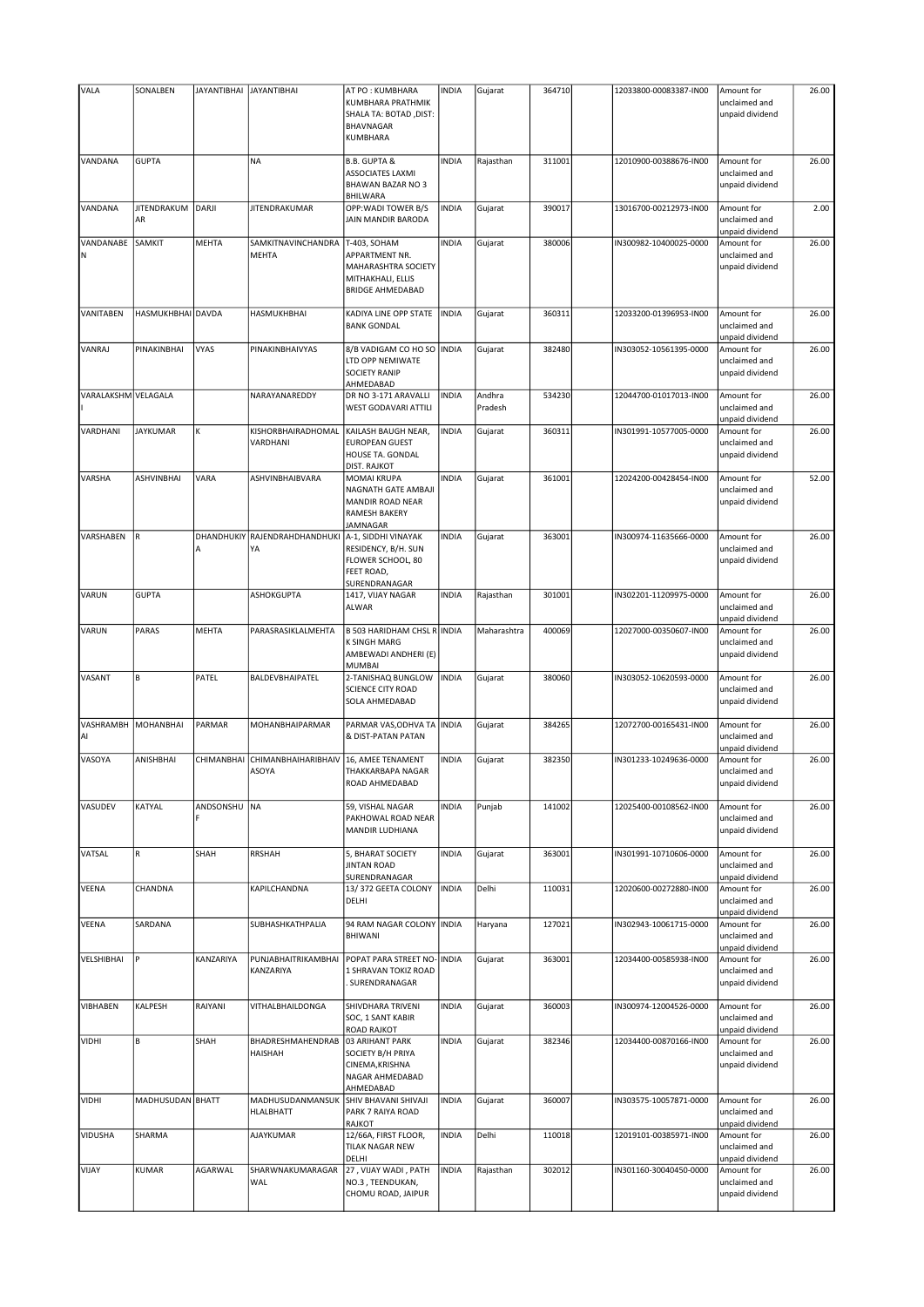| VALA                | SONALBEN                 | <b>JAYANTIBHAI</b> | <b>JAYANTIBHAI</b>                  | AT PO: KUMBHARA<br>KUMBHARA PRATHMIK<br>SHALA TA: BOTAD, DIST:<br><b>BHAVNAGAR</b><br>KUMBHARA           | <b>INDIA</b> | Gujarat           | 364710 | 12033800-00083387-IN00 | Amount for<br>unclaimed and<br>unpaid dividend | 26.00 |
|---------------------|--------------------------|--------------------|-------------------------------------|----------------------------------------------------------------------------------------------------------|--------------|-------------------|--------|------------------------|------------------------------------------------|-------|
| VANDANA             | <b>GUPTA</b>             |                    | <b>NA</b>                           | <b>B.B. GUPTA &amp;</b><br><b>ASSOCIATES LAXMI</b><br>BHAWAN BAZAR NO 3<br><b>BHILWARA</b>               | <b>INDIA</b> | Rajasthan         | 311001 | 12010900-00388676-IN00 | Amount for<br>unclaimed and<br>unpaid dividend | 26.00 |
| VANDANA             | <b>JITENDRAKUM</b><br>AR | DARJI              | JITENDRAKUMAR                       | OPP: WADI TOWER B/S<br>JAIN MANDIR BARODA                                                                | <b>INDIA</b> | Gujarat           | 390017 | 13016700-00212973-IN00 | Amount for<br>unclaimed and<br>unpaid dividend | 2.00  |
| VANDANABE<br>Ν      | SAMKIT                   | MEHTA              | SAMKITNAVINCHANDRA<br>MEHTA         | T-403, SOHAM<br>APPARTMENT NR.<br>MAHARASHTRA SOCIETY<br>MITHAKHALI, ELLIS<br><b>BRIDGE AHMEDABAD</b>    | <b>INDIA</b> | Gujarat           | 380006 | IN300982-10400025-0000 | Amount for<br>unclaimed and<br>unpaid dividend | 26.00 |
| VANITABEN           | HASMUKHBHAI DAVDA        |                    | HASMUKHBHAI                         | KADIYA LINE OPP STATE<br><b>BANK GONDAL</b>                                                              | <b>INDIA</b> | Gujarat           | 360311 | 12033200-01396953-IN00 | Amount for<br>unclaimed and<br>unpaid dividend | 26.00 |
| VANRAJ              | PINAKINBHAI              | <b>VYAS</b>        | PINAKINBHAIVYAS                     | 8/B VADIGAM CO HO SO   INDIA<br>LTD OPP NEMIWATE<br><b>SOCIETY RANIP</b><br>AHMEDABAD                    |              | Gujarat           | 382480 | IN303052-10561395-0000 | Amount for<br>unclaimed and<br>unpaid dividend | 26.00 |
| VARALAKSHM VELAGALA |                          |                    | NARAYANAREDDY                       | DR NO 3-171 ARAVALLI<br>WEST GODAVARI ATTILI                                                             | <b>INDIA</b> | Andhra<br>Pradesh | 534230 | 12044700-01017013-IN00 | Amount for<br>unclaimed and<br>unpaid dividend | 26.00 |
| VARDHANI            | <b>JAYKUMAR</b>          | K                  | KISHORBHAIRADHOMAL<br>VARDHANI      | KAILASH BAUGH NEAR,<br><b>EUROPEAN GUEST</b><br>HOUSE TA. GONDAL<br><b>DIST. RAJKOT</b>                  | <b>INDIA</b> | Gujarat           | 360311 | IN301991-10577005-0000 | Amount for<br>unclaimed and<br>unpaid dividend | 26.00 |
| VARSHA              | ASHVINBHAI               | VARA               | ASHVINBHAIBVARA                     | <b>MOMAI KRUPA</b><br>NAGNATH GATE AMBAJI<br>MANDIR ROAD NEAR<br><b>RAMESH BAKERY</b><br><b>JAMNAGAR</b> | <b>INDIA</b> | Gujarat           | 361001 | 12024200-00428454-IN00 | Amount for<br>unclaimed and<br>unpaid dividend | 52.00 |
| VARSHABEN           | R                        | DHANDHUKIY<br>А    | RAJENDRAHDHANDHUKI<br>YA            | A-1, SIDDHI VINAYAK<br>RESIDENCY, B/H. SUN<br>FLOWER SCHOOL, 80<br>FEET ROAD,<br>SURENDRANAGAR           | <b>INDIA</b> | Gujarat           | 363001 | IN300974-11635666-0000 | Amount for<br>unclaimed and<br>unpaid dividend | 26.00 |
| VARUN               | <b>GUPTA</b>             |                    | <b>ASHOKGUPTA</b>                   | 1417, VIJAY NAGAR<br><b>ALWAR</b>                                                                        | <b>INDIA</b> | Rajasthan         | 301001 | IN302201-11209975-0000 | Amount for<br>unclaimed and<br>unpaid dividend | 26.00 |
| VARUN               | PARAS                    | <b>MEHTA</b>       | PARASRASIKLALMEHTA                  | <b>B 503 HARIDHAM CHSL R INDIA</b><br><b>K SINGH MARG</b><br>AMBEWADI ANDHERI (E)<br><b>MUMBAI</b>       |              | Maharashtra       | 400069 | 12027000-00350607-IN00 | Amount for<br>unclaimed and<br>unpaid dividend | 26.00 |
| VASANT              | B                        | PATEL              | BALDEVBHAIPATEL                     | 2-TANISHAQ BUNGLOW<br><b>SCIENCE CITY ROAD</b><br>SOLA AHMEDABAD                                         | <b>INDIA</b> | Gujarat           | 380060 | IN303052-10620593-0000 | Amount for<br>unclaimed and<br>unpaid dividend | 26.00 |
| AI                  | VASHRAMBH MOHANBHAI      | PARMAR             | MOHANBHAIPARMAR                     | PARMAR VAS, ODHVA TA<br>& DIST-PATAN PATAN                                                               | <b>INDIA</b> | Gujarat           | 384265 | 12072700-00165431-IN00 | Amount for<br>unclaimed and<br>unpaid dividend | 26.00 |
| VASOYA              | ANISHBHAI                | CHIMANBHAI         | CHIMANBHAIHARIBHAIV<br>ASOYA        | 16, AMEE TENAMENT<br>THAKKARBAPA NAGAR<br>ROAD AHMEDABAD                                                 | <b>INDIA</b> | Gujarat           | 382350 | IN301233-10249636-0000 | Amount for<br>unclaimed and<br>unpaid dividend | 26.00 |
| VASUDEV             | KATYAL                   | ANDSONSHU NA       |                                     | 59, VISHAL NAGAR<br>PAKHOWAL ROAD NEAR<br>MANDIR LUDHIANA                                                | <b>INDIA</b> | Punjab            | 141002 | 12025400-00108562-IN00 | Amount for<br>unclaimed and<br>unpaid dividend | 26.00 |
| VATSAL              | $\mathsf R$              | SHAH               | <b>RRSHAH</b>                       | 5, BHARAT SOCIETY<br><b>JINTAN ROAD</b><br>SURENDRANAGAR                                                 | <b>INDIA</b> | Gujarat           | 363001 | IN301991-10710606-0000 | Amount for<br>unclaimed and<br>unpaid dividend | 26.00 |
| VEENA               | CHANDNA                  |                    | KAPILCHANDNA                        | 13/372 GEETA COLONY<br>DELHI                                                                             | <b>INDIA</b> | Delhi             | 110031 | 12020600-00272880-IN00 | Amount for<br>unclaimed and<br>unpaid dividend | 26.00 |
| VEENA               | SARDANA                  |                    | SUBHASHKATHPALIA                    | 94 RAM NAGAR COLONY INDIA<br><b>BHIWANI</b>                                                              |              | Haryana           | 127021 | IN302943-10061715-0000 | Amount for<br>unclaimed and<br>unpaid dividend | 26.00 |
| VELSHIBHAI          | P                        | KANZARIYA          | PUNJABHAITRIKAMBHAI<br>KANZARIYA    | POPAT PARA STREET NO-<br>1 SHRAVAN TOKIZ ROAD<br>SURENDRANAGAR                                           | <b>INDIA</b> | Gujarat           | 363001 | 12034400-00585938-IN00 | Amount for<br>unclaimed and<br>unpaid dividend | 26.00 |
| <b>VIBHABEN</b>     | KALPESH                  | RAIYANI            | VITHALBHAILDONGA                    | SHIVDHARA TRIVENI<br>SOC, 1 SANT KABIR<br><b>ROAD RAJKOT</b>                                             | <b>INDIA</b> | Gujarat           | 360003 | IN300974-12004526-0000 | Amount for<br>unclaimed and<br>unpaid dividend | 26.00 |
| VIDHI               | B                        | SHAH               | BHADRESHMAHENDRAB<br><b>HAISHAH</b> | 03 ARIHANT PARK<br>SOCIETY B/H PRIYA<br>CINEMA, KRISHNA<br>NAGAR AHMEDABAD<br>AHMEDABAD                  | <b>INDIA</b> | Gujarat           | 382346 | 12034400-00870166-IN00 | Amount for<br>unclaimed and<br>unpaid dividend | 26.00 |
| VIDHI               | MADHUSUDAN BHATT         |                    | MADHUSUDANMANSUK<br>HLALBHATT       | SHIV BHAVANI SHIVAJI<br>PARK 7 RAIYA ROAD<br><b>RAJKOT</b>                                               | <b>INDIA</b> | Gujarat           | 360007 | IN303575-10057871-0000 | Amount for<br>unclaimed and<br>unpaid dividend | 26.00 |
| VIDUSHA             | SHARMA                   |                    | <b>AJAYKUMAR</b>                    | 12/66A, FIRST FLOOR,<br>TILAK NAGAR NEW<br>DELHI                                                         | <b>INDIA</b> | Delhi             | 110018 | 12019101-00385971-IN00 | Amount for<br>unclaimed and<br>unpaid dividend | 26.00 |
| VIJAY               | KUMAR                    | AGARWAL            | SHARWNAKUMARAGAR<br>WAL             | 27, VIJAY WADI, PATH<br>NO.3, TEENDUKAN,<br>CHOMU ROAD, JAIPUR                                           | <b>INDIA</b> | Rajasthan         | 302012 | IN301160-30040450-0000 | Amount for<br>unclaimed and<br>unpaid dividend | 26.00 |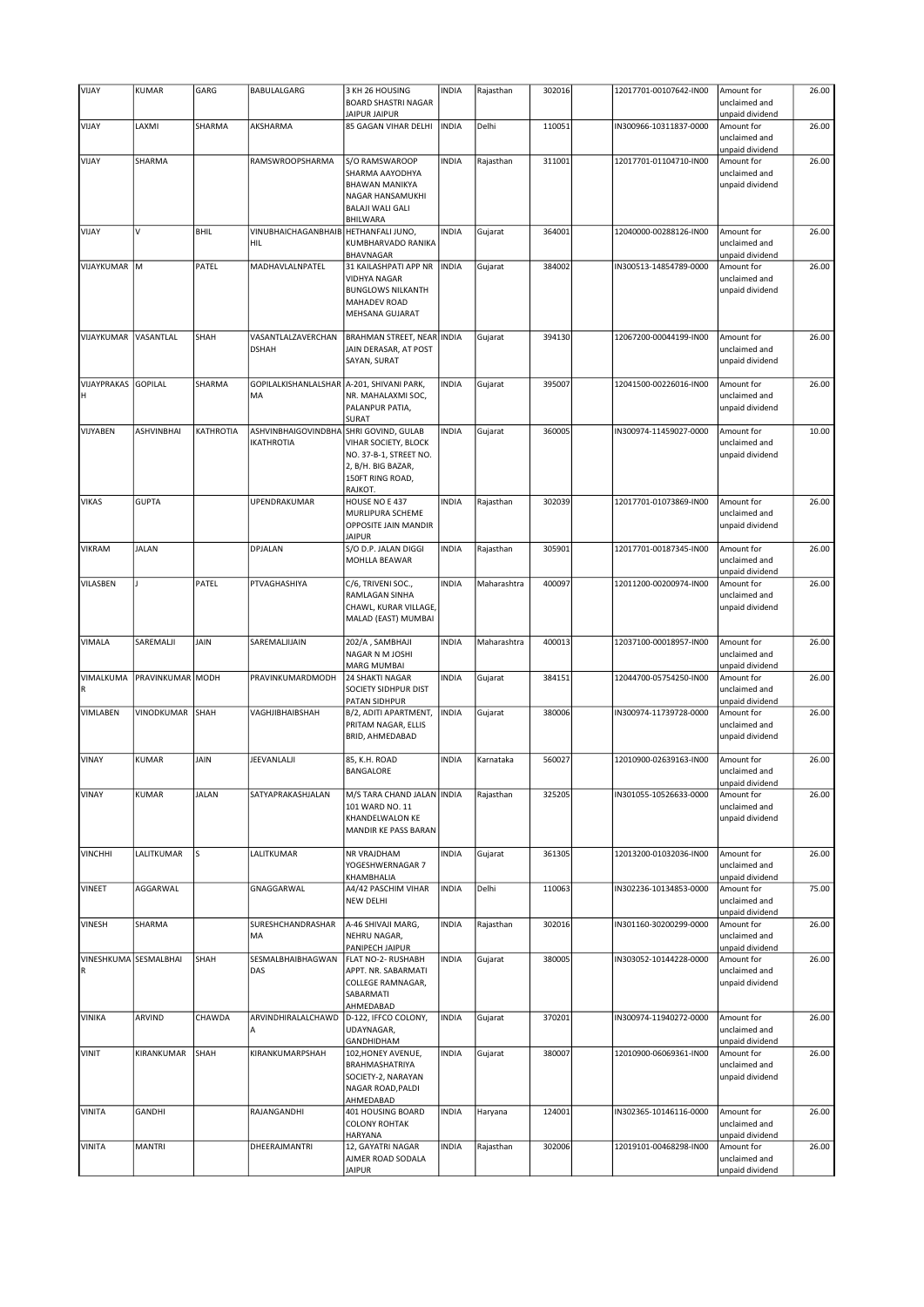|                       |                  |              |                                           | 3 KH 26 HOUSING                                            |              |             |        |                        |                                                |       |
|-----------------------|------------------|--------------|-------------------------------------------|------------------------------------------------------------|--------------|-------------|--------|------------------------|------------------------------------------------|-------|
| VIJAY                 | <b>KUMAR</b>     | GARG         | BABULALGARG                               | <b>BOARD SHASTRI NAGAR</b>                                 | <b>INDIA</b> | Rajasthan   | 302016 | 12017701-00107642-IN00 | Amount for<br>unclaimed and                    | 26.00 |
|                       |                  |              |                                           | JAIPUR JAIPUR                                              |              |             |        |                        | unpaid dividend                                |       |
| VIJAY                 | LAXMI            | SHARMA       | AKSHARMA                                  | 85 GAGAN VIHAR DELHI                                       | <b>INDIA</b> | Delhi       | 110051 | IN300966-10311837-0000 | Amount for<br>unclaimed and<br>unpaid dividend | 26.00 |
| VIJAY                 | SHARMA           |              | RAMSWROOPSHARMA                           | S/O RAMSWAROOP                                             | <b>INDIA</b> | Rajasthan   | 311001 | 12017701-01104710-IN00 | Amount for                                     | 26.00 |
|                       |                  |              |                                           | SHARMA AAYODHYA                                            |              |             |        |                        | unclaimed and                                  |       |
|                       |                  |              | <b>BHAWAN MANIKYA</b><br>NAGAR HANSAMUKHI |                                                            |              |             |        | unpaid dividend        |                                                |       |
|                       |                  |              | <b>BALAJI WALI GALI</b>                   |                                                            |              |             |        |                        |                                                |       |
|                       |                  |              |                                           | <b>BHILWARA</b>                                            |              |             |        |                        |                                                |       |
| VIJAY                 | v                | <b>BHIL</b>  | VINUBHAICHAGANBHAIB HETHANFALI JUNO,      |                                                            | <b>INDIA</b> | Gujarat     | 364001 | 12040000-00288126-IN00 | Amount for                                     | 26.00 |
|                       |                  |              | <b>HIL</b>                                | KUMBHARVADO RANIKA<br>BHAVNAGAR                            |              |             |        |                        | unclaimed and<br>unpaid dividend               |       |
| VIJAYKUMAR M          |                  | PATEL        | MADHAVLALNPATEL                           | 31 KAILASHPATI APP NR                                      | <b>INDIA</b> | Gujarat     | 384002 | IN300513-14854789-0000 | Amount for                                     | 26.00 |
|                       |                  |              |                                           | <b>VIDHYA NAGAR</b><br><b>BUNGLOWS NILKANTH</b>            |              |             |        |                        | unclaimed and<br>unpaid dividend               |       |
|                       |                  |              |                                           | <b>MAHADEV ROAD</b>                                        |              |             |        |                        |                                                |       |
|                       |                  |              |                                           | MEHSANA GUJARAT                                            |              |             |        |                        |                                                |       |
|                       |                  |              |                                           |                                                            |              |             |        |                        |                                                |       |
| VIJAYKUMAR            | VASANTLAL        | SHAH         | VASANTLALZAVERCHAN<br><b>DSHAH</b>        | <b>BRAHMAN STREET, NEAR INDIA</b><br>JAIN DERASAR, AT POST |              | Gujarat     | 394130 | 12067200-00044199-IN00 | Amount for<br>unclaimed and                    | 26.00 |
|                       |                  |              |                                           | SAYAN, SURAT                                               |              |             |        |                        | unpaid dividend                                |       |
|                       |                  |              |                                           |                                                            |              |             |        |                        |                                                |       |
| VIJAYPRAKAS           | <b>GOPILAL</b>   | SHARMA       | GOPILALKISHANLALSHAR                      | A-201, SHIVANI PARK,                                       | <b>INDIA</b> | Gujarat     | 395007 | 12041500-00226016-IN00 | Amount for                                     | 26.00 |
| н                     |                  |              | MA                                        | NR. MAHALAXMI SOC,                                         |              |             |        |                        | unclaimed and                                  |       |
|                       |                  |              |                                           | PALANPUR PATIA,<br>SURAT                                   |              |             |        |                        | unpaid dividend                                |       |
| VIJYABEN              | ASHVINBHAI       | KATHROTIA    | ASHVINBHAIGOVINDBHA                       | SHRI GOVIND, GULAB                                         | <b>INDIA</b> | Gujarat     | 360005 | IN300974-11459027-0000 | Amount for                                     | 10.00 |
|                       |                  |              | <b>IKATHROTIA</b>                         | VIHAR SOCIETY, BLOCK                                       |              |             |        |                        | unclaimed and                                  |       |
|                       |                  |              |                                           | NO. 37-B-1, STREET NO.                                     |              |             |        |                        | unpaid dividend                                |       |
|                       |                  |              |                                           | 2, B/H. BIG BAZAR,<br>150FT RING ROAD,                     |              |             |        |                        |                                                |       |
|                       |                  |              |                                           | RAJKOT.                                                    |              |             |        |                        |                                                |       |
| <b>VIKAS</b>          | <b>GUPTA</b>     |              | UPENDRAKUMAR                              | HOUSE NO E 437                                             | <b>INDIA</b> | Rajasthan   | 302039 | 12017701-01073869-IN00 | Amount for                                     | 26.00 |
|                       |                  |              |                                           | MURLIPURA SCHEME                                           |              |             |        |                        | unclaimed and                                  |       |
|                       |                  |              |                                           | OPPOSITE JAIN MANDIR<br><b>JAIPUR</b>                      |              |             |        |                        | unpaid dividend                                |       |
| <b>VIKRAM</b>         | <b>JALAN</b>     |              | DPJALAN                                   | S/O D.P. JALAN DIGGI                                       | <b>INDIA</b> | Rajasthan   | 305901 | 12017701-00187345-IN00 | Amount for                                     | 26.00 |
|                       |                  |              |                                           | MOHLLA BEAWAR                                              |              |             |        |                        | unclaimed and                                  |       |
|                       |                  |              |                                           |                                                            |              |             |        |                        | unpaid dividend                                |       |
| VILASBEN              |                  | PATEL        | PTVAGHASHIYA                              | C/6, TRIVENI SOC.,                                         | <b>INDIA</b> | Maharashtra | 400097 | 12011200-00200974-IN00 | Amount for                                     | 26.00 |
|                       |                  |              |                                           | RAMLAGAN SINHA<br>CHAWL, KURAR VILLAGE,                    |              |             |        |                        | unclaimed and<br>unpaid dividend               |       |
|                       |                  |              |                                           | MALAD (EAST) MUMBAI                                        |              |             |        |                        |                                                |       |
|                       |                  |              |                                           |                                                            |              |             |        |                        |                                                |       |
| VIMALA                | SAREMALJI        | JAIN         | SAREMALJIJAIN                             | 202/A, SAMBHAJI                                            | <b>INDIA</b> | Maharashtra | 400013 | 12037100-00018957-IN00 | Amount for                                     | 26.00 |
|                       |                  |              |                                           | NAGAR N M JOSHI                                            |              |             |        |                        | unclaimed and                                  |       |
|                       |                  |              |                                           |                                                            |              |             |        |                        |                                                |       |
|                       |                  |              |                                           | <b>MARG MUMBAI</b>                                         |              |             |        |                        | unpaid dividend                                |       |
| VIMALKUMA             | PRAVINKUMAR MODH |              | PRAVINKUMARDMODH                          | <b>24 SHAKTI NAGAR</b><br><b>SOCIETY SIDHPUR DIST</b>      | <b>INDIA</b> | Gujarat     | 384151 | 12044700-05754250-IN00 | Amount for<br>unclaimed and                    | 26.00 |
|                       |                  |              |                                           | <b>PATAN SIDHPUR</b>                                       |              |             |        |                        | unpaid dividend                                |       |
| <b>VIMLABEN</b>       | VINODKUMAR       | SHAH         | VAGHJIBHAIBSHAH                           | B/2, ADITI APARTMENT,                                      | <b>INDIA</b> | Gujarat     | 380006 | IN300974-11739728-0000 | Amount for                                     | 26.00 |
|                       |                  |              |                                           | PRITAM NAGAR, ELLIS                                        |              |             |        |                        | unclaimed and                                  |       |
|                       |                  |              |                                           | BRID, AHMEDABAD                                            |              |             |        |                        | unpaid dividend                                |       |
| VINAY                 | <b>KUMAR</b>     | JAIN         | JEEVANLALJI                               | 85, K.H. ROAD                                              | <b>INDIA</b> | Karnataka   | 560027 | 12010900-02639163-IN00 | Amount for                                     | 26.00 |
|                       |                  |              |                                           | BANGALORE                                                  |              |             |        |                        | unclaimed and                                  |       |
|                       |                  |              |                                           |                                                            |              |             |        |                        | unpaid dividend                                |       |
| VINAY                 | KUMAR            | <b>JALAN</b> | SATYAPRAKASHJALAN                         | M/S TARA CHAND JALAN INDIA                                 |              | Rajasthan   | 325205 | IN301055-10526633-0000 | Amount for<br>unclaimed and                    | 26.00 |
|                       |                  |              |                                           | 101 WARD NO. 11<br>KHANDELWALON KE                         |              |             |        |                        | unpaid dividend                                |       |
|                       |                  |              |                                           | MANDIR KE PASS BARAN                                       |              |             |        |                        |                                                |       |
|                       |                  |              |                                           |                                                            |              |             |        |                        |                                                |       |
| <b>VINCHHI</b>        | LALITKUMAR       | ls           | LALITKUMAR                                | NR VRAJDHAM<br>YOGESHWERNAGAR 7                            | <b>INDIA</b> | Gujarat     | 361305 | 12013200-01032036-IN00 | Amount for<br>unclaimed and                    | 26.00 |
|                       |                  |              |                                           | KHAMBHALIA                                                 |              |             |        |                        | unpaid dividend                                |       |
| VINEET                | AGGARWAL         |              | GNAGGARWAL                                | A4/42 PASCHIM VIHAR                                        | <b>INDIA</b> | Delhi       | 110063 | IN302236-10134853-0000 | Amount for                                     | 75.00 |
|                       |                  |              |                                           | <b>NEW DELHI</b>                                           |              |             |        |                        | unclaimed and                                  |       |
|                       |                  |              |                                           |                                                            |              |             |        |                        | unpaid dividend                                |       |
| <b>VINESH</b>         | SHARMA           |              | SURESHCHANDRASHAR<br>MA                   | A-46 SHIVAJI MARG,<br>NEHRU NAGAR,                         | <b>INDIA</b> | Rajasthan   | 302016 | IN301160-30200299-0000 | Amount for<br>unclaimed and                    | 26.00 |
|                       |                  |              |                                           | PANIPECH JAIPUR                                            |              |             |        |                        | unpaid dividend                                |       |
| VINESHKUMA SESMALBHAI |                  | SHAH         | SESMALBHAIBHAGWAN                         | FLAT NO-2- RUSHABH                                         | <b>INDIA</b> | Gujarat     | 380005 | IN303052-10144228-0000 | Amount for                                     | 26.00 |
| R                     |                  |              | DAS                                       | APPT. NR. SABARMATI                                        |              |             |        |                        | unclaimed and                                  |       |
|                       |                  |              |                                           | COLLEGE RAMNAGAR,<br>SABARMATI                             |              |             |        |                        | unpaid dividend                                |       |
|                       |                  |              |                                           | AHMEDABAD                                                  |              |             |        |                        |                                                |       |
| VINIKA                | ARVIND           | CHAWDA       | ARVINDHIRALALCHAWD                        | D-122, IFFCO COLONY,                                       | <b>INDIA</b> | Gujarat     | 370201 | IN300974-11940272-0000 | Amount for                                     | 26.00 |
|                       |                  |              | A                                         | UDAYNAGAR,                                                 |              |             |        |                        | unclaimed and                                  |       |
| <b>VINIT</b>          | KIRANKUMAR       | SHAH         | KIRANKUMARPSHAH                           | GANDHIDHAM<br>102, HONEY AVENUE,                           | <b>INDIA</b> | Gujarat     | 380007 | 12010900-06069361-IN00 | unpaid dividend<br>Amount for                  | 26.00 |
|                       |                  |              |                                           | BRAHMASHATRIYA                                             |              |             |        |                        | unclaimed and                                  |       |
|                       |                  |              |                                           | SOCIETY-2, NARAYAN                                         |              |             |        |                        | unpaid dividend                                |       |
|                       |                  |              |                                           | NAGAR ROAD, PALDI                                          |              |             |        |                        |                                                |       |
|                       | GANDHI           |              | RAJANGANDHI                               | AHMEDABAD                                                  |              |             |        |                        |                                                |       |
| <b>VINITA</b>         |                  |              |                                           | 401 HOUSING BOARD<br><b>COLONY ROHTAK</b>                  | <b>INDIA</b> | Haryana     | 124001 | IN302365-10146116-0000 | Amount for<br>unclaimed and                    | 26.00 |
|                       |                  |              |                                           | HARYANA                                                    |              |             |        |                        | unpaid dividend                                |       |
| <b>VINITA</b>         | <b>MANTRI</b>    |              | DHEERAJMANTRI                             | 12, GAYATRI NAGAR                                          | <b>INDIA</b> | Rajasthan   | 302006 | 12019101-00468298-IN00 | Amount for                                     | 26.00 |
|                       |                  |              |                                           | AJMER ROAD SODALA<br><b>JAIPUR</b>                         |              |             |        |                        | unclaimed and<br>unpaid dividend               |       |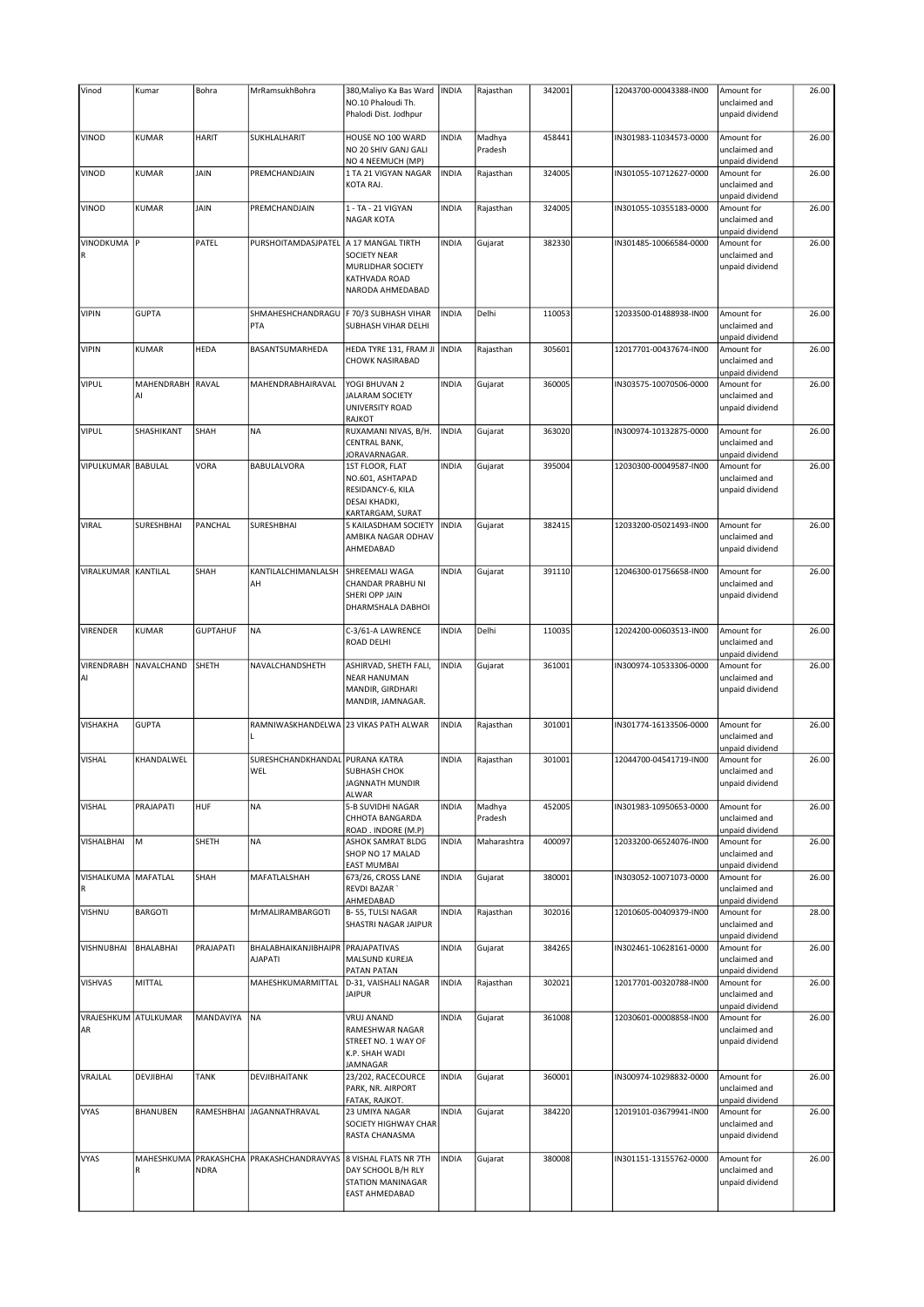| Vinod                      | Kumar                  | Bohra           | MrRamsukhBohra                                        | 380, Maliyo Ka Bas Ward   INDIA<br>NO.10 Phaloudi Th.<br>Phalodi Dist. Jodhpur                     |              | Rajasthan         | 342001 | 12043700-00043388-IN00 | Amount for<br>unclaimed and<br>unpaid dividend                    | 26.00 |
|----------------------------|------------------------|-----------------|-------------------------------------------------------|----------------------------------------------------------------------------------------------------|--------------|-------------------|--------|------------------------|-------------------------------------------------------------------|-------|
| VINOD                      | <b>KUMAR</b>           | <b>HARIT</b>    | SUKHLALHARIT                                          | HOUSE NO 100 WARD                                                                                  | <b>INDIA</b> | Madhya            | 458441 | IN301983-11034573-0000 | Amount for                                                        | 26.00 |
|                            |                        |                 |                                                       | NO 20 SHIV GANJ GALI<br>NO 4 NEEMUCH (MP)                                                          |              | Pradesh           |        |                        | unclaimed and<br>unpaid dividend                                  |       |
| VINOD                      | <b>KUMAR</b>           | JAIN            | PREMCHANDJAIN                                         | 1 TA 21 VIGYAN NAGAR<br>KOTA RAJ.                                                                  | <b>INDIA</b> | Rajasthan         | 324005 | IN301055-10712627-0000 | Amount for<br>unclaimed and<br>unpaid dividend                    | 26.00 |
| VINOD                      | <b>KUMAR</b>           | JAIN            | PREMCHANDJAIN                                         | 1 - TA - 21 VIGYAN<br><b>NAGAR KOTA</b>                                                            | <b>INDIA</b> | Rajasthan         | 324005 | IN301055-10355183-0000 | Amount for<br>unclaimed and                                       | 26.00 |
| VINODKUMA P                |                        | PATEL           | PURSHOITAMDASJPATEL                                   | A 17 MANGAL TIRTH<br><b>SOCIETY NEAR</b><br>MURLIDHAR SOCIETY<br>KATHVADA ROAD<br>NARODA AHMEDABAD | <b>INDIA</b> | Gujarat           | 382330 | IN301485-10066584-0000 | unpaid dividend<br>Amount for<br>unclaimed and<br>unpaid dividend | 26.00 |
| <b>VIPIN</b>               | <b>GUPTA</b>           |                 | SHMAHESHCHANDRAGU<br>PTA                              | F 70/3 SUBHASH VIHAR<br>SUBHASH VIHAR DELHI                                                        | <b>INDIA</b> | Delhi             | 110053 | 12033500-01488938-IN00 | Amount for<br>unclaimed and                                       | 26.00 |
| <b>VIPIN</b>               | <b>KUMAR</b>           | <b>HEDA</b>     | BASANTSUMARHEDA                                       | HEDA TYRE 131, FRAM JI<br><b>CHOWK NASIRABAD</b>                                                   | <b>INDIA</b> | Rajasthan         | 305601 | 12017701-00437674-IN00 | unpaid dividend<br>Amount for<br>unclaimed and                    | 26.00 |
| <b>VIPUL</b>               | MAHENDRABH RAVAL<br>Al |                 | MAHENDRABHAIRAVAL                                     | YOGI BHUVAN 2<br><b>JALARAM SOCIETY</b><br>UNIVERSITY ROAD<br>RAJKOT                               | <b>INDIA</b> | Gujarat           | 360005 | IN303575-10070506-0000 | unpaid dividend<br>Amount for<br>unclaimed and<br>unpaid dividend | 26.00 |
| <b>VIPUL</b>               | SHASHIKANT             | SHAH            | <b>NA</b>                                             | RUXAMANI NIVAS, B/H.<br>CENTRAL BANK,<br><b>JORAVARNAGAR.</b>                                      | <b>INDIA</b> | Gujarat           | 363020 | IN300974-10132875-0000 | Amount for<br>unclaimed and<br>unpaid dividend                    | 26.00 |
| VIPULKUMAR BABULAL         |                        | VORA            | <b>BABULALVORA</b>                                    | 1ST FLOOR, FLAT<br>NO.601, ASHTAPAD<br>RESIDANCY-6, KILA<br>DESAI KHADKI,<br>KARTARGAM, SURAT      | <b>INDIA</b> | Gujarat           | 395004 | 12030300-00049587-IN00 | Amount for<br>unclaimed and<br>unpaid dividend                    | 26.00 |
| <b>VIRAL</b>               | SURESHBHAI             | PANCHAL         | SURESHBHAI                                            | 5 KAILASDHAM SOCIETY<br>AMBIKA NAGAR ODHAV<br>AHMEDABAD                                            | <b>INDIA</b> | Gujarat           | 382415 | 12033200-05021493-IN00 | Amount for<br>unclaimed and<br>unpaid dividend                    | 26.00 |
| VIRALKUMAR KANTILAL        |                        | SHAH            | KANTILALCHIMANLALSH<br>AH                             | SHREEMALI WAGA<br>CHANDAR PRABHU NI<br>SHERI OPP JAIN<br>DHARMSHALA DABHOI                         | <b>INDIA</b> | Gujarat           | 391110 | 12046300-01756658-IN00 | Amount for<br>unclaimed and<br>unpaid dividend                    | 26.00 |
| VIRENDER                   | <b>KUMAR</b>           | <b>GUPTAHUF</b> | <b>NA</b>                                             | C-3/61-A LAWRENCE<br>ROAD DELHI                                                                    | <b>INDIA</b> | Delhi             | 110035 | 12024200-00603513-IN00 | Amount for<br>unclaimed and<br>unpaid dividend                    | 26.00 |
| VIRENDRABH<br>AI           | NAVALCHAND             | SHETH           | NAVALCHANDSHETH                                       | ASHIRVAD, SHETH FALI,<br><b>NEAR HANUMAN</b><br>MANDIR, GIRDHARI<br>MANDIR, JAMNAGAR.              | <b>INDIA</b> | Gujarat           | 361001 | IN300974-10533306-0000 | Amount for<br>unclaimed and<br>unpaid dividend                    | 26.00 |
| VISHAKHA                   | <b>GUPTA</b>           |                 | RAMNIWASKHANDELWA<br>п                                | 23 VIKAS PATH ALWAR                                                                                | <b>INDIA</b> | Rajasthan         | 301001 | IN301774-16133506-0000 | Amount for<br>unclaimed and<br>unpaid dividend                    | 26.00 |
| <b>VISHAL</b>              | KHANDALWEL             |                 | SURESHCHANDKHANDAL PURANA KATRA<br>WEL                | <b>SUBHASH CHOK</b><br><b>JAGNNATH MUNDIR</b><br>ALWAR                                             | <b>INDIA</b> | Rajasthan         | 301001 | 12044700-04541719-IN00 | Amount for<br>unclaimed and<br>unpaid dividend                    | 26.00 |
| <b>VISHAL</b>              | PRAJAPATI              | HUF             | <b>NA</b>                                             | 5-B SUVIDHI NAGAR<br>CHHOTA BANGARDA<br>ROAD . INDORE (M.P)                                        | <b>INDIA</b> | Madhya<br>Pradesh | 452005 | IN301983-10950653-0000 | Amount for<br>unclaimed and<br>unpaid dividend                    | 26.00 |
| VISHALBHAI                 | M                      | SHETH           | <b>NA</b>                                             | ASHOK SAMRAT BLDG<br>SHOP NO 17 MALAD<br>EAST MUMBAI                                               | <b>INDIA</b> | Maharashtra       | 400097 | 12033200-06524076-IN00 | Amount for<br>unclaimed and<br>unpaid dividend                    | 26.00 |
| VISHALKUMA MAFATLAL        |                        | SHAH            | MAFATLALSHAH                                          | 673/26, CROSS LANE<br><b>REVDI BAZAR</b><br>AHMEDABAD                                              | <b>INDIA</b> | Gujarat           | 380001 | IN303052-10071073-0000 | Amount for<br>unclaimed and<br>unpaid dividend                    | 26.00 |
| VISHNU                     | <b>BARGOTI</b>         |                 | MrMALIRAMBARGOTI                                      | B-55, TULSI NAGAR<br>SHASTRI NAGAR JAIPUR                                                          | <b>INDIA</b> | Rajasthan         | 302016 | 12010605-00409379-IN00 | Amount for<br>unclaimed and<br>unpaid dividend                    | 28.00 |
| VISHNUBHAI                 | <b>BHALABHAI</b>       | PRAJAPATI       | BHALABHAIKANJIBHAIPR   PRAJAPATIVAS<br><b>AJAPATI</b> | <b>MALSUND KUREJA</b><br><b>PATAN PATAN</b>                                                        | <b>INDIA</b> | Gujarat           | 384265 | IN302461-10628161-0000 | Amount for<br>unclaimed and<br>unpaid dividend                    | 26.00 |
| <b>VISHVAS</b>             | MITTAL                 |                 | MAHESHKUMARMITTAL                                     | D-31, VAISHALI NAGAR<br>JAIPUR                                                                     | <b>INDIA</b> | Rajasthan         | 302021 | 12017701-00320788-IN00 | Amount for<br>unclaimed and<br>unpaid dividend                    | 26.00 |
| VRAJESHKUM ATULKUMAR<br>AR |                        | MANDAVIYA       | NA                                                    | <b>VRUJ ANAND</b><br>RAMESHWAR NAGAR<br>STREET NO. 1 WAY OF<br>K.P. SHAH WADI<br><b>JAMNAGAR</b>   | <b>INDIA</b> | Gujarat           | 361008 | 12030601-00008858-IN00 | Amount for<br>unclaimed and<br>unpaid dividend                    | 26.00 |
| VRAJLAL                    | <b>DEVJIBHAI</b>       | <b>TANK</b>     | DEVJIBHAITANK                                         | 23/202, RACECOURCE<br>PARK, NR. AIRPORT<br>FATAK, RAJKOT.                                          | <b>INDIA</b> | Gujarat           | 360001 | IN300974-10298832-0000 | Amount for<br>unclaimed and<br>unpaid dividend                    | 26.00 |
| <b>VYAS</b>                | <b>BHANUBEN</b>        |                 | RAMESHBHAI JAGANNATHRAVAL                             | 23 UMIYA NAGAR<br>SOCIETY HIGHWAY CHAR<br>RASTA CHANASMA                                           | <b>INDIA</b> | Gujarat           | 384220 | 12019101-03679941-IN00 | Amount for<br>unclaimed and<br>unpaid dividend                    | 26.00 |
| <b>VYAS</b>                | MAHESHKUMA<br>R        | <b>NDRA</b>     | PRAKASHCHA PRAKASHCHANDRAVYAS                         | 8 VISHAL FLATS NR 7TH<br>DAY SCHOOL B/H RLY<br>STATION MANINAGAR<br>EAST AHMEDABAD                 | <b>INDIA</b> | Gujarat           | 380008 | IN301151-13155762-0000 | Amount for<br>unclaimed and<br>unpaid dividend                    | 26.00 |